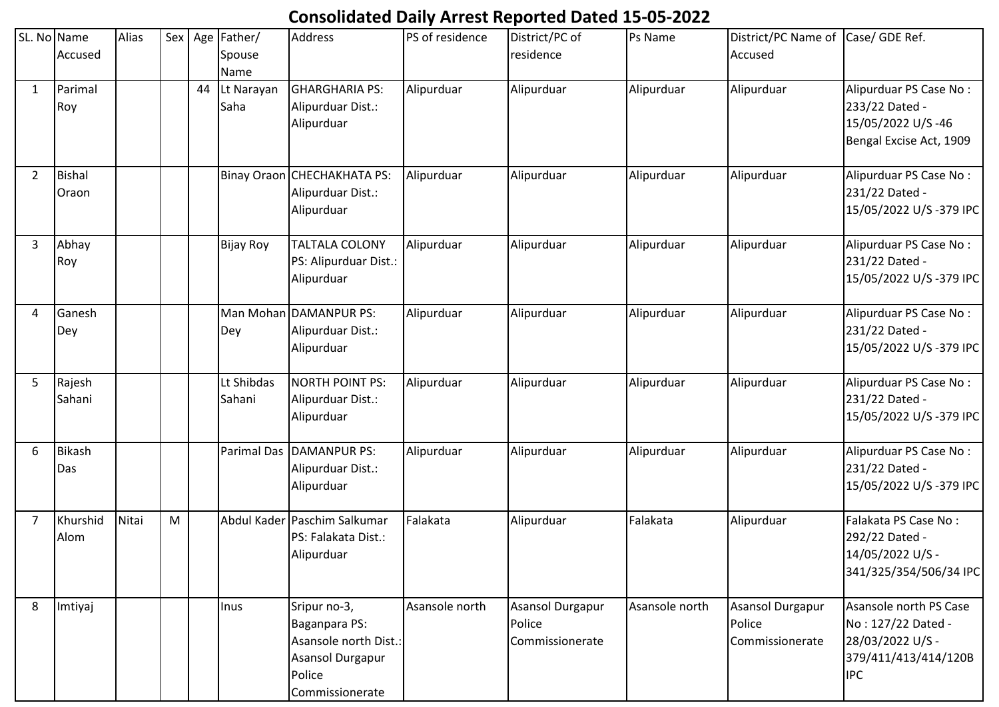## **Consolidated Daily Arrest Reported Dated 15-05-2022**

|                | SL. No Name<br>Accused | Alias |   |    | Sex   Age   Father/<br>Spouse<br>Name | <b>Address</b>                                                                                          | PS of residence | District/PC of<br>residence                   | Ps Name        | District/PC Name of Case/ GDE Ref.<br>Accused        |                                                                                                        |
|----------------|------------------------|-------|---|----|---------------------------------------|---------------------------------------------------------------------------------------------------------|-----------------|-----------------------------------------------|----------------|------------------------------------------------------|--------------------------------------------------------------------------------------------------------|
| $\mathbf{1}$   | Parimal<br>Roy         |       |   | 44 | Lt Narayan<br>Saha                    | <b>GHARGHARIA PS:</b><br>Alipurduar Dist.:<br>Alipurduar                                                | Alipurduar      | Alipurduar                                    | Alipurduar     | Alipurduar                                           | Alipurduar PS Case No:<br>233/22 Dated -<br>15/05/2022 U/S-46<br>Bengal Excise Act, 1909               |
| $\overline{2}$ | <b>Bishal</b><br>Oraon |       |   |    |                                       | Binay Oraon CHECHAKHATA PS:<br>Alipurduar Dist.:<br>Alipurduar                                          | Alipurduar      | Alipurduar                                    | Alipurduar     | Alipurduar                                           | Alipurduar PS Case No:<br>231/22 Dated -<br>15/05/2022 U/S-379 IPC                                     |
| $\overline{3}$ | Abhay<br>Roy           |       |   |    | <b>Bijay Roy</b>                      | <b>TALTALA COLONY</b><br>PS: Alipurduar Dist.:<br>Alipurduar                                            | Alipurduar      | Alipurduar                                    | Alipurduar     | Alipurduar                                           | Alipurduar PS Case No:<br>231/22 Dated -<br>15/05/2022 U/S-379 IPC                                     |
| 4              | Ganesh<br>Dey          |       |   |    | Dey                                   | Man Mohan DAMANPUR PS:<br>Alipurduar Dist.:<br>Alipurduar                                               | Alipurduar      | Alipurduar                                    | Alipurduar     | Alipurduar                                           | Alipurduar PS Case No:<br>231/22 Dated -<br>15/05/2022 U/S-379 IPC                                     |
| 5              | Rajesh<br>Sahani       |       |   |    | Lt Shibdas<br>Sahani                  | NORTH POINT PS:<br>Alipurduar Dist.:<br>Alipurduar                                                      | Alipurduar      | Alipurduar                                    | Alipurduar     | Alipurduar                                           | Alipurduar PS Case No:<br>231/22 Dated -<br>15/05/2022 U/S-379 IPC                                     |
| 6              | Bikash<br>Das          |       |   |    |                                       | Parimal Das DAMANPUR PS:<br>Alipurduar Dist.:<br>Alipurduar                                             | Alipurduar      | Alipurduar                                    | Alipurduar     | Alipurduar                                           | Alipurduar PS Case No:<br>231/22 Dated -<br>15/05/2022 U/S-379 IPC                                     |
| 7              | Khurshid<br>Alom       | Nitai | M |    |                                       | Abdul Kader Paschim Salkumar<br>PS: Falakata Dist.:<br>Alipurduar                                       | Falakata        | Alipurduar                                    | Falakata       | Alipurduar                                           | Falakata PS Case No:<br>292/22 Dated -<br>14/05/2022 U/S -<br>341/325/354/506/34 IPC                   |
| 8              | Imtiyaj                |       |   |    | Inus                                  | Sripur no-3,<br>Baganpara PS:<br>Asansole north Dist.:<br>Asansol Durgapur<br>Police<br>Commissionerate | Asansole north  | Asansol Durgapur<br>Police<br>Commissionerate | Asansole north | <b>Asansol Durgapur</b><br>Police<br>Commissionerate | Asansole north PS Case<br>No: 127/22 Dated -<br>28/03/2022 U/S -<br>379/411/413/414/120B<br><b>IPC</b> |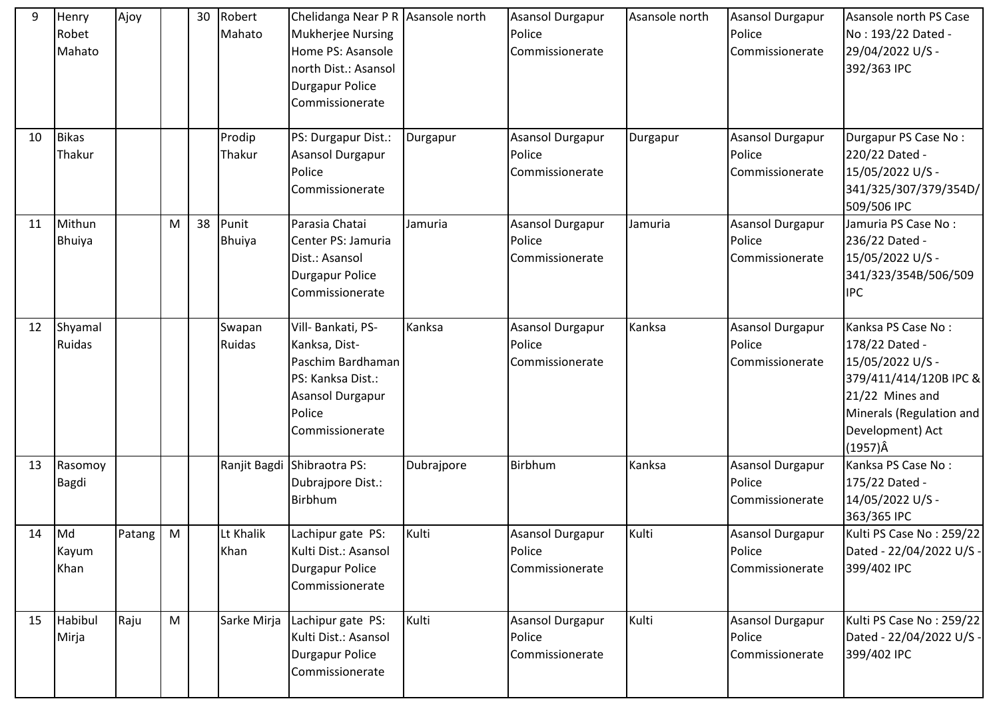| 9<br>10 | Henry<br>Robet<br>Mahato<br><b>Bikas</b> | Ajoy   |   | 30 | Robert<br>Mahato<br>Prodip | Chelidanga Near P R Asansole north<br><b>Mukherjee Nursing</b><br>Home PS: Asansole<br>north Dist.: Asansol<br><b>Durgapur Police</b><br>Commissionerate<br>PS: Durgapur Dist.: | Durgapur   | <b>Asansol Durgapur</b><br>Police<br>Commissionerate<br>Asansol Durgapur | Asansole north<br>Durgapur | <b>Asansol Durgapur</b><br>Police<br>Commissionerate<br>Asansol Durgapur | Asansole north PS Case<br>No: 193/22 Dated -<br>29/04/2022 U/S -<br>392/363 IPC<br>Durgapur PS Case No:                                                                  |
|---------|------------------------------------------|--------|---|----|----------------------------|---------------------------------------------------------------------------------------------------------------------------------------------------------------------------------|------------|--------------------------------------------------------------------------|----------------------------|--------------------------------------------------------------------------|--------------------------------------------------------------------------------------------------------------------------------------------------------------------------|
|         | Thakur                                   |        |   |    | Thakur                     | <b>Asansol Durgapur</b><br>Police<br>Commissionerate                                                                                                                            |            | Police<br>Commissionerate                                                |                            | Police<br>Commissionerate                                                | 220/22 Dated -<br>15/05/2022 U/S -<br>341/325/307/379/354D/<br>509/506 IPC                                                                                               |
| 11      | Mithun<br><b>Bhuiya</b>                  |        | M | 38 | Punit<br><b>Bhuiya</b>     | Parasia Chatai<br>Center PS: Jamuria<br>Dist.: Asansol<br><b>Durgapur Police</b><br>Commissionerate                                                                             | Jamuria    | <b>Asansol Durgapur</b><br>Police<br>Commissionerate                     | Jamuria                    | Asansol Durgapur<br>Police<br>Commissionerate                            | Jamuria PS Case No:<br>236/22 Dated -<br>15/05/2022 U/S -<br>341/323/354B/506/509<br><b>IPC</b>                                                                          |
| 12      | Shyamal<br><b>Ruidas</b>                 |        |   |    | Swapan<br>Ruidas           | Vill- Bankati, PS-<br>Kanksa, Dist-<br>Paschim Bardhaman<br>PS: Kanksa Dist.:<br><b>Asansol Durgapur</b><br>Police<br>Commissionerate                                           | Kanksa     | Asansol Durgapur<br>Police<br>Commissionerate                            | Kanksa                     | <b>Asansol Durgapur</b><br>Police<br>Commissionerate                     | Kanksa PS Case No:<br>178/22 Dated -<br>15/05/2022 U/S -<br>379/411/414/120B IPC &<br>21/22 Mines and<br>Minerals (Regulation and<br>Development) Act<br>$(1957)\hat{A}$ |
| 13      | Rasomoy<br>Bagdi                         |        |   |    |                            | Ranjit Bagdi Shibraotra PS:<br>Dubrajpore Dist.:<br><b>Birbhum</b>                                                                                                              | Dubrajpore | Birbhum                                                                  | Kanksa                     | <b>Asansol Durgapur</b><br>Police<br>Commissionerate                     | Kanksa PS Case No:<br>175/22 Dated -<br>14/05/2022 U/S -<br>363/365 IPC                                                                                                  |
| 14      | Md<br>Kayum<br>Khan                      | Patang | M |    | Lt Khalik<br>Khan          | Lachipur gate PS:<br>Kulti Dist.: Asansol<br><b>Durgapur Police</b><br>Commissionerate                                                                                          | Kulti      | Asansol Durgapur<br>Police<br>Commissionerate                            | Kulti                      | Asansol Durgapur<br>Police<br>Commissionerate                            | Kulti PS Case No: 259/22<br>Dated - 22/04/2022 U/S -<br>399/402 IPC                                                                                                      |
| 15      | Habibul<br>Mirja                         | Raju   | M |    | Sarke Mirja                | Lachipur gate PS:<br>Kulti Dist.: Asansol<br>Durgapur Police<br>Commissionerate                                                                                                 | Kulti      | <b>Asansol Durgapur</b><br>Police<br>Commissionerate                     | Kulti                      | <b>Asansol Durgapur</b><br>Police<br>Commissionerate                     | Kulti PS Case No: 259/22<br>Dated - 22/04/2022 U/S -<br>399/402 IPC                                                                                                      |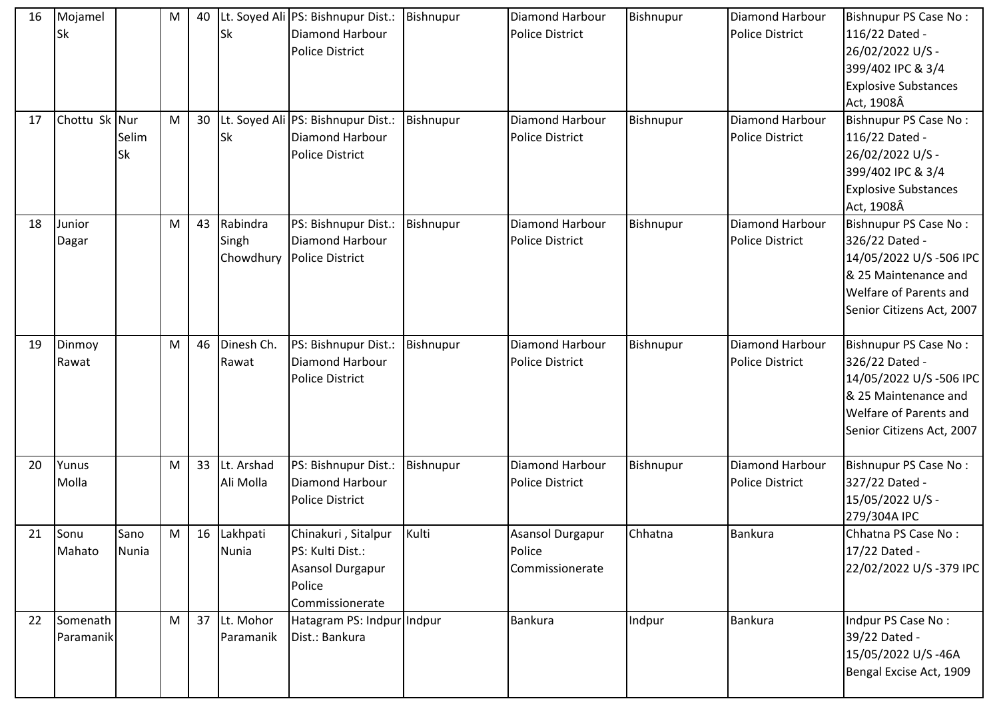| 16 | Mojamel<br>Sk         |                      | M | 40 | Sk                      | Lt. Soyed Ali PS: Bishnupur Dist.:<br><b>Diamond Harbour</b><br><b>Police District</b>   | Bishnupur | Diamond Harbour<br><b>Police District</b>        | Bishnupur | Diamond Harbour<br>Police District        | <b>Bishnupur PS Case No:</b><br>116/22 Dated -<br>26/02/2022 U/S -<br>399/402 IPC & 3/4<br><b>Explosive Substances</b><br>Act, 1908Â             |
|----|-----------------------|----------------------|---|----|-------------------------|------------------------------------------------------------------------------------------|-----------|--------------------------------------------------|-----------|-------------------------------------------|--------------------------------------------------------------------------------------------------------------------------------------------------|
| 17 | Chottu Sk Nur         | Selim<br>Sk          | M | 30 | <b>Sk</b>               | Lt. Soyed Ali PS: Bishnupur Dist.:<br><b>Diamond Harbour</b><br><b>Police District</b>   | Bishnupur | Diamond Harbour<br><b>Police District</b>        | Bishnupur | Diamond Harbour<br>Police District        | Bishnupur PS Case No:<br>116/22 Dated -<br>26/02/2022 U/S -<br>399/402 IPC & 3/4<br><b>Explosive Substances</b><br>Act, 1908Â                    |
| 18 | Junior<br>Dagar       |                      | M | 43 | Rabindra<br>Singh       | PS: Bishnupur Dist.:<br>Diamond Harbour<br>Chowdhury   Police District                   | Bishnupur | <b>Diamond Harbour</b><br><b>Police District</b> | Bishnupur | Diamond Harbour<br>Police District        | Bishnupur PS Case No:<br>326/22 Dated -<br>14/05/2022 U/S-506 IPC<br>& 25 Maintenance and<br>Welfare of Parents and<br>Senior Citizens Act, 2007 |
| 19 | Dinmoy<br>Rawat       |                      | M | 46 | Dinesh Ch.<br>Rawat     | PS: Bishnupur Dist.:<br><b>Diamond Harbour</b><br><b>Police District</b>                 | Bishnupur | <b>Diamond Harbour</b><br><b>Police District</b> | Bishnupur | Diamond Harbour<br>Police District        | Bishnupur PS Case No:<br>326/22 Dated -<br>14/05/2022 U/S-506 IPC<br>& 25 Maintenance and<br>Welfare of Parents and<br>Senior Citizens Act, 2007 |
| 20 | Yunus<br>Molla        |                      | M | 33 | Lt. Arshad<br>Ali Molla | PS: Bishnupur Dist.:<br>Diamond Harbour<br><b>Police District</b>                        | Bishnupur | Diamond Harbour<br><b>Police District</b>        | Bishnupur | Diamond Harbour<br><b>Police District</b> | Bishnupur PS Case No:<br>327/22 Dated -<br>15/05/2022 U/S -<br>279/304A IPC                                                                      |
| 21 | Sonu<br>Mahato        | Sano<br><b>Nunia</b> | M |    | 16 Lakhpati<br>Nunia    | Chinakuri, Sitalpur<br>PS: Kulti Dist.:<br>Asansol Durgapur<br>Police<br>Commissionerate | Kulti     | Asansol Durgapur<br>Police<br>Commissionerate    | Chhatna   | <b>Bankura</b>                            | Chhatna PS Case No:<br>17/22 Dated -<br>22/02/2022 U/S-379 IPC                                                                                   |
| 22 | Somenath<br>Paramanik |                      | M | 37 | Lt. Mohor<br>Paramanik  | Hatagram PS: Indpur Indpur<br>Dist.: Bankura                                             |           | <b>Bankura</b>                                   | Indpur    | <b>Bankura</b>                            | Indpur PS Case No:<br>39/22 Dated -<br>15/05/2022 U/S-46A<br>Bengal Excise Act, 1909                                                             |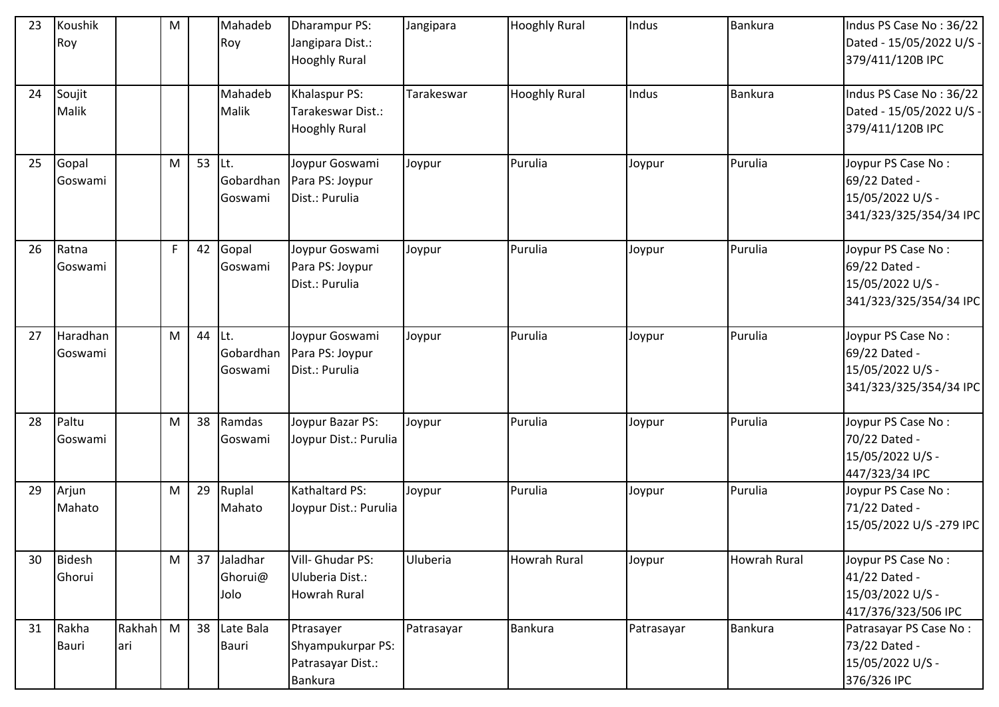| 23 | Koushik<br>Roy        |               | ${\sf M}$    |    | Mahadeb<br>Roy                     | Dharampur PS:<br>Jangipara Dist.:<br><b>Hooghly Rural</b>             | Jangipara  | <b>Hooghly Rural</b> | Indus      | <b>Bankura</b>      | Indus PS Case No: 36/22<br>Dated - 15/05/2022 U/S -<br>379/411/120B IPC           |
|----|-----------------------|---------------|--------------|----|------------------------------------|-----------------------------------------------------------------------|------------|----------------------|------------|---------------------|-----------------------------------------------------------------------------------|
| 24 | Soujit<br>Malik       |               |              |    | Mahadeb<br>Malik                   | Khalaspur PS:<br>Tarakeswar Dist.:<br><b>Hooghly Rural</b>            | Tarakeswar | <b>Hooghly Rural</b> | Indus      | Bankura             | Indus PS Case No: 36/22<br>Dated - 15/05/2022 U/S -<br>379/411/120B IPC           |
| 25 | Gopal<br>Goswami      |               | M            | 53 | Lt.<br>Gobardhan<br>Goswami        | Joypur Goswami<br>Para PS: Joypur<br>Dist.: Purulia                   | Joypur     | Purulia              | Joypur     | Purulia             | Joypur PS Case No:<br>69/22 Dated -<br>15/05/2022 U/S -<br>341/323/325/354/34 IPC |
| 26 | Ratna<br>Goswami      |               | $\mathsf{F}$ | 42 | Gopal<br>Goswami                   | Joypur Goswami<br>Para PS: Joypur<br>Dist.: Purulia                   | Joypur     | Purulia              | Joypur     | Purulia             | Joypur PS Case No:<br>69/22 Dated -<br>15/05/2022 U/S -<br>341/323/325/354/34 IPC |
| 27 | Haradhan<br>Goswami   |               | M            | 44 | Lt.<br>Gobardhan<br>Goswami        | Joypur Goswami<br>Para PS: Joypur<br>Dist.: Purulia                   | Joypur     | Purulia              | Joypur     | Purulia             | Joypur PS Case No:<br>69/22 Dated -<br>15/05/2022 U/S -<br>341/323/325/354/34 IPC |
| 28 | Paltu<br>Goswami      |               | M            | 38 | Ramdas<br>Goswami                  | Joypur Bazar PS:<br>Joypur Dist.: Purulia                             | Joypur     | Purulia              | Joypur     | Purulia             | Joypur PS Case No:<br>70/22 Dated -<br>15/05/2022 U/S -<br>447/323/34 IPC         |
| 29 | Arjun<br>Mahato       |               | M            | 29 | Ruplal<br>Mahato                   | Kathaltard PS:<br>Joypur Dist.: Purulia                               | Joypur     | Purulia              | Joypur     | Purulia             | Joypur PS Case No:<br>71/22 Dated -<br>15/05/2022 U/S-279 IPC                     |
| 30 | Bidesh<br>Ghorui      |               | M            | 37 | Jaladhar<br>Ghorui@<br><b>Olol</b> | Vill- Ghudar PS:<br>Uluberia Dist.:<br><b>Howrah Rural</b>            | Uluberia   | Howrah Rural         | Joypur     | <b>Howrah Rural</b> | Joypur PS Case No:<br>41/22 Dated -<br>15/03/2022 U/S -<br>417/376/323/506 IPC    |
| 31 | Rakha<br><b>Bauri</b> | Rakhah<br>ari | M            | 38 | Late Bala<br>Bauri                 | Ptrasayer<br>Shyampukurpar PS:<br>Patrasayar Dist.:<br><b>Bankura</b> | Patrasayar | <b>Bankura</b>       | Patrasayar | Bankura             | Patrasayar PS Case No:<br>73/22 Dated -<br>15/05/2022 U/S -<br>376/326 IPC        |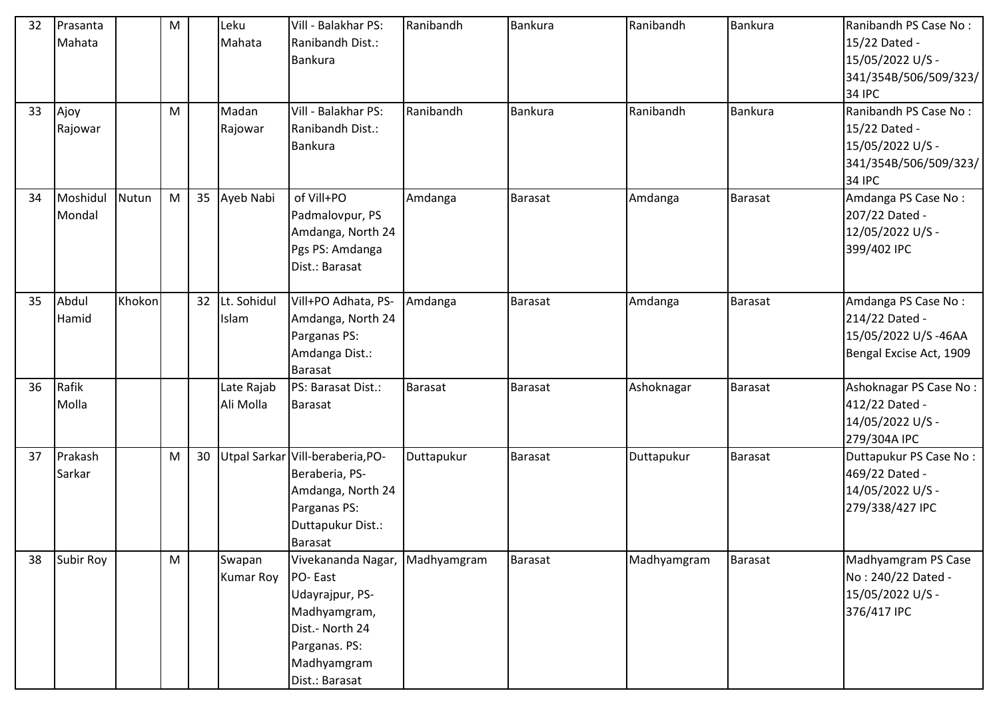| 32 | Prasanta  |        | M         |                 | Leku             | Vill - Balakhar PS:              | Ranibandh      | <b>Bankura</b> | Ranibandh   | Bankura        | Ranibandh PS Case No:   |
|----|-----------|--------|-----------|-----------------|------------------|----------------------------------|----------------|----------------|-------------|----------------|-------------------------|
|    | Mahata    |        |           |                 | Mahata           | Ranibandh Dist.:                 |                |                |             |                | 15/22 Dated -           |
|    |           |        |           |                 |                  | Bankura                          |                |                |             |                | 15/05/2022 U/S -        |
|    |           |        |           |                 |                  |                                  |                |                |             |                | 341/354B/506/509/323/   |
|    |           |        |           |                 |                  |                                  |                |                |             |                | 34 IPC                  |
| 33 | Ajoy      |        | M         |                 | Madan            | Vill - Balakhar PS:              | Ranibandh      | <b>Bankura</b> | Ranibandh   | <b>Bankura</b> | Ranibandh PS Case No:   |
|    | Rajowar   |        |           |                 | Rajowar          | Ranibandh Dist.:                 |                |                |             |                | 15/22 Dated -           |
|    |           |        |           |                 |                  | Bankura                          |                |                |             |                | 15/05/2022 U/S -        |
|    |           |        |           |                 |                  |                                  |                |                |             |                | 341/354B/506/509/323/   |
|    |           |        |           |                 |                  |                                  |                |                |             |                | <b>34 IPC</b>           |
| 34 | Moshidul  | Nutun  | ${\sf M}$ | 35              | Ayeb Nabi        | of Vill+PO                       | Amdanga        | <b>Barasat</b> | Amdanga     | Barasat        | Amdanga PS Case No:     |
|    | Mondal    |        |           |                 |                  | Padmalovpur, PS                  |                |                |             |                | 207/22 Dated -          |
|    |           |        |           |                 |                  | Amdanga, North 24                |                |                |             |                | 12/05/2022 U/S -        |
|    |           |        |           |                 |                  | Pgs PS: Amdanga                  |                |                |             |                | 399/402 IPC             |
|    |           |        |           |                 |                  | Dist.: Barasat                   |                |                |             |                |                         |
| 35 | Abdul     | Khokon |           | 32 <sup>2</sup> | Lt. Sohidul      | Vill+PO Adhata, PS-              | Amdanga        | <b>Barasat</b> | Amdanga     | Barasat        | Amdanga PS Case No:     |
|    | Hamid     |        |           |                 | Islam            | Amdanga, North 24                |                |                |             |                | 214/22 Dated -          |
|    |           |        |           |                 |                  | Parganas PS:                     |                |                |             |                | 15/05/2022 U/S-46AA     |
|    |           |        |           |                 |                  | Amdanga Dist.:                   |                |                |             |                | Bengal Excise Act, 1909 |
|    |           |        |           |                 |                  | <b>Barasat</b>                   |                |                |             |                |                         |
| 36 | Rafik     |        |           |                 | Late Rajab       | PS: Barasat Dist.:               | <b>Barasat</b> | <b>Barasat</b> | Ashoknagar  | Barasat        | Ashoknagar PS Case No:  |
|    | Molla     |        |           |                 | Ali Molla        | <b>Barasat</b>                   |                |                |             |                | 412/22 Dated -          |
|    |           |        |           |                 |                  |                                  |                |                |             |                | 14/05/2022 U/S -        |
|    |           |        |           |                 |                  |                                  |                |                |             |                | 279/304A IPC            |
| 37 | Prakash   |        | M         | 30              |                  | Utpal Sarkar Vill-beraberia, PO- | Duttapukur     | <b>Barasat</b> | Duttapukur  | Barasat        | Duttapukur PS Case No:  |
|    | Sarkar    |        |           |                 |                  | Beraberia, PS-                   |                |                |             |                | 469/22 Dated -          |
|    |           |        |           |                 |                  | Amdanga, North 24                |                |                |             |                | 14/05/2022 U/S -        |
|    |           |        |           |                 |                  | Parganas PS:                     |                |                |             |                | 279/338/427 IPC         |
|    |           |        |           |                 |                  | Duttapukur Dist.:                |                |                |             |                |                         |
|    |           |        |           |                 |                  | <b>Barasat</b>                   |                |                |             |                |                         |
| 38 | Subir Roy |        | M         |                 | Swapan           | Vivekananda Nagar, Madhyamgram   |                | <b>Barasat</b> | Madhyamgram | <b>Barasat</b> | Madhyamgram PS Case     |
|    |           |        |           |                 | <b>Kumar Roy</b> | PO-East                          |                |                |             |                | No: 240/22 Dated -      |
|    |           |        |           |                 |                  | Udayrajpur, PS-                  |                |                |             |                | 15/05/2022 U/S -        |
|    |           |        |           |                 |                  | Madhyamgram,                     |                |                |             |                | 376/417 IPC             |
|    |           |        |           |                 |                  | Dist.- North 24                  |                |                |             |                |                         |
|    |           |        |           |                 |                  | Parganas. PS:                    |                |                |             |                |                         |
|    |           |        |           |                 |                  | Madhyamgram                      |                |                |             |                |                         |
|    |           |        |           |                 |                  | Dist.: Barasat                   |                |                |             |                |                         |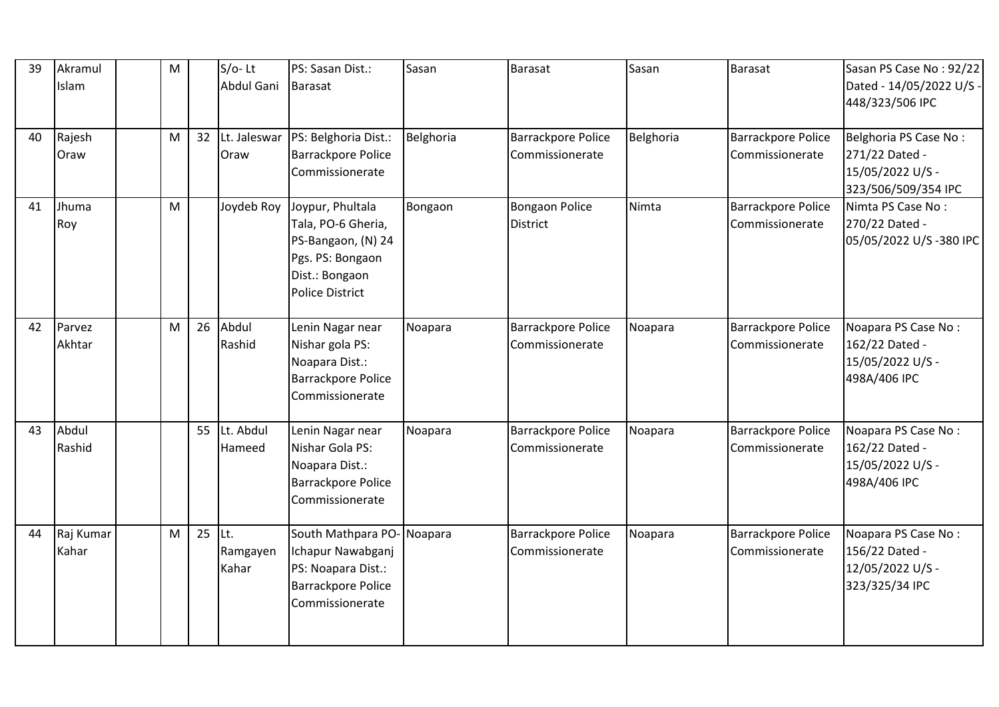| 39 | Akramul<br>Islam   | M |    | $S/O-Lt$<br>Abdul Gani    | PS: Sasan Dist.:<br>Barasat                                                                                                             | Sasan     | <b>Barasat</b>                               | Sasan     | Barasat                                      | Sasan PS Case No: 92/22<br>Dated - 14/05/2022 U/S -<br>448/323/506 IPC             |
|----|--------------------|---|----|---------------------------|-----------------------------------------------------------------------------------------------------------------------------------------|-----------|----------------------------------------------|-----------|----------------------------------------------|------------------------------------------------------------------------------------|
| 40 | Rajesh<br>Oraw     | M | 32 | Lt. Jaleswar<br>Oraw      | PS: Belghoria Dist.:<br><b>Barrackpore Police</b><br>Commissionerate                                                                    | Belghoria | <b>Barrackpore Police</b><br>Commissionerate | Belghoria | <b>Barrackpore Police</b><br>Commissionerate | Belghoria PS Case No:<br>271/22 Dated -<br>15/05/2022 U/S -<br>323/506/509/354 IPC |
| 41 | Jhuma<br>Roy       | M |    |                           | Joydeb Roy Joypur, Phultala<br>Tala, PO-6 Gheria,<br>PS-Bangaon, (N) 24<br>Pgs. PS: Bongaon<br>Dist.: Bongaon<br><b>Police District</b> | Bongaon   | <b>Bongaon Police</b><br><b>District</b>     | Nimta     | <b>Barrackpore Police</b><br>Commissionerate | Nimta PS Case No:<br>270/22 Dated -<br>05/05/2022 U/S-380 IPC                      |
| 42 | Parvez<br>Akhtar   | M | 26 | Abdul<br>Rashid           | Lenin Nagar near<br>Nishar gola PS:<br>Noapara Dist.:<br><b>Barrackpore Police</b><br>Commissionerate                                   | Noapara   | <b>Barrackpore Police</b><br>Commissionerate | Noapara   | Barrackpore Police<br>Commissionerate        | Noapara PS Case No:<br>162/22 Dated -<br>15/05/2022 U/S -<br>498A/406 IPC          |
| 43 | Abdul<br>Rashid    |   | 55 | Lt. Abdul<br>Hameed       | Lenin Nagar near<br>Nishar Gola PS:<br>Noapara Dist.:<br><b>Barrackpore Police</b><br>Commissionerate                                   | Noapara   | <b>Barrackpore Police</b><br>Commissionerate | Noapara   | Barrackpore Police<br>Commissionerate        | Noapara PS Case No:<br>162/22 Dated -<br>15/05/2022 U/S -<br>498A/406 IPC          |
| 44 | Raj Kumar<br>Kahar | M | 25 | ILt.<br>Ramgayen<br>Kahar | South Mathpara PO-Noapara<br>Ichapur Nawabganj<br>PS: Noapara Dist.:<br><b>Barrackpore Police</b><br>Commissionerate                    |           | <b>Barrackpore Police</b><br>Commissionerate | Noapara   | Barrackpore Police<br>Commissionerate        | Noapara PS Case No:<br>156/22 Dated -<br>12/05/2022 U/S -<br>323/325/34 IPC        |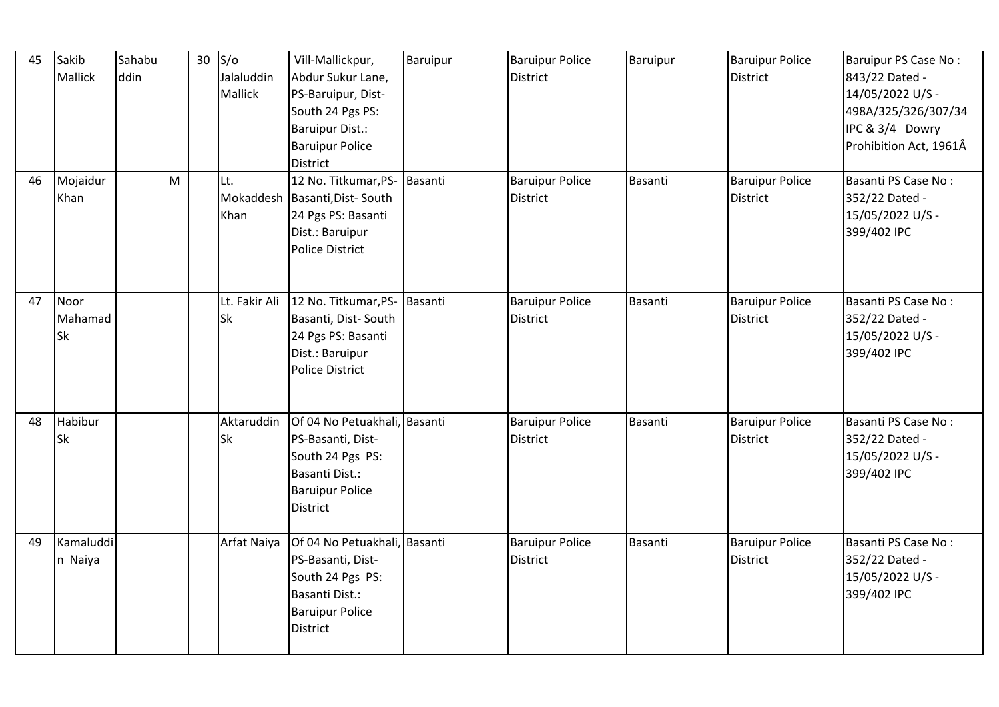| 45 | Sakib<br>Mallick             | Sahabu<br>ddin |   | 30 | $S/\sigma$<br>Jalaluddin<br>Mallick | Vill-Mallickpur,<br>Abdur Sukur Lane,<br>PS-Baruipur, Dist-<br>South 24 Pgs PS:<br><b>Baruipur Dist.:</b><br><b>Baruipur Police</b><br>District | Baruipur | <b>Baruipur Police</b><br><b>District</b> | Baruipur | <b>Baruipur Police</b><br><b>District</b> | Baruipur PS Case No:<br>843/22 Dated -<br>14/05/2022 U/S -<br>498A/325/326/307/34<br>IPC & 3/4 Dowry<br>Prohibition Act, 1961Â |
|----|------------------------------|----------------|---|----|-------------------------------------|-------------------------------------------------------------------------------------------------------------------------------------------------|----------|-------------------------------------------|----------|-------------------------------------------|--------------------------------------------------------------------------------------------------------------------------------|
| 46 | Mojaidur<br>Khan             |                | M |    | Lt.<br>Khan                         | 12 No. Titkumar, PS- Basanti<br>Mokaddesh   Basanti, Dist-South<br>24 Pgs PS: Basanti<br>Dist.: Baruipur<br><b>Police District</b>              |          | <b>Baruipur Police</b><br><b>District</b> | Basanti  | <b>Baruipur Police</b><br><b>District</b> | Basanti PS Case No:<br>352/22 Dated -<br>15/05/2022 U/S -<br>399/402 IPC                                                       |
| 47 | Noor<br>Mahamad<br><b>Sk</b> |                |   |    | Lt. Fakir Ali<br>Sk                 | 12 No. Titkumar, PS- Basanti<br>Basanti, Dist-South<br>24 Pgs PS: Basanti<br>Dist.: Baruipur<br><b>Police District</b>                          |          | <b>Baruipur Police</b><br><b>District</b> | Basanti  | <b>Baruipur Police</b><br><b>District</b> | Basanti PS Case No:<br>352/22 Dated -<br>15/05/2022 U/S -<br>399/402 IPC                                                       |
| 48 | Habibur<br><b>Sk</b>         |                |   |    | Aktaruddin<br><b>Sk</b>             | Of 04 No Petuakhali, Basanti<br>PS-Basanti, Dist-<br>South 24 Pgs PS:<br>Basanti Dist.:<br><b>Baruipur Police</b><br><b>District</b>            |          | <b>Baruipur Police</b><br><b>District</b> | Basanti  | <b>Baruipur Police</b><br><b>District</b> | Basanti PS Case No:<br>352/22 Dated -<br>15/05/2022 U/S -<br>399/402 IPC                                                       |
| 49 | Kamaluddi<br>n Naiya         |                |   |    | Arfat Naiya                         | Of 04 No Petuakhali, Basanti<br>PS-Basanti, Dist-<br>South 24 Pgs PS:<br>Basanti Dist.:<br><b>Baruipur Police</b><br>District                   |          | <b>Baruipur Police</b><br><b>District</b> | Basanti  | <b>Baruipur Police</b><br><b>District</b> | Basanti PS Case No:<br>352/22 Dated -<br>15/05/2022 U/S -<br>399/402 IPC                                                       |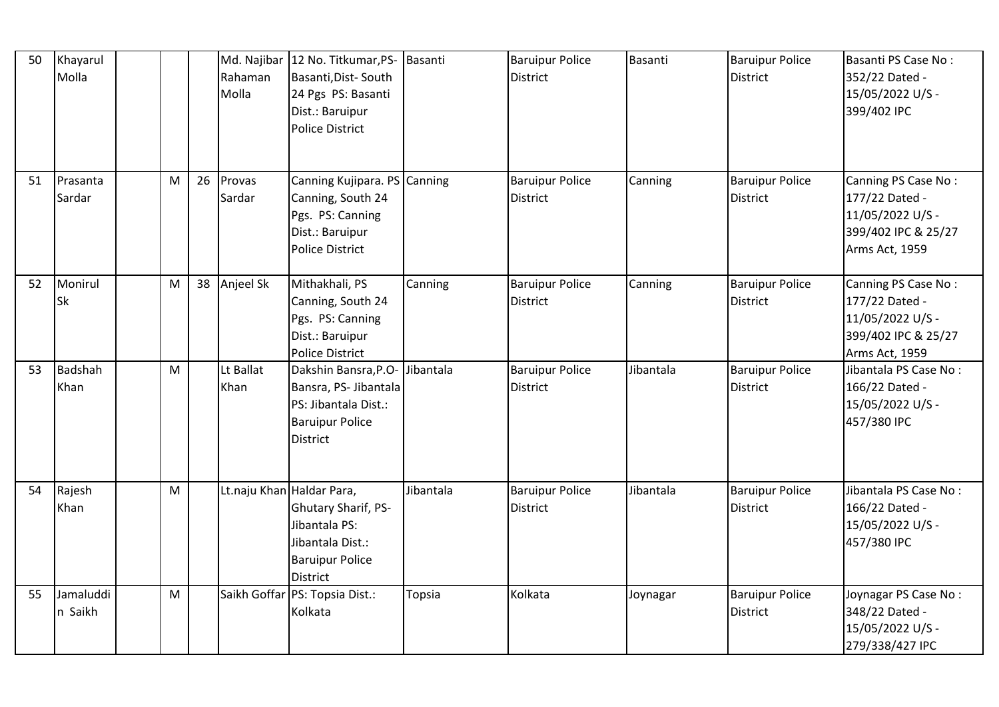| 50 | Khayarul<br>Molla    |   |    | Rahaman<br>Molla          | Md. Najibar 12 No. Titkumar, PS- Basanti<br>Basanti, Dist-South<br>24 Pgs PS: Basanti<br>Dist.: Baruipur<br><b>Police District</b> |           | <b>Baruipur Police</b><br><b>District</b> | Basanti   | <b>Baruipur Police</b><br>District        | Basanti PS Case No:<br>352/22 Dated -<br>15/05/2022 U/S -<br>399/402 IPC                           |
|----|----------------------|---|----|---------------------------|------------------------------------------------------------------------------------------------------------------------------------|-----------|-------------------------------------------|-----------|-------------------------------------------|----------------------------------------------------------------------------------------------------|
| 51 | Prasanta<br>Sardar   | M | 26 | Provas<br>Sardar          | Canning Kujipara. PS Canning<br>Canning, South 24<br>Pgs. PS: Canning<br>Dist.: Baruipur<br><b>Police District</b>                 |           | <b>Baruipur Police</b><br><b>District</b> | Canning   | <b>Baruipur Police</b><br><b>District</b> | Canning PS Case No:<br>177/22 Dated -<br>11/05/2022 U/S -<br>399/402 IPC & 25/27<br>Arms Act, 1959 |
| 52 | Monirul<br><b>Sk</b> | M | 38 | Anjeel Sk                 | Mithakhali, PS<br>Canning, South 24<br>Pgs. PS: Canning<br>Dist.: Baruipur<br><b>Police District</b>                               | Canning   | <b>Baruipur Police</b><br><b>District</b> | Canning   | <b>Baruipur Police</b><br><b>District</b> | Canning PS Case No:<br>177/22 Dated -<br>11/05/2022 U/S -<br>399/402 IPC & 25/27<br>Arms Act, 1959 |
| 53 | Badshah<br>Khan      | M |    | Lt Ballat<br>Khan         | Dakshin Bansra, P.O-<br>Bansra, PS- Jibantala<br>PS: Jibantala Dist.:<br><b>Baruipur Police</b><br><b>District</b>                 | Jibantala | <b>Baruipur Police</b><br>District        | Jibantala | <b>Baruipur Police</b><br><b>District</b> | Jibantala PS Case No:<br>166/22 Dated -<br>15/05/2022 U/S -<br>457/380 IPC                         |
| 54 | Rajesh<br>Khan       | M |    | Lt.naju Khan Haldar Para, | Ghutary Sharif, PS-<br>Jibantala PS:<br>Jibantala Dist.:<br><b>Baruipur Police</b><br><b>District</b>                              | Jibantala | <b>Baruipur Police</b><br><b>District</b> | Jibantala | <b>Baruipur Police</b><br><b>District</b> | Jibantala PS Case No:<br>166/22 Dated -<br>15/05/2022 U/S -<br>457/380 IPC                         |
| 55 | Jamaluddi<br>n Saikh | M |    |                           | Saikh Goffar PS: Topsia Dist.:<br>Kolkata                                                                                          | Topsia    | Kolkata                                   | Joynagar  | <b>Baruipur Police</b><br><b>District</b> | Joynagar PS Case No:<br>348/22 Dated -<br>15/05/2022 U/S -<br>279/338/427 IPC                      |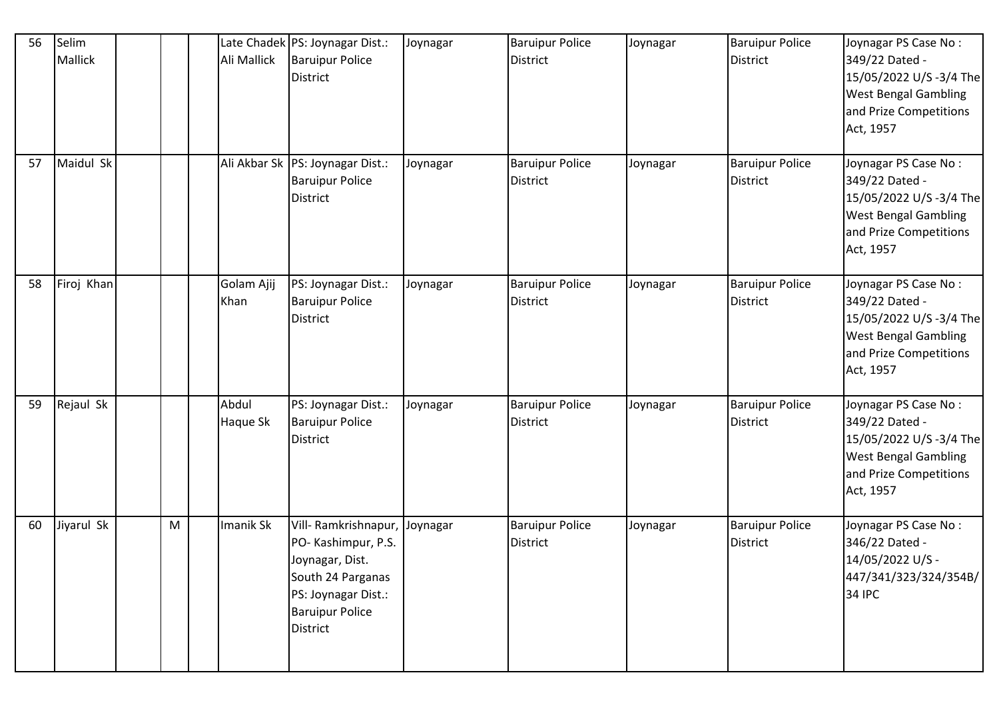| 56 | Selim<br>Mallick |   | Ali Mallick        | Late Chadek   PS: Joynagar Dist.:<br><b>Baruipur Police</b><br>District                                                                                 | Joynagar | <b>Baruipur Police</b><br><b>District</b> | Joynagar | <b>Baruipur Police</b><br><b>District</b> | Joynagar PS Case No:<br>349/22 Dated -<br>15/05/2022 U/S -3/4 The<br><b>West Bengal Gambling</b><br>and Prize Competitions<br>Act, 1957 |
|----|------------------|---|--------------------|---------------------------------------------------------------------------------------------------------------------------------------------------------|----------|-------------------------------------------|----------|-------------------------------------------|-----------------------------------------------------------------------------------------------------------------------------------------|
| 57 | Maidul Sk        |   |                    | Ali Akbar Sk   PS: Joynagar Dist.:<br><b>Baruipur Police</b><br>District                                                                                | Joynagar | <b>Baruipur Police</b><br><b>District</b> | Joynagar | <b>Baruipur Police</b><br><b>District</b> | Joynagar PS Case No:<br>349/22 Dated -<br>15/05/2022 U/S -3/4 The<br><b>West Bengal Gambling</b><br>and Prize Competitions<br>Act, 1957 |
| 58 | Firoj Khan       |   | Golam Ajij<br>Khan | PS: Joynagar Dist.:<br><b>Baruipur Police</b><br>District                                                                                               | Joynagar | <b>Baruipur Police</b><br><b>District</b> | Joynagar | <b>Baruipur Police</b><br><b>District</b> | Joynagar PS Case No:<br>349/22 Dated -<br>15/05/2022 U/S -3/4 The<br><b>West Bengal Gambling</b><br>and Prize Competitions<br>Act, 1957 |
| 59 | Rejaul Sk        |   | Abdul<br>Haque Sk  | PS: Joynagar Dist.:<br><b>Baruipur Police</b><br>District                                                                                               | Joynagar | <b>Baruipur Police</b><br><b>District</b> | Joynagar | <b>Baruipur Police</b><br><b>District</b> | Joynagar PS Case No:<br>349/22 Dated -<br>15/05/2022 U/S -3/4 The<br><b>West Bengal Gambling</b><br>and Prize Competitions<br>Act, 1957 |
| 60 | Jiyarul Sk       | M | Imanik Sk          | Vill-Ramkrishnapur, Joynagar<br>PO-Kashimpur, P.S.<br>Joynagar, Dist.<br>South 24 Parganas<br>PS: Joynagar Dist.:<br><b>Baruipur Police</b><br>District |          | <b>Baruipur Police</b><br><b>District</b> | Joynagar | <b>Baruipur Police</b><br><b>District</b> | Joynagar PS Case No:<br>346/22 Dated -<br>14/05/2022 U/S -<br>447/341/323/324/354B/<br><b>34 IPC</b>                                    |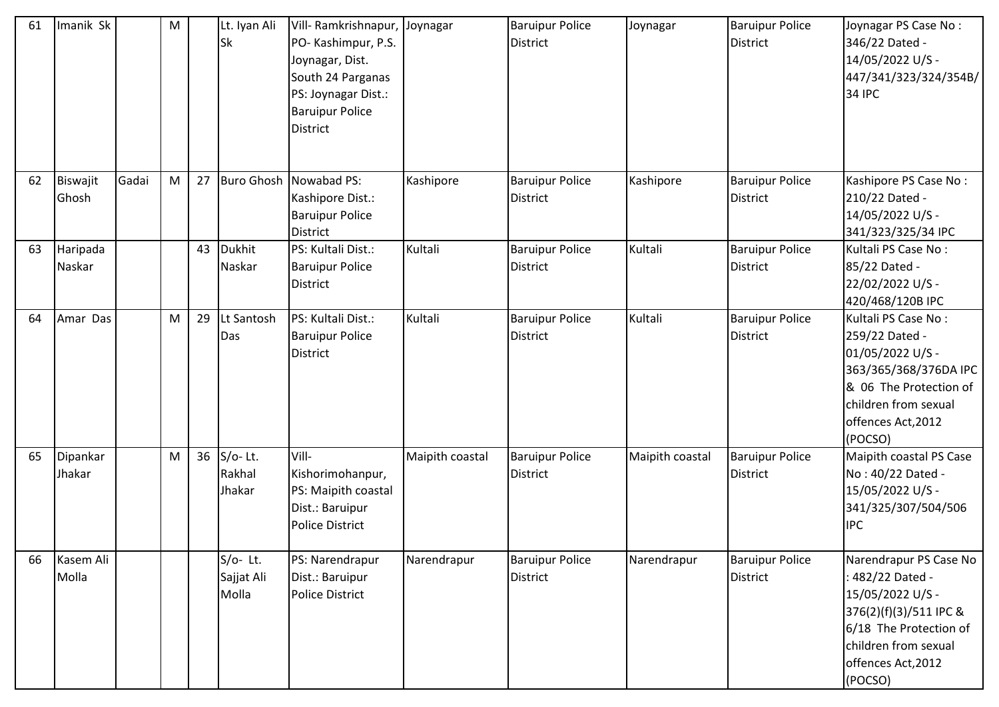| 61 | Imanik Sk |       | M         |    | Lt. Iyan Ali<br>Sk | Vill- Ramkrishnapur, Joynagar<br>PO-Kashimpur, P.S.<br>Joynagar, Dist.<br>South 24 Parganas<br>PS: Joynagar Dist.:<br><b>Baruipur Police</b><br><b>District</b> |                 | <b>Baruipur Police</b><br><b>District</b> | Joynagar        | <b>Baruipur Police</b><br><b>District</b> | Joynagar PS Case No:<br>346/22 Dated -<br>14/05/2022 U/S -<br>447/341/323/324/354B/<br><b>34 IPC</b> |
|----|-----------|-------|-----------|----|--------------------|-----------------------------------------------------------------------------------------------------------------------------------------------------------------|-----------------|-------------------------------------------|-----------------|-------------------------------------------|------------------------------------------------------------------------------------------------------|
| 62 | Biswajit  | Gadai | M         | 27 |                    | Buro Ghosh Nowabad PS:                                                                                                                                          | Kashipore       | <b>Baruipur Police</b>                    | Kashipore       | <b>Baruipur Police</b>                    | Kashipore PS Case No:                                                                                |
|    | Ghosh     |       |           |    |                    | Kashipore Dist.:                                                                                                                                                |                 | <b>District</b>                           |                 | <b>District</b>                           | 210/22 Dated -                                                                                       |
|    |           |       |           |    |                    | <b>Baruipur Police</b>                                                                                                                                          |                 |                                           |                 |                                           | 14/05/2022 U/S -                                                                                     |
|    |           |       |           |    |                    | <b>District</b>                                                                                                                                                 |                 |                                           |                 |                                           | 341/323/325/34 IPC                                                                                   |
| 63 | Haripada  |       |           | 43 | <b>Dukhit</b>      | PS: Kultali Dist.:                                                                                                                                              | Kultali         | <b>Baruipur Police</b>                    | Kultali         | <b>Baruipur Police</b>                    | Kultali PS Case No:                                                                                  |
|    | Naskar    |       |           |    | Naskar             | <b>Baruipur Police</b>                                                                                                                                          |                 | <b>District</b>                           |                 | <b>District</b>                           | 85/22 Dated -                                                                                        |
|    |           |       |           |    |                    | <b>District</b>                                                                                                                                                 |                 |                                           |                 |                                           | 22/02/2022 U/S -                                                                                     |
|    |           |       |           |    |                    |                                                                                                                                                                 |                 |                                           |                 |                                           | 420/468/120B IPC                                                                                     |
| 64 | Amar Das  |       | ${\sf M}$ | 29 | Lt Santosh         | PS: Kultali Dist.:                                                                                                                                              | Kultali         | <b>Baruipur Police</b>                    | Kultali         | <b>Baruipur Police</b>                    | Kultali PS Case No:                                                                                  |
|    |           |       |           |    | Das                | <b>Baruipur Police</b>                                                                                                                                          |                 | <b>District</b>                           |                 | <b>District</b>                           | 259/22 Dated -                                                                                       |
|    |           |       |           |    |                    | <b>District</b>                                                                                                                                                 |                 |                                           |                 |                                           | 01/05/2022 U/S -                                                                                     |
|    |           |       |           |    |                    |                                                                                                                                                                 |                 |                                           |                 |                                           | 363/365/368/376DA IPC<br>& 06 The Protection of                                                      |
|    |           |       |           |    |                    |                                                                                                                                                                 |                 |                                           |                 |                                           | children from sexual                                                                                 |
|    |           |       |           |    |                    |                                                                                                                                                                 |                 |                                           |                 |                                           | offences Act, 2012                                                                                   |
|    |           |       |           |    |                    |                                                                                                                                                                 |                 |                                           |                 |                                           | (POCSO)                                                                                              |
| 65 | Dipankar  |       | M         | 36 | $S/O-$ Lt.         | Vill-                                                                                                                                                           | Maipith coastal | <b>Baruipur Police</b>                    | Maipith coastal | <b>Baruipur Police</b>                    | Maipith coastal PS Case                                                                              |
|    | Jhakar    |       |           |    | Rakhal             | Kishorimohanpur,                                                                                                                                                |                 | <b>District</b>                           |                 | <b>District</b>                           | No: 40/22 Dated -                                                                                    |
|    |           |       |           |    | Jhakar             | PS: Maipith coastal                                                                                                                                             |                 |                                           |                 |                                           | 15/05/2022 U/S -                                                                                     |
|    |           |       |           |    |                    | Dist.: Baruipur                                                                                                                                                 |                 |                                           |                 |                                           | 341/325/307/504/506                                                                                  |
|    |           |       |           |    |                    | <b>Police District</b>                                                                                                                                          |                 |                                           |                 |                                           | <b>IPC</b>                                                                                           |
|    |           |       |           |    |                    |                                                                                                                                                                 |                 |                                           |                 |                                           |                                                                                                      |
| 66 | Kasem Ali |       |           |    | $S/O-$ Lt.         | PS: Narendrapur                                                                                                                                                 | Narendrapur     | <b>Baruipur Police</b>                    | Narendrapur     | <b>Baruipur Police</b>                    | Narendrapur PS Case No                                                                               |
|    | Molla     |       |           |    | Sajjat Ali         | Dist.: Baruipur                                                                                                                                                 |                 | <b>District</b>                           |                 | <b>District</b>                           | : 482/22 Dated -                                                                                     |
|    |           |       |           |    | Molla              | Police District                                                                                                                                                 |                 |                                           |                 |                                           | 15/05/2022 U/S -                                                                                     |
|    |           |       |           |    |                    |                                                                                                                                                                 |                 |                                           |                 |                                           | 376(2)(f)(3)/511 IPC &                                                                               |
|    |           |       |           |    |                    |                                                                                                                                                                 |                 |                                           |                 |                                           | 6/18 The Protection of                                                                               |
|    |           |       |           |    |                    |                                                                                                                                                                 |                 |                                           |                 |                                           | children from sexual                                                                                 |
|    |           |       |           |    |                    |                                                                                                                                                                 |                 |                                           |                 |                                           | offences Act, 2012                                                                                   |
|    |           |       |           |    |                    |                                                                                                                                                                 |                 |                                           |                 |                                           | (POCSO)                                                                                              |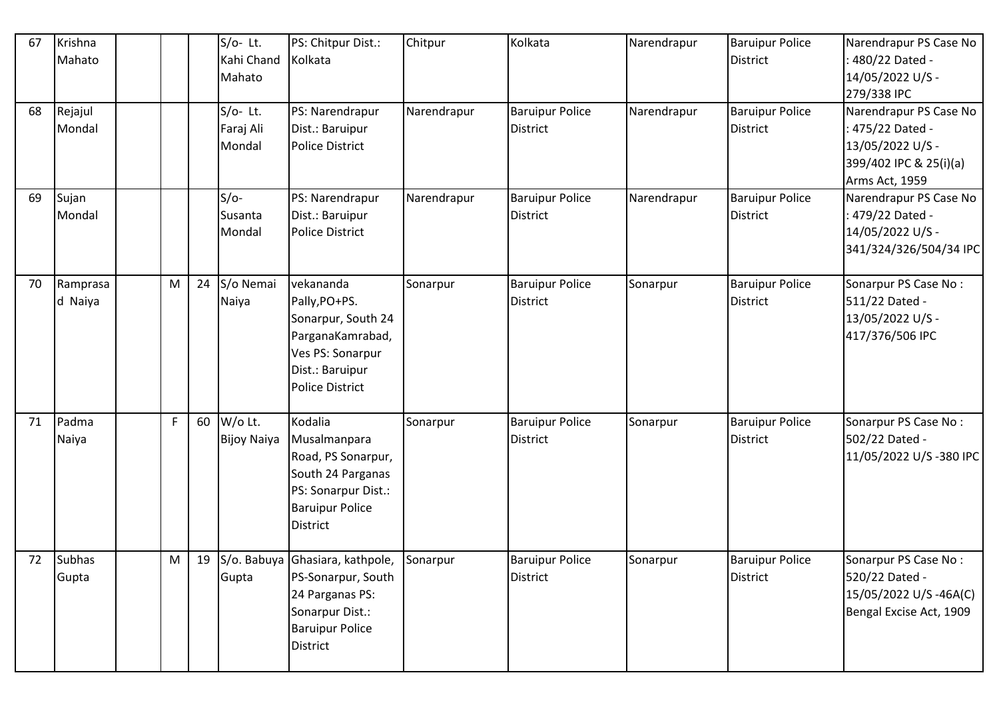| 67 | Krishna<br>Mahato      |           |    | $S/O-$ Lt.<br>Kahi Chand<br>Mahato | PS: Chitpur Dist.:<br>Kolkata                                                                                                          | Chitpur     | Kolkata                                   | Narendrapur | <b>Baruipur Police</b><br>District        | Narendrapur PS Case No<br>480/22 Dated -<br>14/05/2022 U/S -<br>279/338 IPC                                |
|----|------------------------|-----------|----|------------------------------------|----------------------------------------------------------------------------------------------------------------------------------------|-------------|-------------------------------------------|-------------|-------------------------------------------|------------------------------------------------------------------------------------------------------------|
| 68 | Rejajul<br>Mondal      |           |    | $S/O-$ Lt.<br>Faraj Ali<br>Mondal  | PS: Narendrapur<br>Dist.: Baruipur<br><b>Police District</b>                                                                           | Narendrapur | <b>Baruipur Police</b><br><b>District</b> | Narendrapur | <b>Baruipur Police</b><br><b>District</b> | Narendrapur PS Case No<br>: 475/22 Dated -<br>13/05/2022 U/S -<br>399/402 IPC & 25(i)(a)<br>Arms Act, 1959 |
| 69 | Sujan<br>Mondal        |           |    | $S/O-$<br>Susanta<br>Mondal        | PS: Narendrapur<br>Dist.: Baruipur<br><b>Police District</b>                                                                           | Narendrapur | <b>Baruipur Police</b><br><b>District</b> | Narendrapur | <b>Baruipur Police</b><br><b>District</b> | Narendrapur PS Case No<br>: 479/22 Dated -<br>14/05/2022 U/S -<br>341/324/326/504/34 IPC                   |
| 70 | Ramprasa<br>d Naiya    | ${\sf M}$ | 24 | S/o Nemai<br>Naiya                 | vekananda<br>Pally, PO+PS.<br>Sonarpur, South 24<br>ParganaKamrabad,<br>Ves PS: Sonarpur<br>Dist.: Baruipur<br><b>Police District</b>  | Sonarpur    | <b>Baruipur Police</b><br><b>District</b> | Sonarpur    | <b>Baruipur Police</b><br><b>District</b> | Sonarpur PS Case No:<br>511/22 Dated -<br>13/05/2022 U/S -<br>417/376/506 IPC                              |
| 71 | Padma<br>Naiya         | F         | 60 | W/o Lt.<br><b>Bijoy Naiya</b>      | Kodalia<br>Musalmanpara<br>Road, PS Sonarpur,<br>South 24 Parganas<br>PS: Sonarpur Dist.:<br><b>Baruipur Police</b><br><b>District</b> | Sonarpur    | <b>Baruipur Police</b><br><b>District</b> | Sonarpur    | <b>Baruipur Police</b><br>District        | Sonarpur PS Case No:<br>502/22 Dated -<br>11/05/2022 U/S-380 IPC                                           |
| 72 | <b>Subhas</b><br>Gupta | M         | 19 | Gupta                              | S/o. Babuya Ghasiara, kathpole,<br>PS-Sonarpur, South<br>24 Parganas PS:<br>Sonarpur Dist.:<br><b>Baruipur Police</b><br>District      | Sonarpur    | <b>Baruipur Police</b><br><b>District</b> | Sonarpur    | <b>Baruipur Police</b><br>District        | Sonarpur PS Case No:<br>520/22 Dated -<br>15/05/2022 U/S-46A(C)<br>Bengal Excise Act, 1909                 |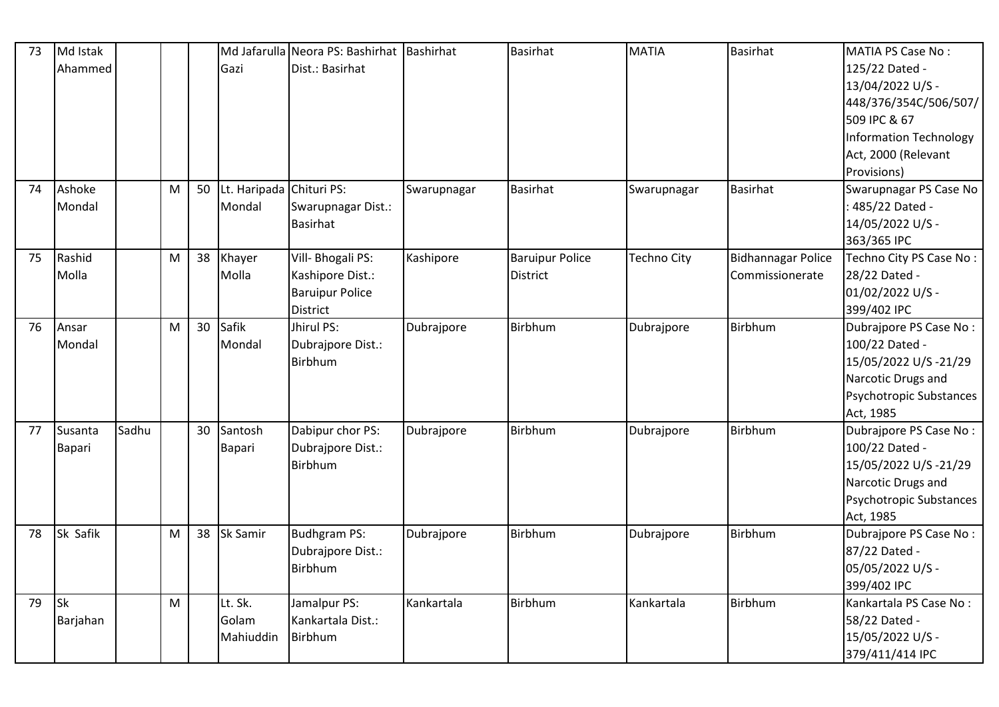| 73 | Md Istak  |       |           |    |                          | Md Jafarulla Neora PS: Bashirhat Bashirhat |             | Basirhat               | <b>MATIA</b>       | <b>Basirhat</b>           | MATIA PS Case No:              |
|----|-----------|-------|-----------|----|--------------------------|--------------------------------------------|-------------|------------------------|--------------------|---------------------------|--------------------------------|
|    | Ahammed   |       |           |    | Gazi                     | Dist.: Basirhat                            |             |                        |                    |                           | 125/22 Dated -                 |
|    |           |       |           |    |                          |                                            |             |                        |                    |                           | 13/04/2022 U/S -               |
|    |           |       |           |    |                          |                                            |             |                        |                    |                           | 448/376/354C/506/507/          |
|    |           |       |           |    |                          |                                            |             |                        |                    |                           | 509 IPC & 67                   |
|    |           |       |           |    |                          |                                            |             |                        |                    |                           | Information Technology         |
|    |           |       |           |    |                          |                                            |             |                        |                    |                           | Act, 2000 (Relevant            |
|    |           |       |           |    |                          |                                            |             |                        |                    |                           | Provisions)                    |
| 74 | Ashoke    |       | ${\sf M}$ | 50 | Lt. Haripada Chituri PS: |                                            | Swarupnagar | <b>Basirhat</b>        | Swarupnagar        | <b>Basirhat</b>           | Swarupnagar PS Case No         |
|    | Mondal    |       |           |    | Mondal                   | Swarupnagar Dist.:                         |             |                        |                    |                           | : 485/22 Dated -               |
|    |           |       |           |    |                          | Basirhat                                   |             |                        |                    |                           | 14/05/2022 U/S -               |
|    |           |       |           |    |                          |                                            |             |                        |                    |                           | 363/365 IPC                    |
| 75 | Rashid    |       | M         | 38 | Khayer                   | Vill- Bhogali PS:                          | Kashipore   | <b>Baruipur Police</b> | <b>Techno City</b> | <b>Bidhannagar Police</b> | Techno City PS Case No:        |
|    | Molla     |       |           |    | Molla                    | Kashipore Dist.:                           |             | <b>District</b>        |                    | Commissionerate           | 28/22 Dated -                  |
|    |           |       |           |    |                          | <b>Baruipur Police</b>                     |             |                        |                    |                           | 01/02/2022 U/S -               |
|    |           |       |           |    |                          | District                                   |             |                        |                    |                           | 399/402 IPC                    |
| 76 | Ansar     |       | M         | 30 | Safik                    | Jhirul PS:                                 | Dubrajpore  | Birbhum                | Dubrajpore         | Birbhum                   | Dubrajpore PS Case No:         |
|    | Mondal    |       |           |    | Mondal                   | Dubrajpore Dist.:                          |             |                        |                    |                           | 100/22 Dated -                 |
|    |           |       |           |    |                          | Birbhum                                    |             |                        |                    |                           | 15/05/2022 U/S-21/29           |
|    |           |       |           |    |                          |                                            |             |                        |                    |                           | Narcotic Drugs and             |
|    |           |       |           |    |                          |                                            |             |                        |                    |                           | Psychotropic Substances        |
|    |           |       |           |    |                          |                                            |             |                        |                    |                           | Act, 1985                      |
| 77 | Susanta   | Sadhu |           | 30 | Santosh                  | Dabipur chor PS:                           | Dubrajpore  | Birbhum                | Dubrajpore         | Birbhum                   | Dubrajpore PS Case No:         |
|    | Bapari    |       |           |    | Bapari                   | Dubrajpore Dist.:                          |             |                        |                    |                           | 100/22 Dated -                 |
|    |           |       |           |    |                          | <b>Birbhum</b>                             |             |                        |                    |                           | 15/05/2022 U/S-21/29           |
|    |           |       |           |    |                          |                                            |             |                        |                    |                           | Narcotic Drugs and             |
|    |           |       |           |    |                          |                                            |             |                        |                    |                           | <b>Psychotropic Substances</b> |
|    |           |       |           |    |                          |                                            |             |                        |                    |                           | Act, 1985                      |
| 78 | Sk Safik  |       | M         | 38 | <b>Sk Samir</b>          | <b>Budhgram PS:</b>                        | Dubrajpore  | Birbhum                | Dubrajpore         | Birbhum                   | Dubrajpore PS Case No:         |
|    |           |       |           |    |                          | Dubrajpore Dist.:                          |             |                        |                    |                           | 87/22 Dated -                  |
|    |           |       |           |    |                          | <b>Birbhum</b>                             |             |                        |                    |                           | 05/05/2022 U/S -               |
|    |           |       |           |    |                          |                                            |             |                        |                    |                           | 399/402 IPC                    |
| 79 | <b>Sk</b> |       | M         |    | Lt. Sk.                  | Jamalpur PS:                               | Kankartala  | <b>Birbhum</b>         | Kankartala         | Birbhum                   | Kankartala PS Case No:         |
|    | Barjahan  |       |           |    | Golam                    | Kankartala Dist.:                          |             |                        |                    |                           | 58/22 Dated -                  |
|    |           |       |           |    | Mahiuddin                | Birbhum                                    |             |                        |                    |                           | 15/05/2022 U/S -               |
|    |           |       |           |    |                          |                                            |             |                        |                    |                           | 379/411/414 IPC                |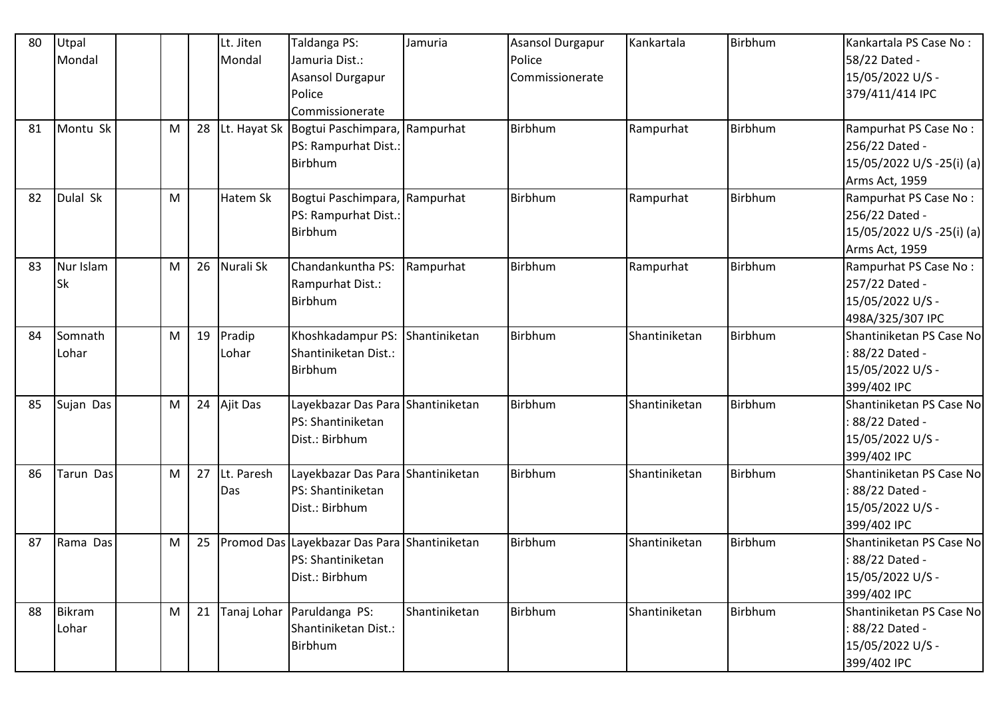| 80 | Utpal         |   |    | Lt. Jiten   | Taldanga PS:                                 | Jamuria       | <b>Asansol Durgapur</b> | Kankartala    | Birbhum        | Kankartala PS Case No:    |
|----|---------------|---|----|-------------|----------------------------------------------|---------------|-------------------------|---------------|----------------|---------------------------|
|    | Mondal        |   |    | Mondal      | Jamuria Dist.:                               |               | Police                  |               |                | 58/22 Dated -             |
|    |               |   |    |             | <b>Asansol Durgapur</b>                      |               | Commissionerate         |               |                | 15/05/2022 U/S -          |
|    |               |   |    |             | Police                                       |               |                         |               |                | 379/411/414 IPC           |
|    |               |   |    |             | Commissionerate                              |               |                         |               |                |                           |
| 81 | Montu Sk      | M | 28 |             | Lt. Hayat Sk   Bogtui Paschimpara, Rampurhat |               | Birbhum                 | Rampurhat     | Birbhum        | Rampurhat PS Case No:     |
|    |               |   |    |             | PS: Rampurhat Dist.:                         |               |                         |               |                | 256/22 Dated -            |
|    |               |   |    |             | <b>Birbhum</b>                               |               |                         |               |                | 15/05/2022 U/S -25(i) (a) |
|    |               |   |    |             |                                              |               |                         |               |                | Arms Act, 1959            |
| 82 | Dulal Sk      | M |    | Hatem Sk    | Bogtui Paschimpara, Rampurhat                |               | Birbhum                 | Rampurhat     | Birbhum        | Rampurhat PS Case No:     |
|    |               |   |    |             | PS: Rampurhat Dist.:                         |               |                         |               |                | 256/22 Dated -            |
|    |               |   |    |             | Birbhum                                      |               |                         |               |                | 15/05/2022 U/S -25(i) (a) |
|    |               |   |    |             |                                              |               |                         |               |                | Arms Act, 1959            |
| 83 | Nur Islam     | M | 26 | Nurali Sk   | Chandankuntha PS:                            | Rampurhat     | Birbhum                 | Rampurhat     | Birbhum        | Rampurhat PS Case No:     |
|    | <b>Sk</b>     |   |    |             | Rampurhat Dist.:                             |               |                         |               |                | 257/22 Dated -            |
|    |               |   |    |             | Birbhum                                      |               |                         |               |                | 15/05/2022 U/S -          |
|    |               |   |    |             |                                              |               |                         |               |                | 498A/325/307 IPC          |
| 84 | Somnath       | M | 19 | Pradip      | Khoshkadampur PS:                            | Shantiniketan | Birbhum                 | Shantiniketan | <b>Birbhum</b> | Shantiniketan PS Case No  |
|    | Lohar         |   |    | Lohar       | Shantiniketan Dist.:                         |               |                         |               |                | : 88/22 Dated -           |
|    |               |   |    |             | Birbhum                                      |               |                         |               |                | 15/05/2022 U/S -          |
|    |               |   |    |             |                                              |               |                         |               |                | 399/402 IPC               |
| 85 | Sujan Das     | M | 24 | Ajit Das    | Layekbazar Das Para Shantiniketan            |               | Birbhum                 | Shantiniketan | Birbhum        | Shantiniketan PS Case No  |
|    |               |   |    |             | PS: Shantiniketan                            |               |                         |               |                | : 88/22 Dated -           |
|    |               |   |    |             | Dist.: Birbhum                               |               |                         |               |                | 15/05/2022 U/S -          |
|    |               |   |    |             |                                              |               |                         |               |                | 399/402 IPC               |
| 86 | Tarun Das     | M | 27 | Lt. Paresh  | Layekbazar Das Para Shantiniketan            |               | Birbhum                 | Shantiniketan | Birbhum        | Shantiniketan PS Case No  |
|    |               |   |    | Das         | PS: Shantiniketan                            |               |                         |               |                | : 88/22 Dated -           |
|    |               |   |    |             | Dist.: Birbhum                               |               |                         |               |                | 15/05/2022 U/S -          |
|    |               |   |    |             |                                              |               |                         |               |                | 399/402 IPC               |
| 87 | Rama Das      | M | 25 |             | Promod Das Layekbazar Das Para Shantiniketan |               | Birbhum                 | Shantiniketan | Birbhum        | Shantiniketan PS Case No  |
|    |               |   |    |             | PS: Shantiniketan                            |               |                         |               |                | : 88/22 Dated -           |
|    |               |   |    |             | Dist.: Birbhum                               |               |                         |               |                | 15/05/2022 U/S -          |
|    |               |   |    |             |                                              |               |                         |               |                | 399/402 IPC               |
| 88 | <b>Bikram</b> | M | 21 | Tanaj Lohar | Paruldanga PS:                               | Shantiniketan | Birbhum                 | Shantiniketan | Birbhum        | Shantiniketan PS Case No  |
|    | Lohar         |   |    |             | Shantiniketan Dist.:                         |               |                         |               |                | : 88/22 Dated -           |
|    |               |   |    |             | Birbhum                                      |               |                         |               |                | 15/05/2022 U/S -          |
|    |               |   |    |             |                                              |               |                         |               |                | 399/402 IPC               |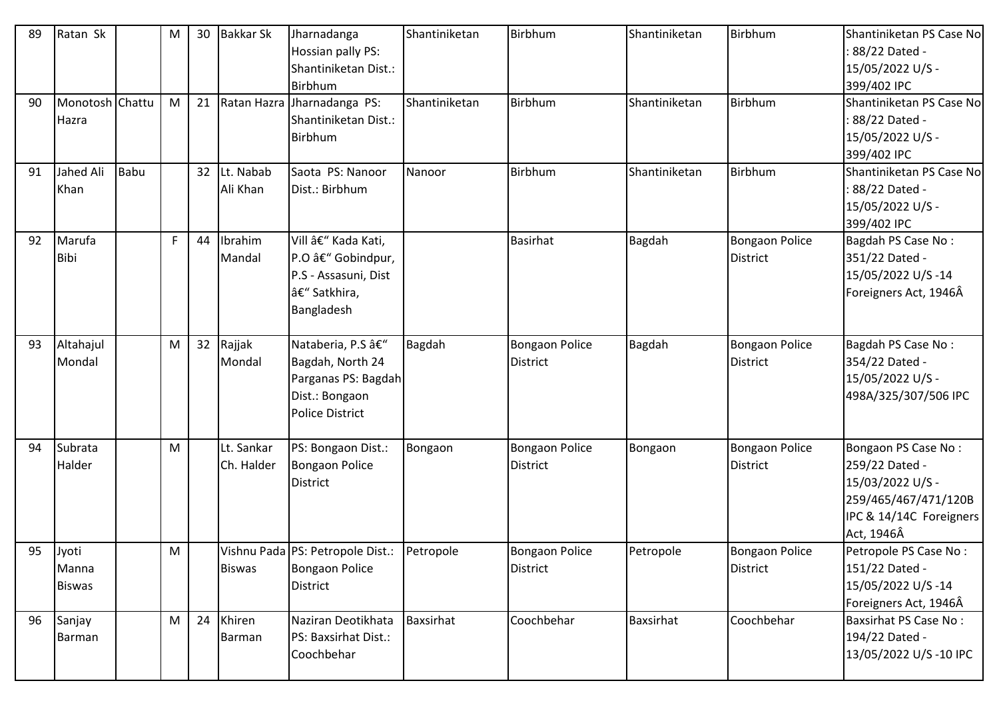| 89 | Ratan Sk                        |             | ${\sf M}$ | 30              | <b>Bakkar Sk</b>         | Jharnadanga<br>Hossian pally PS:<br>Shantiniketan Dist.:<br><b>Birbhum</b>                         | Shantiniketan | Birbhum                                  | Shantiniketan    | Birbhum                                  | Shantiniketan PS Case No<br>: 88/22 Dated -<br>15/05/2022 U/S -<br>399/402 IPC                                             |
|----|---------------------------------|-------------|-----------|-----------------|--------------------------|----------------------------------------------------------------------------------------------------|---------------|------------------------------------------|------------------|------------------------------------------|----------------------------------------------------------------------------------------------------------------------------|
| 90 | Monotosh Chattu<br>Hazra        |             | M         | 21              |                          | Ratan Hazra Jharnadanga PS:<br>Shantiniketan Dist.:<br>Birbhum                                     | Shantiniketan | Birbhum                                  | Shantiniketan    | Birbhum                                  | Shantiniketan PS Case No<br>: 88/22 Dated -<br>15/05/2022 U/S -<br>399/402 IPC                                             |
| 91 | Jahed Ali<br>Khan               | <b>Babu</b> |           | 32 <sup>2</sup> | Lt. Nabab<br>Ali Khan    | Saota PS: Nanoor<br>Dist.: Birbhum                                                                 | Nanoor        | Birbhum                                  | Shantiniketan    | Birbhum                                  | Shantiniketan PS Case No<br>: 88/22 Dated -<br>15/05/2022 U/S -<br>399/402 IPC                                             |
| 92 | Marufa<br><b>Bibi</b>           |             | F         | 44              | Ibrahim<br>Mandal        | Vill – Kada Kati,<br>P.O â€" Gobindpur,<br>P.S - Assasuni, Dist<br>– Satkhira,<br>Bangladesh       |               | <b>Basirhat</b>                          | <b>Bagdah</b>    | <b>Bongaon Police</b><br>District        | Bagdah PS Case No:<br>351/22 Dated -<br>15/05/2022 U/S-14<br>Foreigners Act, 1946Â                                         |
| 93 | Altahajul<br>Mondal             |             | M         | 32              | Rajjak<br>Mondal         | Nataberia, P.S â€"<br>Bagdah, North 24<br>Parganas PS: Bagdah<br>Dist.: Bongaon<br>Police District | <b>Bagdah</b> | <b>Bongaon Police</b><br><b>District</b> | <b>Bagdah</b>    | <b>Bongaon Police</b><br><b>District</b> | Bagdah PS Case No:<br>354/22 Dated -<br>15/05/2022 U/S -<br>498A/325/307/506 IPC                                           |
| 94 | Subrata<br>Halder               |             | M         |                 | Lt. Sankar<br>Ch. Halder | PS: Bongaon Dist.:<br><b>Bongaon Police</b><br>District                                            | Bongaon       | <b>Bongaon Police</b><br><b>District</b> | Bongaon          | <b>Bongaon Police</b><br><b>District</b> | Bongaon PS Case No:<br>259/22 Dated -<br>15/03/2022 U/S -<br>259/465/467/471/120B<br>IPC & 14/14C Foreigners<br>Act, 1946Â |
| 95 | Jyoti<br>Manna<br><b>Biswas</b> |             | M         |                 | <b>Biswas</b>            | Vishnu Pada PS: Petropole Dist.:<br><b>Bongaon Police</b><br><b>District</b>                       | Petropole     | <b>Bongaon Police</b><br><b>District</b> | Petropole        | Bongaon Police<br><b>District</b>        | Petropole PS Case No:<br>151/22 Dated -<br>15/05/2022 U/S-14<br>Foreigners Act, 1946Â                                      |
| 96 | Sanjay<br>Barman                |             | M         | 24              | Khiren<br>Barman         | Naziran Deotikhata<br>PS: Baxsirhat Dist.:<br>Coochbehar                                           | Baxsirhat     | Coochbehar                               | <b>Baxsirhat</b> | Coochbehar                               | <b>Baxsirhat PS Case No:</b><br>194/22 Dated -<br>13/05/2022 U/S-10 IPC                                                    |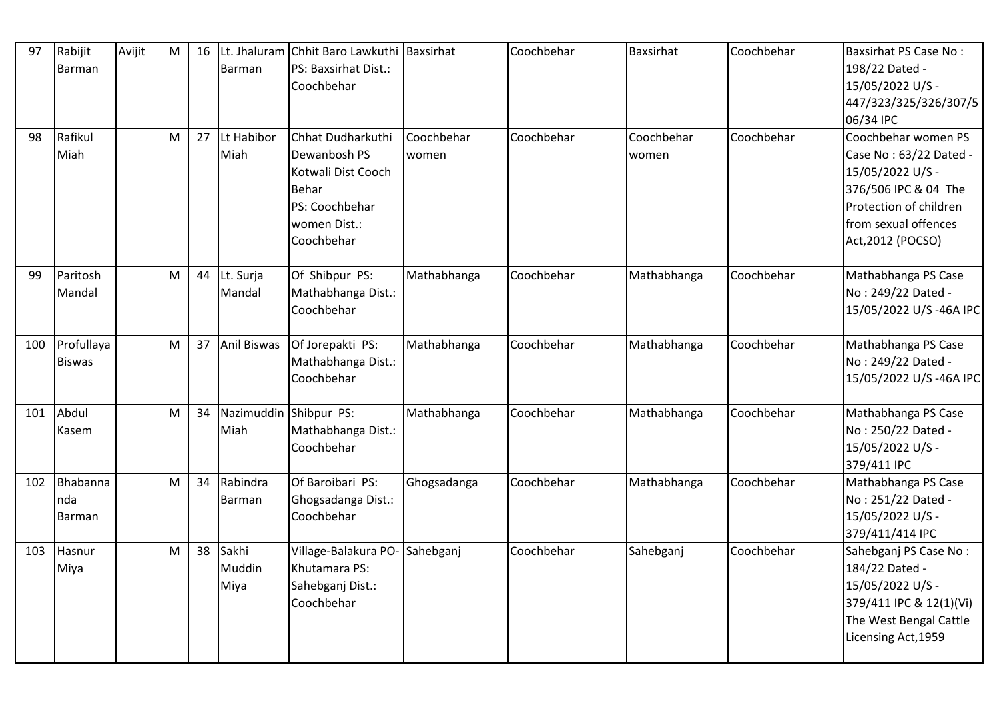| 97  | Rabijit<br>Barman           | Avijit | M | 16 | <b>Barman</b>           | Lt. Jhaluram Chhit Baro Lawkuthi Baxsirhat<br>PS: Baxsirhat Dist.:<br>Coochbehar                                        |                     | Coochbehar | <b>Baxsirhat</b>    | Coochbehar | Baxsirhat PS Case No:<br>198/22 Dated -<br>15/05/2022 U/S -<br>447/323/325/326/307/5<br>06/34 IPC                                                                |
|-----|-----------------------------|--------|---|----|-------------------------|-------------------------------------------------------------------------------------------------------------------------|---------------------|------------|---------------------|------------|------------------------------------------------------------------------------------------------------------------------------------------------------------------|
| 98  | Rafikul<br>Miah             |        | M | 27 | Lt Habibor<br>Miah      | Chhat Dudharkuthi<br>Dewanbosh PS<br>Kotwali Dist Cooch<br><b>Behar</b><br>PS: Coochbehar<br>women Dist.:<br>Coochbehar | Coochbehar<br>women | Coochbehar | Coochbehar<br>women | Coochbehar | Coochbehar women PS<br>Case No: 63/22 Dated -<br>15/05/2022 U/S -<br>376/506 IPC & 04 The<br>Protection of children<br>from sexual offences<br>Act, 2012 (POCSO) |
| 99  | Paritosh<br>Mandal          |        | M | 44 | Lt. Surja<br>Mandal     | Of Shibpur PS:<br>Mathabhanga Dist.:<br>Coochbehar                                                                      | Mathabhanga         | Coochbehar | Mathabhanga         | Coochbehar | Mathabhanga PS Case<br>No: 249/22 Dated -<br>15/05/2022 U/S-46A IPC                                                                                              |
| 100 | Profullaya<br><b>Biswas</b> |        | M | 37 | <b>Anil Biswas</b>      | Of Jorepakti PS:<br>Mathabhanga Dist.:<br>Coochbehar                                                                    | Mathabhanga         | Coochbehar | Mathabhanga         | Coochbehar | Mathabhanga PS Case<br>No: 249/22 Dated -<br>15/05/2022 U/S-46A IPC                                                                                              |
| 101 | Abdul<br>Kasem              |        | M | 34 | Miah                    | Nazimuddin Shibpur PS:<br>Mathabhanga Dist.:<br>Coochbehar                                                              | Mathabhanga         | Coochbehar | Mathabhanga         | Coochbehar | Mathabhanga PS Case<br>No: 250/22 Dated -<br>15/05/2022 U/S -<br>379/411 IPC                                                                                     |
| 102 | Bhabanna<br>nda<br>Barman   |        | M | 34 | Rabindra<br>Barman      | Of Baroibari PS:<br>Ghogsadanga Dist.:<br>Coochbehar                                                                    | Ghogsadanga         | Coochbehar | Mathabhanga         | Coochbehar | Mathabhanga PS Case<br>No: 251/22 Dated -<br>15/05/2022 U/S -<br>379/411/414 IPC                                                                                 |
| 103 | Hasnur<br>Miya              |        | M | 38 | Sakhi<br>Muddin<br>Miya | Village-Balakura PO-Sahebganj<br>Khutamara PS:<br>Sahebganj Dist.:<br>Coochbehar                                        |                     | Coochbehar | Sahebganj           | Coochbehar | Sahebganj PS Case No:<br>184/22 Dated -<br>15/05/2022 U/S -<br>379/411 IPC & 12(1)(Vi)<br>The West Bengal Cattle<br>Licensing Act, 1959                          |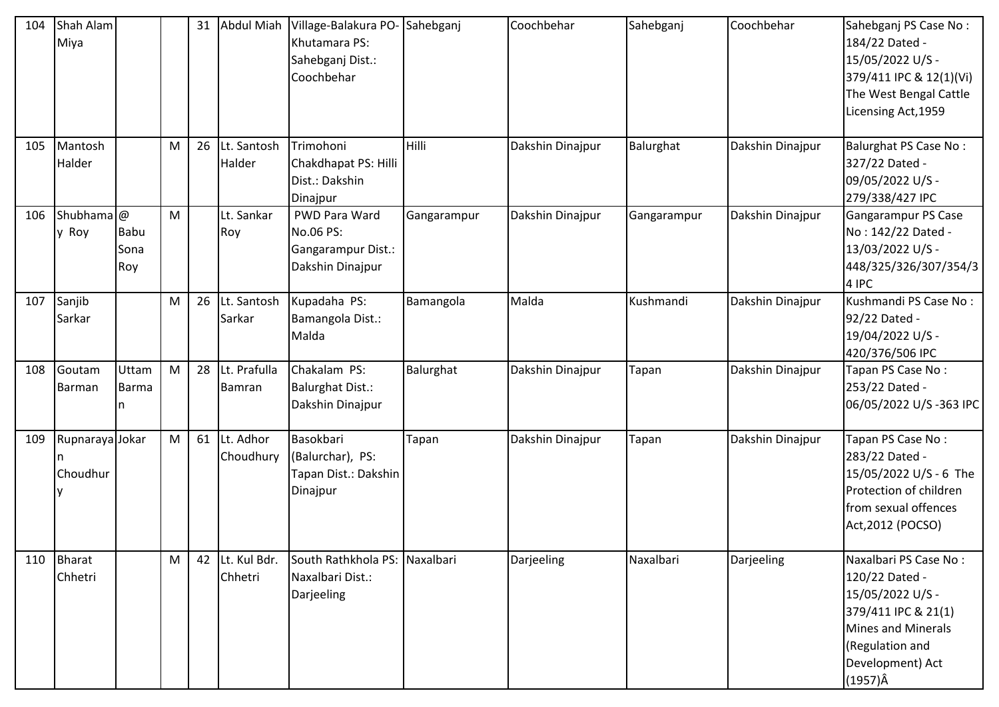| 104 | Shah Alam<br>Miya     |             |           | 31 | <b>Abdul Miah</b> | Village-Balakura PO- Sahebganj<br>Khutamara PS: |              | Coochbehar       | Sahebganj   | Coochbehar       | Sahebganj PS Case No:<br>184/22 Dated - |
|-----|-----------------------|-------------|-----------|----|-------------------|-------------------------------------------------|--------------|------------------|-------------|------------------|-----------------------------------------|
|     |                       |             |           |    |                   |                                                 |              |                  |             |                  | 15/05/2022 U/S -                        |
|     |                       |             |           |    |                   | Sahebganj Dist.:                                |              |                  |             |                  |                                         |
|     |                       |             |           |    |                   | Coochbehar                                      |              |                  |             |                  | 379/411 IPC & 12(1)(Vi)                 |
|     |                       |             |           |    |                   |                                                 |              |                  |             |                  | The West Bengal Cattle                  |
|     |                       |             |           |    |                   |                                                 |              |                  |             |                  | Licensing Act, 1959                     |
| 105 | Mantosh               |             | M         | 26 | Lt. Santosh       | Trimohoni                                       | <b>Hilli</b> | Dakshin Dinajpur | Balurghat   | Dakshin Dinajpur | <b>Balurghat PS Case No:</b>            |
|     | Halder                |             |           |    | Halder            | Chakdhapat PS: Hilli                            |              |                  |             |                  | 327/22 Dated -                          |
|     |                       |             |           |    |                   | Dist.: Dakshin                                  |              |                  |             |                  | 09/05/2022 U/S -                        |
|     |                       |             |           |    |                   | Dinajpur                                        |              |                  |             |                  | 279/338/427 IPC                         |
| 106 | Shubhama <sup>@</sup> |             | M         |    | Lt. Sankar        | PWD Para Ward                                   | Gangarampur  | Dakshin Dinajpur | Gangarampur | Dakshin Dinajpur | Gangarampur PS Case                     |
|     | y Roy                 | <b>Babu</b> |           |    | Roy               | No.06 PS:                                       |              |                  |             |                  | No: 142/22 Dated -                      |
|     |                       | Sona        |           |    |                   | Gangarampur Dist.:                              |              |                  |             |                  | 13/03/2022 U/S -                        |
|     |                       | Roy         |           |    |                   | Dakshin Dinajpur                                |              |                  |             |                  | 448/325/326/307/354/3                   |
|     |                       |             |           |    |                   |                                                 |              |                  |             |                  | 4 IPC                                   |
| 107 | Sanjib                |             | M         | 26 | Lt. Santosh       | Kupadaha PS:                                    | Bamangola    | Malda            | Kushmandi   | Dakshin Dinajpur | Kushmandi PS Case No:                   |
|     | Sarkar                |             |           |    | Sarkar            | Bamangola Dist.:                                |              |                  |             |                  | 92/22 Dated -                           |
|     |                       |             |           |    |                   | Malda                                           |              |                  |             |                  | 19/04/2022 U/S -                        |
|     |                       |             |           |    |                   |                                                 |              |                  |             |                  | 420/376/506 IPC                         |
| 108 | Goutam                | Uttam       | M         | 28 | Lt. Prafulla      | Chakalam PS:                                    | Balurghat    | Dakshin Dinajpur | Tapan       | Dakshin Dinajpur | Tapan PS Case No:                       |
|     | Barman                | Barma       |           |    | Bamran            | <b>Balurghat Dist.:</b>                         |              |                  |             |                  | 253/22 Dated -                          |
|     |                       | n           |           |    |                   | Dakshin Dinajpur                                |              |                  |             |                  | 06/05/2022 U/S-363 IPC                  |
|     |                       |             |           |    |                   |                                                 |              |                  |             |                  |                                         |
| 109 | Rupnaraya Jokar       |             | M         | 61 | Lt. Adhor         | Basokbari                                       | Tapan        | Dakshin Dinajpur | Tapan       | Dakshin Dinajpur | Tapan PS Case No:                       |
|     | n                     |             |           |    | Choudhury         | (Balurchar), PS:                                |              |                  |             |                  | 283/22 Dated -                          |
|     | Choudhur              |             |           |    |                   | Tapan Dist.: Dakshin                            |              |                  |             |                  | 15/05/2022 U/S - 6 The                  |
|     |                       |             |           |    |                   | Dinajpur                                        |              |                  |             |                  | Protection of children                  |
|     |                       |             |           |    |                   |                                                 |              |                  |             |                  | from sexual offences                    |
|     |                       |             |           |    |                   |                                                 |              |                  |             |                  | Act, 2012 (POCSO)                       |
| 110 | <b>Bharat</b>         |             | ${\sf M}$ | 42 | Lt. Kul Bdr.      | South Rathkhola PS: Naxalbari                   |              | Darjeeling       | Naxalbari   | Darjeeling       | Naxalbari PS Case No:                   |
|     | Chhetri               |             |           |    | Chhetri           | Naxalbari Dist.:                                |              |                  |             |                  | 120/22 Dated -                          |
|     |                       |             |           |    |                   | Darjeeling                                      |              |                  |             |                  | 15/05/2022 U/S -                        |
|     |                       |             |           |    |                   |                                                 |              |                  |             |                  | 379/411 IPC & 21(1)                     |
|     |                       |             |           |    |                   |                                                 |              |                  |             |                  | Mines and Minerals                      |
|     |                       |             |           |    |                   |                                                 |              |                  |             |                  | (Regulation and                         |
|     |                       |             |           |    |                   |                                                 |              |                  |             |                  | Development) Act                        |
|     |                       |             |           |    |                   |                                                 |              |                  |             |                  | $(1957)\hat{A}$                         |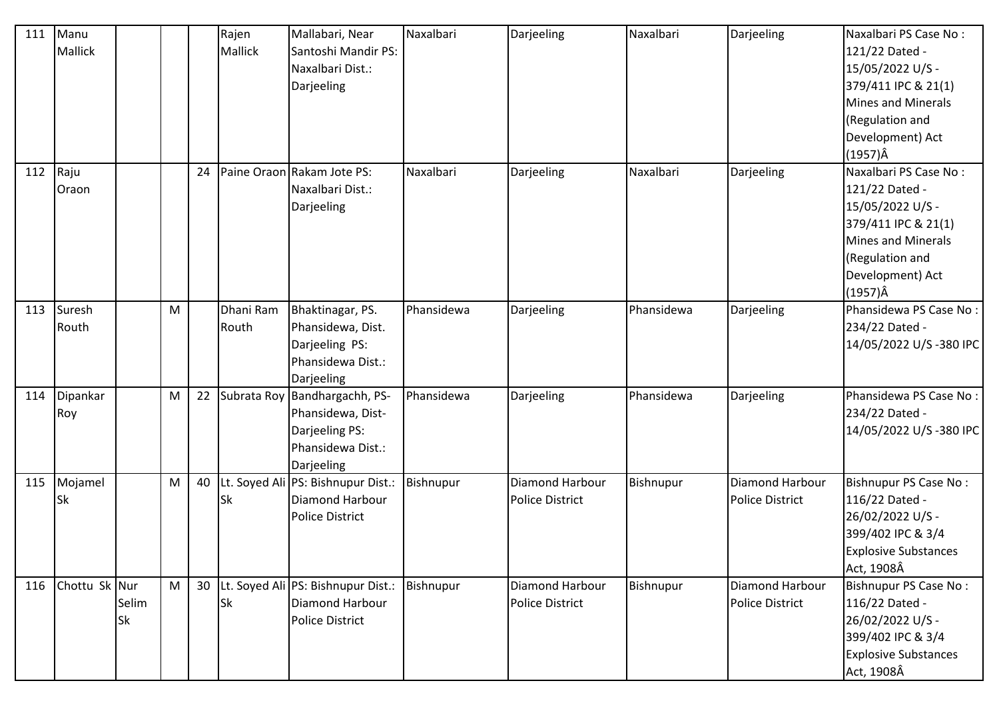| 111 | Manu          |           |   |    | Rajen     | Mallabari, Near                    | Naxalbari  | Darjeeling             | Naxalbari  | Darjeeling             | Naxalbari PS Case No:       |
|-----|---------------|-----------|---|----|-----------|------------------------------------|------------|------------------------|------------|------------------------|-----------------------------|
|     | Mallick       |           |   |    | Mallick   | Santoshi Mandir PS:                |            |                        |            |                        | 121/22 Dated -              |
|     |               |           |   |    |           | Naxalbari Dist.:                   |            |                        |            |                        | 15/05/2022 U/S -            |
|     |               |           |   |    |           | Darjeeling                         |            |                        |            |                        | 379/411 IPC & 21(1)         |
|     |               |           |   |    |           |                                    |            |                        |            |                        | Mines and Minerals          |
|     |               |           |   |    |           |                                    |            |                        |            |                        | (Regulation and             |
|     |               |           |   |    |           |                                    |            |                        |            |                        | Development) Act            |
|     |               |           |   |    |           |                                    |            |                        |            |                        | $(1957)\hat{A}$             |
| 112 | Raju          |           |   | 24 |           | Paine Oraon Rakam Jote PS:         | Naxalbari  | Darjeeling             | Naxalbari  | Darjeeling             | Naxalbari PS Case No:       |
|     | Oraon         |           |   |    |           | Naxalbari Dist.:                   |            |                        |            |                        | 121/22 Dated -              |
|     |               |           |   |    |           | Darjeeling                         |            |                        |            |                        | 15/05/2022 U/S -            |
|     |               |           |   |    |           |                                    |            |                        |            |                        | 379/411 IPC & 21(1)         |
|     |               |           |   |    |           |                                    |            |                        |            |                        | <b>Mines and Minerals</b>   |
|     |               |           |   |    |           |                                    |            |                        |            |                        | (Regulation and             |
|     |               |           |   |    |           |                                    |            |                        |            |                        | Development) Act            |
|     |               |           |   |    |           |                                    |            |                        |            |                        | $(1957)\hat{A}$             |
| 113 | Suresh        |           | M |    | Dhani Ram | Bhaktinagar, PS.                   | Phansidewa | Darjeeling             | Phansidewa | Darjeeling             | Phansidewa PS Case No:      |
|     | Routh         |           |   |    | Routh     | Phansidewa, Dist.                  |            |                        |            |                        | 234/22 Dated -              |
|     |               |           |   |    |           | Darjeeling PS:                     |            |                        |            |                        | 14/05/2022 U/S-380 IPC      |
|     |               |           |   |    |           | Phansidewa Dist.:                  |            |                        |            |                        |                             |
|     |               |           |   |    |           | Darjeeling                         |            |                        |            |                        |                             |
| 114 | Dipankar      |           | M | 22 |           | Subrata Roy Bandhargachh, PS-      | Phansidewa | Darjeeling             | Phansidewa | Darjeeling             | Phansidewa PS Case No:      |
|     | Roy           |           |   |    |           | Phansidewa, Dist-                  |            |                        |            |                        | 234/22 Dated -              |
|     |               |           |   |    |           | Darjeeling PS:                     |            |                        |            |                        | 14/05/2022 U/S-380 IPC      |
|     |               |           |   |    |           | Phansidewa Dist.:                  |            |                        |            |                        |                             |
|     |               |           |   |    |           | Darjeeling                         |            |                        |            |                        |                             |
| 115 | Mojamel       |           | M | 40 |           | Lt. Soyed Ali PS: Bishnupur Dist.: | Bishnupur  | Diamond Harbour        | Bishnupur  | Diamond Harbour        | Bishnupur PS Case No:       |
|     | Sk            |           |   |    | Sk        | <b>Diamond Harbour</b>             |            | Police District        |            | Police District        | 116/22 Dated -              |
|     |               |           |   |    |           | <b>Police District</b>             |            |                        |            |                        | 26/02/2022 U/S -            |
|     |               |           |   |    |           |                                    |            |                        |            |                        | 399/402 IPC & 3/4           |
|     |               |           |   |    |           |                                    |            |                        |            |                        | <b>Explosive Substances</b> |
|     |               |           |   |    |           |                                    |            |                        |            |                        | Act, 1908Â                  |
| 116 | Chottu Sk Nur |           | M | 30 |           | Lt. Soyed Ali PS: Bishnupur Dist.: | Bishnupur  | Diamond Harbour        | Bishnupur  | Diamond Harbour        | Bishnupur PS Case No:       |
|     |               | Selim     |   |    | Sk        | Diamond Harbour                    |            | <b>Police District</b> |            | <b>Police District</b> | 116/22 Dated -              |
|     |               | <b>Sk</b> |   |    |           | <b>Police District</b>             |            |                        |            |                        | 26/02/2022 U/S -            |
|     |               |           |   |    |           |                                    |            |                        |            |                        | 399/402 IPC & 3/4           |
|     |               |           |   |    |           |                                    |            |                        |            |                        | <b>Explosive Substances</b> |
|     |               |           |   |    |           |                                    |            |                        |            |                        | Act, 1908Â                  |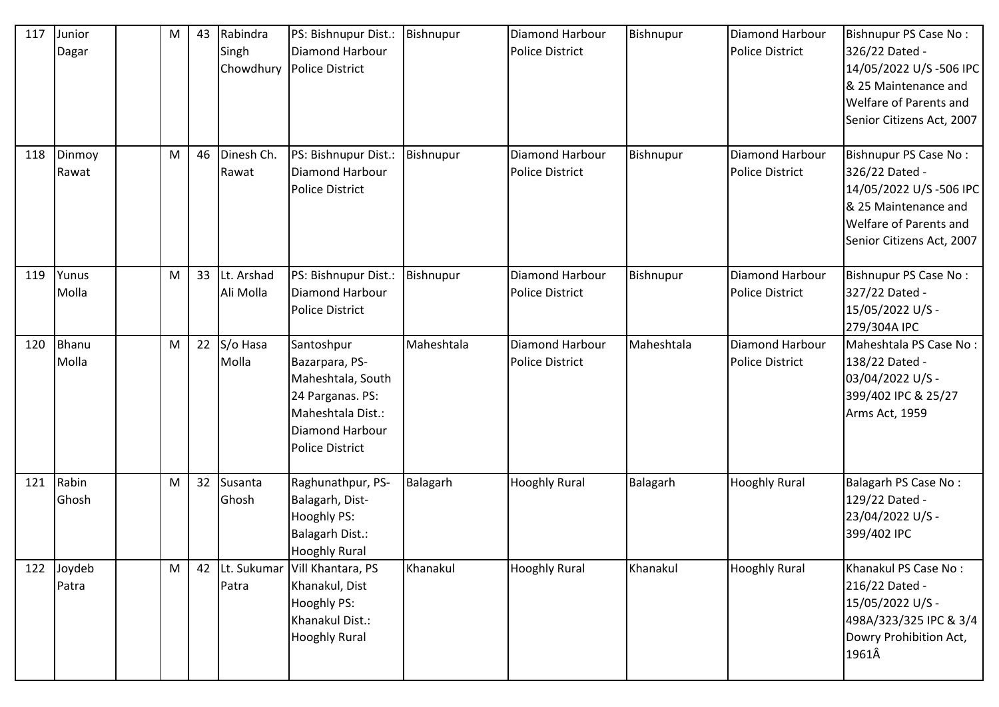| 117 | Junior<br>Dagar | M         | 43 | Rabindra<br>Singh       | PS: Bishnupur Dist.:<br>Diamond Harbour<br>Chowdhury   Police District                                                                         | Bishnupur  | Diamond Harbour<br><b>Police District</b>        | Bishnupur  | Diamond Harbour<br><b>Police District</b> | Bishnupur PS Case No:<br>326/22 Dated -<br>14/05/2022 U/S-506 IPC<br>& 25 Maintenance and<br><b>Welfare of Parents and</b><br>Senior Citizens Act, 2007 |
|-----|-----------------|-----------|----|-------------------------|------------------------------------------------------------------------------------------------------------------------------------------------|------------|--------------------------------------------------|------------|-------------------------------------------|---------------------------------------------------------------------------------------------------------------------------------------------------------|
| 118 | Dinmoy<br>Rawat | M         | 46 | Dinesh Ch.<br>Rawat     | PS: Bishnupur Dist.:<br>Diamond Harbour<br><b>Police District</b>                                                                              | Bishnupur  | Diamond Harbour<br><b>Police District</b>        | Bishnupur  | Diamond Harbour<br><b>Police District</b> | Bishnupur PS Case No:<br>326/22 Dated -<br>14/05/2022 U/S-506 IPC<br>& 25 Maintenance and<br>Welfare of Parents and<br>Senior Citizens Act, 2007        |
| 119 | Yunus<br>Molla  | M         | 33 | Lt. Arshad<br>Ali Molla | PS: Bishnupur Dist.:<br><b>Diamond Harbour</b><br><b>Police District</b>                                                                       | Bishnupur  | Diamond Harbour<br><b>Police District</b>        | Bishnupur  | Diamond Harbour<br><b>Police District</b> | Bishnupur PS Case No:<br>327/22 Dated -<br>15/05/2022 U/S -<br>279/304A IPC                                                                             |
| 120 | Bhanu<br>Molla  | M         | 22 | S/o Hasa<br>Molla       | Santoshpur<br>Bazarpara, PS-<br>Maheshtala, South<br>24 Parganas. PS:<br>Maheshtala Dist.:<br><b>Diamond Harbour</b><br><b>Police District</b> | Maheshtala | <b>Diamond Harbour</b><br><b>Police District</b> | Maheshtala | Diamond Harbour<br><b>Police District</b> | Maheshtala PS Case No:<br>138/22 Dated -<br>03/04/2022 U/S -<br>399/402 IPC & 25/27<br>Arms Act, 1959                                                   |
| 121 | Rabin<br>Ghosh  | M         | 32 | Susanta<br>Ghosh        | Raghunathpur, PS-<br>Balagarh, Dist-<br>Hooghly PS:<br>Balagarh Dist.:<br><b>Hooghly Rural</b>                                                 | Balagarh   | <b>Hooghly Rural</b>                             | Balagarh   | <b>Hooghly Rural</b>                      | Balagarh PS Case No:<br>129/22 Dated -<br>23/04/2022 U/S -<br>399/402 IPC                                                                               |
| 122 | Joydeb<br>Patra | ${\sf M}$ | 42 | Lt. Sukumar<br>Patra    | Vill Khantara, PS<br>Khanakul, Dist<br>Hooghly PS:<br>Khanakul Dist.:<br><b>Hooghly Rural</b>                                                  | Khanakul   | <b>Hooghly Rural</b>                             | Khanakul   | <b>Hooghly Rural</b>                      | Khanakul PS Case No:<br>216/22 Dated -<br>15/05/2022 U/S -<br>498A/323/325 IPC & 3/4<br>Dowry Prohibition Act,<br>1961Â                                 |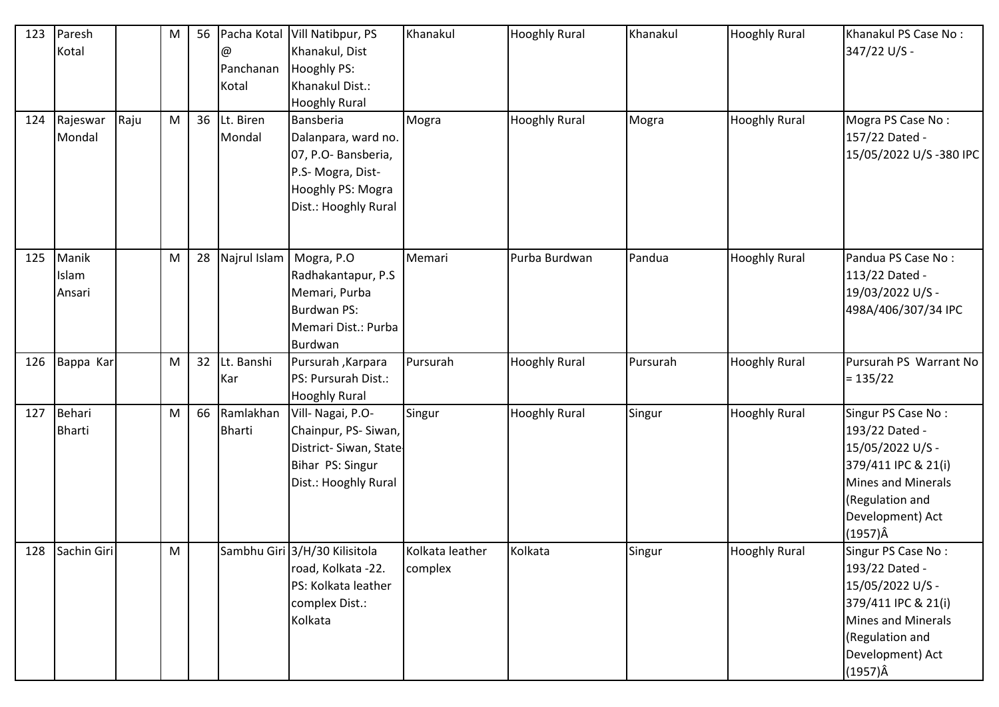| 123<br>124 | Paresh<br>Kotal<br>Rajeswar | Raju | M<br>M | 56<br>36 | @<br>Panchanan<br>Kotal<br>Lt. Biren | Pacha Kotal Vill Natibpur, PS<br>Khanakul, Dist<br>Hooghly PS:<br>Khanakul Dist.:<br><b>Hooghly Rural</b><br>Bansberia | Khanakul<br>Mogra          | <b>Hooghly Rural</b><br><b>Hooghly Rural</b> | Khanakul<br>Mogra | <b>Hooghly Rural</b><br><b>Hooghly Rural</b> | Khanakul PS Case No:<br>347/22 U/S -<br>Mogra PS Case No:                                                                                                       |
|------------|-----------------------------|------|--------|----------|--------------------------------------|------------------------------------------------------------------------------------------------------------------------|----------------------------|----------------------------------------------|-------------------|----------------------------------------------|-----------------------------------------------------------------------------------------------------------------------------------------------------------------|
|            | Mondal                      |      |        |          | Mondal                               | Dalanpara, ward no.<br>07, P.O- Bansberia,<br>P.S- Mogra, Dist-<br>Hooghly PS: Mogra<br>Dist.: Hooghly Rural           |                            |                                              |                   |                                              | 157/22 Dated -<br>15/05/2022 U/S-380 IPC                                                                                                                        |
| 125        | Manik<br>Islam<br>Ansari    |      | M      | 28       | Najrul Islam                         | Mogra, P.O<br>Radhakantapur, P.S<br>Memari, Purba<br>Burdwan PS:<br>Memari Dist.: Purba<br>Burdwan                     | Memari                     | Purba Burdwan                                | Pandua            | <b>Hooghly Rural</b>                         | Pandua PS Case No:<br>113/22 Dated -<br>19/03/2022 U/S -<br>498A/406/307/34 IPC                                                                                 |
| 126        | Bappa Kar                   |      | M      | 32       | Lt. Banshi<br>Kar                    | <b>Pursurah</b> , Karpara<br>PS: Pursurah Dist.:<br><b>Hooghly Rural</b>                                               | Pursurah                   | <b>Hooghly Rural</b>                         | Pursurah          | <b>Hooghly Rural</b>                         | Pursurah PS Warrant No<br>$= 135/22$                                                                                                                            |
| 127        | Behari<br><b>Bharti</b>     |      | M      | 66       | Ramlakhan<br><b>Bharti</b>           | Vill- Nagai, P.O-<br>Chainpur, PS-Siwan,<br>District-Siwan, State-<br>Bihar PS: Singur<br>Dist.: Hooghly Rural         | Singur                     | <b>Hooghly Rural</b>                         | Singur            | <b>Hooghly Rural</b>                         | Singur PS Case No:<br>193/22 Dated -<br>15/05/2022 U/S -<br>379/411 IPC & 21(i)<br>Mines and Minerals<br>(Regulation and<br>Development) Act<br>$(1957)\hat{A}$ |
|            | 128 Sachin Giri             |      | M      |          |                                      | Sambhu Giri 3/H/30 Kilisitola<br>road, Kolkata -22.<br>PS: Kolkata leather<br>complex Dist.:<br>Kolkata                | Kolkata leather<br>complex | Kolkata                                      | Singur            | <b>Hooghly Rural</b>                         | Singur PS Case No:<br>193/22 Dated -<br>15/05/2022 U/S -<br>379/411 IPC & 21(i)<br>Mines and Minerals<br>(Regulation and<br>Development) Act<br>$(1957)\hat{A}$ |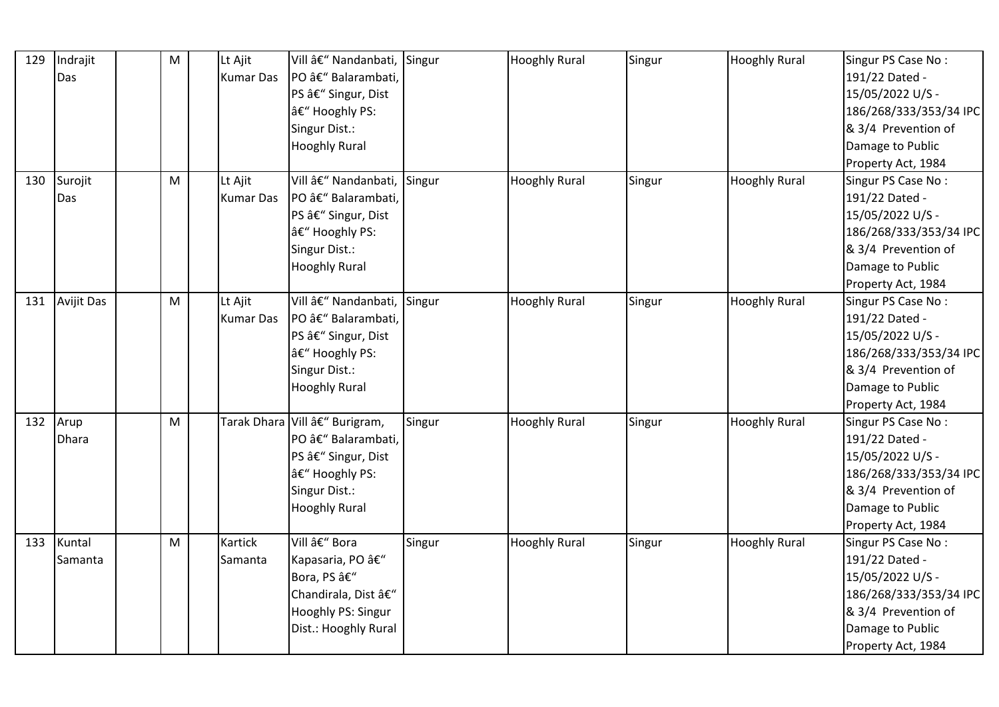| 129 | Indrajit          | M | Lt Ajit          | Vill – Nandanbati, Singur    |        | <b>Hooghly Rural</b> | Singur | <b>Hooghly Rural</b> | Singur PS Case No:     |
|-----|-------------------|---|------------------|------------------------------|--------|----------------------|--------|----------------------|------------------------|
|     | Das               |   | <b>Kumar Das</b> | PO â€" Balarambati,          |        |                      |        |                      | 191/22 Dated -         |
|     |                   |   |                  | PS â€" Singur, Dist          |        |                      |        |                      | 15/05/2022 U/S -       |
|     |                   |   |                  | – Hooghly PS:                |        |                      |        |                      | 186/268/333/353/34 IPC |
|     |                   |   |                  | Singur Dist.:                |        |                      |        |                      | & 3/4 Prevention of    |
|     |                   |   |                  | <b>Hooghly Rural</b>         |        |                      |        |                      | Damage to Public       |
|     |                   |   |                  |                              |        |                      |        |                      | Property Act, 1984     |
| 130 | Surojit           | M | Lt Ajit          | Vill â€" Nandanbati, Singur  |        | <b>Hooghly Rural</b> | Singur | <b>Hooghly Rural</b> | Singur PS Case No:     |
|     | Das               |   | <b>Kumar Das</b> | PO â€" Balarambati,          |        |                      |        |                      | 191/22 Dated -         |
|     |                   |   |                  | PS â€" Singur, Dist          |        |                      |        |                      | 15/05/2022 U/S -       |
|     |                   |   |                  | â€" Hooghly PS:              |        |                      |        |                      | 186/268/333/353/34 IPC |
|     |                   |   |                  | Singur Dist.:                |        |                      |        |                      | & 3/4 Prevention of    |
|     |                   |   |                  | <b>Hooghly Rural</b>         |        |                      |        |                      | Damage to Public       |
|     |                   |   |                  |                              |        |                      |        |                      | Property Act, 1984     |
| 131 | <b>Avijit Das</b> | M | Lt Ajit          | Vill â€" Nandanbati, Singur  |        | <b>Hooghly Rural</b> | Singur | <b>Hooghly Rural</b> | Singur PS Case No:     |
|     |                   |   | <b>Kumar Das</b> | PO – Balarambati,            |        |                      |        |                      | 191/22 Dated -         |
|     |                   |   |                  | PS â€" Singur, Dist          |        |                      |        |                      | 15/05/2022 U/S -       |
|     |                   |   |                  | â€" Hooghly PS:              |        |                      |        |                      | 186/268/333/353/34 IPC |
|     |                   |   |                  | Singur Dist.:                |        |                      |        |                      | & 3/4 Prevention of    |
|     |                   |   |                  | <b>Hooghly Rural</b>         |        |                      |        |                      | Damage to Public       |
|     |                   |   |                  |                              |        |                      |        |                      | Property Act, 1984     |
| 132 | Arup              | M |                  | Tarak Dhara Vill – Burigram, | Singur | <b>Hooghly Rural</b> | Singur | <b>Hooghly Rural</b> | Singur PS Case No:     |
|     | <b>Dhara</b>      |   |                  | PO â€" Balarambati,          |        |                      |        |                      | 191/22 Dated -         |
|     |                   |   |                  | PS â€" Singur, Dist          |        |                      |        |                      | 15/05/2022 U/S -       |
|     |                   |   |                  | – Hooghly PS:                |        |                      |        |                      | 186/268/333/353/34 IPC |
|     |                   |   |                  | Singur Dist.:                |        |                      |        |                      | & 3/4 Prevention of    |
|     |                   |   |                  | <b>Hooghly Rural</b>         |        |                      |        |                      | Damage to Public       |
|     |                   |   |                  |                              |        |                      |        |                      | Property Act, 1984     |
| 133 | Kuntal            | M | Kartick          | Vill – Bora                  | Singur | <b>Hooghly Rural</b> | Singur | <b>Hooghly Rural</b> | Singur PS Case No:     |
|     | Samanta           |   | Samanta          | Kapasaria, PO –              |        |                      |        |                      | 191/22 Dated -         |
|     |                   |   |                  | Bora, PS –                   |        |                      |        |                      | 15/05/2022 U/S -       |
|     |                   |   |                  | Chandirala, Dist –           |        |                      |        |                      | 186/268/333/353/34 IPC |
|     |                   |   |                  | Hooghly PS: Singur           |        |                      |        |                      | & 3/4 Prevention of    |
|     |                   |   |                  | Dist.: Hooghly Rural         |        |                      |        |                      | Damage to Public       |
|     |                   |   |                  |                              |        |                      |        |                      | Property Act, 1984     |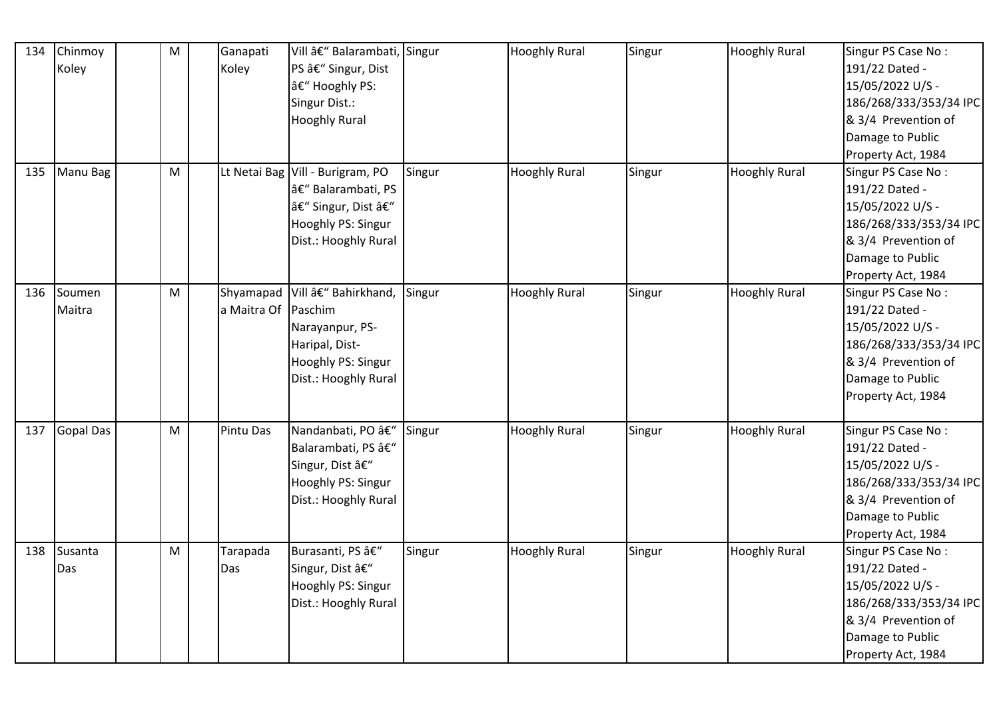| 134 | Chinmoy<br>Koley | M         | Ganapati<br>Koley                | Vill – Balarambati, Singur<br>PS â€" Singur, Dist<br>– Hooghly PS:<br>Singur Dist.:<br><b>Hooghly Rural</b> |        | <b>Hooghly Rural</b> | Singur | <b>Hooghly Rural</b> | Singur PS Case No:<br>191/22 Dated -<br>15/05/2022 U/S -<br>186/268/333/353/34 IPC<br>& 3/4 Prevention of<br>Damage to Public<br>Property Act, 1984 |
|-----|------------------|-----------|----------------------------------|-------------------------------------------------------------------------------------------------------------|--------|----------------------|--------|----------------------|-----------------------------------------------------------------------------------------------------------------------------------------------------|
| 135 | Manu Bag         | ${\sf M}$ | Lt Netai Bag                     | Vill - Burigram, PO<br>– Balarambati, PS<br>– Singur, Dist –<br>Hooghly PS: Singur<br>Dist.: Hooghly Rural  | Singur | <b>Hooghly Rural</b> | Singur | <b>Hooghly Rural</b> | Singur PS Case No:<br>191/22 Dated -<br>15/05/2022 U/S -<br>186/268/333/353/34 IPC<br>& 3/4 Prevention of<br>Damage to Public<br>Property Act, 1984 |
| 136 | Soumen<br>Maitra | M         | Shyamapad<br>a Maitra Of Paschim | Vill – Bahirkhand,<br>Narayanpur, PS-<br>Haripal, Dist-<br>Hooghly PS: Singur<br>Dist.: Hooghly Rural       | Singur | <b>Hooghly Rural</b> | Singur | <b>Hooghly Rural</b> | Singur PS Case No:<br>191/22 Dated -<br>15/05/2022 U/S -<br>186/268/333/353/34 IPC<br>& 3/4 Prevention of<br>Damage to Public<br>Property Act, 1984 |
| 137 | <b>Gopal Das</b> | ${\sf M}$ | <b>Pintu Das</b>                 | Nandanbati, PO â€"<br>Balarambati, PS –<br>Singur, Dist –<br>Hooghly PS: Singur<br>Dist.: Hooghly Rural     | Singur | <b>Hooghly Rural</b> | Singur | <b>Hooghly Rural</b> | Singur PS Case No:<br>191/22 Dated -<br>15/05/2022 U/S -<br>186/268/333/353/34 IPC<br>& 3/4 Prevention of<br>Damage to Public<br>Property Act, 1984 |
| 138 | Susanta<br>Das   | M         | Tarapada<br>Das                  | Burasanti, PS â€"<br>Singur, Dist –<br>Hooghly PS: Singur<br>Dist.: Hooghly Rural                           | Singur | <b>Hooghly Rural</b> | Singur | <b>Hooghly Rural</b> | Singur PS Case No:<br>191/22 Dated -<br>15/05/2022 U/S -<br>186/268/333/353/34 IPC<br>& 3/4 Prevention of<br>Damage to Public<br>Property Act, 1984 |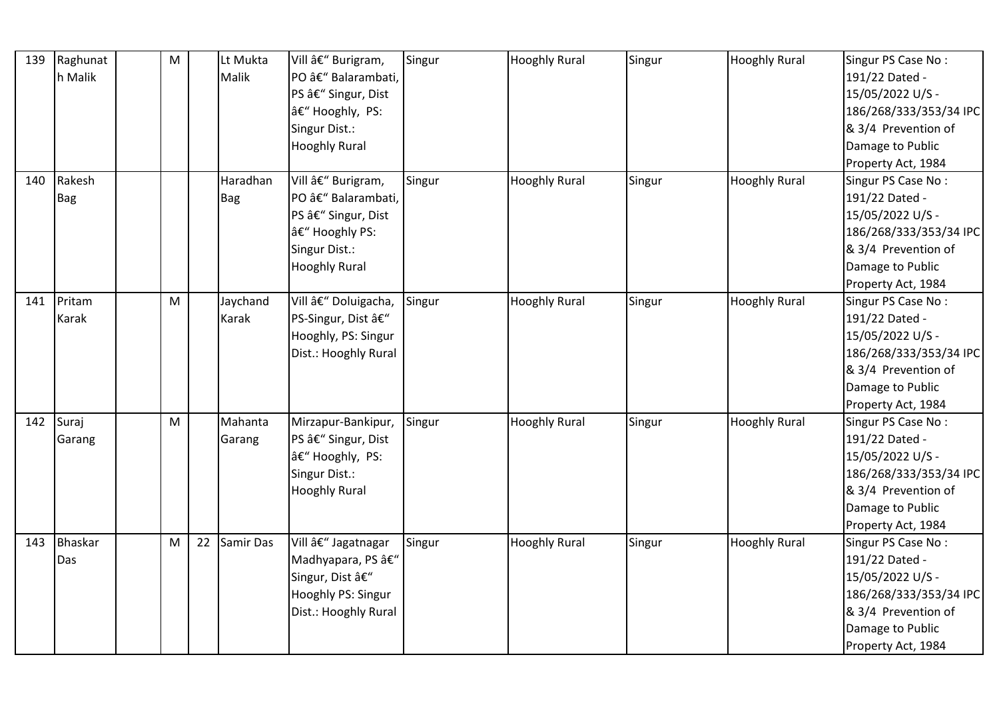| 139 | Raghunat | M |    | Lt Mukta   | Vill – Burigram,     | Singur | <b>Hooghly Rural</b> | Singur | <b>Hooghly Rural</b> | Singur PS Case No:     |
|-----|----------|---|----|------------|----------------------|--------|----------------------|--------|----------------------|------------------------|
|     | h Malik  |   |    | Malik      | PO – Balarambati,    |        |                      |        |                      | 191/22 Dated -         |
|     |          |   |    |            | PS â€" Singur, Dist  |        |                      |        |                      | 15/05/2022 U/S -       |
|     |          |   |    |            | – Hooghly, PS:       |        |                      |        |                      | 186/268/333/353/34 IPC |
|     |          |   |    |            | Singur Dist.:        |        |                      |        |                      | & 3/4 Prevention of    |
|     |          |   |    |            | <b>Hooghly Rural</b> |        |                      |        |                      | Damage to Public       |
|     |          |   |    |            |                      |        |                      |        |                      | Property Act, 1984     |
| 140 | Rakesh   |   |    | Haradhan   | Vill – Burigram,     | Singur | <b>Hooghly Rural</b> | Singur | <b>Hooghly Rural</b> | Singur PS Case No:     |
|     | Bag      |   |    | <b>Bag</b> | PO – Balarambati,    |        |                      |        |                      | 191/22 Dated -         |
|     |          |   |    |            | PS â€" Singur, Dist  |        |                      |        |                      | 15/05/2022 U/S -       |
|     |          |   |    |            | â€" Hooghly PS:      |        |                      |        |                      | 186/268/333/353/34 IPC |
|     |          |   |    |            | Singur Dist.:        |        |                      |        |                      | & 3/4 Prevention of    |
|     |          |   |    |            | <b>Hooghly Rural</b> |        |                      |        |                      | Damage to Public       |
|     |          |   |    |            |                      |        |                      |        |                      | Property Act, 1984     |
| 141 | Pritam   | M |    | Jaychand   | Vill – Doluigacha,   | Singur | <b>Hooghly Rural</b> | Singur | <b>Hooghly Rural</b> | Singur PS Case No:     |
|     | Karak    |   |    | Karak      | PS-Singur, Dist –    |        |                      |        |                      | 191/22 Dated -         |
|     |          |   |    |            | Hooghly, PS: Singur  |        |                      |        |                      | 15/05/2022 U/S -       |
|     |          |   |    |            | Dist.: Hooghly Rural |        |                      |        |                      | 186/268/333/353/34 IPC |
|     |          |   |    |            |                      |        |                      |        |                      | & 3/4 Prevention of    |
|     |          |   |    |            |                      |        |                      |        |                      | Damage to Public       |
|     |          |   |    |            |                      |        |                      |        |                      | Property Act, 1984     |
| 142 | Suraj    | M |    | Mahanta    | Mirzapur-Bankipur,   | Singur | <b>Hooghly Rural</b> | Singur | <b>Hooghly Rural</b> | Singur PS Case No:     |
|     | Garang   |   |    | Garang     | PS – Singur, Dist    |        |                      |        |                      | 191/22 Dated -         |
|     |          |   |    |            | â€" Hooghly, PS:     |        |                      |        |                      | 15/05/2022 U/S -       |
|     |          |   |    |            | Singur Dist.:        |        |                      |        |                      | 186/268/333/353/34 IPC |
|     |          |   |    |            | <b>Hooghly Rural</b> |        |                      |        |                      | & 3/4 Prevention of    |
|     |          |   |    |            |                      |        |                      |        |                      | Damage to Public       |
|     |          |   |    |            |                      |        |                      |        |                      | Property Act, 1984     |
| 143 | Bhaskar  | M | 22 | Samir Das  | Vill – Jagatnagar    | Singur | <b>Hooghly Rural</b> | Singur | <b>Hooghly Rural</b> | Singur PS Case No:     |
|     | Das      |   |    |            | Madhyapara, PS –     |        |                      |        |                      | 191/22 Dated -         |
|     |          |   |    |            | Singur, Dist –       |        |                      |        |                      | 15/05/2022 U/S -       |
|     |          |   |    |            | Hooghly PS: Singur   |        |                      |        |                      | 186/268/333/353/34 IPC |
|     |          |   |    |            | Dist.: Hooghly Rural |        |                      |        |                      | & 3/4 Prevention of    |
|     |          |   |    |            |                      |        |                      |        |                      | Damage to Public       |
|     |          |   |    |            |                      |        |                      |        |                      | Property Act, 1984     |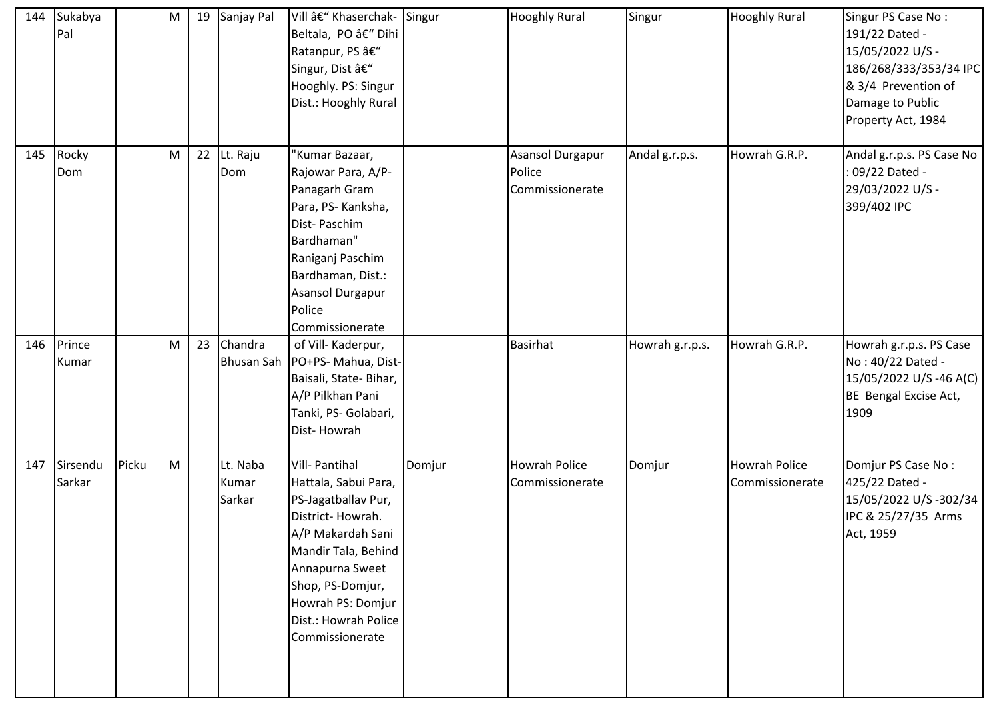| 144 | Sukabya<br>Pal     |       | ${\sf M}$ | 19 | Sanjay Pal                  | Vill – Khaserchak- Singur<br>Beltala, PO – Dihi<br>Ratanpur, PS â€"<br>Singur, Dist –<br>Hooghly. PS: Singur<br>Dist.: Hooghly Rural                                                                                                       |        | <b>Hooghly Rural</b>                          | Singur          | <b>Hooghly Rural</b>                    | Singur PS Case No:<br>191/22 Dated -<br>15/05/2022 U/S -<br>186/268/333/353/34 IPC<br>& 3/4 Prevention of<br>Damage to Public<br>Property Act, 1984 |
|-----|--------------------|-------|-----------|----|-----------------------------|--------------------------------------------------------------------------------------------------------------------------------------------------------------------------------------------------------------------------------------------|--------|-----------------------------------------------|-----------------|-----------------------------------------|-----------------------------------------------------------------------------------------------------------------------------------------------------|
| 145 | Rocky<br>Dom       |       | ${\sf M}$ | 22 | Lt. Raju<br>Dom             | 'Kumar Bazaar,<br>Rajowar Para, A/P-<br>Panagarh Gram<br>Para, PS- Kanksha,<br>Dist-Paschim<br>Bardhaman"<br>Raniganj Paschim<br>Bardhaman, Dist.:<br>Asansol Durgapur<br>Police<br>Commissionerate                                        |        | Asansol Durgapur<br>Police<br>Commissionerate | Andal g.r.p.s.  | Howrah G.R.P.                           | Andal g.r.p.s. PS Case No<br>: 09/22 Dated -<br>29/03/2022 U/S -<br>399/402 IPC                                                                     |
| 146 | Prince<br>Kumar    |       | ${\sf M}$ | 23 | Chandra                     | of Vill-Kaderpur,<br>Bhusan Sah   PO+PS- Mahua, Dist-<br>Baisali, State-Bihar,<br>A/P Pilkhan Pani<br>Tanki, PS- Golabari,<br>Dist-Howrah                                                                                                  |        | <b>Basirhat</b>                               | Howrah g.r.p.s. | Howrah G.R.P.                           | Howrah g.r.p.s. PS Case<br>No: 40/22 Dated -<br>15/05/2022 U/S -46 A(C)<br>BE Bengal Excise Act,<br>1909                                            |
| 147 | Sirsendu<br>Sarkar | Picku | ${\sf M}$ |    | Lt. Naba<br>Kumar<br>Sarkar | <b>Vill-Pantihal</b><br>Hattala, Sabui Para,<br>PS-Jagatballav Pur,<br>District-Howrah.<br>A/P Makardah Sani<br>Mandir Tala, Behind<br>Annapurna Sweet<br>Shop, PS-Domjur,<br>Howrah PS: Domjur<br>Dist.: Howrah Police<br>Commissionerate | Domjur | <b>Howrah Police</b><br>Commissionerate       | Domjur          | <b>Howrah Police</b><br>Commissionerate | Domjur PS Case No:<br>425/22 Dated -<br>15/05/2022 U/S -302/34<br>IPC & 25/27/35 Arms<br>Act, 1959                                                  |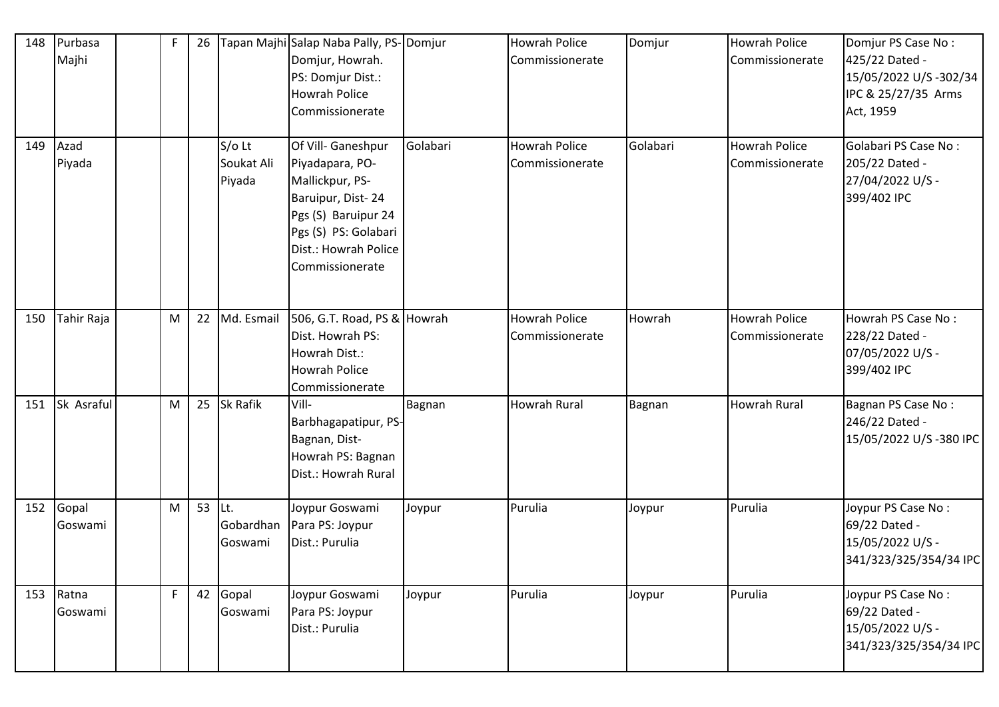| 148 | Purbasa<br>Majhi     | $\mathsf F$ | 26 |                                  | Tapan Majhi Salap Naba Pally, PS-Domjur<br>Domjur, Howrah.<br>PS: Domjur Dist.:<br>Howrah Police<br>Commissionerate                                                     |          | <b>Howrah Police</b><br>Commissionerate | Domjur   | <b>Howrah Police</b><br>Commissionerate | Domjur PS Case No:<br>425/22 Dated -<br>15/05/2022 U/S-302/34<br>IPC & 25/27/35 Arms<br>Act, 1959 |
|-----|----------------------|-------------|----|----------------------------------|-------------------------------------------------------------------------------------------------------------------------------------------------------------------------|----------|-----------------------------------------|----------|-----------------------------------------|---------------------------------------------------------------------------------------------------|
| 149 | Azad<br>Piyada       |             |    | $S/O$ Lt<br>Soukat Ali<br>Piyada | Of Vill- Ganeshpur<br>Piyadapara, PO-<br>Mallickpur, PS-<br>Baruipur, Dist-24<br>Pgs (S) Baruipur 24<br>Pgs (S) PS: Golabari<br>Dist.: Howrah Police<br>Commissionerate | Golabari | <b>Howrah Police</b><br>Commissionerate | Golabari | Howrah Police<br>Commissionerate        | <b>Golabari PS Case No:</b><br>205/22 Dated -<br>27/04/2022 U/S -<br>399/402 IPC                  |
| 150 | Tahir Raja           | M           | 22 | Md. Esmail                       | 506, G.T. Road, PS & Howrah<br>Dist. Howrah PS:<br>Howrah Dist.:<br><b>Howrah Police</b><br>Commissionerate                                                             |          | <b>Howrah Police</b><br>Commissionerate | Howrah   | Howrah Police<br>Commissionerate        | Howrah PS Case No:<br>228/22 Dated -<br>07/05/2022 U/S -<br>399/402 IPC                           |
| 151 | Sk Asraful           | M           | 25 | Sk Rafik                         | Vill-<br>Barbhagapatipur, PS-<br>Bagnan, Dist-<br>Howrah PS: Bagnan<br>Dist.: Howrah Rural                                                                              | Bagnan   | <b>Howrah Rural</b>                     | Bagnan   | Howrah Rural                            | Bagnan PS Case No:<br>246/22 Dated -<br>15/05/2022 U/S-380 IPC                                    |
| 152 | Gopal<br>Goswami     | M           | 53 | Lt.<br>Gobardhan<br>Goswami      | Joypur Goswami<br>Para PS: Joypur<br>Dist.: Purulia                                                                                                                     | Joypur   | Purulia                                 | Joypur   | Purulia                                 | Joypur PS Case No:<br>69/22 Dated -<br>15/05/2022 U/S -<br>341/323/325/354/34 IPC                 |
|     | 153 Ratna<br>Goswami | F           | 42 | Gopal<br>Goswami                 | Joypur Goswami<br>Para PS: Joypur<br>Dist.: Purulia                                                                                                                     | Joypur   | Purulia                                 | Joypur   | Purulia                                 | Joypur PS Case No:<br>69/22 Dated -<br>15/05/2022 U/S -<br>341/323/325/354/34 IPC                 |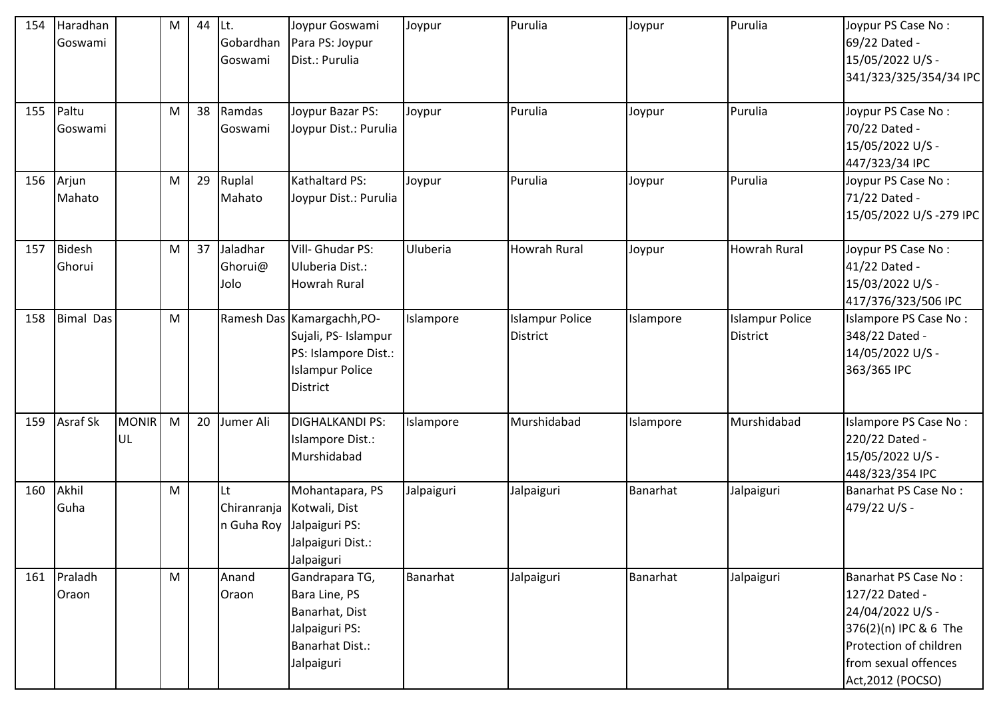| 154 | Haradhan<br>Goswami  |                           | M | 44 | ILt.<br>Gobardhan<br>Goswami    | Joypur Goswami<br>Para PS: Joypur<br>Dist.: Purulia                                                                | Joypur     | Purulia                                   | Joypur    | Purulia                                   | Joypur PS Case No:<br>69/22 Dated -<br>15/05/2022 U/S -<br>341/323/325/354/34 IPC                                                                          |
|-----|----------------------|---------------------------|---|----|---------------------------------|--------------------------------------------------------------------------------------------------------------------|------------|-------------------------------------------|-----------|-------------------------------------------|------------------------------------------------------------------------------------------------------------------------------------------------------------|
| 155 | Paltu<br>Goswami     |                           | M | 38 | Ramdas<br>Goswami               | Joypur Bazar PS:<br>Joypur Dist.: Purulia                                                                          | Joypur     | Purulia                                   | Joypur    | Purulia                                   | Joypur PS Case No:<br>70/22 Dated -<br>15/05/2022 U/S -<br>447/323/34 IPC                                                                                  |
| 156 | Arjun<br>Mahato      |                           | M | 29 | Ruplal<br>Mahato                | Kathaltard PS:<br>Joypur Dist.: Purulia                                                                            | Joypur     | Purulia                                   | Joypur    | Purulia                                   | Joypur PS Case No:<br>71/22 Dated -<br>15/05/2022 U/S-279 IPC                                                                                              |
| 157 | Bidesh<br>Ghorui     |                           | M | 37 | Jaladhar<br>Ghorui@<br>Jolo     | Vill- Ghudar PS:<br>Uluberia Dist.:<br><b>Howrah Rural</b>                                                         | Uluberia   | <b>Howrah Rural</b>                       | Joypur    | <b>Howrah Rural</b>                       | Joypur PS Case No:<br>41/22 Dated -<br>15/03/2022 U/S -<br>417/376/323/506 IPC                                                                             |
| 158 | <b>Bimal Das</b>     |                           | M |    |                                 | Ramesh Das   Kamargachh, PO-<br>Sujali, PS- Islampur<br>PS: Islampore Dist.:<br><b>Islampur Police</b><br>District | Islampore  | <b>Islampur Police</b><br><b>District</b> | Islampore | <b>Islampur Police</b><br><b>District</b> | Islampore PS Case No:<br>348/22 Dated -<br>14/05/2022 U/S -<br>363/365 IPC                                                                                 |
| 159 | <b>Asraf Sk</b>      | <b>MONIR</b><br><b>UL</b> | M | 20 | Jumer Ali                       | <b>DIGHALKANDI PS:</b><br>Islampore Dist.:<br>Murshidabad                                                          | Islampore  | Murshidabad                               | Islampore | Murshidabad                               | Islampore PS Case No:<br>220/22 Dated -<br>15/05/2022 U/S -<br>448/323/354 IPC                                                                             |
| 160 | Akhil<br>Guha        |                           | M |    | Lt<br>Chiranranja<br>n Guha Roy | Mohantapara, PS<br>Kotwali, Dist<br>Jalpaiguri PS:<br>Jalpaiguri Dist.:<br>Jalpaiguri                              | Jalpaiguri | Jalpaiguri                                | Banarhat  | Jalpaiguri                                | Banarhat PS Case No:<br>479/22 U/S -                                                                                                                       |
|     | 161 Praladh<br>Oraon |                           | M |    | Anand<br>Oraon                  | Gandrapara TG,<br>Bara Line, PS<br>Banarhat, Dist<br>Jalpaiguri PS:<br><b>Banarhat Dist.:</b><br>Jalpaiguri        | Banarhat   | Jalpaiguri                                | Banarhat  | Jalpaiguri                                | Banarhat PS Case No:<br>127/22 Dated -<br>24/04/2022 U/S -<br>376(2)(n) IPC & 6 The<br>Protection of children<br>from sexual offences<br>Act, 2012 (POCSO) |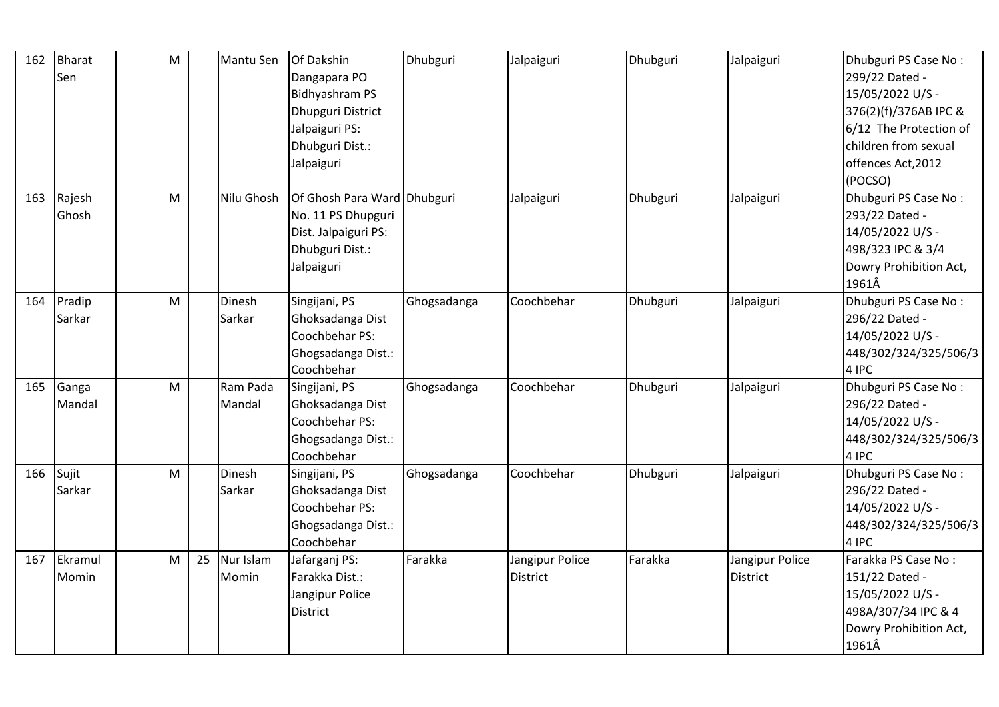| 162 | <b>Bharat</b> | M |    | Mantu Sen  | Of Dakshin                  | Dhubguri    | Jalpaiguri      | Dhubguri | Jalpaiguri      | Dhubguri PS Case No:   |
|-----|---------------|---|----|------------|-----------------------------|-------------|-----------------|----------|-----------------|------------------------|
|     | Sen           |   |    |            | Dangapara PO                |             |                 |          |                 | 299/22 Dated -         |
|     |               |   |    |            | <b>Bidhyashram PS</b>       |             |                 |          |                 | 15/05/2022 U/S -       |
|     |               |   |    |            | Dhupguri District           |             |                 |          |                 | 376(2)(f)/376AB IPC &  |
|     |               |   |    |            | Jalpaiguri PS:              |             |                 |          |                 | 6/12 The Protection of |
|     |               |   |    |            | Dhubguri Dist.:             |             |                 |          |                 | children from sexual   |
|     |               |   |    |            | Jalpaiguri                  |             |                 |          |                 | offences Act, 2012     |
|     |               |   |    |            |                             |             |                 |          |                 | (POCSO)                |
| 163 | Rajesh        | M |    | Nilu Ghosh | Of Ghosh Para Ward Dhubguri |             | Jalpaiguri      | Dhubguri | Jalpaiguri      | Dhubguri PS Case No:   |
|     | Ghosh         |   |    |            | No. 11 PS Dhupguri          |             |                 |          |                 | 293/22 Dated -         |
|     |               |   |    |            | Dist. Jalpaiguri PS:        |             |                 |          |                 | 14/05/2022 U/S -       |
|     |               |   |    |            | Dhubguri Dist.:             |             |                 |          |                 | 498/323 IPC & 3/4      |
|     |               |   |    |            | Jalpaiguri                  |             |                 |          |                 | Dowry Prohibition Act, |
|     |               |   |    |            |                             |             |                 |          |                 | 1961Â                  |
| 164 | Pradip        | M |    | Dinesh     | Singijani, PS               | Ghogsadanga | Coochbehar      | Dhubguri | Jalpaiguri      | Dhubguri PS Case No:   |
|     | Sarkar        |   |    | Sarkar     | Ghoksadanga Dist            |             |                 |          |                 | 296/22 Dated -         |
|     |               |   |    |            | Coochbehar PS:              |             |                 |          |                 | 14/05/2022 U/S -       |
|     |               |   |    |            | Ghogsadanga Dist.:          |             |                 |          |                 | 448/302/324/325/506/3  |
|     |               |   |    |            | Coochbehar                  |             |                 |          |                 | 4 IPC                  |
| 165 | Ganga         | M |    | Ram Pada   | Singijani, PS               | Ghogsadanga | Coochbehar      | Dhubguri | Jalpaiguri      | Dhubguri PS Case No:   |
|     | Mandal        |   |    | Mandal     | Ghoksadanga Dist            |             |                 |          |                 | 296/22 Dated -         |
|     |               |   |    |            | Coochbehar PS:              |             |                 |          |                 | 14/05/2022 U/S -       |
|     |               |   |    |            | Ghogsadanga Dist.:          |             |                 |          |                 | 448/302/324/325/506/3  |
|     |               |   |    |            | Coochbehar                  |             |                 |          |                 | 4 IPC                  |
| 166 | Sujit         | M |    | Dinesh     | Singijani, PS               | Ghogsadanga | Coochbehar      | Dhubguri | Jalpaiguri      | Dhubguri PS Case No:   |
|     | Sarkar        |   |    | Sarkar     | Ghoksadanga Dist            |             |                 |          |                 | 296/22 Dated -         |
|     |               |   |    |            | Coochbehar PS:              |             |                 |          |                 | 14/05/2022 U/S -       |
|     |               |   |    |            | Ghogsadanga Dist.:          |             |                 |          |                 | 448/302/324/325/506/3  |
|     |               |   |    |            | Coochbehar                  |             |                 |          |                 | 4 IPC                  |
| 167 | Ekramul       | M | 25 | Nur Islam  | Jafarganj PS:               | Farakka     | Jangipur Police | Farakka  | Jangipur Police | Farakka PS Case No:    |
|     | Momin         |   |    | Momin      | Farakka Dist.:              |             | <b>District</b> |          | <b>District</b> | 151/22 Dated -         |
|     |               |   |    |            | Jangipur Police             |             |                 |          |                 | 15/05/2022 U/S -       |
|     |               |   |    |            | District                    |             |                 |          |                 | 498A/307/34 IPC & 4    |
|     |               |   |    |            |                             |             |                 |          |                 | Dowry Prohibition Act, |
|     |               |   |    |            |                             |             |                 |          |                 | 1961Â                  |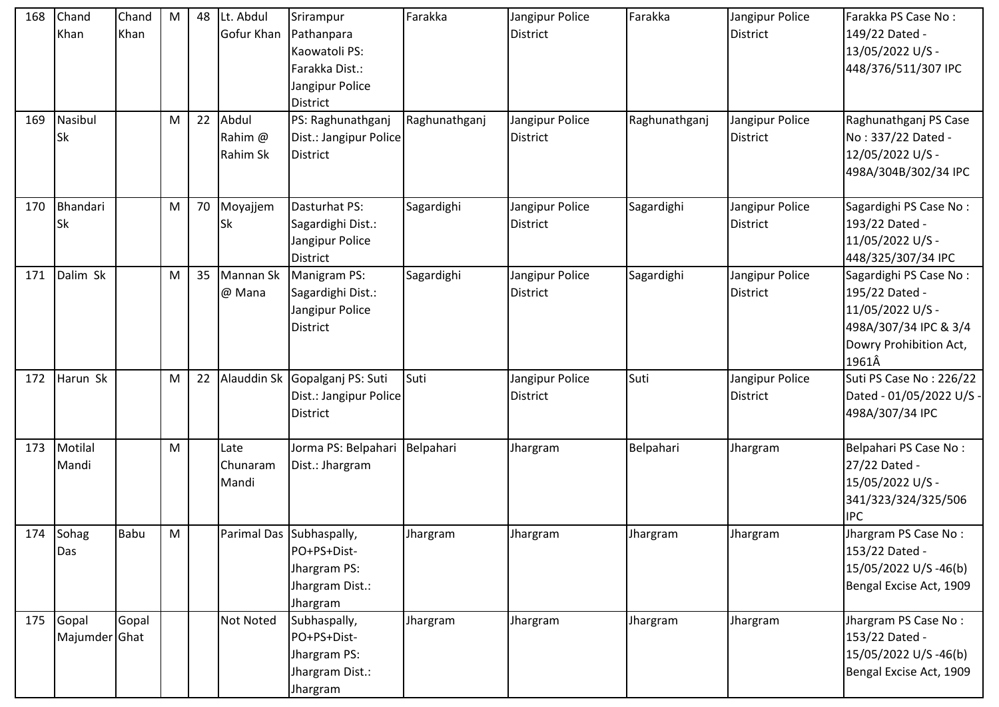| 168 | Chand<br>Khan          | Chand<br>Khan | M | 48 | Lt. Abdul<br>Gofur Khan      | Srirampur<br>Pathanpara<br>Kaowatoli PS:<br>Farakka Dist.:<br>Jangipur Police          | Farakka       | Jangipur Police<br><b>District</b> | Farakka       | Jangipur Police<br><b>District</b> | Farakka PS Case No:<br>149/22 Dated -<br>13/05/2022 U/S -<br>448/376/511/307 IPC                                         |
|-----|------------------------|---------------|---|----|------------------------------|----------------------------------------------------------------------------------------|---------------|------------------------------------|---------------|------------------------------------|--------------------------------------------------------------------------------------------------------------------------|
| 169 | Nasibul<br><b>Sk</b>   |               | M | 22 | Abdul<br>Rahim @<br>Rahim Sk | District<br>PS: Raghunathganj<br>Dist.: Jangipur Police<br><b>District</b>             | Raghunathganj | Jangipur Police<br><b>District</b> | Raghunathganj | Jangipur Police<br><b>District</b> | Raghunathganj PS Case<br>No: 337/22 Dated -<br>12/05/2022 U/S -<br>498A/304B/302/34 IPC                                  |
| 170 | Bhandari<br><b>Sk</b>  |               | M | 70 | Moyajjem<br><b>Sk</b>        | Dasturhat PS:<br>Sagardighi Dist.:<br>Jangipur Police<br><b>District</b>               | Sagardighi    | Jangipur Police<br><b>District</b> | Sagardighi    | Jangipur Police<br><b>District</b> | Sagardighi PS Case No:<br>193/22 Dated -<br>11/05/2022 U/S -<br>448/325/307/34 IPC                                       |
| 171 | Dalim Sk               |               | M | 35 | Mannan Sk<br>@ Mana          | Manigram PS:<br>Sagardighi Dist.:<br>Jangipur Police<br><b>District</b>                | Sagardighi    | Jangipur Police<br><b>District</b> | Sagardighi    | Jangipur Police<br><b>District</b> | Sagardighi PS Case No:<br>195/22 Dated -<br>11/05/2022 U/S -<br>498A/307/34 IPC & 3/4<br>Dowry Prohibition Act,<br>1961Â |
| 172 | Harun Sk               |               | M | 22 | Alauddin Sk                  | Gopalganj PS: Suti<br>Dist.: Jangipur Police<br><b>District</b>                        | Suti          | Jangipur Police<br><b>District</b> | Suti          | Jangipur Police<br><b>District</b> | Suti PS Case No: 226/22<br>Dated - 01/05/2022 U/S -<br>498A/307/34 IPC                                                   |
| 173 | Motilal<br>Mandi       |               | M |    | Late<br>Chunaram<br>Mandi    | Jorma PS: Belpahari Belpahari<br>Dist.: Jhargram                                       |               | Jhargram                           | Belpahari     | Jhargram                           | Belpahari PS Case No:<br>27/22 Dated -<br>15/05/2022 U/S -<br>341/323/324/325/506<br><b>IPC</b>                          |
|     | 174 Sohag<br>Das       | <b>Babu</b>   | M |    |                              | Parimal Das Subhaspally,<br>PO+PS+Dist-<br>Jhargram PS:<br>Jhargram Dist.:<br>Jhargram | Jhargram      | Jhargram                           | Jhargram      | Jhargram                           | Jhargram PS Case No:<br>153/22 Dated -<br>15/05/2022 U/S -46(b)<br>Bengal Excise Act, 1909                               |
| 175 | Gopal<br>Majumder Ghat | Gopal         |   |    | <b>Not Noted</b>             | Subhaspally,<br>PO+PS+Dist-<br>Jhargram PS:<br>Jhargram Dist.:<br>Jhargram             | Jhargram      | Jhargram                           | Jhargram      | Jhargram                           | Jhargram PS Case No:<br>153/22 Dated -<br>15/05/2022 U/S -46(b)<br>Bengal Excise Act, 1909                               |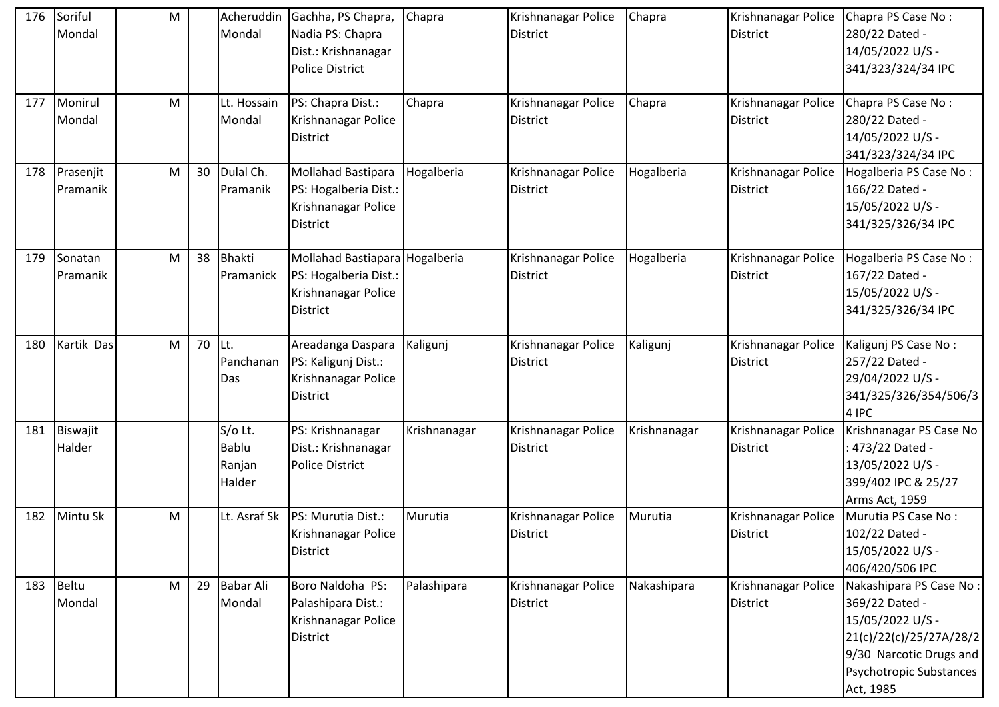| 176 | Soriful<br>Mondal     | ${\sf M}$ |    | Mondal                                      | Acheruddin Gachha, PS Chapra,<br>Nadia PS: Chapra<br>Dist.: Krishnanagar<br><b>Police District</b> | Chapra       | Krishnanagar Police<br><b>District</b> | Chapra       | Krishnanagar Police<br><b>District</b> | Chapra PS Case No:<br>280/22 Dated -<br>14/05/2022 U/S -<br>341/323/324/34 IPC                                                                              |
|-----|-----------------------|-----------|----|---------------------------------------------|----------------------------------------------------------------------------------------------------|--------------|----------------------------------------|--------------|----------------------------------------|-------------------------------------------------------------------------------------------------------------------------------------------------------------|
| 177 | Monirul<br>Mondal     | M         |    | Lt. Hossain<br>Mondal                       | PS: Chapra Dist.:<br>Krishnanagar Police<br><b>District</b>                                        | Chapra       | Krishnanagar Police<br><b>District</b> | Chapra       | Krishnanagar Police<br>District        | Chapra PS Case No:<br>280/22 Dated -<br>14/05/2022 U/S -<br>341/323/324/34 IPC                                                                              |
| 178 | Prasenjit<br>Pramanik | M         | 30 | Dulal Ch.<br>Pramanik                       | Mollahad Bastipara<br>PS: Hogalberia Dist.:<br>Krishnanagar Police<br><b>District</b>              | Hogalberia   | Krishnanagar Police<br><b>District</b> | Hogalberia   | Krishnanagar Police<br>District        | Hogalberia PS Case No:<br>166/22 Dated -<br>15/05/2022 U/S -<br>341/325/326/34 IPC                                                                          |
| 179 | Sonatan<br>Pramanik   | M         | 38 | Bhakti<br>Pramanick                         | Mollahad Bastiapara Hogalberia<br>PS: Hogalberia Dist.:<br>Krishnanagar Police<br><b>District</b>  |              | Krishnanagar Police<br><b>District</b> | Hogalberia   | Krishnanagar Police<br><b>District</b> | Hogalberia PS Case No:<br>167/22 Dated -<br>15/05/2022 U/S -<br>341/325/326/34 IPC                                                                          |
| 180 | Kartik Das            | M         | 70 | Lt.<br>Panchanan<br>Das                     | Areadanga Daspara<br>PS: Kaligunj Dist.:<br>Krishnanagar Police<br><b>District</b>                 | Kaligunj     | Krishnanagar Police<br><b>District</b> | Kaligunj     | Krishnanagar Police<br>District        | Kaligunj PS Case No:<br>257/22 Dated -<br>29/04/2022 U/S -<br>341/325/326/354/506/3<br>4 IPC                                                                |
| 181 | Biswajit<br>Halder    |           |    | S/o Lt.<br><b>Bablu</b><br>Ranjan<br>Halder | PS: Krishnanagar<br>Dist.: Krishnanagar<br><b>Police District</b>                                  | Krishnanagar | Krishnanagar Police<br><b>District</b> | Krishnanagar | Krishnanagar Police<br>District        | Krishnanagar PS Case No<br>: 473/22 Dated -<br>13/05/2022 U/S -<br>399/402 IPC & 25/27<br>Arms Act, 1959                                                    |
| 182 | Mintu Sk              | M         |    | Lt. Asraf Sk                                | PS: Murutia Dist.:<br>Krishnanagar Police<br>District                                              | Murutia      | Krishnanagar Police<br><b>District</b> | Murutia      | Krishnanagar Police<br><b>District</b> | Murutia PS Case No:<br>102/22 Dated -<br>15/05/2022 U/S -<br>406/420/506 IPC                                                                                |
|     | 183 Beltu<br>Mondal   | M         | 29 | <b>Babar Ali</b><br>Mondal                  | Boro Naldoha PS:<br>Palashipara Dist.:<br>Krishnanagar Police<br><b>District</b>                   | Palashipara  | Krishnanagar Police<br><b>District</b> | Nakashipara  | Krishnanagar Police<br><b>District</b> | Nakashipara PS Case No:<br>369/22 Dated -<br>15/05/2022 U/S -<br>21(c)/22(c)/25/27A/28/2<br>9/30 Narcotic Drugs and<br>Psychotropic Substances<br>Act, 1985 |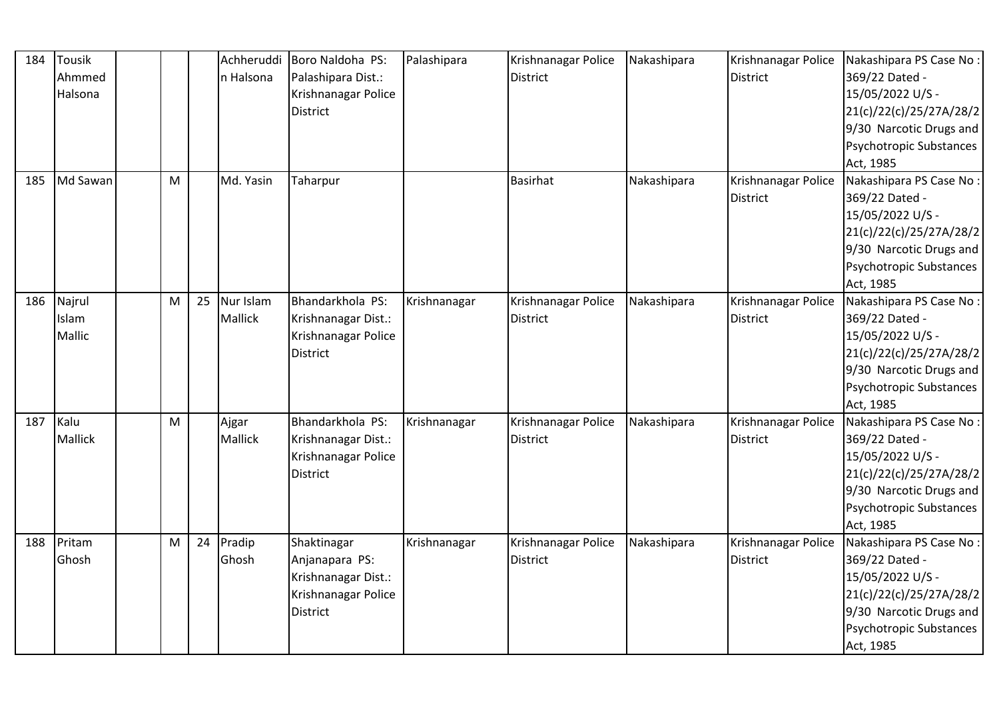| 184 | Tousik   |   |    | Achheruddi | Boro Naldoha PS:    | Palashipara  | Krishnanagar Police | Nakashipara | Krishnanagar Police | Nakashipara PS Case No:        |
|-----|----------|---|----|------------|---------------------|--------------|---------------------|-------------|---------------------|--------------------------------|
|     | Ahmmed   |   |    | n Halsona  | Palashipara Dist.:  |              | <b>District</b>     |             | <b>District</b>     | 369/22 Dated -                 |
|     | Halsona  |   |    |            | Krishnanagar Police |              |                     |             |                     | 15/05/2022 U/S -               |
|     |          |   |    |            | District            |              |                     |             |                     | 21(c)/22(c)/25/27A/28/2        |
|     |          |   |    |            |                     |              |                     |             |                     | 9/30 Narcotic Drugs and        |
|     |          |   |    |            |                     |              |                     |             |                     | Psychotropic Substances        |
|     |          |   |    |            |                     |              |                     |             |                     | Act, 1985                      |
| 185 | Md Sawan | M |    | Md. Yasin  | Taharpur            |              | <b>Basirhat</b>     | Nakashipara | Krishnanagar Police | Nakashipara PS Case No:        |
|     |          |   |    |            |                     |              |                     |             | <b>District</b>     | 369/22 Dated -                 |
|     |          |   |    |            |                     |              |                     |             |                     | 15/05/2022 U/S -               |
|     |          |   |    |            |                     |              |                     |             |                     | 21(c)/22(c)/25/27A/28/2        |
|     |          |   |    |            |                     |              |                     |             |                     | 9/30 Narcotic Drugs and        |
|     |          |   |    |            |                     |              |                     |             |                     | Psychotropic Substances        |
|     |          |   |    |            |                     |              |                     |             |                     | Act, 1985                      |
| 186 | Najrul   | M | 25 | Nur Islam  | Bhandarkhola PS:    | Krishnanagar | Krishnanagar Police | Nakashipara | Krishnanagar Police | Nakashipara PS Case No:        |
|     | Islam    |   |    | Mallick    | Krishnanagar Dist.: |              | <b>District</b>     |             | <b>District</b>     | 369/22 Dated -                 |
|     | Mallic   |   |    |            | Krishnanagar Police |              |                     |             |                     | 15/05/2022 U/S -               |
|     |          |   |    |            | <b>District</b>     |              |                     |             |                     | 21(c)/22(c)/25/27A/28/2        |
|     |          |   |    |            |                     |              |                     |             |                     | 9/30 Narcotic Drugs and        |
|     |          |   |    |            |                     |              |                     |             |                     | <b>Psychotropic Substances</b> |
|     |          |   |    |            |                     |              |                     |             |                     | Act, 1985                      |
| 187 | Kalu     | M |    | Ajgar      | Bhandarkhola PS:    | Krishnanagar | Krishnanagar Police | Nakashipara | Krishnanagar Police | Nakashipara PS Case No:        |
|     | Mallick  |   |    | Mallick    | Krishnanagar Dist.: |              | <b>District</b>     |             | <b>District</b>     | 369/22 Dated -                 |
|     |          |   |    |            | Krishnanagar Police |              |                     |             |                     | 15/05/2022 U/S -               |
|     |          |   |    |            | District            |              |                     |             |                     | 21(c)/22(c)/25/27A/28/2        |
|     |          |   |    |            |                     |              |                     |             |                     | 9/30 Narcotic Drugs and        |
|     |          |   |    |            |                     |              |                     |             |                     | Psychotropic Substances        |
|     |          |   |    |            |                     |              |                     |             |                     | Act, 1985                      |
| 188 | Pritam   | M | 24 | Pradip     | Shaktinagar         | Krishnanagar | Krishnanagar Police | Nakashipara | Krishnanagar Police | Nakashipara PS Case No:        |
|     | Ghosh    |   |    | Ghosh      | Anjanapara PS:      |              | <b>District</b>     |             | <b>District</b>     | 369/22 Dated -                 |
|     |          |   |    |            | Krishnanagar Dist.: |              |                     |             |                     | 15/05/2022 U/S -               |
|     |          |   |    |            | Krishnanagar Police |              |                     |             |                     | 21(c)/22(c)/25/27A/28/2        |
|     |          |   |    |            | District            |              |                     |             |                     | 9/30 Narcotic Drugs and        |
|     |          |   |    |            |                     |              |                     |             |                     | Psychotropic Substances        |
|     |          |   |    |            |                     |              |                     |             |                     | Act, 1985                      |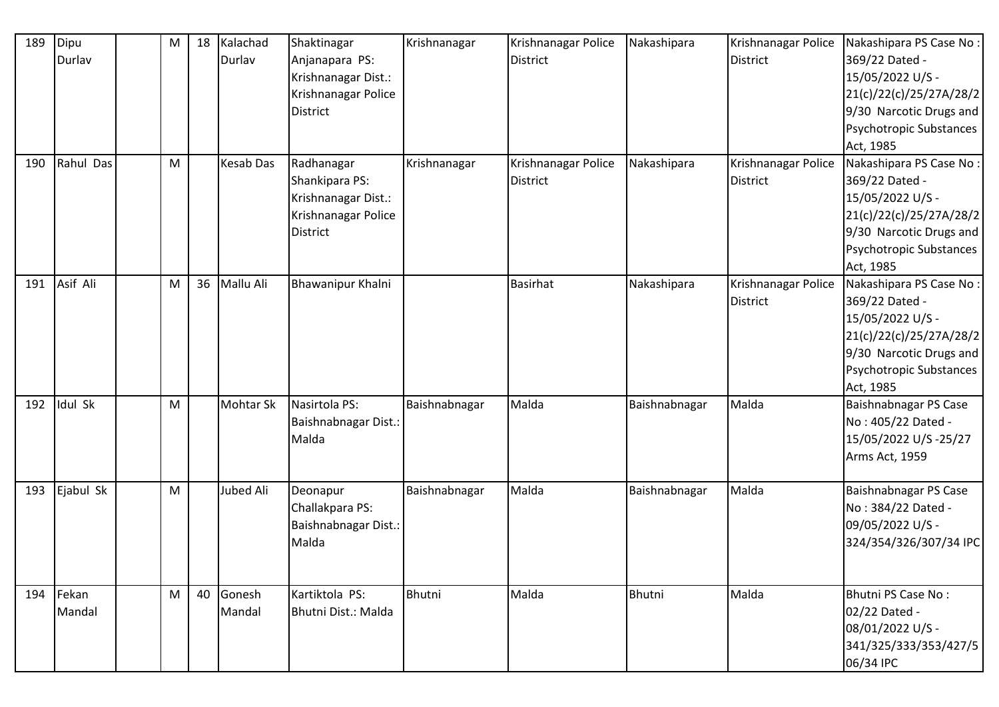| 189 | Dipu      | M         | 18 | Kalachad         | Shaktinagar          | Krishnanagar  | Krishnanagar Police | Nakashipara   | Krishnanagar Police | Nakashipara PS Case No: |
|-----|-----------|-----------|----|------------------|----------------------|---------------|---------------------|---------------|---------------------|-------------------------|
|     | Durlav    |           |    | Durlav           | Anjanapara PS:       |               | <b>District</b>     |               | <b>District</b>     | 369/22 Dated -          |
|     |           |           |    |                  | Krishnanagar Dist.:  |               |                     |               |                     | 15/05/2022 U/S -        |
|     |           |           |    |                  | Krishnanagar Police  |               |                     |               |                     | 21(c)/22(c)/25/27A/28/2 |
|     |           |           |    |                  | <b>District</b>      |               |                     |               |                     | 9/30 Narcotic Drugs and |
|     |           |           |    |                  |                      |               |                     |               |                     | Psychotropic Substances |
|     |           |           |    |                  |                      |               |                     |               |                     | Act, 1985               |
| 190 | Rahul Das | M         |    | <b>Kesab Das</b> | Radhanagar           | Krishnanagar  | Krishnanagar Police | Nakashipara   | Krishnanagar Police | Nakashipara PS Case No: |
|     |           |           |    |                  | Shankipara PS:       |               | <b>District</b>     |               | <b>District</b>     | 369/22 Dated -          |
|     |           |           |    |                  | Krishnanagar Dist.:  |               |                     |               |                     | 15/05/2022 U/S -        |
|     |           |           |    |                  | Krishnanagar Police  |               |                     |               |                     | 21(c)/22(c)/25/27A/28/2 |
|     |           |           |    |                  | District             |               |                     |               |                     | 9/30 Narcotic Drugs and |
|     |           |           |    |                  |                      |               |                     |               |                     | Psychotropic Substances |
|     |           |           |    |                  |                      |               |                     |               |                     | Act, 1985               |
| 191 | Asif Ali  | ${\sf M}$ | 36 | Mallu Ali        | Bhawanipur Khalni    |               | <b>Basirhat</b>     | Nakashipara   | Krishnanagar Police | Nakashipara PS Case No: |
|     |           |           |    |                  |                      |               |                     |               | <b>District</b>     | 369/22 Dated -          |
|     |           |           |    |                  |                      |               |                     |               |                     | 15/05/2022 U/S -        |
|     |           |           |    |                  |                      |               |                     |               |                     | 21(c)/22(c)/25/27A/28/2 |
|     |           |           |    |                  |                      |               |                     |               |                     | 9/30 Narcotic Drugs and |
|     |           |           |    |                  |                      |               |                     |               |                     | Psychotropic Substances |
|     |           |           |    |                  |                      |               |                     |               |                     | Act, 1985               |
| 192 | Idul Sk   | M         |    | <b>Mohtar Sk</b> | Nasirtola PS:        | Baishnabnagar | Malda               | Baishnabnagar | Malda               | Baishnabnagar PS Case   |
|     |           |           |    |                  | Baishnabnagar Dist.: |               |                     |               |                     | No: 405/22 Dated -      |
|     |           |           |    |                  | Malda                |               |                     |               |                     | 15/05/2022 U/S-25/27    |
|     |           |           |    |                  |                      |               |                     |               |                     | Arms Act, 1959          |
|     |           |           |    |                  |                      |               |                     |               |                     |                         |
| 193 | Ejabul Sk | M         |    | Jubed Ali        | Deonapur             | Baishnabnagar | Malda               | Baishnabnagar | Malda               | Baishnabnagar PS Case   |
|     |           |           |    |                  | Challakpara PS:      |               |                     |               |                     | No: 384/22 Dated -      |
|     |           |           |    |                  | Baishnabnagar Dist.: |               |                     |               |                     | 09/05/2022 U/S -        |
|     |           |           |    |                  | Malda                |               |                     |               |                     | 324/354/326/307/34 IPC  |
|     |           |           |    |                  |                      |               |                     |               |                     |                         |
|     |           |           |    |                  |                      |               |                     |               |                     |                         |
| 194 | Fekan     | M         | 40 | Gonesh           | Kartiktola PS:       | Bhutni        | Malda               | Bhutni        | Malda               | Bhutni PS Case No:      |
|     | Mandal    |           |    | Mandal           | Bhutni Dist.: Malda  |               |                     |               |                     | 02/22 Dated -           |
|     |           |           |    |                  |                      |               |                     |               |                     | 08/01/2022 U/S -        |
|     |           |           |    |                  |                      |               |                     |               |                     | 341/325/333/353/427/5   |
|     |           |           |    |                  |                      |               |                     |               |                     | 06/34 IPC               |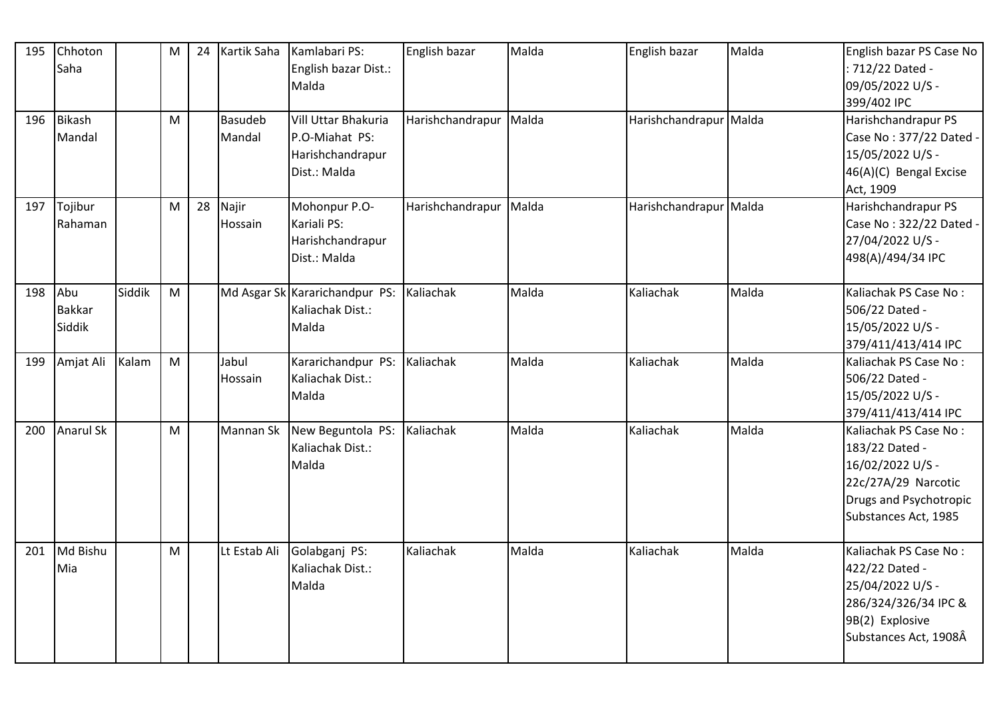| 195 | Chhoton<br>Saha                |        | ${\sf M}$                                                                                                  | 24 | Kartik Saha              | Kamlabari PS:<br>English bazar Dist.:<br>Malda                            | English bazar          | Malda | English bazar          | Malda | English bazar PS Case No<br>: 712/22 Dated -<br>09/05/2022 U/S -<br>399/402 IPC                                                             |
|-----|--------------------------------|--------|------------------------------------------------------------------------------------------------------------|----|--------------------------|---------------------------------------------------------------------------|------------------------|-------|------------------------|-------|---------------------------------------------------------------------------------------------------------------------------------------------|
| 196 | Bikash<br>Mandal               |        | ${\sf M}$                                                                                                  |    | <b>Basudeb</b><br>Mandal | Vill Uttar Bhakuria<br>P.O-Miahat PS:<br>Harishchandrapur<br>Dist.: Malda | Harishchandrapur Malda |       | Harishchandrapur Malda |       | Harishchandrapur PS<br>Case No: 377/22 Dated -<br>15/05/2022 U/S -<br>46(A)(C) Bengal Excise<br>Act, 1909                                   |
| 197 | Tojibur<br>Rahaman             |        | M                                                                                                          | 28 | Najir<br>Hossain         | Mohonpur P.O-<br>Kariali PS:<br>Harishchandrapur<br>Dist.: Malda          | Harishchandrapur Malda |       | Harishchandrapur Malda |       | Harishchandrapur PS<br>Case No: 322/22 Dated -<br>27/04/2022 U/S -<br>498(A)/494/34 IPC                                                     |
| 198 | Abu<br><b>Bakkar</b><br>Siddik | Siddik | $\mathsf{M}% _{T}=\mathsf{M}_{T}\!\left( a,b\right) ,\ \mathsf{M}_{T}=\mathsf{M}_{T}\!\left( a,b\right) ,$ |    |                          | Md Asgar Sk Kararichandpur PS:<br>Kaliachak Dist.:<br>Malda               | Kaliachak              | Malda | Kaliachak              | Malda | Kaliachak PS Case No:<br>506/22 Dated -<br>15/05/2022 U/S -<br>379/411/413/414 IPC                                                          |
| 199 | Amjat Ali                      | Kalam  | M                                                                                                          |    | Jabul<br>Hossain         | Kararichandpur PS:<br>Kaliachak Dist.:<br>Malda                           | Kaliachak              | Malda | Kaliachak              | Malda | Kaliachak PS Case No:<br>506/22 Dated -<br>15/05/2022 U/S -<br>379/411/413/414 IPC                                                          |
| 200 | <b>Anarul Sk</b>               |        | M                                                                                                          |    | Mannan Sk                | New Beguntola PS:<br>Kaliachak Dist.:<br>Malda                            | Kaliachak              | Malda | Kaliachak              | Malda | Kaliachak PS Case No:<br>183/22 Dated -<br>16/02/2022 U/S -<br>22c/27A/29 Narcotic<br><b>Drugs and Psychotropic</b><br>Substances Act, 1985 |
| 201 | Md Bishu<br>Mia                |        | ${\sf M}$                                                                                                  |    | Lt Estab Ali             | Golabganj PS:<br>Kaliachak Dist.:<br>Malda                                | Kaliachak              | Malda | Kaliachak              | Malda | Kaliachak PS Case No:<br>422/22 Dated -<br>25/04/2022 U/S -<br>286/324/326/34 IPC &<br>9B(2) Explosive<br>Substances Act, 1908Â             |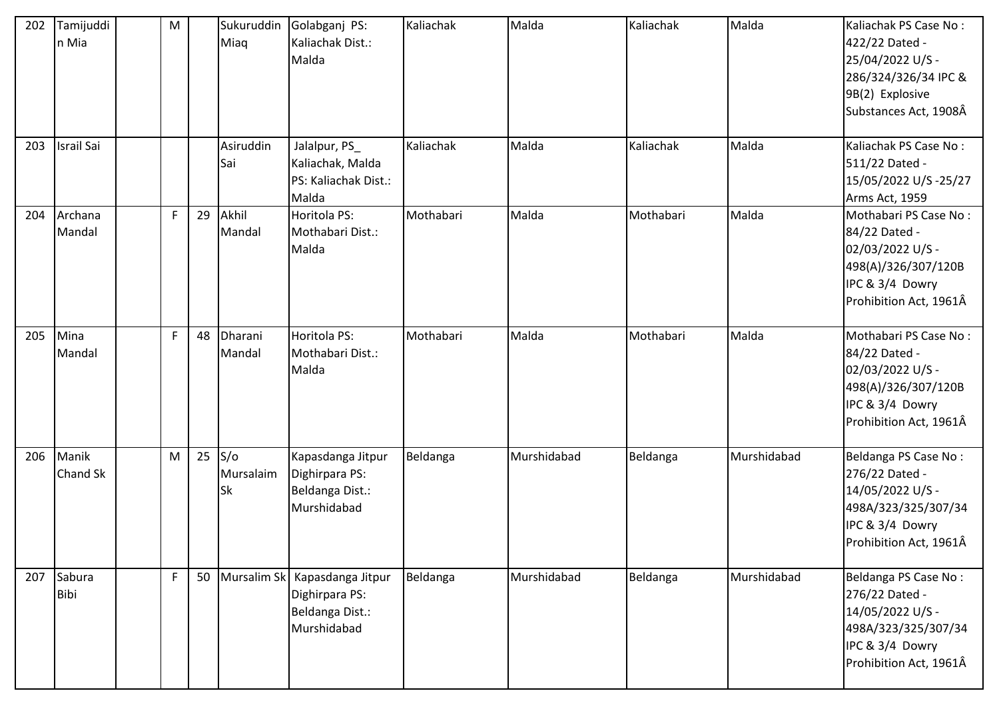| 202 | Tamijuddi<br>n Mia       | ${\sf M}$   |    | Sukuruddin<br>Miaq     | Golabganj PS:<br>Kaliachak Dist.:<br>Malda                            | Kaliachak | Malda       | Kaliachak | Malda       | Kaliachak PS Case No:<br>422/22 Dated -<br>25/04/2022 U/S -<br>286/324/326/34 IPC &<br>9B(2) Explosive<br>Substances Act, 1908Â |
|-----|--------------------------|-------------|----|------------------------|-----------------------------------------------------------------------|-----------|-------------|-----------|-------------|---------------------------------------------------------------------------------------------------------------------------------|
| 203 | <b>Israil Sai</b>        |             |    | Asiruddin<br>Sai       | Jalalpur, PS_<br>Kaliachak, Malda<br>PS: Kaliachak Dist.:<br>Malda    | Kaliachak | Malda       | Kaliachak | Malda       | Kaliachak PS Case No:<br>511/22 Dated -<br>15/05/2022 U/S-25/27<br>Arms Act, 1959                                               |
| 204 | Archana<br>Mandal        | $\mathsf F$ | 29 | Akhil<br>Mandal        | Horitola PS:<br>Mothabari Dist.:<br>Malda                             | Mothabari | Malda       | Mothabari | Malda       | Mothabari PS Case No:<br>84/22 Dated -<br>02/03/2022 U/S -<br>498(A)/326/307/120B<br>IPC & 3/4 Dowry<br>Prohibition Act, 1961Â  |
| 205 | Mina<br>Mandal           | $\mathsf F$ | 48 | Dharani<br>Mandal      | Horitola PS:<br>Mothabari Dist.:<br>Malda                             | Mothabari | Malda       | Mothabari | Malda       | Mothabari PS Case No:<br>84/22 Dated -<br>02/03/2022 U/S -<br>498(A)/326/307/120B<br>IPC & 3/4 Dowry<br>Prohibition Act, 1961Â  |
| 206 | Manik<br><b>Chand Sk</b> | M           | 25 | S/O<br>Mursalaim<br>Sk | Kapasdanga Jitpur<br>Dighirpara PS:<br>Beldanga Dist.:<br>Murshidabad | Beldanga  | Murshidabad | Beldanga  | Murshidabad | Beldanga PS Case No:<br>276/22 Dated -<br>14/05/2022 U/S -<br>498A/323/325/307/34<br>IPC & 3/4 Dowry<br>Prohibition Act, 1961Â  |
| 207 | Sabura<br>Bibi           | $\mathsf F$ |    | 50 Mursalim Sk         | Kapasdanga Jitpur<br>Dighirpara PS:<br>Beldanga Dist.:<br>Murshidabad | Beldanga  | Murshidabad | Beldanga  | Murshidabad | Beldanga PS Case No:<br>276/22 Dated -<br>14/05/2022 U/S -<br>498A/323/325/307/34<br>IPC & 3/4 Dowry<br>Prohibition Act, 1961Â  |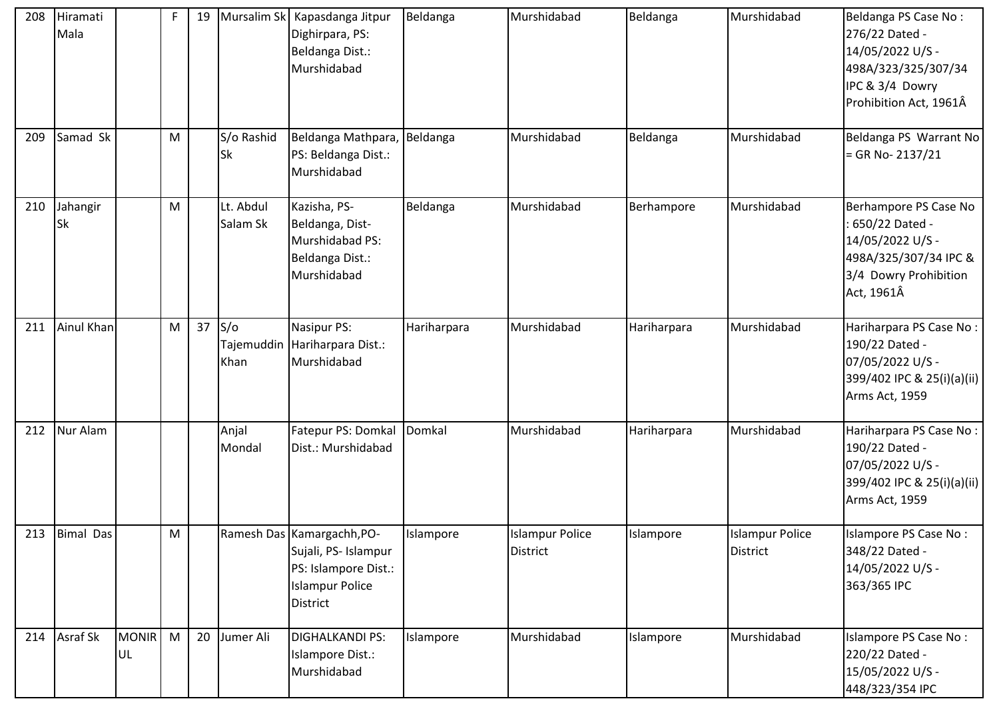| 208 | Hiramati<br>Mala      |                    | F         | 19 |                       | Mursalim Sk   Kapasdanga Jitpur<br>Dighirpara, PS:<br>Beldanga Dist.:<br>Murshidabad                                    | Beldanga    | Murshidabad                               | Beldanga    | Murshidabad                        | Beldanga PS Case No:<br>276/22 Dated -<br>14/05/2022 U/S -<br>498A/323/325/307/34<br>IPC & 3/4 Dowry<br>Prohibition Act, 1961Â |
|-----|-----------------------|--------------------|-----------|----|-----------------------|-------------------------------------------------------------------------------------------------------------------------|-------------|-------------------------------------------|-------------|------------------------------------|--------------------------------------------------------------------------------------------------------------------------------|
| 209 | Samad Sk              |                    | M         |    | S/o Rashid<br>Sk      | Beldanga Mathpara, Beldanga<br>PS: Beldanga Dist.:<br>Murshidabad                                                       |             | Murshidabad                               | Beldanga    | Murshidabad                        | Beldanga PS Warrant No<br>$=$ GR No-2137/21                                                                                    |
| 210 | Jahangir<br><b>Sk</b> |                    | ${\sf M}$ |    | Lt. Abdul<br>Salam Sk | Kazisha, PS-<br>Beldanga, Dist-<br>Murshidabad PS:<br>Beldanga Dist.:<br>Murshidabad                                    | Beldanga    | Murshidabad                               | Berhampore  | Murshidabad                        | Berhampore PS Case No<br>650/22 Dated -<br>14/05/2022 U/S -<br>498A/325/307/34 IPC &<br>3/4 Dowry Prohibition<br>Act, 1961Â    |
| 211 | Ainul Khan            |                    | M         | 37 | S/O<br>Khan           | Nasipur PS:<br>Tajemuddin Hariharpara Dist.:<br>Murshidabad                                                             | Hariharpara | Murshidabad                               | Hariharpara | Murshidabad                        | Hariharpara PS Case No:<br>190/22 Dated -<br>07/05/2022 U/S -<br>399/402 IPC & 25(i)(a)(ii)<br>Arms Act, 1959                  |
| 212 | Nur Alam              |                    |           |    | Anjal<br>Mondal       | Fatepur PS: Domkal<br>Dist.: Murshidabad                                                                                | Domkal      | Murshidabad                               | Hariharpara | Murshidabad                        | Hariharpara PS Case No:<br>190/22 Dated -<br>07/05/2022 U/S -<br>399/402 IPC & 25(i)(a)(ii)<br>Arms Act, 1959                  |
|     | 213 Bimal Das         |                    | M         |    |                       | Ramesh Das Kamargachh, PO-<br>Sujali, PS- Islampur<br>PS: Islampore Dist.:<br><b>Islampur Police</b><br><b>District</b> | Islampore   | <b>Islampur Police</b><br><b>District</b> | Islampore   | <b>Islampur Police</b><br>District | Islampore PS Case No:<br>348/22 Dated -<br>14/05/2022 U/S -<br>363/365 IPC                                                     |
| 214 | Asraf Sk              | <b>MONIR</b><br>UL | M         | 20 | Jumer Ali             | <b>DIGHALKANDI PS:</b><br>Islampore Dist.:<br>Murshidabad                                                               | Islampore   | Murshidabad                               | Islampore   | Murshidabad                        | Islampore PS Case No:<br>220/22 Dated -<br>15/05/2022 U/S -<br>448/323/354 IPC                                                 |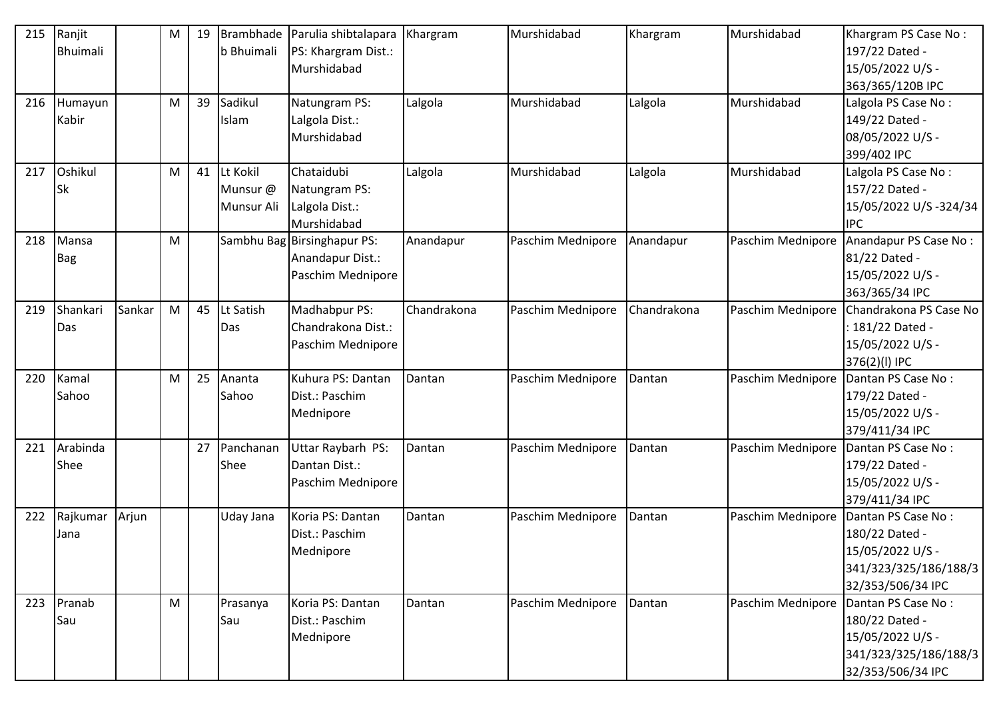| 215 | Ranjit      |        | M | 19 | Brambhade   | Parulia shibtalapara        | Khargram    | Murshidabad       | Khargram    | Murshidabad       | Khargram PS Case No:   |
|-----|-------------|--------|---|----|-------------|-----------------------------|-------------|-------------------|-------------|-------------------|------------------------|
|     | Bhuimali    |        |   |    | b Bhuimali  | PS: Khargram Dist.:         |             |                   |             |                   | 197/22 Dated -         |
|     |             |        |   |    |             | Murshidabad                 |             |                   |             |                   | 15/05/2022 U/S -       |
|     |             |        |   |    |             |                             |             |                   |             |                   | 363/365/120B IPC       |
|     | 216 Humayun |        | M | 39 | Sadikul     | Natungram PS:               | Lalgola     | Murshidabad       | Lalgola     | Murshidabad       | Lalgola PS Case No:    |
|     | Kabir       |        |   |    | Islam       | Lalgola Dist.:              |             |                   |             |                   | 149/22 Dated -         |
|     |             |        |   |    |             | Murshidabad                 |             |                   |             |                   | 08/05/2022 U/S -       |
|     |             |        |   |    |             |                             |             |                   |             |                   | 399/402 IPC            |
| 217 | Oshikul     |        | M | 41 | Lt Kokil    | Chataidubi                  | Lalgola     | Murshidabad       | Lalgola     | Murshidabad       | Lalgola PS Case No:    |
|     | <b>Sk</b>   |        |   |    | Munsur @    | Natungram PS:               |             |                   |             |                   | 157/22 Dated -         |
|     |             |        |   |    | Munsur Ali  | Lalgola Dist.:              |             |                   |             |                   | 15/05/2022 U/S-324/34  |
|     |             |        |   |    |             | Murshidabad                 |             |                   |             |                   | <b>IPC</b>             |
| 218 | Mansa       |        | M |    |             | Sambhu Bag Birsinghapur PS: | Anandapur   | Paschim Mednipore | Anandapur   | Paschim Mednipore | Anandapur PS Case No:  |
|     | <b>Bag</b>  |        |   |    |             | Anandapur Dist.:            |             |                   |             |                   | 81/22 Dated -          |
|     |             |        |   |    |             | Paschim Mednipore           |             |                   |             |                   | 15/05/2022 U/S -       |
|     |             |        |   |    |             |                             |             |                   |             |                   | 363/365/34 IPC         |
| 219 | Shankari    | Sankar | M | 45 | Lt Satish   | Madhabpur PS:               | Chandrakona | Paschim Mednipore | Chandrakona | Paschim Mednipore | Chandrakona PS Case No |
|     | Das         |        |   |    | Das         | Chandrakona Dist.:          |             |                   |             |                   | : 181/22 Dated -       |
|     |             |        |   |    |             | Paschim Mednipore           |             |                   |             |                   | 15/05/2022 U/S -       |
|     |             |        |   |    |             |                             |             |                   |             |                   | 376(2)(l) IPC          |
| 220 | Kamal       |        | M | 25 | Ananta      | Kuhura PS: Dantan           | Dantan      | Paschim Mednipore | Dantan      | Paschim Mednipore | Dantan PS Case No:     |
|     | Sahoo       |        |   |    | Sahoo       | Dist.: Paschim              |             |                   |             |                   | 179/22 Dated -         |
|     |             |        |   |    |             | Mednipore                   |             |                   |             |                   | 15/05/2022 U/S -       |
|     |             |        |   |    |             |                             |             |                   |             |                   | 379/411/34 IPC         |
| 221 | Arabinda    |        |   | 27 | Panchanan   | Uttar Raybarh PS:           | Dantan      | Paschim Mednipore | Dantan      | Paschim Mednipore | Dantan PS Case No:     |
|     | Shee        |        |   |    | <b>Shee</b> | Dantan Dist.:               |             |                   |             |                   | 179/22 Dated -         |
|     |             |        |   |    |             | Paschim Mednipore           |             |                   |             |                   | 15/05/2022 U/S -       |
|     |             |        |   |    |             |                             |             |                   |             |                   | 379/411/34 IPC         |
| 222 | Rajkumar    | Arjun  |   |    | Uday Jana   | Koria PS: Dantan            | Dantan      | Paschim Mednipore | Dantan      | Paschim Mednipore | Dantan PS Case No:     |
|     | Jana        |        |   |    |             | Dist.: Paschim              |             |                   |             |                   | 180/22 Dated -         |
|     |             |        |   |    |             | Mednipore                   |             |                   |             |                   | 15/05/2022 U/S -       |
|     |             |        |   |    |             |                             |             |                   |             |                   | 341/323/325/186/188/3  |
|     |             |        |   |    |             |                             |             |                   |             |                   | 32/353/506/34 IPC      |
| 223 | Pranab      |        | M |    | Prasanya    | Koria PS: Dantan            | Dantan      | Paschim Mednipore | Dantan      | Paschim Mednipore | Dantan PS Case No:     |
|     | Sau         |        |   |    | Sau         | Dist.: Paschim              |             |                   |             |                   | 180/22 Dated -         |
|     |             |        |   |    |             | Mednipore                   |             |                   |             |                   | 15/05/2022 U/S -       |
|     |             |        |   |    |             |                             |             |                   |             |                   | 341/323/325/186/188/3  |
|     |             |        |   |    |             |                             |             |                   |             |                   | 32/353/506/34 IPC      |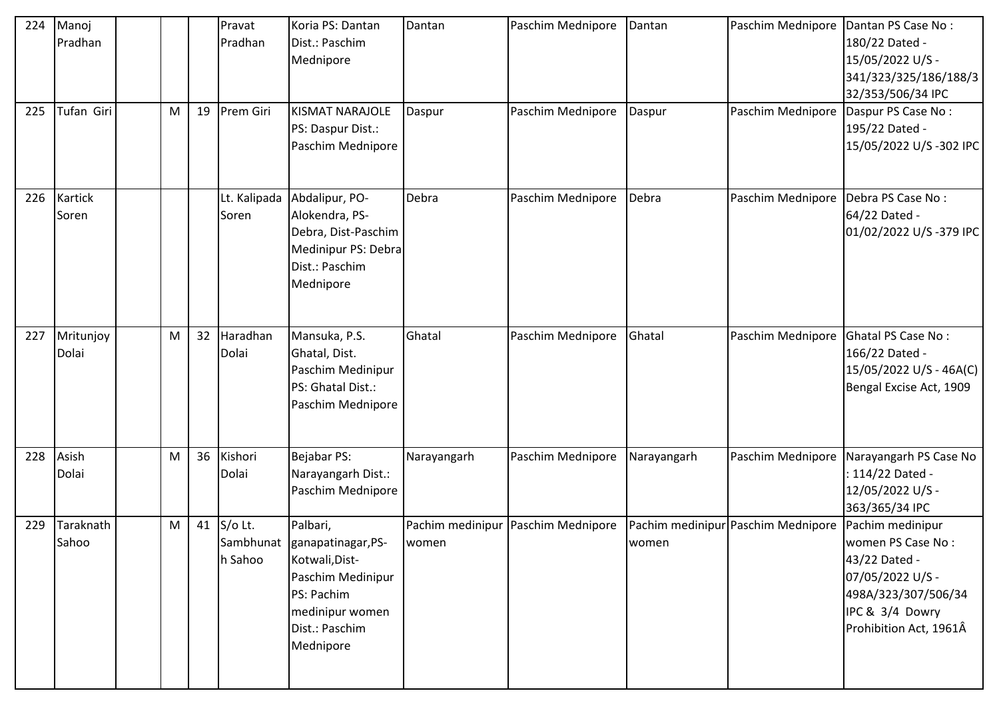| 224<br>225 | Manoj<br>Pradhan<br>Tufan Giri | M | 19 | Pravat<br>Pradhan<br>Prem Giri | Koria PS: Dantan<br>Dist.: Paschim<br>Mednipore<br><b>KISMAT NARAJOLE</b><br>PS: Daspur Dist.:<br>Paschim Mednipore                             | Dantan<br>Daspur | Paschim Mednipore<br>Paschim Mednipore | Dantan<br>Daspur | Paschim Mednipore<br>Paschim Mednipore | Dantan PS Case No:<br>180/22 Dated -<br>15/05/2022 U/S -<br>341/323/325/186/188/3<br>32/353/506/34 IPC<br>Daspur PS Case No:<br>195/22 Dated -<br>15/05/2022 U/S-302 IPC |
|------------|--------------------------------|---|----|--------------------------------|-------------------------------------------------------------------------------------------------------------------------------------------------|------------------|----------------------------------------|------------------|----------------------------------------|--------------------------------------------------------------------------------------------------------------------------------------------------------------------------|
| 226        | Kartick<br>Soren               |   |    | Lt. Kalipada<br>Soren          | Abdalipur, PO-<br>Alokendra, PS-<br>Debra, Dist-Paschim<br>Medinipur PS: Debra<br>Dist.: Paschim<br>Mednipore                                   | Debra            | Paschim Mednipore                      | Debra            | Paschim Mednipore                      | Debra PS Case No:<br>64/22 Dated -<br>01/02/2022 U/S-379 IPC                                                                                                             |
| 227        | Mritunjoy<br>Dolai             | M | 32 | Haradhan<br>Dolai              | Mansuka, P.S.<br>Ghatal, Dist.<br>Paschim Medinipur<br>PS: Ghatal Dist.:<br>Paschim Mednipore                                                   | Ghatal           | Paschim Mednipore                      | Ghatal           | Paschim Mednipore                      | Ghatal PS Case No:<br>166/22 Dated -<br>15/05/2022 U/S - 46A(C)<br>Bengal Excise Act, 1909                                                                               |
| 228        | Asish<br>Dolai                 | M | 36 | Kishori<br>Dolai               | Bejabar PS:<br>Narayangarh Dist.:<br>Paschim Mednipore                                                                                          | Narayangarh      | Paschim Mednipore                      | Narayangarh      | Paschim Mednipore                      | Narayangarh PS Case No<br>: 114/22 Dated -<br>12/05/2022 U/S -<br>363/365/34 IPC                                                                                         |
| 229        | Taraknath<br>Sahoo             | M | 41 | S/o Lt.<br>h Sahoo             | Palbari,<br>Sambhunat ganapatinagar, PS-<br>Kotwali, Dist-<br>Paschim Medinipur<br>PS: Pachim<br>medinipur women<br>Dist.: Paschim<br>Mednipore | women            | Pachim medinipur Paschim Mednipore     | women            | Pachim medinipur Paschim Mednipore     | Pachim medinipur<br>women PS Case No:<br>43/22 Dated -<br>07/05/2022 U/S -<br>498A/323/307/506/34<br>IPC & 3/4 Dowry<br>Prohibition Act, 1961Â                           |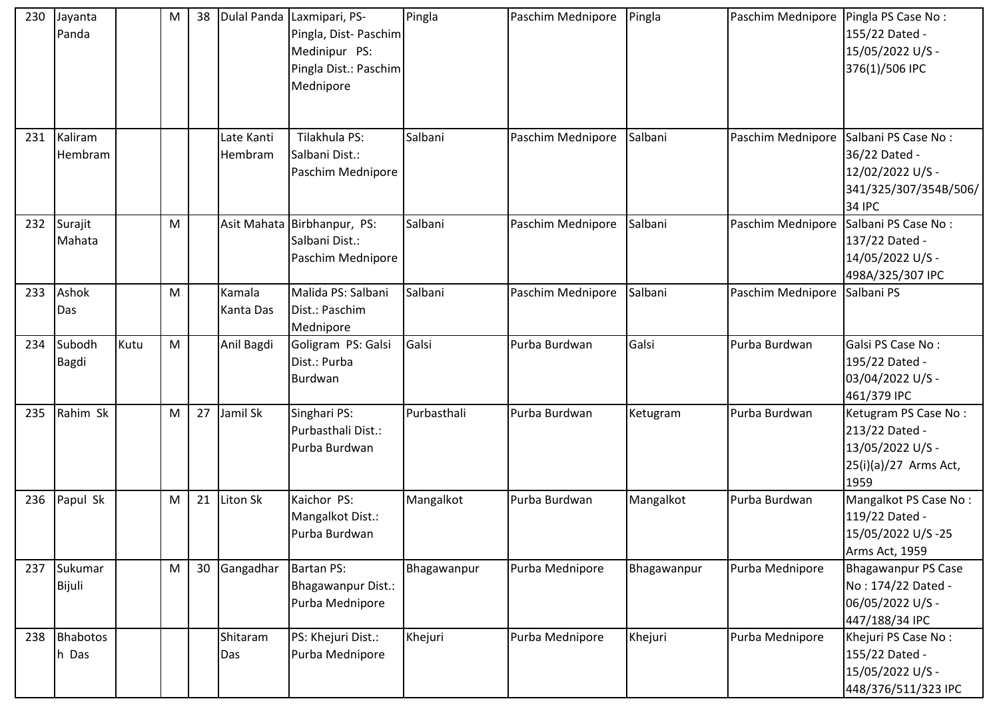| 230 | Jayanta<br>Panda       |      | M                                                                                                          | 38 |                       | Dulal Panda Laxmipari, PS-<br>Pingla, Dist-Paschim<br>Medinipur PS:<br>Pingla Dist.: Paschim<br>Mednipore | Pingla      | Paschim Mednipore | Pingla      | Paschim Mednipore | Pingla PS Case No:<br>155/22 Dated -<br>15/05/2022 U/S -<br>376(1)/506 IPC                         |
|-----|------------------------|------|------------------------------------------------------------------------------------------------------------|----|-----------------------|-----------------------------------------------------------------------------------------------------------|-------------|-------------------|-------------|-------------------|----------------------------------------------------------------------------------------------------|
| 231 | Kaliram<br>Hembram     |      |                                                                                                            |    | Late Kanti<br>Hembram | Tilakhula PS:<br>Salbani Dist.:<br>Paschim Mednipore                                                      | Salbani     | Paschim Mednipore | Salbani     | Paschim Mednipore | Salbani PS Case No:<br>36/22 Dated -<br>12/02/2022 U/S -<br>341/325/307/354B/506/<br><b>34 IPC</b> |
| 232 | Surajit<br>Mahata      |      | M                                                                                                          |    |                       | Asit Mahata Birbhanpur, PS:<br>Salbani Dist.:<br>Paschim Mednipore                                        | Salbani     | Paschim Mednipore | Salbani     | Paschim Mednipore | Salbani PS Case No:<br>137/22 Dated -<br>14/05/2022 U/S -<br>498A/325/307 IPC                      |
| 233 | Ashok<br>Das           |      | M                                                                                                          |    | Kamala<br>Kanta Das   | Malida PS: Salbani<br>Dist.: Paschim<br>Mednipore                                                         | Salbani     | Paschim Mednipore | Salbani     | Paschim Mednipore | Salbani PS                                                                                         |
| 234 | Subodh<br><b>Bagdi</b> | Kutu | $\mathsf{M}% _{T}=\mathsf{M}_{T}\!\left( a,b\right) ,\ \mathsf{M}_{T}=\mathsf{M}_{T}\!\left( a,b\right) ,$ |    | Anil Bagdi            | Goligram PS: Galsi<br>Dist.: Purba<br>Burdwan                                                             | Galsi       | Purba Burdwan     | Galsi       | Purba Burdwan     | Galsi PS Case No:<br>195/22 Dated -<br>03/04/2022 U/S -<br>461/379 IPC                             |
| 235 | Rahim Sk               |      | M                                                                                                          | 27 | Jamil Sk              | Singhari PS:<br>Purbasthali Dist.:<br>Purba Burdwan                                                       | Purbasthali | Purba Burdwan     | Ketugram    | Purba Burdwan     | Ketugram PS Case No:<br>213/22 Dated -<br>13/05/2022 U/S -<br>25(i)(a)/27 Arms Act,<br>1959        |
| 236 | Papul Sk               |      | M                                                                                                          | 21 | Liton Sk              | Kaichor PS:<br>Mangalkot Dist.:<br>Purba Burdwan                                                          | Mangalkot   | Purba Burdwan     | Mangalkot   | Purba Burdwan     | Mangalkot PS Case No:<br>119/22 Dated -<br>15/05/2022 U/S-25<br>Arms Act, 1959                     |
| 237 | Sukumar<br>Bijuli      |      | M                                                                                                          | 30 | Gangadhar             | <b>Bartan PS:</b><br>Bhagawanpur Dist.:<br>Purba Mednipore                                                | Bhagawanpur | Purba Mednipore   | Bhagawanpur | Purba Mednipore   | <b>Bhagawanpur PS Case</b><br>No: 174/22 Dated -<br>06/05/2022 U/S -<br>447/188/34 IPC             |
| 238 | Bhabotos<br>h Das      |      |                                                                                                            |    | Shitaram<br>Das       | PS: Khejuri Dist.:<br>Purba Mednipore                                                                     | Khejuri     | Purba Mednipore   | Khejuri     | Purba Mednipore   | Khejuri PS Case No:<br>155/22 Dated -<br>15/05/2022 U/S -<br>448/376/511/323 IPC                   |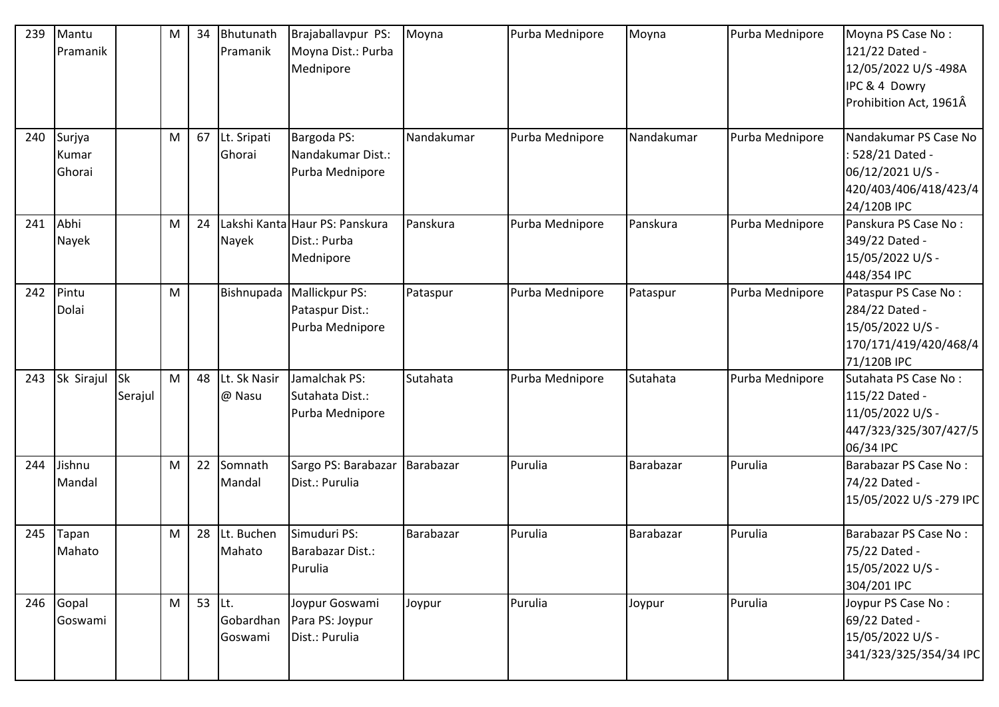| 239 | Mantu<br>Pramanik         |                      | M | 34 | Bhutunath<br>Pramanik       | Brajaballavpur PS:<br>Moyna Dist.: Purba<br>Mednipore             | Moyna      | Purba Mednipore | Moyna      | Purba Mednipore | Moyna PS Case No:<br>121/22 Dated -<br>12/05/2022 U/S-498A<br>IPC & 4 Dowry<br>Prohibition Act, 1961Â |
|-----|---------------------------|----------------------|---|----|-----------------------------|-------------------------------------------------------------------|------------|-----------------|------------|-----------------|-------------------------------------------------------------------------------------------------------|
| 240 | Surjya<br>Kumar<br>Ghorai |                      | M | 67 | Lt. Sripati<br>Ghorai       | Bargoda PS:<br>Nandakumar Dist.:<br>Purba Mednipore               | Nandakumar | Purba Mednipore | Nandakumar | Purba Mednipore | Nandakumar PS Case No<br>: 528/21 Dated -<br>06/12/2021 U/S -<br>420/403/406/418/423/4<br>24/120B IPC |
| 241 | Abhi<br>Nayek             |                      | M | 24 | Nayek                       | Lakshi Kanta Haur PS: Panskura<br>Dist.: Purba<br>Mednipore       | Panskura   | Purba Mednipore | Panskura   | Purba Mednipore | Panskura PS Case No:<br>349/22 Dated -<br>15/05/2022 U/S -<br>448/354 IPC                             |
| 242 | Pintu<br>Dolai            |                      | M |    |                             | Bishnupada   Mallickpur PS:<br>Pataspur Dist.:<br>Purba Mednipore | Pataspur   | Purba Mednipore | Pataspur   | Purba Mednipore | Pataspur PS Case No:<br>284/22 Dated -<br>15/05/2022 U/S -<br>170/171/419/420/468/4<br>71/120B IPC    |
| 243 | Sk Sirajul                | <b>Sk</b><br>Serajul | M | 48 | Lt. Sk Nasir<br>@ Nasu      | Jamalchak PS:<br>Sutahata Dist.:<br>Purba Mednipore               | Sutahata   | Purba Mednipore | Sutahata   | Purba Mednipore | Sutahata PS Case No:<br>115/22 Dated -<br>11/05/2022 U/S -<br>447/323/325/307/427/5<br>06/34 IPC      |
| 244 | Jishnu<br>Mandal          |                      | M | 22 | Somnath<br>Mandal           | Sargo PS: Barabazar<br>Dist.: Purulia                             | Barabazar  | Purulia         | Barabazar  | Purulia         | Barabazar PS Case No:<br>74/22 Dated -<br>15/05/2022 U/S-279 IPC                                      |
| 245 | Tapan<br>Mahato           |                      | M | 28 | Lt. Buchen<br>Mahato        | Simuduri PS:<br>Barabazar Dist.:<br>Purulia                       | Barabazar  | Purulia         | Barabazar  | Purulia         | Barabazar PS Case No:<br>75/22 Dated -<br>15/05/2022 U/S -<br>304/201 IPC                             |
| 246 | Gopal<br>Goswami          |                      | M | 53 | Lt.<br>Gobardhan<br>Goswami | Joypur Goswami<br>Para PS: Joypur<br>Dist.: Purulia               | Joypur     | Purulia         | Joypur     | Purulia         | Joypur PS Case No:<br>69/22 Dated -<br>15/05/2022 U/S -<br>341/323/325/354/34 IPC                     |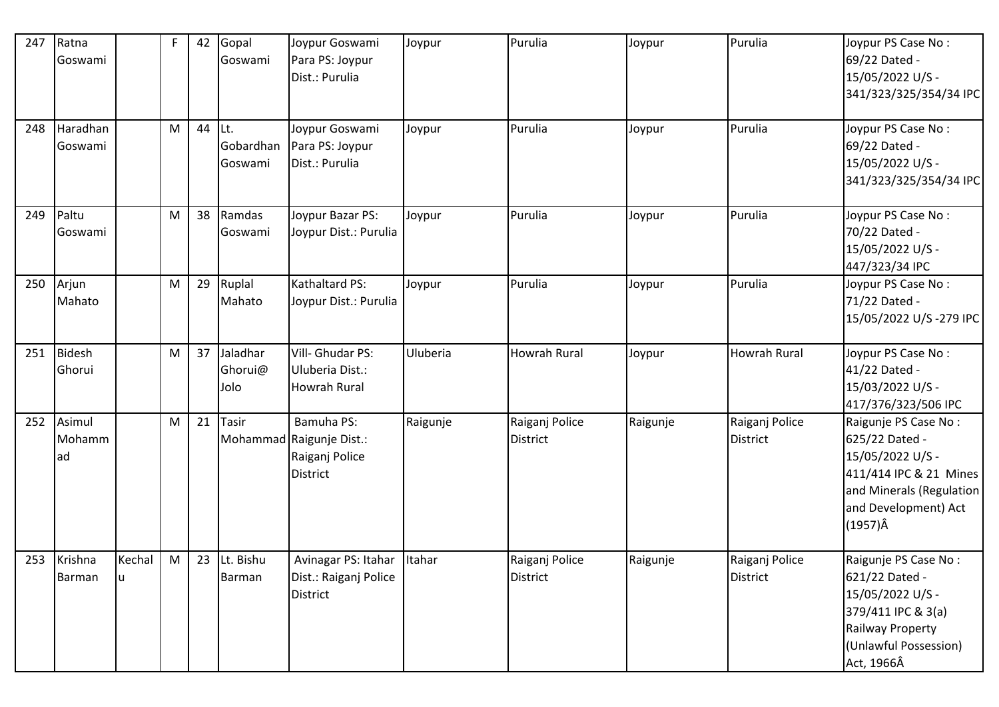| 247 | Ratna<br>Goswami       |              | $\mathsf{F}$ | 42 | Gopal<br>Goswami            | Joypur Goswami<br>Para PS: Joypur<br>Dist.: Purulia                         | Joypur   | Purulia                           | Joypur   | Purulia                           | Joypur PS Case No:<br>69/22 Dated -<br>15/05/2022 U/S -<br>341/323/325/354/34 IPC                                                                           |
|-----|------------------------|--------------|--------------|----|-----------------------------|-----------------------------------------------------------------------------|----------|-----------------------------------|----------|-----------------------------------|-------------------------------------------------------------------------------------------------------------------------------------------------------------|
| 248 | Haradhan<br>Goswami    |              | M            | 44 | Lt.<br>Gobardhan<br>Goswami | Joypur Goswami<br>Para PS: Joypur<br>Dist.: Purulia                         | Joypur   | Purulia                           | Joypur   | Purulia                           | Joypur PS Case No:<br>69/22 Dated -<br>15/05/2022 U/S -<br>341/323/325/354/34 IPC                                                                           |
| 249 | Paltu<br>Goswami       |              | M            | 38 | Ramdas<br>Goswami           | Joypur Bazar PS:<br>Joypur Dist.: Purulia                                   | Joypur   | Purulia                           | Joypur   | Purulia                           | Joypur PS Case No:<br>70/22 Dated -<br>15/05/2022 U/S -<br>447/323/34 IPC                                                                                   |
| 250 | Arjun<br>Mahato        |              | M            | 29 | Ruplal<br>Mahato            | Kathaltard PS:<br>Joypur Dist.: Purulia                                     | Joypur   | Purulia                           | Joypur   | Purulia                           | Joypur PS Case No:<br>71/22 Dated -<br>15/05/2022 U/S-279 IPC                                                                                               |
| 251 | Bidesh<br>Ghorui       |              | M            | 37 | Jaladhar<br>Ghorui@<br>Jolo | Vill- Ghudar PS:<br>Uluberia Dist.:<br><b>Howrah Rural</b>                  | Uluberia | <b>Howrah Rural</b>               | Joypur   | <b>Howrah Rural</b>               | Joypur PS Case No:<br>41/22 Dated -<br>15/03/2022 U/S -<br>417/376/323/506 IPC                                                                              |
| 252 | Asimul<br>Mohamm<br>ad |              | M            | 21 | <b>Tasir</b>                | Bamuha PS:<br>Mohammad Raigunje Dist.:<br>Raiganj Police<br><b>District</b> | Raigunje | Raiganj Police<br><b>District</b> | Raigunje | Raiganj Police<br><b>District</b> | Raigunje PS Case No:<br>625/22 Dated -<br>15/05/2022 U/S -<br>411/414 IPC & 21 Mines<br>and Minerals (Regulation<br>and Development) Act<br>$(1957)\hat{A}$ |
|     | 253 Krishna<br>Barman  | Kechal<br>lu | M            | 23 | Lt. Bishu<br>Barman         | Avinagar PS: Itahar Itahar<br>Dist.: Raiganj Police<br><b>District</b>      |          | Raiganj Police<br><b>District</b> | Raigunje | Raiganj Police<br><b>District</b> | Raigunje PS Case No:<br>621/22 Dated -<br>15/05/2022 U/S -<br>379/411 IPC & 3(a)<br>Railway Property<br>(Unlawful Possession)<br>Act, 1966Â                 |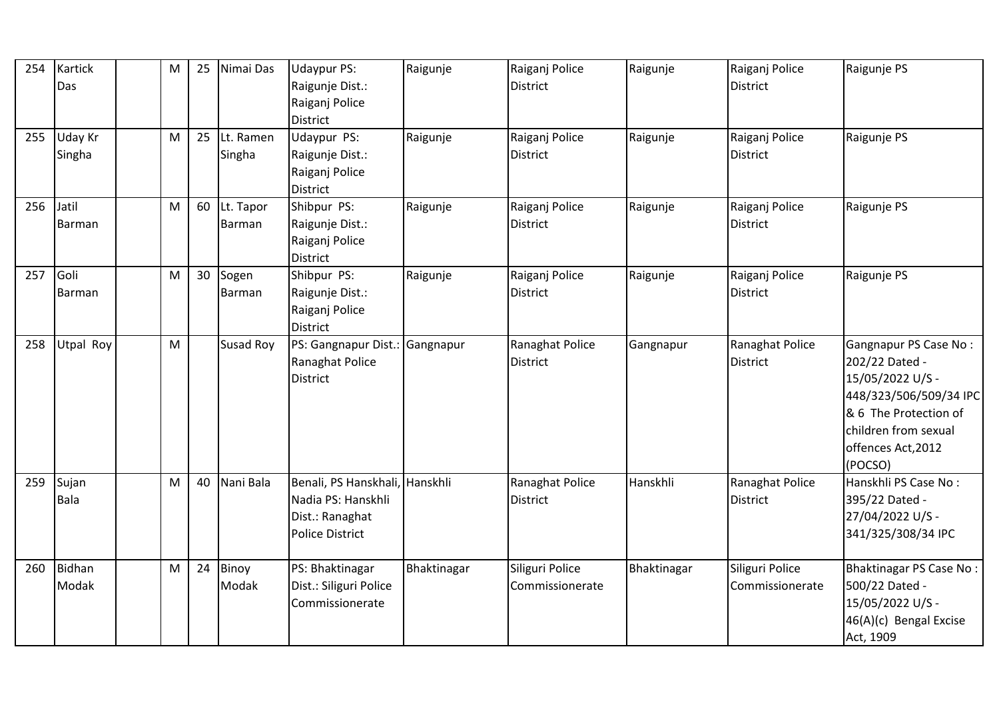| 254 | Kartick<br>Das    | M         | 25 | Nimai Das           | Udaypur PS:<br>Raigunje Dist.:<br>Raiganj Police<br>District                                      | Raigunje    | Raiganj Police<br><b>District</b>  | Raigunje    | Raiganj Police<br><b>District</b>  | Raigunje PS                                                                                                                                                             |
|-----|-------------------|-----------|----|---------------------|---------------------------------------------------------------------------------------------------|-------------|------------------------------------|-------------|------------------------------------|-------------------------------------------------------------------------------------------------------------------------------------------------------------------------|
| 255 | Uday Kr<br>Singha | M         | 25 | Lt. Ramen<br>Singha | Udaypur PS:<br>Raigunje Dist.:<br>Raiganj Police<br>District                                      | Raigunje    | Raiganj Police<br><b>District</b>  | Raigunje    | Raiganj Police<br>District         | Raigunje PS                                                                                                                                                             |
| 256 | Jatil<br>Barman   | M         | 60 | Lt. Tapor<br>Barman | Shibpur PS:<br>Raigunje Dist.:<br>Raiganj Police<br><b>District</b>                               | Raigunje    | Raiganj Police<br><b>District</b>  | Raigunje    | Raiganj Police<br>District         | Raigunje PS                                                                                                                                                             |
| 257 | Goli<br>Barman    | M         | 30 | Sogen<br>Barman     | Shibpur PS:<br>Raigunje Dist.:<br>Raiganj Police<br><b>District</b>                               | Raigunje    | Raiganj Police<br><b>District</b>  | Raigunje    | Raiganj Police<br><b>District</b>  | Raigunje PS                                                                                                                                                             |
| 258 | Utpal Roy         | ${\sf M}$ |    | Susad Roy           | PS: Gangnapur Dist.: Gangnapur<br>Ranaghat Police<br><b>District</b>                              |             | Ranaghat Police<br><b>District</b> | Gangnapur   | Ranaghat Police<br><b>District</b> | Gangnapur PS Case No:<br>202/22 Dated -<br>15/05/2022 U/S -<br>448/323/506/509/34 IPC<br>& 6 The Protection of<br>children from sexual<br>offences Act, 2012<br>(POCSO) |
| 259 | Sujan<br>Bala     | M         | 40 | Nani Bala           | Benali, PS Hanskhali, Hanskhli<br>Nadia PS: Hanskhli<br>Dist.: Ranaghat<br><b>Police District</b> |             | Ranaghat Police<br><b>District</b> | Hanskhli    | Ranaghat Police<br>District        | Hanskhli PS Case No:<br>395/22 Dated -<br>27/04/2022 U/S -<br>341/325/308/34 IPC                                                                                        |
| 260 | Bidhan<br>Modak   | M         | 24 | Binoy<br>Modak      | PS: Bhaktinagar<br>Dist.: Siliguri Police<br>Commissionerate                                      | Bhaktinagar | Siliguri Police<br>Commissionerate | Bhaktinagar | Siliguri Police<br>Commissionerate | Bhaktinagar PS Case No:<br>500/22 Dated -<br>15/05/2022 U/S -<br>46(A)(c) Bengal Excise<br>Act, 1909                                                                    |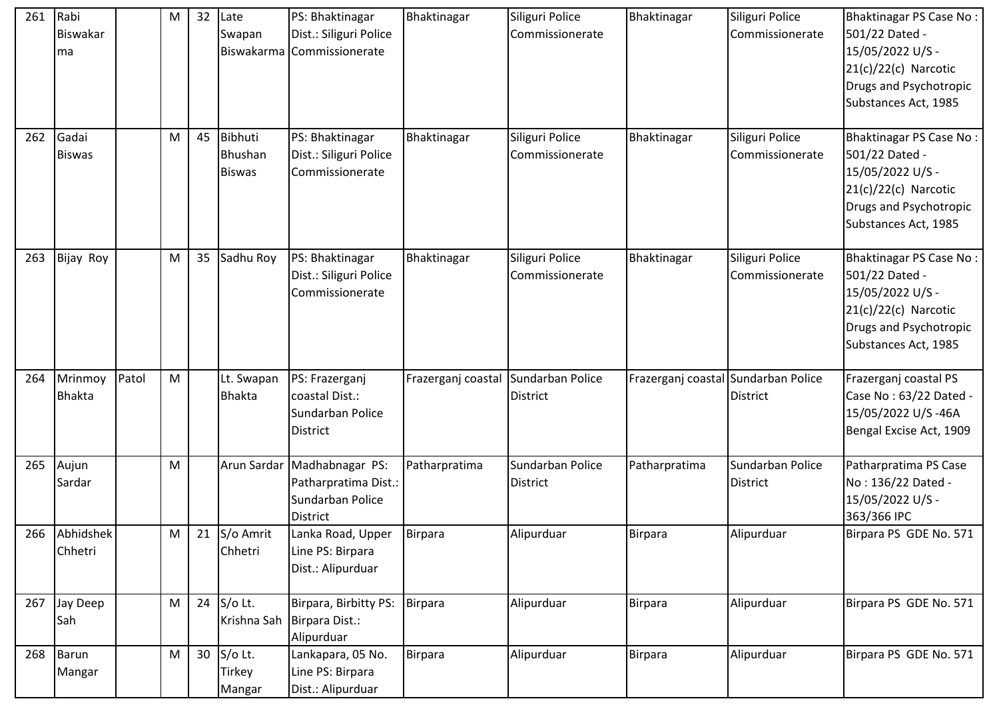| 261 | Rabi<br><b>Biswakar</b><br>ma |       | M         | 32 | Late<br>Swapan<br>Biswakarma        | PS: Bhaktinagar<br>Dist.: Siliguri Police<br>Commissionerate                        | Bhaktinagar                         | Siliguri Police<br>Commissionerate  | Bhaktinagar                         | Siliguri Police<br>Commissionerate  | Bhaktinagar PS Case No:<br>501/22 Dated -<br>15/05/2022 U/S -<br>$21(c)/22(c)$ Narcotic<br>Drugs and Psychotropic<br>Substances Act, 1985 |
|-----|-------------------------------|-------|-----------|----|-------------------------------------|-------------------------------------------------------------------------------------|-------------------------------------|-------------------------------------|-------------------------------------|-------------------------------------|-------------------------------------------------------------------------------------------------------------------------------------------|
| 262 | Gadai<br><b>Biswas</b>        |       | М         | 45 | Bibhuti<br>Bhushan<br><b>Biswas</b> | PS: Bhaktinagar<br>Dist.: Siliguri Police<br>Commissionerate                        | Bhaktinagar                         | Siliguri Police<br>Commissionerate  | Bhaktinagar                         | Siliguri Police<br>Commissionerate  | Bhaktinagar PS Case No:<br>501/22 Dated -<br>15/05/2022 U/S -<br>$21(c)/22(c)$ Narcotic<br>Drugs and Psychotropic<br>Substances Act, 1985 |
| 263 | Bijay Roy                     |       | ${\sf M}$ | 35 | Sadhu Roy                           | PS: Bhaktinagar<br>Dist.: Siliguri Police<br>Commissionerate                        | Bhaktinagar                         | Siliguri Police<br>Commissionerate  | Bhaktinagar                         | Siliguri Police<br>Commissionerate  | Bhaktinagar PS Case No:<br>501/22 Dated -<br>15/05/2022 U/S -<br>$21(c)/22(c)$ Narcotic<br>Drugs and Psychotropic<br>Substances Act, 1985 |
| 264 | Mrinmoy<br><b>Bhakta</b>      | Patol | ${\sf M}$ |    | Lt. Swapan<br><b>Bhakta</b>         | PS: Frazerganj<br>coastal Dist.:<br>Sundarban Police<br><b>District</b>             | Frazerganj coastal Sundarban Police | <b>District</b>                     | Frazerganj coastal Sundarban Police | <b>District</b>                     | Frazerganj coastal PS<br>Case No: 63/22 Dated -<br>15/05/2022 U/S-46A<br>Bengal Excise Act, 1909                                          |
| 265 | Aujun<br>Sardar               |       | ${\sf M}$ |    |                                     | Arun Sardar Madhabnagar PS:<br>Patharpratima Dist.:<br>Sundarban Police<br>District | Patharpratima                       | Sundarban Police<br><b>District</b> | Patharpratima                       | Sundarban Police<br><b>District</b> | Patharpratima PS Case<br>No: 136/22 Dated -<br>15/05/2022 U/S -<br>363/366 IPC                                                            |
| 266 | Abhidshek<br>Chhetri          |       | M         | 21 | S/o Amrit<br>Chhetri                | Lanka Road, Upper<br>Line PS: Birpara<br>Dist.: Alipurduar                          | Birpara                             | Alipurduar                          | <b>Birpara</b>                      | Alipurduar                          | Birpara PS GDE No. 571                                                                                                                    |
| 267 | Jay Deep<br>Sah               |       | ${\sf M}$ | 24 | S/o Lt.                             | Birpara, Birbitty PS:<br>Krishna Sah Birpara Dist.:<br>Alipurduar                   | Birpara                             | Alipurduar                          | Birpara                             | Alipurduar                          | Birpara PS GDE No. 571                                                                                                                    |
| 268 | Barun<br>Mangar               |       | M         | 30 | S/o Lt.<br>Tirkey<br>Mangar         | Lankapara, 05 No.<br>Line PS: Birpara<br>Dist.: Alipurduar                          | Birpara                             | Alipurduar                          | <b>Birpara</b>                      | Alipurduar                          | Birpara PS GDE No. 571                                                                                                                    |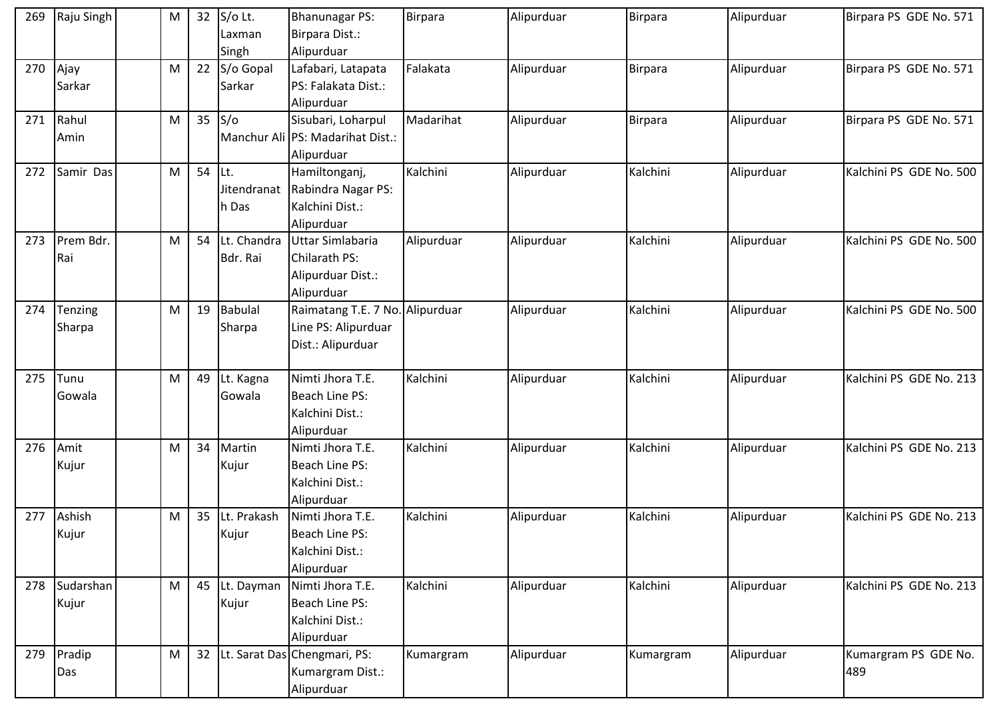| 269 | Raju Singh         | M | 32              | S/o Lt.<br>Laxman            | <b>Bhanunagar PS:</b><br>Birpara Dist.:                                     | Birpara    | Alipurduar | Birpara   | Alipurduar | Birpara PS GDE No. 571      |
|-----|--------------------|---|-----------------|------------------------------|-----------------------------------------------------------------------------|------------|------------|-----------|------------|-----------------------------|
|     |                    |   |                 | Singh                        | Alipurduar                                                                  |            |            |           |            |                             |
| 270 | Ajay<br>Sarkar     | M | 22              | S/o Gopal<br>Sarkar          | Lafabari, Latapata<br>PS: Falakata Dist.:                                   | Falakata   | Alipurduar | Birpara   | Alipurduar | Birpara PS GDE No. 571      |
|     |                    |   |                 |                              | Alipurduar                                                                  |            |            |           |            |                             |
| 271 | Rahul              | M | 35              | $S/\circ$                    | Sisubari, Loharpul                                                          | Madarihat  | Alipurduar | Birpara   | Alipurduar | Birpara PS GDE No. 571      |
|     | Amin               |   |                 |                              | Manchur Ali IPS: Madarihat Dist.:<br>Alipurduar                             |            |            |           |            |                             |
| 272 | Samir Das          | M | 54              | ILt.<br>Jitendranat<br>h Das | Hamiltonganj,<br>Rabindra Nagar PS:<br>Kalchini Dist.:<br>Alipurduar        | Kalchini   | Alipurduar | Kalchini  | Alipurduar | Kalchini PS GDE No. 500     |
| 273 | Prem Bdr.<br>Rai   | M | 54              | Lt. Chandra<br>Bdr. Rai      | Uttar Simlabaria<br>Chilarath PS:<br>Alipurduar Dist.:<br>Alipurduar        | Alipurduar | Alipurduar | Kalchini  | Alipurduar | Kalchini PS GDE No. 500     |
| 274 | Tenzing<br>Sharpa  | M | 19              | <b>Babulal</b><br>Sharpa     | Raimatang T.E. 7 No. Alipurduar<br>Line PS: Alipurduar<br>Dist.: Alipurduar |            | Alipurduar | Kalchini  | Alipurduar | Kalchini PS GDE No. 500     |
| 275 | Tunu<br>Gowala     | M | 49              | Lt. Kagna<br>Gowala          | Nimti Jhora T.E.<br>Beach Line PS:<br>Kalchini Dist.:<br>Alipurduar         | Kalchini   | Alipurduar | Kalchini  | Alipurduar | Kalchini PS GDE No. 213     |
| 276 | Amit<br>Kujur      | M | 34              | Martin<br>Kujur              | Nimti Jhora T.E.<br>Beach Line PS:<br>Kalchini Dist.:<br>Alipurduar         | Kalchini   | Alipurduar | Kalchini  | Alipurduar | Kalchini PS GDE No. 213     |
| 277 | Ashish<br>Kujur    | M | 35              | Lt. Prakash<br>Kujur         | Nimti Jhora T.E.<br>Beach Line PS:<br>Kalchini Dist.:<br>Alipurduar         | Kalchini   | Alipurduar | Kalchini  | Alipurduar | Kalchini PS GDE No. 213     |
| 278 | Sudarshan<br>Kujur | M |                 | 45 Lt. Dayman<br>Kujur       | Nimti Jhora T.E.<br>Beach Line PS:<br>Kalchini Dist.:<br>Alipurduar         | Kalchini   | Alipurduar | Kalchini  | Alipurduar | Kalchini PS GDE No. 213     |
| 279 | Pradip<br>Das      | M | 32 <sup>2</sup> |                              | Lt. Sarat Das Chengmari, PS:<br>Kumargram Dist.:<br>Alipurduar              | Kumargram  | Alipurduar | Kumargram | Alipurduar | Kumargram PS GDE No.<br>489 |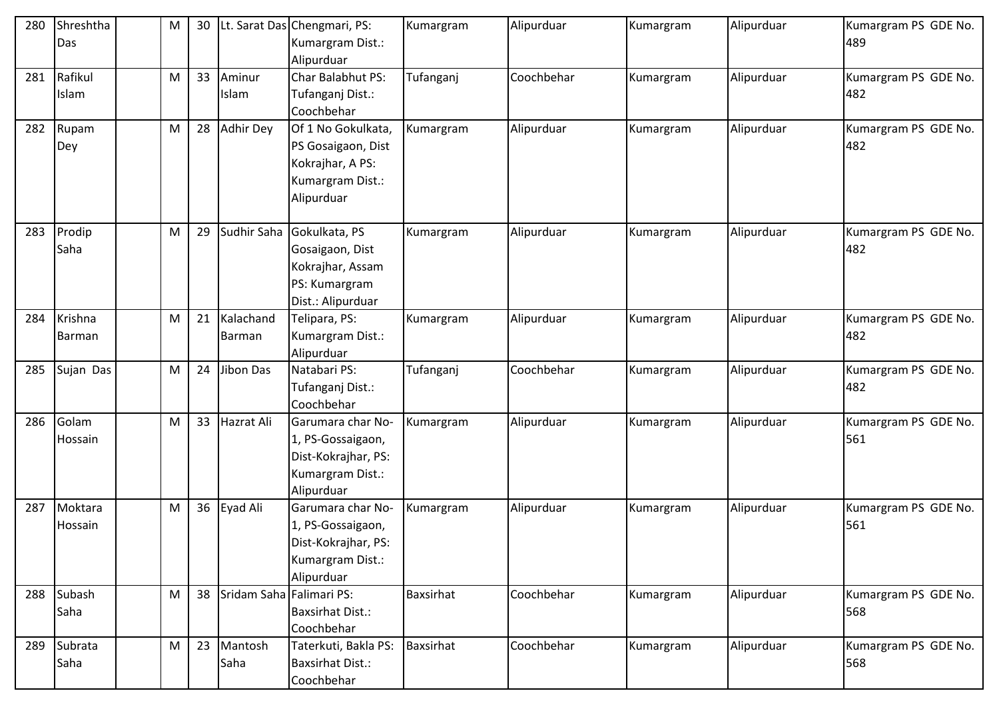| 280 | Shreshtha | M | 30 |                          | Lt. Sarat Das Chengmari, PS: | Kumargram        | Alipurduar | Kumargram | Alipurduar | Kumargram PS GDE No. |
|-----|-----------|---|----|--------------------------|------------------------------|------------------|------------|-----------|------------|----------------------|
|     | Das       |   |    |                          | Kumargram Dist.:             |                  |            |           |            | 489                  |
|     |           |   |    |                          | Alipurduar                   |                  |            |           |            |                      |
| 281 | Rafikul   | M | 33 | Aminur                   | Char Balabhut PS:            | Tufanganj        | Coochbehar | Kumargram | Alipurduar | Kumargram PS GDE No. |
|     | Islam     |   |    | Islam                    | Tufanganj Dist.:             |                  |            |           |            | 482                  |
|     |           |   |    |                          | Coochbehar                   |                  |            |           |            |                      |
| 282 | Rupam     | M | 28 | <b>Adhir Dey</b>         | Of 1 No Gokulkata,           | Kumargram        | Alipurduar | Kumargram | Alipurduar | Kumargram PS GDE No. |
|     | Dey       |   |    |                          | PS Gosaigaon, Dist           |                  |            |           |            | 482                  |
|     |           |   |    |                          | Kokrajhar, A PS:             |                  |            |           |            |                      |
|     |           |   |    |                          | Kumargram Dist.:             |                  |            |           |            |                      |
|     |           |   |    |                          | Alipurduar                   |                  |            |           |            |                      |
|     |           |   |    |                          |                              |                  |            |           |            |                      |
| 283 | Prodip    | M | 29 | Sudhir Saha              | Gokulkata, PS                | Kumargram        | Alipurduar | Kumargram | Alipurduar | Kumargram PS GDE No. |
|     | Saha      |   |    |                          | Gosaigaon, Dist              |                  |            |           |            | 482                  |
|     |           |   |    |                          | Kokrajhar, Assam             |                  |            |           |            |                      |
|     |           |   |    |                          | PS: Kumargram                |                  |            |           |            |                      |
|     |           |   |    |                          | Dist.: Alipurduar            |                  |            |           |            |                      |
| 284 | Krishna   | M | 21 | Kalachand                | Telipara, PS:                | Kumargram        | Alipurduar | Kumargram | Alipurduar | Kumargram PS GDE No. |
|     | Barman    |   |    | <b>Barman</b>            | Kumargram Dist.:             |                  |            |           |            | 482                  |
|     |           |   |    |                          | Alipurduar                   |                  |            |           |            |                      |
| 285 | Sujan Das | M | 24 | <b>Jibon Das</b>         | Natabari PS:                 | Tufanganj        | Coochbehar | Kumargram | Alipurduar | Kumargram PS GDE No. |
|     |           |   |    |                          | Tufanganj Dist.:             |                  |            |           |            | 482                  |
|     |           |   |    |                          | Coochbehar                   |                  |            |           |            |                      |
| 286 | Golam     | M | 33 | Hazrat Ali               | Garumara char No-            | Kumargram        | Alipurduar | Kumargram | Alipurduar | Kumargram PS GDE No. |
|     | Hossain   |   |    |                          | 1, PS-Gossaigaon,            |                  |            |           |            | 561                  |
|     |           |   |    |                          | Dist-Kokrajhar, PS:          |                  |            |           |            |                      |
|     |           |   |    |                          | Kumargram Dist.:             |                  |            |           |            |                      |
|     |           |   |    |                          | Alipurduar                   |                  |            |           |            |                      |
| 287 | Moktara   | M |    | 36 Eyad Ali              | Garumara char No-            | Kumargram        | Alipurduar | Kumargram | Alipurduar | Kumargram PS GDE No. |
|     | Hossain   |   |    |                          | 1, PS-Gossaigaon,            |                  |            |           |            | 561                  |
|     |           |   |    |                          | Dist-Kokrajhar, PS:          |                  |            |           |            |                      |
|     |           |   |    |                          | Kumargram Dist.:             |                  |            |           |            |                      |
|     |           |   |    |                          | Alipurduar                   |                  |            |           |            |                      |
| 288 | Subash    | M | 38 | Sridam Saha Falimari PS: |                              | <b>Baxsirhat</b> | Coochbehar | Kumargram | Alipurduar | Kumargram PS GDE No. |
|     | Saha      |   |    |                          | <b>Baxsirhat Dist.:</b>      |                  |            |           |            | 568                  |
|     |           |   |    |                          | Coochbehar                   |                  |            |           |            |                      |
| 289 | Subrata   | M | 23 | Mantosh                  | Taterkuti, Bakla PS:         | Baxsirhat        | Coochbehar | Kumargram | Alipurduar | Kumargram PS GDE No. |
|     | Saha      |   |    | Saha                     | <b>Baxsirhat Dist.:</b>      |                  |            |           |            | 568                  |
|     |           |   |    |                          | Coochbehar                   |                  |            |           |            |                      |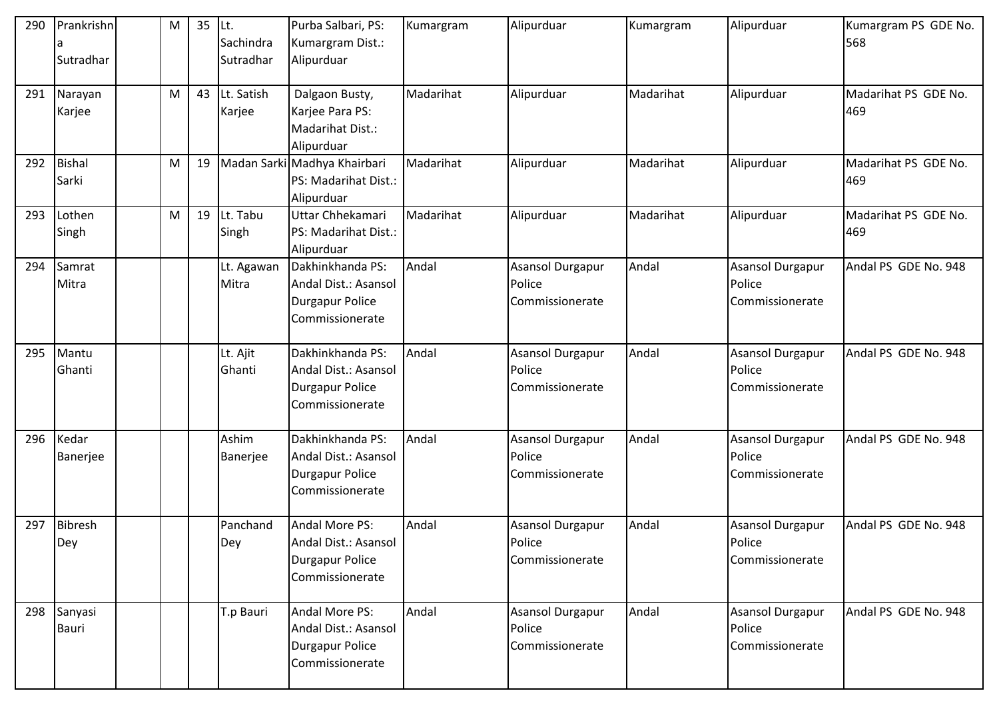| 290 | Prankrishn<br>Sutradhar | M | 35 | Lt.<br>Sachindra<br>Sutradhar | Purba Salbari, PS:<br>Kumargram Dist.:<br>Alipurduar                                  | Kumargram | Alipurduar                                           | Kumargram | Alipurduar                                           | Kumargram PS GDE No.<br>568 |
|-----|-------------------------|---|----|-------------------------------|---------------------------------------------------------------------------------------|-----------|------------------------------------------------------|-----------|------------------------------------------------------|-----------------------------|
| 291 | Narayan<br>Karjee       | M | 43 | Lt. Satish<br>Karjee          | Dalgaon Busty,<br>Karjee Para PS:<br>Madarihat Dist.:<br>Alipurduar                   | Madarihat | Alipurduar                                           | Madarihat | Alipurduar                                           | Madarihat PS GDE No.<br>469 |
| 292 | <b>Bishal</b><br>Sarki  | M | 19 |                               | Madan Sarki Madhya Khairbari<br>PS: Madarihat Dist.:<br>Alipurduar                    | Madarihat | Alipurduar                                           | Madarihat | Alipurduar                                           | Madarihat PS GDE No.<br>469 |
| 293 | Lothen<br>Singh         | M | 19 | Lt. Tabu<br>Singh             | Uttar Chhekamari<br>PS: Madarihat Dist.:<br>Alipurduar                                | Madarihat | Alipurduar                                           | Madarihat | Alipurduar                                           | Madarihat PS GDE No.<br>469 |
| 294 | Samrat<br>Mitra         |   |    | Lt. Agawan<br>Mitra           | Dakhinkhanda PS:<br>Andal Dist.: Asansol<br><b>Durgapur Police</b><br>Commissionerate | Andal     | <b>Asansol Durgapur</b><br>Police<br>Commissionerate | Andal     | <b>Asansol Durgapur</b><br>Police<br>Commissionerate | Andal PS GDE No. 948        |
| 295 | Mantu<br>Ghanti         |   |    | Lt. Ajit<br>Ghanti            | Dakhinkhanda PS:<br>Andal Dist.: Asansol<br><b>Durgapur Police</b><br>Commissionerate | Andal     | <b>Asansol Durgapur</b><br>Police<br>Commissionerate | Andal     | <b>Asansol Durgapur</b><br>Police<br>Commissionerate | Andal PS GDE No. 948        |
| 296 | Kedar<br>Banerjee       |   |    | Ashim<br>Banerjee             | Dakhinkhanda PS:<br>Andal Dist.: Asansol<br><b>Durgapur Police</b><br>Commissionerate | Andal     | <b>Asansol Durgapur</b><br>Police<br>Commissionerate | Andal     | <b>Asansol Durgapur</b><br>Police<br>Commissionerate | Andal PS GDE No. 948        |
| 297 | <b>Bibresh</b><br>Dey   |   |    | Panchand<br>Dey               | Andal More PS:<br>Andal Dist.: Asansol<br><b>Durgapur Police</b><br>Commissionerate   | Andal     | <b>Asansol Durgapur</b><br>Police<br>Commissionerate | Andal     | <b>Asansol Durgapur</b><br>Police<br>Commissionerate | Andal PS GDE No. 948        |
| 298 | Sanyasi<br>Bauri        |   |    | T.p Bauri                     | Andal More PS:<br>Andal Dist.: Asansol<br><b>Durgapur Police</b><br>Commissionerate   | Andal     | Asansol Durgapur<br>Police<br>Commissionerate        | Andal     | Asansol Durgapur<br>Police<br>Commissionerate        | Andal PS GDE No. 948        |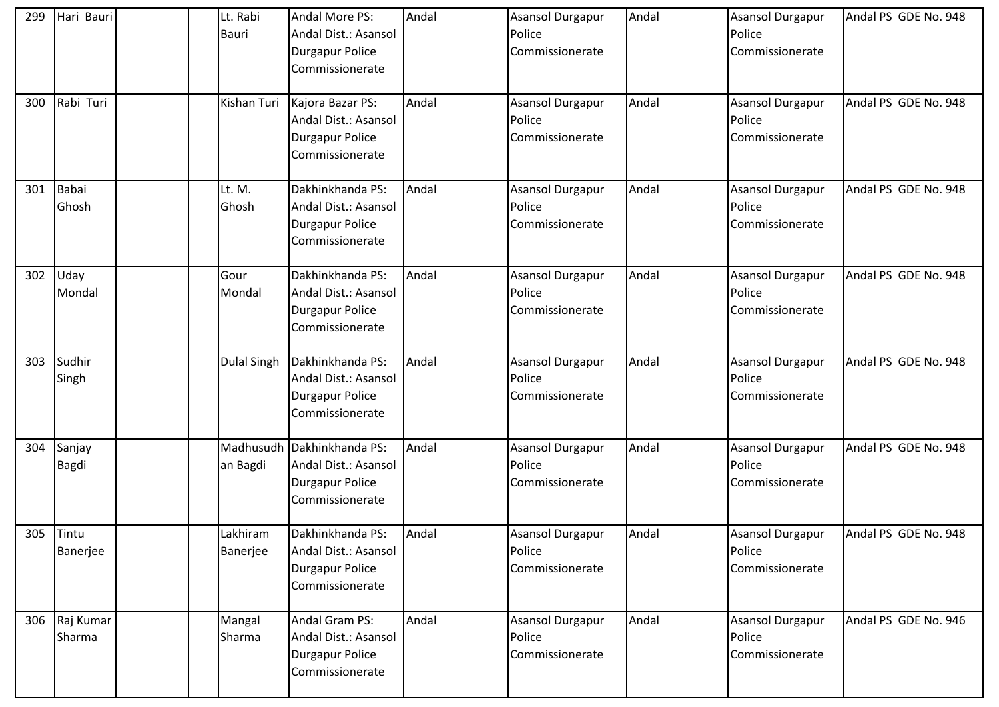| 299 | Hari Bauri    | Lt. Rabi           | Andal More PS:                     | Andal | <b>Asansol Durgapur</b>    | Andal | <b>Asansol Durgapur</b> | Andal PS GDE No. 948 |
|-----|---------------|--------------------|------------------------------------|-------|----------------------------|-------|-------------------------|----------------------|
|     |               | <b>Bauri</b>       | Andal Dist.: Asansol               |       | Police                     |       | Police                  |                      |
|     |               |                    | <b>Durgapur Police</b>             |       | Commissionerate            |       | Commissionerate         |                      |
|     |               |                    | Commissionerate                    |       |                            |       |                         |                      |
|     |               |                    |                                    |       |                            |       |                         |                      |
| 300 | Rabi Turi     | Kishan Turi        | Kajora Bazar PS:                   | Andal | Asansol Durgapur           | Andal | <b>Asansol Durgapur</b> | Andal PS GDE No. 948 |
|     |               |                    | Andal Dist.: Asansol               |       | Police                     |       | Police                  |                      |
|     |               |                    | Durgapur Police                    |       | Commissionerate            |       | Commissionerate         |                      |
|     |               |                    | Commissionerate                    |       |                            |       |                         |                      |
|     |               |                    |                                    |       |                            |       |                         |                      |
| 301 | Babai         | Lt. M.             | Dakhinkhanda PS:                   | Andal | <b>Asansol Durgapur</b>    | Andal | <b>Asansol Durgapur</b> | Andal PS GDE No. 948 |
|     | Ghosh         | Ghosh              | Andal Dist.: Asansol               |       | Police                     |       | Police                  |                      |
|     |               |                    | <b>Durgapur Police</b>             |       | Commissionerate            |       | Commissionerate         |                      |
|     |               |                    | Commissionerate                    |       |                            |       |                         |                      |
|     |               |                    |                                    |       |                            |       |                         |                      |
| 302 | Uday          | Gour               | Dakhinkhanda PS:                   | Andal | Asansol Durgapur           | Andal | <b>Asansol Durgapur</b> | Andal PS GDE No. 948 |
|     | Mondal        | Mondal             | Andal Dist.: Asansol               |       | Police                     |       | Police                  |                      |
|     |               |                    | <b>Durgapur Police</b>             |       | Commissionerate            |       | Commissionerate         |                      |
|     |               |                    | Commissionerate                    |       |                            |       |                         |                      |
| 303 | Sudhir        | <b>Dulal Singh</b> | Dakhinkhanda PS:                   | Andal | <b>Asansol Durgapur</b>    | Andal | <b>Asansol Durgapur</b> | Andal PS GDE No. 948 |
|     | Singh         |                    | Andal Dist.: Asansol               |       | Police                     |       | Police                  |                      |
|     |               |                    | <b>Durgapur Police</b>             |       | Commissionerate            |       | Commissionerate         |                      |
|     |               |                    | Commissionerate                    |       |                            |       |                         |                      |
|     |               |                    |                                    |       |                            |       |                         |                      |
| 304 | Sanjay        |                    | Madhusudh Dakhinkhanda PS:         | Andal | Asansol Durgapur           | Andal | <b>Asansol Durgapur</b> | Andal PS GDE No. 948 |
|     | Bagdi         | an Bagdi           | Andal Dist.: Asansol               |       | Police                     |       | Police                  |                      |
|     |               |                    | Durgapur Police                    |       | Commissionerate            |       | Commissionerate         |                      |
|     |               |                    | Commissionerate                    |       |                            |       |                         |                      |
|     |               |                    |                                    |       |                            |       |                         |                      |
| 305 | Tintu         | Lakhiram           | Dakhinkhanda PS:                   | Andal | Asansol Durgapur           | Andal | <b>Asansol Durgapur</b> | Andal PS GDE No. 948 |
|     | Banerjee      | Banerjee           | Andal Dist.: Asansol               |       | Police                     |       | Police                  |                      |
|     |               |                    | Durgapur Police                    |       | Commissionerate            |       | Commissionerate         |                      |
|     |               |                    | Commissionerate                    |       |                            |       |                         |                      |
|     | 306 Raj Kumar |                    | Andal Gram PS:                     | Andal |                            | Andal | <b>Asansol Durgapur</b> | Andal PS GDE No. 946 |
|     | Sharma        | Mangal<br>Sharma   | Andal Dist.: Asansol               |       | Asansol Durgapur<br>Police |       | Police                  |                      |
|     |               |                    |                                    |       | Commissionerate            |       | Commissionerate         |                      |
|     |               |                    | Durgapur Police<br>Commissionerate |       |                            |       |                         |                      |
|     |               |                    |                                    |       |                            |       |                         |                      |
|     |               |                    |                                    |       |                            |       |                         |                      |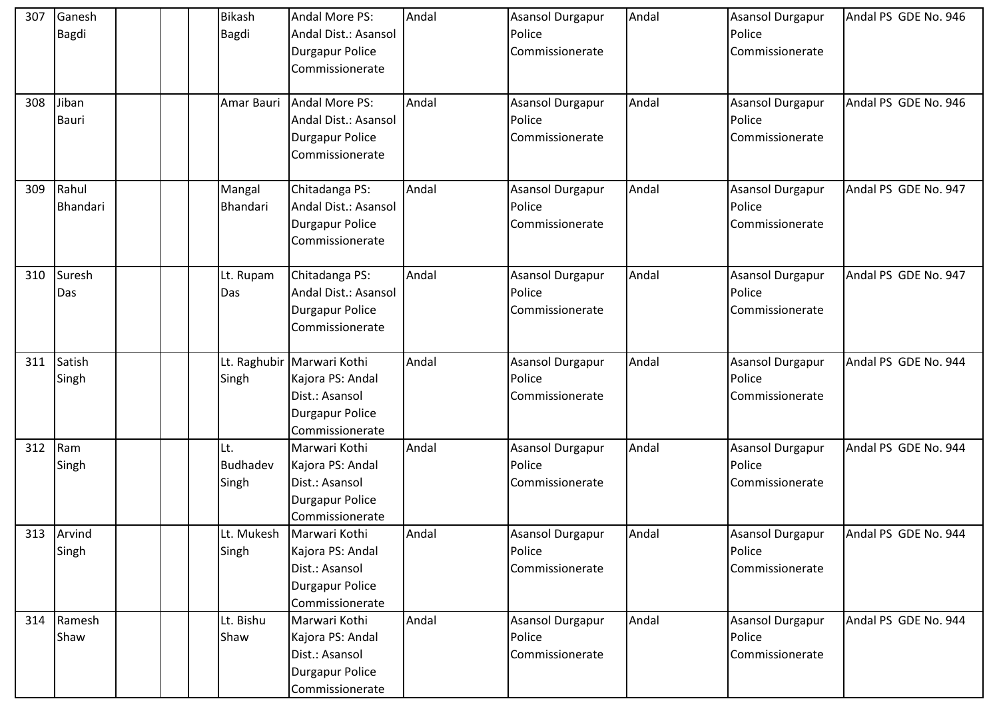| 307 | Ganesh          | <b>Bikash</b>   | Andal More PS:                         | Andal | <b>Asansol Durgapur</b>    | Andal | <b>Asansol Durgapur</b>           | Andal PS GDE No. 946 |
|-----|-----------------|-----------------|----------------------------------------|-------|----------------------------|-------|-----------------------------------|----------------------|
|     | Bagdi           | Bagdi           | Andal Dist.: Asansol                   |       | Police                     |       | Police                            |                      |
|     |                 |                 | <b>Durgapur Police</b>                 |       | Commissionerate            |       | Commissionerate                   |                      |
|     |                 |                 | Commissionerate                        |       |                            |       |                                   |                      |
|     |                 |                 |                                        |       |                            |       |                                   |                      |
| 308 | Jiban           | Amar Bauri      | Andal More PS:                         | Andal | Asansol Durgapur           | Andal | <b>Asansol Durgapur</b>           | Andal PS GDE No. 946 |
|     | <b>Bauri</b>    |                 | Andal Dist.: Asansol                   |       | Police                     |       | Police                            |                      |
|     |                 |                 | <b>Durgapur Police</b>                 |       | Commissionerate            |       | Commissionerate                   |                      |
|     |                 |                 | Commissionerate                        |       |                            |       |                                   |                      |
|     |                 |                 |                                        |       |                            |       |                                   |                      |
| 309 | Rahul           | Mangal          | Chitadanga PS:                         | Andal | <b>Asansol Durgapur</b>    | Andal | <b>Asansol Durgapur</b>           | Andal PS GDE No. 947 |
|     | <b>Bhandari</b> | Bhandari        | Andal Dist.: Asansol                   |       | Police                     |       | Police                            |                      |
|     |                 |                 | <b>Durgapur Police</b>                 |       | Commissionerate            |       | Commissionerate                   |                      |
|     |                 |                 | Commissionerate                        |       |                            |       |                                   |                      |
| 310 | Suresh          |                 |                                        | Andal |                            | Andal |                                   | Andal PS GDE No. 947 |
|     |                 | Lt. Rupam       | Chitadanga PS:<br>Andal Dist.: Asansol |       | Asansol Durgapur<br>Police |       | <b>Asansol Durgapur</b><br>Police |                      |
|     | Das             | Das             |                                        |       |                            |       |                                   |                      |
|     |                 |                 | <b>Durgapur Police</b>                 |       | <b>Commissionerate</b>     |       | Commissionerate                   |                      |
|     |                 |                 | Commissionerate                        |       |                            |       |                                   |                      |
| 311 | Satish          |                 | Lt. Raghubir Marwari Kothi             | Andal | <b>Asansol Durgapur</b>    | Andal | <b>Asansol Durgapur</b>           | Andal PS GDE No. 944 |
|     | Singh           | Singh           | Kajora PS: Andal                       |       | Police                     |       | Police                            |                      |
|     |                 |                 | Dist.: Asansol                         |       | Commissionerate            |       | Commissionerate                   |                      |
|     |                 |                 | <b>Durgapur Police</b>                 |       |                            |       |                                   |                      |
|     |                 |                 | Commissionerate                        |       |                            |       |                                   |                      |
| 312 | Ram             | Lt.             | Marwari Kothi                          | Andal | Asansol Durgapur           | Andal | <b>Asansol Durgapur</b>           | Andal PS GDE No. 944 |
|     | Singh           | <b>Budhadev</b> | Kajora PS: Andal                       |       | Police                     |       | Police                            |                      |
|     |                 | Singh           | Dist.: Asansol                         |       | Commissionerate            |       | Commissionerate                   |                      |
|     |                 |                 | <b>Durgapur Police</b>                 |       |                            |       |                                   |                      |
|     |                 |                 | Commissionerate                        |       |                            |       |                                   |                      |
|     | 313 Arvind      | Lt. Mukesh      | Marwari Kothi                          | Andal | <b>Asansol Durgapur</b>    | Andal | <b>Asansol Durgapur</b>           | Andal PS GDE No. 944 |
|     | Singh           | Singh           | Kajora PS: Andal                       |       | Police                     |       | Police                            |                      |
|     |                 |                 | Dist.: Asansol                         |       | Commissionerate            |       | Commissionerate                   |                      |
|     |                 |                 | <b>Durgapur Police</b>                 |       |                            |       |                                   |                      |
|     |                 |                 | Commissionerate                        |       |                            |       |                                   |                      |
|     | 314 Ramesh      | Lt. Bishu       | Marwari Kothi                          | Andal | Asansol Durgapur           | Andal | <b>Asansol Durgapur</b>           | Andal PS GDE No. 944 |
|     | Shaw            | Shaw            | Kajora PS: Andal                       |       | Police                     |       | Police                            |                      |
|     |                 |                 | Dist.: Asansol                         |       | Commissionerate            |       | Commissionerate                   |                      |
|     |                 |                 | <b>Durgapur Police</b>                 |       |                            |       |                                   |                      |
|     |                 |                 | Commissionerate                        |       |                            |       |                                   |                      |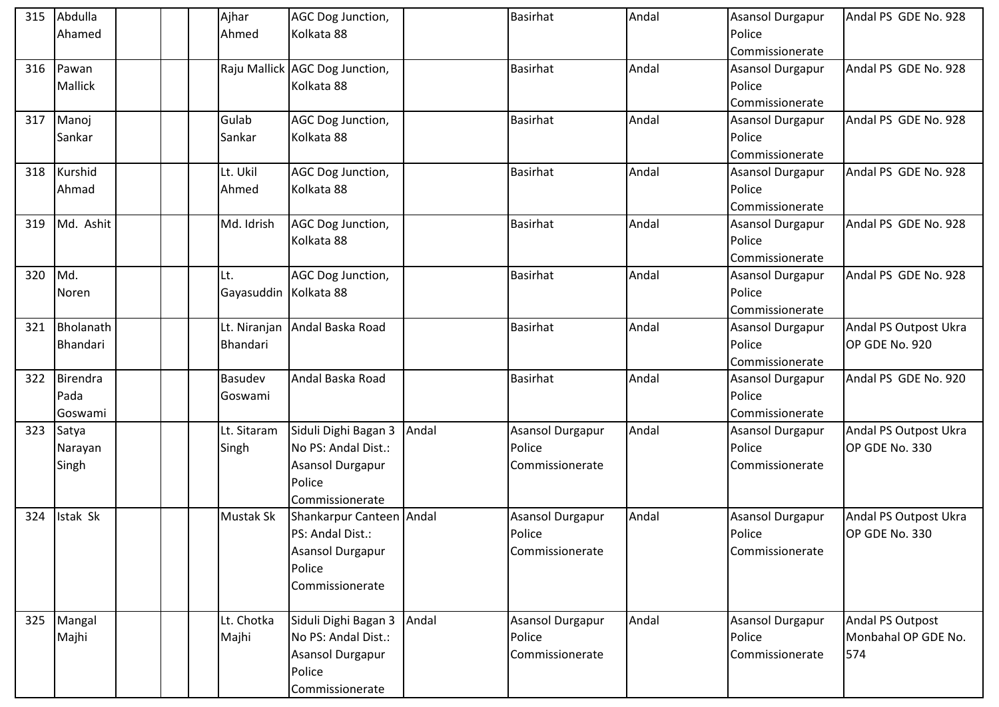| 315 | Abdulla         | Ajhar                   | AGC Dog Junction,              |       | <b>Basirhat</b>  | Andal | <b>Asansol Durgapur</b> | Andal PS GDE No. 928  |
|-----|-----------------|-------------------------|--------------------------------|-------|------------------|-------|-------------------------|-----------------------|
|     | Ahamed          | Ahmed                   | Kolkata 88                     |       |                  |       | Police                  |                       |
|     |                 |                         |                                |       |                  |       | Commissionerate         |                       |
| 316 | Pawan           |                         | Raju Mallick AGC Dog Junction, |       | Basirhat         | Andal | <b>Asansol Durgapur</b> | Andal PS GDE No. 928  |
|     | <b>Mallick</b>  |                         | Kolkata 88                     |       |                  |       | Police                  |                       |
|     |                 |                         |                                |       |                  |       | Commissionerate         |                       |
| 317 | Manoj           | Gulab                   | AGC Dog Junction,              |       | <b>Basirhat</b>  | Andal | <b>Asansol Durgapur</b> | Andal PS GDE No. 928  |
|     | Sankar          | Sankar                  | Kolkata 88                     |       |                  |       | Police                  |                       |
|     |                 |                         |                                |       |                  |       | Commissionerate         |                       |
|     | 318 Kurshid     | Lt. Ukil                | AGC Dog Junction,              |       | <b>Basirhat</b>  | Andal | Asansol Durgapur        | Andal PS GDE No. 928  |
|     | Ahmad           | Ahmed                   | Kolkata 88                     |       |                  |       | Police                  |                       |
|     |                 |                         |                                |       |                  |       | Commissionerate         |                       |
| 319 | Md. Ashit       | Md. Idrish              | AGC Dog Junction,              |       | <b>Basirhat</b>  | Andal | <b>Asansol Durgapur</b> | Andal PS GDE No. 928  |
|     |                 |                         | Kolkata 88                     |       |                  |       | Police                  |                       |
|     |                 |                         |                                |       |                  |       | Commissionerate         |                       |
| 320 | Md.             | Lt.                     | AGC Dog Junction,              |       | <b>Basirhat</b>  | Andal | <b>Asansol Durgapur</b> | Andal PS GDE No. 928  |
|     | Noren           | Gayasuddin   Kolkata 88 |                                |       |                  |       | Police                  |                       |
|     |                 |                         |                                |       |                  |       | Commissionerate         |                       |
| 321 | Bholanath       |                         | Lt. Niranjan Andal Baska Road  |       | <b>Basirhat</b>  | Andal | <b>Asansol Durgapur</b> | Andal PS Outpost Ukra |
|     | Bhandari        | Bhandari                |                                |       |                  |       | Police                  | OP GDE No. 920        |
|     |                 |                         |                                |       |                  |       | Commissionerate         |                       |
| 322 | <b>Birendra</b> | Basudev                 | Andal Baska Road               |       | <b>Basirhat</b>  | Andal | Asansol Durgapur        | Andal PS GDE No. 920  |
|     | Pada            | Goswami                 |                                |       |                  |       | Police                  |                       |
|     | Goswami         |                         |                                |       |                  |       | Commissionerate         |                       |
| 323 | Satya           | Lt. Sitaram             | Siduli Dighi Bagan 3           | Andal | Asansol Durgapur | Andal | <b>Asansol Durgapur</b> | Andal PS Outpost Ukra |
|     | Narayan         | Singh                   | No PS: Andal Dist.:            |       | Police           |       | Police                  | OP GDE No. 330        |
|     | Singh           |                         | Asansol Durgapur               |       | Commissionerate  |       | Commissionerate         |                       |
|     |                 |                         | Police                         |       |                  |       |                         |                       |
|     |                 |                         | <b>Commissionerate</b>         |       |                  |       |                         |                       |
| 324 | Istak Sk        | Mustak Sk               | Shankarpur Canteen Andal       |       | Asansol Durgapur | Andal | <b>Asansol Durgapur</b> | Andal PS Outpost Ukra |
|     |                 |                         | PS: Andal Dist.:               |       | Police           |       | Police                  | OP GDE No. 330        |
|     |                 |                         | Asansol Durgapur               |       | Commissionerate  |       | Commissionerate         |                       |
|     |                 |                         | Police                         |       |                  |       |                         |                       |
|     |                 |                         | Commissionerate                |       |                  |       |                         |                       |
|     |                 |                         |                                |       |                  |       |                         |                       |
|     | 325 Mangal      | Lt. Chotka              | Siduli Dighi Bagan 3 Andal     |       | Asansol Durgapur | Andal | Asansol Durgapur        | Andal PS Outpost      |
|     | Majhi           | Majhi                   | No PS: Andal Dist.:            |       | Police           |       | Police                  | Monbahal OP GDE No.   |
|     |                 |                         | Asansol Durgapur               |       | Commissionerate  |       | Commissionerate         | 574                   |
|     |                 |                         | Police                         |       |                  |       |                         |                       |
|     |                 |                         | Commissionerate                |       |                  |       |                         |                       |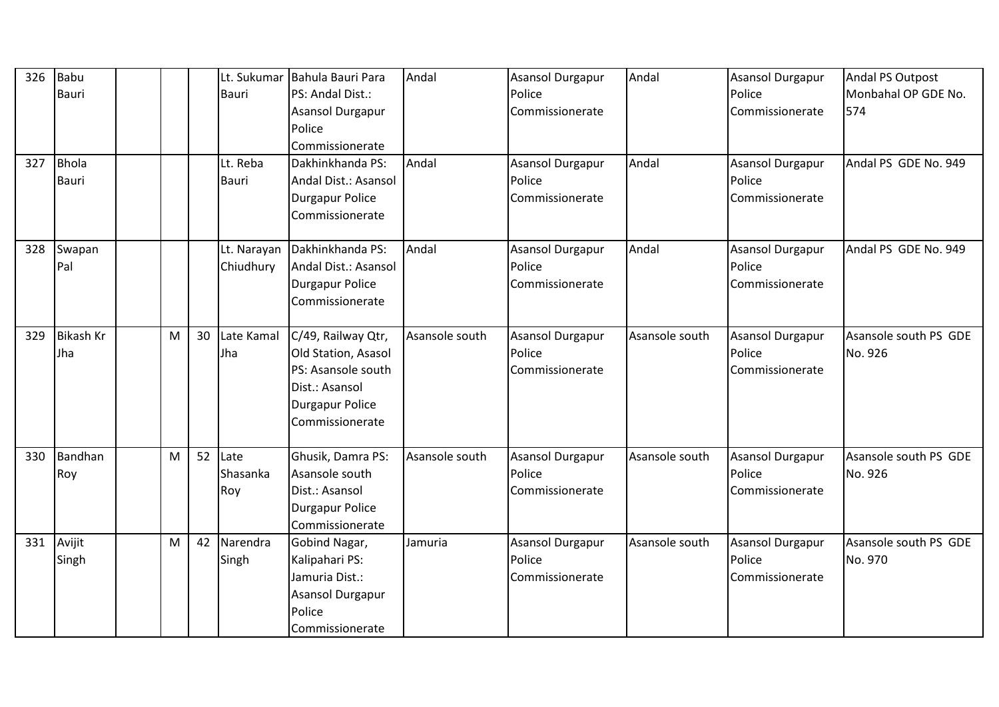| 326 | Babu             |   |    | Lt. Sukumar  | Bahula Bauri Para      | Andal          | <b>Asansol Durgapur</b> | Andal          | <b>Asansol Durgapur</b> | Andal PS Outpost      |
|-----|------------------|---|----|--------------|------------------------|----------------|-------------------------|----------------|-------------------------|-----------------------|
|     | Bauri            |   |    | <b>Bauri</b> | PS: Andal Dist.:       |                | Police                  |                | Police                  | Monbahal OP GDE No.   |
|     |                  |   |    |              | Asansol Durgapur       |                | Commissionerate         |                | Commissionerate         | 574                   |
|     |                  |   |    |              | Police                 |                |                         |                |                         |                       |
|     |                  |   |    |              | Commissionerate        |                |                         |                |                         |                       |
| 327 | <b>Bhola</b>     |   |    | Lt. Reba     | Dakhinkhanda PS:       | Andal          | <b>Asansol Durgapur</b> | Andal          | <b>Asansol Durgapur</b> | Andal PS GDE No. 949  |
|     | <b>Bauri</b>     |   |    | <b>Bauri</b> | Andal Dist.: Asansol   |                | Police                  |                | Police                  |                       |
|     |                  |   |    |              | <b>Durgapur Police</b> |                | Commissionerate         |                | Commissionerate         |                       |
|     |                  |   |    |              | Commissionerate        |                |                         |                |                         |                       |
|     |                  |   |    |              |                        |                |                         |                |                         |                       |
| 328 | Swapan           |   |    | Lt. Narayan  | Dakhinkhanda PS:       | Andal          | <b>Asansol Durgapur</b> | Andal          | <b>Asansol Durgapur</b> | Andal PS GDE No. 949  |
|     | Pal              |   |    | Chiudhury    | Andal Dist.: Asansol   |                | Police                  |                | Police                  |                       |
|     |                  |   |    |              | <b>Durgapur Police</b> |                | Commissionerate         |                | Commissionerate         |                       |
|     |                  |   |    |              | Commissionerate        |                |                         |                |                         |                       |
|     |                  |   |    |              |                        |                |                         |                |                         |                       |
| 329 | <b>Bikash Kr</b> | M | 30 | Late Kamal   | C/49, Railway Qtr,     | Asansole south | <b>Asansol Durgapur</b> | Asansole south | <b>Asansol Durgapur</b> | Asansole south PS GDE |
|     | Jha              |   |    | Jha          | Old Station, Asasol    |                | Police                  |                | Police                  | No. 926               |
|     |                  |   |    |              | PS: Asansole south     |                | Commissionerate         |                | Commissionerate         |                       |
|     |                  |   |    |              | Dist.: Asansol         |                |                         |                |                         |                       |
|     |                  |   |    |              | <b>Durgapur Police</b> |                |                         |                |                         |                       |
|     |                  |   |    |              | Commissionerate        |                |                         |                |                         |                       |
|     |                  |   |    |              |                        |                |                         |                |                         |                       |
| 330 | Bandhan          | M | 52 | Late         | Ghusik, Damra PS:      | Asansole south | <b>Asansol Durgapur</b> | Asansole south | <b>Asansol Durgapur</b> | Asansole south PS GDE |
|     | Roy              |   |    | Shasanka     | Asansole south         |                | Police                  |                | Police                  | No. 926               |
|     |                  |   |    | Roy          | Dist.: Asansol         |                | Commissionerate         |                | Commissionerate         |                       |
|     |                  |   |    |              | <b>Durgapur Police</b> |                |                         |                |                         |                       |
|     |                  |   |    |              | Commissionerate        |                |                         |                |                         |                       |
| 331 | Avijit           | M | 42 | Narendra     | Gobind Nagar,          | Jamuria        | <b>Asansol Durgapur</b> | Asansole south | <b>Asansol Durgapur</b> | Asansole south PS GDE |
|     | Singh            |   |    | Singh        | Kalipahari PS:         |                | Police                  |                | Police                  | No. 970               |
|     |                  |   |    |              | Jamuria Dist.:         |                | Commissionerate         |                | Commissionerate         |                       |
|     |                  |   |    |              | Asansol Durgapur       |                |                         |                |                         |                       |
|     |                  |   |    |              | Police                 |                |                         |                |                         |                       |
|     |                  |   |    |              | Commissionerate        |                |                         |                |                         |                       |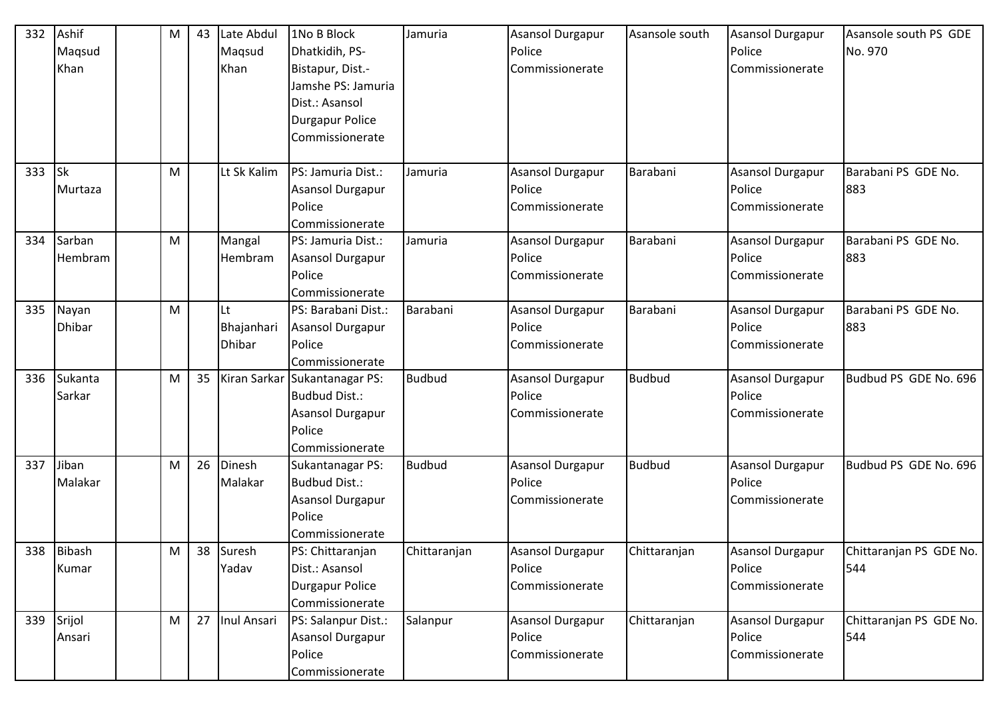| 332 | Ashif<br>Maqsud<br>Khan | M | 43 | Late Abdul<br>Maqsud<br>Khan      | 1No B Block<br>Dhatkidih, PS-<br>Bistapur, Dist.-<br>Jamshe PS: Jamuria<br>Dist.: Asansol<br><b>Durgapur Police</b><br>Commissionerate | Jamuria       | <b>Asansol Durgapur</b><br>Police<br>Commissionerate | Asansole south | Asansol Durgapur<br>Police<br><b>Commissionerate</b>        | Asansole south PS GDE<br>No. 970 |
|-----|-------------------------|---|----|-----------------------------------|----------------------------------------------------------------------------------------------------------------------------------------|---------------|------------------------------------------------------|----------------|-------------------------------------------------------------|----------------------------------|
| 333 | <b>Sk</b><br>Murtaza    | M |    | Lt Sk Kalim                       | PS: Jamuria Dist.:<br>Asansol Durgapur<br>Police<br>Commissionerate                                                                    | Jamuria       | Asansol Durgapur<br>Police<br>Commissionerate        | Barabani       | <b>Asansol Durgapur</b><br>Police<br>Commissionerate        | Barabani PS GDE No.<br>883       |
| 334 | Sarban<br>Hembram       | M |    | Mangal<br>Hembram                 | PS: Jamuria Dist.:<br>Asansol Durgapur<br>Police<br>Commissionerate                                                                    | Jamuria       | <b>Asansol Durgapur</b><br>Police<br>Commissionerate | Barabani       | <b>Asansol Durgapur</b><br>Police<br><b>Commissionerate</b> | Barabani PS GDE No.<br>883       |
| 335 | Nayan<br><b>Dhibar</b>  | M |    | Lt<br>Bhajanhari<br><b>Dhibar</b> | PS: Barabani Dist.:<br><b>Asansol Durgapur</b><br>Police<br>Commissionerate                                                            | Barabani      | Asansol Durgapur<br>Police<br>Commissionerate        | Barabani       | <b>Asansol Durgapur</b><br>Police<br>Commissionerate        | Barabani PS GDE No.<br>883       |
| 336 | Sukanta<br>Sarkar       | M | 35 |                                   | Kiran Sarkar Sukantanagar PS:<br>Budbud Dist.:<br><b>Asansol Durgapur</b><br>Police<br>Commissionerate                                 | <b>Budbud</b> | Asansol Durgapur<br>Police<br>Commissionerate        | <b>Budbud</b>  | <b>Asansol Durgapur</b><br>Police<br>Commissionerate        | Budbud PS GDE No. 696            |
| 337 | Jiban<br>Malakar        | M | 26 | Dinesh<br>Malakar                 | Sukantanagar PS:<br>Budbud Dist.:<br><b>Asansol Durgapur</b><br>Police<br>Commissionerate                                              | <b>Budbud</b> | Asansol Durgapur<br>Police<br>Commissionerate        | <b>Budbud</b>  | <b>Asansol Durgapur</b><br>Police<br>Commissionerate        | Budbud PS GDE No. 696            |
|     | 338 Bibash<br>Kumar     | M |    | 38 Suresh<br>Yadav                | PS: Chittaranjan<br>Dist.: Asansol<br>Durgapur Police<br>Commissionerate                                                               | Chittaranjan  | <b>Asansol Durgapur</b><br>Police<br>Commissionerate | Chittaranjan   | Asansol Durgapur<br>Police<br>Commissionerate               | Chittaranjan PS GDE No.<br>544   |
| 339 | Srijol<br>Ansari        | M | 27 | Inul Ansari                       | PS: Salanpur Dist.:<br>Asansol Durgapur<br>Police<br>Commissionerate                                                                   | Salanpur      | <b>Asansol Durgapur</b><br>Police<br>Commissionerate | Chittaranjan   | Asansol Durgapur<br>Police<br>Commissionerate               | Chittaranjan PS GDE No.<br>544   |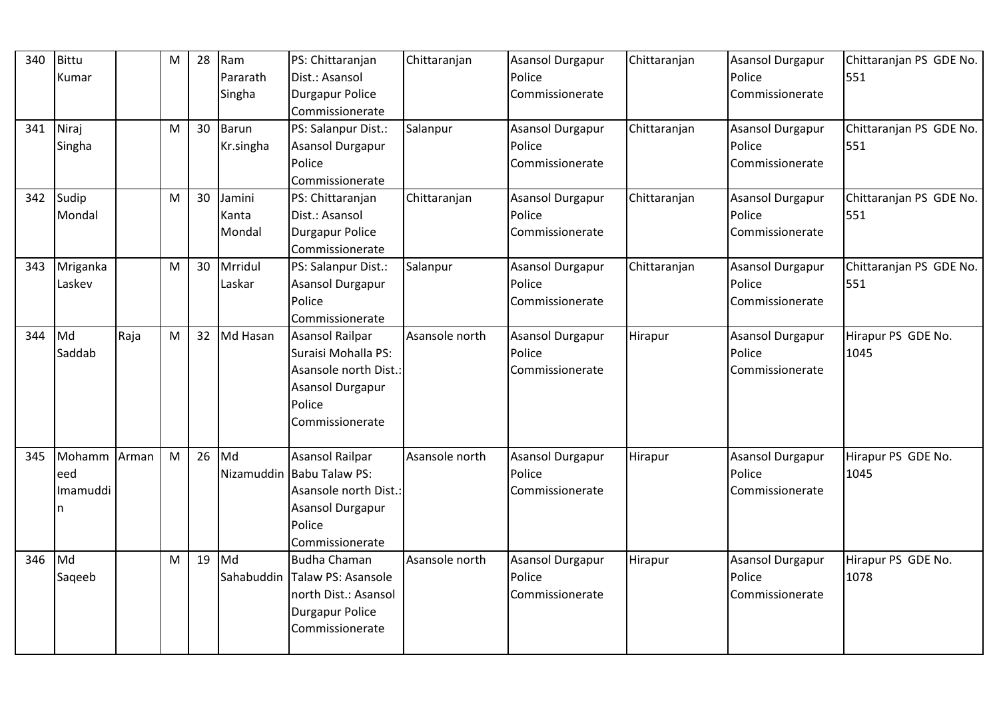| 340 | Bittu    |       | $\mathsf{M}% _{T}=\mathsf{M}_{T}\!\left( a,b\right) ,\ \mathsf{M}_{T}=\mathsf{M}_{T}$ | 28 | Ram          | PS: Chittaranjan              | Chittaranjan   | <b>Asansol Durgapur</b> | Chittaranjan | <b>Asansol Durgapur</b> | Chittaranjan PS GDE No. |
|-----|----------|-------|---------------------------------------------------------------------------------------|----|--------------|-------------------------------|----------------|-------------------------|--------------|-------------------------|-------------------------|
|     | Kumar    |       |                                                                                       |    | Pararath     | Dist.: Asansol                |                | Police                  |              | Police                  | 551                     |
|     |          |       |                                                                                       |    | Singha       | <b>Durgapur Police</b>        |                | Commissionerate         |              | Commissionerate         |                         |
|     |          |       |                                                                                       |    |              | Commissionerate               |                |                         |              |                         |                         |
| 341 | Niraj    |       | M                                                                                     | 30 | <b>Barun</b> | PS: Salanpur Dist.:           | Salanpur       | <b>Asansol Durgapur</b> | Chittaranjan | <b>Asansol Durgapur</b> | Chittaranjan PS GDE No. |
|     | Singha   |       |                                                                                       |    | Kr.singha    | Asansol Durgapur              |                | Police                  |              | Police                  | 551                     |
|     |          |       |                                                                                       |    |              | Police                        |                | Commissionerate         |              | Commissionerate         |                         |
|     |          |       |                                                                                       |    |              | Commissionerate               |                |                         |              |                         |                         |
| 342 | Sudip    |       | M                                                                                     | 30 | Jamini       | PS: Chittaranjan              | Chittaranjan   | <b>Asansol Durgapur</b> | Chittaranjan | <b>Asansol Durgapur</b> | Chittaranjan PS GDE No. |
|     | Mondal   |       |                                                                                       |    | Kanta        | Dist.: Asansol                |                | Police                  |              | Police                  | 551                     |
|     |          |       |                                                                                       |    | Mondal       | Durgapur Police               |                | Commissionerate         |              | Commissionerate         |                         |
|     |          |       |                                                                                       |    |              | Commissionerate               |                |                         |              |                         |                         |
| 343 | Mriganka |       | M                                                                                     | 30 | Mrridul      | PS: Salanpur Dist.:           | Salanpur       | <b>Asansol Durgapur</b> | Chittaranjan | <b>Asansol Durgapur</b> | Chittaranjan PS GDE No. |
|     | Laskev   |       |                                                                                       |    | Laskar       | Asansol Durgapur              |                | Police                  |              | Police                  | 551                     |
|     |          |       |                                                                                       |    |              | Police                        |                | Commissionerate         |              | Commissionerate         |                         |
|     |          |       |                                                                                       |    |              | Commissionerate               |                |                         |              |                         |                         |
| 344 | Md       | Raja  | M                                                                                     | 32 | Md Hasan     | Asansol Railpar               | Asansole north | Asansol Durgapur        | Hirapur      | <b>Asansol Durgapur</b> | Hirapur PS GDE No.      |
|     | Saddab   |       |                                                                                       |    |              | Suraisi Mohalla PS:           |                | Police                  |              | Police                  | 1045                    |
|     |          |       |                                                                                       |    |              | Asansole north Dist.:         |                | Commissionerate         |              | Commissionerate         |                         |
|     |          |       |                                                                                       |    |              | Asansol Durgapur              |                |                         |              |                         |                         |
|     |          |       |                                                                                       |    |              | Police                        |                |                         |              |                         |                         |
|     |          |       |                                                                                       |    |              | Commissionerate               |                |                         |              |                         |                         |
|     |          |       |                                                                                       |    |              |                               |                |                         |              |                         |                         |
| 345 | Mohamm   | Arman | M                                                                                     | 26 | Md           | Asansol Railpar               | Asansole north | Asansol Durgapur        | Hirapur      | <b>Asansol Durgapur</b> | Hirapur PS GDE No.      |
|     | eed      |       |                                                                                       |    |              | Nizamuddin Babu Talaw PS:     |                | Police                  |              | Police                  | 1045                    |
|     | Imamuddi |       |                                                                                       |    |              | Asansole north Dist.:         |                | Commissionerate         |              | Commissionerate         |                         |
|     | n        |       |                                                                                       |    |              | Asansol Durgapur              |                |                         |              |                         |                         |
|     |          |       |                                                                                       |    |              | Police                        |                |                         |              |                         |                         |
|     |          |       |                                                                                       |    |              | Commissionerate               |                |                         |              |                         |                         |
| 346 | Md       |       | $\mathsf{M}% _{T}=\mathsf{M}_{T}\!\left( a,b\right) ,\ \mathsf{M}_{T}=\mathsf{M}_{T}$ | 19 | Md           | Budha Chaman                  | Asansole north | <b>Asansol Durgapur</b> | Hirapur      | Asansol Durgapur        | Hirapur PS GDE No.      |
|     | Sageeb   |       |                                                                                       |    |              | Sahabuddin Talaw PS: Asansole |                | Police                  |              | Police                  | 1078                    |
|     |          |       |                                                                                       |    |              | north Dist.: Asansol          |                | Commissionerate         |              | Commissionerate         |                         |
|     |          |       |                                                                                       |    |              | Durgapur Police               |                |                         |              |                         |                         |
|     |          |       |                                                                                       |    |              | Commissionerate               |                |                         |              |                         |                         |
|     |          |       |                                                                                       |    |              |                               |                |                         |              |                         |                         |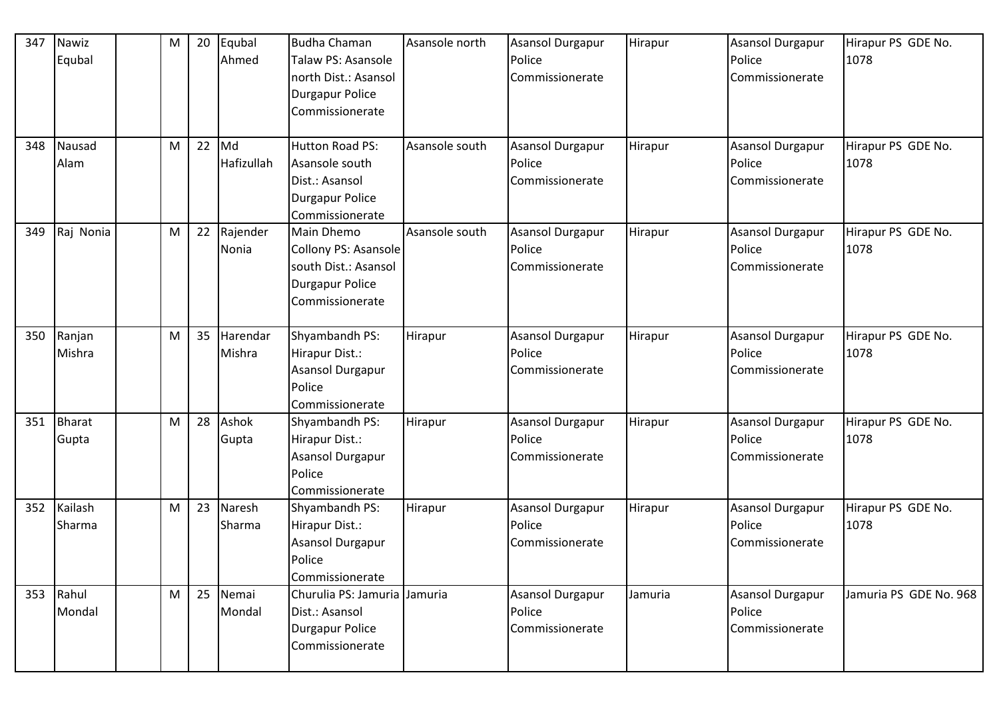| 347 | Nawiz<br>Equbal        | M | 20 | Equbal<br>Ahmed    | Budha Chaman<br>Talaw PS: Asansole<br>north Dist.: Asansol<br><b>Durgapur Police</b><br>Commissionerate | Asansole north | <b>Asansol Durgapur</b><br>Police<br>Commissionerate | Hirapur | <b>Asansol Durgapur</b><br>Police<br>Commissionerate | Hirapur PS GDE No.<br>1078 |
|-----|------------------------|---|----|--------------------|---------------------------------------------------------------------------------------------------------|----------------|------------------------------------------------------|---------|------------------------------------------------------|----------------------------|
| 348 | Nausad<br>Alam         | M | 22 | Md<br>Hafizullah   | <b>Hutton Road PS:</b><br>Asansole south<br>Dist.: Asansol<br><b>Durgapur Police</b><br>Commissionerate | Asansole south | Asansol Durgapur<br>Police<br>Commissionerate        | Hirapur | <b>Asansol Durgapur</b><br>Police<br>Commissionerate | Hirapur PS GDE No.<br>1078 |
| 349 | Raj Nonia              | M | 22 | Rajender<br>Nonia  | <b>Main Dhemo</b><br>Collony PS: Asansole<br>south Dist.: Asansol<br>Durgapur Police<br>Commissionerate | Asansole south | Asansol Durgapur<br>Police<br>Commissionerate        | Hirapur | <b>Asansol Durgapur</b><br>Police<br>Commissionerate | Hirapur PS GDE No.<br>1078 |
| 350 | Ranjan<br>Mishra       | M | 35 | Harendar<br>Mishra | Shyambandh PS:<br>Hirapur Dist.:<br>Asansol Durgapur<br>Police<br>Commissionerate                       | Hirapur        | Asansol Durgapur<br>Police<br>Commissionerate        | Hirapur | <b>Asansol Durgapur</b><br>Police<br>Commissionerate | Hirapur PS GDE No.<br>1078 |
| 351 | <b>Bharat</b><br>Gupta | M | 28 | Ashok<br>Gupta     | Shyambandh PS:<br>Hirapur Dist.:<br>Asansol Durgapur<br>Police<br>Commissionerate                       | Hirapur        | Asansol Durgapur<br>Police<br>Commissionerate        | Hirapur | <b>Asansol Durgapur</b><br>Police<br>Commissionerate | Hirapur PS GDE No.<br>1078 |
| 352 | Kailash<br>Sharma      | M | 23 | Naresh<br>Sharma   | Shyambandh PS:<br>Hirapur Dist.:<br><b>Asansol Durgapur</b><br>Police<br>Commissionerate                | Hirapur        | Asansol Durgapur<br>Police<br>Commissionerate        | Hirapur | Asansol Durgapur<br>Police<br>Commissionerate        | Hirapur PS GDE No.<br>1078 |
| 353 | Rahul<br>Mondal        | M | 25 | Nemai<br>Mondal    | Churulia PS: Jamuria Jamuria<br>Dist.: Asansol<br><b>Durgapur Police</b><br>Commissionerate             |                | <b>Asansol Durgapur</b><br>Police<br>Commissionerate | Jamuria | Asansol Durgapur<br>Police<br>Commissionerate        | Jamuria PS GDE No. 968     |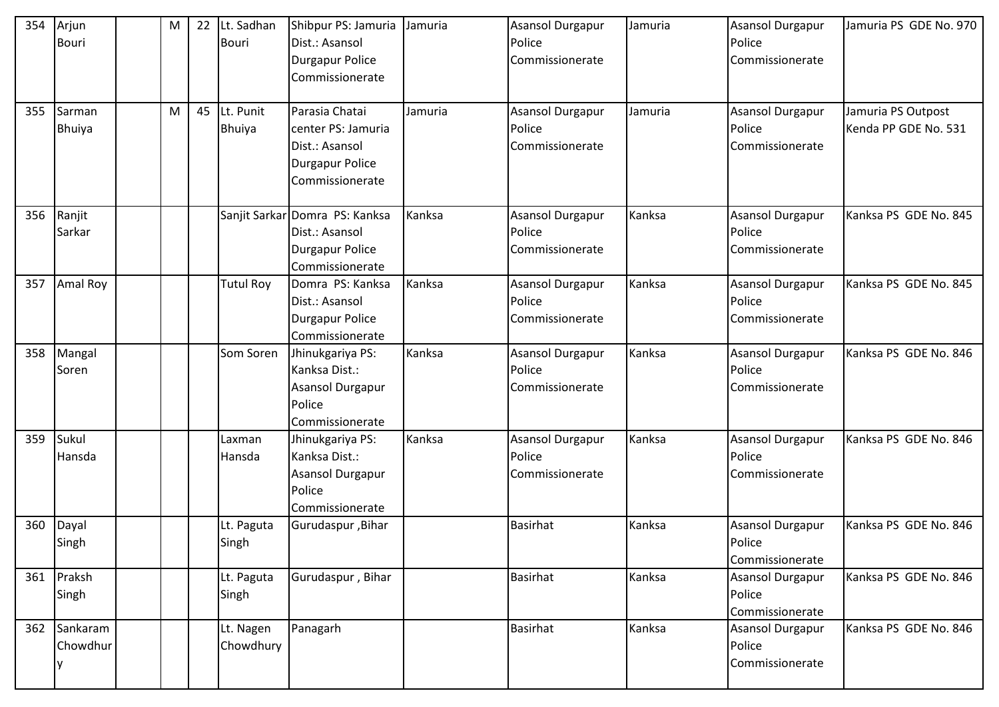| 354<br>355 | Arjun<br>Bouri<br>Sarman<br><b>Bhuiya</b> | M<br>M | 22<br>45 | Lt. Sadhan<br>Bouri<br>Lt. Punit<br><b>Bhuiya</b> | Shibpur PS: Jamuria<br>Dist.: Asansol<br>Durgapur Police<br>Commissionerate<br>Parasia Chatai<br>center PS: Jamuria<br>Dist.: Asansol<br>Durgapur Police<br>Commissionerate | Jamuria<br>Jamuria | Asansol Durgapur<br>Police<br>Commissionerate<br>Asansol Durgapur<br>Police<br>Commissionerate | Jamuria<br>Jamuria | <b>Asansol Durgapur</b><br>Police<br>Commissionerate<br><b>Asansol Durgapur</b><br>Police<br>Commissionerate | Jamuria PS GDE No. 970<br>Jamuria PS Outpost<br>Kenda PP GDE No. 531 |
|------------|-------------------------------------------|--------|----------|---------------------------------------------------|-----------------------------------------------------------------------------------------------------------------------------------------------------------------------------|--------------------|------------------------------------------------------------------------------------------------|--------------------|--------------------------------------------------------------------------------------------------------------|----------------------------------------------------------------------|
| 356        | Ranjit<br>Sarkar                          |        |          |                                                   | Sanjit Sarkar Domra PS: Kanksa<br>Dist.: Asansol<br>Durgapur Police<br>Commissionerate                                                                                      | Kanksa             | Asansol Durgapur<br>Police<br>Commissionerate                                                  | Kanksa             | <b>Asansol Durgapur</b><br>Police<br>Commissionerate                                                         | Kanksa PS GDE No. 845                                                |
| 357        | <b>Amal Roy</b>                           |        |          | <b>Tutul Roy</b>                                  | Domra PS: Kanksa<br>Dist.: Asansol<br>Durgapur Police<br>Commissionerate                                                                                                    | Kanksa             | Asansol Durgapur<br>Police<br>Commissionerate                                                  | Kanksa             | <b>Asansol Durgapur</b><br>Police<br>Commissionerate                                                         | Kanksa PS GDE No. 845                                                |
| 358        | Mangal<br>Soren                           |        |          | Som Soren                                         | Jhinukgariya PS:<br>Kanksa Dist.:<br>Asansol Durgapur<br>Police<br>Commissionerate                                                                                          | Kanksa             | <b>Asansol Durgapur</b><br>Police<br>Commissionerate                                           | Kanksa             | <b>Asansol Durgapur</b><br>Police<br>Commissionerate                                                         | Kanksa PS GDE No. 846                                                |
| 359        | Sukul<br>Hansda                           |        |          | Laxman<br>Hansda                                  | Jhinukgariya PS:<br>Kanksa Dist.:<br>Asansol Durgapur<br>Police<br>Commissionerate                                                                                          | Kanksa             | Asansol Durgapur<br>Police<br>Commissionerate                                                  | Kanksa             | <b>Asansol Durgapur</b><br>Police<br>Commissionerate                                                         | Kanksa PS GDE No. 846                                                |
| 360        | Dayal<br>Singh                            |        |          | Lt. Paguta<br>Singh                               | Gurudaspur, Bihar                                                                                                                                                           |                    | <b>Basirhat</b>                                                                                | Kanksa             | <b>Asansol Durgapur</b><br>Police<br>Commissionerate                                                         | Kanksa PS GDE No. 846                                                |
| 361        | Praksh<br>Singh                           |        |          | Lt. Paguta<br>Singh                               | Gurudaspur, Bihar                                                                                                                                                           |                    | <b>Basirhat</b>                                                                                | Kanksa             | <b>Asansol Durgapur</b><br>Police<br>Commissionerate                                                         | Kanksa PS GDE No. 846                                                |
|            | 362 Sankaram<br>Chowdhur                  |        |          | Lt. Nagen<br>Chowdhury                            | Panagarh                                                                                                                                                                    |                    | Basirhat                                                                                       | Kanksa             | <b>Asansol Durgapur</b><br>Police<br>Commissionerate                                                         | Kanksa PS GDE No. 846                                                |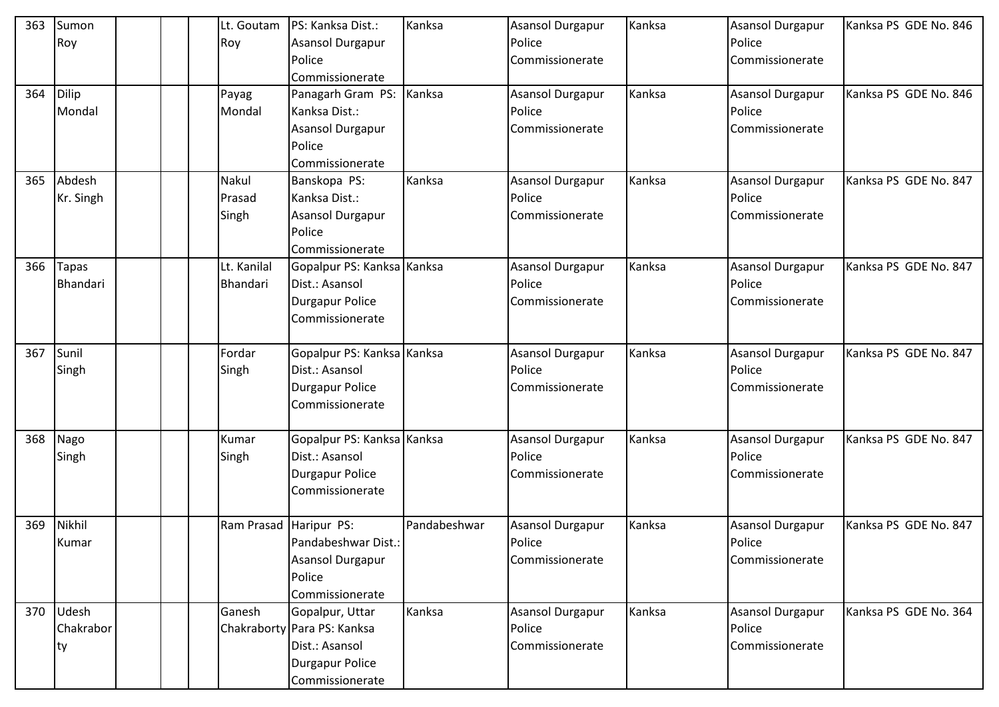| 363 | Sumon           |  | Lt. Goutam  | PS: Kanksa Dist.:           | Kanksa       | <b>Asansol Durgapur</b> | Kanksa | Asansol Durgapur        | Kanksa PS GDE No. 846 |
|-----|-----------------|--|-------------|-----------------------------|--------------|-------------------------|--------|-------------------------|-----------------------|
|     | Roy             |  | Roy         | Asansol Durgapur            |              | Police                  |        | Police                  |                       |
|     |                 |  |             | Police                      |              | Commissionerate         |        | Commissionerate         |                       |
|     |                 |  |             | Commissionerate             |              |                         |        |                         |                       |
| 364 | Dilip           |  | Payag       | Panagarh Gram PS: Kanksa    |              | Asansol Durgapur        | Kanksa | <b>Asansol Durgapur</b> | Kanksa PS GDE No. 846 |
|     | Mondal          |  | Mondal      | Kanksa Dist.:               |              | Police                  |        | Police                  |                       |
|     |                 |  |             | Asansol Durgapur            |              | Commissionerate         |        | Commissionerate         |                       |
|     |                 |  |             | Police                      |              |                         |        |                         |                       |
|     |                 |  |             | Commissionerate             |              |                         |        |                         |                       |
| 365 | Abdesh          |  | Nakul       | Banskopa PS:                | Kanksa       | <b>Asansol Durgapur</b> | Kanksa | <b>Asansol Durgapur</b> | Kanksa PS GDE No. 847 |
|     | Kr. Singh       |  | Prasad      | Kanksa Dist.:               |              | Police                  |        | Police                  |                       |
|     |                 |  | Singh       | Asansol Durgapur            |              | Commissionerate         |        | Commissionerate         |                       |
|     |                 |  |             | Police                      |              |                         |        |                         |                       |
|     |                 |  |             | Commissionerate             |              |                         |        |                         |                       |
| 366 | <b>Tapas</b>    |  | Lt. Kanilal | Gopalpur PS: Kanksa Kanksa  |              | Asansol Durgapur        | Kanksa | <b>Asansol Durgapur</b> | Kanksa PS GDE No. 847 |
|     | <b>Bhandari</b> |  | Bhandari    | Dist.: Asansol              |              | Police                  |        | Police                  |                       |
|     |                 |  |             | <b>Durgapur Police</b>      |              | Commissionerate         |        | Commissionerate         |                       |
|     |                 |  |             | Commissionerate             |              |                         |        |                         |                       |
|     |                 |  |             |                             |              |                         |        |                         |                       |
| 367 | Sunil           |  | Fordar      | Gopalpur PS: Kanksa Kanksa  |              | <b>Asansol Durgapur</b> | Kanksa | Asansol Durgapur        | Kanksa PS GDE No. 847 |
|     | Singh           |  | Singh       | Dist.: Asansol              |              | Police                  |        | Police                  |                       |
|     |                 |  |             | <b>Durgapur Police</b>      |              | Commissionerate         |        | Commissionerate         |                       |
|     |                 |  |             | Commissionerate             |              |                         |        |                         |                       |
|     |                 |  |             |                             |              |                         |        |                         |                       |
| 368 | Nago            |  | Kumar       | Gopalpur PS: Kanksa Kanksa  |              | Asansol Durgapur        | Kanksa | Asansol Durgapur        | Kanksa PS GDE No. 847 |
|     | Singh           |  | Singh       | Dist.: Asansol              |              | Police                  |        | Police                  |                       |
|     |                 |  |             | <b>Durgapur Police</b>      |              | Commissionerate         |        | Commissionerate         |                       |
|     |                 |  |             | Commissionerate             |              |                         |        |                         |                       |
|     |                 |  |             |                             |              |                         |        |                         |                       |
| 369 | Nikhil          |  | Ram Prasad  | Haripur PS:                 | Pandabeshwar | <b>Asansol Durgapur</b> | Kanksa | <b>Asansol Durgapur</b> | Kanksa PS GDE No. 847 |
|     | Kumar           |  |             | Pandabeshwar Dist.:         |              | Police                  |        | Police                  |                       |
|     |                 |  |             | Asansol Durgapur            |              | Commissionerate         |        | Commissionerate         |                       |
|     |                 |  |             | Police                      |              |                         |        |                         |                       |
|     |                 |  |             | Commissionerate             |              |                         |        |                         |                       |
| 370 | Udesh           |  | Ganesh      | Gopalpur, Uttar             | Kanksa       | <b>Asansol Durgapur</b> | Kanksa | Asansol Durgapur        | Kanksa PS GDE No. 364 |
|     | Chakrabor       |  |             | Chakraborty Para PS: Kanksa |              | Police                  |        | Police                  |                       |
|     | ty              |  |             | Dist.: Asansol              |              | Commissionerate         |        | Commissionerate         |                       |
|     |                 |  |             | <b>Durgapur Police</b>      |              |                         |        |                         |                       |
|     |                 |  |             | Commissionerate             |              |                         |        |                         |                       |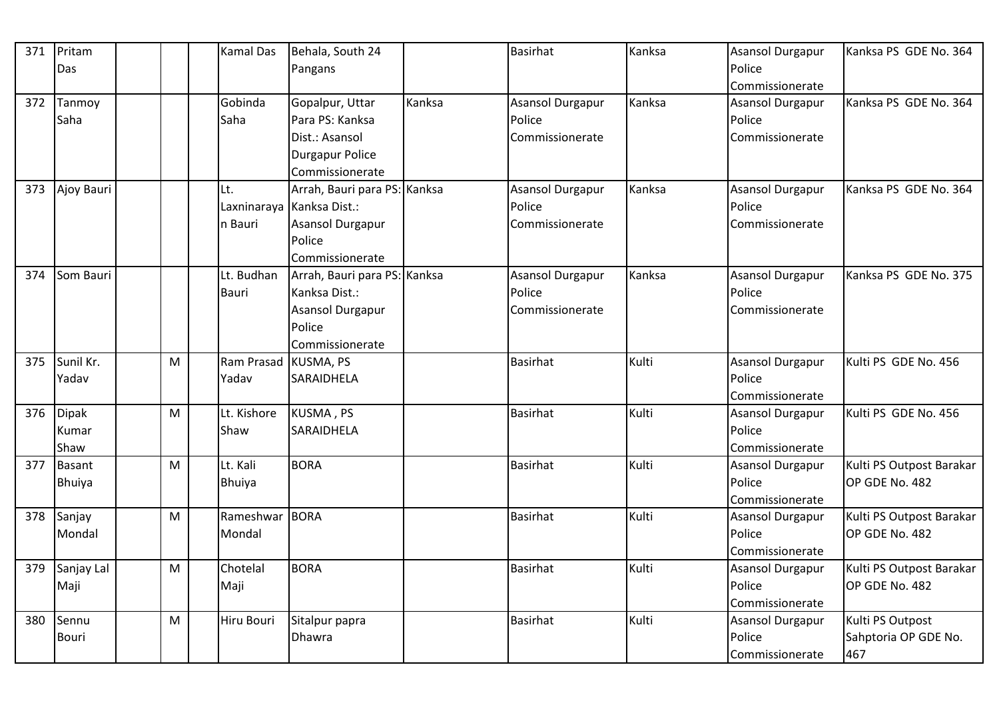| 371 | Pritam        |   | <b>Kamal Das</b>     | Behala, South 24             |        | <b>Basirhat</b>         | Kanksa | <b>Asansol Durgapur</b> | Kanksa PS GDE No. 364    |
|-----|---------------|---|----------------------|------------------------------|--------|-------------------------|--------|-------------------------|--------------------------|
|     | Das           |   |                      | Pangans                      |        |                         |        | Police                  |                          |
|     |               |   |                      |                              |        |                         |        | Commissionerate         |                          |
| 372 | Tanmoy        |   | Gobinda              | Gopalpur, Uttar              | Kanksa | <b>Asansol Durgapur</b> | Kanksa | <b>Asansol Durgapur</b> | Kanksa PS GDE No. 364    |
|     | Saha          |   | Saha                 | Para PS: Kanksa              |        | Police                  |        | Police                  |                          |
|     |               |   |                      | Dist.: Asansol               |        | Commissionerate         |        | Commissionerate         |                          |
|     |               |   |                      | Durgapur Police              |        |                         |        |                         |                          |
|     |               |   |                      | Commissionerate              |        |                         |        |                         |                          |
| 373 | Ajoy Bauri    |   | Lt.                  | Arrah, Bauri para PS: Kanksa |        | <b>Asansol Durgapur</b> | Kanksa | <b>Asansol Durgapur</b> | Kanksa PS GDE No. 364    |
|     |               |   |                      | Laxninaraya Kanksa Dist.:    |        | Police                  |        | Police                  |                          |
|     |               |   | n Bauri              | Asansol Durgapur             |        | Commissionerate         |        | Commissionerate         |                          |
|     |               |   |                      | Police                       |        |                         |        |                         |                          |
|     |               |   |                      | Commissionerate              |        |                         |        |                         |                          |
| 374 | Som Bauri     |   | Lt. Budhan           | Arrah, Bauri para PS: Kanksa |        | <b>Asansol Durgapur</b> | Kanksa | <b>Asansol Durgapur</b> | Kanksa PS GDE No. 375    |
|     |               |   | Bauri                | Kanksa Dist.:                |        | Police                  |        | Police                  |                          |
|     |               |   |                      | Asansol Durgapur             |        | Commissionerate         |        | Commissionerate         |                          |
|     |               |   |                      | Police                       |        |                         |        |                         |                          |
|     |               |   |                      | Commissionerate              |        |                         |        |                         |                          |
| 375 | Sunil Kr.     | M | Ram Prasad KUSMA, PS |                              |        | <b>Basirhat</b>         | Kulti  | <b>Asansol Durgapur</b> | Kulti PS GDE No. 456     |
|     | Yadav         |   | Yadav                | <b>SARAIDHELA</b>            |        |                         |        | Police                  |                          |
|     |               |   |                      |                              |        |                         |        | Commissionerate         |                          |
| 376 | Dipak         | M | Lt. Kishore          | KUSMA, PS                    |        | <b>Basirhat</b>         | Kulti  | <b>Asansol Durgapur</b> | Kulti PS GDE No. 456     |
|     | Kumar         |   | Shaw                 | SARAIDHELA                   |        |                         |        | Police                  |                          |
|     | Shaw          |   |                      |                              |        |                         |        | Commissionerate         |                          |
| 377 | Basant        | M | Lt. Kali             | <b>BORA</b>                  |        | <b>Basirhat</b>         | Kulti  | <b>Asansol Durgapur</b> | Kulti PS Outpost Barakar |
|     | <b>Bhuiya</b> |   | Bhuiya               |                              |        |                         |        | Police                  | OP GDE No. 482           |
|     |               |   |                      |                              |        |                         |        | Commissionerate         |                          |
| 378 | Sanjay        | M | Rameshwar BORA       |                              |        | <b>Basirhat</b>         | Kulti  | <b>Asansol Durgapur</b> | Kulti PS Outpost Barakar |
|     | Mondal        |   | Mondal               |                              |        |                         |        | Police                  | OP GDE No. 482           |
|     |               |   |                      |                              |        |                         |        | Commissionerate         |                          |
| 379 | Sanjay Lal    | M | Chotelal             | <b>BORA</b>                  |        | <b>Basirhat</b>         | Kulti  | <b>Asansol Durgapur</b> | Kulti PS Outpost Barakar |
|     | Maji          |   | Maji                 |                              |        |                         |        | Police                  | OP GDE No. 482           |
|     |               |   |                      |                              |        |                         |        | Commissionerate         |                          |
| 380 | Sennu         | M | Hiru Bouri           | Sitalpur papra               |        | <b>Basirhat</b>         | Kulti  | <b>Asansol Durgapur</b> | Kulti PS Outpost         |
|     | Bouri         |   |                      | Dhawra                       |        |                         |        | Police                  | Sahptoria OP GDE No.     |
|     |               |   |                      |                              |        |                         |        | Commissionerate         | 467                      |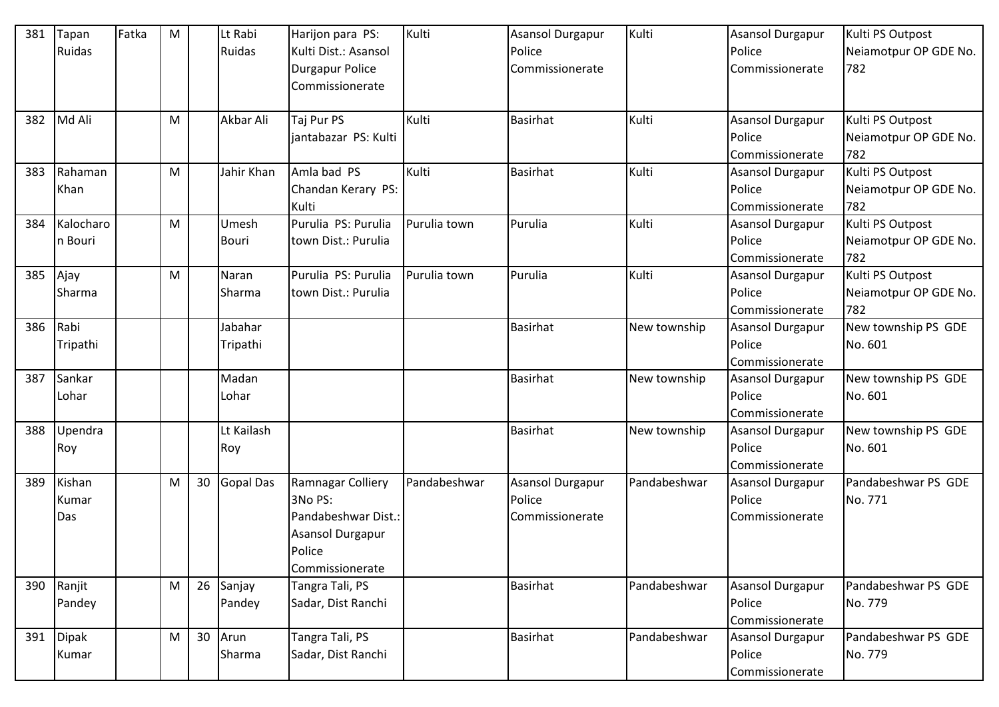| 381 | Tapan        | Fatka | M |    | Lt Rabi          | Harijon para PS:        | Kulti        | <b>Asansol Durgapur</b> | Kulti        | Asansol Durgapur        | Kulti PS Outpost      |
|-----|--------------|-------|---|----|------------------|-------------------------|--------------|-------------------------|--------------|-------------------------|-----------------------|
|     | Ruidas       |       |   |    | Ruidas           | Kulti Dist.: Asansol    |              | Police                  |              | Police                  | Neiamotpur OP GDE No. |
|     |              |       |   |    |                  | <b>Durgapur Police</b>  |              | Commissionerate         |              | Commissionerate         | 782                   |
|     |              |       |   |    |                  | Commissionerate         |              |                         |              |                         |                       |
|     |              |       |   |    |                  |                         |              |                         |              |                         |                       |
| 382 | Md Ali       |       | M |    | Akbar Ali        | Taj Pur PS              | Kulti        | <b>Basirhat</b>         | Kulti        | Asansol Durgapur        | Kulti PS Outpost      |
|     |              |       |   |    |                  | jantabazar PS: Kulti    |              |                         |              | Police                  | Neiamotpur OP GDE No. |
|     |              |       |   |    |                  |                         |              |                         |              | Commissionerate         | 782                   |
| 383 | Rahaman      |       | M |    | Jahir Khan       | Amla bad PS             | Kulti        | <b>Basirhat</b>         | Kulti        | Asansol Durgapur        | Kulti PS Outpost      |
|     | Khan         |       |   |    |                  | Chandan Kerary PS:      |              |                         |              | Police                  | Neiamotpur OP GDE No. |
|     |              |       |   |    |                  | Kulti                   |              |                         |              | Commissionerate         | 782                   |
| 384 | Kalocharo    |       | M |    | Umesh            | Purulia PS: Purulia     | Purulia town | Purulia                 | Kulti        | <b>Asansol Durgapur</b> | Kulti PS Outpost      |
|     | n Bouri      |       |   |    | <b>Bouri</b>     | town Dist.: Purulia     |              |                         |              | Police                  | Neiamotpur OP GDE No. |
|     |              |       |   |    |                  |                         |              |                         |              | Commissionerate         | 782                   |
| 385 | Ajay         |       | M |    | Naran            | Purulia PS: Purulia     | Purulia town | Purulia                 | Kulti        | <b>Asansol Durgapur</b> | Kulti PS Outpost      |
|     | Sharma       |       |   |    | Sharma           | town Dist.: Purulia     |              |                         |              | Police                  | Neiamotpur OP GDE No. |
|     |              |       |   |    |                  |                         |              |                         |              | Commissionerate         | 782                   |
| 386 | Rabi         |       |   |    | Jabahar          |                         |              | <b>Basirhat</b>         | New township | Asansol Durgapur        | New township PS GDE   |
|     | Tripathi     |       |   |    | Tripathi         |                         |              |                         |              | Police                  | No. 601               |
|     |              |       |   |    |                  |                         |              |                         |              | Commissionerate         |                       |
| 387 | Sankar       |       |   |    | Madan            |                         |              | <b>Basirhat</b>         | New township | Asansol Durgapur        | New township PS GDE   |
|     | Lohar        |       |   |    | Lohar            |                         |              |                         |              | Police                  | No. 601               |
|     |              |       |   |    |                  |                         |              |                         |              | Commissionerate         |                       |
| 388 | Upendra      |       |   |    | Lt Kailash       |                         |              | <b>Basirhat</b>         | New township | <b>Asansol Durgapur</b> | New township PS GDE   |
|     | Roy          |       |   |    | Roy              |                         |              |                         |              | Police                  | No. 601               |
|     |              |       |   |    |                  |                         |              |                         |              | Commissionerate         |                       |
| 389 | Kishan       |       | M | 30 | <b>Gopal Das</b> | Ramnagar Colliery       | Pandabeshwar | Asansol Durgapur        | Pandabeshwar | Asansol Durgapur        | Pandabeshwar PS GDE   |
|     | Kumar        |       |   |    |                  | 3No PS:                 |              | Police                  |              | Police                  | No. 771               |
|     | Das          |       |   |    |                  | Pandabeshwar Dist.:     |              | Commissionerate         |              | Commissionerate         |                       |
|     |              |       |   |    |                  | <b>Asansol Durgapur</b> |              |                         |              |                         |                       |
|     |              |       |   |    |                  | Police                  |              |                         |              |                         |                       |
|     |              |       |   |    |                  | Commissionerate         |              |                         |              |                         |                       |
| 390 | Ranjit       |       | M | 26 | Sanjay           | Tangra Tali, PS         |              | <b>Basirhat</b>         | Pandabeshwar | Asansol Durgapur        | Pandabeshwar PS GDE   |
|     | Pandey       |       |   |    | Pandey           | Sadar, Dist Ranchi      |              |                         |              | Police                  | No. 779               |
|     |              |       |   |    |                  |                         |              |                         |              | Commissionerate         |                       |
| 391 | <b>Dipak</b> |       | M | 30 | Arun             | Tangra Tali, PS         |              | Basirhat                | Pandabeshwar | <b>Asansol Durgapur</b> | Pandabeshwar PS GDE   |
|     | Kumar        |       |   |    | Sharma           | Sadar, Dist Ranchi      |              |                         |              | Police                  | No. 779               |
|     |              |       |   |    |                  |                         |              |                         |              | Commissionerate         |                       |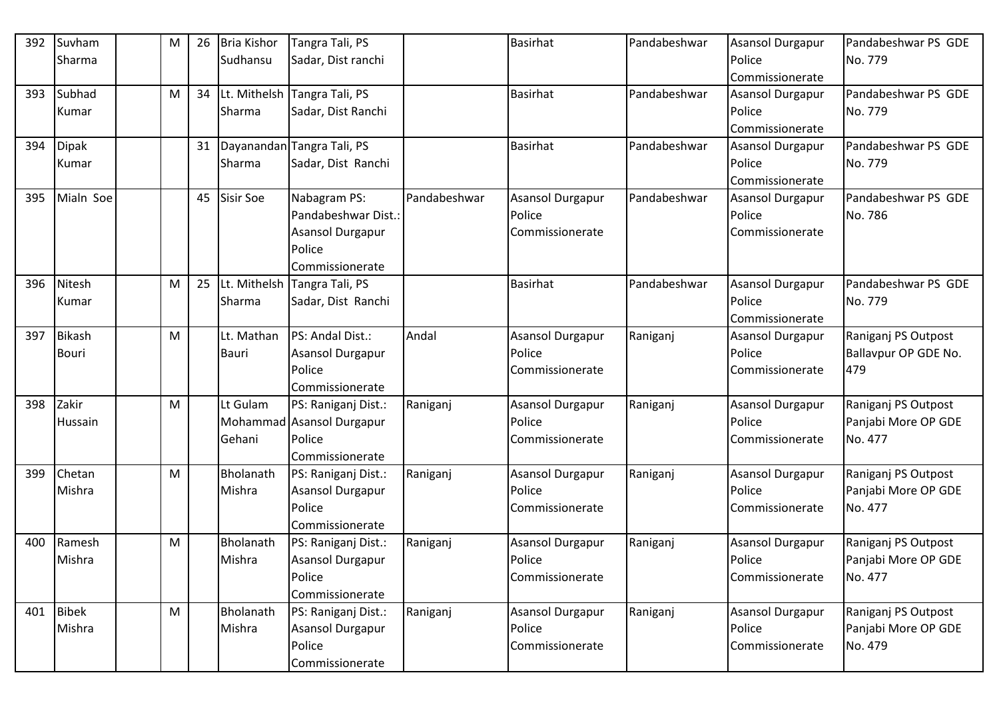| 392 | Suvham        | M | 26 | <b>Bria Kishor</b> | Tangra Tali, PS              |              | <b>Basirhat</b>         | Pandabeshwar | <b>Asansol Durgapur</b> | Pandabeshwar PS GDE  |
|-----|---------------|---|----|--------------------|------------------------------|--------------|-------------------------|--------------|-------------------------|----------------------|
|     | Sharma        |   |    | Sudhansu           | Sadar, Dist ranchi           |              |                         |              | Police                  | No. 779              |
|     |               |   |    |                    |                              |              |                         |              | Commissionerate         |                      |
| 393 | Subhad        | M | 34 |                    | Lt. Mithelsh Tangra Tali, PS |              | <b>Basirhat</b>         | Pandabeshwar | <b>Asansol Durgapur</b> | Pandabeshwar PS GDE  |
|     | Kumar         |   |    | Sharma             | Sadar, Dist Ranchi           |              |                         |              | Police                  | No. 779              |
|     |               |   |    |                    |                              |              |                         |              | Commissionerate         |                      |
| 394 | <b>Dipak</b>  |   | 31 |                    | Dayanandan Tangra Tali, PS   |              | <b>Basirhat</b>         | Pandabeshwar | <b>Asansol Durgapur</b> | Pandabeshwar PS GDE  |
|     | Kumar         |   |    | Sharma             | Sadar, Dist Ranchi           |              |                         |              | Police                  | No. 779              |
|     |               |   |    |                    |                              |              |                         |              | Commissionerate         |                      |
| 395 | Mialn Soe     |   | 45 | <b>Sisir Soe</b>   | Nabagram PS:                 | Pandabeshwar | <b>Asansol Durgapur</b> | Pandabeshwar | <b>Asansol Durgapur</b> | Pandabeshwar PS GDE  |
|     |               |   |    |                    | Pandabeshwar Dist.:          |              | Police                  |              | Police                  | No. 786              |
|     |               |   |    |                    | Asansol Durgapur             |              | Commissionerate         |              | Commissionerate         |                      |
|     |               |   |    |                    | Police                       |              |                         |              |                         |                      |
|     |               |   |    |                    | Commissionerate              |              |                         |              |                         |                      |
| 396 | Nitesh        | M | 25 | Lt. Mithelsh       | Tangra Tali, PS              |              | <b>Basirhat</b>         | Pandabeshwar | <b>Asansol Durgapur</b> | Pandabeshwar PS GDE  |
|     | Kumar         |   |    | Sharma             | Sadar, Dist Ranchi           |              |                         |              | Police                  | No. 779              |
|     |               |   |    |                    |                              |              |                         |              | Commissionerate         |                      |
| 397 | <b>Bikash</b> | M |    | Lt. Mathan         | PS: Andal Dist.:             | Andal        | Asansol Durgapur        | Raniganj     | <b>Asansol Durgapur</b> | Raniganj PS Outpost  |
|     | Bouri         |   |    | Bauri              | Asansol Durgapur             |              | Police                  |              | Police                  | Ballavpur OP GDE No. |
|     |               |   |    |                    | Police                       |              | Commissionerate         |              | Commissionerate         | 479                  |
|     |               |   |    |                    | Commissionerate              |              |                         |              |                         |                      |
| 398 | Zakir         | M |    | Lt Gulam           | PS: Raniganj Dist.:          | Raniganj     | Asansol Durgapur        | Raniganj     | <b>Asansol Durgapur</b> | Raniganj PS Outpost  |
|     | Hussain       |   |    |                    | Mohammad Asansol Durgapur    |              | Police                  |              | Police                  | Panjabi More OP GDE  |
|     |               |   |    | Gehani             | Police                       |              | Commissionerate         |              | Commissionerate         | No. 477              |
|     |               |   |    |                    | Commissionerate              |              |                         |              |                         |                      |
| 399 | Chetan        | M |    | Bholanath          | PS: Raniganj Dist.:          | Raniganj     | <b>Asansol Durgapur</b> | Raniganj     | <b>Asansol Durgapur</b> | Raniganj PS Outpost  |
|     | Mishra        |   |    | Mishra             | <b>Asansol Durgapur</b>      |              | Police                  |              | Police                  | Panjabi More OP GDE  |
|     |               |   |    |                    | Police                       |              | Commissionerate         |              | Commissionerate         | No. 477              |
|     |               |   |    |                    | Commissionerate              |              |                         |              |                         |                      |
| 400 | Ramesh        | M |    | Bholanath          | PS: Raniganj Dist.:          | Raniganj     | Asansol Durgapur        | Raniganj     | <b>Asansol Durgapur</b> | Raniganj PS Outpost  |
|     | Mishra        |   |    | Mishra             | Asansol Durgapur             |              | Police                  |              | Police                  | Panjabi More OP GDE  |
|     |               |   |    |                    | Police                       |              | Commissionerate         |              | Commissionerate         | No. 477              |
|     |               |   |    |                    | Commissionerate              |              |                         |              |                         |                      |
| 401 | <b>Bibek</b>  | M |    | Bholanath          | PS: Raniganj Dist.:          | Raniganj     | <b>Asansol Durgapur</b> | Raniganj     | <b>Asansol Durgapur</b> | Raniganj PS Outpost  |
|     | Mishra        |   |    | Mishra             | Asansol Durgapur             |              | Police                  |              | Police                  | Panjabi More OP GDE  |
|     |               |   |    |                    | Police                       |              | Commissionerate         |              | Commissionerate         | No. 479              |
|     |               |   |    |                    | Commissionerate              |              |                         |              |                         |                      |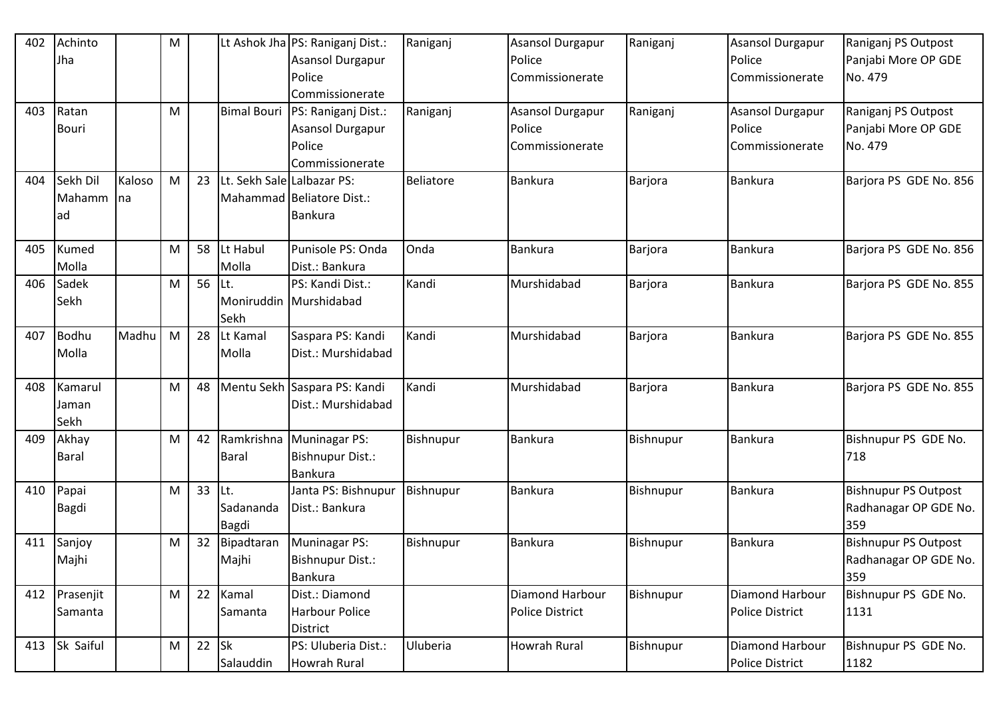| 402 | Achinto      |        | M         |    |                            | Lt Ashok Jha PS: Raniganj Dist.:  | Raniganj         | <b>Asansol Durgapur</b> | Raniganj  | <b>Asansol Durgapur</b> | Raniganj PS Outpost         |
|-----|--------------|--------|-----------|----|----------------------------|-----------------------------------|------------------|-------------------------|-----------|-------------------------|-----------------------------|
|     | Jha          |        |           |    |                            | Asansol Durgapur                  |                  | Police                  |           | Police                  | Panjabi More OP GDE         |
|     |              |        |           |    |                            | Police                            |                  | Commissionerate         |           | Commissionerate         | No. 479                     |
|     |              |        |           |    |                            | Commissionerate                   |                  |                         |           |                         |                             |
| 403 | Ratan        |        | M         |    |                            | Bimal Bouri   PS: Raniganj Dist.: | Raniganj         | Asansol Durgapur        | Raniganj  | <b>Asansol Durgapur</b> | Raniganj PS Outpost         |
|     | <b>Bouri</b> |        |           |    |                            | Asansol Durgapur                  |                  | Police                  |           | Police                  | Panjabi More OP GDE         |
|     |              |        |           |    |                            | Police                            |                  | Commissionerate         |           | Commissionerate         | No. 479                     |
|     |              |        |           |    |                            | Commissionerate                   |                  |                         |           |                         |                             |
| 404 | Sekh Dil     | Kaloso | M         | 23 | Lt. Sekh Sale Lalbazar PS: |                                   | <b>Beliatore</b> | <b>Bankura</b>          | Barjora   | <b>Bankura</b>          | Barjora PS GDE No. 856      |
|     | Mahamm       | Ina    |           |    |                            | Mahammad Beliatore Dist.:         |                  |                         |           |                         |                             |
|     | lad          |        |           |    |                            | <b>Bankura</b>                    |                  |                         |           |                         |                             |
|     |              |        |           |    |                            |                                   |                  |                         |           |                         |                             |
| 405 | Kumed        |        | M         | 58 | Lt Habul                   | Punisole PS: Onda                 | Onda             | <b>Bankura</b>          | Barjora   | <b>Bankura</b>          | Barjora PS GDE No. 856      |
|     | Molla        |        |           |    | Molla                      | Dist.: Bankura                    |                  |                         |           |                         |                             |
| 406 | Sadek        |        | М         | 56 | Lt.                        | PS: Kandi Dist.:                  | Kandi            | Murshidabad             | Barjora   | Bankura                 | Barjora PS GDE No. 855      |
|     | Sekh         |        |           |    |                            | Moniruddin Murshidabad            |                  |                         |           |                         |                             |
|     |              |        |           |    | Sekh                       |                                   |                  |                         |           |                         |                             |
| 407 | Bodhu        | Madhu  | M         | 28 | Lt Kamal                   | Saspara PS: Kandi                 | Kandi            | Murshidabad             | Barjora   | Bankura                 | Barjora PS GDE No. 855      |
|     | Molla        |        |           |    | Molla                      | Dist.: Murshidabad                |                  |                         |           |                         |                             |
|     |              |        |           |    |                            |                                   |                  |                         |           |                         |                             |
| 408 | Kamarul      |        | М         | 48 |                            | Mentu Sekh Saspara PS: Kandi      | Kandi            | Murshidabad             | Barjora   | <b>Bankura</b>          | Barjora PS GDE No. 855      |
|     | Jaman        |        |           |    |                            | Dist.: Murshidabad                |                  |                         |           |                         |                             |
|     | Sekh         |        |           |    |                            |                                   |                  |                         |           |                         |                             |
| 409 | Akhay        |        | M         | 42 |                            | Ramkrishna Muninagar PS:          | Bishnupur        | <b>Bankura</b>          | Bishnupur | Bankura                 | Bishnupur PS GDE No.        |
|     | <b>Baral</b> |        |           |    | <b>Baral</b>               | Bishnupur Dist.:                  |                  |                         |           |                         | 718                         |
|     |              |        |           |    |                            | <b>Bankura</b>                    |                  |                         |           |                         |                             |
| 410 | Papai        |        | M         | 33 | Lt.                        | Janta PS: Bishnupur               | Bishnupur        | <b>Bankura</b>          | Bishnupur | Bankura                 | <b>Bishnupur PS Outpost</b> |
|     | <b>Bagdi</b> |        |           |    | Sadananda                  | Dist.: Bankura                    |                  |                         |           |                         | Radhanagar OP GDE No.       |
|     |              |        |           |    | Bagdi                      |                                   |                  |                         |           |                         | 359                         |
| 411 | Sanjoy       |        | M         | 32 | Bipadtaran                 | Muninagar PS:                     | Bishnupur        | <b>Bankura</b>          | Bishnupur | Bankura                 | <b>Bishnupur PS Outpost</b> |
|     | Majhi        |        |           |    | Majhi                      | Bishnupur Dist.:                  |                  |                         |           |                         | Radhanagar OP GDE No.       |
|     |              |        |           |    |                            | <b>Bankura</b>                    |                  |                         |           |                         | 359                         |
| 412 | Prasenjit    |        | M         | 22 | Kamal                      | Dist.: Diamond                    |                  | Diamond Harbour         | Bishnupur | Diamond Harbour         | Bishnupur PS GDE No.        |
|     | Samanta      |        |           |    | Samanta                    | Harbour Police                    |                  | <b>Police District</b>  |           | <b>Police District</b>  | 1131                        |
|     |              |        |           |    |                            | <b>District</b>                   |                  |                         |           |                         |                             |
| 413 | Sk Saiful    |        | ${\sf M}$ | 22 | <b>Sk</b>                  | PS: Uluberia Dist.:               | Uluberia         | <b>Howrah Rural</b>     | Bishnupur | Diamond Harbour         | Bishnupur PS GDE No.        |
|     |              |        |           |    | Salauddin                  | <b>Howrah Rural</b>               |                  |                         |           | Police District         | 1182                        |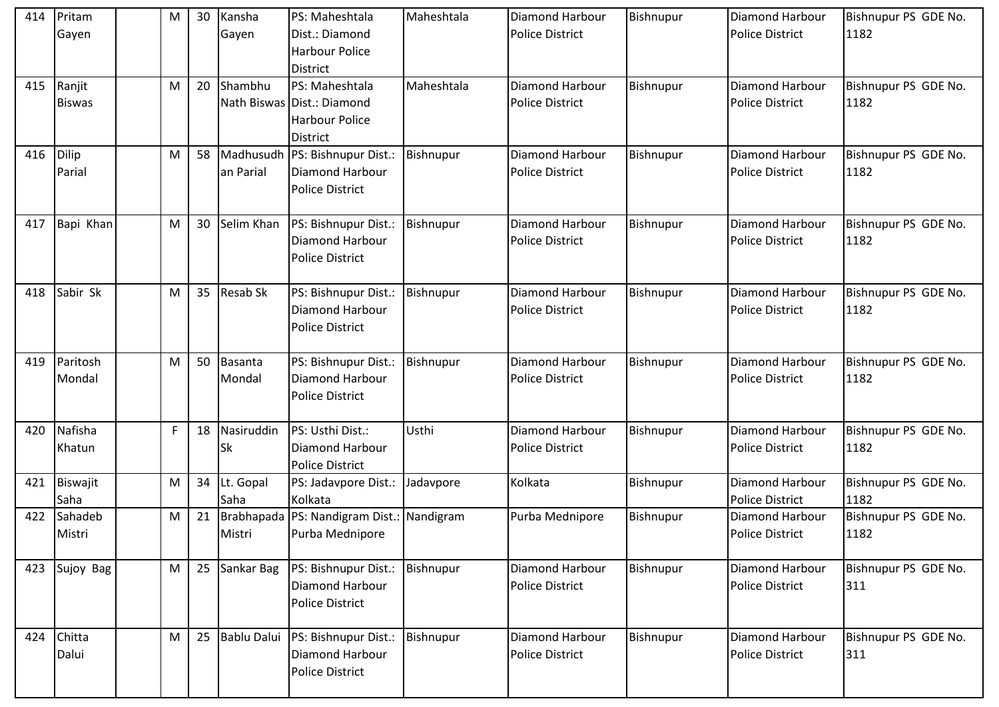| 414 | Pritam<br>Gayen         | M | 30 | Kansha<br>Gayen          | PS: Maheshtala<br>Dist.: Diamond<br><b>Harbour Police</b><br><b>District</b>       | Maheshtala | Diamond Harbour<br><b>Police District</b>        | Bishnupur | <b>Diamond Harbour</b><br><b>Police District</b> | Bishnupur PS GDE No.<br>1182 |
|-----|-------------------------|---|----|--------------------------|------------------------------------------------------------------------------------|------------|--------------------------------------------------|-----------|--------------------------------------------------|------------------------------|
| 415 | Ranjit<br><b>Biswas</b> | M | 20 | Shambhu                  | PS: Maheshtala<br>Nath Biswas Dist.: Diamond<br><b>Harbour Police</b><br>District  | Maheshtala | <b>Diamond Harbour</b><br><b>Police District</b> | Bishnupur | Diamond Harbour<br><b>Police District</b>        | Bishnupur PS GDE No.<br>1182 |
| 416 | Dilip<br>Parial         | M | 58 | an Parial                | Madhusudh PS: Bishnupur Dist.:<br><b>Diamond Harbour</b><br><b>Police District</b> | Bishnupur  | <b>Diamond Harbour</b><br><b>Police District</b> | Bishnupur | <b>Diamond Harbour</b><br><b>Police District</b> | Bishnupur PS GDE No.<br>1182 |
| 417 | Bapi Khan               | M | 30 | Selim Khan               | PS: Bishnupur Dist.:<br>Diamond Harbour<br><b>Police District</b>                  | Bishnupur  | <b>Diamond Harbour</b><br><b>Police District</b> | Bishnupur | Diamond Harbour<br><b>Police District</b>        | Bishnupur PS GDE No.<br>1182 |
| 418 | Sabir Sk                | M | 35 | <b>Resab Sk</b>          | PS: Bishnupur Dist.:<br>Diamond Harbour<br><b>Police District</b>                  | Bishnupur  | <b>Diamond Harbour</b><br><b>Police District</b> | Bishnupur | Diamond Harbour<br><b>Police District</b>        | Bishnupur PS GDE No.<br>1182 |
| 419 | Paritosh<br>Mondal      | M | 50 | <b>Basanta</b><br>Mondal | PS: Bishnupur Dist.:<br>Diamond Harbour<br><b>Police District</b>                  | Bishnupur  | Diamond Harbour<br><b>Police District</b>        | Bishnupur | Diamond Harbour<br><b>Police District</b>        | Bishnupur PS GDE No.<br>1182 |
| 420 | Nafisha<br>Khatun       | F | 18 | Nasiruddin<br><b>Sk</b>  | PS: Usthi Dist.:<br>Diamond Harbour<br><b>Police District</b>                      | Usthi      | Diamond Harbour<br><b>Police District</b>        | Bishnupur | Diamond Harbour<br><b>Police District</b>        | Bishnupur PS GDE No.<br>1182 |
| 421 | Biswajit<br>Saha        | M | 34 | Lt. Gopal<br>Saha        | PS: Jadavpore Dist.:<br>Kolkata                                                    | Jadavpore  | Kolkata                                          | Bishnupur | Diamond Harbour<br><b>Police District</b>        | Bishnupur PS GDE No.<br>1182 |
| 422 | Sahadeb<br>Mistri       | M | 21 | Brabhapada<br>Mistri     | PS: Nandigram Dist.: Nandigram<br>Purba Mednipore                                  |            | Purba Mednipore                                  | Bishnupur | Diamond Harbour<br><b>Police District</b>        | Bishnupur PS GDE No.<br>1182 |
| 423 | Sujoy Bag               | M | 25 | Sankar Bag               | PS: Bishnupur Dist.:<br><b>Diamond Harbour</b><br><b>Police District</b>           | Bishnupur  | <b>Diamond Harbour</b><br><b>Police District</b> | Bishnupur | Diamond Harbour<br><b>Police District</b>        | Bishnupur PS GDE No.<br>311  |
| 424 | Chitta<br>Dalui         | M | 25 | <b>Bablu Dalui</b>       | PS: Bishnupur Dist.:<br><b>Diamond Harbour</b><br><b>Police District</b>           | Bishnupur  | <b>Diamond Harbour</b><br><b>Police District</b> | Bishnupur | Diamond Harbour<br><b>Police District</b>        | Bishnupur PS GDE No.<br>311  |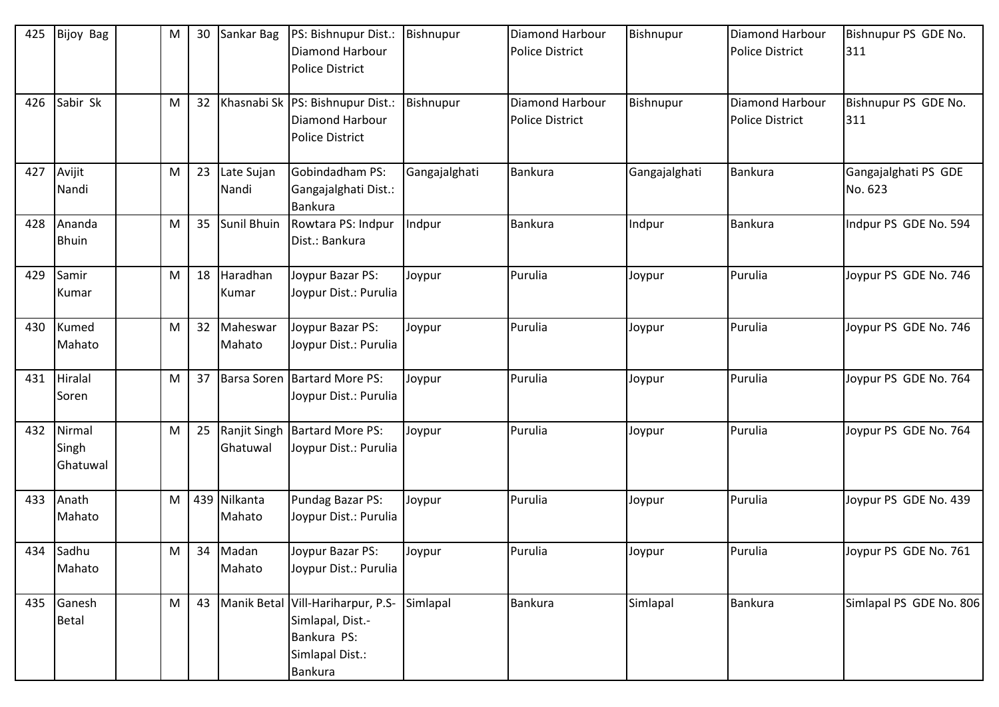| 425 | <b>Bijoy Bag</b>            | M         | 30 | Sankar Bag             | PS: Bishnupur Dist.:<br><b>Diamond Harbour</b><br><b>Police District</b>                                  | Bishnupur     | <b>Diamond Harbour</b><br><b>Police District</b> | Bishnupur     | <b>Diamond Harbour</b><br><b>Police District</b> | Bishnupur PS GDE No.<br>311     |
|-----|-----------------------------|-----------|----|------------------------|-----------------------------------------------------------------------------------------------------------|---------------|--------------------------------------------------|---------------|--------------------------------------------------|---------------------------------|
| 426 | Sabir Sk                    | M         | 32 |                        | Khasnabi Sk PS: Bishnupur Dist.:<br><b>Diamond Harbour</b><br><b>Police District</b>                      | Bishnupur     | <b>Diamond Harbour</b><br><b>Police District</b> | Bishnupur     | Diamond Harbour<br><b>Police District</b>        | Bishnupur PS GDE No.<br>311     |
| 427 | Avijit<br>Nandi             | M         | 23 | Late Sujan<br>Nandi    | Gobindadham PS:<br>Gangajalghati Dist.:<br><b>Bankura</b>                                                 | Gangajalghati | Bankura                                          | Gangajalghati | <b>Bankura</b>                                   | Gangajalghati PS GDE<br>No. 623 |
| 428 | Ananda<br><b>Bhuin</b>      | M         | 35 | Sunil Bhuin            | Rowtara PS: Indpur<br>Dist.: Bankura                                                                      | Indpur        | <b>Bankura</b>                                   | Indpur        | Bankura                                          | Indpur PS GDE No. 594           |
| 429 | Samir<br>Kumar              | M         | 18 | Haradhan<br>Kumar      | Joypur Bazar PS:<br>Joypur Dist.: Purulia                                                                 | Joypur        | Purulia                                          | Joypur        | Purulia                                          | Joypur PS GDE No. 746           |
| 430 | Kumed<br>Mahato             | M         | 32 | Maheswar<br>Mahato     | Joypur Bazar PS:<br>Joypur Dist.: Purulia                                                                 | Joypur        | Purulia                                          | Joypur        | Purulia                                          | Joypur PS GDE No. 746           |
| 431 | Hiralal<br>Soren            | M         | 37 |                        | Barsa Soren Bartard More PS:<br>Joypur Dist.: Purulia                                                     | Joypur        | Purulia                                          | Joypur        | Purulia                                          | Joypur PS GDE No. 764           |
| 432 | Nirmal<br>Singh<br>Ghatuwal | ${\sf M}$ | 25 | Ghatuwal               | Ranjit Singh Bartard More PS:<br>Joypur Dist.: Purulia                                                    | Joypur        | Purulia                                          | Joypur        | Purulia                                          | Joypur PS GDE No. 764           |
| 433 | Anath<br>Mahato             | М         |    | 439 Nilkanta<br>Mahato | Pundag Bazar PS:<br>Joypur Dist.: Purulia                                                                 | Joypur        | Purulia                                          | Joypur        | Purulia                                          | Joypur PS GDE No. 439           |
|     | 434 Sadhu<br>Mahato         | M         |    | 34 Madan<br>Mahato     | Joypur Bazar PS:<br>Joypur Dist.: Purulia                                                                 | Joypur        | Purulia                                          | Joypur        | Purulia                                          | Joypur PS GDE No. 761           |
| 435 | Ganesh<br>Betal             | M         | 43 |                        | Manik Betal Vill-Hariharpur, P.S-<br>Simlapal, Dist.-<br>Bankura PS:<br>Simlapal Dist.:<br><b>Bankura</b> | Simlapal      | Bankura                                          | Simlapal      | Bankura                                          | Simlapal PS GDE No. 806         |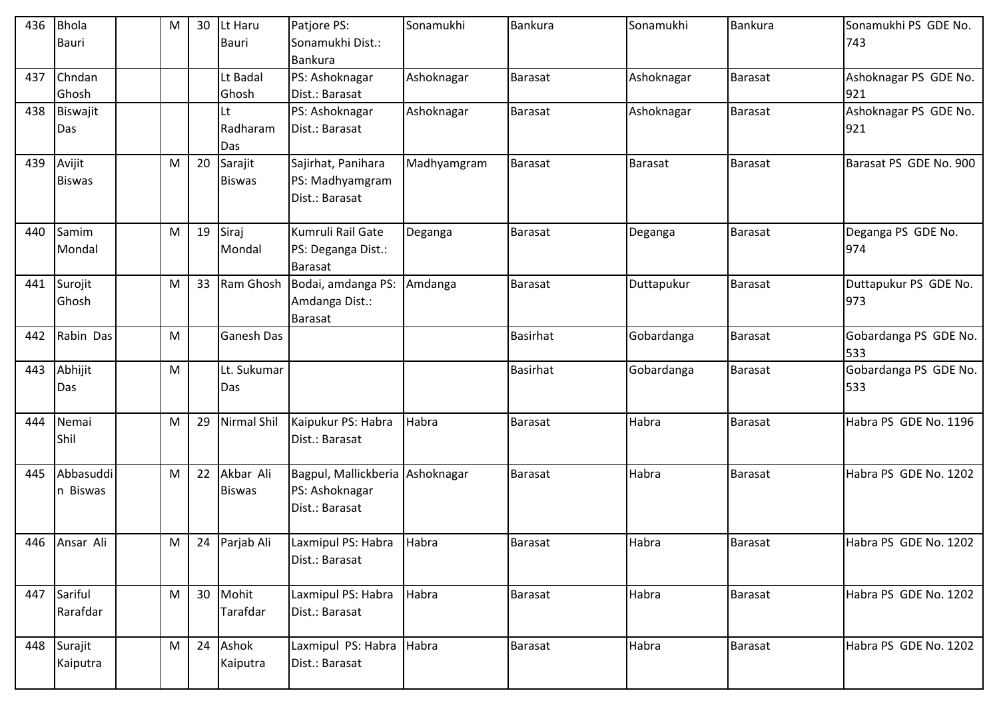| 436 | <b>Bhola</b>    | M | 30 | Lt Haru           | Patjore PS:                      | Sonamukhi   | <b>Bankura</b>  | Sonamukhi      | Bankura        | Sonamukhi PS GDE No.         |
|-----|-----------------|---|----|-------------------|----------------------------------|-------------|-----------------|----------------|----------------|------------------------------|
|     | <b>Bauri</b>    |   |    | <b>Bauri</b>      | Sonamukhi Dist.:                 |             |                 |                |                | 743                          |
|     |                 |   |    |                   | <b>Bankura</b>                   |             |                 |                |                |                              |
| 437 | Chndan<br>Ghosh |   |    | Lt Badal<br>Ghosh | PS: Ashoknagar<br>Dist.: Barasat | Ashoknagar  | Barasat         | Ashoknagar     | Barasat        | Ashoknagar PS GDE No.<br>921 |
| 438 | Biswajit        |   |    | Lt                | PS: Ashoknagar                   | Ashoknagar  | <b>Barasat</b>  | Ashoknagar     | <b>Barasat</b> | Ashoknagar PS GDE No.        |
|     | Das             |   |    | Radharam          | Dist.: Barasat                   |             |                 |                |                | 921                          |
|     |                 |   |    | Das               |                                  |             |                 |                |                |                              |
| 439 | Avijit          | M | 20 | Sarajit           | Sajirhat, Panihara               | Madhyamgram | <b>Barasat</b>  | <b>Barasat</b> | Barasat        | Barasat PS GDE No. 900       |
|     | <b>Biswas</b>   |   |    | <b>Biswas</b>     | PS: Madhyamgram                  |             |                 |                |                |                              |
|     |                 |   |    |                   | Dist.: Barasat                   |             |                 |                |                |                              |
| 440 | Samim           | M | 19 | Siraj             | Kumruli Rail Gate                | Deganga     | <b>Barasat</b>  | Deganga        | Barasat        | Deganga PS GDE No.           |
|     | Mondal          |   |    | Mondal            | PS: Deganga Dist.:               |             |                 |                |                | 974                          |
|     |                 |   |    |                   | <b>Barasat</b>                   |             |                 |                |                |                              |
| 441 | Surojit         | M | 33 | Ram Ghosh         | Bodai, amdanga PS:               | Amdanga     | <b>Barasat</b>  | Duttapukur     | Barasat        | Duttapukur PS GDE No.        |
|     | Ghosh           |   |    |                   | Amdanga Dist.:                   |             |                 |                |                | 973                          |
|     |                 |   |    |                   | <b>Barasat</b>                   |             |                 |                |                |                              |
| 442 | Rabin Das       | M |    | Ganesh Das        |                                  |             | <b>Basirhat</b> | Gobardanga     | Barasat        | Gobardanga PS GDE No.        |
| 443 | Abhijit         | M |    | Lt. Sukumar       |                                  |             | Basirhat        | Gobardanga     | Barasat        | 533<br>Gobardanga PS GDE No. |
|     | Das             |   |    | Das               |                                  |             |                 |                |                | 533                          |
|     |                 |   |    |                   |                                  |             |                 |                |                |                              |
| 444 | Nemai           | M | 29 | Nirmal Shil       | Kaipukur PS: Habra               | Habra       | <b>Barasat</b>  | Habra          | Barasat        | Habra PS GDE No. 1196        |
|     | Shil            |   |    |                   | Dist.: Barasat                   |             |                 |                |                |                              |
|     |                 |   |    |                   |                                  |             |                 |                |                |                              |
| 445 | Abbasuddi       | M | 22 | Akbar Ali         | Bagpul, Mallickberia Ashoknagar  |             | Barasat         | Habra          | Barasat        | Habra PS GDE No. 1202        |
|     | n Biswas        |   |    | <b>Biswas</b>     | PS: Ashoknagar<br>Dist.: Barasat |             |                 |                |                |                              |
|     |                 |   |    |                   |                                  |             |                 |                |                |                              |
| 446 | Ansar Ali       | M |    | 24 Parjab Ali     | Laxmipul PS: Habra               | Habra       | <b>Barasat</b>  | Habra          | Barasat        | Habra PS GDE No. 1202        |
|     |                 |   |    |                   | Dist.: Barasat                   |             |                 |                |                |                              |
|     |                 |   |    |                   |                                  |             |                 |                |                |                              |
| 447 | Sariful         | M | 30 | Mohit             | Laxmipul PS: Habra               | Habra       | <b>Barasat</b>  | Habra          | Barasat        | Habra PS GDE No. 1202        |
|     | Rarafdar        |   |    | Tarafdar          | Dist.: Barasat                   |             |                 |                |                |                              |
| 448 | Surajit         | M | 24 | Ashok             | Laxmipul PS: Habra Habra         |             | <b>Barasat</b>  | Habra          | <b>Barasat</b> | Habra PS GDE No. 1202        |
|     | Kaiputra        |   |    | Kaiputra          | Dist.: Barasat                   |             |                 |                |                |                              |
|     |                 |   |    |                   |                                  |             |                 |                |                |                              |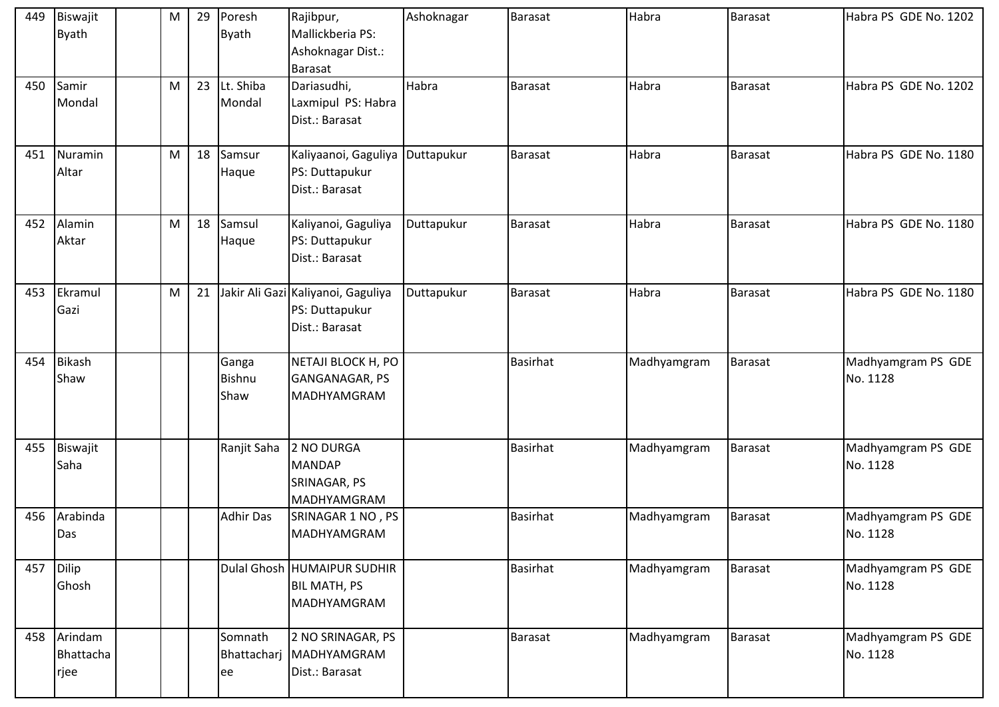| 449 | Biswajit<br><b>Byath</b>         | M | 29 | Poresh<br><b>Byath</b>  | Rajibpur,<br>Mallickberia PS:<br>Ashoknagar Dist.:<br><b>Barasat</b>   | Ashoknagar | <b>Barasat</b>  | Habra       | Barasat        | Habra PS GDE No. 1202          |
|-----|----------------------------------|---|----|-------------------------|------------------------------------------------------------------------|------------|-----------------|-------------|----------------|--------------------------------|
| 450 | Samir<br>Mondal                  | M | 23 | Lt. Shiba<br>Mondal     | Dariasudhi,<br>Laxmipul PS: Habra<br>Dist.: Barasat                    | Habra      | <b>Barasat</b>  | Habra       | <b>Barasat</b> | Habra PS GDE No. 1202          |
| 451 | Nuramin<br>Altar                 | M | 18 | Samsur<br>Haque         | Kaliyaanoi, Gaguliya Duttapukur<br>PS: Duttapukur<br>Dist.: Barasat    |            | <b>Barasat</b>  | Habra       | Barasat        | Habra PS GDE No. 1180          |
| 452 | Alamin<br>Aktar                  | M | 18 | Samsul<br>Haque         | Kaliyanoi, Gaguliya<br>PS: Duttapukur<br>Dist.: Barasat                | Duttapukur | <b>Barasat</b>  | Habra       | Barasat        | Habra PS GDE No. 1180          |
| 453 | Ekramul<br>Gazi                  | M | 21 |                         | Jakir Ali Gazi Kaliyanoi, Gaguliya<br>PS: Duttapukur<br>Dist.: Barasat | Duttapukur | <b>Barasat</b>  | Habra       | Barasat        | Habra PS GDE No. 1180          |
| 454 | <b>Bikash</b><br>Shaw            |   |    | Ganga<br>Bishnu<br>Shaw | NETAJI BLOCK H, PO<br>GANGANAGAR, PS<br>MADHYAMGRAM                    |            | <b>Basirhat</b> | Madhyamgram | <b>Barasat</b> | Madhyamgram PS GDE<br>No. 1128 |
| 455 | Biswajit<br>Saha                 |   |    | Ranjit Saha             | 2 NO DURGA<br><b>MANDAP</b><br>SRINAGAR, PS<br>MADHYAMGRAM             |            | <b>Basirhat</b> | Madhyamgram | <b>Barasat</b> | Madhyamgram PS GDE<br>No. 1128 |
| 456 | Arabinda<br>Das                  |   |    | <b>Adhir Das</b>        | SRINAGAR 1 NO, PS<br>MADHYAMGRAM                                       |            | <b>Basirhat</b> | Madhyamgram | <b>Barasat</b> | Madhyamgram PS GDE<br>No. 1128 |
| 457 | Dilip<br>Ghosh                   |   |    |                         | Dulal Ghosh HUMAIPUR SUDHIR<br><b>BIL MATH, PS</b><br>MADHYAMGRAM      |            | <b>Basirhat</b> | Madhyamgram | <b>Barasat</b> | Madhyamgram PS GDE<br>No. 1128 |
|     | 458 Arindam<br>Bhattacha<br>rjee |   |    | Somnath<br>ee           | 2 NO SRINAGAR, PS<br>Bhattacharj   MADHYAMGRAM<br>Dist.: Barasat       |            | <b>Barasat</b>  | Madhyamgram | <b>Barasat</b> | Madhyamgram PS GDE<br>No. 1128 |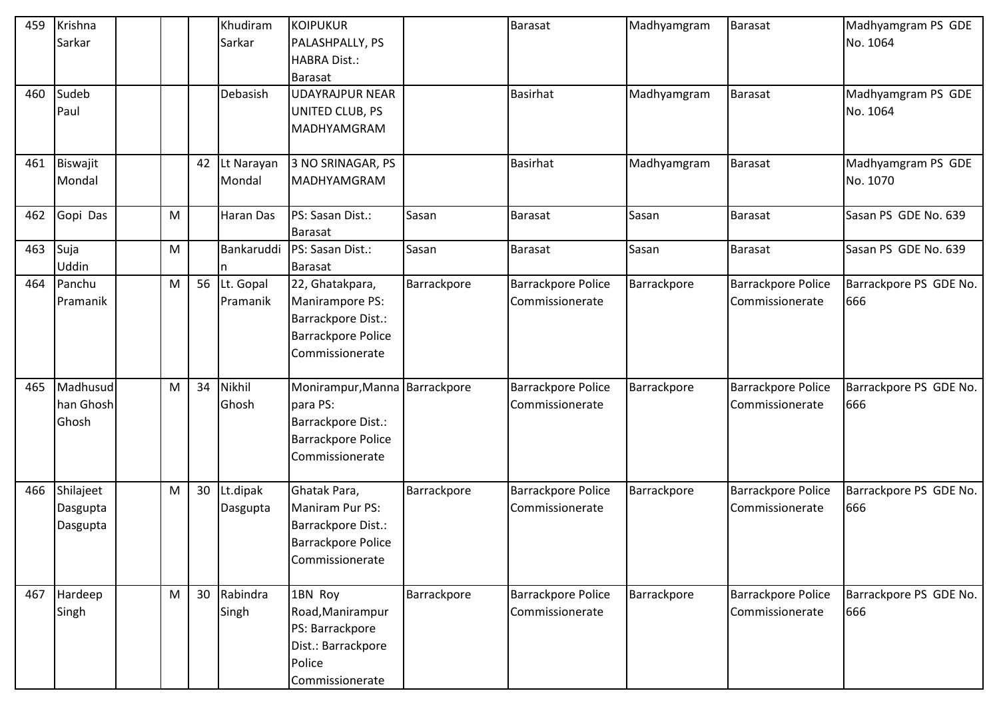| 459 | Krishna   |   |    | Khudiram   | <b>KOIPUKUR</b>               |             | <b>Barasat</b>            | Madhyamgram | Barasat                   | Madhyamgram PS GDE     |
|-----|-----------|---|----|------------|-------------------------------|-------------|---------------------------|-------------|---------------------------|------------------------|
|     | Sarkar    |   |    | Sarkar     | PALASHPALLY, PS               |             |                           |             |                           | No. 1064               |
|     |           |   |    |            | HABRA Dist.:                  |             |                           |             |                           |                        |
|     |           |   |    |            | <b>Barasat</b>                |             |                           |             |                           |                        |
| 460 | Sudeb     |   |    | Debasish   | <b>UDAYRAJPUR NEAR</b>        |             | <b>Basirhat</b>           | Madhyamgram | Barasat                   | Madhyamgram PS GDE     |
|     | Paul      |   |    |            | UNITED CLUB, PS               |             |                           |             |                           | No. 1064               |
|     |           |   |    |            | MADHYAMGRAM                   |             |                           |             |                           |                        |
|     |           |   |    |            |                               |             |                           |             |                           |                        |
| 461 | Biswajit  |   | 42 | Lt Narayan | 3 NO SRINAGAR, PS             |             | <b>Basirhat</b>           | Madhyamgram | Barasat                   | Madhyamgram PS GDE     |
|     | Mondal    |   |    | Mondal     | MADHYAMGRAM                   |             |                           |             |                           | No. 1070               |
|     |           |   |    |            |                               |             |                           |             |                           |                        |
| 462 | Gopi Das  | M |    | Haran Das  | PS: Sasan Dist.:              | Sasan       | <b>Barasat</b>            | Sasan       | Barasat                   | Sasan PS GDE No. 639   |
|     |           |   |    |            | <b>Barasat</b>                |             |                           |             |                           |                        |
| 463 | Suja      | M |    | Bankaruddi | PS: Sasan Dist.:              | Sasan       | <b>Barasat</b>            | Sasan       | Barasat                   | Sasan PS GDE No. 639   |
|     | Uddin     |   |    |            | <b>Barasat</b>                |             |                           |             |                           |                        |
| 464 | Panchu    | M | 56 | Lt. Gopal  | 22, Ghatakpara,               | Barrackpore | <b>Barrackpore Police</b> | Barrackpore | <b>Barrackpore Police</b> | Barrackpore PS GDE No. |
|     | Pramanik  |   |    | Pramanik   | Manirampore PS:               |             | Commissionerate           |             | Commissionerate           | 666                    |
|     |           |   |    |            | Barrackpore Dist.:            |             |                           |             |                           |                        |
|     |           |   |    |            | <b>Barrackpore Police</b>     |             |                           |             |                           |                        |
|     |           |   |    |            | Commissionerate               |             |                           |             |                           |                        |
|     |           |   |    |            |                               |             |                           |             |                           |                        |
| 465 | Madhusud  | M | 34 | Nikhil     | Monirampur, Manna Barrackpore |             | <b>Barrackpore Police</b> | Barrackpore | <b>Barrackpore Police</b> | Barrackpore PS GDE No. |
|     | han Ghosh |   |    | Ghosh      | para PS:                      |             | Commissionerate           |             | Commissionerate           | 666                    |
|     | Ghosh     |   |    |            | Barrackpore Dist.:            |             |                           |             |                           |                        |
|     |           |   |    |            | <b>Barrackpore Police</b>     |             |                           |             |                           |                        |
|     |           |   |    |            | Commissionerate               |             |                           |             |                           |                        |
|     |           |   |    |            |                               |             |                           |             |                           |                        |
| 466 | Shilajeet | M | 30 | Lt.dipak   | Ghatak Para,                  | Barrackpore | <b>Barrackpore Police</b> | Barrackpore | <b>Barrackpore Police</b> | Barrackpore PS GDE No. |
|     | Dasgupta  |   |    | Dasgupta   | Maniram Pur PS:               |             | Commissionerate           |             | Commissionerate           | 666                    |
|     | Dasgupta  |   |    |            | Barrackpore Dist.:            |             |                           |             |                           |                        |
|     |           |   |    |            | <b>Barrackpore Police</b>     |             |                           |             |                           |                        |
|     |           |   |    |            | Commissionerate               |             |                           |             |                           |                        |
|     |           |   |    |            |                               |             |                           |             |                           |                        |
| 467 | Hardeep   | M | 30 | Rabindra   | 1BN Roy                       | Barrackpore | <b>Barrackpore Police</b> | Barrackpore | Barrackpore Police        | Barrackpore PS GDE No. |
|     | Singh     |   |    | Singh      | Road, Manirampur              |             | Commissionerate           |             | Commissionerate           | 666                    |
|     |           |   |    |            | PS: Barrackpore               |             |                           |             |                           |                        |
|     |           |   |    |            | Dist.: Barrackpore            |             |                           |             |                           |                        |
|     |           |   |    |            | Police                        |             |                           |             |                           |                        |
|     |           |   |    |            | Commissionerate               |             |                           |             |                           |                        |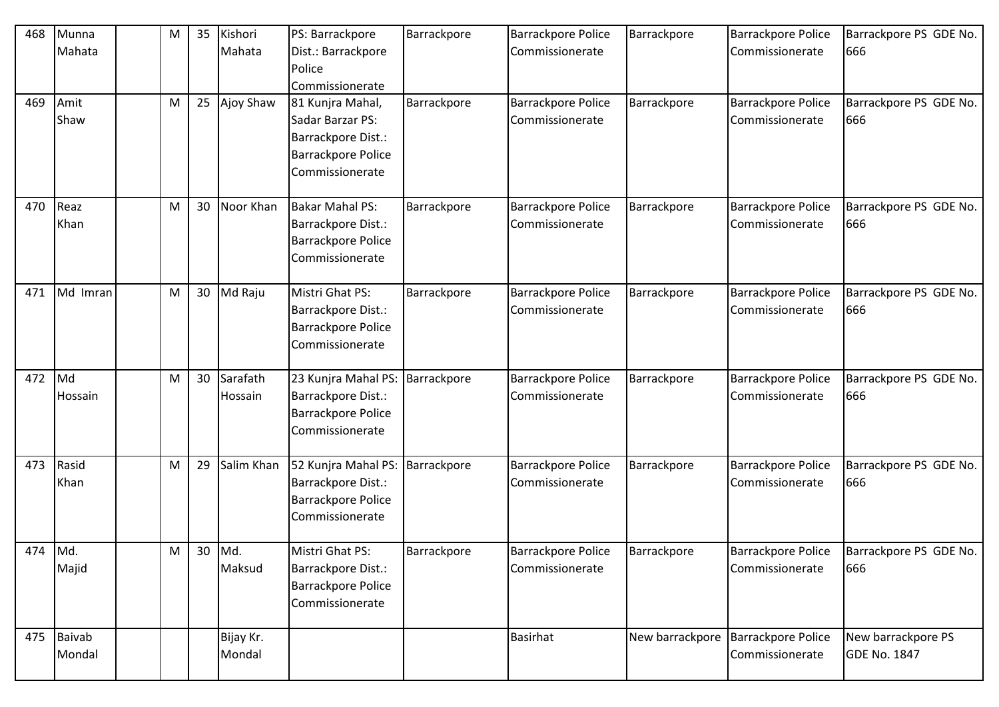| 468     | Munna         | M | 35 | Kishori    | PS: Barrackpore                 | Barrackpore | <b>Barrackpore Police</b> | Barrackpore | <b>Barrackpore Police</b>            | Barrackpore PS GDE No. |
|---------|---------------|---|----|------------|---------------------------------|-------------|---------------------------|-------------|--------------------------------------|------------------------|
|         | Mahata        |   |    | Mahata     | Dist.: Barrackpore              |             | Commissionerate           |             | Commissionerate                      | 666                    |
|         |               |   |    |            | Police                          |             |                           |             |                                      |                        |
|         |               |   |    |            | Commissionerate                 |             |                           |             |                                      |                        |
| 469     | Amit          | M | 25 | Ajoy Shaw  | 81 Kunjra Mahal,                | Barrackpore | <b>Barrackpore Police</b> | Barrackpore | <b>Barrackpore Police</b>            | Barrackpore PS GDE No. |
|         | Shaw          |   |    |            | Sadar Barzar PS:                |             | Commissionerate           |             | Commissionerate                      | 666                    |
|         |               |   |    |            | Barrackpore Dist.:              |             |                           |             |                                      |                        |
|         |               |   |    |            | <b>Barrackpore Police</b>       |             |                           |             |                                      |                        |
|         |               |   |    |            | Commissionerate                 |             |                           |             |                                      |                        |
|         |               |   |    |            |                                 |             |                           |             |                                      |                        |
| 470     | Reaz          | M | 30 | Noor Khan  | <b>Bakar Mahal PS:</b>          | Barrackpore | <b>Barrackpore Police</b> | Barrackpore | <b>Barrackpore Police</b>            | Barrackpore PS GDE No. |
|         | Khan          |   |    |            | Barrackpore Dist.:              |             | Commissionerate           |             | Commissionerate                      | 666                    |
|         |               |   |    |            | <b>Barrackpore Police</b>       |             |                           |             |                                      |                        |
|         |               |   |    |            | Commissionerate                 |             |                           |             |                                      |                        |
|         |               |   |    |            |                                 |             |                           |             |                                      |                        |
| 471     | Md Imran      | M | 30 | Md Raju    | Mistri Ghat PS:                 | Barrackpore | <b>Barrackpore Police</b> | Barrackpore | <b>Barrackpore Police</b>            | Barrackpore PS GDE No. |
|         |               |   |    |            | Barrackpore Dist.:              |             | Commissionerate           |             | Commissionerate                      | 666                    |
|         |               |   |    |            | <b>Barrackpore Police</b>       |             |                           |             |                                      |                        |
|         |               |   |    |            | Commissionerate                 |             |                           |             |                                      |                        |
| 472     | Md            | M | 30 | Sarafath   | 23 Kunjra Mahal PS: Barrackpore |             | <b>Barrackpore Police</b> | Barrackpore | <b>Barrackpore Police</b>            | Barrackpore PS GDE No. |
|         | Hossain       |   |    | Hossain    | Barrackpore Dist.:              |             | Commissionerate           |             | Commissionerate                      | 666                    |
|         |               |   |    |            | <b>Barrackpore Police</b>       |             |                           |             |                                      |                        |
|         |               |   |    |            | Commissionerate                 |             |                           |             |                                      |                        |
|         |               |   |    |            |                                 |             |                           |             |                                      |                        |
| 473     | Rasid         | M | 29 | Salim Khan | 52 Kunjra Mahal PS: Barrackpore |             | <b>Barrackpore Police</b> | Barrackpore | <b>Barrackpore Police</b>            | Barrackpore PS GDE No. |
|         | Khan          |   |    |            | Barrackpore Dist.:              |             | Commissionerate           |             | Commissionerate                      | 666                    |
|         |               |   |    |            | <b>Barrackpore Police</b>       |             |                           |             |                                      |                        |
|         |               |   |    |            | Commissionerate                 |             |                           |             |                                      |                        |
|         |               |   |    |            |                                 |             |                           |             |                                      |                        |
| 474 Md. |               | M |    | 30 Md.     | Mistri Ghat PS:                 | Barrackpore | <b>Barrackpore Police</b> | Barrackpore | <b>Barrackpore Police</b>            | Barrackpore PS GDE No. |
|         | Majid         |   |    | Maksud     | Barrackpore Dist.:              |             | Commissionerate           |             | Commissionerate                      | 666                    |
|         |               |   |    |            | <b>Barrackpore Police</b>       |             |                           |             |                                      |                        |
|         |               |   |    |            | Commissionerate                 |             |                           |             |                                      |                        |
|         |               |   |    |            |                                 |             |                           |             |                                      |                        |
| 475     | <b>Baivab</b> |   |    | Bijay Kr.  |                                 |             | <b>Basirhat</b>           |             | New barrackpore   Barrackpore Police | New barrackpore PS     |
|         | Mondal        |   |    | Mondal     |                                 |             |                           |             | Commissionerate                      | <b>GDE No. 1847</b>    |
|         |               |   |    |            |                                 |             |                           |             |                                      |                        |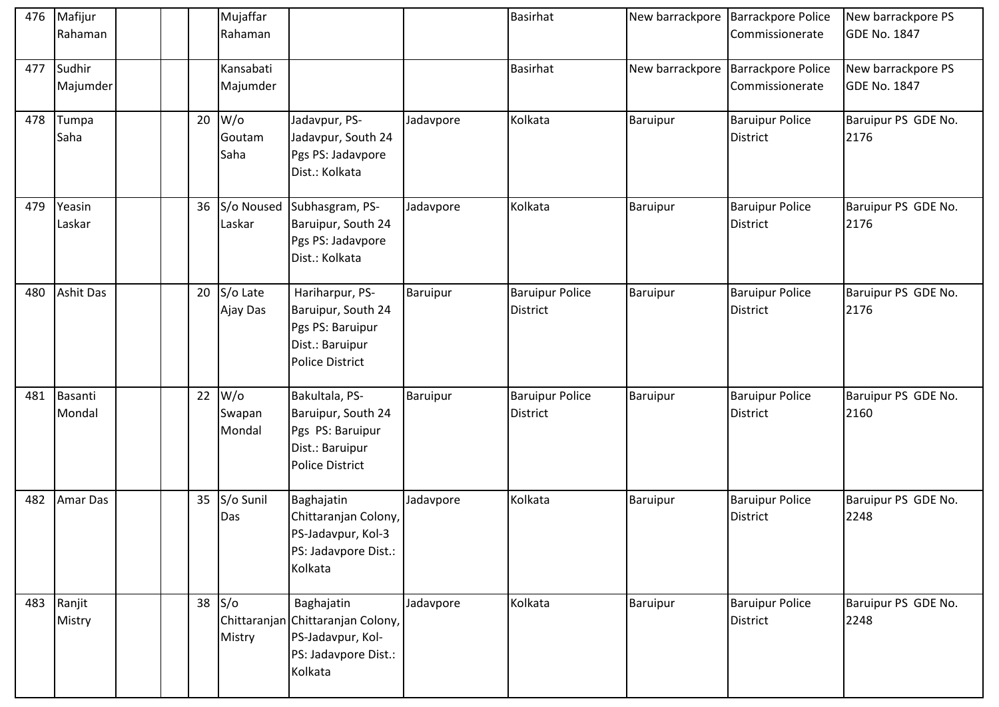| 476 | Mafijur<br>Rahaman   |  |    | Mujaffar<br>Rahaman        |                                                                                                         |           | <b>Basirhat</b>                           |                 | New barrackpore   Barrackpore Police<br>Commissionerate | New barrackpore PS<br><b>GDE No. 1847</b> |
|-----|----------------------|--|----|----------------------------|---------------------------------------------------------------------------------------------------------|-----------|-------------------------------------------|-----------------|---------------------------------------------------------|-------------------------------------------|
| 477 | Sudhir<br>Majumder   |  |    | Kansabati<br>Majumder      |                                                                                                         |           | <b>Basirhat</b>                           | New barrackpore | <b>Barrackpore Police</b><br>Commissionerate            | New barrackpore PS<br><b>GDE No. 1847</b> |
| 478 | Tumpa<br>Saha        |  | 20 | $W$ /o<br>Goutam<br>Saha   | Jadavpur, PS-<br>Jadavpur, South 24<br>Pgs PS: Jadavpore<br>Dist.: Kolkata                              | Jadavpore | Kolkata                                   | Baruipur        | <b>Baruipur Police</b><br><b>District</b>               | Baruipur PS GDE No.<br>2176               |
| 479 | Yeasin<br>Laskar     |  | 36 | Laskar                     | S/o Noused Subhasgram, PS-<br>Baruipur, South 24<br>Pgs PS: Jadavpore<br>Dist.: Kolkata                 | Jadavpore | Kolkata                                   | Baruipur        | <b>Baruipur Police</b><br><b>District</b>               | Baruipur PS GDE No.<br>2176               |
| 480 | <b>Ashit Das</b>     |  | 20 | S/o Late<br>Ajay Das       | Hariharpur, PS-<br>Baruipur, South 24<br>Pgs PS: Baruipur<br>Dist.: Baruipur<br><b>Police District</b>  | Baruipur  | <b>Baruipur Police</b><br><b>District</b> | Baruipur        | <b>Baruipur Police</b><br><b>District</b>               | Baruipur PS GDE No.<br>2176               |
| 481 | Basanti<br>Mondal    |  | 22 | $W$ /o<br>Swapan<br>Mondal | Bakultala, PS-<br>Baruipur, South 24<br>Pgs PS: Baruipur<br>Dist.: Baruipur<br>Police District          | Baruipur  | <b>Baruipur Police</b><br><b>District</b> | Baruipur        | <b>Baruipur Police</b><br><b>District</b>               | Baruipur PS GDE No.<br>2160               |
| 482 | <b>Amar Das</b>      |  | 35 | S/o Sunil<br>Das           | Baghajatin<br>Chittaranjan Colony,<br>PS-Jadavpur, Kol-3<br>PS: Jadavpore Dist.:<br>Kolkata             | Jadavpore | Kolkata                                   | Baruipur        | <b>Baruipur Police</b><br><b>District</b>               | Baruipur PS GDE No.<br>2248               |
|     | 483 Ranjit<br>Mistry |  | 38 | S/O<br>Mistry              | Baghajatin<br>Chittaranjan Chittaranjan Colony,<br>PS-Jadavpur, Kol-<br>PS: Jadavpore Dist.:<br>Kolkata | Jadavpore | Kolkata                                   | Baruipur        | <b>Baruipur Police</b><br><b>District</b>               | Baruipur PS GDE No.<br>2248               |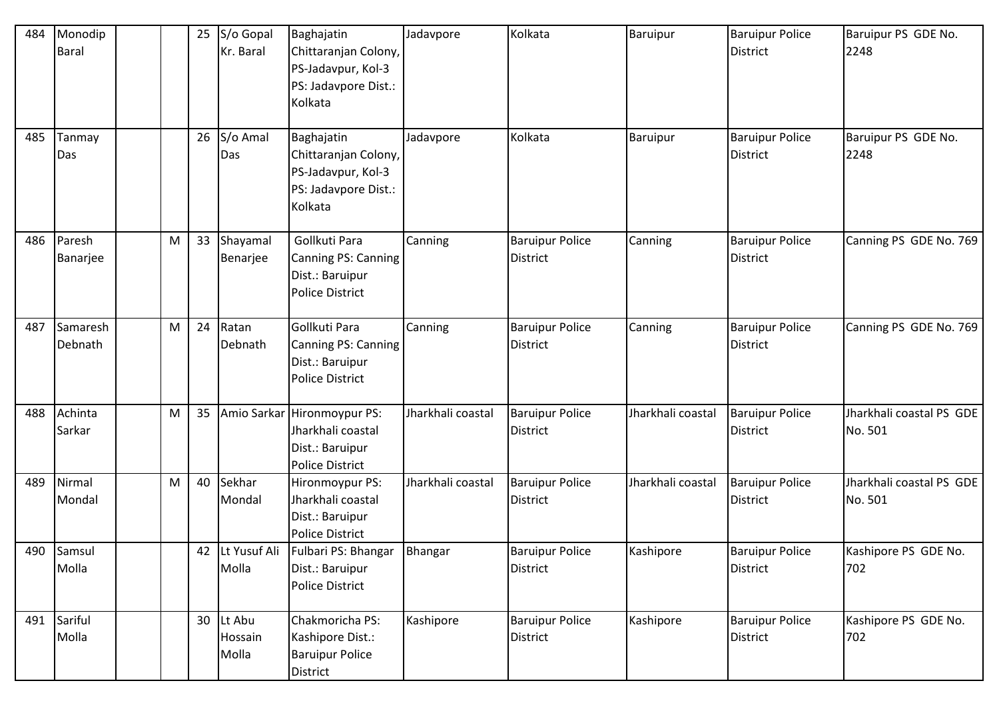| 484 | Monodip<br><b>Baral</b> |   | 25 | S/o Gopal<br>Kr. Baral     | Baghajatin<br>Chittaranjan Colony,<br>PS-Jadavpur, Kol-3<br>PS: Jadavpore Dist.:<br>Kolkata   | Jadavpore         | Kolkata                                   | Baruipur          | <b>Baruipur Police</b><br><b>District</b> | Baruipur PS GDE No.<br>2248         |
|-----|-------------------------|---|----|----------------------------|-----------------------------------------------------------------------------------------------|-------------------|-------------------------------------------|-------------------|-------------------------------------------|-------------------------------------|
| 485 | Tanmay<br>Das           |   | 26 | S/o Amal<br>Das            | Baghajatin<br>Chittaranjan Colony,<br>PS-Jadavpur, Kol-3<br>PS: Jadavpore Dist.:<br>Kolkata   | Jadavpore         | Kolkata                                   | Baruipur          | <b>Baruipur Police</b><br><b>District</b> | Baruipur PS GDE No.<br>2248         |
| 486 | Paresh<br>Banarjee      | M | 33 | Shayamal<br>Benarjee       | Gollkuti Para<br>Canning PS: Canning<br>Dist.: Baruipur<br>Police District                    | Canning           | <b>Baruipur Police</b><br><b>District</b> | Canning           | <b>Baruipur Police</b><br><b>District</b> | Canning PS GDE No. 769              |
| 487 | Samaresh<br>Debnath     | M | 24 | Ratan<br>Debnath           | Gollkuti Para<br>Canning PS: Canning<br>Dist.: Baruipur<br><b>Police District</b>             | Canning           | <b>Baruipur Police</b><br><b>District</b> | Canning           | <b>Baruipur Police</b><br><b>District</b> | Canning PS GDE No. 769              |
| 488 | Achinta<br>Sarkar       | M | 35 |                            | Amio Sarkar Hironmoypur PS:<br>Jharkhali coastal<br>Dist.: Baruipur<br><b>Police District</b> | Jharkhali coastal | <b>Baruipur Police</b><br><b>District</b> | Jharkhali coastal | <b>Baruipur Police</b><br><b>District</b> | Jharkhali coastal PS GDE<br>No. 501 |
| 489 | Nirmal<br>Mondal        | M | 40 | Sekhar<br>Mondal           | Hironmoypur PS:<br>Jharkhali coastal<br>Dist.: Baruipur<br>Police District                    | Jharkhali coastal | <b>Baruipur Police</b><br><b>District</b> | Jharkhali coastal | <b>Baruipur Police</b><br><b>District</b> | Jharkhali coastal PS GDE<br>No. 501 |
|     | 490 Samsul<br>Molla     |   |    | Molla                      | 42   Lt Yusuf Ali   Fulbari PS: Bhangar<br>Dist.: Baruipur<br><b>Police District</b>          | Bhangar           | <b>Baruipur Police</b><br><b>District</b> | Kashipore         | <b>Baruipur Police</b><br><b>District</b> | Kashipore PS GDE No.<br>702         |
| 491 | Sariful<br>Molla        |   | 30 | Lt Abu<br>Hossain<br>Molla | Chakmoricha PS:<br>Kashipore Dist.:<br><b>Baruipur Police</b><br>District                     | Kashipore         | <b>Baruipur Police</b><br>District        | Kashipore         | <b>Baruipur Police</b><br>District        | Kashipore PS GDE No.<br>702         |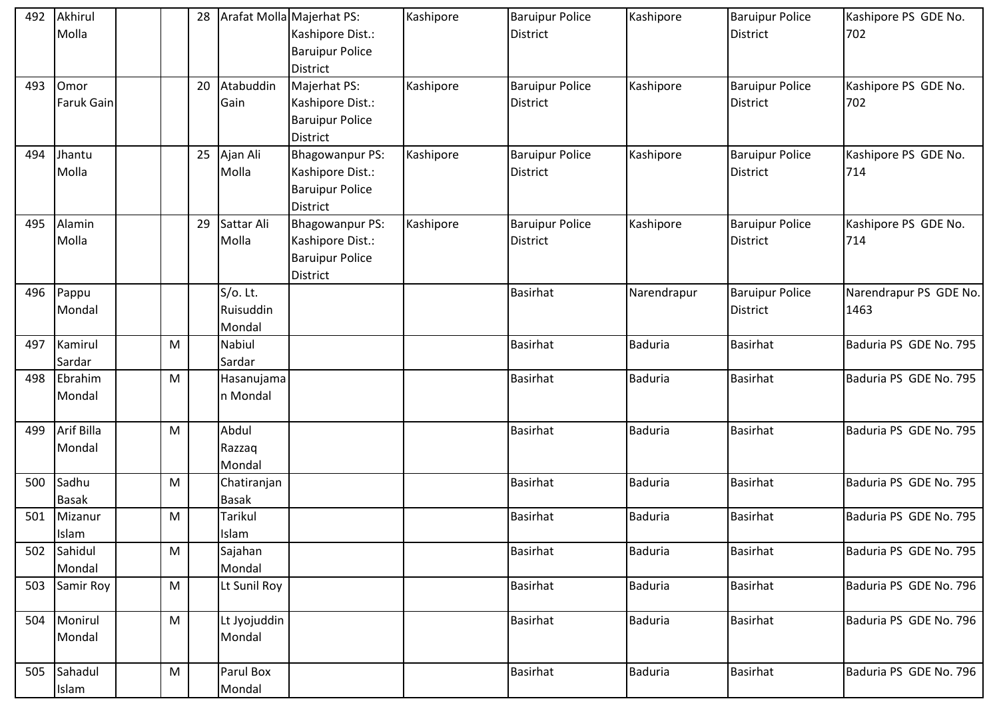| 492 | Akhirul           |           | 28 |              | Arafat Molla Majerhat PS: | Kashipore | <b>Baruipur Police</b> | Kashipore      | <b>Baruipur Police</b> | Kashipore PS GDE No.   |
|-----|-------------------|-----------|----|--------------|---------------------------|-----------|------------------------|----------------|------------------------|------------------------|
|     | Molla             |           |    |              | Kashipore Dist.:          |           | <b>District</b>        |                | <b>District</b>        | 702                    |
|     |                   |           |    |              | <b>Baruipur Police</b>    |           |                        |                |                        |                        |
|     |                   |           |    |              | District                  |           |                        |                |                        |                        |
| 493 | Omor              |           | 20 | Atabuddin    | Majerhat PS:              | Kashipore | <b>Baruipur Police</b> | Kashipore      | <b>Baruipur Police</b> | Kashipore PS GDE No.   |
|     | <b>Faruk Gain</b> |           |    | Gain         | Kashipore Dist.:          |           | <b>District</b>        |                | <b>District</b>        | 702                    |
|     |                   |           |    |              | <b>Baruipur Police</b>    |           |                        |                |                        |                        |
|     |                   |           |    |              | <b>District</b>           |           |                        |                |                        |                        |
| 494 | Jhantu            |           | 25 | Ajan Ali     | <b>Bhagowanpur PS:</b>    | Kashipore | <b>Baruipur Police</b> | Kashipore      | <b>Baruipur Police</b> | Kashipore PS GDE No.   |
|     | Molla             |           |    | Molla        | Kashipore Dist.:          |           | <b>District</b>        |                | <b>District</b>        | 714                    |
|     |                   |           |    |              | <b>Baruipur Police</b>    |           |                        |                |                        |                        |
|     |                   |           |    |              | <b>District</b>           |           |                        |                |                        |                        |
| 495 | Alamin            |           | 29 | Sattar Ali   | <b>Bhagowanpur PS:</b>    | Kashipore | <b>Baruipur Police</b> | Kashipore      | <b>Baruipur Police</b> | Kashipore PS GDE No.   |
|     | Molla             |           |    | Molla        | Kashipore Dist.:          |           | <b>District</b>        |                | <b>District</b>        | 714                    |
|     |                   |           |    |              | <b>Baruipur Police</b>    |           |                        |                |                        |                        |
|     |                   |           |    |              | District                  |           |                        |                |                        |                        |
| 496 | Pappu             |           |    | $S/O$ . Lt.  |                           |           | <b>Basirhat</b>        | Narendrapur    | <b>Baruipur Police</b> | Narendrapur PS GDE No. |
|     | Mondal            |           |    | Ruisuddin    |                           |           |                        |                | <b>District</b>        | 1463                   |
|     |                   |           |    | Mondal       |                           |           |                        |                |                        |                        |
| 497 | Kamirul           | ${\sf M}$ |    | Nabiul       |                           |           | <b>Basirhat</b>        | <b>Baduria</b> | <b>Basirhat</b>        | Baduria PS GDE No. 795 |
|     | Sardar            |           |    | Sardar       |                           |           |                        |                |                        |                        |
| 498 | Ebrahim           | ${\sf M}$ |    | Hasanujama   |                           |           | <b>Basirhat</b>        | <b>Baduria</b> | Basirhat               | Baduria PS GDE No. 795 |
|     | Mondal            |           |    | n Mondal     |                           |           |                        |                |                        |                        |
|     |                   |           |    |              |                           |           |                        |                |                        |                        |
| 499 | Arif Billa        | M         |    | Abdul        |                           |           | <b>Basirhat</b>        | <b>Baduria</b> | <b>Basirhat</b>        | Baduria PS GDE No. 795 |
|     | Mondal            |           |    | Razzaq       |                           |           |                        |                |                        |                        |
|     |                   |           |    | Mondal       |                           |           |                        |                |                        |                        |
| 500 | Sadhu             | ${\sf M}$ |    | Chatiranjan  |                           |           | <b>Basirhat</b>        | <b>Baduria</b> | Basirhat               | Baduria PS GDE No. 795 |
|     | <b>Basak</b>      |           |    | <b>Basak</b> |                           |           |                        |                |                        |                        |
| 501 | Mizanur           | M         |    | Tarikul      |                           |           | <b>Basirhat</b>        | <b>Baduria</b> | <b>Basirhat</b>        | Baduria PS GDE No. 795 |
|     | Islam             |           |    | Islam        |                           |           |                        |                |                        |                        |
| 502 | Sahidul           | M         |    | Sajahan      |                           |           | <b>Basirhat</b>        | <b>Baduria</b> | <b>Basirhat</b>        | Baduria PS GDE No. 795 |
|     | Mondal            |           |    | Mondal       |                           |           |                        |                |                        |                        |
| 503 | Samir Roy         | ${\sf M}$ |    | Lt Sunil Roy |                           |           | <b>Basirhat</b>        | <b>Baduria</b> | <b>Basirhat</b>        | Baduria PS GDE No. 796 |
|     |                   |           |    |              |                           |           |                        |                |                        |                        |
| 504 | Monirul           | M         |    | Lt Jyojuddin |                           |           | <b>Basirhat</b>        | <b>Baduria</b> | Basirhat               | Baduria PS GDE No. 796 |
|     | Mondal            |           |    | Mondal       |                           |           |                        |                |                        |                        |
|     |                   |           |    |              |                           |           |                        |                |                        |                        |
| 505 | Sahadul           | M         |    | Parul Box    |                           |           | <b>Basirhat</b>        | <b>Baduria</b> | <b>Basirhat</b>        | Baduria PS GDE No. 796 |
|     | Islam             |           |    | Mondal       |                           |           |                        |                |                        |                        |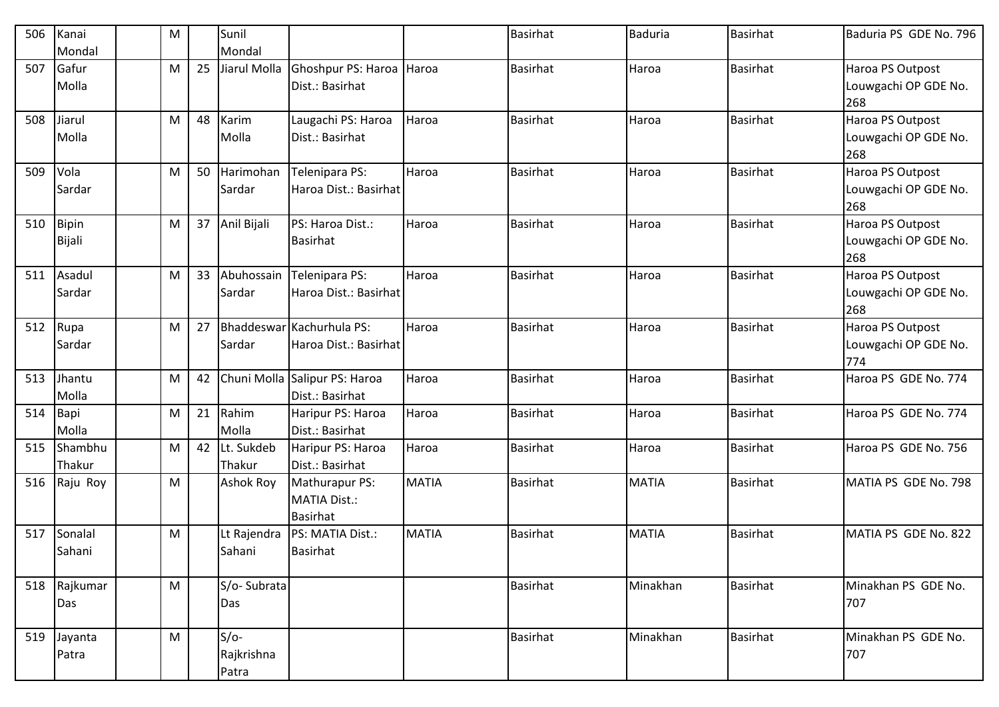| 506 | Kanai        | M |    | Sunil            |                                |              | <b>Basirhat</b> | <b>Baduria</b> | <b>Basirhat</b> | Baduria PS GDE No. 796 |
|-----|--------------|---|----|------------------|--------------------------------|--------------|-----------------|----------------|-----------------|------------------------|
|     | Mondal       |   |    | Mondal           |                                |              |                 |                |                 |                        |
| 507 | Gafur        | M | 25 | Jiarul Molla     | Ghoshpur PS: Haroa Haroa       |              | <b>Basirhat</b> | Haroa          | <b>Basirhat</b> | Haroa PS Outpost       |
|     | Molla        |   |    |                  | Dist.: Basirhat                |              |                 |                |                 | Louwgachi OP GDE No.   |
|     |              |   |    |                  |                                |              |                 |                |                 | 268                    |
| 508 | Jiarul       | M | 48 | Karim            | Laugachi PS: Haroa             | Haroa        | <b>Basirhat</b> | Haroa          | <b>Basirhat</b> | Haroa PS Outpost       |
|     | Molla        |   |    | Molla            | Dist.: Basirhat                |              |                 |                |                 | Louwgachi OP GDE No.   |
|     |              |   |    |                  |                                |              |                 |                |                 | 268                    |
| 509 | Vola         | M | 50 | Harimohan        | Telenipara PS:                 | Haroa        | <b>Basirhat</b> | Haroa          | <b>Basirhat</b> | Haroa PS Outpost       |
|     | Sardar       |   |    | Sardar           | Haroa Dist.: Basirhat          |              |                 |                |                 | Louwgachi OP GDE No.   |
|     |              |   |    |                  |                                |              |                 |                |                 | 268                    |
| 510 | <b>Bipin</b> | M | 37 | Anil Bijali      | PS: Haroa Dist.:               | Haroa        | <b>Basirhat</b> | Haroa          | <b>Basirhat</b> | Haroa PS Outpost       |
|     | Bijali       |   |    |                  | <b>Basirhat</b>                |              |                 |                |                 | Louwgachi OP GDE No.   |
|     |              |   |    |                  |                                |              |                 |                |                 | 268                    |
| 511 | Asadul       | M | 33 | Abuhossain       | Telenipara PS:                 | Haroa        | <b>Basirhat</b> | Haroa          | <b>Basirhat</b> | Haroa PS Outpost       |
|     | Sardar       |   |    | Sardar           | Haroa Dist.: Basirhat          |              |                 |                |                 | Louwgachi OP GDE No.   |
|     |              |   |    |                  |                                |              |                 |                |                 | 268                    |
| 512 | Rupa         | M | 27 |                  | Bhaddeswar Kachurhula PS:      | Haroa        | <b>Basirhat</b> | Haroa          | <b>Basirhat</b> | Haroa PS Outpost       |
|     | Sardar       |   |    | Sardar           | Haroa Dist.: Basirhat          |              |                 |                |                 | Louwgachi OP GDE No.   |
|     |              |   |    |                  |                                |              |                 |                |                 | 774                    |
| 513 | Jhantu       | M | 42 |                  | Chuni Molla Salipur PS: Haroa  | Haroa        | <b>Basirhat</b> | Haroa          | <b>Basirhat</b> | Haroa PS GDE No. 774   |
|     | Molla        |   |    |                  | Dist.: Basirhat                |              |                 |                |                 |                        |
| 514 | Bapi         | M | 21 | Rahim            | Haripur PS: Haroa              | Haroa        | <b>Basirhat</b> | Haroa          | <b>Basirhat</b> | Haroa PS GDE No. 774   |
|     | Molla        |   |    | Molla            | Dist.: Basirhat                |              |                 |                |                 |                        |
| 515 | Shambhu      | M | 42 | Lt. Sukdeb       | Haripur PS: Haroa              | Haroa        | <b>Basirhat</b> | Haroa          | <b>Basirhat</b> | Haroa PS GDE No. 756   |
|     | Thakur       |   |    | Thakur           | Dist.: Basirhat                |              |                 |                |                 |                        |
| 516 | Raju Roy     | M |    | <b>Ashok Roy</b> | Mathurapur PS:                 | <b>MATIA</b> | <b>Basirhat</b> | <b>MATIA</b>   | <b>Basirhat</b> | MATIA PS GDE No. 798   |
|     |              |   |    |                  | <b>MATIA Dist.:</b>            |              |                 |                |                 |                        |
|     |              |   |    |                  | <b>Basirhat</b>                | <b>MATIA</b> | <b>Basirhat</b> | <b>MATIA</b>   | <b>Basirhat</b> | MATIA PS GDE No. 822   |
| 517 | Sonalal      | M |    |                  | Lt Rajendra   PS: MATIA Dist.: |              |                 |                |                 |                        |
|     | Sahani       |   |    | Sahani           | <b>Basirhat</b>                |              |                 |                |                 |                        |
|     | 518 Rajkumar | M |    | S/o-Subrata      |                                |              | <b>Basirhat</b> | Minakhan       | <b>Basirhat</b> | Minakhan PS GDE No.    |
|     | Das          |   |    | Das              |                                |              |                 |                |                 | 707                    |
|     |              |   |    |                  |                                |              |                 |                |                 |                        |
| 519 | Jayanta      | M |    | $S/O-$           |                                |              | Basirhat        | Minakhan       | <b>Basirhat</b> | Minakhan PS GDE No.    |
|     | Patra        |   |    | Rajkrishna       |                                |              |                 |                |                 | 707                    |
|     |              |   |    | Patra            |                                |              |                 |                |                 |                        |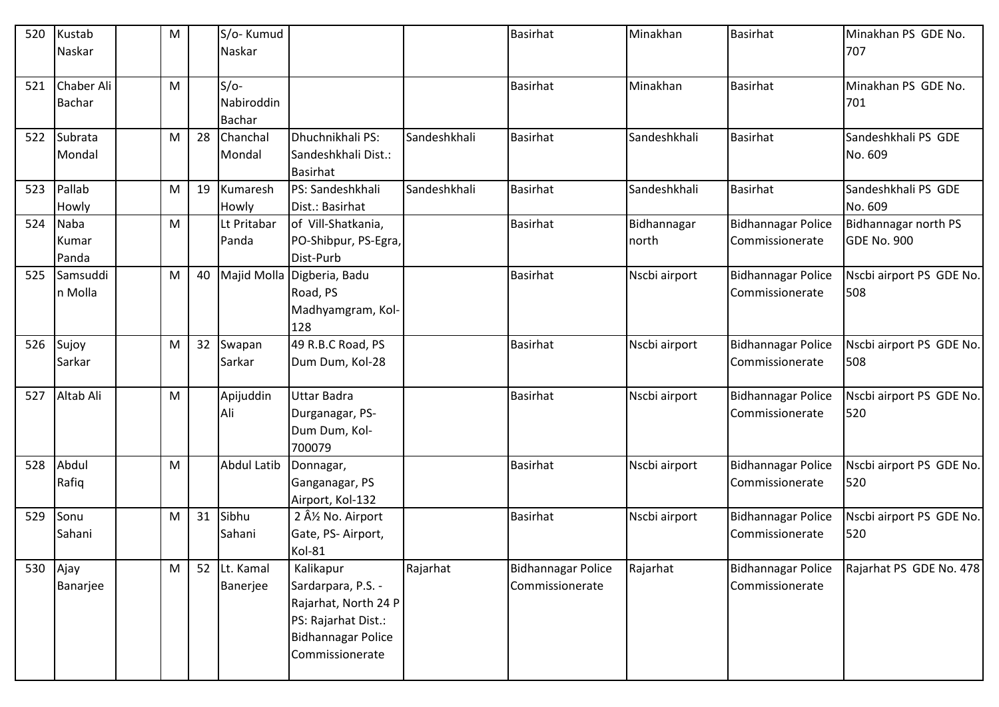| 520 | Kustab<br>Naskar            | M |    | S/o-Kumud<br>Naskar                   |                                                                                                                                |              | <b>Basirhat</b>                              | Minakhan             | <b>Basirhat</b>                              | Minakhan PS GDE No.<br>707                 |
|-----|-----------------------------|---|----|---------------------------------------|--------------------------------------------------------------------------------------------------------------------------------|--------------|----------------------------------------------|----------------------|----------------------------------------------|--------------------------------------------|
|     |                             |   |    |                                       |                                                                                                                                |              |                                              |                      |                                              |                                            |
| 521 | Chaber Ali<br><b>Bachar</b> | M |    | $S/O-$<br>Nabiroddin<br><b>Bachar</b> |                                                                                                                                |              | <b>Basirhat</b>                              | Minakhan             | <b>Basirhat</b>                              | Minakhan PS GDE No.<br>701                 |
| 522 | Subrata<br>Mondal           | M | 28 | Chanchal<br>Mondal                    | Dhuchnikhali PS:<br>Sandeshkhali Dist.:<br><b>Basirhat</b>                                                                     | Sandeshkhali | <b>Basirhat</b>                              | Sandeshkhali         | <b>Basirhat</b>                              | Sandeshkhali PS GDE<br>No. 609             |
| 523 | Pallab<br>Howly             | M | 19 | Kumaresh<br>Howly                     | PS: Sandeshkhali<br>Dist.: Basirhat                                                                                            | Sandeshkhali | <b>Basirhat</b>                              | Sandeshkhali         | <b>Basirhat</b>                              | Sandeshkhali PS GDE<br>No. 609             |
| 524 | Naba<br>Kumar<br>Panda      | M |    | Lt Pritabar<br>Panda                  | of Vill-Shatkania,<br>PO-Shibpur, PS-Egra,<br>Dist-Purb                                                                        |              | <b>Basirhat</b>                              | Bidhannagar<br>north | <b>Bidhannagar Police</b><br>Commissionerate | Bidhannagar north PS<br><b>GDE No. 900</b> |
| 525 | Samsuddi<br>n Molla         | M | 40 |                                       | Majid Molla Digberia, Badu<br>Road, PS<br>Madhyamgram, Kol-<br>128                                                             |              | <b>Basirhat</b>                              | Nscbi airport        | <b>Bidhannagar Police</b><br>Commissionerate | Nscbi airport PS GDE No.<br>508            |
| 526 | Sujoy<br>Sarkar             | M | 32 | Swapan<br>Sarkar                      | 49 R.B.C Road, PS<br>Dum Dum, Kol-28                                                                                           |              | <b>Basirhat</b>                              | Nscbi airport        | <b>Bidhannagar Police</b><br>Commissionerate | Nscbi airport PS GDE No.<br>508            |
| 527 | Altab Ali                   | M |    | Apijuddin<br>Ali                      | <b>Uttar Badra</b><br>Durganagar, PS-<br>Dum Dum, Kol-<br>700079                                                               |              | <b>Basirhat</b>                              | Nscbi airport        | <b>Bidhannagar Police</b><br>Commissionerate | Nscbi airport PS GDE No.<br>520            |
| 528 | Abdul<br>Rafiq              | M |    | <b>Abdul Latib</b>                    | Donnagar,<br>Ganganagar, PS<br>Airport, Kol-132                                                                                |              | <b>Basirhat</b>                              | Nscbi airport        | <b>Bidhannagar Police</b><br>Commissionerate | Nscbi airport PS GDE No.<br>520            |
| 529 | Sonu<br>Sahani              | M | 31 | Sibhu<br>Sahani                       | 2 Â <sup>1</sup> / <sub>2</sub> No. Airport<br>Gate, PS-Airport,<br>Kol-81                                                     |              | <b>Basirhat</b>                              | Nscbi airport        | <b>Bidhannagar Police</b><br>Commissionerate | Nscbi airport PS GDE No.<br>520            |
| 530 | Ajay<br>Banarjee            | M | 52 | Lt. Kamal<br>Banerjee                 | Kalikapur<br>Sardarpara, P.S. -<br>Rajarhat, North 24 P<br>PS: Rajarhat Dist.:<br><b>Bidhannagar Police</b><br>Commissionerate | Rajarhat     | <b>Bidhannagar Police</b><br>Commissionerate | Rajarhat             | <b>Bidhannagar Police</b><br>Commissionerate | Rajarhat PS GDE No. 478                    |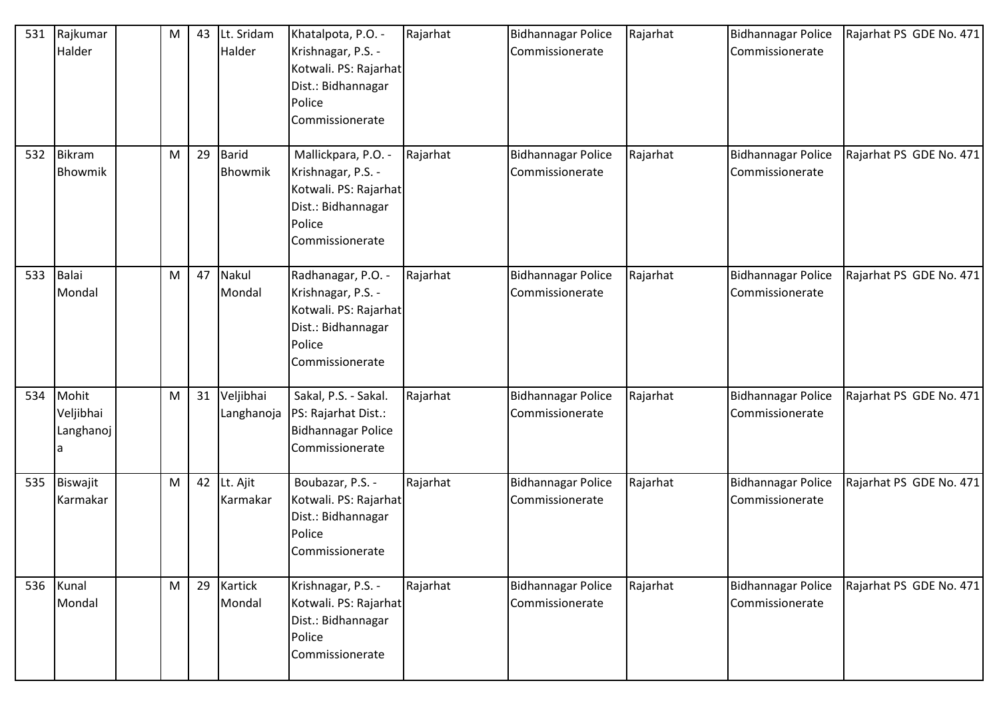| 531 | Rajkumar<br>Halder                   | M | 43 | Lt. Sridam<br>Halder    | Khatalpota, P.O. -<br>Krishnagar, P.S. -<br>Kotwali. PS: Rajarhat<br>Dist.: Bidhannagar<br>Police<br>Commissionerate  | Rajarhat | <b>Bidhannagar Police</b><br>Commissionerate | Rajarhat | <b>Bidhannagar Police</b><br>Commissionerate | Rajarhat PS GDE No. 471 |
|-----|--------------------------------------|---|----|-------------------------|-----------------------------------------------------------------------------------------------------------------------|----------|----------------------------------------------|----------|----------------------------------------------|-------------------------|
| 532 | <b>Bikram</b><br>Bhowmik             | M | 29 | Barid<br>Bhowmik        | Mallickpara, P.O. -<br>Krishnagar, P.S. -<br>Kotwali. PS: Rajarhat<br>Dist.: Bidhannagar<br>Police<br>Commissionerate | Rajarhat | <b>Bidhannagar Police</b><br>Commissionerate | Rajarhat | <b>Bidhannagar Police</b><br>Commissionerate | Rajarhat PS GDE No. 471 |
| 533 | Balai<br>Mondal                      | M | 47 | Nakul<br>Mondal         | Radhanagar, P.O. -<br>Krishnagar, P.S. -<br>Kotwali. PS: Rajarhat<br>Dist.: Bidhannagar<br>Police<br>Commissionerate  | Rajarhat | <b>Bidhannagar Police</b><br>Commissionerate | Rajarhat | <b>Bidhannagar Police</b><br>Commissionerate | Rajarhat PS GDE No. 471 |
| 534 | Mohit<br>Veljibhai<br>Langhanoj<br>a | M | 31 | Veljibhai<br>Langhanoja | Sakal, P.S. - Sakal.<br>PS: Rajarhat Dist.:<br><b>Bidhannagar Police</b><br>Commissionerate                           | Rajarhat | <b>Bidhannagar Police</b><br>Commissionerate | Rajarhat | <b>Bidhannagar Police</b><br>Commissionerate | Rajarhat PS GDE No. 471 |
| 535 | Biswajit<br>Karmakar                 | M | 42 | Lt. Ajit<br>Karmakar    | Boubazar, P.S. -<br>Kotwali. PS: Rajarhat<br>Dist.: Bidhannagar<br>Police<br>Commissionerate                          | Rajarhat | <b>Bidhannagar Police</b><br>Commissionerate | Rajarhat | <b>Bidhannagar Police</b><br>Commissionerate | Rajarhat PS GDE No. 471 |
| 536 | Kunal<br>Mondal                      | M | 29 | Kartick<br>Mondal       | Krishnagar, P.S. -<br>Kotwali. PS: Rajarhat<br>Dist.: Bidhannagar<br>Police<br>Commissionerate                        | Rajarhat | <b>Bidhannagar Police</b><br>Commissionerate | Rajarhat | <b>Bidhannagar Police</b><br>Commissionerate | Rajarhat PS GDE No. 471 |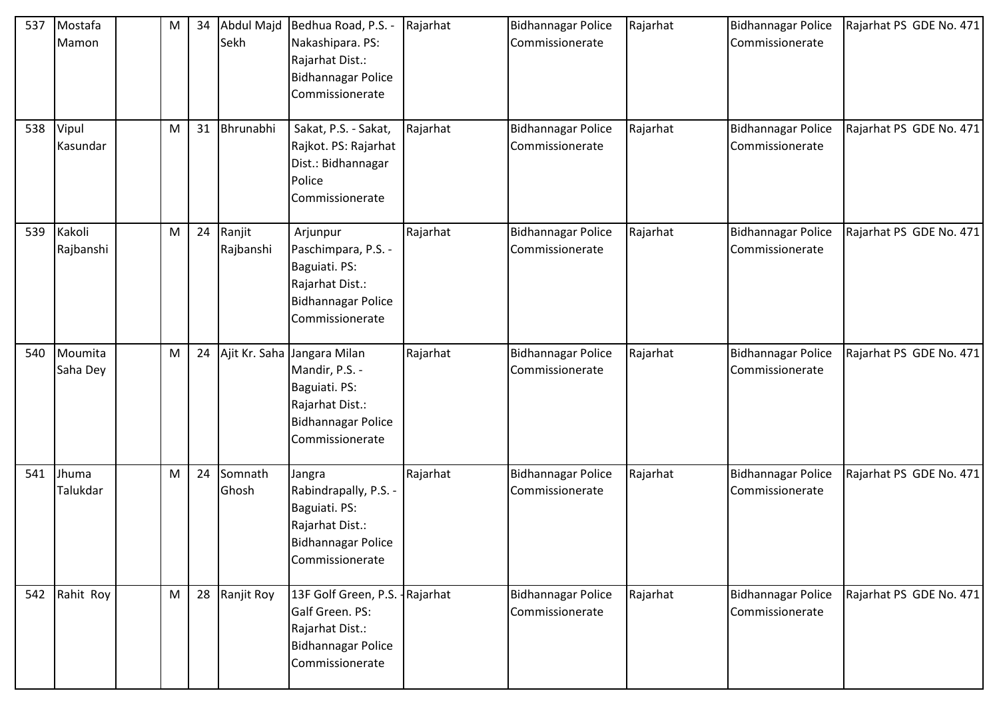| 537 | Mostafa<br>Mamon      | M | 34 | Sekh                | Abdul Majd Bedhua Road, P.S. -<br>Nakashipara. PS:<br>Rajarhat Dist.:<br><b>Bidhannagar Police</b><br>Commissionerate             | Rajarhat | <b>Bidhannagar Police</b><br>Commissionerate | Rajarhat | Bidhannagar Police<br>Commissionerate        | Rajarhat PS GDE No. 471 |
|-----|-----------------------|---|----|---------------------|-----------------------------------------------------------------------------------------------------------------------------------|----------|----------------------------------------------|----------|----------------------------------------------|-------------------------|
|     | 538 Vipul<br>Kasundar | M | 31 | Bhrunabhi           | Sakat, P.S. - Sakat,<br>Rajkot. PS: Rajarhat<br>Dist.: Bidhannagar<br>Police<br>Commissionerate                                   | Rajarhat | <b>Bidhannagar Police</b><br>Commissionerate | Rajarhat | <b>Bidhannagar Police</b><br>Commissionerate | Rajarhat PS GDE No. 471 |
| 539 | Kakoli<br>Rajbanshi   | M | 24 | Ranjit<br>Rajbanshi | Arjunpur<br>Paschimpara, P.S. -<br>Baguiati. PS:<br>Rajarhat Dist.:<br>Bidhannagar Police<br>Commissionerate                      | Rajarhat | <b>Bidhannagar Police</b><br>Commissionerate | Rajarhat | <b>Bidhannagar Police</b><br>Commissionerate | Rajarhat PS GDE No. 471 |
| 540 | Moumita<br>Saha Dey   | M | 24 |                     | Ajit Kr. Saha Jangara Milan<br>Mandir, P.S. -<br>Baguiati. PS:<br>Rajarhat Dist.:<br><b>Bidhannagar Police</b><br>Commissionerate | Rajarhat | <b>Bidhannagar Police</b><br>Commissionerate | Rajarhat | <b>Bidhannagar Police</b><br>Commissionerate | Rajarhat PS GDE No. 471 |
| 541 | Jhuma<br>Talukdar     | M | 24 | Somnath<br>Ghosh    | Jangra<br>Rabindrapally, P.S. -<br>Baguiati. PS:<br>Rajarhat Dist.:<br><b>Bidhannagar Police</b><br>Commissionerate               | Rajarhat | <b>Bidhannagar Police</b><br>Commissionerate | Rajarhat | <b>Bidhannagar Police</b><br>Commissionerate | Rajarhat PS GDE No. 471 |
| 542 | Rahit Roy             | M | 28 | Ranjit Roy          | 13F Golf Green, P.S. - Rajarhat<br>Galf Green. PS:<br>Rajarhat Dist.:<br><b>Bidhannagar Police</b><br>Commissionerate             |          | <b>Bidhannagar Police</b><br>Commissionerate | Rajarhat | <b>Bidhannagar Police</b><br>Commissionerate | Rajarhat PS GDE No. 471 |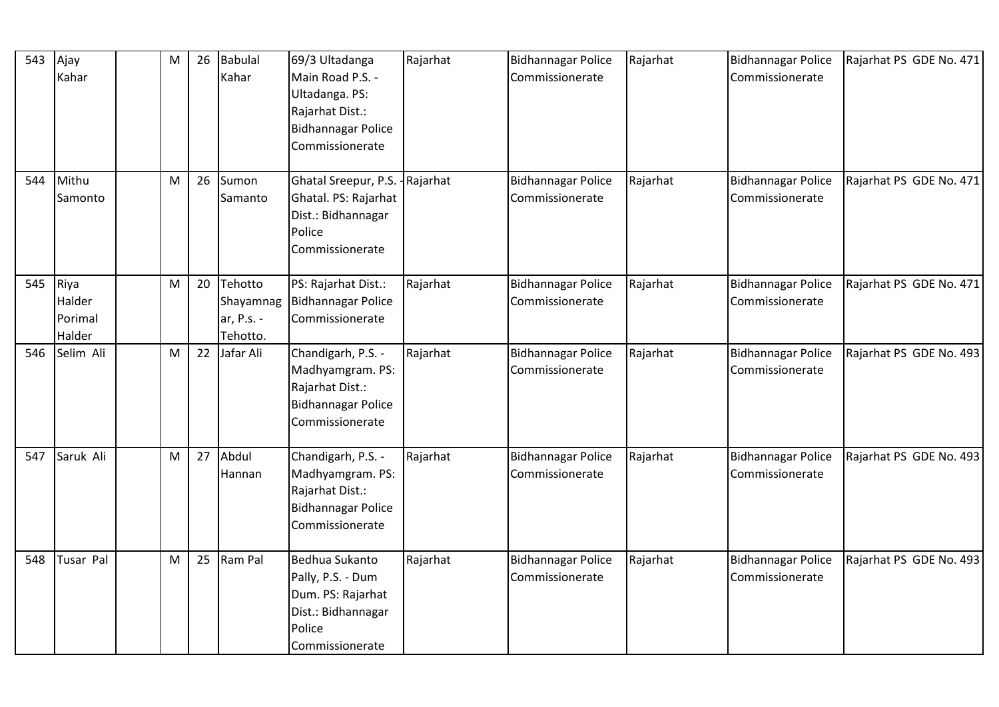| 543 | Ajay<br>Kahar                       | ${\sf M}$ | 26 | <b>Babulal</b><br>Kahar                        | 69/3 Ultadanga<br>Main Road P.S. -<br>Ultadanga. PS:<br>Rajarhat Dist.:<br><b>Bidhannagar Police</b><br>Commissionerate | Rajarhat | <b>Bidhannagar Police</b><br>Commissionerate | Rajarhat | <b>Bidhannagar Police</b><br>Commissionerate | Rajarhat PS GDE No. 471 |
|-----|-------------------------------------|-----------|----|------------------------------------------------|-------------------------------------------------------------------------------------------------------------------------|----------|----------------------------------------------|----------|----------------------------------------------|-------------------------|
| 544 | Mithu<br>Samonto                    | M         | 26 | Sumon<br>Samanto                               | Ghatal Sreepur, P.S. - Rajarhat<br>Ghatal. PS: Rajarhat<br>Dist.: Bidhannagar<br>Police<br>Commissionerate              |          | <b>Bidhannagar Police</b><br>Commissionerate | Rajarhat | <b>Bidhannagar Police</b><br>Commissionerate | Rajarhat PS GDE No. 471 |
| 545 | Riya<br>Halder<br>Porimal<br>Halder | M         | 20 | Tehotto<br>Shayamnag<br>ar, P.s. -<br>Tehotto. | PS: Rajarhat Dist.:<br><b>Bidhannagar Police</b><br>Commissionerate                                                     | Rajarhat | <b>Bidhannagar Police</b><br>Commissionerate | Rajarhat | <b>Bidhannagar Police</b><br>Commissionerate | Rajarhat PS GDE No. 471 |
| 546 | Selim Ali                           | M         | 22 | Jafar Ali                                      | Chandigarh, P.S. -<br>Madhyamgram. PS:<br>Rajarhat Dist.:<br><b>Bidhannagar Police</b><br>Commissionerate               | Rajarhat | <b>Bidhannagar Police</b><br>Commissionerate | Rajarhat | <b>Bidhannagar Police</b><br>Commissionerate | Rajarhat PS GDE No. 493 |
| 547 | Saruk Ali                           | ${\sf M}$ | 27 | Abdul<br>Hannan                                | Chandigarh, P.S. -<br>Madhyamgram. PS:<br>Rajarhat Dist.:<br><b>Bidhannagar Police</b><br>Commissionerate               | Rajarhat | <b>Bidhannagar Police</b><br>Commissionerate | Rajarhat | <b>Bidhannagar Police</b><br>Commissionerate | Rajarhat PS GDE No. 493 |
| 548 | Tusar Pal                           | M         | 25 | Ram Pal                                        | Bedhua Sukanto<br>Pally, P.S. - Dum<br>Dum. PS: Rajarhat<br>Dist.: Bidhannagar<br>Police<br>Commissionerate             | Rajarhat | <b>Bidhannagar Police</b><br>Commissionerate | Rajarhat | <b>Bidhannagar Police</b><br>Commissionerate | Rajarhat PS GDE No. 493 |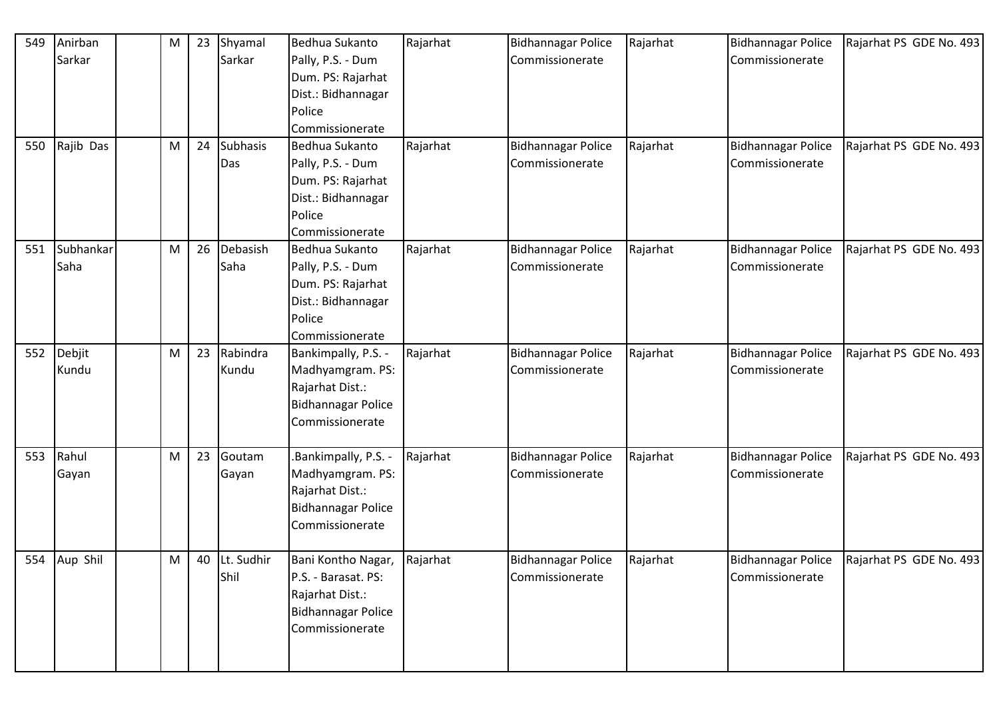| 549 | Anirban      | M | 23 | Shyamal         | Bedhua Sukanto            | Rajarhat | <b>Bidhannagar Police</b> | Rajarhat | <b>Bidhannagar Police</b> | Rajarhat PS GDE No. 493 |
|-----|--------------|---|----|-----------------|---------------------------|----------|---------------------------|----------|---------------------------|-------------------------|
|     | Sarkar       |   |    | Sarkar          | Pally, P.S. - Dum         |          | Commissionerate           |          | Commissionerate           |                         |
|     |              |   |    |                 | Dum. PS: Rajarhat         |          |                           |          |                           |                         |
|     |              |   |    |                 | Dist.: Bidhannagar        |          |                           |          |                           |                         |
|     |              |   |    |                 | Police                    |          |                           |          |                           |                         |
|     |              |   |    |                 | Commissionerate           |          |                           |          |                           |                         |
| 550 | Rajib Das    | M | 24 | <b>Subhasis</b> | Bedhua Sukanto            | Rajarhat | <b>Bidhannagar Police</b> | Rajarhat | <b>Bidhannagar Police</b> | Rajarhat PS GDE No. 493 |
|     |              |   |    | Das             | Pally, P.S. - Dum         |          | Commissionerate           |          | Commissionerate           |                         |
|     |              |   |    |                 | Dum. PS: Rajarhat         |          |                           |          |                           |                         |
|     |              |   |    |                 | Dist.: Bidhannagar        |          |                           |          |                           |                         |
|     |              |   |    |                 | Police                    |          |                           |          |                           |                         |
|     |              |   |    |                 | Commissionerate           |          |                           |          |                           |                         |
| 551 | Subhankar    | M | 26 | Debasish        | Bedhua Sukanto            | Rajarhat | <b>Bidhannagar Police</b> | Rajarhat | <b>Bidhannagar Police</b> | Rajarhat PS GDE No. 493 |
|     | Saha         |   |    | Saha            | Pally, P.S. - Dum         |          | Commissionerate           |          | Commissionerate           |                         |
|     |              |   |    |                 | Dum. PS: Rajarhat         |          |                           |          |                           |                         |
|     |              |   |    |                 | Dist.: Bidhannagar        |          |                           |          |                           |                         |
|     |              |   |    |                 | Police                    |          |                           |          |                           |                         |
|     |              |   |    |                 | Commissionerate           |          |                           |          |                           |                         |
| 552 | Debjit       | M | 23 | Rabindra        | Bankimpally, P.S. -       | Rajarhat | <b>Bidhannagar Police</b> | Rajarhat | <b>Bidhannagar Police</b> | Rajarhat PS GDE No. 493 |
|     | Kundu        |   |    | Kundu           | Madhyamgram. PS:          |          | Commissionerate           |          | Commissionerate           |                         |
|     |              |   |    |                 | Rajarhat Dist.:           |          |                           |          |                           |                         |
|     |              |   |    |                 | <b>Bidhannagar Police</b> |          |                           |          |                           |                         |
|     |              |   |    |                 | Commissionerate           |          |                           |          |                           |                         |
|     |              |   |    |                 |                           |          |                           |          |                           |                         |
| 553 | Rahul        | M | 23 | Goutam          | Bankimpally, P.S. -       | Rajarhat | <b>Bidhannagar Police</b> | Rajarhat | <b>Bidhannagar Police</b> | Rajarhat PS GDE No. 493 |
|     | Gayan        |   |    | Gayan           | Madhyamgram. PS:          |          | Commissionerate           |          | Commissionerate           |                         |
|     |              |   |    |                 | Rajarhat Dist.:           |          |                           |          |                           |                         |
|     |              |   |    |                 | <b>Bidhannagar Police</b> |          |                           |          |                           |                         |
|     |              |   |    |                 | Commissionerate           |          |                           |          |                           |                         |
|     |              |   |    |                 |                           |          |                           |          |                           |                         |
|     | 554 Aup Shil | M | 40 | Lt. Sudhir      | Bani Kontho Nagar,        | Rajarhat | Bidhannagar Police        | Rajarhat | <b>Bidhannagar Police</b> | Rajarhat PS GDE No. 493 |
|     |              |   |    | Shil            | P.S. - Barasat. PS:       |          | Commissionerate           |          | Commissionerate           |                         |
|     |              |   |    |                 | Rajarhat Dist.:           |          |                           |          |                           |                         |
|     |              |   |    |                 | <b>Bidhannagar Police</b> |          |                           |          |                           |                         |
|     |              |   |    |                 | Commissionerate           |          |                           |          |                           |                         |
|     |              |   |    |                 |                           |          |                           |          |                           |                         |
|     |              |   |    |                 |                           |          |                           |          |                           |                         |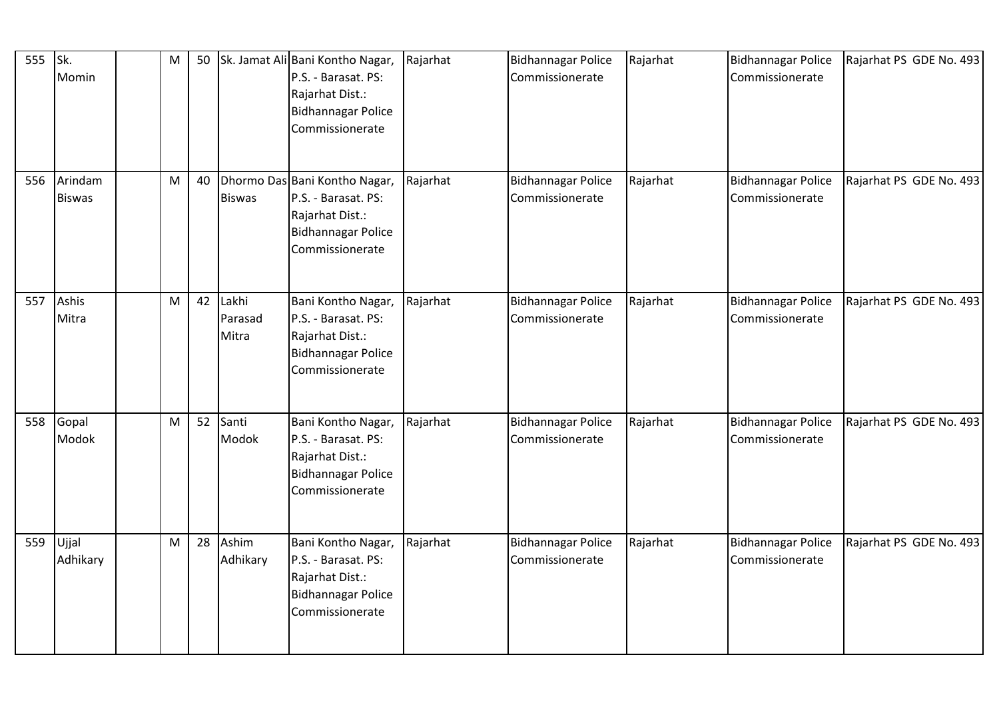| 555 Sk. | Momin                    | $\mathsf{M}% _{T}=\mathsf{M}_{T}\!\left( a,b\right) ,\ \mathsf{M}_{T}=\mathsf{M}_{T}\!\left( a,b\right) ,$ | 50 |                           | Sk. Jamat Ali Bani Kontho Nagar,<br>P.S. - Barasat. PS:<br>Rajarhat Dist.:<br><b>Bidhannagar Police</b><br>Commissionerate | Rajarhat | <b>Bidhannagar Police</b><br>Commissionerate | Rajarhat | <b>Bidhannagar Police</b><br>Commissionerate | Rajarhat PS GDE No. 493 |
|---------|--------------------------|------------------------------------------------------------------------------------------------------------|----|---------------------------|----------------------------------------------------------------------------------------------------------------------------|----------|----------------------------------------------|----------|----------------------------------------------|-------------------------|
| 556     | Arindam<br><b>Biswas</b> | ${\sf M}$                                                                                                  | 40 | <b>Biswas</b>             | Dhormo Das Bani Kontho Nagar,<br>P.S. - Barasat. PS:<br>Rajarhat Dist.:<br><b>Bidhannagar Police</b><br>Commissionerate    | Rajarhat | <b>Bidhannagar Police</b><br>Commissionerate | Rajarhat | <b>Bidhannagar Police</b><br>Commissionerate | Rajarhat PS GDE No. 493 |
| 557     | Ashis<br>Mitra           | $\mathsf{M}% _{T}=\mathsf{M}_{T}\!\left( a,b\right) ,\ \mathsf{M}_{T}=\mathsf{M}_{T}\!\left( a,b\right) ,$ | 42 | Lakhi<br>Parasad<br>Mitra | Bani Kontho Nagar,<br>P.S. - Barasat. PS:<br>Rajarhat Dist.:<br><b>Bidhannagar Police</b><br>Commissionerate               | Rajarhat | <b>Bidhannagar Police</b><br>Commissionerate | Rajarhat | <b>Bidhannagar Police</b><br>Commissionerate | Rajarhat PS GDE No. 493 |
| 558     | Gopal<br>Modok           | ${\sf M}$                                                                                                  | 52 | Santi<br>Modok            | Bani Kontho Nagar,<br>P.S. - Barasat. PS:<br>Rajarhat Dist.:<br><b>Bidhannagar Police</b><br>Commissionerate               | Rajarhat | <b>Bidhannagar Police</b><br>Commissionerate | Rajarhat | <b>Bidhannagar Police</b><br>Commissionerate | Rajarhat PS GDE No. 493 |
| 559     | Ujjal<br>Adhikary        | ${\sf M}$                                                                                                  | 28 | Ashim<br>Adhikary         | Bani Kontho Nagar,<br>P.S. - Barasat. PS:<br>Rajarhat Dist.:<br><b>Bidhannagar Police</b><br>Commissionerate               | Rajarhat | <b>Bidhannagar Police</b><br>Commissionerate | Rajarhat | <b>Bidhannagar Police</b><br>Commissionerate | Rajarhat PS GDE No. 493 |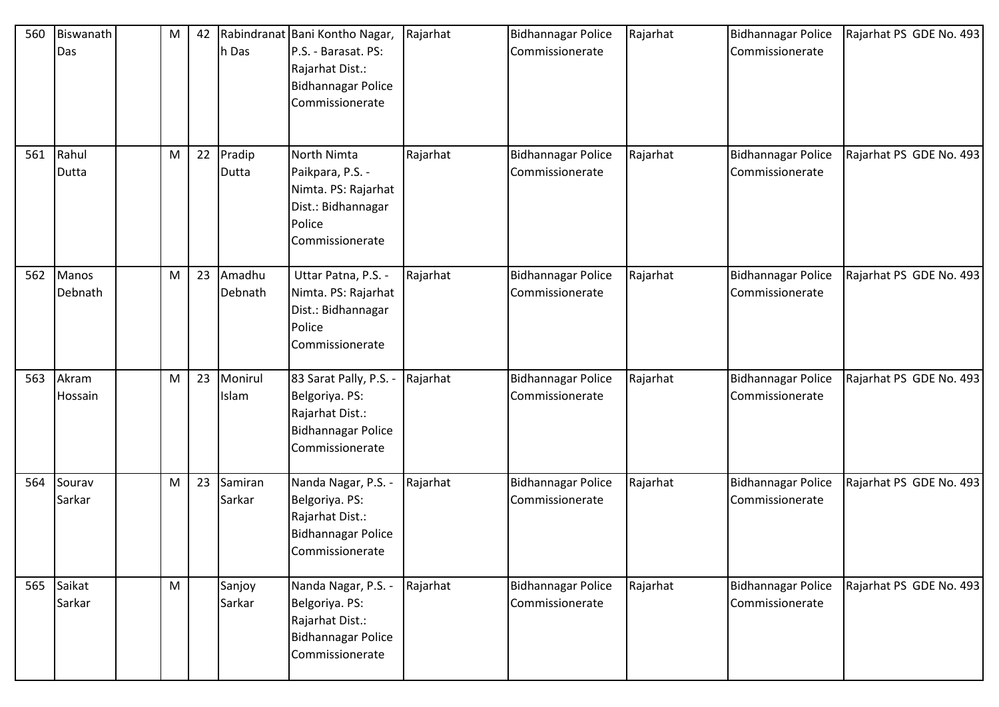| 560 | Biswanath<br>Das | M         | 42 | h Das             | Rabindranat Bani Kontho Nagar,<br>P.S. - Barasat. PS:<br>Rajarhat Dist.:<br><b>Bidhannagar Police</b><br>Commissionerate | Rajarhat | <b>Bidhannagar Police</b><br>Commissionerate | Rajarhat | <b>Bidhannagar Police</b><br>Commissionerate | Rajarhat PS GDE No. 493 |
|-----|------------------|-----------|----|-------------------|--------------------------------------------------------------------------------------------------------------------------|----------|----------------------------------------------|----------|----------------------------------------------|-------------------------|
| 561 | Rahul<br>Dutta   | M         | 22 | Pradip<br>Dutta   | North Nimta<br>Paikpara, P.S. -<br>Nimta. PS: Rajarhat<br>Dist.: Bidhannagar<br>Police<br>Commissionerate                | Rajarhat | <b>Bidhannagar Police</b><br>Commissionerate | Rajarhat | <b>Bidhannagar Police</b><br>Commissionerate | Rajarhat PS GDE No. 493 |
| 562 | Manos<br>Debnath | M         | 23 | Amadhu<br>Debnath | Uttar Patna, P.S. -<br>Nimta. PS: Rajarhat<br>Dist.: Bidhannagar<br>Police<br>Commissionerate                            | Rajarhat | <b>Bidhannagar Police</b><br>Commissionerate | Rajarhat | <b>Bidhannagar Police</b><br>Commissionerate | Rajarhat PS GDE No. 493 |
| 563 | Akram<br>Hossain | M         | 23 | Monirul<br>Islam  | 83 Sarat Pally, P.S. -<br>Belgoriya. PS:<br>Rajarhat Dist.:<br>Bidhannagar Police<br>Commissionerate                     | Rajarhat | <b>Bidhannagar Police</b><br>Commissionerate | Rajarhat | <b>Bidhannagar Police</b><br>Commissionerate | Rajarhat PS GDE No. 493 |
| 564 | Sourav<br>Sarkar | M         | 23 | Samiran<br>Sarkar | Nanda Nagar, P.S. -<br>Belgoriya. PS:<br>Rajarhat Dist.:<br><b>Bidhannagar Police</b><br>Commissionerate                 | Rajarhat | <b>Bidhannagar Police</b><br>Commissionerate | Rajarhat | <b>Bidhannagar Police</b><br>Commissionerate | Rajarhat PS GDE No. 493 |
| 565 | Saikat<br>Sarkar | ${\sf M}$ |    | Sanjoy<br>Sarkar  | Nanda Nagar, P.S. -<br>Belgoriya. PS:<br>Rajarhat Dist.:<br>Bidhannagar Police<br>Commissionerate                        | Rajarhat | <b>Bidhannagar Police</b><br>Commissionerate | Rajarhat | <b>Bidhannagar Police</b><br>Commissionerate | Rajarhat PS GDE No. 493 |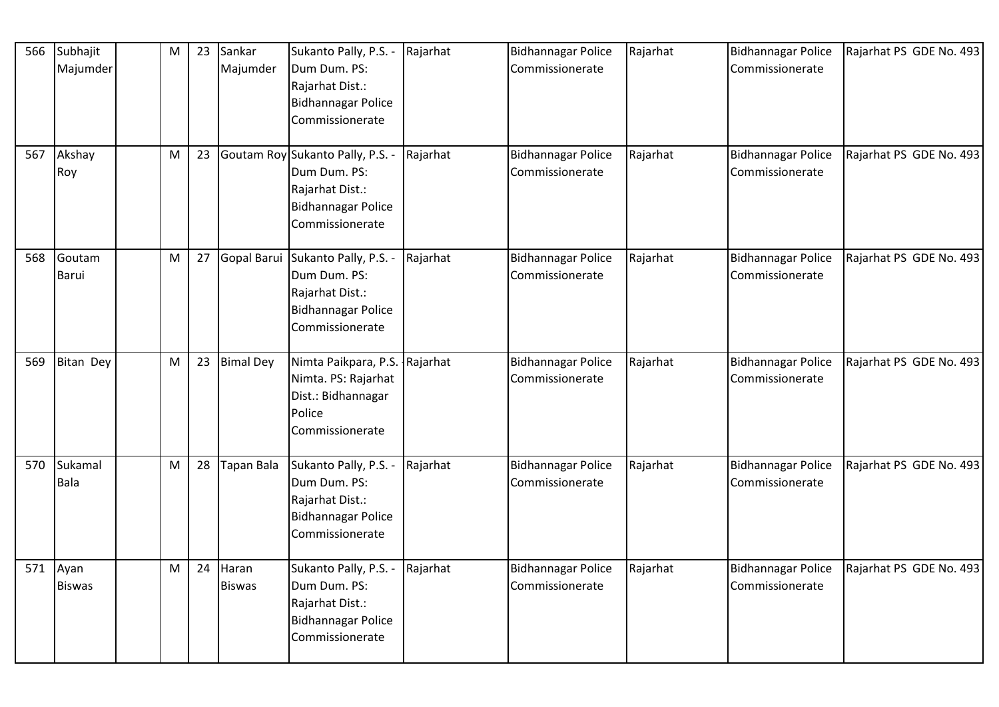| 566 | Subhajit<br>Majumder      | M | 23 | Sankar<br>Majumder     | Sukanto Pally, P.S. -<br>Dum Dum. PS:<br>Rajarhat Dist.:<br><b>Bidhannagar Police</b><br>Commissionerate             | Rajarhat | <b>Bidhannagar Police</b><br>Commissionerate | Rajarhat | <b>Bidhannagar Police</b><br>Commissionerate | Rajarhat PS GDE No. 493 |
|-----|---------------------------|---|----|------------------------|----------------------------------------------------------------------------------------------------------------------|----------|----------------------------------------------|----------|----------------------------------------------|-------------------------|
| 567 | Akshay<br>Roy             | M | 23 |                        | Goutam Roy Sukanto Pally, P.S. -<br>Dum Dum. PS:<br>Rajarhat Dist.:<br><b>Bidhannagar Police</b><br>Commissionerate  | Rajarhat | <b>Bidhannagar Police</b><br>Commissionerate | Rajarhat | <b>Bidhannagar Police</b><br>Commissionerate | Rajarhat PS GDE No. 493 |
| 568 | Goutam<br>Barui           | M | 27 |                        | Gopal Barui Sukanto Pally, P.S. -<br>Dum Dum. PS:<br>Rajarhat Dist.:<br><b>Bidhannagar Police</b><br>Commissionerate | Rajarhat | <b>Bidhannagar Police</b><br>Commissionerate | Rajarhat | <b>Bidhannagar Police</b><br>Commissionerate | Rajarhat PS GDE No. 493 |
| 569 | Bitan Dey                 | M | 23 | <b>Bimal Dey</b>       | Nimta Paikpara, P.S. Rajarhat<br>Nimta. PS: Rajarhat<br>Dist.: Bidhannagar<br>Police<br>Commissionerate              |          | <b>Bidhannagar Police</b><br>Commissionerate | Rajarhat | <b>Bidhannagar Police</b><br>Commissionerate | Rajarhat PS GDE No. 493 |
| 570 | Sukamal<br>Bala           | M | 28 | <b>Tapan Bala</b>      | Sukanto Pally, P.S. -<br>Dum Dum. PS:<br>Rajarhat Dist.:<br><b>Bidhannagar Police</b><br>Commissionerate             | Rajarhat | <b>Bidhannagar Police</b><br>Commissionerate | Rajarhat | <b>Bidhannagar Police</b><br>Commissionerate | Rajarhat PS GDE No. 493 |
|     | 571 Ayan<br><b>Biswas</b> | M | 24 | Haran<br><b>Biswas</b> | Sukanto Pally, P.S. -<br>Dum Dum. PS:<br>Rajarhat Dist.:<br><b>Bidhannagar Police</b><br>Commissionerate             | Rajarhat | <b>Bidhannagar Police</b><br>Commissionerate | Rajarhat | <b>Bidhannagar Police</b><br>Commissionerate | Rajarhat PS GDE No. 493 |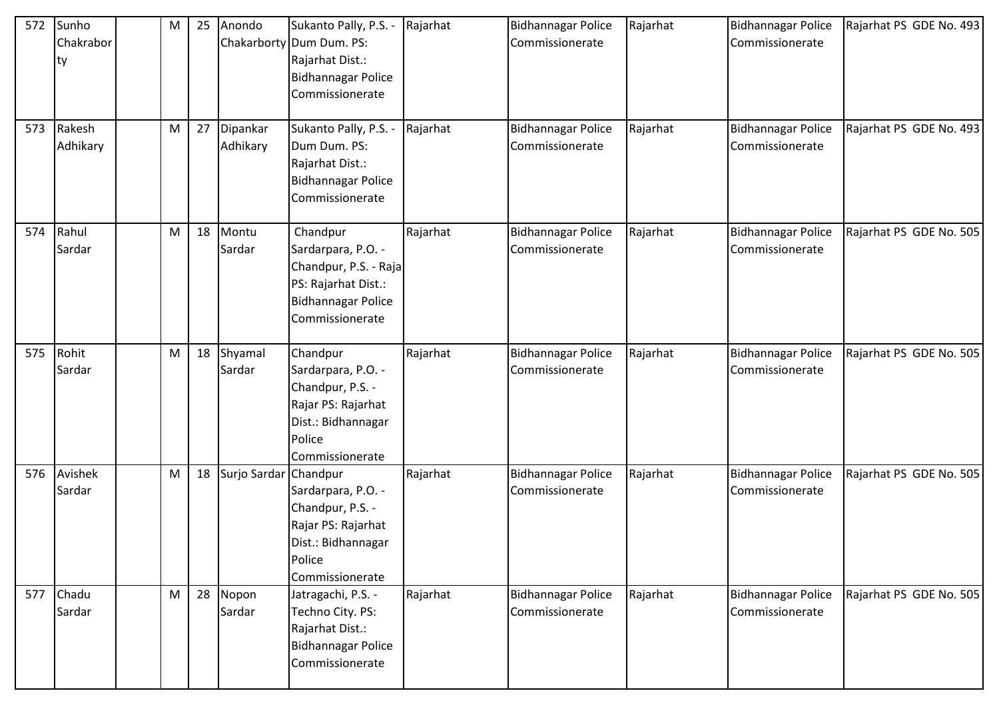| 572<br>573 | Sunho<br>Chakrabor<br>ty<br>Rakesh | M<br>M | 25<br>27 | Anondo<br>Dipankar    | Sukanto Pally, P.S. -<br>Chakarborty Dum Dum. PS:<br>Rajarhat Dist.:<br>Bidhannagar Police<br>Commissionerate<br>Sukanto Pally, P.S. - | Rajarhat<br>Rajarhat | <b>Bidhannagar Police</b><br>Commissionerate<br><b>Bidhannagar Police</b> | Rajarhat<br>Rajarhat | <b>Bidhannagar Police</b><br>Commissionerate<br><b>Bidhannagar Police</b> | Rajarhat PS GDE No. 493<br>Rajarhat PS GDE No. 493 |
|------------|------------------------------------|--------|----------|-----------------------|----------------------------------------------------------------------------------------------------------------------------------------|----------------------|---------------------------------------------------------------------------|----------------------|---------------------------------------------------------------------------|----------------------------------------------------|
|            | Adhikary                           |        |          | Adhikary              | Dum Dum. PS:<br>Rajarhat Dist.:<br>Bidhannagar Police<br>Commissionerate                                                               |                      | Commissionerate                                                           |                      | Commissionerate                                                           |                                                    |
| 574        | Rahul<br>Sardar                    | M      | 18       | Montu<br>Sardar       | Chandpur<br>Sardarpara, P.O. -<br>Chandpur, P.S. - Raja<br>PS: Rajarhat Dist.:<br>Bidhannagar Police<br>Commissionerate                | Rajarhat             | <b>Bidhannagar Police</b><br>Commissionerate                              | Rajarhat             | <b>Bidhannagar Police</b><br>Commissionerate                              | Rajarhat PS GDE No. 505                            |
| 575        | Rohit<br>Sardar                    | M      | 18       | Shyamal<br>Sardar     | Chandpur<br>Sardarpara, P.O. -<br>Chandpur, P.S. -<br>Rajar PS: Rajarhat<br>Dist.: Bidhannagar<br>Police<br>Commissionerate            | Rajarhat             | <b>Bidhannagar Police</b><br>Commissionerate                              | Rajarhat             | <b>Bidhannagar Police</b><br>Commissionerate                              | Rajarhat PS GDE No. 505                            |
| 576        | Avishek<br>Sardar                  | M      | 18       | Surjo Sardar Chandpur | Sardarpara, P.O. -<br>Chandpur, P.S. -<br>Rajar PS: Rajarhat<br>Dist.: Bidhannagar<br>Police<br>Commissionerate                        | Rajarhat             | <b>Bidhannagar Police</b><br>Commissionerate                              | Rajarhat             | <b>Bidhannagar Police</b><br>Commissionerate                              | Rajarhat PS GDE No. 505                            |
| 577        | Chadu<br>Sardar                    | M      | 28       | Nopon<br>Sardar       | Jatragachi, P.S. -<br>Techno City. PS:<br>Rajarhat Dist.:<br><b>Bidhannagar Police</b><br>Commissionerate                              | Rajarhat             | <b>Bidhannagar Police</b><br>Commissionerate                              | Rajarhat             | <b>Bidhannagar Police</b><br>Commissionerate                              | Rajarhat PS GDE No. 505                            |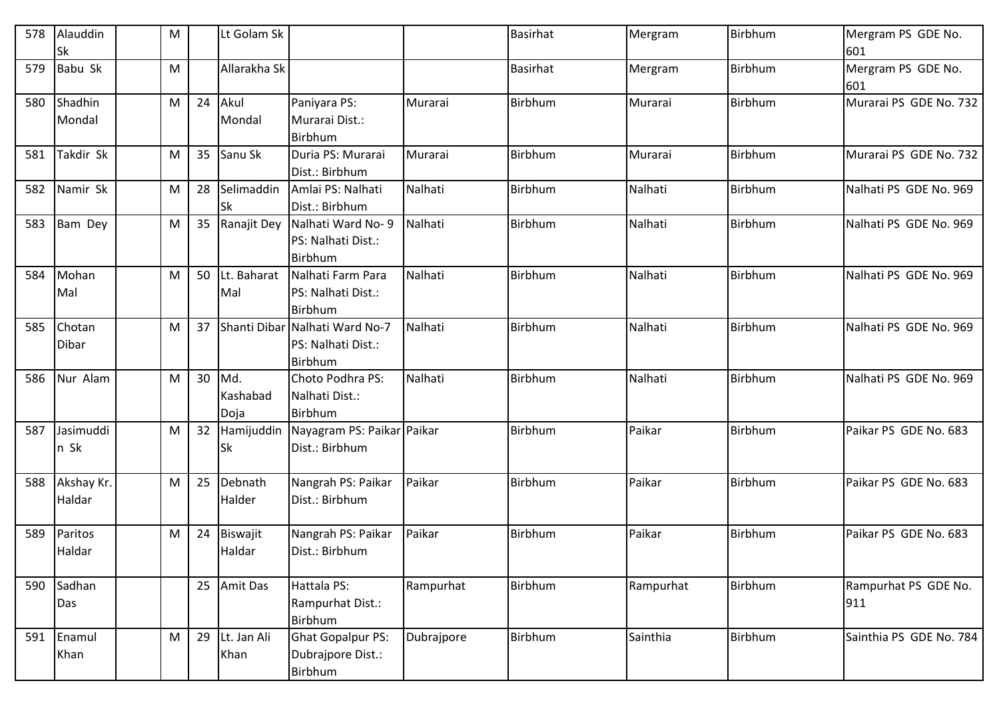| 578 | Alauddin<br><b>Sk</b> | M |    | Lt Golam Sk             |                                                                 |            | <b>Basirhat</b> | Mergram   | Birbhum | Mergram PS GDE No.<br>601   |
|-----|-----------------------|---|----|-------------------------|-----------------------------------------------------------------|------------|-----------------|-----------|---------|-----------------------------|
| 579 | Babu Sk               | M |    | Allarakha Sk            |                                                                 |            | <b>Basirhat</b> | Mergram   | Birbhum | Mergram PS GDE No.<br>601   |
| 580 | Shadhin<br>Mondal     | M | 24 | Akul<br>Mondal          | Paniyara PS:<br>Murarai Dist.:<br>Birbhum                       | Murarai    | Birbhum         | Murarai   | Birbhum | Murarai PS GDE No. 732      |
| 581 | Takdir Sk             | M | 35 | Sanu Sk                 | Duria PS: Murarai<br>Dist.: Birbhum                             | Murarai    | Birbhum         | Murarai   | Birbhum | Murarai PS GDE No. 732      |
| 582 | Namir Sk              | M | 28 | Selimaddin<br><b>Sk</b> | Amlai PS: Nalhati<br>Dist.: Birbhum                             | Nalhati    | Birbhum         | Nalhati   | Birbhum | Nalhati PS GDE No. 969      |
| 583 | <b>Bam Dey</b>        | M |    | 35 Ranajit Dey          | Nalhati Ward No-9<br>PS: Nalhati Dist.:<br><b>Birbhum</b>       | Nalhati    | Birbhum         | Nalhati   | Birbhum | Nalhati PS GDE No. 969      |
| 584 | Mohan<br>Mal          | M | 50 | Lt. Baharat<br>Mal      | Nalhati Farm Para<br>PS: Nalhati Dist.:<br><b>Birbhum</b>       | Nalhati    | Birbhum         | Nalhati   | Birbhum | Nalhati PS GDE No. 969      |
| 585 | Chotan<br>Dibar       | M | 37 |                         | Shanti Dibar Nalhati Ward No-7<br>PS: Nalhati Dist.:<br>Birbhum | Nalhati    | Birbhum         | Nalhati   | Birbhum | Nalhati PS GDE No. 969      |
| 586 | Nur Alam              | M | 30 | Md.<br>Kashabad<br>Doja | Choto Podhra PS:<br>Nalhati Dist.:<br>Birbhum                   | Nalhati    | Birbhum         | Nalhati   | Birbhum | Nalhati PS GDE No. 969      |
| 587 | Jasimuddi<br>n Sk     | M | 32 | Hamijuddin<br><b>Sk</b> | Nayagram PS: Paikar Paikar<br>Dist.: Birbhum                    |            | <b>Birbhum</b>  | Paikar    | Birbhum | Paikar PS GDE No. 683       |
| 588 | Akshay Kr.<br>Haldar  | M | 25 | Debnath<br>Halder       | Nangrah PS: Paikar<br>Dist.: Birbhum                            | Paikar     | Birbhum         | Paikar    | Birbhum | Paikar PS GDE No. 683       |
| 589 | Paritos<br>Haldar     | M | 24 | Biswajit<br>Haldar      | Nangrah PS: Paikar<br>Dist.: Birbhum                            | Paikar     | Birbhum         | Paikar    | Birbhum | Paikar PS GDE No. 683       |
| 590 | Sadhan<br>Das         |   | 25 | Amit Das                | Hattala PS:<br>Rampurhat Dist.:<br>Birbhum                      | Rampurhat  | Birbhum         | Rampurhat | Birbhum | Rampurhat PS GDE No.<br>911 |
| 591 | Enamul<br>Khan        | M | 29 | Lt. Jan Ali<br>Khan     | <b>Ghat Gopalpur PS:</b><br>Dubrajpore Dist.:<br>Birbhum        | Dubrajpore | Birbhum         | Sainthia  | Birbhum | Sainthia PS GDE No. 784     |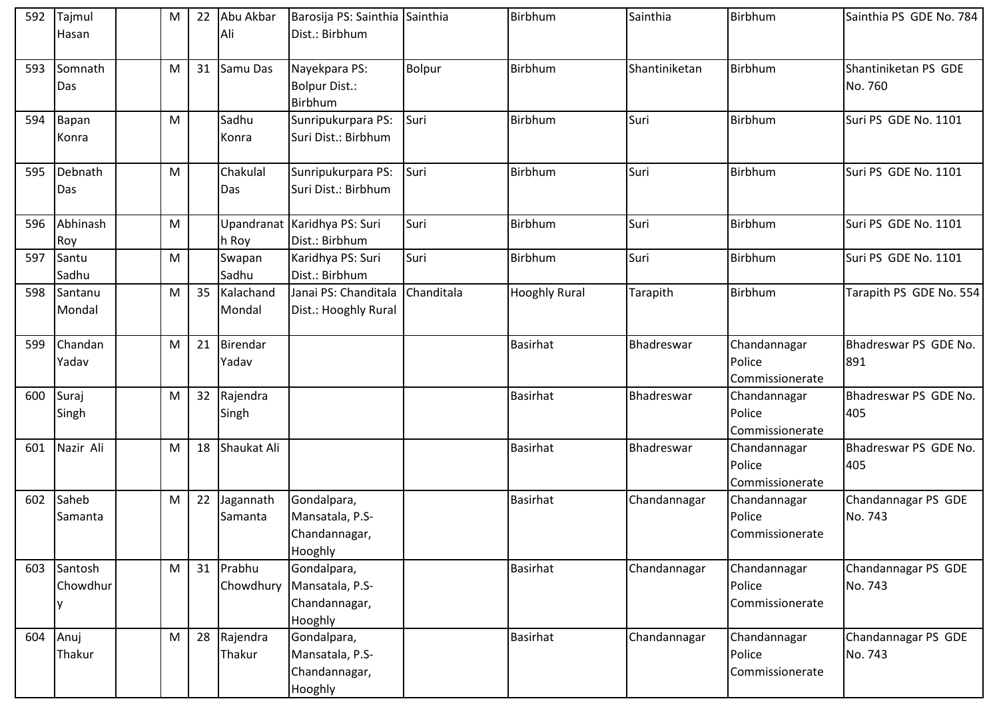| 592 | Tajmul              | M | 22 | Abu Akbar            | Barosija PS: Sainthia Sainthia                                         |            | Birbhum              | Sainthia      | Birbhum                                   | Sainthia PS GDE No. 784         |
|-----|---------------------|---|----|----------------------|------------------------------------------------------------------------|------------|----------------------|---------------|-------------------------------------------|---------------------------------|
|     | Hasan               |   |    | Ali                  | Dist.: Birbhum                                                         |            |                      |               |                                           |                                 |
| 593 | Somnath<br>Das      | M | 31 | Samu Das             | Nayekpara PS:<br>Bolpur Dist.:<br>Birbhum                              | Bolpur     | Birbhum              | Shantiniketan | Birbhum                                   | Shantiniketan PS GDE<br>No. 760 |
| 594 | Bapan<br>Konra      | M |    | Sadhu<br>Konra       | Sunripukurpara PS:<br>Suri Dist.: Birbhum                              | Suri       | Birbhum              | Suri          | Birbhum                                   | Suri PS GDE No. 1101            |
| 595 | Debnath<br>Das      | M |    | Chakulal<br>Das      | Sunripukurpara PS:<br>Suri Dist.: Birbhum                              | Suri       | Birbhum              | Suri          | Birbhum                                   | Suri PS GDE No. 1101            |
| 596 | Abhinash<br>Roy     | M |    | h Roy                | Upandranat Karidhya PS: Suri<br>Dist.: Birbhum                         | Suri       | Birbhum              | Suri          | Birbhum                                   | Suri PS GDE No. 1101            |
| 597 | Santu<br>Sadhu      | M |    | Swapan<br>Sadhu      | Karidhya PS: Suri<br>Dist.: Birbhum                                    | Suri       | Birbhum              | Suri          | Birbhum                                   | Suri PS GDE No. 1101            |
| 598 | Santanu<br>Mondal   | M | 35 | Kalachand<br>Mondal  | Janai PS: Chanditala<br>Dist.: Hooghly Rural                           | Chanditala | <b>Hooghly Rural</b> | Tarapith      | Birbhum                                   | Tarapith PS GDE No. 554         |
| 599 | Chandan<br>Yadav    | M | 21 | Birendar<br>Yadav    |                                                                        |            | <b>Basirhat</b>      | Bhadreswar    | Chandannagar<br>Police<br>Commissionerate | Bhadreswar PS GDE No.<br>891    |
| 600 | Suraj<br>Singh      | M |    | 32 Rajendra<br>Singh |                                                                        |            | <b>Basirhat</b>      | Bhadreswar    | Chandannagar<br>Police<br>Commissionerate | Bhadreswar PS GDE No.<br>405    |
| 601 | Nazir Ali           | M | 18 | Shaukat Ali          |                                                                        |            | <b>Basirhat</b>      | Bhadreswar    | Chandannagar<br>Police<br>Commissionerate | Bhadreswar PS GDE No.<br>405    |
| 602 | Saheb<br>Samanta    | M | 22 | Jagannath<br>Samanta | Gondalpara,<br>Mansatala, P.S-<br>Chandannagar,<br>Hooghly             |            | <b>Basirhat</b>      | Chandannagar  | Chandannagar<br>Police<br>Commissionerate | Chandannagar PS GDE<br>No. 743  |
| 603 | Santosh<br>Chowdhur | M |    | 31 Prabhu            | Gondalpara,<br>Chowdhury   Mansatala, P.S-<br>Chandannagar,<br>Hooghly |            | Basirhat             | Chandannagar  | Chandannagar<br>Police<br>Commissionerate | Chandannagar PS GDE<br>No. 743  |
| 604 | Anuj<br>Thakur      | M | 28 | Rajendra<br>Thakur   | Gondalpara,<br>Mansatala, P.S-<br>Chandannagar,<br>Hooghly             |            | Basirhat             | Chandannagar  | Chandannagar<br>Police<br>Commissionerate | Chandannagar PS GDE<br>No. 743  |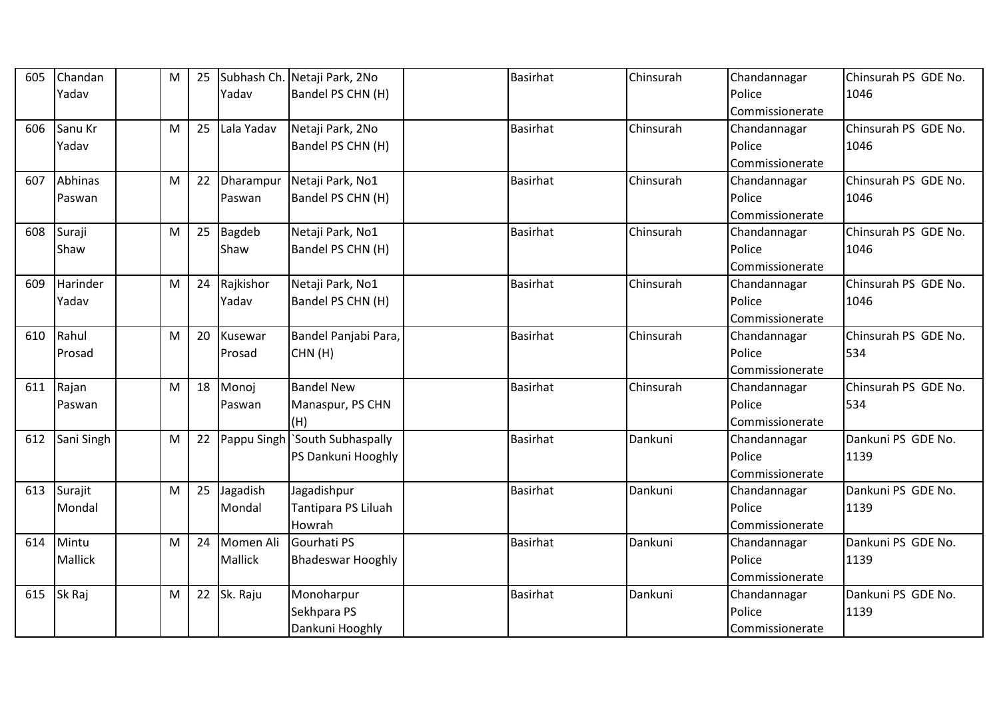| 605 | Chandan    | M         | 25 |            | Subhash Ch. Netaji Park, 2No  | <b>Basirhat</b> | Chinsurah | Chandannagar    | Chinsurah PS GDE No. |
|-----|------------|-----------|----|------------|-------------------------------|-----------------|-----------|-----------------|----------------------|
|     | Yadav      |           |    | Yadav      | Bandel PS CHN (H)             |                 |           | Police          | 1046                 |
|     |            |           |    |            |                               |                 |           | Commissionerate |                      |
| 606 | Sanu Kr    | M         | 25 | Lala Yadav | Netaji Park, 2No              | <b>Basirhat</b> | Chinsurah | Chandannagar    | Chinsurah PS GDE No. |
|     | Yadav      |           |    |            | Bandel PS CHN (H)             |                 |           | Police          | 1046                 |
|     |            |           |    |            |                               |                 |           | Commissionerate |                      |
| 607 | Abhinas    | М         | 22 | Dharampur  | Netaji Park, No1              | Basirhat        | Chinsurah | Chandannagar    | Chinsurah PS GDE No. |
|     | Paswan     |           |    | Paswan     | Bandel PS CHN (H)             |                 |           | Police          | 1046                 |
|     |            |           |    |            |                               |                 |           | Commissionerate |                      |
| 608 | Suraji     | M         | 25 | Bagdeb     | Netaji Park, No1              | <b>Basirhat</b> | Chinsurah | Chandannagar    | Chinsurah PS GDE No. |
|     | Shaw       |           |    | Shaw       | Bandel PS CHN (H)             |                 |           | Police          | 1046                 |
|     |            |           |    |            |                               |                 |           | Commissionerate |                      |
| 609 | Harinder   | M         | 24 | Rajkishor  | Netaji Park, No1              | <b>Basirhat</b> | Chinsurah | Chandannagar    | Chinsurah PS GDE No. |
|     | Yadav      |           |    | Yadav      | Bandel PS CHN (H)             |                 |           | Police          | 1046                 |
|     |            |           |    |            |                               |                 |           | Commissionerate |                      |
| 610 | Rahul      | M         | 20 | Kusewar    | Bandel Panjabi Para,          | <b>Basirhat</b> | Chinsurah | Chandannagar    | Chinsurah PS GDE No. |
|     | Prosad     |           |    | Prosad     | CHN(H)                        |                 |           | Police          | 534                  |
|     |            |           |    |            |                               |                 |           | Commissionerate |                      |
| 611 | Rajan      | M         | 18 | Monoj      | <b>Bandel New</b>             | <b>Basirhat</b> | Chinsurah | Chandannagar    | Chinsurah PS GDE No. |
|     | Paswan     |           |    | Paswan     | Manaspur, PS CHN              |                 |           | Police          | 534                  |
|     |            |           |    |            | (H)                           |                 |           | Commissionerate |                      |
| 612 | Sani Singh | М         | 22 |            | Pappu Singh South Subhaspally | <b>Basirhat</b> | Dankuni   | Chandannagar    | Dankuni PS GDE No.   |
|     |            |           |    |            | PS Dankuni Hooghly            |                 |           | Police          | 1139                 |
|     |            |           |    |            |                               |                 |           | Commissionerate |                      |
| 613 | Surajit    | M         | 25 | Jagadish   | Jagadishpur                   | <b>Basirhat</b> | Dankuni   | Chandannagar    | Dankuni PS GDE No.   |
|     | Mondal     |           |    | Mondal     | Tantipara PS Liluah           |                 |           | Police          | 1139                 |
|     |            |           |    |            | Howrah                        |                 |           | Commissionerate |                      |
| 614 | Mintu      | ${\sf M}$ | 24 | Momen Ali  | Gourhati PS                   | <b>Basirhat</b> | Dankuni   | Chandannagar    | Dankuni PS GDE No.   |
|     | Mallick    |           |    | Mallick    | <b>Bhadeswar Hooghly</b>      |                 |           | Police          | 1139                 |
|     |            |           |    |            |                               |                 |           | Commissionerate |                      |
| 615 | Sk Raj     | M         | 22 | Sk. Raju   | Monoharpur                    | Basirhat        | Dankuni   | Chandannagar    | Dankuni PS GDE No.   |
|     |            |           |    |            | Sekhpara PS                   |                 |           | Police          | 1139                 |
|     |            |           |    |            | Dankuni Hooghly               |                 |           | Commissionerate |                      |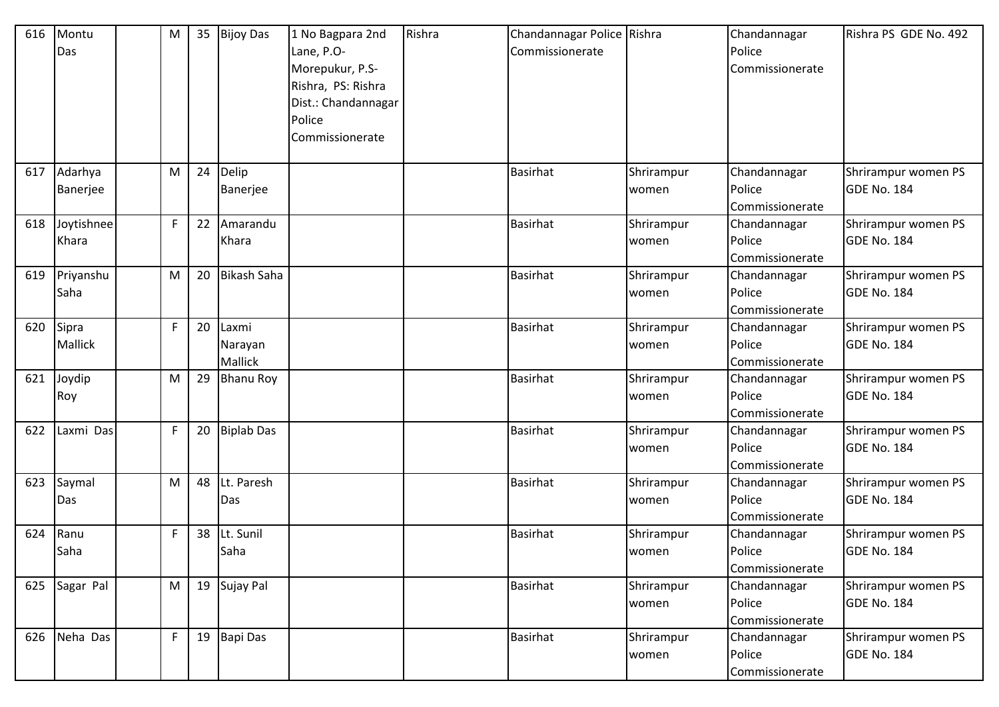| 616 | Montu          | M            | 35 | <b>Bijoy Das</b>   | 1 No Bagpara 2nd    | Rishra | Chandannagar Police Rishra |            | Chandannagar    | Rishra PS GDE No. 492 |
|-----|----------------|--------------|----|--------------------|---------------------|--------|----------------------------|------------|-----------------|-----------------------|
|     | Das            |              |    |                    | Lane, P.O-          |        | Commissionerate            |            | Police          |                       |
|     |                |              |    |                    | Morepukur, P.S-     |        |                            |            | Commissionerate |                       |
|     |                |              |    |                    | Rishra, PS: Rishra  |        |                            |            |                 |                       |
|     |                |              |    |                    | Dist.: Chandannagar |        |                            |            |                 |                       |
|     |                |              |    |                    | Police              |        |                            |            |                 |                       |
|     |                |              |    |                    | Commissionerate     |        |                            |            |                 |                       |
|     |                |              |    |                    |                     |        |                            |            |                 |                       |
| 617 | Adarhya        | M            | 24 | Delip              |                     |        | <b>Basirhat</b>            | Shrirampur | Chandannagar    | Shrirampur women PS   |
|     | Banerjee       |              |    | Banerjee           |                     |        |                            | women      | Police          | GDE No. 184           |
|     |                |              |    |                    |                     |        |                            |            | Commissionerate |                       |
| 618 | Joytishnee     | $\mathsf{F}$ | 22 | Amarandu           |                     |        | <b>Basirhat</b>            | Shrirampur | Chandannagar    | Shrirampur women PS   |
|     | Khara          |              |    | Khara              |                     |        |                            | women      | Police          | GDE No. 184           |
|     |                |              |    |                    |                     |        |                            |            | Commissionerate |                       |
| 619 | Priyanshu      | M            | 20 | <b>Bikash Saha</b> |                     |        | <b>Basirhat</b>            | Shrirampur | Chandannagar    | Shrirampur women PS   |
|     | Saha           |              |    |                    |                     |        |                            | women      | Police          | GDE No. 184           |
|     |                |              |    |                    |                     |        |                            |            | Commissionerate |                       |
| 620 | Sipra          | $\mathsf{F}$ | 20 | Laxmi              |                     |        | <b>Basirhat</b>            | Shrirampur | Chandannagar    | Shrirampur women PS   |
|     | <b>Mallick</b> |              |    | Narayan            |                     |        |                            | women      | Police          | <b>GDE No. 184</b>    |
|     |                |              |    | Mallick            |                     |        |                            |            | Commissionerate |                       |
| 621 | Joydip         | M            | 29 | <b>Bhanu Roy</b>   |                     |        | <b>Basirhat</b>            | Shrirampur | Chandannagar    | Shrirampur women PS   |
|     | Roy            |              |    |                    |                     |        |                            | women      | Police          | GDE No. 184           |
|     |                |              |    |                    |                     |        |                            |            | Commissionerate |                       |
| 622 | Laxmi Das      | F            | 20 | <b>Biplab Das</b>  |                     |        | <b>Basirhat</b>            | Shrirampur | Chandannagar    | Shrirampur women PS   |
|     |                |              |    |                    |                     |        |                            | women      | Police          | GDE No. 184           |
|     |                |              |    |                    |                     |        |                            |            | Commissionerate |                       |
| 623 | Saymal         | M            | 48 | Lt. Paresh         |                     |        | <b>Basirhat</b>            | Shrirampur | Chandannagar    | Shrirampur women PS   |
|     | Das            |              |    | Das                |                     |        |                            | women      | Police          | GDE No. 184           |
|     |                |              |    |                    |                     |        |                            |            | Commissionerate |                       |
| 624 | Ranu           | $\mathsf{F}$ | 38 | Lt. Sunil          |                     |        | Basirhat                   | Shrirampur | Chandannagar    | Shrirampur women PS   |
|     | Saha           |              |    | Saha               |                     |        |                            | women      | Police          | <b>GDE No. 184</b>    |
|     |                |              |    |                    |                     |        |                            |            | Commissionerate |                       |
|     | 625 Sagar Pal  | M            |    | 19 Sujay Pal       |                     |        | <b>Basirhat</b>            | Shrirampur | Chandannagar    | Shrirampur women PS   |
|     |                |              |    |                    |                     |        |                            | women      | Police          | <b>GDE No. 184</b>    |
|     |                |              |    |                    |                     |        |                            |            | Commissionerate |                       |
|     | 626 Neha Das   | F            | 19 | Bapi Das           |                     |        | <b>Basirhat</b>            | Shrirampur | Chandannagar    | Shrirampur women PS   |
|     |                |              |    |                    |                     |        |                            | women      | Police          | <b>GDE No. 184</b>    |
|     |                |              |    |                    |                     |        |                            |            | Commissionerate |                       |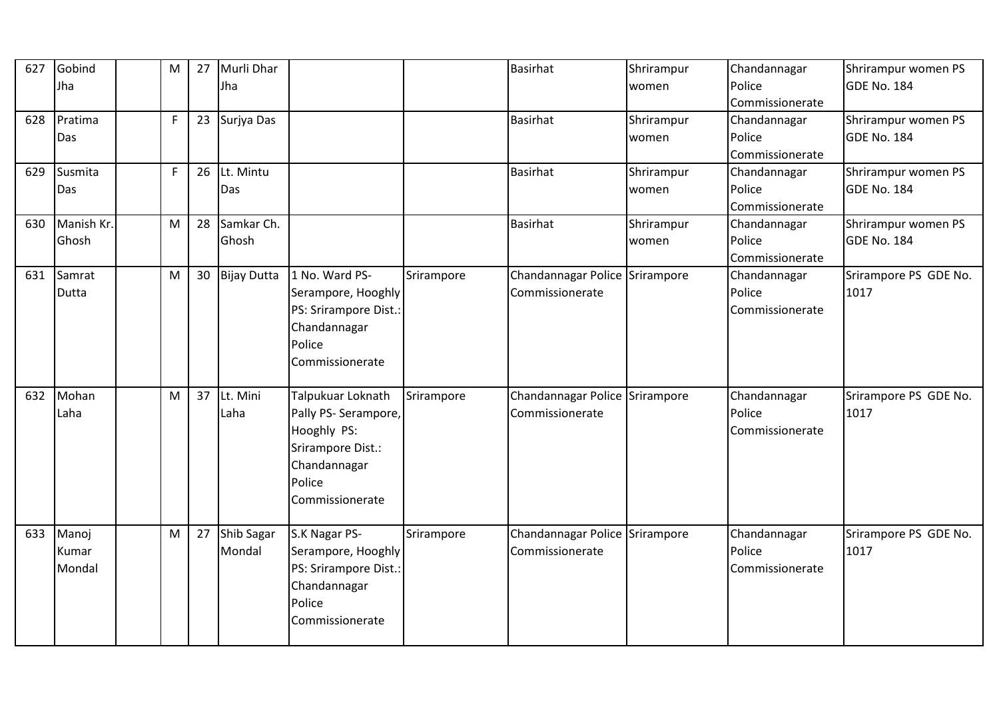| 627 | Gobind<br>Jha            | M           | 27 | Murli Dhar<br>Jha    |                                                                                                                            |            | Basirhat                                          | Shrirampur<br>women | Chandannagar<br>Police<br>Commissionerate | Shrirampur women PS<br><b>GDE No. 184</b> |
|-----|--------------------------|-------------|----|----------------------|----------------------------------------------------------------------------------------------------------------------------|------------|---------------------------------------------------|---------------------|-------------------------------------------|-------------------------------------------|
| 628 | Pratima<br>Das           | $\mathsf F$ | 23 | Surjya Das           |                                                                                                                            |            | Basirhat                                          | Shrirampur<br>women | Chandannagar<br>Police<br>Commissionerate | Shrirampur women PS<br><b>GDE No. 184</b> |
| 629 | Susmita<br>Das           | F           | 26 | Lt. Mintu<br>Das     |                                                                                                                            |            | <b>Basirhat</b>                                   | Shrirampur<br>women | Chandannagar<br>Police<br>Commissionerate | Shrirampur women PS<br><b>GDE No. 184</b> |
| 630 | Manish Kr.<br>Ghosh      | ${\sf M}$   | 28 | Samkar Ch.<br>Ghosh  |                                                                                                                            |            | Basirhat                                          | Shrirampur<br>women | Chandannagar<br>Police<br>Commissionerate | Shrirampur women PS<br><b>GDE No. 184</b> |
| 631 | Samrat<br><b>Dutta</b>   | M           | 30 | <b>Bijay Dutta</b>   | 1 No. Ward PS-<br>Serampore, Hooghly<br>PS: Srirampore Dist.:<br>Chandannagar<br>Police<br>Commissionerate                 | Srirampore | Chandannagar Police Srirampore<br>Commissionerate |                     | Chandannagar<br>Police<br>Commissionerate | Srirampore PS GDE No.<br>1017             |
| 632 | Mohan<br>Laha            | M           | 37 | Lt. Mini<br>Laha     | Talpukuar Loknath<br>Pally PS- Serampore,<br>Hooghly PS:<br>Srirampore Dist.:<br>Chandannagar<br>Police<br>Commissionerate | Srirampore | Chandannagar Police Srirampore<br>Commissionerate |                     | Chandannagar<br>Police<br>Commissionerate | Srirampore PS GDE No.<br>1017             |
| 633 | Manoj<br>Kumar<br>Mondal | M           | 27 | Shib Sagar<br>Mondal | S.K Nagar PS-<br>Serampore, Hooghly<br>PS: Srirampore Dist.:<br>Chandannagar<br>Police<br>Commissionerate                  | Srirampore | Chandannagar Police Srirampore<br>Commissionerate |                     | Chandannagar<br>Police<br>Commissionerate | Srirampore PS GDE No.<br>1017             |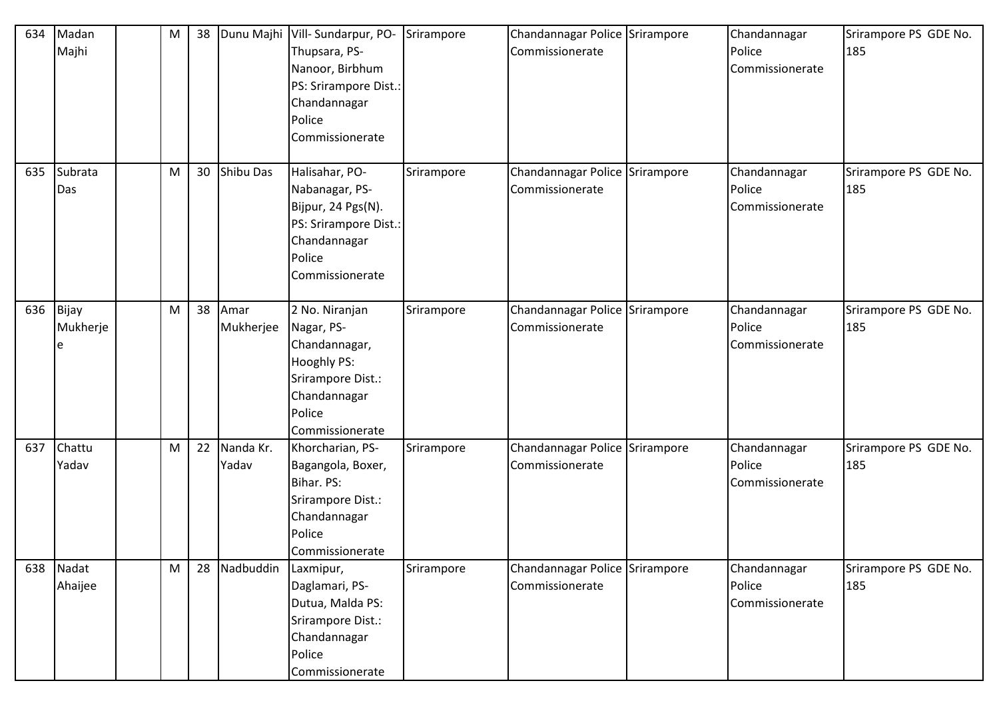| 634 | Madan<br>Majhi         | M | 38 |                    | Dunu Majhi Vill- Sundarpur, PO-<br>Thupsara, PS-<br>Nanoor, Birbhum<br>PS: Srirampore Dist.:<br>Chandannagar<br>Police<br>Commissionerate | Srirampore | Chandannagar Police Srirampore<br>Commissionerate | Chandannagar<br>Police<br>Commissionerate | Srirampore PS GDE No.<br>185 |
|-----|------------------------|---|----|--------------------|-------------------------------------------------------------------------------------------------------------------------------------------|------------|---------------------------------------------------|-------------------------------------------|------------------------------|
| 635 | Subrata<br>Das         | M | 30 | Shibu Das          | Halisahar, PO-<br>Nabanagar, PS-<br>Bijpur, 24 Pgs(N).<br>PS: Srirampore Dist.:<br>Chandannagar<br>Police<br>Commissionerate              | Srirampore | Chandannagar Police Srirampore<br>Commissionerate | Chandannagar<br>Police<br>Commissionerate | Srirampore PS GDE No.<br>185 |
| 636 | Bijay<br>Mukherje<br>e | M | 38 | Amar<br>Mukherjee  | 2 No. Niranjan<br>Nagar, PS-<br>Chandannagar,<br>Hooghly PS:<br>Srirampore Dist.:<br>Chandannagar<br>Police<br>Commissionerate            | Srirampore | Chandannagar Police Srirampore<br>Commissionerate | Chandannagar<br>Police<br>Commissionerate | Srirampore PS GDE No.<br>185 |
| 637 | Chattu<br>Yadav        | M | 22 | Nanda Kr.<br>Yadav | Khorcharian, PS-<br>Bagangola, Boxer,<br>Bihar. PS:<br>Srirampore Dist.:<br>Chandannagar<br>Police<br>Commissionerate                     | Srirampore | Chandannagar Police Srirampore<br>Commissionerate | Chandannagar<br>Police<br>Commissionerate | Srirampore PS GDE No.<br>185 |
|     | 638 Nadat<br>Ahaijee   | M | 28 | Nadbuddin          | Laxmipur,<br>Daglamari, PS-<br>Dutua, Malda PS:<br>Srirampore Dist.:<br>Chandannagar<br>Police<br>Commissionerate                         | Srirampore | Chandannagar Police Srirampore<br>Commissionerate | Chandannagar<br>Police<br>Commissionerate | Srirampore PS GDE No.<br>185 |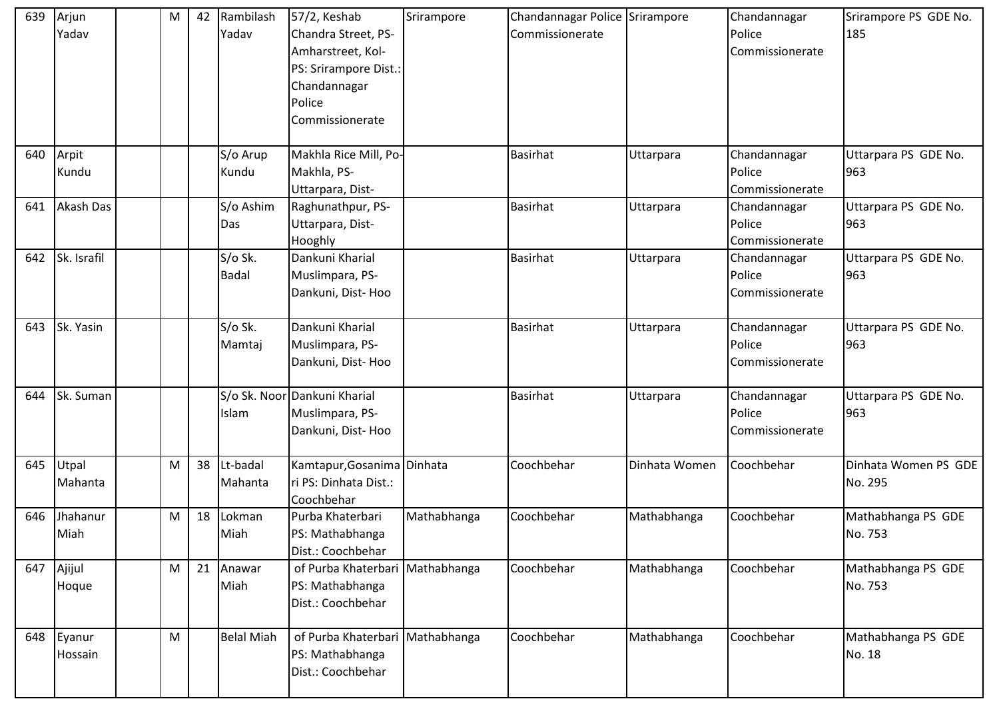| 639 | Arjun       | M | 42 | Rambilash         | 57/2, Keshab                    | Srirampore  | Chandannagar Police Srirampore |               | Chandannagar    | Srirampore PS GDE No. |
|-----|-------------|---|----|-------------------|---------------------------------|-------------|--------------------------------|---------------|-----------------|-----------------------|
|     | Yadav       |   |    | Yadav             | Chandra Street, PS-             |             | Commissionerate                |               | Police          | 185                   |
|     |             |   |    |                   | Amharstreet, Kol-               |             |                                |               | Commissionerate |                       |
|     |             |   |    |                   | PS: Srirampore Dist.:           |             |                                |               |                 |                       |
|     |             |   |    |                   | Chandannagar                    |             |                                |               |                 |                       |
|     |             |   |    |                   | Police                          |             |                                |               |                 |                       |
|     |             |   |    |                   | Commissionerate                 |             |                                |               |                 |                       |
|     |             |   |    |                   |                                 |             |                                |               |                 |                       |
| 640 | Arpit       |   |    | S/o Arup          | Makhla Rice Mill, Po-           |             | <b>Basirhat</b>                | Uttarpara     | Chandannagar    | Uttarpara PS GDE No.  |
|     | Kundu       |   |    | Kundu             | Makhla, PS-                     |             |                                |               | Police          | 963                   |
|     |             |   |    |                   | Uttarpara, Dist-                |             |                                |               | Commissionerate |                       |
| 641 | Akash Das   |   |    | S/o Ashim         | Raghunathpur, PS-               |             | <b>Basirhat</b>                | Uttarpara     | Chandannagar    | Uttarpara PS GDE No.  |
|     |             |   |    | Das               | Uttarpara, Dist-                |             |                                |               | Police          | 963                   |
|     |             |   |    |                   | Hooghly                         |             |                                |               | Commissionerate |                       |
| 642 | Sk. Israfil |   |    | S/o Sk.           | Dankuni Kharial                 |             | <b>Basirhat</b>                | Uttarpara     | Chandannagar    | Uttarpara PS GDE No.  |
|     |             |   |    | <b>Badal</b>      | Muslimpara, PS-                 |             |                                |               | Police          | 963                   |
|     |             |   |    |                   | Dankuni, Dist-Hoo               |             |                                |               | Commissionerate |                       |
|     |             |   |    |                   |                                 |             |                                |               |                 |                       |
| 643 | Sk. Yasin   |   |    | S/o Sk.           | Dankuni Kharial                 |             | <b>Basirhat</b>                | Uttarpara     | Chandannagar    | Uttarpara PS GDE No.  |
|     |             |   |    | Mamtaj            | Muslimpara, PS-                 |             |                                |               | Police          | 963                   |
|     |             |   |    |                   | Dankuni, Dist-Hoo               |             |                                |               | Commissionerate |                       |
|     |             |   |    |                   |                                 |             |                                |               |                 |                       |
| 644 | Sk. Suman   |   |    |                   | S/o Sk. Noor Dankuni Kharial    |             | <b>Basirhat</b>                | Uttarpara     | Chandannagar    | Uttarpara PS GDE No.  |
|     |             |   |    | Islam             | Muslimpara, PS-                 |             |                                |               | Police          | 963                   |
|     |             |   |    |                   | Dankuni, Dist-Hoo               |             |                                |               | Commissionerate |                       |
| 645 | Utpal       | M | 38 | Lt-badal          | Kamtapur, Gosanima Dinhata      |             | Coochbehar                     | Dinhata Women | Coochbehar      | Dinhata Women PS GDE  |
|     | Mahanta     |   |    | Mahanta           | ri PS: Dinhata Dist.:           |             |                                |               |                 | No. 295               |
|     |             |   |    |                   | Coochbehar                      |             |                                |               |                 |                       |
| 646 | Jhahanur    | M | 18 | Lokman            | Purba Khaterbari                | Mathabhanga | Coochbehar                     | Mathabhanga   | Coochbehar      | Mathabhanga PS GDE    |
|     | Miah        |   |    | Miah              | PS: Mathabhanga                 |             |                                |               |                 | No. 753               |
|     |             |   |    |                   | Dist.: Coochbehar               |             |                                |               |                 |                       |
| 647 | Ajijul      | M | 21 | Anawar            | of Purba Khaterbari Mathabhanga |             | Coochbehar                     | Mathabhanga   | Coochbehar      | Mathabhanga PS GDE    |
|     | Hoque       |   |    | Miah              | PS: Mathabhanga                 |             |                                |               |                 | No. 753               |
|     |             |   |    |                   | Dist.: Coochbehar               |             |                                |               |                 |                       |
|     |             |   |    |                   |                                 |             |                                |               |                 |                       |
|     | 648 Eyanur  | M |    | <b>Belal Miah</b> | of Purba Khaterbari Mathabhanga |             | Coochbehar                     | Mathabhanga   | Coochbehar      | Mathabhanga PS GDE    |
|     | Hossain     |   |    |                   | PS: Mathabhanga                 |             |                                |               |                 | No. 18                |
|     |             |   |    |                   | Dist.: Coochbehar               |             |                                |               |                 |                       |
|     |             |   |    |                   |                                 |             |                                |               |                 |                       |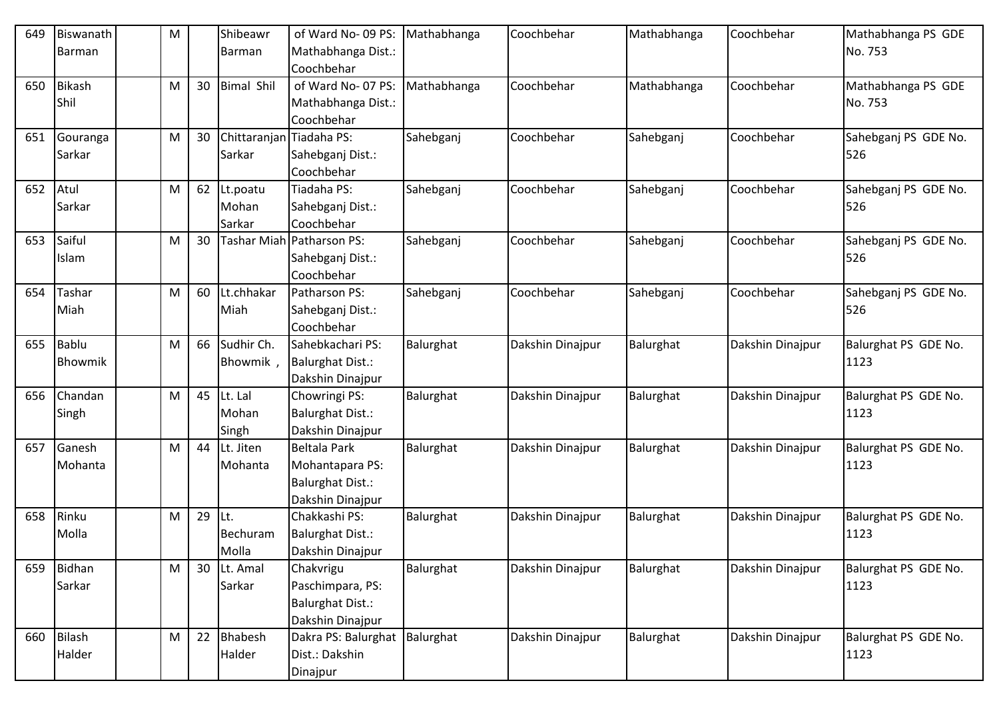| 649 | Biswanath     | M |    | Shibeawr                 | of Ward No-09 PS:         | Mathabhanga | Coochbehar       | Mathabhanga | Coochbehar       | Mathabhanga PS GDE   |
|-----|---------------|---|----|--------------------------|---------------------------|-------------|------------------|-------------|------------------|----------------------|
|     | Barman        |   |    | Barman                   | Mathabhanga Dist.:        |             |                  |             |                  | No. 753              |
|     |               |   |    |                          | Coochbehar                |             |                  |             |                  |                      |
| 650 | <b>Bikash</b> | М | 30 | <b>Bimal Shil</b>        | of Ward No-07 PS:         | Mathabhanga | Coochbehar       | Mathabhanga | Coochbehar       | Mathabhanga PS GDE   |
|     | Shil          |   |    |                          | Mathabhanga Dist.:        |             |                  |             |                  | No. 753              |
|     |               |   |    |                          | Coochbehar                |             |                  |             |                  |                      |
| 651 | Gouranga      | M | 30 | Chittaranjan Tiadaha PS: |                           | Sahebganj   | Coochbehar       | Sahebganj   | Coochbehar       | Sahebganj PS GDE No. |
|     | Sarkar        |   |    | Sarkar                   | Sahebganj Dist.:          |             |                  |             |                  | 526                  |
|     |               |   |    |                          | Coochbehar                |             |                  |             |                  |                      |
| 652 | Atul          | M | 62 | Lt.poatu                 | Tiadaha PS:               | Sahebganj   | Coochbehar       | Sahebganj   | Coochbehar       | Sahebganj PS GDE No. |
|     | Sarkar        |   |    | Mohan                    | Sahebganj Dist.:          |             |                  |             |                  | 526                  |
|     |               |   |    | Sarkar                   | Coochbehar                |             |                  |             |                  |                      |
| 653 | Saiful        | M | 30 |                          | Tashar Miah Patharson PS: | Sahebganj   | Coochbehar       | Sahebganj   | Coochbehar       | Sahebganj PS GDE No. |
|     | Islam         |   |    |                          | Sahebganj Dist.:          |             |                  |             |                  | 526                  |
|     |               |   |    |                          | Coochbehar                |             |                  |             |                  |                      |
| 654 | Tashar        | M | 60 | Lt.chhakar               | Patharson PS:             | Sahebganj   | Coochbehar       | Sahebganj   | Coochbehar       | Sahebganj PS GDE No. |
|     | Miah          |   |    | Miah                     | Sahebganj Dist.:          |             |                  |             |                  | 526                  |
|     |               |   |    |                          | Coochbehar                |             |                  |             |                  |                      |
| 655 | Bablu         | M | 66 | Sudhir Ch.               | Sahebkachari PS:          | Balurghat   | Dakshin Dinajpur | Balurghat   | Dakshin Dinajpur | Balurghat PS GDE No. |
|     | Bhowmik       |   |    | Bhowmik                  | <b>Balurghat Dist.:</b>   |             |                  |             |                  | 1123                 |
|     |               |   |    |                          | Dakshin Dinajpur          |             |                  |             |                  |                      |
| 656 | Chandan       | M | 45 | Lt. Lal                  | Chowringi PS:             | Balurghat   | Dakshin Dinajpur | Balurghat   | Dakshin Dinajpur | Balurghat PS GDE No. |
|     | Singh         |   |    | Mohan                    | <b>Balurghat Dist.:</b>   |             |                  |             |                  | 1123                 |
|     |               |   |    | Singh                    | Dakshin Dinajpur          |             |                  |             |                  |                      |
| 657 | Ganesh        | M | 44 | Lt. Jiten                | <b>Beltala Park</b>       | Balurghat   | Dakshin Dinajpur | Balurghat   | Dakshin Dinajpur | Balurghat PS GDE No. |
|     | Mohanta       |   |    | Mohanta                  | Mohantapara PS:           |             |                  |             |                  | 1123                 |
|     |               |   |    |                          | <b>Balurghat Dist.:</b>   |             |                  |             |                  |                      |
|     |               |   |    |                          | Dakshin Dinajpur          |             |                  |             |                  |                      |
| 658 | Rinku         | М | 29 | ILt.                     | Chakkashi PS:             | Balurghat   | Dakshin Dinajpur | Balurghat   | Dakshin Dinajpur | Balurghat PS GDE No. |
|     | Molla         |   |    | Bechuram                 | Balurghat Dist.:          |             |                  |             |                  | 1123                 |
|     |               |   |    | Molla                    | Dakshin Dinajpur          |             |                  |             |                  |                      |
| 659 | Bidhan        | M | 30 | Lt. Amal                 | Chakvrigu                 | Balurghat   | Dakshin Dinajpur | Balurghat   | Dakshin Dinajpur | Balurghat PS GDE No. |
|     | Sarkar        |   |    | Sarkar                   | Paschimpara, PS:          |             |                  |             |                  | 1123                 |
|     |               |   |    |                          | <b>Balurghat Dist.:</b>   |             |                  |             |                  |                      |
|     |               |   |    |                          | Dakshin Dinajpur          |             |                  |             |                  |                      |
| 660 | Bilash        | M | 22 | Bhabesh                  | Dakra PS: Balurghat       | Balurghat   | Dakshin Dinajpur | Balurghat   | Dakshin Dinajpur | Balurghat PS GDE No. |
|     | Halder        |   |    | Halder                   | Dist.: Dakshin            |             |                  |             |                  | 1123                 |
|     |               |   |    |                          | Dinajpur                  |             |                  |             |                  |                      |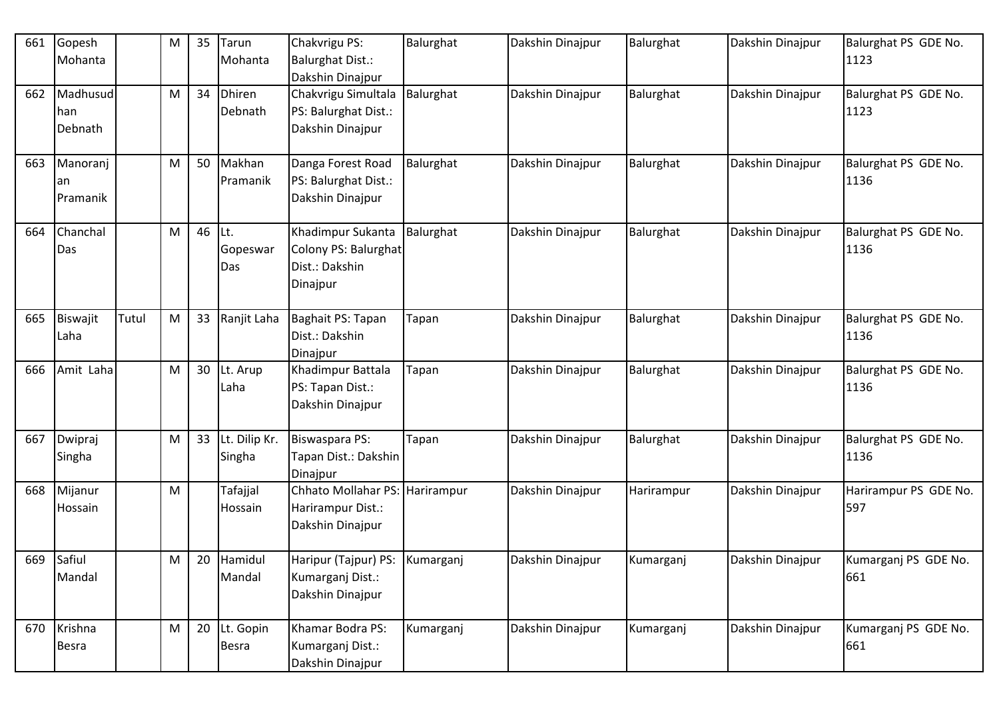| 661 | Gopesh<br>Mohanta          |       | M | 35 | Tarun<br>Mohanta          | Chakvrigu PS:<br><b>Balurghat Dist.:</b><br>Dakshin Dinajpur            | Balurghat | Dakshin Dinajpur | Balurghat  | Dakshin Dinajpur | Balurghat PS GDE No.<br>1123 |
|-----|----------------------------|-------|---|----|---------------------------|-------------------------------------------------------------------------|-----------|------------------|------------|------------------|------------------------------|
| 662 | Madhusud<br>han<br>Debnath |       | M | 34 | <b>Dhiren</b><br>Debnath  | Chakvrigu Simultala<br>PS: Balurghat Dist.:<br>Dakshin Dinajpur         | Balurghat | Dakshin Dinajpur | Balurghat  | Dakshin Dinajpur | Balurghat PS GDE No.<br>1123 |
| 663 | Manoranj<br>an<br>Pramanik |       | M | 50 | Makhan<br>Pramanik        | Danga Forest Road<br>PS: Balurghat Dist.:<br>Dakshin Dinajpur           | Balurghat | Dakshin Dinajpur | Balurghat  | Dakshin Dinajpur | Balurghat PS GDE No.<br>1136 |
| 664 | Chanchal<br>Das            |       | M | 46 | ILt.<br>Gopeswar<br>Das   | Khadimpur Sukanta<br>Colony PS: Balurghat<br>Dist.: Dakshin<br>Dinajpur | Balurghat | Dakshin Dinajpur | Balurghat  | Dakshin Dinajpur | Balurghat PS GDE No.<br>1136 |
| 665 | Biswajit<br>Laha           | Tutul | M | 33 | Ranjit Laha               | Baghait PS: Tapan<br>Dist.: Dakshin<br>Dinajpur                         | Tapan     | Dakshin Dinajpur | Balurghat  | Dakshin Dinajpur | Balurghat PS GDE No.<br>1136 |
| 666 | Amit Laha                  |       | M | 30 | Lt. Arup<br>Laha          | Khadimpur Battala<br>PS: Tapan Dist.:<br>Dakshin Dinajpur               | Tapan     | Dakshin Dinajpur | Balurghat  | Dakshin Dinajpur | Balurghat PS GDE No.<br>1136 |
| 667 | Dwipraj<br>Singha          |       | M | 33 | Lt. Dilip Kr.<br>Singha   | Biswaspara PS:<br>Tapan Dist.: Dakshin<br>Dinajpur                      | Tapan     | Dakshin Dinajpur | Balurghat  | Dakshin Dinajpur | Balurghat PS GDE No.<br>1136 |
| 668 | Mijanur<br>Hossain         |       | M |    | Tafajjal<br>Hossain       | Chhato Mollahar PS: Harirampur<br>Harirampur Dist.:<br>Dakshin Dinajpur |           | Dakshin Dinajpur | Harirampur | Dakshin Dinajpur | Harirampur PS GDE No.<br>597 |
| 669 | Safiul<br>Mandal           |       | M | 20 | Hamidul<br>Mandal         | Haripur (Tajpur) PS:<br>Kumarganj Dist.:<br>Dakshin Dinajpur            | Kumarganj | Dakshin Dinajpur | Kumarganj  | Dakshin Dinajpur | Kumarganj PS GDE No.<br>661  |
| 670 | Krishna<br>Besra           |       | M | 20 | Lt. Gopin<br><b>Besra</b> | Khamar Bodra PS:<br>Kumarganj Dist.:<br>Dakshin Dinajpur                | Kumarganj | Dakshin Dinajpur | Kumarganj  | Dakshin Dinajpur | Kumarganj PS GDE No.<br>661  |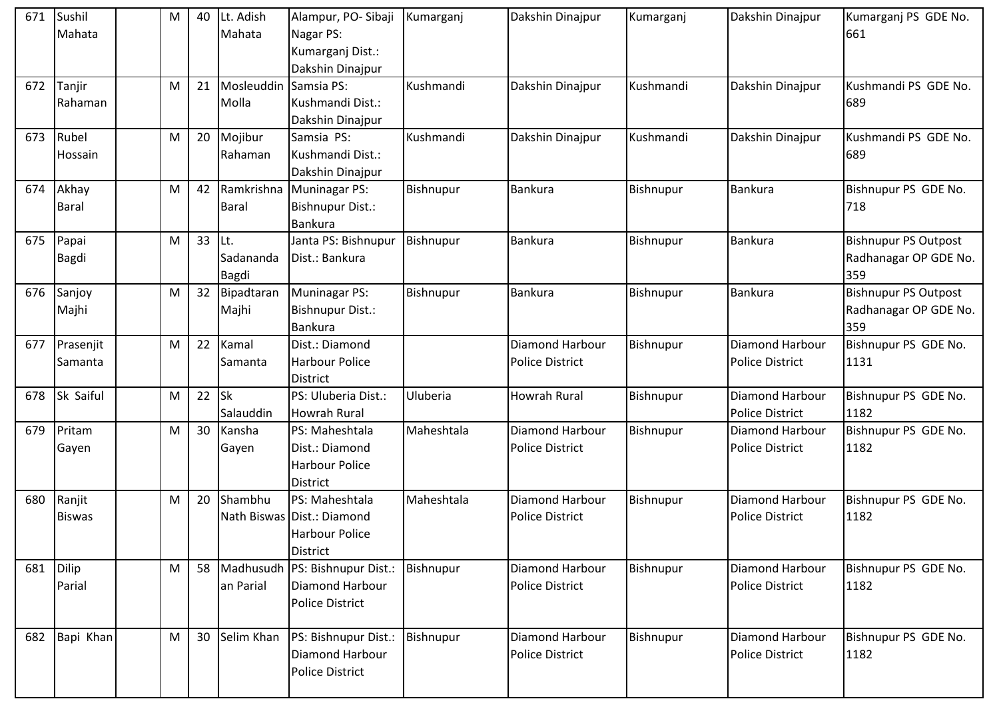| 671 | Sushil<br>Mahata        | M | 40 | Lt. Adish<br>Mahata            | Alampur, PO-Sibaji Kumarganj<br>Nagar PS:<br>Kumarganj Dist.:<br>Dakshin Dinajpur        |            | Dakshin Dinajpur                                 | Kumarganj | Dakshin Dinajpur                                 | Kumarganj PS GDE No.<br>661                                 |
|-----|-------------------------|---|----|--------------------------------|------------------------------------------------------------------------------------------|------------|--------------------------------------------------|-----------|--------------------------------------------------|-------------------------------------------------------------|
| 672 | Tanjir<br>Rahaman       | M | 21 | Mosleuddin Samsia PS:<br>Molla | Kushmandi Dist.:<br>Dakshin Dinajpur                                                     | Kushmandi  | Dakshin Dinajpur                                 | Kushmandi | Dakshin Dinajpur                                 | Kushmandi PS GDE No.<br>689                                 |
| 673 | Rubel<br>Hossain        | M | 20 | Mojibur<br>Rahaman             | Samsia PS:<br>Kushmandi Dist.:<br>Dakshin Dinajpur                                       | Kushmandi  | Dakshin Dinajpur                                 | Kushmandi | Dakshin Dinajpur                                 | Kushmandi PS GDE No.<br>689                                 |
| 674 | Akhay<br><b>Baral</b>   | M | 42 | Ramkrishna<br><b>Baral</b>     | Muninagar PS:<br>Bishnupur Dist.:<br><b>Bankura</b>                                      | Bishnupur  | <b>Bankura</b>                                   | Bishnupur | <b>Bankura</b>                                   | Bishnupur PS GDE No.<br>718                                 |
| 675 | Papai<br>Bagdi          | M | 33 | Lt.<br>Sadananda<br>Bagdi      | Janta PS: Bishnupur<br>Dist.: Bankura                                                    | Bishnupur  | <b>Bankura</b>                                   | Bishnupur | <b>Bankura</b>                                   | <b>Bishnupur PS Outpost</b><br>Radhanagar OP GDE No.<br>359 |
| 676 | Sanjoy<br>Majhi         | М | 32 | Bipadtaran<br>Majhi            | Muninagar PS:<br>Bishnupur Dist.:<br><b>Bankura</b>                                      | Bishnupur  | <b>Bankura</b>                                   | Bishnupur | <b>Bankura</b>                                   | <b>Bishnupur PS Outpost</b><br>Radhanagar OP GDE No.<br>359 |
| 677 | Prasenjit<br>Samanta    | M | 22 | Kamal<br>Samanta               | Dist.: Diamond<br>Harbour Police<br>District                                             |            | Diamond Harbour<br><b>Police District</b>        | Bishnupur | Diamond Harbour<br><b>Police District</b>        | Bishnupur PS GDE No.<br>1131                                |
| 678 | Sk Saiful               | M | 22 | Sk<br>Salauddin                | PS: Uluberia Dist.:<br><b>Howrah Rural</b>                                               | Uluberia   | <b>Howrah Rural</b>                              | Bishnupur | Diamond Harbour<br><b>Police District</b>        | Bishnupur PS GDE No.<br>1182                                |
| 679 | Pritam<br>Gayen         | M | 30 | Kansha<br>Gayen                | PS: Maheshtala<br>Dist.: Diamond<br><b>Harbour Police</b><br><b>District</b>             | Maheshtala | Diamond Harbour<br><b>Police District</b>        | Bishnupur | <b>Diamond Harbour</b><br><b>Police District</b> | Bishnupur PS GDE No.<br>1182                                |
| 680 | Ranjit<br><b>Biswas</b> | M | 20 | Shambhu                        | PS: Maheshtala<br>Nath Biswas Dist.: Diamond<br><b>Harbour Police</b><br><b>District</b> | Maheshtala | Diamond Harbour<br><b>Police District</b>        | Bishnupur | Diamond Harbour<br><b>Police District</b>        | Bishnupur PS GDE No.<br>1182                                |
| 681 | Dilip<br>Parial         | M | 58 | an Parial                      | Madhusudh PS: Bishnupur Dist.:<br>Diamond Harbour<br><b>Police District</b>              | Bishnupur  | <b>Diamond Harbour</b><br><b>Police District</b> | Bishnupur | <b>Diamond Harbour</b><br><b>Police District</b> | Bishnupur PS GDE No.<br>1182                                |
| 682 | Bapi Khan               | M | 30 | Selim Khan                     | PS: Bishnupur Dist.:<br>Diamond Harbour<br><b>Police District</b>                        | Bishnupur  | Diamond Harbour<br><b>Police District</b>        | Bishnupur | Diamond Harbour<br><b>Police District</b>        | Bishnupur PS GDE No.<br>1182                                |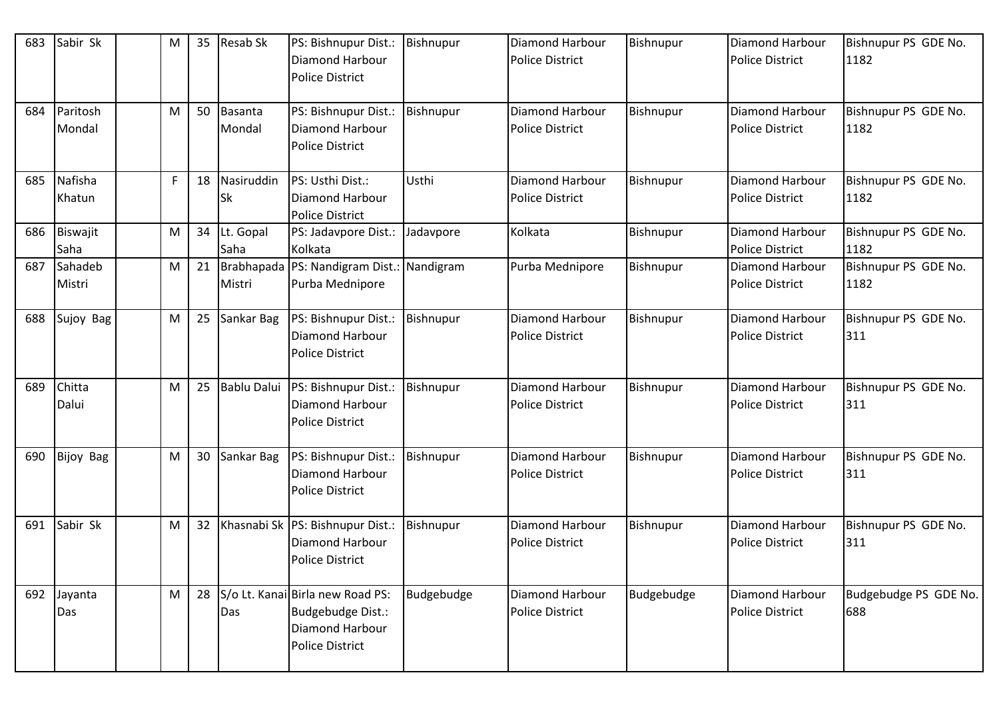| 683 | Sabir Sk           | M | 35 | <b>Resab Sk</b>    | PS: Bishnupur Dist.:<br><b>Diamond Harbour</b><br><b>Police District</b>                           | Bishnupur  | <b>Diamond Harbour</b><br><b>Police District</b> | Bishnupur  | Diamond Harbour<br><b>Police District</b>        | Bishnupur PS GDE No.<br>1182 |
|-----|--------------------|---|----|--------------------|----------------------------------------------------------------------------------------------------|------------|--------------------------------------------------|------------|--------------------------------------------------|------------------------------|
| 684 | Paritosh<br>Mondal | M | 50 | Basanta<br>Mondal  | PS: Bishnupur Dist.:<br>Diamond Harbour<br><b>Police District</b>                                  | Bishnupur  | <b>Diamond Harbour</b><br><b>Police District</b> | Bishnupur  | <b>Diamond Harbour</b><br><b>Police District</b> | Bishnupur PS GDE No.<br>1182 |
| 685 | Nafisha<br>Khatun  | F | 18 | Nasiruddin<br>Sk   | PS: Usthi Dist.:<br>Diamond Harbour<br><b>Police District</b>                                      | Usthi      | Diamond Harbour<br><b>Police District</b>        | Bishnupur  | <b>Diamond Harbour</b><br><b>Police District</b> | Bishnupur PS GDE No.<br>1182 |
| 686 | Biswajit<br>Saha   | M | 34 | Lt. Gopal<br>Saha  | PS: Jadavpore Dist.:<br>Kolkata                                                                    | Jadavpore  | Kolkata                                          | Bishnupur  | <b>Diamond Harbour</b><br><b>Police District</b> | Bishnupur PS GDE No.<br>1182 |
| 687 | Sahadeb<br>Mistri  | M | 21 | Mistri             | Brabhapada   PS: Nandigram Dist.: Nandigram<br>Purba Mednipore                                     |            | Purba Mednipore                                  | Bishnupur  | <b>Diamond Harbour</b><br><b>Police District</b> | Bishnupur PS GDE No.<br>1182 |
| 688 | Sujoy Bag          | M | 25 | Sankar Bag         | PS: Bishnupur Dist.<br>Diamond Harbour<br><b>Police District</b>                                   | Bishnupur  | Diamond Harbour<br><b>Police District</b>        | Bishnupur  | Diamond Harbour<br><b>Police District</b>        | Bishnupur PS GDE No.<br>311  |
| 689 | Chitta<br>Dalui    | M | 25 | <b>Bablu Dalui</b> | PS: Bishnupur Dist.:<br><b>Diamond Harbour</b><br><b>Police District</b>                           | Bishnupur  | <b>Diamond Harbour</b><br><b>Police District</b> | Bishnupur  | Diamond Harbour<br><b>Police District</b>        | Bishnupur PS GDE No.<br>311  |
| 690 | <b>Bijoy Bag</b>   | M | 30 | Sankar Bag         | PS: Bishnupur Dist.:<br><b>Diamond Harbour</b><br><b>Police District</b>                           | Bishnupur  | <b>Diamond Harbour</b><br><b>Police District</b> | Bishnupur  | Diamond Harbour<br><b>Police District</b>        | Bishnupur PS GDE No.<br>311  |
| 691 | Sabir Sk           | M | 32 |                    | Khasnabi Sk   PS: Bishnupur Dist.:<br><b>Diamond Harbour</b><br><b>Police District</b>             | Bishnupur  | <b>Diamond Harbour</b><br><b>Police District</b> | Bishnupur  | Diamond Harbour<br><b>Police District</b>        | Bishnupur PS GDE No.<br>311  |
| 692 | Jayanta<br>Das     | M | 28 | Das                | S/o Lt. Kanai Birla new Road PS:<br>Budgebudge Dist.:<br>Diamond Harbour<br><b>Police District</b> | Budgebudge | Diamond Harbour<br><b>Police District</b>        | Budgebudge | <b>Diamond Harbour</b><br><b>Police District</b> | Budgebudge PS GDE No.<br>688 |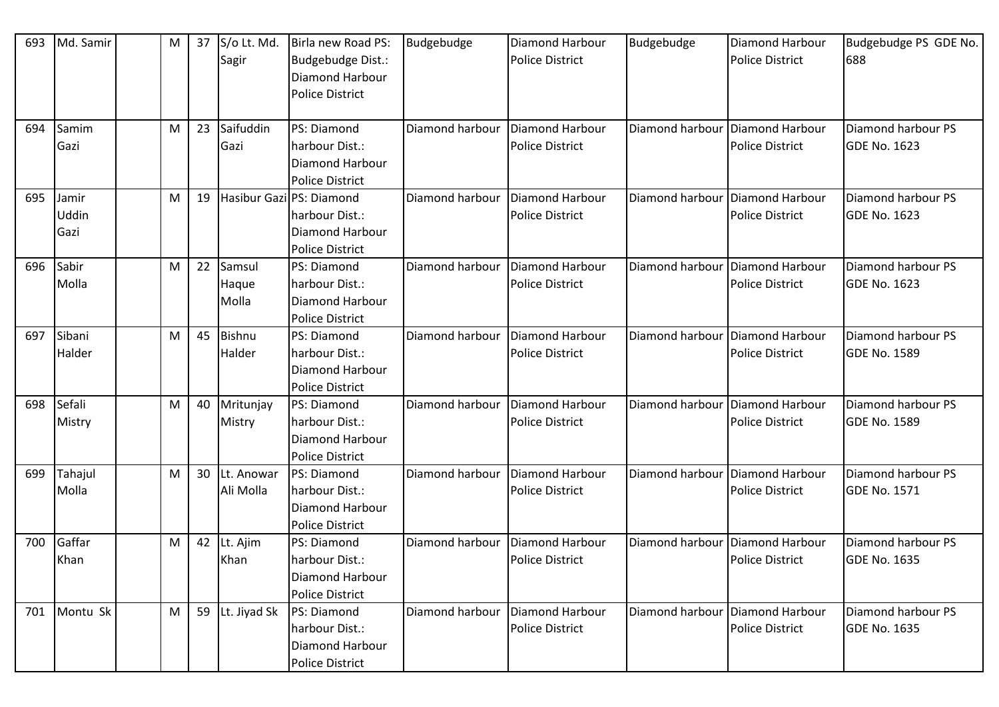| 693 | Md. Samir | M | 37 | S/o Lt. Md.<br>Sagir | Birla new Road PS:<br>Budgebudge Dist.: | Budgebudge      | Diamond Harbour<br><b>Police District</b> | Budgebudge                        | Diamond Harbour<br><b>Police District</b> | Budgebudge PS GDE No.<br>688 |
|-----|-----------|---|----|----------------------|-----------------------------------------|-----------------|-------------------------------------------|-----------------------------------|-------------------------------------------|------------------------------|
|     |           |   |    |                      | <b>Diamond Harbour</b>                  |                 |                                           |                                   |                                           |                              |
|     |           |   |    |                      | <b>Police District</b>                  |                 |                                           |                                   |                                           |                              |
|     |           |   |    |                      |                                         |                 |                                           |                                   |                                           |                              |
| 694 | Samim     | M | 23 | Saifuddin            | <b>PS: Diamond</b>                      | Diamond harbour | Diamond Harbour                           | Diamond harbour                   | Diamond Harbour                           | Diamond harbour PS           |
|     | Gazi      |   |    | Gazi                 | harbour Dist.:                          |                 | <b>Police District</b>                    |                                   | <b>Police District</b>                    | <b>GDE No. 1623</b>          |
|     |           |   |    |                      | <b>Diamond Harbour</b>                  |                 |                                           |                                   |                                           |                              |
|     |           |   |    |                      | <b>Police District</b>                  |                 |                                           |                                   |                                           |                              |
| 695 | Jamir     | М | 19 |                      | Hasibur GazilPS: Diamond                | Diamond harbour | Diamond Harbour                           | Diamond harbour   Diamond Harbour |                                           | Diamond harbour PS           |
|     | Uddin     |   |    |                      | harbour Dist.:                          |                 | <b>Police District</b>                    |                                   | <b>Police District</b>                    | <b>GDE No. 1623</b>          |
|     | Gazi      |   |    |                      | <b>Diamond Harbour</b>                  |                 |                                           |                                   |                                           |                              |
|     |           |   |    |                      | <b>Police District</b>                  |                 |                                           |                                   |                                           |                              |
| 696 | Sabir     | M | 22 | Samsul               | PS: Diamond                             | Diamond harbour | Diamond Harbour                           | Diamond harbour                   | Diamond Harbour                           | Diamond harbour PS           |
|     | Molla     |   |    | Haque                | harbour Dist.:                          |                 | <b>Police District</b>                    |                                   | <b>Police District</b>                    | <b>GDE No. 1623</b>          |
|     |           |   |    | Molla                | <b>Diamond Harbour</b>                  |                 |                                           |                                   |                                           |                              |
|     |           |   |    |                      | <b>Police District</b>                  |                 |                                           |                                   |                                           |                              |
| 697 | Sibani    | М | 45 | <b>Bishnu</b>        | PS: Diamond                             | Diamond harbour | Diamond Harbour                           | Diamond harbour                   | Diamond Harbour                           | Diamond harbour PS           |
|     | Halder    |   |    | Halder               | harbour Dist.:                          |                 | <b>Police District</b>                    |                                   | <b>Police District</b>                    | <b>GDE No. 1589</b>          |
|     |           |   |    |                      | <b>Diamond Harbour</b>                  |                 |                                           |                                   |                                           |                              |
|     |           |   |    |                      | <b>Police District</b>                  |                 |                                           |                                   |                                           |                              |
| 698 | Sefali    | М | 40 | Mritunjay            | <b>PS: Diamond</b>                      | Diamond harbour | Diamond Harbour                           | Diamond harbour                   | Diamond Harbour                           | Diamond harbour PS           |
|     | Mistry    |   |    | Mistry               | harbour Dist.:                          |                 | <b>Police District</b>                    |                                   | <b>Police District</b>                    | <b>GDE No. 1589</b>          |
|     |           |   |    |                      | <b>Diamond Harbour</b>                  |                 |                                           |                                   |                                           |                              |
|     |           |   |    |                      | <b>Police District</b>                  |                 |                                           |                                   |                                           |                              |
| 699 | Tahajul   | M | 30 | Lt. Anowar           | <b>PS: Diamond</b>                      | Diamond harbour | Diamond Harbour                           | Diamond harbour                   | Diamond Harbour                           | Diamond harbour PS           |
|     | Molla     |   |    | Ali Molla            | harbour Dist.:                          |                 | <b>Police District</b>                    |                                   | <b>Police District</b>                    | <b>GDE No. 1571</b>          |
|     |           |   |    |                      | Diamond Harbour                         |                 |                                           |                                   |                                           |                              |
|     |           |   |    |                      | <b>Police District</b>                  |                 |                                           |                                   |                                           |                              |
| 700 | Gaffar    | М | 42 | Lt. Ajim             | PS: Diamond                             | Diamond harbour | Diamond Harbour                           | Diamond harbour                   | Diamond Harbour                           | Diamond harbour PS           |
|     | Khan      |   |    | Khan                 | harbour Dist.:                          |                 | <b>Police District</b>                    |                                   | <b>Police District</b>                    | <b>GDE No. 1635</b>          |
|     |           |   |    |                      | <b>Diamond Harbour</b>                  |                 |                                           |                                   |                                           |                              |
|     |           |   |    |                      | <b>Police District</b>                  |                 |                                           |                                   |                                           |                              |
| 701 | Montu Sk  | M | 59 | Lt. Jiyad Sk         | PS: Diamond                             | Diamond harbour | Diamond Harbour                           | Diamond harbour                   | Diamond Harbour                           | Diamond harbour PS           |
|     |           |   |    |                      | harbour Dist.:                          |                 | <b>Police District</b>                    |                                   | <b>Police District</b>                    | <b>GDE No. 1635</b>          |
|     |           |   |    |                      | Diamond Harbour                         |                 |                                           |                                   |                                           |                              |
|     |           |   |    |                      | <b>Police District</b>                  |                 |                                           |                                   |                                           |                              |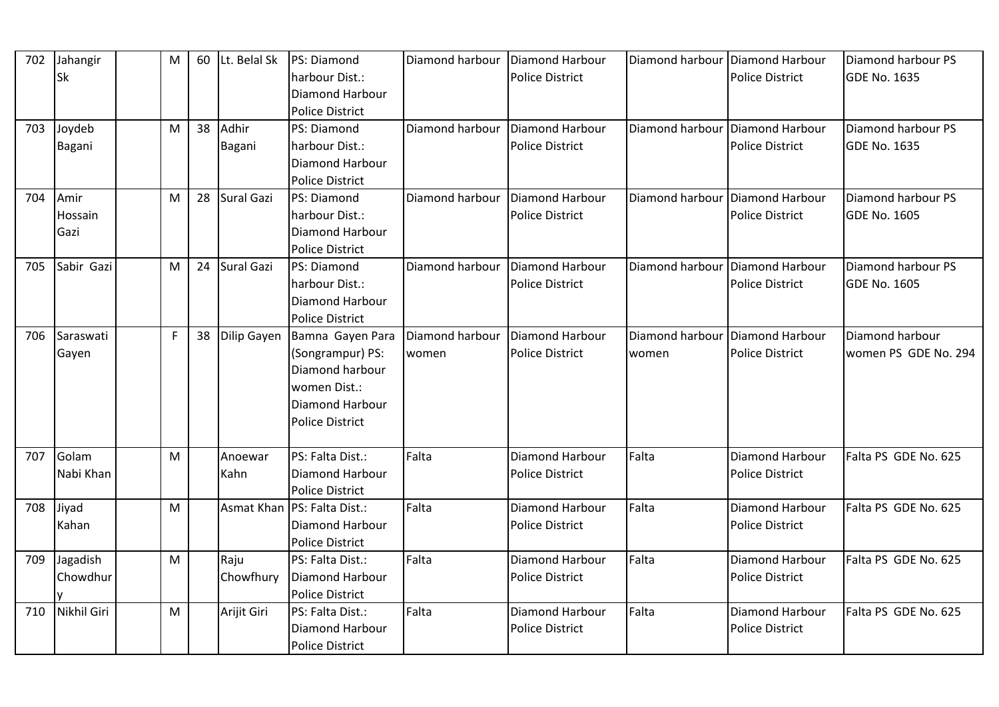| 702 | Jahangir    | M | 60 | Lt. Belal Sk | PS: Diamond                   | Diamond harbour   Diamond Harbour |                        | Diamond harbour Diamond Harbour   |                        | Diamond harbour PS   |
|-----|-------------|---|----|--------------|-------------------------------|-----------------------------------|------------------------|-----------------------------------|------------------------|----------------------|
|     | <b>Sk</b>   |   |    |              | harbour Dist.:                |                                   | <b>Police District</b> |                                   | <b>Police District</b> | <b>GDE No. 1635</b>  |
|     |             |   |    |              | <b>Diamond Harbour</b>        |                                   |                        |                                   |                        |                      |
|     |             |   |    |              | <b>Police District</b>        |                                   |                        |                                   |                        |                      |
| 703 | Joydeb      | M | 38 | Adhir        | PS: Diamond                   | Diamond harbour                   | Diamond Harbour        | Diamond harbour Diamond Harbour   |                        | Diamond harbour PS   |
|     | Bagani      |   |    | Bagani       | harbour Dist.:                |                                   | <b>Police District</b> |                                   | <b>Police District</b> | <b>GDE No. 1635</b>  |
|     |             |   |    |              | <b>Diamond Harbour</b>        |                                   |                        |                                   |                        |                      |
|     |             |   |    |              | <b>Police District</b>        |                                   |                        |                                   |                        |                      |
| 704 | Amir        | M | 28 | Sural Gazi   | PS: Diamond                   | Diamond harbour                   | Diamond Harbour        | Diamond harbour Diamond Harbour   |                        | Diamond harbour PS   |
|     | Hossain     |   |    |              | harbour Dist.:                |                                   | <b>Police District</b> |                                   | <b>Police District</b> | GDE No. 1605         |
|     | Gazi        |   |    |              | <b>Diamond Harbour</b>        |                                   |                        |                                   |                        |                      |
|     |             |   |    |              | <b>Police District</b>        |                                   |                        |                                   |                        |                      |
| 705 | Sabir Gazi  | M | 24 | Sural Gazi   | PS: Diamond                   | Diamond harbour                   | Diamond Harbour        | Diamond harbour   Diamond Harbour |                        | Diamond harbour PS   |
|     |             |   |    |              | harbour Dist.:                |                                   | <b>Police District</b> |                                   | <b>Police District</b> | <b>GDE No. 1605</b>  |
|     |             |   |    |              | Diamond Harbour               |                                   |                        |                                   |                        |                      |
|     |             |   |    |              | <b>Police District</b>        |                                   |                        |                                   |                        |                      |
| 706 | Saraswati   | F | 38 | Dilip Gayen  | Bamna Gayen Para              | Diamond harbour                   | Diamond Harbour        | Diamond harbour                   | Diamond Harbour        | Diamond harbour      |
|     | Gayen       |   |    |              | (Songrampur) PS:              | women                             | <b>Police District</b> | women                             | <b>Police District</b> | women PS GDE No. 294 |
|     |             |   |    |              | Diamond harbour               |                                   |                        |                                   |                        |                      |
|     |             |   |    |              | women Dist.:                  |                                   |                        |                                   |                        |                      |
|     |             |   |    |              | <b>Diamond Harbour</b>        |                                   |                        |                                   |                        |                      |
|     |             |   |    |              | <b>Police District</b>        |                                   |                        |                                   |                        |                      |
|     |             |   |    |              |                               |                                   |                        |                                   |                        |                      |
| 707 | Golam       | M |    | Anoewar      | PS: Falta Dist.:              | Falta                             | <b>Diamond Harbour</b> | Falta                             | <b>Diamond Harbour</b> | Falta PS GDE No. 625 |
|     | Nabi Khan   |   |    | Kahn         | Diamond Harbour               |                                   | <b>Police District</b> |                                   | <b>Police District</b> |                      |
|     |             |   |    |              | <b>Police District</b>        |                                   |                        |                                   |                        |                      |
| 708 | Jiyad       | M |    |              | Asmat Khan   PS: Falta Dist.: | Falta                             | <b>Diamond Harbour</b> | Falta                             | <b>Diamond Harbour</b> | Falta PS GDE No. 625 |
|     | Kahan       |   |    |              | Diamond Harbour               |                                   | <b>Police District</b> |                                   | <b>Police District</b> |                      |
|     |             |   |    |              | <b>Police District</b>        |                                   |                        |                                   |                        |                      |
| 709 | Jagadish    | M |    | Raju         | PS: Falta Dist.:              | Falta                             | Diamond Harbour        | Falta                             | Diamond Harbour        | Falta PS GDE No. 625 |
|     | Chowdhur    |   |    | Chowfhury    | Diamond Harbour               |                                   | <b>Police District</b> |                                   | <b>Police District</b> |                      |
|     |             |   |    |              | <b>Police District</b>        |                                   |                        |                                   |                        |                      |
| 710 | Nikhil Giri | M |    | Arijit Giri  | PS: Falta Dist.:              | Falta                             | Diamond Harbour        | Falta                             | Diamond Harbour        | Falta PS GDE No. 625 |
|     |             |   |    |              | <b>Diamond Harbour</b>        |                                   | <b>Police District</b> |                                   | <b>Police District</b> |                      |
|     |             |   |    |              | <b>Police District</b>        |                                   |                        |                                   |                        |                      |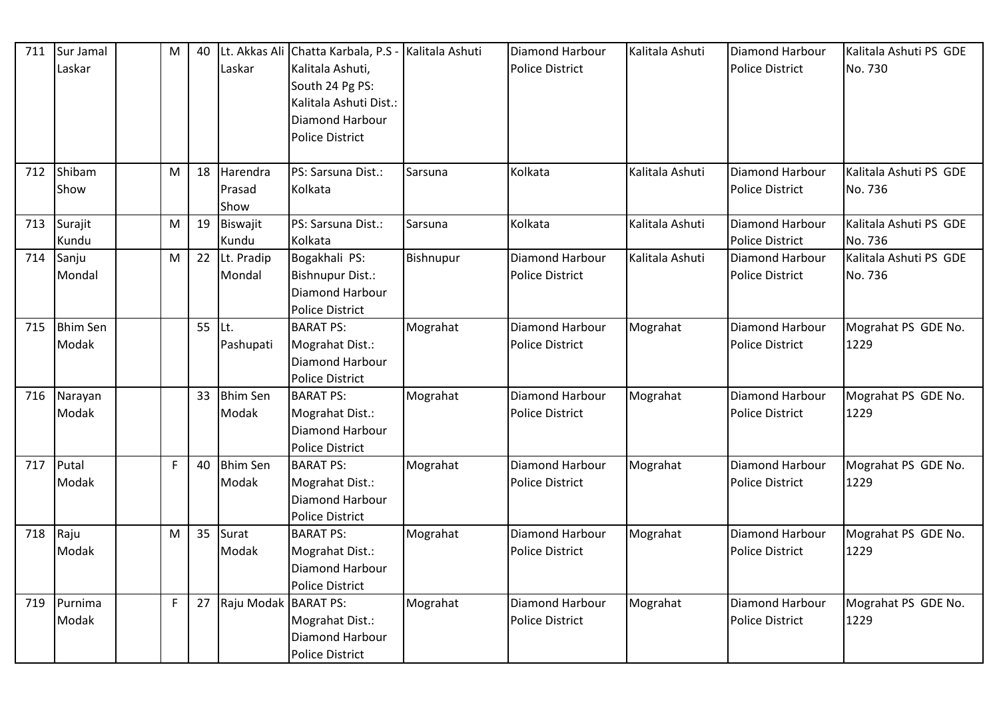| 711 | Sur Jamal<br>Laskar      | M            | 40 | Lt. Akkas Ali<br>Laskar    | Chatta Karbala, P.S - Kalitala Ashuti<br>Kalitala Ashuti,<br>South 24 Pg PS:<br>Kalitala Ashuti Dist.:<br>Diamond Harbour<br><b>Police District</b> |           | Diamond Harbour<br>Police District               | Kalitala Ashuti | <b>Diamond Harbour</b><br><b>Police District</b> | Kalitala Ashuti PS GDE<br>No. 730 |
|-----|--------------------------|--------------|----|----------------------------|-----------------------------------------------------------------------------------------------------------------------------------------------------|-----------|--------------------------------------------------|-----------------|--------------------------------------------------|-----------------------------------|
| 712 | Shibam<br>Show           | M            | 18 | Harendra<br>Prasad<br>Show | PS: Sarsuna Dist.:<br>Kolkata                                                                                                                       | Sarsuna   | Kolkata                                          | Kalitala Ashuti | <b>Diamond Harbour</b><br><b>Police District</b> | Kalitala Ashuti PS GDE<br>No. 736 |
| 713 | Surajit<br>Kundu         | M            | 19 | Biswajit<br>Kundu          | PS: Sarsuna Dist.:<br>Kolkata                                                                                                                       | Sarsuna   | Kolkata                                          | Kalitala Ashuti | Diamond Harbour<br><b>Police District</b>        | Kalitala Ashuti PS GDE<br>No. 736 |
| 714 | Sanju<br>Mondal          | M            | 22 | Lt. Pradip<br>Mondal       | Bogakhali PS:<br><b>Bishnupur Dist.:</b><br>Diamond Harbour<br><b>Police District</b>                                                               | Bishnupur | <b>Diamond Harbour</b><br><b>Police District</b> | Kalitala Ashuti | Diamond Harbour<br><b>Police District</b>        | Kalitala Ashuti PS GDE<br>No. 736 |
| 715 | <b>Bhim Sen</b><br>Modak |              | 55 | ILt.<br>Pashupati          | <b>BARAT PS:</b><br>Mograhat Dist.:<br>Diamond Harbour<br><b>Police District</b>                                                                    | Mograhat  | <b>Diamond Harbour</b><br><b>Police District</b> | Mograhat        | <b>Diamond Harbour</b><br><b>Police District</b> | Mograhat PS GDE No.<br>1229       |
|     | 716 Narayan<br>Modak     |              | 33 | <b>Bhim Sen</b><br>Modak   | <b>BARAT PS:</b><br>Mograhat Dist.:<br>Diamond Harbour<br><b>Police District</b>                                                                    | Mograhat  | Diamond Harbour<br>Police District               | Mograhat        | Diamond Harbour<br><b>Police District</b>        | Mograhat PS GDE No.<br>1229       |
| 717 | Putal<br>Modak           | $\mathsf F$  | 40 | <b>Bhim Sen</b><br>Modak   | <b>BARAT PS:</b><br>Mograhat Dist.:<br>Diamond Harbour<br><b>Police District</b>                                                                    | Mograhat  | Diamond Harbour<br><b>Police District</b>        | Mograhat        | <b>Diamond Harbour</b><br><b>Police District</b> | Mograhat PS GDE No.<br>1229       |
| 718 | Raju<br>Modak            | ${\sf M}$    | 35 | Surat<br>Modak             | <b>BARAT PS:</b><br>Mograhat Dist.:<br>Diamond Harbour<br><b>Police District</b>                                                                    | Mograhat  | Diamond Harbour<br><b>Police District</b>        | Mograhat        | Diamond Harbour<br><b>Police District</b>        | Mograhat PS GDE No.<br>1229       |
| 719 | Purnima<br>Modak         | $\mathsf{F}$ | 27 | Raju Modak BARAT PS:       | Mograhat Dist.:<br>Diamond Harbour<br><b>Police District</b>                                                                                        | Mograhat  | Diamond Harbour<br><b>Police District</b>        | Mograhat        | <b>Diamond Harbour</b><br><b>Police District</b> | Mograhat PS GDE No.<br>1229       |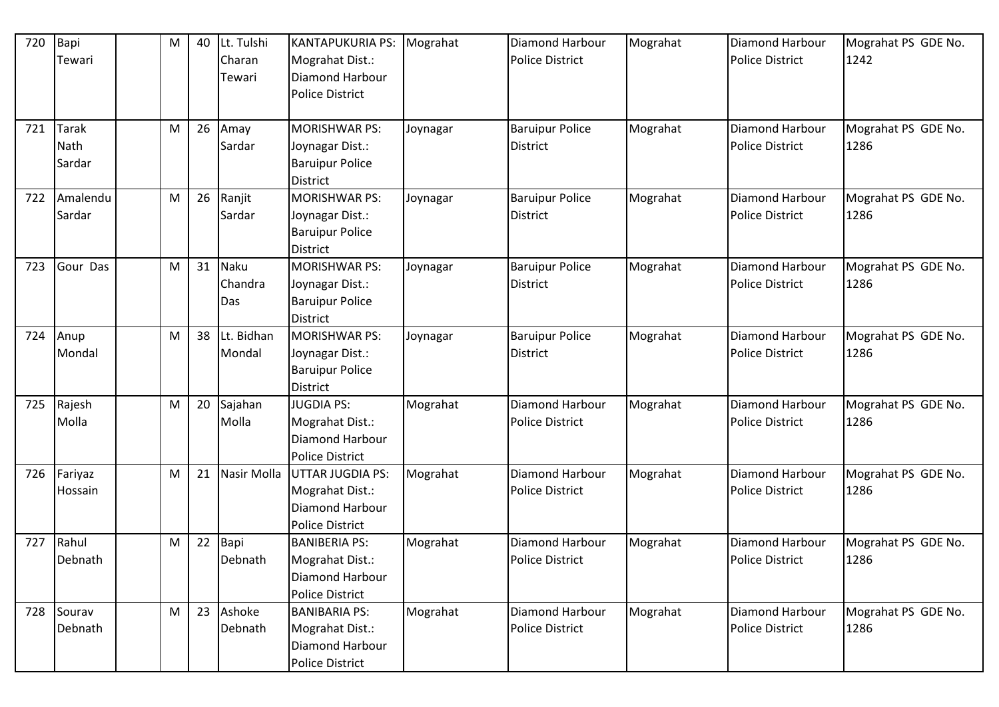| 720 | Bapi<br>Tewari                 | M | 40 | Lt. Tulshi<br>Charan<br>Tewari | <b>KANTAPUKURIA PS:</b><br>Mograhat Dist.:<br><b>Diamond Harbour</b>                    | Mograhat | Diamond Harbour<br><b>Police District</b> | Mograhat | Diamond Harbour<br><b>Police District</b>        | Mograhat PS GDE No.<br>1242 |
|-----|--------------------------------|---|----|--------------------------------|-----------------------------------------------------------------------------------------|----------|-------------------------------------------|----------|--------------------------------------------------|-----------------------------|
|     |                                |   |    |                                | <b>Police District</b>                                                                  |          |                                           |          |                                                  |                             |
| 721 | <b>Tarak</b><br>Nath<br>Sardar | M | 26 | Amay<br>Sardar                 | <b>MORISHWAR PS:</b><br>Joynagar Dist.:<br><b>Baruipur Police</b><br><b>District</b>    | Joynagar | <b>Baruipur Police</b><br><b>District</b> | Mograhat | Diamond Harbour<br><b>Police District</b>        | Mograhat PS GDE No.<br>1286 |
| 722 | Amalendu<br>Sardar             | M | 26 | Ranjit<br>Sardar               | <b>MORISHWAR PS:</b><br>Joynagar Dist.:<br><b>Baruipur Police</b><br><b>District</b>    | Joynagar | <b>Baruipur Police</b><br><b>District</b> | Mograhat | Diamond Harbour<br><b>Police District</b>        | Mograhat PS GDE No.<br>1286 |
| 723 | Gour Das                       | M | 31 | <b>Naku</b><br>Chandra<br>Das  | <b>MORISHWAR PS:</b><br>Joynagar Dist.:<br><b>Baruipur Police</b><br><b>District</b>    | Joynagar | <b>Baruipur Police</b><br><b>District</b> | Mograhat | Diamond Harbour<br><b>Police District</b>        | Mograhat PS GDE No.<br>1286 |
| 724 | Anup<br>Mondal                 | M | 38 | Lt. Bidhan<br>Mondal           | MORISHWAR PS:<br>Joynagar Dist.:<br><b>Baruipur Police</b><br>District                  | Joynagar | <b>Baruipur Police</b><br>District        | Mograhat | Diamond Harbour<br><b>Police District</b>        | Mograhat PS GDE No.<br>1286 |
| 725 | Rajesh<br>Molla                | M | 20 | Sajahan<br>Molla               | <b>JUGDIA PS:</b><br>Mograhat Dist.:<br>Diamond Harbour<br><b>Police District</b>       | Mograhat | Diamond Harbour<br><b>Police District</b> | Mograhat | <b>Diamond Harbour</b><br><b>Police District</b> | Mograhat PS GDE No.<br>1286 |
| 726 | Fariyaz<br>Hossain             | M | 21 | Nasir Molla                    | <b>UTTAR JUGDIA PS:</b><br>Mograhat Dist.:<br>Diamond Harbour<br><b>Police District</b> | Mograhat | Diamond Harbour<br><b>Police District</b> | Mograhat | Diamond Harbour<br><b>Police District</b>        | Mograhat PS GDE No.<br>1286 |
| 727 | Rahul<br>Debnath               | М | 22 | Bapi<br>Debnath                | <b>BANIBERIA PS:</b><br>Mograhat Dist.:<br>Diamond Harbour<br><b>Police District</b>    | Mograhat | Diamond Harbour<br><b>Police District</b> | Mograhat | <b>Diamond Harbour</b><br><b>Police District</b> | Mograhat PS GDE No.<br>1286 |
| 728 | Sourav<br>Debnath              | M | 23 | Ashoke<br>Debnath              | <b>BANIBARIA PS:</b><br>Mograhat Dist.:<br>Diamond Harbour<br><b>Police District</b>    | Mograhat | Diamond Harbour<br>Police District        | Mograhat | Diamond Harbour<br><b>Police District</b>        | Mograhat PS GDE No.<br>1286 |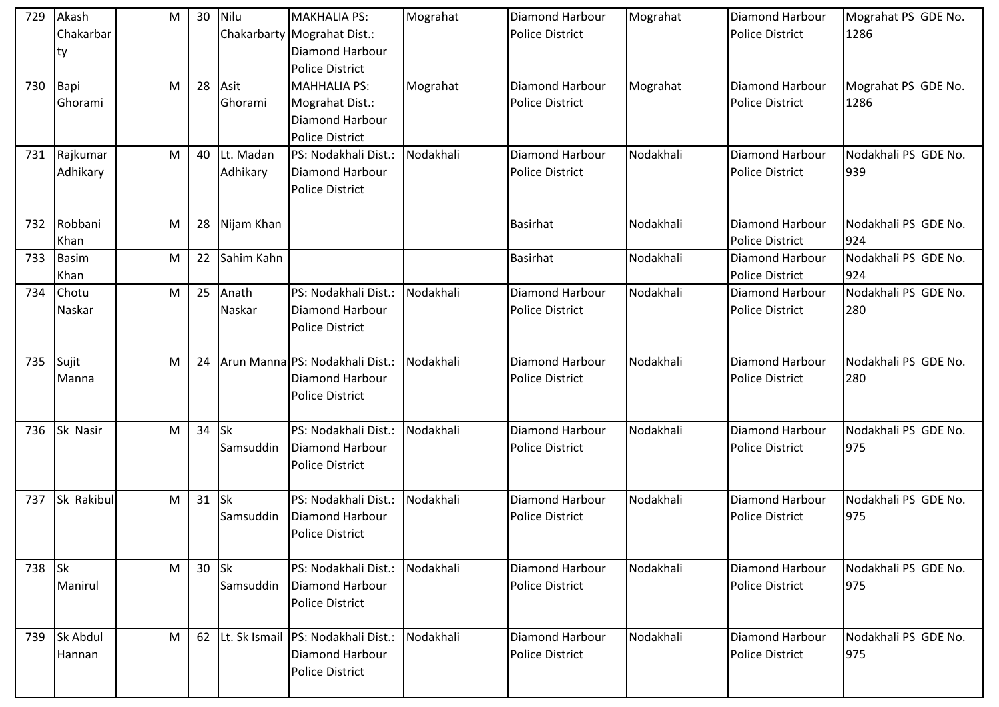| 729    | Akash        | M | 30 | Nilu       | <b>MAKHALIA PS:</b>                  | Mograhat  | Diamond Harbour        | Mograhat  | <b>Diamond Harbour</b> | Mograhat PS GDE No.  |
|--------|--------------|---|----|------------|--------------------------------------|-----------|------------------------|-----------|------------------------|----------------------|
|        | Chakarbar    |   |    |            | Chakarbarty Mograhat Dist.:          |           | <b>Police District</b> |           | <b>Police District</b> | 1286                 |
|        | ty           |   |    |            | Diamond Harbour                      |           |                        |           |                        |                      |
|        |              |   |    |            | <b>Police District</b>               |           |                        |           |                        |                      |
| 730    | Bapi         | М | 28 | Asit       | <b>MAHHALIA PS:</b>                  | Mograhat  | Diamond Harbour        | Mograhat  | <b>Diamond Harbour</b> | Mograhat PS GDE No.  |
|        | Ghorami      |   |    | Ghorami    | Mograhat Dist.:                      |           | <b>Police District</b> |           | <b>Police District</b> | 1286                 |
|        |              |   |    |            | <b>Diamond Harbour</b>               |           |                        |           |                        |                      |
|        |              |   |    |            | <b>Police District</b>               |           |                        |           |                        |                      |
| 731    | Rajkumar     | M | 40 | Lt. Madan  | PS: Nodakhali Dist.:                 | Nodakhali | <b>Diamond Harbour</b> | Nodakhali | <b>Diamond Harbour</b> | Nodakhali PS GDE No. |
|        | Adhikary     |   |    | Adhikary   | <b>Diamond Harbour</b>               |           | <b>Police District</b> |           | Police District        | 939                  |
|        |              |   |    |            | <b>Police District</b>               |           |                        |           |                        |                      |
|        |              |   |    |            |                                      |           |                        |           |                        |                      |
| 732    | Robbani      | М | 28 | Nijam Khan |                                      |           | <b>Basirhat</b>        | Nodakhali | <b>Diamond Harbour</b> | Nodakhali PS GDE No. |
|        | Khan         |   |    |            |                                      |           |                        |           | <b>Police District</b> | 924                  |
| 733    | <b>Basim</b> | M | 22 | Sahim Kahn |                                      |           | <b>Basirhat</b>        | Nodakhali | <b>Diamond Harbour</b> | Nodakhali PS GDE No. |
|        | Khan         |   |    |            |                                      |           |                        |           | <b>Police District</b> | 924                  |
| 734    | Chotu        | M | 25 | Anath      | PS: Nodakhali Dist.:                 | Nodakhali | Diamond Harbour        | Nodakhali | <b>Diamond Harbour</b> | Nodakhali PS GDE No. |
|        | Naskar       |   |    | Naskar     | <b>Diamond Harbour</b>               |           | <b>Police District</b> |           | <b>Police District</b> | 280                  |
|        |              |   |    |            | <b>Police District</b>               |           |                        |           |                        |                      |
|        |              |   |    |            |                                      |           |                        |           |                        |                      |
| 735    | Sujit        | M | 24 |            | Arun Manna PS: Nodakhali Dist.:      | Nodakhali | Diamond Harbour        | Nodakhali | Diamond Harbour        | Nodakhali PS GDE No. |
|        | Manna        |   |    |            | <b>Diamond Harbour</b>               |           | <b>Police District</b> |           | <b>Police District</b> | 280                  |
|        |              |   |    |            | <b>Police District</b>               |           |                        |           |                        |                      |
|        |              |   |    |            |                                      |           |                        |           |                        |                      |
| 736    | Sk Nasir     | M | 34 | <b>Sk</b>  | PS: Nodakhali Dist.:                 | Nodakhali | Diamond Harbour        | Nodakhali | Diamond Harbour        | Nodakhali PS GDE No. |
|        |              |   |    | Samsuddin  | Diamond Harbour                      |           | <b>Police District</b> |           | <b>Police District</b> | 975                  |
|        |              |   |    |            | <b>Police District</b>               |           |                        |           |                        |                      |
|        |              |   |    |            |                                      |           |                        |           |                        |                      |
| 737    | Sk Rakibul   | M | 31 | <b>Sk</b>  | PS: Nodakhali Dist.:                 | Nodakhali | <b>Diamond Harbour</b> | Nodakhali | Diamond Harbour        | Nodakhali PS GDE No. |
|        |              |   |    | Samsuddin  | Diamond Harbour                      |           | <b>Police District</b> |           | <b>Police District</b> | 975                  |
|        |              |   |    |            | <b>Police District</b>               |           |                        |           |                        |                      |
|        |              |   |    |            |                                      |           |                        |           |                        |                      |
| 738 Sk |              | M | 30 | <b>Sk</b>  | PS: Nodakhali Dist.:                 | Nodakhali | Diamond Harbour        | Nodakhali | <b>Diamond Harbour</b> | Nodakhali PS GDE No. |
|        | Manirul      |   |    | Samsuddin  | Diamond Harbour                      |           | <b>Police District</b> |           | <b>Police District</b> | 975                  |
|        |              |   |    |            | <b>Police District</b>               |           |                        |           |                        |                      |
|        |              |   |    |            |                                      |           |                        |           |                        |                      |
| 739    | Sk Abdul     | M | 62 |            | Lt. Sk Ismail   PS: Nodakhali Dist.: | Nodakhali | Diamond Harbour        | Nodakhali | Diamond Harbour        | Nodakhali PS GDE No. |
|        | Hannan       |   |    |            | <b>Diamond Harbour</b>               |           | <b>Police District</b> |           | <b>Police District</b> | 975                  |
|        |              |   |    |            | <b>Police District</b>               |           |                        |           |                        |                      |
|        |              |   |    |            |                                      |           |                        |           |                        |                      |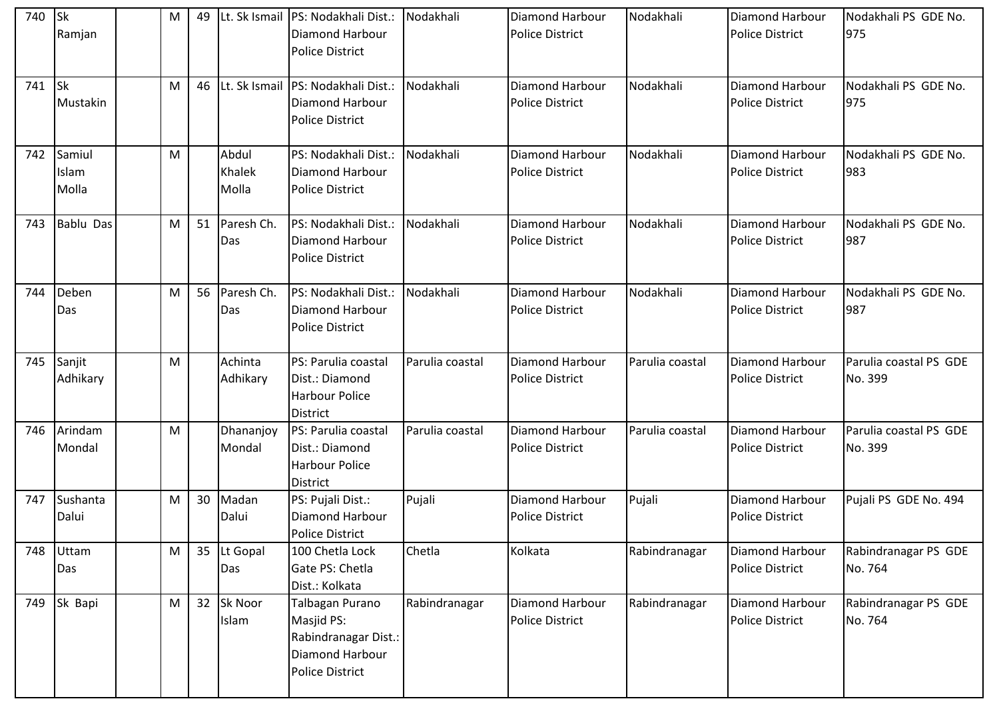| 740 | <b>Sk</b><br>Ramjan      | M | 49 |                          | Lt. Sk Ismail   PS: Nodakhali Dist.:<br>Diamond Harbour<br><b>Police District</b>           | Nodakhali       | <b>Diamond Harbour</b><br><b>Police District</b> | Nodakhali       | <b>Diamond Harbour</b><br><b>Police District</b> | Nodakhali PS GDE No.<br>975       |
|-----|--------------------------|---|----|--------------------------|---------------------------------------------------------------------------------------------|-----------------|--------------------------------------------------|-----------------|--------------------------------------------------|-----------------------------------|
| 741 | <b>Sk</b><br>Mustakin    | M | 46 |                          | Lt. Sk Ismail   PS: Nodakhali Dist.:<br>Diamond Harbour<br><b>Police District</b>           | Nodakhali       | <b>Diamond Harbour</b><br><b>Police District</b> | Nodakhali       | <b>Diamond Harbour</b><br><b>Police District</b> | Nodakhali PS GDE No.<br>975       |
| 742 | Samiul<br>Islam<br>Molla | M |    | Abdul<br>Khalek<br>Molla | PS: Nodakhali Dist.:<br>Diamond Harbour<br><b>Police District</b>                           | Nodakhali       | <b>Diamond Harbour</b><br><b>Police District</b> | Nodakhali       | <b>Diamond Harbour</b><br><b>Police District</b> | Nodakhali PS GDE No.<br>983       |
| 743 | <b>Bablu Das</b>         | M | 51 | Paresh Ch.<br>Das        | PS: Nodakhali Dist.:<br>Diamond Harbour<br><b>Police District</b>                           | Nodakhali       | <b>Diamond Harbour</b><br><b>Police District</b> | Nodakhali       | <b>Diamond Harbour</b><br><b>Police District</b> | Nodakhali PS GDE No.<br>987       |
| 744 | Deben<br>Das             | M | 56 | Paresh Ch.<br>Das        | PS: Nodakhali Dist.:<br>Diamond Harbour<br><b>Police District</b>                           | Nodakhali       | Diamond Harbour<br><b>Police District</b>        | Nodakhali       | Diamond Harbour<br><b>Police District</b>        | Nodakhali PS GDE No.<br>987       |
| 745 | Sanjit<br>Adhikary       | M |    | Achinta<br>Adhikary      | PS: Parulia coastal<br>Dist.: Diamond<br>Harbour Police<br><b>District</b>                  | Parulia coastal | <b>Diamond Harbour</b><br><b>Police District</b> | Parulia coastal | Diamond Harbour<br><b>Police District</b>        | Parulia coastal PS GDE<br>No. 399 |
| 746 | Arindam<br>Mondal        | M |    | Dhananjoy<br>Mondal      | PS: Parulia coastal<br>Dist.: Diamond<br><b>Harbour Police</b><br><b>District</b>           | Parulia coastal | <b>Diamond Harbour</b><br><b>Police District</b> | Parulia coastal | <b>Diamond Harbour</b><br><b>Police District</b> | Parulia coastal PS GDE<br>No. 399 |
| 747 | Sushanta<br>Dalui        | M | 30 | Madan<br>Dalui           | PS: Pujali Dist.:<br>Diamond Harbour<br><b>Police District</b>                              | Pujali          | Diamond Harbour<br><b>Police District</b>        | Pujali          | <b>Diamond Harbour</b><br><b>Police District</b> | Pujali PS GDE No. 494             |
| 748 | Uttam<br>Das             | M | 35 | Lt Gopal<br>Das          | 100 Chetla Lock<br>Gate PS: Chetla<br>Dist.: Kolkata                                        | Chetla          | Kolkata                                          | Rabindranagar   | Diamond Harbour<br><b>Police District</b>        | Rabindranagar PS GDE<br>No. 764   |
| 749 | Sk Bapi                  | M | 32 | Sk Noor<br>Islam         | Talbagan Purano<br>Masjid PS:<br>Rabindranagar Dist.:<br>Diamond Harbour<br>Police District | Rabindranagar   | <b>Diamond Harbour</b><br><b>Police District</b> | Rabindranagar   | Diamond Harbour<br><b>Police District</b>        | Rabindranagar PS GDE<br>No. 764   |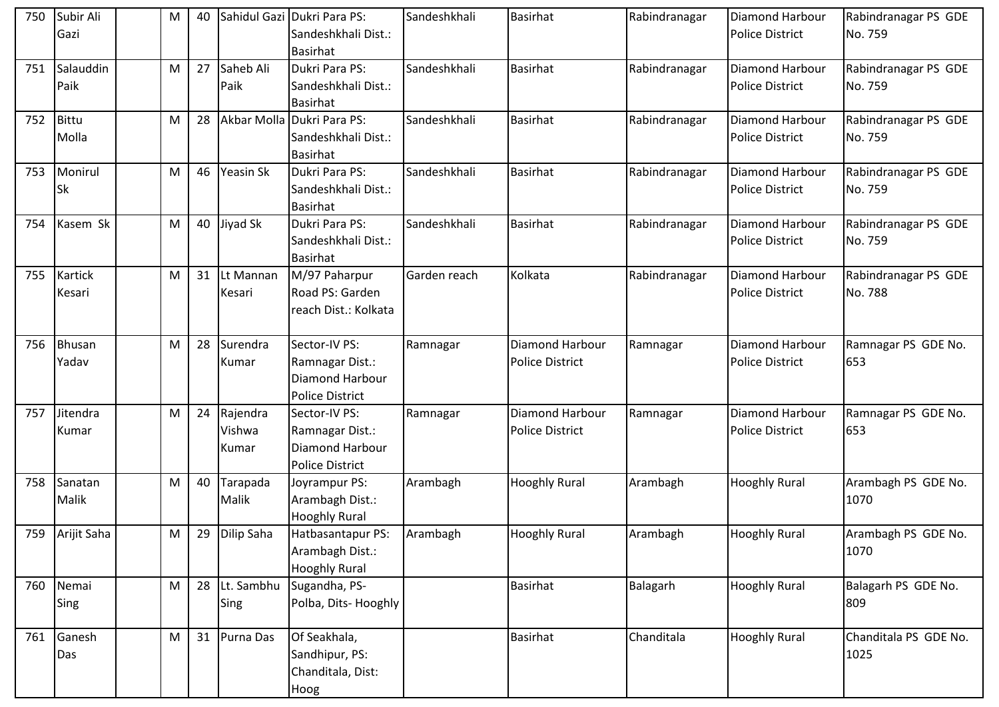| 750 | Subir Ali<br>Gazi    | M | 40 |                             | Sahidul Gazi Dukri Para PS:<br>Sandeshkhali Dist.:<br>Basirhat                       | Sandeshkhali | <b>Basirhat</b>                                  | Rabindranagar | Diamond Harbour<br><b>Police District</b>        | Rabindranagar PS GDE<br>No. 759 |
|-----|----------------------|---|----|-----------------------------|--------------------------------------------------------------------------------------|--------------|--------------------------------------------------|---------------|--------------------------------------------------|---------------------------------|
| 751 | Salauddin<br>Paik    | M | 27 | Saheb Ali<br>Paik           | Dukri Para PS:<br>Sandeshkhali Dist.:<br><b>Basirhat</b>                             | Sandeshkhali | <b>Basirhat</b>                                  | Rabindranagar | <b>Diamond Harbour</b><br><b>Police District</b> | Rabindranagar PS GDE<br>No. 759 |
| 752 | Bittu<br>Molla       | M | 28 |                             | Akbar Molla Dukri Para PS:<br>Sandeshkhali Dist.:<br><b>Basirhat</b>                 | Sandeshkhali | <b>Basirhat</b>                                  | Rabindranagar | <b>Diamond Harbour</b><br><b>Police District</b> | Rabindranagar PS GDE<br>No. 759 |
| 753 | Monirul<br><b>Sk</b> | M | 46 | Yeasin Sk                   | Dukri Para PS:<br>Sandeshkhali Dist.:<br><b>Basirhat</b>                             | Sandeshkhali | <b>Basirhat</b>                                  | Rabindranagar | Diamond Harbour<br><b>Police District</b>        | Rabindranagar PS GDE<br>No. 759 |
| 754 | Kasem Sk             | M | 40 | Jiyad Sk                    | Dukri Para PS:<br>Sandeshkhali Dist.:<br><b>Basirhat</b>                             | Sandeshkhali | <b>Basirhat</b>                                  | Rabindranagar | <b>Diamond Harbour</b><br><b>Police District</b> | Rabindranagar PS GDE<br>No. 759 |
| 755 | Kartick<br>Kesari    | M | 31 | Lt Mannan<br>Kesari         | M/97 Paharpur<br>Road PS: Garden<br>reach Dist.: Kolkata                             | Garden reach | Kolkata                                          | Rabindranagar | <b>Diamond Harbour</b><br><b>Police District</b> | Rabindranagar PS GDE<br>No. 788 |
| 756 | Bhusan<br>Yadav      | M | 28 | Surendra<br>Kumar           | Sector-IV PS:<br>Ramnagar Dist.:<br><b>Diamond Harbour</b><br><b>Police District</b> | Ramnagar     | <b>Diamond Harbour</b><br><b>Police District</b> | Ramnagar      | Diamond Harbour<br><b>Police District</b>        | Ramnagar PS GDE No.<br>653      |
| 757 | Jitendra<br>Kumar    | M | 24 | Rajendra<br>Vishwa<br>Kumar | Sector-IV PS:<br>Ramnagar Dist.:<br><b>Diamond Harbour</b><br><b>Police District</b> | Ramnagar     | Diamond Harbour<br><b>Police District</b>        | Ramnagar      | Diamond Harbour<br><b>Police District</b>        | Ramnagar PS GDE No.<br>653      |
| 758 | Sanatan<br>Malik     | M | 40 | Tarapada<br>Malik           | Joyrampur PS:<br>Arambagh Dist.:<br><b>Hooghly Rural</b>                             | Arambagh     | <b>Hooghly Rural</b>                             | Arambagh      | <b>Hooghly Rural</b>                             | Arambagh PS GDE No.<br>1070     |
|     | 759 Arijit Saha      | M | 29 | <b>Dilip Saha</b>           | Hatbasantapur PS:<br>Arambagh Dist.:<br><b>Hooghly Rural</b>                         | Arambagh     | <b>Hooghly Rural</b>                             | Arambagh      | <b>Hooghly Rural</b>                             | Arambagh PS GDE No.<br>1070     |
| 760 | Nemai<br>Sing        | M | 28 | Lt. Sambhu<br>Sing          | Sugandha, PS-<br>Polba, Dits-Hooghly                                                 |              | <b>Basirhat</b>                                  | Balagarh      | <b>Hooghly Rural</b>                             | Balagarh PS GDE No.<br>809      |
| 761 | Ganesh<br>Das        | M | 31 | Purna Das                   | Of Seakhala,<br>Sandhipur, PS:<br>Chanditala, Dist:<br>Hoog                          |              | Basirhat                                         | Chanditala    | <b>Hooghly Rural</b>                             | Chanditala PS GDE No.<br>1025   |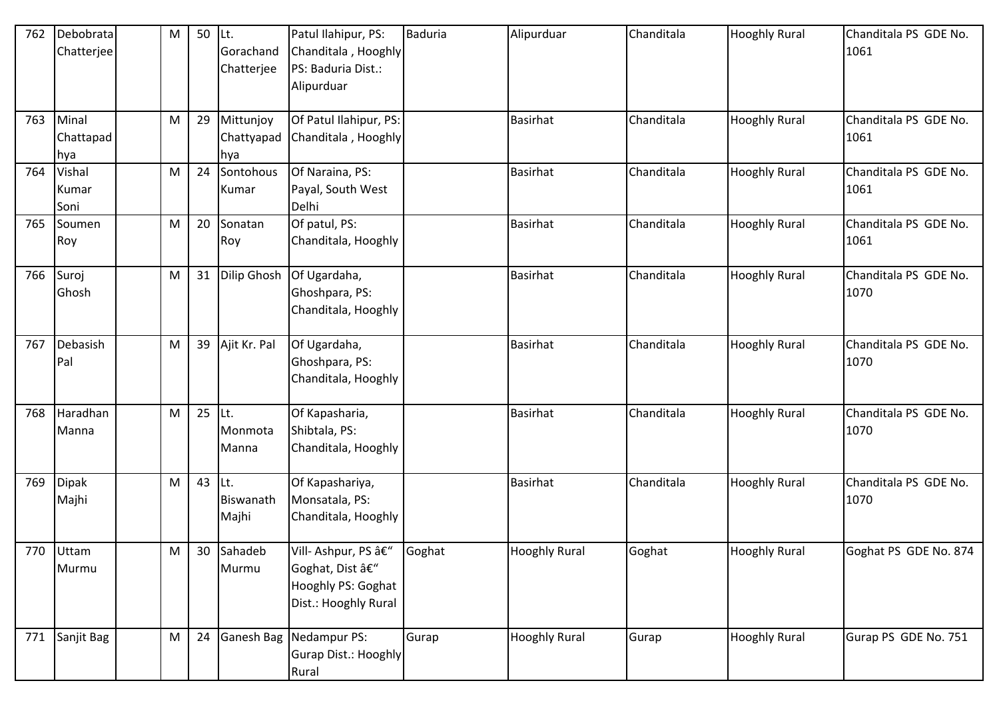| 762 | Debobrata<br>Chatterjee   | M | 50 | Lt.<br>Gorachand<br>Chatterjee | Patul Ilahipur, PS:<br>Chanditala, Hooghly<br>PS: Baduria Dist.:<br>Alipurduar       | <b>Baduria</b> | Alipurduar           | Chanditala | <b>Hooghly Rural</b> | Chanditala PS GDE No.<br>1061 |
|-----|---------------------------|---|----|--------------------------------|--------------------------------------------------------------------------------------|----------------|----------------------|------------|----------------------|-------------------------------|
| 763 | Minal<br>Chattapad<br>hya | M | 29 | Mittunjoy<br>Chattyapad<br>hya | Of Patul Ilahipur, PS:<br>Chanditala, Hooghly                                        |                | <b>Basirhat</b>      | Chanditala | <b>Hooghly Rural</b> | Chanditala PS GDE No.<br>1061 |
| 764 | Vishal<br>Kumar<br>Soni   | M | 24 | Sontohous<br>Kumar             | Of Naraina, PS:<br>Payal, South West<br>Delhi                                        |                | <b>Basirhat</b>      | Chanditala | <b>Hooghly Rural</b> | Chanditala PS GDE No.<br>1061 |
| 765 | Soumen<br>Roy             | M | 20 | Sonatan<br>Roy                 | Of patul, PS:<br>Chanditala, Hooghly                                                 |                | <b>Basirhat</b>      | Chanditala | <b>Hooghly Rural</b> | Chanditala PS GDE No.<br>1061 |
| 766 | Suroj<br>Ghosh            | M | 31 | Dilip Ghosh                    | Of Ugardaha,<br>Ghoshpara, PS:<br>Chanditala, Hooghly                                |                | <b>Basirhat</b>      | Chanditala | <b>Hooghly Rural</b> | Chanditala PS GDE No.<br>1070 |
| 767 | Debasish<br>Pal           | M | 39 | Ajit Kr. Pal                   | Of Ugardaha,<br>Ghoshpara, PS:<br>Chanditala, Hooghly                                |                | <b>Basirhat</b>      | Chanditala | <b>Hooghly Rural</b> | Chanditala PS GDE No.<br>1070 |
| 768 | Haradhan<br>Manna         | M | 25 | Lt.<br>Monmota<br>Manna        | Of Kapasharia,<br>Shibtala, PS:<br>Chanditala, Hooghly                               |                | <b>Basirhat</b>      | Chanditala | <b>Hooghly Rural</b> | Chanditala PS GDE No.<br>1070 |
| 769 | <b>Dipak</b><br>Majhi     | M | 43 | Lt.<br>Biswanath<br>Majhi      | Of Kapashariya,<br>Monsatala, PS:<br>Chanditala, Hooghly                             |                | <b>Basirhat</b>      | Chanditala | <b>Hooghly Rural</b> | Chanditala PS GDE No.<br>1070 |
|     | 770 Uttam<br>Murmu        | M |    | 30 Sahadeb<br>Murmu            | Vill- Ashpur, PS –<br>Goghat, Dist â€"<br>Hooghly PS: Goghat<br>Dist.: Hooghly Rural | Goghat         | <b>Hooghly Rural</b> | Goghat     | <b>Hooghly Rural</b> | Goghat PS GDE No. 874         |
| 771 | Sanjit Bag                | M | 24 |                                | Ganesh Bag Nedampur PS:<br>Gurap Dist.: Hooghly<br>Rural                             | Gurap          | <b>Hooghly Rural</b> | Gurap      | <b>Hooghly Rural</b> | Gurap PS GDE No. 751          |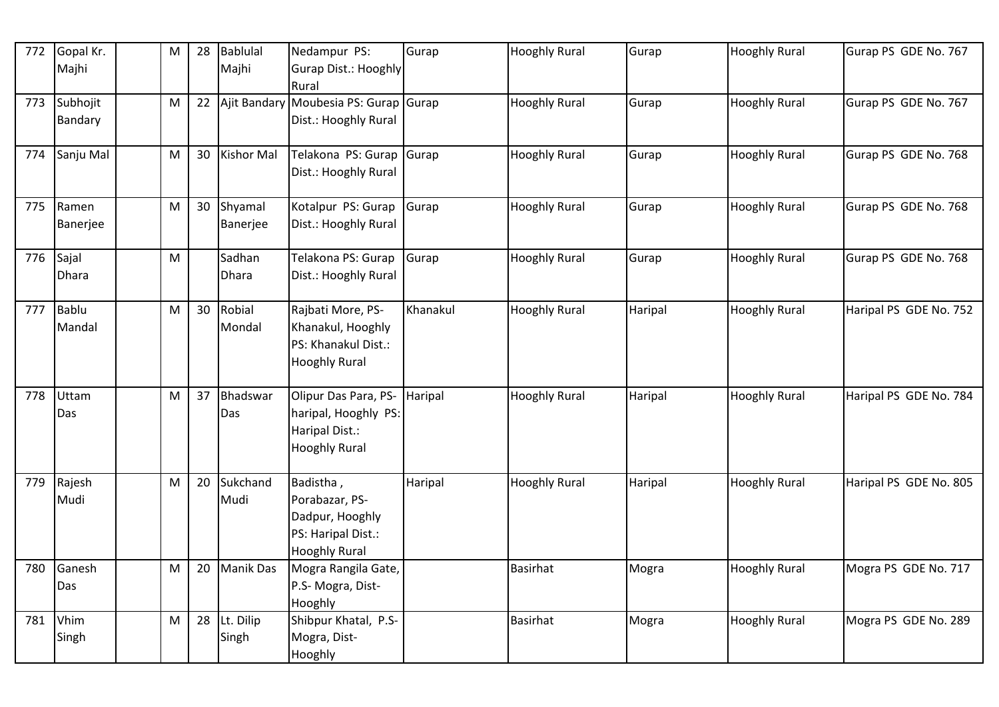| 772 |              |           | 28 | <b>Bablulal</b>   | Nedampur PS:                          | Gurap    |                      | Gurap   |                      |                        |
|-----|--------------|-----------|----|-------------------|---------------------------------------|----------|----------------------|---------|----------------------|------------------------|
|     | Gopal Kr.    | ${\sf M}$ |    |                   |                                       |          | <b>Hooghly Rural</b> |         | <b>Hooghly Rural</b> | Gurap PS GDE No. 767   |
|     | Majhi        |           |    | Majhi             | Gurap Dist.: Hooghly                  |          |                      |         |                      |                        |
|     |              |           |    |                   | Rural                                 |          |                      |         |                      |                        |
| 773 | Subhojit     | ${\sf M}$ | 22 |                   | Ajit Bandary Moubesia PS: Gurap Gurap |          | <b>Hooghly Rural</b> | Gurap   | <b>Hooghly Rural</b> | Gurap PS GDE No. 767   |
|     | Bandary      |           |    |                   | Dist.: Hooghly Rural                  |          |                      |         |                      |                        |
|     |              |           |    |                   |                                       |          |                      |         |                      |                        |
| 774 | Sanju Mal    | M         | 30 | <b>Kishor Mal</b> | Telakona PS: Gurap Gurap              |          | <b>Hooghly Rural</b> | Gurap   | <b>Hooghly Rural</b> | Gurap PS GDE No. 768   |
|     |              |           |    |                   | Dist.: Hooghly Rural                  |          |                      |         |                      |                        |
|     |              |           |    |                   |                                       |          |                      |         |                      |                        |
| 775 | Ramen        | M         | 30 | Shyamal           | Kotalpur PS: Gurap Gurap              |          | <b>Hooghly Rural</b> | Gurap   | <b>Hooghly Rural</b> | Gurap PS GDE No. 768   |
|     | Banerjee     |           |    | Banerjee          | Dist.: Hooghly Rural                  |          |                      |         |                      |                        |
|     |              |           |    |                   |                                       |          |                      |         |                      |                        |
| 776 | Sajal        | M         |    | Sadhan            | Telakona PS: Gurap                    | Gurap    | <b>Hooghly Rural</b> | Gurap   | <b>Hooghly Rural</b> | Gurap PS GDE No. 768   |
|     | <b>Dhara</b> |           |    | <b>Dhara</b>      | Dist.: Hooghly Rural                  |          |                      |         |                      |                        |
|     |              |           |    |                   |                                       |          |                      |         |                      |                        |
| 777 | Bablu        | M         | 30 | Robial            | Rajbati More, PS-                     | Khanakul | <b>Hooghly Rural</b> | Haripal | <b>Hooghly Rural</b> | Haripal PS GDE No. 752 |
|     | Mandal       |           |    | Mondal            | Khanakul, Hooghly                     |          |                      |         |                      |                        |
|     |              |           |    |                   | PS: Khanakul Dist.:                   |          |                      |         |                      |                        |
|     |              |           |    |                   | <b>Hooghly Rural</b>                  |          |                      |         |                      |                        |
|     |              |           |    |                   |                                       |          |                      |         |                      |                        |
| 778 | Uttam        | M         | 37 | Bhadswar          | Olipur Das Para, PS-                  | Haripal  | <b>Hooghly Rural</b> | Haripal | <b>Hooghly Rural</b> | Haripal PS GDE No. 784 |
|     | Das          |           |    | Das               | haripal, Hooghly PS:                  |          |                      |         |                      |                        |
|     |              |           |    |                   |                                       |          |                      |         |                      |                        |
|     |              |           |    |                   | Haripal Dist.:                        |          |                      |         |                      |                        |
|     |              |           |    |                   | <b>Hooghly Rural</b>                  |          |                      |         |                      |                        |
|     |              |           | 20 | Sukchand          |                                       |          |                      |         |                      |                        |
| 779 | Rajesh       | M         |    |                   | Badistha,                             | Haripal  | <b>Hooghly Rural</b> | Haripal | <b>Hooghly Rural</b> | Haripal PS GDE No. 805 |
|     | Mudi         |           |    | Mudi              | Porabazar, PS-                        |          |                      |         |                      |                        |
|     |              |           |    |                   | Dadpur, Hooghly                       |          |                      |         |                      |                        |
|     |              |           |    |                   | PS: Haripal Dist.:                    |          |                      |         |                      |                        |
|     |              |           |    |                   | <b>Hooghly Rural</b>                  |          |                      |         |                      |                        |
| 780 | Ganesh       | M         | 20 | <b>Manik Das</b>  | Mogra Rangila Gate,                   |          | <b>Basirhat</b>      | Mogra   | <b>Hooghly Rural</b> | Mogra PS GDE No. 717   |
|     | Das          |           |    |                   | P.S- Mogra, Dist-                     |          |                      |         |                      |                        |
|     |              |           |    |                   | Hooghly                               |          |                      |         |                      |                        |
| 781 | Vhim         | M         | 28 | Lt. Dilip         | Shibpur Khatal, P.S-                  |          | <b>Basirhat</b>      | Mogra   | <b>Hooghly Rural</b> | Mogra PS GDE No. 289   |
|     | Singh        |           |    | Singh             | Mogra, Dist-                          |          |                      |         |                      |                        |
|     |              |           |    |                   | Hooghly                               |          |                      |         |                      |                        |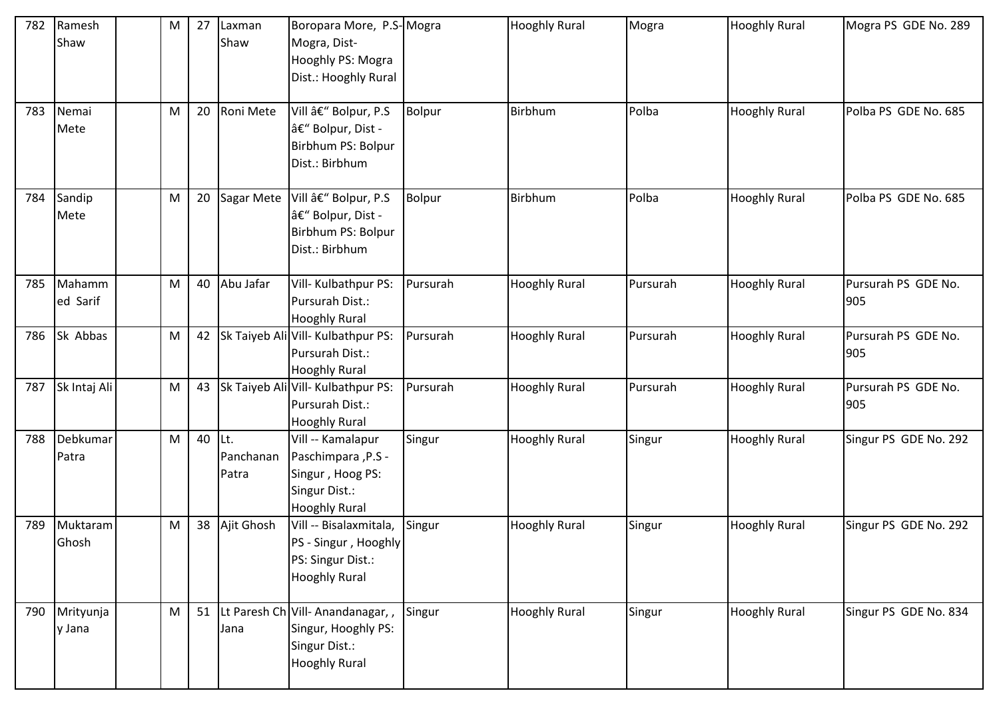| 782 | Ramesh<br>Shaw      | M         | 27 | Laxman<br>Shaw             | Boropara More, P.S-Mogra<br>Mogra, Dist-<br>Hooghly PS: Mogra<br>Dist.: Hooghly Rural                 |               | <b>Hooghly Rural</b> | Mogra    | <b>Hooghly Rural</b> | Mogra PS GDE No. 289       |
|-----|---------------------|-----------|----|----------------------------|-------------------------------------------------------------------------------------------------------|---------------|----------------------|----------|----------------------|----------------------------|
| 783 | Nemai<br>Mete       | M         | 20 | Roni Mete                  | Vill – Bolpur, P.S<br>– Bolpur, Dist -<br>Birbhum PS: Bolpur<br>Dist.: Birbhum                        | <b>Bolpur</b> | Birbhum              | Polba    | <b>Hooghly Rural</b> | Polba PS GDE No. 685       |
| 784 | Sandip<br>Mete      | M         | 20 | Sagar Mete                 | Vill â€" Bolpur, P.S<br>– Bolpur, Dist -<br>Birbhum PS: Bolpur<br>Dist.: Birbhum                      | Bolpur        | Birbhum              | Polba    | <b>Hooghly Rural</b> | Polba PS GDE No. 685       |
| 785 | Mahamm<br>ed Sarif  | M         | 40 | Abu Jafar                  | Vill- Kulbathpur PS:<br>Pursurah Dist.:<br><b>Hooghly Rural</b>                                       | Pursurah      | <b>Hooghly Rural</b> | Pursurah | <b>Hooghly Rural</b> | Pursurah PS GDE No.<br>905 |
| 786 | Sk Abbas            | M         | 42 |                            | Sk Taiyeb Ali Vill- Kulbathpur PS:<br>Pursurah Dist.:<br><b>Hooghly Rural</b>                         | Pursurah      | <b>Hooghly Rural</b> | Pursurah | <b>Hooghly Rural</b> | Pursurah PS GDE No.<br>905 |
| 787 | Sk Intaj Ali        | ${\sf M}$ | 43 |                            | Sk Taiyeb Ali Vill- Kulbathpur PS:<br>Pursurah Dist.:<br><b>Hooghly Rural</b>                         | Pursurah      | <b>Hooghly Rural</b> | Pursurah | <b>Hooghly Rural</b> | Pursurah PS GDE No.<br>905 |
| 788 | Debkumar<br>Patra   | M         | 40 | lLt.<br>Panchanan<br>Patra | Vill -- Kamalapur<br>Paschimpara , P.S -<br>Singur, Hoog PS:<br>Singur Dist.:<br><b>Hooghly Rural</b> | Singur        | <b>Hooghly Rural</b> | Singur   | <b>Hooghly Rural</b> | Singur PS GDE No. 292      |
| 789 | Muktaram<br>Ghosh   | M         | 38 | Ajit Ghosh                 | Vill -- Bisalaxmitala,<br>PS - Singur, Hooghly<br>PS: Singur Dist.:<br><b>Hooghly Rural</b>           | Singur        | <b>Hooghly Rural</b> | Singur   | <b>Hooghly Rural</b> | Singur PS GDE No. 292      |
| 790 | Mrityunja<br>y Jana | M         | 51 | Jana                       | Lt Paresh Ch Vill- Anandanagar, ,<br>Singur, Hooghly PS:<br>Singur Dist.:<br><b>Hooghly Rural</b>     | Singur        | <b>Hooghly Rural</b> | Singur   | <b>Hooghly Rural</b> | Singur PS GDE No. 834      |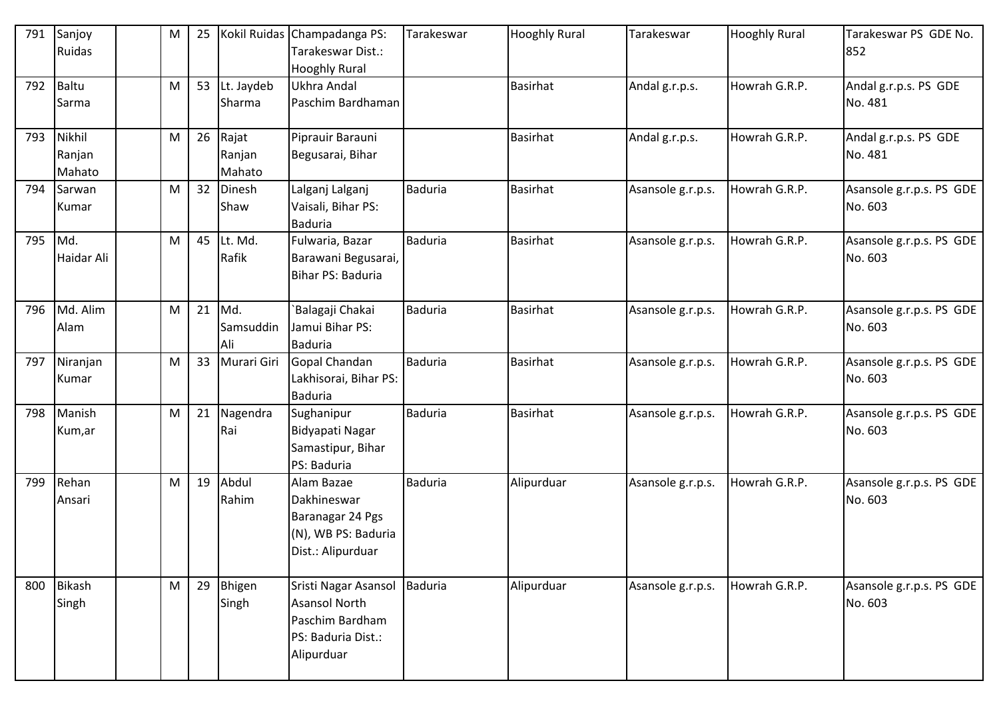| 791 | Sanjoy<br>Ruidas           | M | 25 |                           | Kokil Ruidas Champadanga PS:<br>Tarakeswar Dist.:<br><b>Hooghly Rural</b>                           | Tarakeswar     | <b>Hooghly Rural</b> | Tarakeswar        | <b>Hooghly Rural</b> | Tarakeswar PS GDE No.<br>852        |
|-----|----------------------------|---|----|---------------------------|-----------------------------------------------------------------------------------------------------|----------------|----------------------|-------------------|----------------------|-------------------------------------|
| 792 | Baltu<br>Sarma             | M | 53 | Lt. Jaydeb<br>Sharma      | Ukhra Andal<br>Paschim Bardhaman                                                                    |                | <b>Basirhat</b>      | Andal g.r.p.s.    | Howrah G.R.P.        | Andal g.r.p.s. PS GDE<br>No. 481    |
| 793 | Nikhil<br>Ranjan<br>Mahato | M | 26 | Rajat<br>Ranjan<br>Mahato | Piprauir Barauni<br>Begusarai, Bihar                                                                |                | <b>Basirhat</b>      | Andal g.r.p.s.    | Howrah G.R.P.        | Andal g.r.p.s. PS GDE<br>No. 481    |
| 794 | Sarwan<br>Kumar            | M | 32 | Dinesh<br>Shaw            | Lalganj Lalganj<br>Vaisali, Bihar PS:<br><b>Baduria</b>                                             | <b>Baduria</b> | <b>Basirhat</b>      | Asansole g.r.p.s. | Howrah G.R.P.        | Asansole g.r.p.s. PS GDE<br>No. 603 |
| 795 | Md.<br>Haidar Ali          | M | 45 | Lt. Md.<br>Rafik          | Fulwaria, Bazar<br>Barawani Begusarai,<br>Bihar PS: Baduria                                         | <b>Baduria</b> | Basirhat             | Asansole g.r.p.s. | Howrah G.R.P.        | Asansole g.r.p.s. PS GDE<br>No. 603 |
| 796 | Md. Alim<br>Alam           | M | 21 | Md.<br>Samsuddin<br>Ali   | `Balagaji Chakai<br>Jamui Bihar PS:<br><b>Baduria</b>                                               | <b>Baduria</b> | <b>Basirhat</b>      | Asansole g.r.p.s. | Howrah G.R.P.        | Asansole g.r.p.s. PS GDE<br>No. 603 |
| 797 | Niranjan<br>Kumar          | M | 33 | Murari Giri               | Gopal Chandan<br>Lakhisorai, Bihar PS:<br><b>Baduria</b>                                            | <b>Baduria</b> | <b>Basirhat</b>      | Asansole g.r.p.s. | Howrah G.R.P.        | Asansole g.r.p.s. PS GDE<br>No. 603 |
| 798 | Manish<br>Kum,ar           | M | 21 | Nagendra<br>Rai           | Sughanipur<br>Bidyapati Nagar<br>Samastipur, Bihar<br>PS: Baduria                                   | <b>Baduria</b> | <b>Basirhat</b>      | Asansole g.r.p.s. | Howrah G.R.P.        | Asansole g.r.p.s. PS GDE<br>No. 603 |
| 799 | Rehan<br>Ansari            | M | 19 | Abdul<br>Rahim            | Alam Bazae<br>Dakhineswar<br>Baranagar 24 Pgs<br>(N), WB PS: Baduria<br>Dist.: Alipurduar           | <b>Baduria</b> | Alipurduar           | Asansole g.r.p.s. | Howrah G.R.P.        | Asansole g.r.p.s. PS GDE<br>No. 603 |
| 800 | <b>Bikash</b><br>Singh     | M | 29 | Bhigen<br>Singh           | Sristi Nagar Asansol<br><b>Asansol North</b><br>Paschim Bardham<br>PS: Baduria Dist.:<br>Alipurduar | <b>Baduria</b> | Alipurduar           | Asansole g.r.p.s. | Howrah G.R.P.        | Asansole g.r.p.s. PS GDE<br>No. 603 |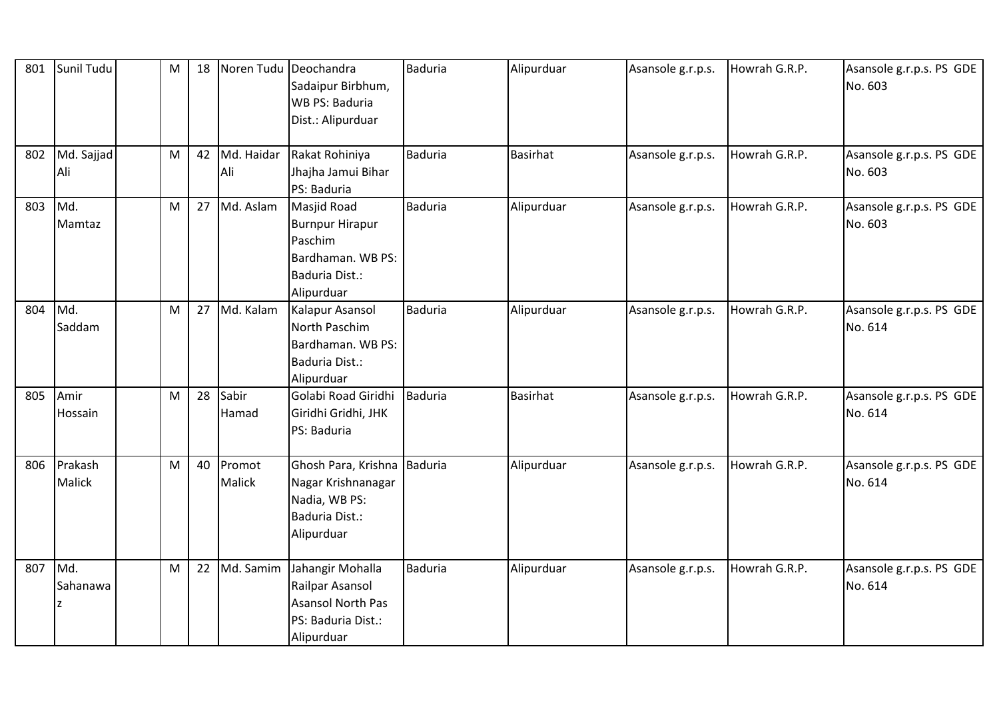| 801 | Sunil Tudu        | M | 18 |                   | Noren Tudu Deochandra<br>Sadaipur Birbhum,<br>WB PS: Baduria<br>Dist.: Alipurduar                            | <b>Baduria</b> | Alipurduar      | Asansole g.r.p.s. | Howrah G.R.P. | Asansole g.r.p.s. PS GDE<br>No. 603 |
|-----|-------------------|---|----|-------------------|--------------------------------------------------------------------------------------------------------------|----------------|-----------------|-------------------|---------------|-------------------------------------|
| 802 | Md. Sajjad<br>Ali | M | 42 | Md. Haidar<br>Ali | Rakat Rohiniya<br>Jhajha Jamui Bihar<br>PS: Baduria                                                          | Baduria        | <b>Basirhat</b> | Asansole g.r.p.s. | Howrah G.R.P. | Asansole g.r.p.s. PS GDE<br>No. 603 |
| 803 | Md.<br>Mamtaz     | M | 27 | Md. Aslam         | <b>Masjid Road</b><br><b>Burnpur Hirapur</b><br>Paschim<br>Bardhaman. WB PS:<br>Baduria Dist.:<br>Alipurduar | <b>Baduria</b> | Alipurduar      | Asansole g.r.p.s. | Howrah G.R.P. | Asansole g.r.p.s. PS GDE<br>No. 603 |
| 804 | Md.<br>Saddam     | M | 27 | Md. Kalam         | Kalapur Asansol<br>North Paschim<br>Bardhaman. WB PS:<br>Baduria Dist.:<br>Alipurduar                        | <b>Baduria</b> | Alipurduar      | Asansole g.r.p.s. | Howrah G.R.P. | Asansole g.r.p.s. PS GDE<br>No. 614 |
| 805 | Amir<br>Hossain   | M | 28 | Sabir<br>Hamad    | Golabi Road Giridhi<br>Giridhi Gridhi, JHK<br>PS: Baduria                                                    | Baduria        | <b>Basirhat</b> | Asansole g.r.p.s. | Howrah G.R.P. | Asansole g.r.p.s. PS GDE<br>No. 614 |
| 806 | Prakash<br>Malick | M | 40 | Promot<br>Malick  | Ghosh Para, Krishna Baduria<br>Nagar Krishnanagar<br>Nadia, WB PS:<br>Baduria Dist.:<br>Alipurduar           |                | Alipurduar      | Asansole g.r.p.s. | Howrah G.R.P. | Asansole g.r.p.s. PS GDE<br>No. 614 |
| 807 | Md.<br>Sahanawa   | M | 22 | Md. Samim         | Jahangir Mohalla<br>Railpar Asansol<br><b>Asansol North Pas</b><br>PS: Baduria Dist.:<br>Alipurduar          | <b>Baduria</b> | Alipurduar      | Asansole g.r.p.s. | Howrah G.R.P. | Asansole g.r.p.s. PS GDE<br>No. 614 |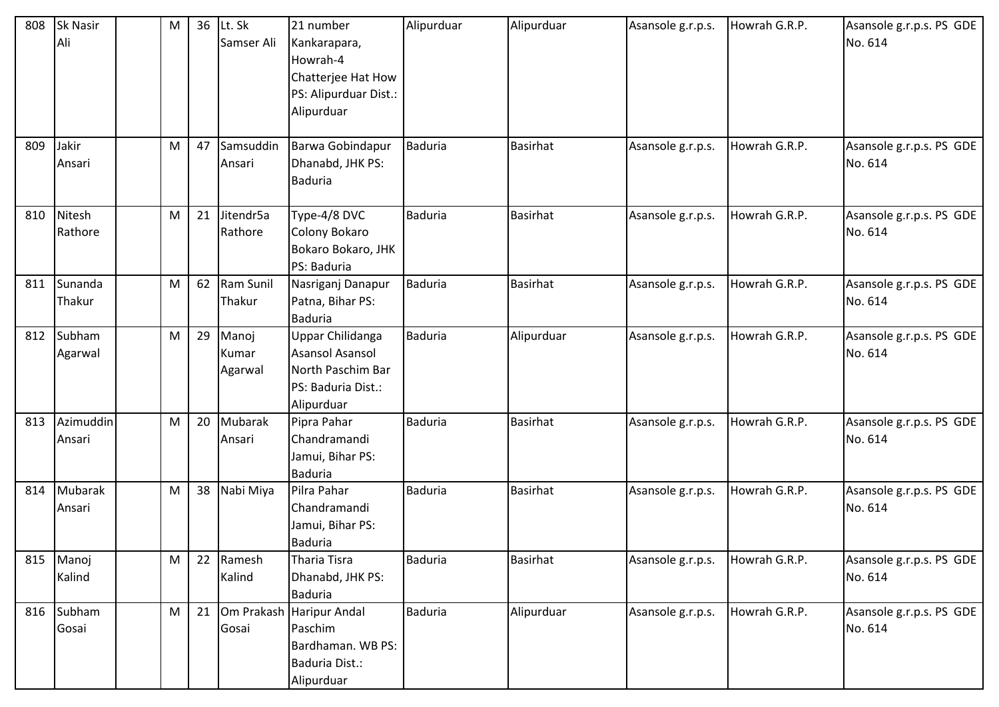| 808 | <b>Sk Nasir</b><br>Ali | M | 36 | Lt. Sk<br>Samser Ali      | 21 number<br>Kankarapara,<br>Howrah-4<br>Chatterjee Hat How<br>PS: Alipurduar Dist.:<br>Alipurduar | Alipurduar     | Alipurduar      | Asansole g.r.p.s. | Howrah G.R.P. | Asansole g.r.p.s. PS GDE<br>No. 614 |
|-----|------------------------|---|----|---------------------------|----------------------------------------------------------------------------------------------------|----------------|-----------------|-------------------|---------------|-------------------------------------|
| 809 | Jakir<br>Ansari        | M | 47 | Samsuddin<br>Ansari       | Barwa Gobindapur<br>Dhanabd, JHK PS:<br><b>Baduria</b>                                             | <b>Baduria</b> | Basirhat        | Asansole g.r.p.s. | Howrah G.R.P. | Asansole g.r.p.s. PS GDE<br>No. 614 |
| 810 | Nitesh<br>Rathore      | M | 21 | Jitendr5a<br>Rathore      | Type-4/8 DVC<br>Colony Bokaro<br>Bokaro Bokaro, JHK<br>PS: Baduria                                 | <b>Baduria</b> | <b>Basirhat</b> | Asansole g.r.p.s. | Howrah G.R.P. | Asansole g.r.p.s. PS GDE<br>No. 614 |
| 811 | Sunanda<br>Thakur      | M | 62 | Ram Sunil<br>Thakur       | Nasriganj Danapur<br>Patna, Bihar PS:<br><b>Baduria</b>                                            | <b>Baduria</b> | <b>Basirhat</b> | Asansole g.r.p.s. | Howrah G.R.P. | Asansole g.r.p.s. PS GDE<br>No. 614 |
| 812 | Subham<br>Agarwal      | M | 29 | Manoj<br>Kumar<br>Agarwal | Uppar Chilidanga<br>Asansol Asansol<br>North Paschim Bar<br>PS: Baduria Dist.:<br>Alipurduar       | <b>Baduria</b> | Alipurduar      | Asansole g.r.p.s. | Howrah G.R.P. | Asansole g.r.p.s. PS GDE<br>No. 614 |
| 813 | Azimuddin<br>Ansari    | M | 20 | Mubarak<br>Ansari         | Pipra Pahar<br>Chandramandi<br>Jamui, Bihar PS:<br><b>Baduria</b>                                  | <b>Baduria</b> | <b>Basirhat</b> | Asansole g.r.p.s. | Howrah G.R.P. | Asansole g.r.p.s. PS GDE<br>No. 614 |
| 814 | Mubarak<br>Ansari      | M | 38 | Nabi Miya                 | Pilra Pahar<br>Chandramandi<br>Jamui, Bihar PS:<br><b>Baduria</b>                                  | <b>Baduria</b> | <b>Basirhat</b> | Asansole g.r.p.s. | Howrah G.R.P. | Asansole g.r.p.s. PS GDE<br>No. 614 |
| 815 | Manoj<br>Kalind        | M | 22 | Ramesh<br>Kalind          | Tharia Tisra<br>Dhanabd, JHK PS:<br><b>Baduria</b>                                                 | <b>Baduria</b> | <b>Basirhat</b> | Asansole g.r.p.s. | Howrah G.R.P. | Asansole g.r.p.s. PS GDE<br>No. 614 |
| 816 | Subham<br>Gosai        | M | 21 | Gosai                     | Om Prakash Haripur Andal<br>Paschim<br>Bardhaman. WB PS:<br>Baduria Dist.:<br>Alipurduar           | <b>Baduria</b> | Alipurduar      | Asansole g.r.p.s. | Howrah G.R.P. | Asansole g.r.p.s. PS GDE<br>No. 614 |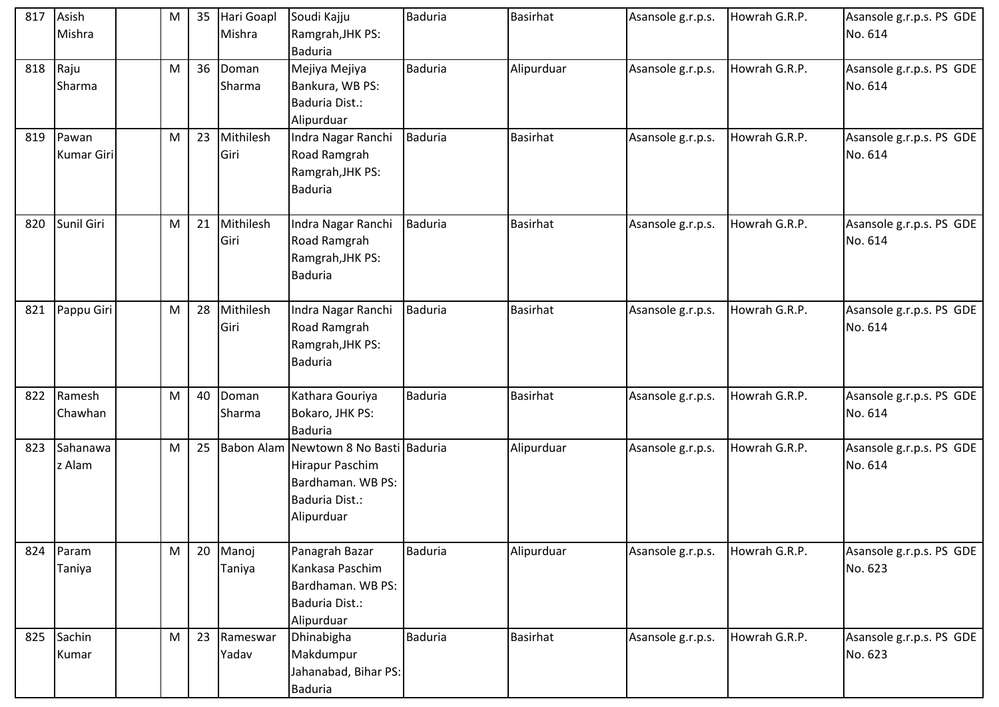| 817 | Asish<br>Mishra            | M         | 35 | Hari Goapl<br>Mishra | Soudi Kajju<br>Ramgrah, JHK PS:                                                                               | <b>Baduria</b> | <b>Basirhat</b> | Asansole g.r.p.s. | Howrah G.R.P. | Asansole g.r.p.s. PS GDE<br>No. 614 |
|-----|----------------------------|-----------|----|----------------------|---------------------------------------------------------------------------------------------------------------|----------------|-----------------|-------------------|---------------|-------------------------------------|
| 818 | Raju<br>Sharma             | ${\sf M}$ | 36 | Doman<br>Sharma      | <b>Baduria</b><br>Mejiya Mejiya<br>Bankura, WB PS:<br>Baduria Dist.:<br>Alipurduar                            | <b>Baduria</b> | Alipurduar      | Asansole g.r.p.s. | Howrah G.R.P. | Asansole g.r.p.s. PS GDE<br>No. 614 |
| 819 | Pawan<br><b>Kumar Giri</b> | M         | 23 | Mithilesh<br>Giri    | Indra Nagar Ranchi<br>Road Ramgrah<br>Ramgrah, JHK PS:<br><b>Baduria</b>                                      | <b>Baduria</b> | Basirhat        | Asansole g.r.p.s. | Howrah G.R.P. | Asansole g.r.p.s. PS GDE<br>No. 614 |
| 820 | Sunil Giri                 | M         | 21 | Mithilesh<br>Giri    | Indra Nagar Ranchi<br>Road Ramgrah<br>Ramgrah, JHK PS:<br><b>Baduria</b>                                      | <b>Baduria</b> | Basirhat        | Asansole g.r.p.s. | Howrah G.R.P. | Asansole g.r.p.s. PS GDE<br>No. 614 |
| 821 | Pappu Giri                 | M         | 28 | Mithilesh<br>Giri    | Indra Nagar Ranchi<br>Road Ramgrah<br>Ramgrah, JHK PS:<br><b>Baduria</b>                                      | <b>Baduria</b> | <b>Basirhat</b> | Asansole g.r.p.s. | Howrah G.R.P. | Asansole g.r.p.s. PS GDE<br>No. 614 |
| 822 | Ramesh<br>Chawhan          | ${\sf M}$ | 40 | Doman<br>Sharma      | Kathara Gouriya<br>Bokaro, JHK PS:<br><b>Baduria</b>                                                          | <b>Baduria</b> | <b>Basirhat</b> | Asansole g.r.p.s. | Howrah G.R.P. | Asansole g.r.p.s. PS GDE<br>No. 614 |
| 823 | Sahanawa<br>z Alam         | M         | 25 |                      | Babon Alam Newtown 8 No Basti Baduria<br>Hirapur Paschim<br>Bardhaman. WB PS:<br>Baduria Dist.:<br>Alipurduar |                | Alipurduar      | Asansole g.r.p.s. | Howrah G.R.P. | Asansole g.r.p.s. PS GDE<br>No. 614 |
| 824 | Param<br>Taniya            | M         | 20 | Manoj<br>Taniya      | Panagrah Bazar<br>Kankasa Paschim<br>Bardhaman. WB PS:<br>Baduria Dist.:<br>Alipurduar                        | <b>Baduria</b> | Alipurduar      | Asansole g.r.p.s. | Howrah G.R.P. | Asansole g.r.p.s. PS GDE<br>No. 623 |
|     | 825 Sachin<br>Kumar        | ${\sf M}$ | 23 | Rameswar<br>Yadav    | Dhinabigha<br>Makdumpur<br>Jahanabad, Bihar PS:<br><b>Baduria</b>                                             | <b>Baduria</b> | <b>Basirhat</b> | Asansole g.r.p.s. | Howrah G.R.P. | Asansole g.r.p.s. PS GDE<br>No. 623 |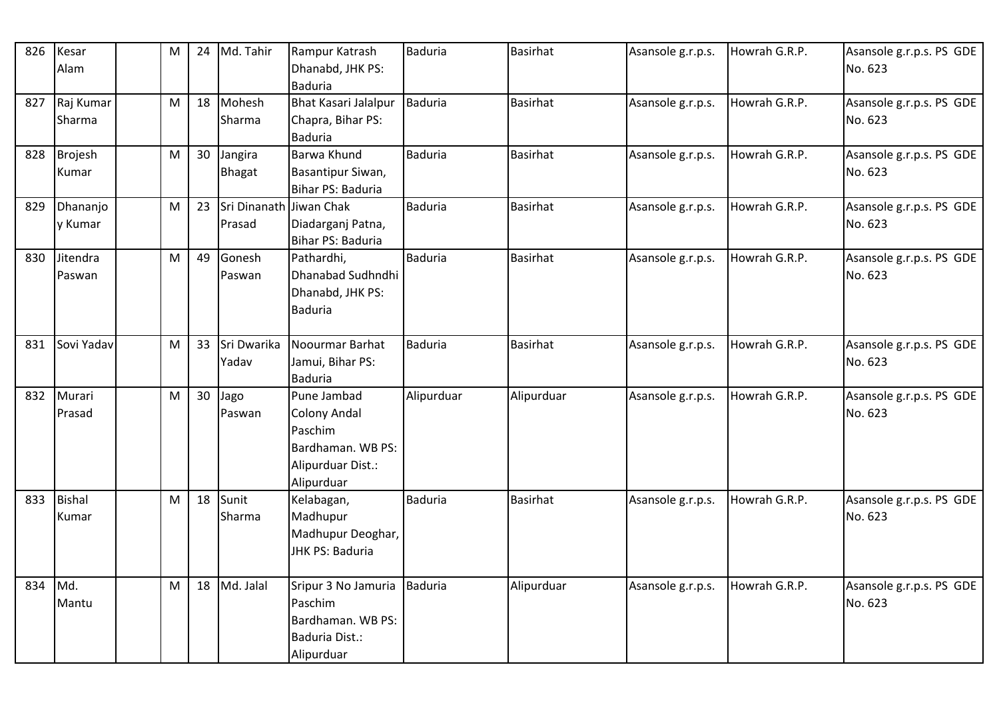| 826 | Kesar<br>Alam          | M         | 24 | Md. Tahir                         | Rampur Katrash<br>Dhanabd, JHK PS:<br><b>Baduria</b>                                                  | Baduria        | <b>Basirhat</b> | Asansole g.r.p.s. | Howrah G.R.P. | Asansole g.r.p.s. PS GDE<br>No. 623 |
|-----|------------------------|-----------|----|-----------------------------------|-------------------------------------------------------------------------------------------------------|----------------|-----------------|-------------------|---------------|-------------------------------------|
| 827 | Raj Kumar<br>Sharma    | ${\sf M}$ | 18 | Mohesh<br>Sharma                  | <b>Bhat Kasari Jalalpur</b><br>Chapra, Bihar PS:<br><b>Baduria</b>                                    | <b>Baduria</b> | <b>Basirhat</b> | Asansole g.r.p.s. | Howrah G.R.P. | Asansole g.r.p.s. PS GDE<br>No. 623 |
| 828 | Brojesh<br>Kumar       | M         | 30 | Jangira<br><b>Bhagat</b>          | Barwa Khund<br>Basantipur Siwan,<br>Bihar PS: Baduria                                                 | Baduria        | <b>Basirhat</b> | Asansole g.r.p.s. | Howrah G.R.P. | Asansole g.r.p.s. PS GDE<br>No. 623 |
| 829 | Dhananjo<br>y Kumar    | M         | 23 | Sri Dinanath Jiwan Chak<br>Prasad | Diadarganj Patna,<br>Bihar PS: Baduria                                                                | <b>Baduria</b> | <b>Basirhat</b> | Asansole g.r.p.s. | Howrah G.R.P. | Asansole g.r.p.s. PS GDE<br>No. 623 |
| 830 | Jitendra<br>Paswan     | M         | 49 | Gonesh<br>Paswan                  | Pathardhi,<br>Dhanabad Sudhndhi<br>Dhanabd, JHK PS:<br><b>Baduria</b>                                 | <b>Baduria</b> | Basirhat        | Asansole g.r.p.s. | Howrah G.R.P. | Asansole g.r.p.s. PS GDE<br>No. 623 |
| 831 | Sovi Yadav             | ${\sf M}$ | 33 | Sri Dwarika<br>Yadav              | Noourmar Barhat<br>Jamui, Bihar PS:<br><b>Baduria</b>                                                 | <b>Baduria</b> | <b>Basirhat</b> | Asansole g.r.p.s. | Howrah G.R.P. | Asansole g.r.p.s. PS GDE<br>No. 623 |
| 832 | Murari<br>Prasad       | M         | 30 | Jago<br>Paswan                    | Pune Jambad<br><b>Colony Andal</b><br>Paschim<br>Bardhaman. WB PS:<br>Alipurduar Dist.:<br>Alipurduar | Alipurduar     | Alipurduar      | Asansole g.r.p.s. | Howrah G.R.P. | Asansole g.r.p.s. PS GDE<br>No. 623 |
| 833 | <b>Bishal</b><br>Kumar | M         | 18 | Sunit<br>Sharma                   | Kelabagan,<br>Madhupur<br>Madhupur Deoghar,<br>JHK PS: Baduria                                        | <b>Baduria</b> | Basirhat        | Asansole g.r.p.s. | Howrah G.R.P. | Asansole g.r.p.s. PS GDE<br>No. 623 |
| 834 | Md.<br>Mantu           | M         | 18 | Md. Jalal                         | Sripur 3 No Jamuria   Baduria<br>Paschim<br>Bardhaman. WB PS:<br>Baduria Dist.:<br>Alipurduar         |                | Alipurduar      | Asansole g.r.p.s. | Howrah G.R.P. | Asansole g.r.p.s. PS GDE<br>No. 623 |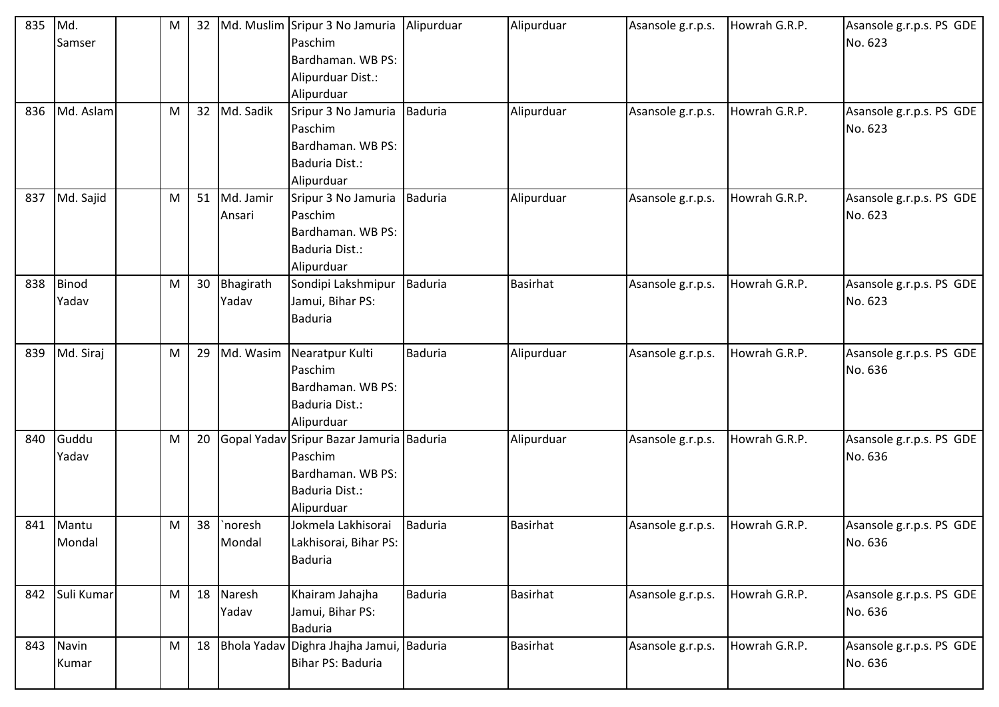| 835 | Md.<br>Samser   | M | 32 |                     | Md. Muslim Sripur 3 No Jamuria Alipurduar<br>Paschim<br>Bardhaman. WB PS:<br>Alipurduar Dist.:<br>Alipurduar    |                | Alipurduar      | Asansole g.r.p.s. | Howrah G.R.P. | Asansole g.r.p.s. PS GDE<br>No. 623 |
|-----|-----------------|---|----|---------------------|-----------------------------------------------------------------------------------------------------------------|----------------|-----------------|-------------------|---------------|-------------------------------------|
| 836 | Md. Aslam       | M | 32 | Md. Sadik           | Sripur 3 No Jamuria<br>Paschim<br>Bardhaman. WB PS:<br>Baduria Dist.:<br>Alipurduar                             | Baduria        | Alipurduar      | Asansole g.r.p.s. | Howrah G.R.P. | Asansole g.r.p.s. PS GDE<br>No. 623 |
| 837 | Md. Sajid       | M | 51 | Md. Jamir<br>Ansari | Sripur 3 No Jamuria<br>Paschim<br>Bardhaman. WB PS:<br><b>Baduria Dist.:</b><br>Alipurduar                      | <b>Baduria</b> | Alipurduar      | Asansole g.r.p.s. | Howrah G.R.P. | Asansole g.r.p.s. PS GDE<br>No. 623 |
| 838 | Binod<br>Yadav  | M | 30 | Bhagirath<br>Yadav  | Sondipi Lakshmipur<br>Jamui, Bihar PS:<br><b>Baduria</b>                                                        | <b>Baduria</b> | <b>Basirhat</b> | Asansole g.r.p.s. | Howrah G.R.P. | Asansole g.r.p.s. PS GDE<br>No. 623 |
| 839 | Md. Siraj       | M | 29 | Md. Wasim           | Nearatpur Kulti<br>Paschim<br>Bardhaman. WB PS:<br>Baduria Dist.:<br>Alipurduar                                 | <b>Baduria</b> | Alipurduar      | Asansole g.r.p.s. | Howrah G.R.P. | Asansole g.r.p.s. PS GDE<br>No. 636 |
| 840 | Guddu<br>Yadav  | M | 20 |                     | Gopal Yadav Sripur Bazar Jamuria Baduria<br>Paschim<br>Bardhaman. WB PS:<br><b>Baduria Dist.:</b><br>Alipurduar |                | Alipurduar      | Asansole g.r.p.s. | Howrah G.R.P. | Asansole g.r.p.s. PS GDE<br>No. 636 |
| 841 | Mantu<br>Mondal | M | 38 | `noresh<br>Mondal   | Jokmela Lakhisorai<br>Lakhisorai, Bihar PS:<br><b>Baduria</b>                                                   | Baduria        | <b>Basirhat</b> | Asansole g.r.p.s. | Howrah G.R.P. | Asansole g.r.p.s. PS GDE<br>No. 636 |
|     | 842 Suli Kumar  | M |    | 18 Naresh<br>Yadav  | Khairam Jahajha<br>Jamui, Bihar PS:<br><b>Baduria</b>                                                           | <b>Baduria</b> | <b>Basirhat</b> | Asansole g.r.p.s. | Howrah G.R.P. | Asansole g.r.p.s. PS GDE<br>No. 636 |
| 843 | Navin<br>Kumar  | M |    |                     | 18   Bhola Yadav Dighra Jhajha Jamui, Baduria<br>Bihar PS: Baduria                                              |                | Basirhat        | Asansole g.r.p.s. | Howrah G.R.P. | Asansole g.r.p.s. PS GDE<br>No. 636 |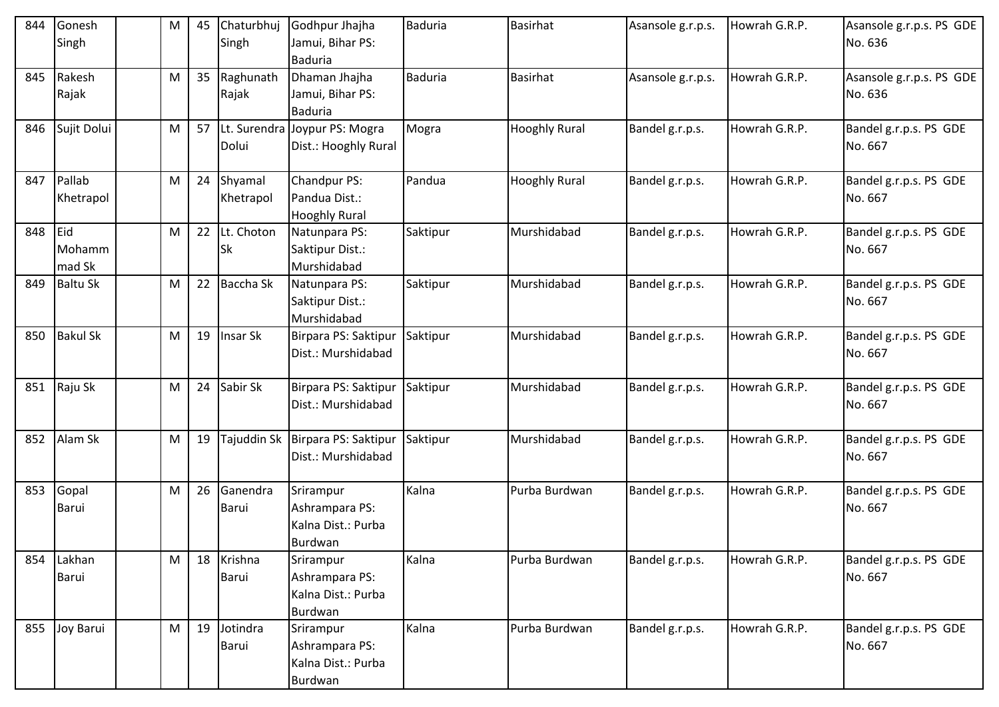| 844 | Gonesh<br>Singh         | M | 45 | Chaturbhuj<br>Singh      | Godhpur Jhajha<br>Jamui, Bihar PS:                           | <b>Baduria</b> | <b>Basirhat</b>      | Asansole g.r.p.s. | Howrah G.R.P. | Asansole g.r.p.s. PS GDE<br>No. 636 |
|-----|-------------------------|---|----|--------------------------|--------------------------------------------------------------|----------------|----------------------|-------------------|---------------|-------------------------------------|
|     |                         |   |    |                          | <b>Baduria</b>                                               |                |                      |                   |               |                                     |
| 845 | Rakesh<br>Rajak         | M | 35 | Raghunath<br>Rajak       | Dhaman Jhajha<br>Jamui, Bihar PS:<br><b>Baduria</b>          | <b>Baduria</b> | <b>Basirhat</b>      | Asansole g.r.p.s. | Howrah G.R.P. | Asansole g.r.p.s. PS GDE<br>No. 636 |
| 846 | Sujit Dolui             | M | 57 | Dolui                    | Lt. Surendra Joypur PS: Mogra<br>Dist.: Hooghly Rural        | Mogra          | <b>Hooghly Rural</b> | Bandel g.r.p.s.   | Howrah G.R.P. | Bandel g.r.p.s. PS GDE<br>No. 667   |
| 847 | Pallab<br>Khetrapol     | M | 24 | Shyamal<br>Khetrapol     | Chandpur PS:<br>Pandua Dist.:<br><b>Hooghly Rural</b>        | Pandua         | <b>Hooghly Rural</b> | Bandel g.r.p.s.   | Howrah G.R.P. | Bandel g.r.p.s. PS GDE<br>No. 667   |
| 848 | Eid<br>Mohamm<br>mad Sk | M | 22 | Lt. Choton<br><b>Sk</b>  | Natunpara PS:<br>Saktipur Dist.:<br>Murshidabad              | Saktipur       | Murshidabad          | Bandel g.r.p.s.   | Howrah G.R.P. | Bandel g.r.p.s. PS GDE<br>No. 667   |
| 849 | <b>Baltu Sk</b>         | M | 22 | Baccha Sk                | Natunpara PS:<br>Saktipur Dist.:<br>Murshidabad              | Saktipur       | Murshidabad          | Bandel g.r.p.s.   | Howrah G.R.P. | Bandel g.r.p.s. PS GDE<br>No. 667   |
| 850 | <b>Bakul Sk</b>         | M | 19 | Insar Sk                 | Birpara PS: Saktipur<br>Dist.: Murshidabad                   | Saktipur       | Murshidabad          | Bandel g.r.p.s.   | Howrah G.R.P. | Bandel g.r.p.s. PS GDE<br>No. 667   |
| 851 | Raju Sk                 | M | 24 | Sabir Sk                 | Birpara PS: Saktipur<br>Dist.: Murshidabad                   | Saktipur       | Murshidabad          | Bandel g.r.p.s.   | Howrah G.R.P. | Bandel g.r.p.s. PS GDE<br>No. 667   |
| 852 | Alam Sk                 | M | 19 | <b>Tajuddin Sk</b>       | Birpara PS: Saktipur<br>Dist.: Murshidabad                   | Saktipur       | Murshidabad          | Bandel g.r.p.s.   | Howrah G.R.P. | Bandel g.r.p.s. PS GDE<br>No. 667   |
| 853 | Gopal<br>Barui          | M | 26 | Ganendra<br><b>Barui</b> | Srirampur<br>Ashrampara PS:<br>Kalna Dist.: Purba<br>Burdwan | Kalna          | Purba Burdwan        | Bandel g.r.p.s.   | Howrah G.R.P. | Bandel g.r.p.s. PS GDE<br>No. 667   |
| 854 | Lakhan<br>Barui         | M | 18 | Krishna<br><b>Barui</b>  | Srirampur<br>Ashrampara PS:<br>Kalna Dist.: Purba<br>Burdwan | Kalna          | Purba Burdwan        | Bandel g.r.p.s.   | Howrah G.R.P. | Bandel g.r.p.s. PS GDE<br>No. 667   |
|     | 855 Joy Barui           | M | 19 | Jotindra<br><b>Barui</b> | Srirampur<br>Ashrampara PS:<br>Kalna Dist.: Purba<br>Burdwan | Kalna          | Purba Burdwan        | Bandel g.r.p.s.   | Howrah G.R.P. | Bandel g.r.p.s. PS GDE<br>No. 667   |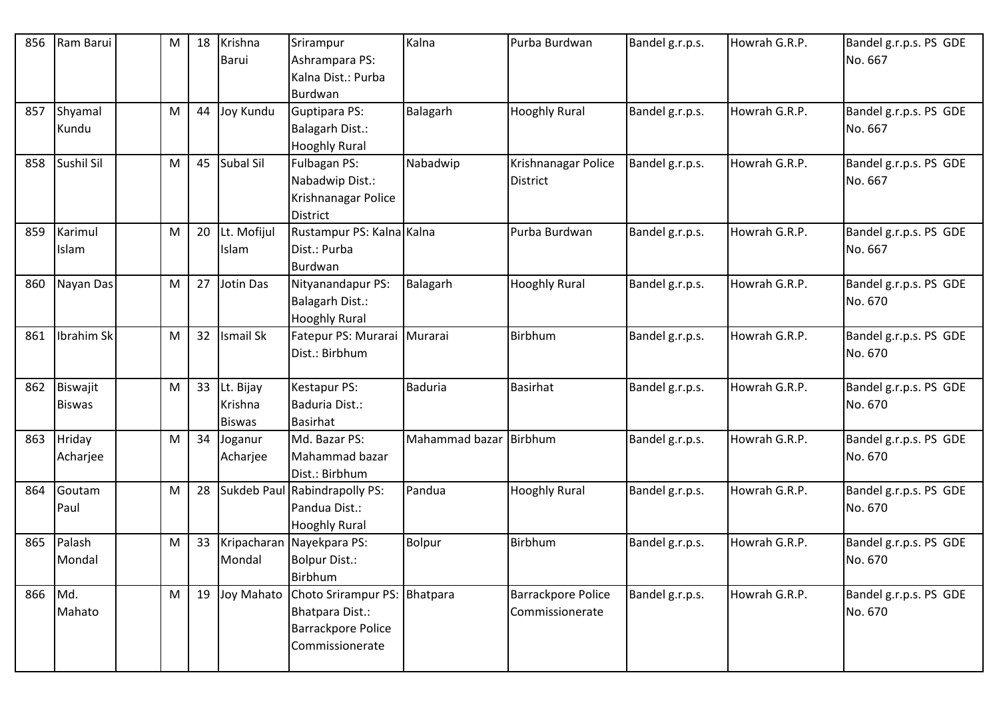| 856 | Ram Barui     | Μ | 18 | Krishna<br>Barui | Srirampur<br>Ashrampara PS:             | Kalna                  | Purba Burdwan             | Bandel g.r.p.s. | Howrah G.R.P. | Bandel g.r.p.s. PS GDE<br>No. 667 |
|-----|---------------|---|----|------------------|-----------------------------------------|------------------------|---------------------------|-----------------|---------------|-----------------------------------|
|     |               |   |    |                  | Kalna Dist.: Purba                      |                        |                           |                 |               |                                   |
|     |               |   |    |                  | Burdwan                                 |                        |                           |                 |               |                                   |
| 857 | Shyamal       | M | 44 | Joy Kundu        | Guptipara PS:                           | Balagarh               | <b>Hooghly Rural</b>      | Bandel g.r.p.s. | Howrah G.R.P. | Bandel g.r.p.s. PS GDE            |
|     | Kundu         |   |    |                  | Balagarh Dist.:                         |                        |                           |                 |               | No. 667                           |
|     |               |   |    |                  | <b>Hooghly Rural</b>                    |                        |                           |                 |               |                                   |
| 858 | Sushil Sil    | M | 45 | Subal Sil        | Fulbagan PS:                            | Nabadwip               | Krishnanagar Police       | Bandel g.r.p.s. | Howrah G.R.P. | Bandel g.r.p.s. PS GDE            |
|     |               |   |    |                  | Nabadwip Dist.:                         |                        | <b>District</b>           |                 |               | No. 667                           |
|     |               |   |    |                  | Krishnanagar Police                     |                        |                           |                 |               |                                   |
|     |               |   |    |                  | <b>District</b>                         |                        |                           |                 |               |                                   |
| 859 | Karimul       | M | 20 | Lt. Mofijul      | Rustampur PS: Kalna Kalna               |                        | Purba Burdwan             | Bandel g.r.p.s. | Howrah G.R.P. | Bandel g.r.p.s. PS GDE            |
|     | Islam         |   |    | Islam            | Dist.: Purba                            |                        |                           |                 |               | No. 667                           |
|     |               |   |    |                  | <b>Burdwan</b>                          |                        |                           |                 |               |                                   |
| 860 | Nayan Das     | M | 27 | Jotin Das        | Nityanandapur PS:                       | Balagarh               | <b>Hooghly Rural</b>      | Bandel g.r.p.s. | Howrah G.R.P. | Bandel g.r.p.s. PS GDE            |
|     |               |   |    |                  | Balagarh Dist.:                         |                        |                           |                 |               | No. 670                           |
|     |               |   |    |                  | <b>Hooghly Rural</b>                    |                        |                           |                 |               |                                   |
| 861 | Ibrahim Sk    | M | 32 | <b>Ismail Sk</b> | Fatepur PS: Murarai Murarai             |                        | Birbhum                   | Bandel g.r.p.s. | Howrah G.R.P. | Bandel g.r.p.s. PS GDE            |
|     |               |   |    |                  | Dist.: Birbhum                          |                        |                           |                 |               | No. 670                           |
|     |               |   |    |                  |                                         |                        |                           |                 |               |                                   |
| 862 | Biswajit      | M | 33 | Lt. Bijay        | Kestapur PS:                            | <b>Baduria</b>         | <b>Basirhat</b>           | Bandel g.r.p.s. | Howrah G.R.P. | Bandel g.r.p.s. PS GDE            |
|     | <b>Biswas</b> |   |    | Krishna          | Baduria Dist.:                          |                        |                           |                 |               | No. 670                           |
|     |               |   |    | <b>Biswas</b>    | <b>Basirhat</b>                         |                        |                           |                 |               |                                   |
| 863 | Hriday        | M | 34 | Joganur          | Md. Bazar PS:                           | Mahammad bazar Birbhum |                           | Bandel g.r.p.s. | Howrah G.R.P. | Bandel g.r.p.s. PS GDE            |
|     | Acharjee      |   |    | Acharjee         | Mahammad bazar                          |                        |                           |                 |               | No. 670                           |
|     |               |   |    |                  | Dist.: Birbhum                          |                        |                           |                 |               |                                   |
| 864 | Goutam        | M | 28 |                  | Sukdeb Paul Rabindrapolly PS:           | Pandua                 | <b>Hooghly Rural</b>      | Bandel g.r.p.s. | Howrah G.R.P. | Bandel g.r.p.s. PS GDE            |
|     | Paul          |   |    |                  | Pandua Dist.:                           |                        |                           |                 |               | No. 670                           |
|     |               |   |    |                  | <b>Hooghly Rural</b>                    |                        |                           |                 |               |                                   |
| 865 | Palash        | M | 33 |                  | Kripacharan Nayekpara PS:               | Bolpur                 | Birbhum                   | Bandel g.r.p.s. | Howrah G.R.P. | Bandel g.r.p.s. PS GDE            |
|     | Mondal        |   |    | Mondal           | <b>Bolpur Dist.:</b>                    |                        |                           |                 |               | No. 670                           |
|     |               |   |    |                  | <b>Birbhum</b>                          |                        |                           |                 |               |                                   |
| 866 | Md.           | M | 19 |                  | Joy Mahato Choto Srirampur PS: Bhatpara |                        | <b>Barrackpore Police</b> | Bandel g.r.p.s. | Howrah G.R.P. | Bandel g.r.p.s. PS GDE            |
|     | Mahato        |   |    |                  | Bhatpara Dist.:                         |                        | Commissionerate           |                 |               | No. 670                           |
|     |               |   |    |                  | Barrackpore Police                      |                        |                           |                 |               |                                   |
|     |               |   |    |                  | Commissionerate                         |                        |                           |                 |               |                                   |
|     |               |   |    |                  |                                         |                        |                           |                 |               |                                   |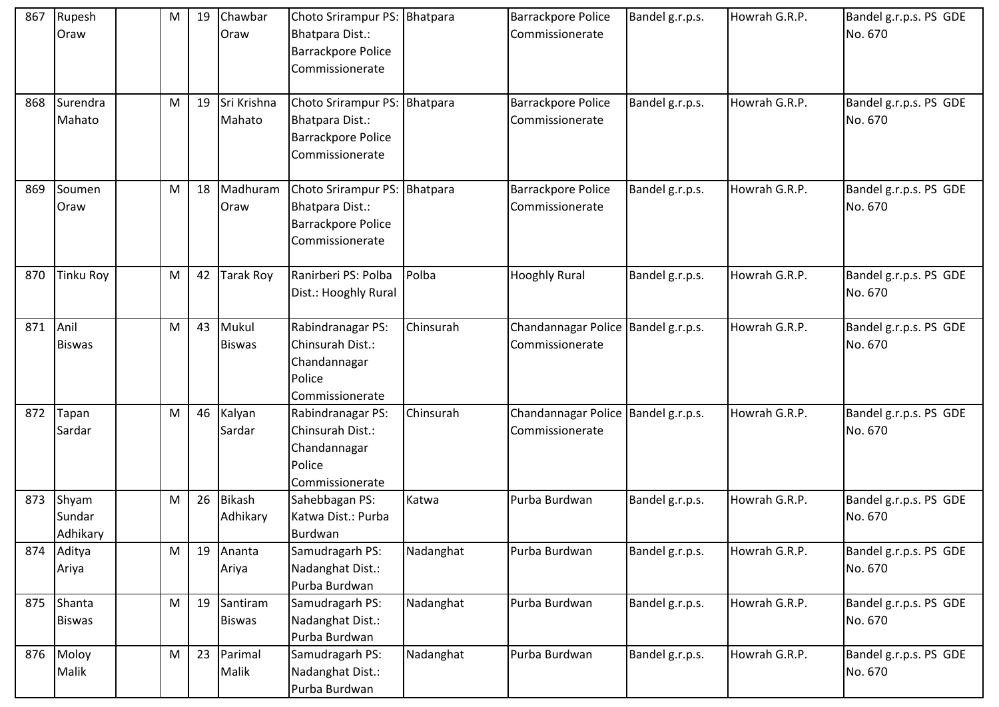| 867 | Rupesh<br>Oraw              | M         | 19 | Chawbar<br>Oraw           | Choto Srirampur PS: Bhatpara<br>Bhatpara Dist.:<br><b>Barrackpore Police</b><br>Commissionerate |           | <b>Barrackpore Police</b><br>Commissionerate             | Bandel g.r.p.s. | Howrah G.R.P. | Bandel g.r.p.s. PS GDE<br>No. 670 |
|-----|-----------------------------|-----------|----|---------------------------|-------------------------------------------------------------------------------------------------|-----------|----------------------------------------------------------|-----------------|---------------|-----------------------------------|
| 868 | Surendra<br>Mahato          | M         | 19 | Sri Krishna<br>Mahato     | Choto Srirampur PS: Bhatpara<br>Bhatpara Dist.:<br><b>Barrackpore Police</b><br>Commissionerate |           | <b>Barrackpore Police</b><br>Commissionerate             | Bandel g.r.p.s. | Howrah G.R.P. | Bandel g.r.p.s. PS GDE<br>No. 670 |
| 869 | Soumen<br>Oraw              | M         | 18 | Madhuram<br>Oraw          | Choto Srirampur PS: Bhatpara<br>Bhatpara Dist.:<br><b>Barrackpore Police</b><br>Commissionerate |           | <b>Barrackpore Police</b><br>Commissionerate             | Bandel g.r.p.s. | Howrah G.R.P. | Bandel g.r.p.s. PS GDE<br>No. 670 |
| 870 | <b>Tinku Roy</b>            | ${\sf M}$ | 42 | <b>Tarak Roy</b>          | Ranirberi PS: Polba<br>Dist.: Hooghly Rural                                                     | Polba     | <b>Hooghly Rural</b>                                     | Bandel g.r.p.s. | Howrah G.R.P. | Bandel g.r.p.s. PS GDE<br>No. 670 |
| 871 | Anil<br><b>Biswas</b>       | M         | 43 | Mukul<br><b>Biswas</b>    | Rabindranagar PS:<br>Chinsurah Dist.:<br>Chandannagar<br>Police<br>Commissionerate              | Chinsurah | Chandannagar Police   Bandel g.r.p.s.<br>Commissionerate |                 | Howrah G.R.P. | Bandel g.r.p.s. PS GDE<br>No. 670 |
| 872 | Tapan<br>Sardar             | M         | 46 | Kalyan<br>Sardar          | Rabindranagar PS:<br>Chinsurah Dist.:<br>Chandannagar<br>Police<br>Commissionerate              | Chinsurah | Chandannagar Police   Bandel g.r.p.s.<br>Commissionerate |                 | Howrah G.R.P. | Bandel g.r.p.s. PS GDE<br>No. 670 |
| 873 | Shyam<br>Sundar<br>Adhikary | M         | 26 | <b>Bikash</b><br>Adhikary | Sahebbagan PS:<br>Katwa Dist.: Purba<br>Burdwan                                                 | Katwa     | Purba Burdwan                                            | Bandel g.r.p.s. | Howrah G.R.P. | Bandel g.r.p.s. PS GDE<br>No. 670 |
| 874 | Aditya<br>Ariya             | M         | 19 | Ananta<br>Ariya           | Samudragarh PS:<br>Nadanghat Dist.:<br>Purba Burdwan                                            | Nadanghat | Purba Burdwan                                            | Bandel g.r.p.s. | Howrah G.R.P. | Bandel g.r.p.s. PS GDE<br>No. 670 |
| 875 | Shanta<br><b>Biswas</b>     | M         | 19 | Santiram<br><b>Biswas</b> | Samudragarh PS:<br>Nadanghat Dist.:<br>Purba Burdwan                                            | Nadanghat | Purba Burdwan                                            | Bandel g.r.p.s. | Howrah G.R.P. | Bandel g.r.p.s. PS GDE<br>No. 670 |
|     | 876 Moloy<br>Malik          | ${\sf M}$ | 23 | Parimal<br>Malik          | Samudragarh PS:<br>Nadanghat Dist.:<br>Purba Burdwan                                            | Nadanghat | Purba Burdwan                                            | Bandel g.r.p.s. | Howrah G.R.P. | Bandel g.r.p.s. PS GDE<br>No. 670 |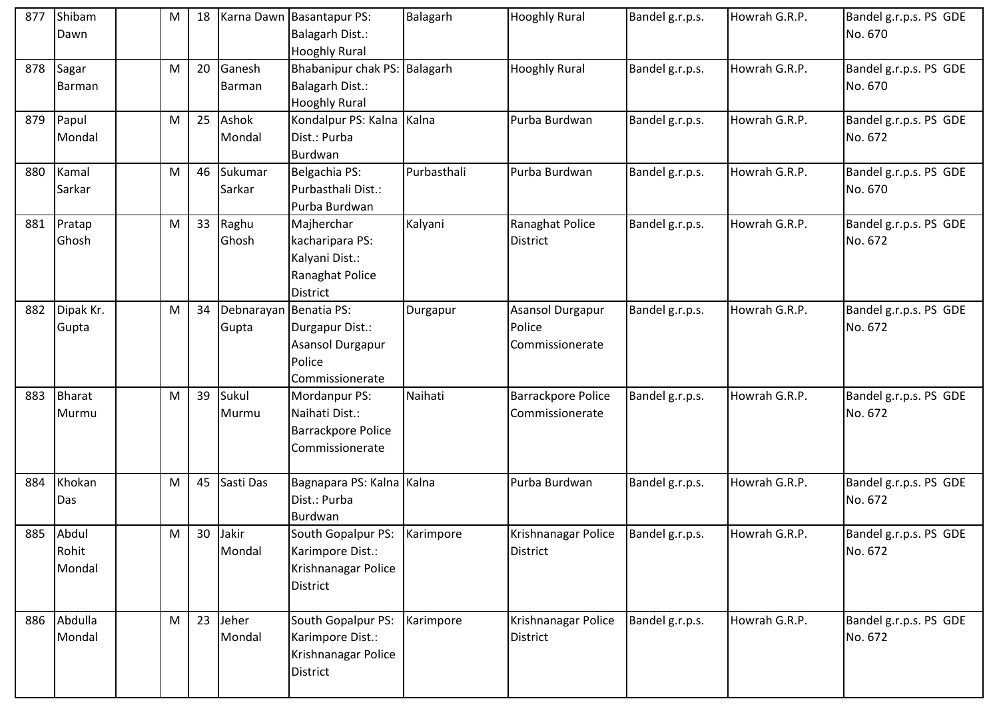| 877 | Shibam<br>Dawn               | M | 18 |                     | Karna Dawn Basantapur PS:<br><b>Balagarh Dist.:</b><br><b>Hooghly Rural</b>                   | Balagarh    | <b>Hooghly Rural</b>                          | Bandel g.r.p.s. | Howrah G.R.P. | Bandel g.r.p.s. PS GDE<br>No. 670 |
|-----|------------------------------|---|----|---------------------|-----------------------------------------------------------------------------------------------|-------------|-----------------------------------------------|-----------------|---------------|-----------------------------------|
| 878 | Sagar<br><b>Barman</b>       | M | 20 | Ganesh<br>Barman    | Bhabanipur chak PS: Balagarh<br><b>Balagarh Dist.:</b><br><b>Hooghly Rural</b>                |             | <b>Hooghly Rural</b>                          | Bandel g.r.p.s. | Howrah G.R.P. | Bandel g.r.p.s. PS GDE<br>No. 670 |
| 879 | Papul<br>Mondal              | M | 25 | Ashok<br>Mondal     | Kondalpur PS: Kalna   Kalna<br>Dist.: Purba<br>Burdwan                                        |             | Purba Burdwan                                 | Bandel g.r.p.s. | Howrah G.R.P. | Bandel g.r.p.s. PS GDE<br>No. 672 |
| 880 | Kamal<br>Sarkar              | M | 46 | Sukumar<br>Sarkar   | Belgachia PS:<br>Purbasthali Dist.:<br>Purba Burdwan                                          | Purbasthali | Purba Burdwan                                 | Bandel g.r.p.s. | Howrah G.R.P. | Bandel g.r.p.s. PS GDE<br>No. 670 |
| 881 | Pratap<br>Ghosh              | M | 33 | Raghu<br>Ghosh      | Majherchar<br>kacharipara PS:<br>Kalyani Dist.:<br>Ranaghat Police<br>District                | Kalyani     | Ranaghat Police<br><b>District</b>            | Bandel g.r.p.s. | Howrah G.R.P. | Bandel g.r.p.s. PS GDE<br>No. 672 |
| 882 | Dipak Kr.<br>Gupta           | M | 34 | Debnarayan<br>Gupta | <b>Benatia PS:</b><br>Durgapur Dist.:<br><b>Asansol Durgapur</b><br>Police<br>Commissionerate | Durgapur    | Asansol Durgapur<br>Police<br>Commissionerate | Bandel g.r.p.s. | Howrah G.R.P. | Bandel g.r.p.s. PS GDE<br>No. 672 |
| 883 | <b>Bharat</b><br>Murmu       | M | 39 | Sukul<br>Murmu      | Mordanpur PS:<br>Naihati Dist.:<br><b>Barrackpore Police</b><br>Commissionerate               | Naihati     | <b>Barrackpore Police</b><br>Commissionerate  | Bandel g.r.p.s. | Howrah G.R.P. | Bandel g.r.p.s. PS GDE<br>No. 672 |
| 884 | Khokan<br>Das                | M | 45 | Sasti Das           | Bagnapara PS: Kalna Kalna<br>Dist.: Purba<br>Burdwan                                          |             | Purba Burdwan                                 | Bandel g.r.p.s. | Howrah G.R.P. | Bandel g.r.p.s. PS GDE<br>No. 672 |
|     | 885 Abdul<br>Rohit<br>Mondal | M | 30 | Jakir<br>Mondal     | South Gopalpur PS:<br>Karimpore Dist.:<br>Krishnanagar Police<br>District                     | Karimpore   | Krishnanagar Police<br><b>District</b>        | Bandel g.r.p.s. | Howrah G.R.P. | Bandel g.r.p.s. PS GDE<br>No. 672 |
|     | 886 Abdulla<br>Mondal        | M | 23 | Jeher<br>Mondal     | South Gopalpur PS:<br>Karimpore Dist.:<br>Krishnanagar Police<br><b>District</b>              | Karimpore   | Krishnanagar Police<br><b>District</b>        | Bandel g.r.p.s. | Howrah G.R.P. | Bandel g.r.p.s. PS GDE<br>No. 672 |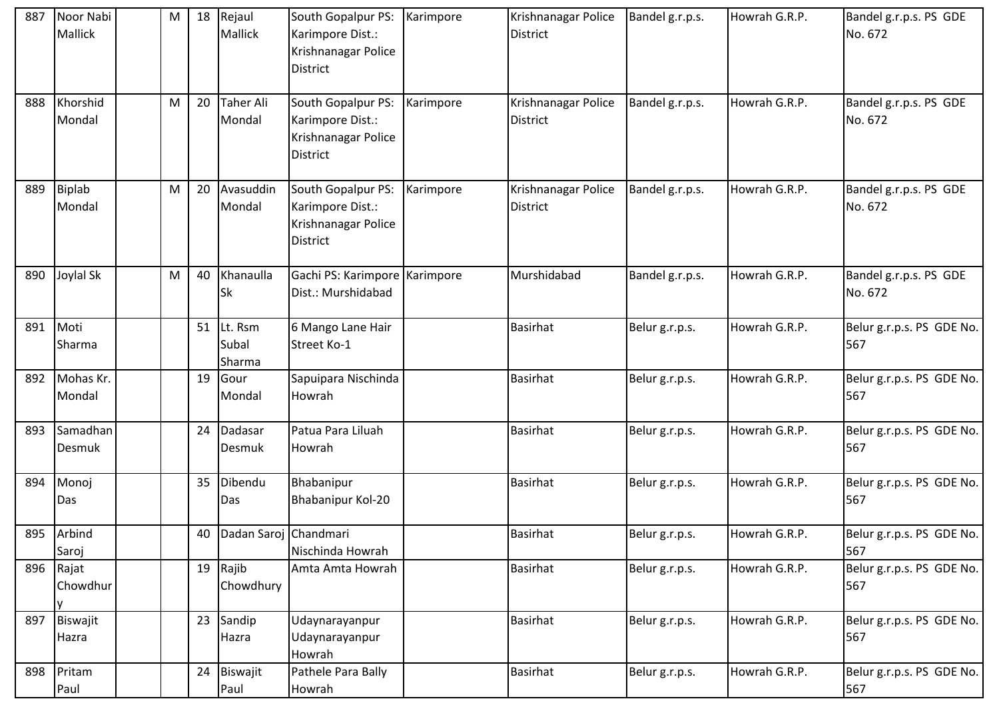| 887 | Noor Nabi<br>Mallick       | M         | 18 | Rejaul<br><b>Mallick</b>   | South Gopalpur PS:<br>Karimpore Dist.:<br>Krishnanagar Police<br>District        | Karimpore | Krishnanagar Police<br>District        | Bandel g.r.p.s. | Howrah G.R.P. | Bandel g.r.p.s. PS GDE<br>No. 672 |
|-----|----------------------------|-----------|----|----------------------------|----------------------------------------------------------------------------------|-----------|----------------------------------------|-----------------|---------------|-----------------------------------|
| 888 | Khorshid<br>Mondal         | M         | 20 | <b>Taher Ali</b><br>Mondal | South Gopalpur PS:<br>Karimpore Dist.:<br>Krishnanagar Police<br><b>District</b> | Karimpore | Krishnanagar Police<br><b>District</b> | Bandel g.r.p.s. | Howrah G.R.P. | Bandel g.r.p.s. PS GDE<br>No. 672 |
| 889 | <b>Biplab</b><br>Mondal    | ${\sf M}$ | 20 | Avasuddin<br>Mondal        | South Gopalpur PS:<br>Karimpore Dist.:<br>Krishnanagar Police<br><b>District</b> | Karimpore | Krishnanagar Police<br>District        | Bandel g.r.p.s. | Howrah G.R.P. | Bandel g.r.p.s. PS GDE<br>No. 672 |
| 890 | Joylal Sk                  | M         | 40 | Khanaulla<br><b>Sk</b>     | Gachi PS: Karimpore Karimpore<br>Dist.: Murshidabad                              |           | Murshidabad                            | Bandel g.r.p.s. | Howrah G.R.P. | Bandel g.r.p.s. PS GDE<br>No. 672 |
| 891 | Moti<br>Sharma             |           | 51 | Lt. Rsm<br>Subal<br>Sharma | 6 Mango Lane Hair<br>Street Ko-1                                                 |           | <b>Basirhat</b>                        | Belur g.r.p.s.  | Howrah G.R.P. | Belur g.r.p.s. PS GDE No.<br>567  |
| 892 | Mohas Kr.<br>Mondal        |           | 19 | Gour<br>Mondal             | Sapuipara Nischinda<br>Howrah                                                    |           | <b>Basirhat</b>                        | Belur g.r.p.s.  | Howrah G.R.P. | Belur g.r.p.s. PS GDE No.<br>567  |
| 893 | Samadhan<br>Desmuk         |           | 24 | Dadasar<br>Desmuk          | Patua Para Liluah<br>Howrah                                                      |           | <b>Basirhat</b>                        | Belur g.r.p.s.  | Howrah G.R.P. | Belur g.r.p.s. PS GDE No.<br>567  |
| 894 | Monoj<br>Das               |           | 35 | Dibendu<br>Das             | Bhabanipur<br>Bhabanipur Kol-20                                                  |           | <b>Basirhat</b>                        | Belur g.r.p.s.  | Howrah G.R.P. | Belur g.r.p.s. PS GDE No.<br>567  |
| 895 | Arbind<br>Saroj            |           | 40 | Dadan Saroj Chandmari      | Nischinda Howrah                                                                 |           | <b>Basirhat</b>                        | Belur g.r.p.s.  | Howrah G.R.P. | Belur g.r.p.s. PS GDE No.<br>567  |
|     | 896 Rajat<br>Chowdhur<br>v |           | 19 | Rajib<br>Chowdhury         | Amta Amta Howrah                                                                 |           | <b>Basirhat</b>                        | Belur g.r.p.s.  | Howrah G.R.P. | Belur g.r.p.s. PS GDE No.<br>567  |
| 897 | Biswajit<br>Hazra          |           | 23 | Sandip<br>Hazra            | Udaynarayanpur<br>Udaynarayanpur<br>Howrah                                       |           | <b>Basirhat</b>                        | Belur g.r.p.s.  | Howrah G.R.P. | Belur g.r.p.s. PS GDE No.<br>567  |
| 898 | Pritam<br>Paul             |           | 24 | Biswajit<br>Paul           | Pathele Para Bally<br>Howrah                                                     |           | Basirhat                               | Belur g.r.p.s.  | Howrah G.R.P. | Belur g.r.p.s. PS GDE No.<br>567  |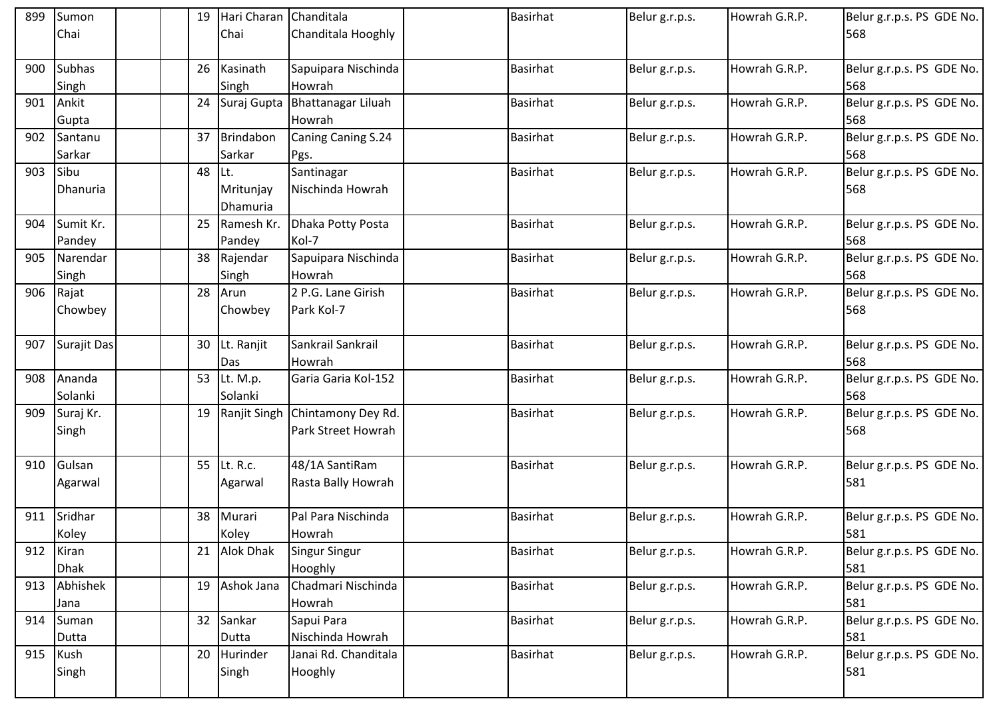| 899 | Sumon         |  | 19              | Hari Charan Chanditala |                                 | <b>Basirhat</b> | Belur g.r.p.s. | Howrah G.R.P. | Belur g.r.p.s. PS GDE No. |
|-----|---------------|--|-----------------|------------------------|---------------------------------|-----------------|----------------|---------------|---------------------------|
|     | Chai          |  |                 | Chai                   | Chanditala Hooghly              |                 |                |               | 568                       |
|     |               |  |                 |                        |                                 |                 |                |               |                           |
| 900 | <b>Subhas</b> |  | 26              | Kasinath               | Sapuipara Nischinda             | <b>Basirhat</b> | Belur g.r.p.s. | Howrah G.R.P. | Belur g.r.p.s. PS GDE No. |
|     | Singh         |  |                 | Singh                  | Howrah                          |                 |                |               | 568                       |
| 901 | Ankit         |  | 24              |                        | Suraj Gupta Bhattanagar Liluah  | <b>Basirhat</b> | Belur g.r.p.s. | Howrah G.R.P. | Belur g.r.p.s. PS GDE No. |
|     | Gupta         |  |                 |                        | Howrah                          |                 |                |               | 568                       |
| 902 | Santanu       |  | 37              | Brindabon              | Caning Caning S.24              | <b>Basirhat</b> | Belur g.r.p.s. | Howrah G.R.P. | Belur g.r.p.s. PS GDE No. |
|     | Sarkar        |  |                 | Sarkar                 | Pgs.                            |                 |                |               | 568                       |
| 903 | Sibu          |  | 48              | Lt.                    | Santinagar                      | <b>Basirhat</b> | Belur g.r.p.s. | Howrah G.R.P. | Belur g.r.p.s. PS GDE No. |
|     | Dhanuria      |  |                 | Mritunjay              | Nischinda Howrah                |                 |                |               | 568                       |
|     |               |  |                 | Dhamuria               |                                 |                 |                |               |                           |
| 904 | Sumit Kr.     |  | 25              | Ramesh Kr.             | Dhaka Potty Posta               | <b>Basirhat</b> | Belur g.r.p.s. | Howrah G.R.P. | Belur g.r.p.s. PS GDE No. |
|     | Pandey        |  |                 | Pandey                 | Kol-7                           |                 |                |               | 568                       |
| 905 | Narendar      |  | 38              | Rajendar               | Sapuipara Nischinda             | <b>Basirhat</b> | Belur g.r.p.s. | Howrah G.R.P. | Belur g.r.p.s. PS GDE No. |
|     | Singh         |  |                 | Singh                  | Howrah                          |                 |                |               | 568                       |
| 906 | Rajat         |  | 28              | Arun                   | 2 P.G. Lane Girish              | <b>Basirhat</b> | Belur g.r.p.s. | Howrah G.R.P. | Belur g.r.p.s. PS GDE No. |
|     | Chowbey       |  |                 | Chowbey                | Park Kol-7                      |                 |                |               | 568                       |
|     |               |  |                 |                        |                                 |                 |                |               |                           |
| 907 | Surajit Das   |  | 30 <sup>°</sup> | Lt. Ranjit             | Sankrail Sankrail               | <b>Basirhat</b> | Belur g.r.p.s. | Howrah G.R.P. | Belur g.r.p.s. PS GDE No. |
|     |               |  |                 | Das                    | Howrah                          |                 |                |               | 568                       |
| 908 | Ananda        |  |                 | 53 Lt. M.p.            | Garia Garia Kol-152             | <b>Basirhat</b> | Belur g.r.p.s. | Howrah G.R.P. | Belur g.r.p.s. PS GDE No. |
|     | Solanki       |  |                 | Solanki                |                                 |                 |                |               | 568                       |
| 909 | Suraj Kr.     |  | 19              |                        | Ranjit Singh Chintamony Dey Rd. | <b>Basirhat</b> | Belur g.r.p.s. | Howrah G.R.P. | Belur g.r.p.s. PS GDE No. |
|     | Singh         |  |                 |                        | Park Street Howrah              |                 |                |               | 568                       |
|     |               |  |                 |                        |                                 |                 |                |               |                           |
| 910 | Gulsan        |  | 55              | Lt. R.c.               | 48/1A SantiRam                  | <b>Basirhat</b> | Belur g.r.p.s. | Howrah G.R.P. | Belur g.r.p.s. PS GDE No. |
|     | Agarwal       |  |                 | Agarwal                | Rasta Bally Howrah              |                 |                |               | 581                       |
|     |               |  |                 |                        |                                 |                 |                |               |                           |
| 911 | Sridhar       |  | 38              | Murari                 | Pal Para Nischinda              | <b>Basirhat</b> | Belur g.r.p.s. | Howrah G.R.P. | Belur g.r.p.s. PS GDE No. |
|     | Koley         |  |                 | Koley                  | Howrah                          |                 |                |               | 581                       |
| 912 | Kiran         |  |                 | 21 Alok Dhak           | <b>Singur Singur</b>            | <b>Basirhat</b> | Belur g.r.p.s. | Howrah G.R.P. | Belur g.r.p.s. PS GDE No. |
|     | <b>Dhak</b>   |  |                 |                        | Hooghly                         |                 |                |               | 581                       |
| 913 | Abhishek      |  | 19              | Ashok Jana             | Chadmari Nischinda              | <b>Basirhat</b> | Belur g.r.p.s. | Howrah G.R.P. | Belur g.r.p.s. PS GDE No. |
|     | Jana          |  |                 |                        | Howrah                          |                 |                |               | 581                       |
| 914 | Suman         |  | 32              | Sankar                 | Sapui Para                      | <b>Basirhat</b> | Belur g.r.p.s. | Howrah G.R.P. | Belur g.r.p.s. PS GDE No. |
|     | Dutta         |  |                 | Dutta                  | Nischinda Howrah                |                 |                |               | 581                       |
| 915 | Kush          |  | 20              | Hurinder               | Janai Rd. Chanditala            | <b>Basirhat</b> | Belur g.r.p.s. | Howrah G.R.P. | Belur g.r.p.s. PS GDE No. |
|     | Singh         |  |                 | Singh                  | Hooghly                         |                 |                |               | 581                       |
|     |               |  |                 |                        |                                 |                 |                |               |                           |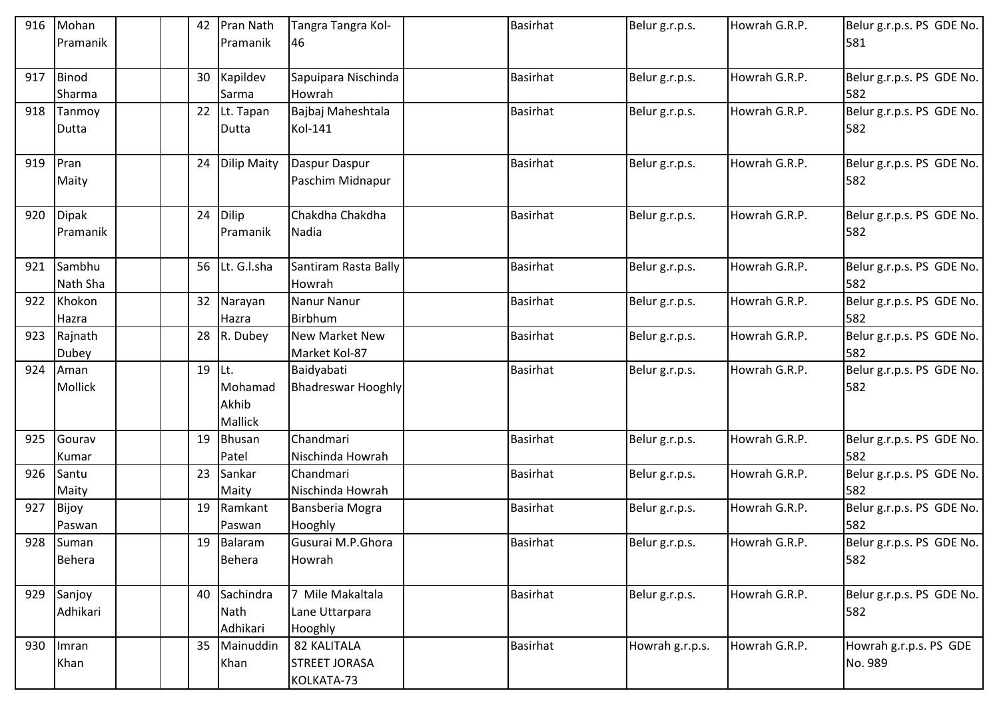| 916 | Mohan           |  | 42 | Pran Nath          | Tangra Tangra Kol-        | Basirhat        | Belur g.r.p.s.  | Howrah G.R.P. | Belur g.r.p.s. PS GDE No.        |
|-----|-----------------|--|----|--------------------|---------------------------|-----------------|-----------------|---------------|----------------------------------|
|     | Pramanik        |  |    | Pramanik           | 46                        |                 |                 |               | 581                              |
|     |                 |  |    |                    |                           |                 |                 |               |                                  |
| 917 | Binod           |  | 30 | Kapildev           | Sapuipara Nischinda       | <b>Basirhat</b> | Belur g.r.p.s.  | Howrah G.R.P. | Belur g.r.p.s. PS GDE No.        |
|     | Sharma          |  |    | Sarma              | Howrah                    |                 |                 |               | 582                              |
| 918 | Tanmoy          |  | 22 | Lt. Tapan          | Bajbaj Maheshtala         | <b>Basirhat</b> | Belur g.r.p.s.  | Howrah G.R.P. | Belur g.r.p.s. PS GDE No.        |
|     | Dutta           |  |    | Dutta              | Kol-141                   |                 |                 |               | 582                              |
|     |                 |  |    |                    |                           |                 |                 |               |                                  |
| 919 | Pran            |  | 24 | <b>Dilip Maity</b> | Daspur Daspur             | <b>Basirhat</b> | Belur g.r.p.s.  | Howrah G.R.P. | Belur g.r.p.s. PS GDE No.        |
|     | Maity           |  |    |                    | Paschim Midnapur          |                 |                 |               | 582                              |
|     |                 |  |    |                    |                           |                 |                 |               |                                  |
| 920 | <b>Dipak</b>    |  | 24 | Dilip              | Chakdha Chakdha           | <b>Basirhat</b> | Belur g.r.p.s.  | Howrah G.R.P. | Belur g.r.p.s. PS GDE No.        |
|     | <b>Pramanik</b> |  |    | Pramanik           | Nadia                     |                 |                 |               | 582                              |
|     |                 |  |    |                    |                           |                 |                 |               |                                  |
| 921 | Sambhu          |  |    | 56 Lt. G.I.sha     | Santiram Rasta Bally      | <b>Basirhat</b> | Belur g.r.p.s.  | Howrah G.R.P. | Belur g.r.p.s. PS GDE No.        |
|     | Nath Sha        |  |    |                    | Howrah                    |                 |                 |               | 582                              |
| 922 | Khokon          |  | 32 | Narayan            | Nanur Nanur               | <b>Basirhat</b> | Belur g.r.p.s.  | Howrah G.R.P. | Belur g.r.p.s. PS GDE No.        |
|     | Hazra           |  |    | Hazra              | Birbhum                   |                 |                 |               | 582                              |
| 923 | Rajnath         |  |    | 28 R. Dubey        | <b>New Market New</b>     | <b>Basirhat</b> | Belur g.r.p.s.  | Howrah G.R.P. | Belur g.r.p.s. PS GDE No.        |
|     | Dubey           |  |    |                    | Market Kol-87             |                 |                 |               | 582                              |
| 924 | Aman            |  | 19 | Lt.                | Baidyabati                | <b>Basirhat</b> | Belur g.r.p.s.  | Howrah G.R.P. | Belur g.r.p.s. PS GDE No.        |
|     | Mollick         |  |    | Mohamad            | <b>Bhadreswar Hooghly</b> |                 |                 |               | 582                              |
|     |                 |  |    | Akhib              |                           |                 |                 |               |                                  |
| 925 | Gourav          |  | 19 | Mallick<br>Bhusan  | Chandmari                 | <b>Basirhat</b> |                 | Howrah G.R.P. |                                  |
|     |                 |  |    | Patel              | Nischinda Howrah          |                 | Belur g.r.p.s.  |               | Belur g.r.p.s. PS GDE No.<br>582 |
| 926 | Kumar           |  | 23 | Sankar             | Chandmari                 | <b>Basirhat</b> |                 | Howrah G.R.P. |                                  |
|     | Santu<br>Maity  |  |    | Maity              | Nischinda Howrah          |                 | Belur g.r.p.s.  |               | Belur g.r.p.s. PS GDE No.<br>582 |
| 927 | Bijoy           |  | 19 | Ramkant            | Bansberia Mogra           | <b>Basirhat</b> | Belur g.r.p.s.  | Howrah G.R.P. | Belur g.r.p.s. PS GDE No.        |
|     | Paswan          |  |    | Paswan             | Hooghly                   |                 |                 |               | 582                              |
|     | 928 Suman       |  |    | 19 Balaram         | Gusurai M.P.Ghora         | Basirhat        | Belur g.r.p.s.  | Howrah G.R.P. | Belur g.r.p.s. PS GDE No.        |
|     | Behera          |  |    | <b>Behera</b>      | Howrah                    |                 |                 |               | 582                              |
|     |                 |  |    |                    |                           |                 |                 |               |                                  |
| 929 | Sanjoy          |  | 40 | Sachindra          | 7 Mile Makaltala          | Basirhat        | Belur g.r.p.s.  | Howrah G.R.P. | Belur g.r.p.s. PS GDE No.        |
|     | Adhikari        |  |    | Nath               | Lane Uttarpara            |                 |                 |               | 582                              |
|     |                 |  |    | Adhikari           | Hooghly                   |                 |                 |               |                                  |
| 930 | Imran           |  | 35 | Mainuddin          | 82 KALITALA               | <b>Basirhat</b> | Howrah g.r.p.s. | Howrah G.R.P. | Howrah g.r.p.s. PS GDE           |
|     | Khan            |  |    | Khan               | <b>STREET JORASA</b>      |                 |                 |               | No. 989                          |
|     |                 |  |    |                    | KOLKATA-73                |                 |                 |               |                                  |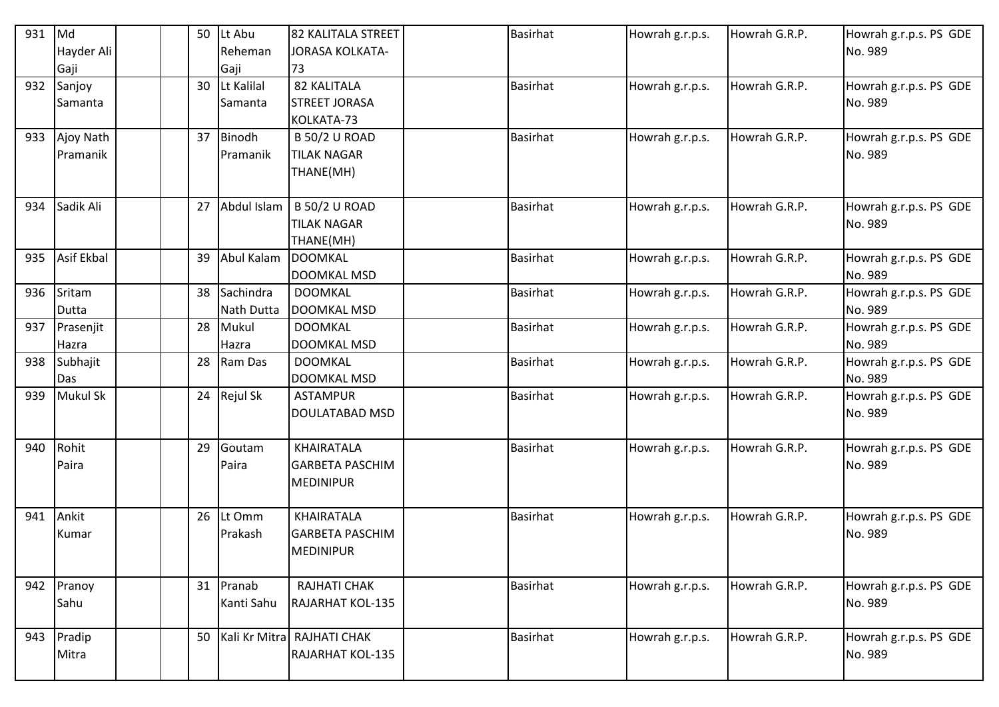| 931 | Md         |  | 50 | Lt Abu      | 82 KALITALA STREET         | <b>Basirhat</b> | Howrah g.r.p.s. | Howrah G.R.P. | Howrah g.r.p.s. PS GDE |
|-----|------------|--|----|-------------|----------------------------|-----------------|-----------------|---------------|------------------------|
|     | Hayder Ali |  |    | Reheman     | JORASA KOLKATA-            |                 |                 |               | No. 989                |
|     | Gaji       |  |    | Gaji        | 73                         |                 |                 |               |                        |
| 932 | Sanjoy     |  | 30 | Lt Kalilal  | 82 KALITALA                | <b>Basirhat</b> | Howrah g.r.p.s. | Howrah G.R.P. | Howrah g.r.p.s. PS GDE |
|     | Samanta    |  |    | Samanta     | <b>STREET JORASA</b>       |                 |                 |               | No. 989                |
|     |            |  |    |             | KOLKATA-73                 |                 |                 |               |                        |
| 933 | Ajoy Nath  |  | 37 | Binodh      | <b>B 50/2 U ROAD</b>       | <b>Basirhat</b> | Howrah g.r.p.s. | Howrah G.R.P. | Howrah g.r.p.s. PS GDE |
|     | Pramanik   |  |    | Pramanik    | <b>TILAK NAGAR</b>         |                 |                 |               | No. 989                |
|     |            |  |    |             | THANE(MH)                  |                 |                 |               |                        |
|     |            |  |    |             |                            |                 |                 |               |                        |
| 934 | Sadik Ali  |  | 27 | Abdul Islam | <b>B 50/2 U ROAD</b>       | <b>Basirhat</b> | Howrah g.r.p.s. | Howrah G.R.P. | Howrah g.r.p.s. PS GDE |
|     |            |  |    |             | <b>TILAK NAGAR</b>         |                 |                 |               | No. 989                |
|     |            |  |    |             | THANE(MH)                  |                 |                 |               |                        |
| 935 | Asif Ekbal |  | 39 | Abul Kalam  | <b>DOOMKAL</b>             | <b>Basirhat</b> | Howrah g.r.p.s. | Howrah G.R.P. | Howrah g.r.p.s. PS GDE |
|     |            |  |    |             | <b>DOOMKAL MSD</b>         |                 |                 |               | No. 989                |
| 936 | Sritam     |  | 38 | Sachindra   | <b>DOOMKAL</b>             | <b>Basirhat</b> | Howrah g.r.p.s. | Howrah G.R.P. | Howrah g.r.p.s. PS GDE |
|     | Dutta      |  |    | Nath Dutta  | <b>DOOMKAL MSD</b>         |                 |                 |               | No. 989                |
| 937 | Prasenjit  |  | 28 | Mukul       | <b>DOOMKAL</b>             | <b>Basirhat</b> | Howrah g.r.p.s. | Howrah G.R.P. | Howrah g.r.p.s. PS GDE |
|     | Hazra      |  |    | Hazra       | <b>DOOMKAL MSD</b>         |                 |                 |               | No. 989                |
| 938 | Subhajit   |  | 28 | Ram Das     | <b>DOOMKAL</b>             | <b>Basirhat</b> | Howrah g.r.p.s. | Howrah G.R.P. | Howrah g.r.p.s. PS GDE |
|     | Das        |  |    |             | <b>DOOMKAL MSD</b>         |                 |                 |               | No. 989                |
| 939 | Mukul Sk   |  |    | 24 Rejul Sk | <b>ASTAMPUR</b>            | <b>Basirhat</b> | Howrah g.r.p.s. | Howrah G.R.P. | Howrah g.r.p.s. PS GDE |
|     |            |  |    |             | <b>DOULATABAD MSD</b>      |                 |                 |               | No. 989                |
|     |            |  |    |             |                            |                 |                 |               |                        |
| 940 | Rohit      |  | 29 | Goutam      | KHAIRATALA                 | <b>Basirhat</b> | Howrah g.r.p.s. | Howrah G.R.P. | Howrah g.r.p.s. PS GDE |
|     | Paira      |  |    | Paira       | <b>GARBETA PASCHIM</b>     |                 |                 |               | No. 989                |
|     |            |  |    |             | <b>MEDINIPUR</b>           |                 |                 |               |                        |
|     |            |  |    |             |                            |                 |                 |               |                        |
| 941 | Ankit      |  | 26 | Lt Omm      | KHAIRATALA                 | <b>Basirhat</b> | Howrah g.r.p.s. | Howrah G.R.P. | Howrah g.r.p.s. PS GDE |
|     | Kumar      |  |    | Prakash     | <b>GARBETA PASCHIM</b>     |                 |                 |               | No. 989                |
|     |            |  |    |             | <b>MEDINIPUR</b>           |                 |                 |               |                        |
|     |            |  |    |             |                            |                 |                 |               |                        |
| 942 | Pranoy     |  | 31 | Pranab      | RAJHATI CHAK               | Basirhat        | Howrah g.r.p.s. | Howrah G.R.P. | Howrah g.r.p.s. PS GDE |
|     | Sahu       |  |    | Kanti Sahu  | <b>RAJARHAT KOL-135</b>    |                 |                 |               | No. 989                |
| 943 | Pradip     |  | 50 |             | Kali Kr Mitra RAJHATI CHAK | <b>Basirhat</b> | Howrah g.r.p.s. | Howrah G.R.P. | Howrah g.r.p.s. PS GDE |
|     | Mitra      |  |    |             | RAJARHAT KOL-135           |                 |                 |               | No. 989                |
|     |            |  |    |             |                            |                 |                 |               |                        |
|     |            |  |    |             |                            |                 |                 |               |                        |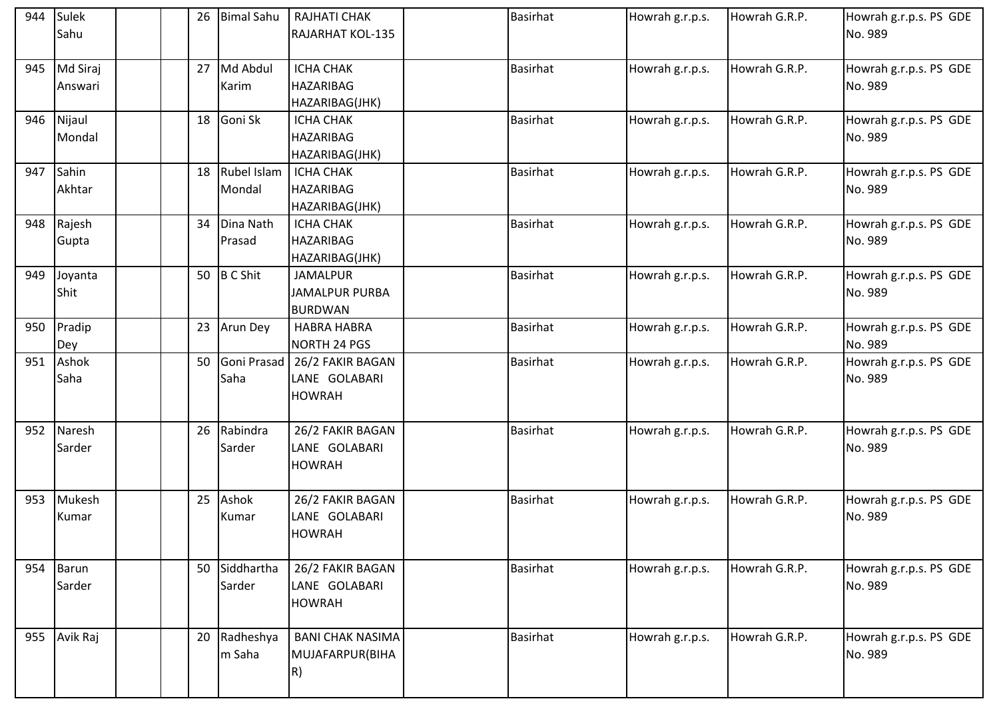| 944 | Sulek        |  | 26 | <b>Bimal Sahu</b> | RAJHATI CHAK            | <b>Basirhat</b> | Howrah g.r.p.s. | Howrah G.R.P. | Howrah g.r.p.s. PS GDE |
|-----|--------------|--|----|-------------------|-------------------------|-----------------|-----------------|---------------|------------------------|
|     | Sahu         |  |    |                   | <b>RAJARHAT KOL-135</b> |                 |                 |               | No. 989                |
|     |              |  |    |                   |                         |                 |                 |               |                        |
|     | 945 Md Siraj |  | 27 | Md Abdul          | <b>ICHA CHAK</b>        | <b>Basirhat</b> | Howrah g.r.p.s. | Howrah G.R.P. | Howrah g.r.p.s. PS GDE |
|     | Answari      |  |    | Karim             | <b>HAZARIBAG</b>        |                 |                 |               | No. 989                |
|     |              |  |    |                   | HAZARIBAG(JHK)          |                 |                 |               |                        |
| 946 | Nijaul       |  | 18 | Goni Sk           | <b>ICHA CHAK</b>        | <b>Basirhat</b> | Howrah g.r.p.s. | Howrah G.R.P. | Howrah g.r.p.s. PS GDE |
|     | Mondal       |  |    |                   | <b>HAZARIBAG</b>        |                 |                 |               | No. 989                |
|     |              |  |    |                   | HAZARIBAG(JHK)          |                 |                 |               |                        |
| 947 | Sahin        |  |    | 18 Rubel Islam    | <b>ICHA CHAK</b>        | <b>Basirhat</b> | Howrah g.r.p.s. | Howrah G.R.P. | Howrah g.r.p.s. PS GDE |
|     | Akhtar       |  |    | Mondal            | <b>HAZARIBAG</b>        |                 |                 |               | No. 989                |
|     |              |  |    |                   | HAZARIBAG(JHK)          |                 |                 |               |                        |
| 948 | Rajesh       |  | 34 | Dina Nath         | <b>ICHA CHAK</b>        | <b>Basirhat</b> | Howrah g.r.p.s. | Howrah G.R.P. | Howrah g.r.p.s. PS GDE |
|     | Gupta        |  |    | Prasad            | <b>HAZARIBAG</b>        |                 |                 |               | No. 989                |
|     |              |  |    |                   | HAZARIBAG(JHK)          |                 |                 |               |                        |
| 949 | Joyanta      |  |    | 50 B C Shit       | <b>JAMALPUR</b>         | <b>Basirhat</b> | Howrah g.r.p.s. | Howrah G.R.P. | Howrah g.r.p.s. PS GDE |
|     | Shit         |  |    |                   | <b>JAMALPUR PURBA</b>   |                 |                 |               | No. 989                |
|     |              |  |    |                   | <b>BURDWAN</b>          |                 |                 |               |                        |
| 950 | Pradip       |  |    | 23 Arun Dey       | <b>HABRA HABRA</b>      | <b>Basirhat</b> | Howrah g.r.p.s. | Howrah G.R.P. | Howrah g.r.p.s. PS GDE |
|     | Dey          |  |    |                   | NORTH 24 PGS            |                 |                 |               | No. 989                |
| 951 | Ashok        |  | 50 | Goni Prasad       | 26/2 FAKIR BAGAN        | <b>Basirhat</b> | Howrah g.r.p.s. | Howrah G.R.P. | Howrah g.r.p.s. PS GDE |
|     | Saha         |  |    | Saha              | LANE GOLABARI           |                 |                 |               | No. 989                |
|     |              |  |    |                   | <b>HOWRAH</b>           |                 |                 |               |                        |
|     |              |  |    |                   |                         |                 |                 |               |                        |
| 952 | Naresh       |  | 26 | Rabindra          | 26/2 FAKIR BAGAN        | <b>Basirhat</b> | Howrah g.r.p.s. | Howrah G.R.P. | Howrah g.r.p.s. PS GDE |
|     | Sarder       |  |    | Sarder            | LANE GOLABARI           |                 |                 |               | No. 989                |
|     |              |  |    |                   | <b>HOWRAH</b>           |                 |                 |               |                        |
|     |              |  |    |                   |                         |                 |                 |               |                        |
|     | 953 Mukesh   |  | 25 | Ashok             | 26/2 FAKIR BAGAN        | <b>Basirhat</b> | Howrah g.r.p.s. | Howrah G.R.P. | Howrah g.r.p.s. PS GDE |
|     | Kumar        |  |    | Kumar             | LANE GOLABARI           |                 |                 |               | No. 989                |
|     |              |  |    |                   | <b>HOWRAH</b>           |                 |                 |               |                        |
|     |              |  |    |                   |                         |                 |                 |               |                        |
|     | 954 Barun    |  |    | 50 Siddhartha     | 26/2 FAKIR BAGAN        | Basirhat        | Howrah g.r.p.s. | Howrah G.R.P. | Howrah g.r.p.s. PS GDE |
|     | Sarder       |  |    | Sarder            | LANE GOLABARI           |                 |                 |               | No. 989                |
|     |              |  |    |                   | <b>HOWRAH</b>           |                 |                 |               |                        |
|     |              |  |    |                   |                         |                 |                 |               |                        |
|     | 955 Avik Raj |  | 20 | Radheshya         | <b>BANI CHAK NASIMA</b> | <b>Basirhat</b> | Howrah g.r.p.s. | Howrah G.R.P. | Howrah g.r.p.s. PS GDE |
|     |              |  |    | m Saha            | MUJAFARPUR(BIHA         |                 |                 |               | No. 989                |
|     |              |  |    |                   | R)                      |                 |                 |               |                        |
|     |              |  |    |                   |                         |                 |                 |               |                        |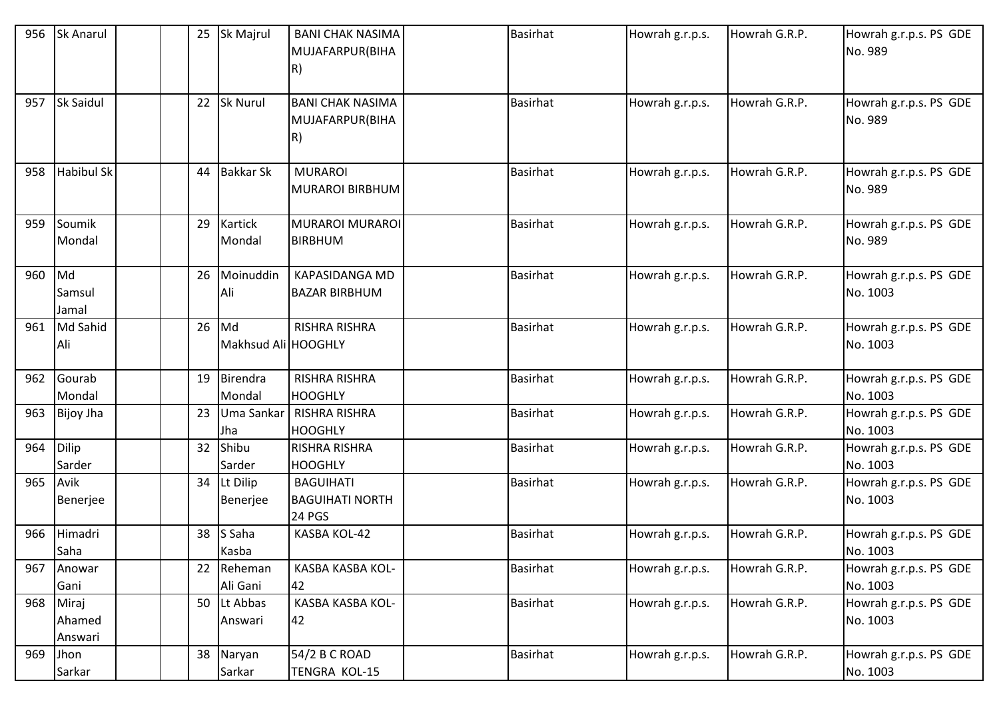| 956 | <b>Sk Anarul</b>           |  | 25 | Sk Majrul                 | <b>BANI CHAK NASIMA</b><br>MUJAFARPUR(BIHA<br>R)            | <b>Basirhat</b> | Howrah g.r.p.s. | Howrah G.R.P. | Howrah g.r.p.s. PS GDE<br>No. 989  |
|-----|----------------------------|--|----|---------------------------|-------------------------------------------------------------|-----------------|-----------------|---------------|------------------------------------|
| 957 | Sk Saidul                  |  | 22 | <b>Sk Nurul</b>           | <b>BANI CHAK NASIMA</b><br>MUJAFARPUR(BIHA<br>R)            | <b>Basirhat</b> | Howrah g.r.p.s. | Howrah G.R.P. | Howrah g.r.p.s. PS GDE<br>No. 989  |
| 958 | <b>Habibul Sk</b>          |  | 44 | <b>Bakkar Sk</b>          | <b>MURAROI</b><br><b>MURAROI BIRBHUM</b>                    | <b>Basirhat</b> | Howrah g.r.p.s. | Howrah G.R.P. | Howrah g.r.p.s. PS GDE<br>No. 989  |
| 959 | Soumik<br>Mondal           |  | 29 | Kartick<br>Mondal         | <b>MURAROI MURAROI</b><br><b>BIRBHUM</b>                    | <b>Basirhat</b> | Howrah g.r.p.s. | Howrah G.R.P. | Howrah g.r.p.s. PS GDE<br>No. 989  |
| 960 | Md<br>Samsul<br>Jamal      |  | 26 | Moinuddin<br>Ali          | <b>KAPASIDANGA MD</b><br><b>BAZAR BIRBHUM</b>               | <b>Basirhat</b> | Howrah g.r.p.s. | Howrah G.R.P. | Howrah g.r.p.s. PS GDE<br>No. 1003 |
| 961 | Md Sahid<br>Ali            |  | 26 | Md<br>Makhsud Ali HOOGHLY | <b>RISHRA RISHRA</b>                                        | <b>Basirhat</b> | Howrah g.r.p.s. | Howrah G.R.P. | Howrah g.r.p.s. PS GDE<br>No. 1003 |
| 962 | Gourab<br>Mondal           |  | 19 | Birendra<br>Mondal        | <b>RISHRA RISHRA</b><br><b>HOOGHLY</b>                      | <b>Basirhat</b> | Howrah g.r.p.s. | Howrah G.R.P. | Howrah g.r.p.s. PS GDE<br>No. 1003 |
| 963 | <b>Bijoy Jha</b>           |  | 23 | Uma Sankar<br>Jha         | <b>RISHRA RISHRA</b><br><b>HOOGHLY</b>                      | <b>Basirhat</b> | Howrah g.r.p.s. | Howrah G.R.P. | Howrah g.r.p.s. PS GDE<br>No. 1003 |
| 964 | Dilip<br>Sarder            |  | 32 | Shibu<br>Sarder           | <b>RISHRA RISHRA</b><br><b>HOOGHLY</b>                      | Basirhat        | Howrah g.r.p.s. | Howrah G.R.P. | Howrah g.r.p.s. PS GDE<br>No. 1003 |
| 965 | Avik<br>Benerjee           |  | 34 | Lt Dilip<br>Benerjee      | <b>BAGUIHATI</b><br><b>BAGUIHATI NORTH</b><br><b>24 PGS</b> | <b>Basirhat</b> | Howrah g.r.p.s. | Howrah G.R.P. | Howrah g.r.p.s. PS GDE<br>No. 1003 |
| 966 | Himadri<br>Saha            |  | 38 | S Saha<br>Kasba           | KASBA KOL-42                                                | <b>Basirhat</b> | Howrah g.r.p.s. | Howrah G.R.P. | Howrah g.r.p.s. PS GDE<br>No. 1003 |
| 967 | Anowar<br>Gani             |  | 22 | Reheman<br>Ali Gani       | KASBA KASBA KOL-<br>42                                      | <b>Basirhat</b> | Howrah g.r.p.s. | Howrah G.R.P. | Howrah g.r.p.s. PS GDE<br>No. 1003 |
| 968 | Miraj<br>Ahamed<br>Answari |  | 50 | Lt Abbas<br>Answari       | KASBA KASBA KOL-<br>42                                      | <b>Basirhat</b> | Howrah g.r.p.s. | Howrah G.R.P. | Howrah g.r.p.s. PS GDE<br>No. 1003 |
| 969 | Jhon<br>Sarkar             |  | 38 | Naryan<br>Sarkar          | 54/2 B C ROAD<br><b>TENGRA KOL-15</b>                       | <b>Basirhat</b> | Howrah g.r.p.s. | Howrah G.R.P. | Howrah g.r.p.s. PS GDE<br>No. 1003 |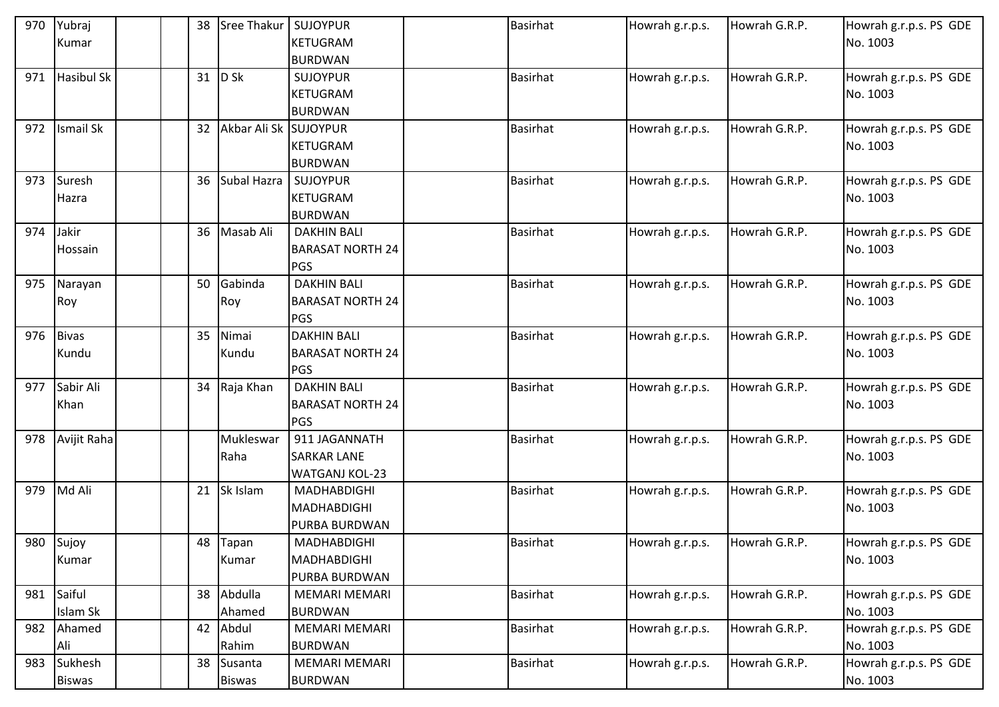| 970 | Yubraj            | 38 | Sree Thakur           | <b>SUJOYPUR</b>         | <b>Basirhat</b> | Howrah g.r.p.s. | Howrah G.R.P. | Howrah g.r.p.s. PS GDE |
|-----|-------------------|----|-----------------------|-------------------------|-----------------|-----------------|---------------|------------------------|
|     | Kumar             |    |                       | <b>KETUGRAM</b>         |                 |                 |               | No. 1003               |
|     |                   |    |                       | <b>BURDWAN</b>          |                 |                 |               |                        |
| 971 | <b>Hasibul Sk</b> | 31 | $D$ Sk                | <b>SUJOYPUR</b>         | <b>Basirhat</b> | Howrah g.r.p.s. | Howrah G.R.P. | Howrah g.r.p.s. PS GDE |
|     |                   |    |                       | <b>KETUGRAM</b>         |                 |                 |               | No. 1003               |
|     |                   |    |                       | <b>BURDWAN</b>          |                 |                 |               |                        |
| 972 | <b>Ismail Sk</b>  | 32 | Akbar Ali Sk SUJOYPUR |                         | <b>Basirhat</b> | Howrah g.r.p.s. | Howrah G.R.P. | Howrah g.r.p.s. PS GDE |
|     |                   |    |                       | <b>KETUGRAM</b>         |                 |                 |               | No. 1003               |
|     |                   |    |                       | <b>BURDWAN</b>          |                 |                 |               |                        |
| 973 | Suresh            | 36 | Subal Hazra           | <b>SUJOYPUR</b>         | <b>Basirhat</b> | Howrah g.r.p.s. | Howrah G.R.P. | Howrah g.r.p.s. PS GDE |
|     | Hazra             |    |                       | KETUGRAM                |                 |                 |               | No. 1003               |
|     |                   |    |                       | <b>BURDWAN</b>          |                 |                 |               |                        |
| 974 | Jakir             | 36 | Masab Ali             | <b>DAKHIN BALI</b>      | <b>Basirhat</b> | Howrah g.r.p.s. | Howrah G.R.P. | Howrah g.r.p.s. PS GDE |
|     | Hossain           |    |                       | <b>BARASAT NORTH 24</b> |                 |                 |               | No. 1003               |
|     |                   |    |                       | PGS                     |                 |                 |               |                        |
| 975 | Narayan           | 50 | Gabinda               | <b>DAKHIN BALI</b>      | <b>Basirhat</b> | Howrah g.r.p.s. | Howrah G.R.P. | Howrah g.r.p.s. PS GDE |
|     | Roy               |    | Roy                   | <b>BARASAT NORTH 24</b> |                 |                 |               | No. 1003               |
|     |                   |    |                       | PGS                     |                 |                 |               |                        |
| 976 | <b>Bivas</b>      | 35 | Nimai                 | <b>DAKHIN BALI</b>      | <b>Basirhat</b> | Howrah g.r.p.s. | Howrah G.R.P. | Howrah g.r.p.s. PS GDE |
|     | Kundu             |    | Kundu                 | <b>BARASAT NORTH 24</b> |                 |                 |               | No. 1003               |
|     |                   |    |                       | PGS                     |                 |                 |               |                        |
| 977 | Sabir Ali         |    | 34 Raja Khan          | <b>DAKHIN BALI</b>      | <b>Basirhat</b> | Howrah g.r.p.s. | Howrah G.R.P. | Howrah g.r.p.s. PS GDE |
|     | Khan              |    |                       | <b>BARASAT NORTH 24</b> |                 |                 |               | No. 1003               |
|     |                   |    |                       | PGS                     |                 |                 |               |                        |
|     | 978 Avijit Raha   |    | Mukleswar             | 911 JAGANNATH           | <b>Basirhat</b> | Howrah g.r.p.s. | Howrah G.R.P. | Howrah g.r.p.s. PS GDE |
|     |                   |    | Raha                  | <b>SARKAR LANE</b>      |                 |                 |               | No. 1003               |
|     |                   |    |                       | <b>WATGANJ KOL-23</b>   |                 |                 |               |                        |
| 979 | Md Ali            | 21 | Sk Islam              | MADHABDIGHI             | <b>Basirhat</b> | Howrah g.r.p.s. | Howrah G.R.P. | Howrah g.r.p.s. PS GDE |
|     |                   |    |                       | MADHABDIGHI             |                 |                 |               | No. 1003               |
|     |                   |    |                       | <b>PURBA BURDWAN</b>    |                 |                 |               |                        |
|     | 980 Sujoy         |    | 48 Tapan              | <b>MADHABDIGHI</b>      | <b>Basirhat</b> | Howrah g.r.p.s. | Howrah G.R.P. | Howrah g.r.p.s. PS GDE |
|     | Kumar             |    | Kumar                 | MADHABDIGHI             |                 |                 |               | No. 1003               |
|     |                   |    |                       | <b>PURBA BURDWAN</b>    |                 |                 |               |                        |
| 981 | Saiful            | 38 | Abdulla               | <b>MEMARI MEMARI</b>    | <b>Basirhat</b> | Howrah g.r.p.s. | Howrah G.R.P. | Howrah g.r.p.s. PS GDE |
|     | Islam Sk          |    | Ahamed                | <b>BURDWAN</b>          |                 |                 |               | No. 1003               |
| 982 | Ahamed            | 42 | Abdul                 | <b>MEMARI MEMARI</b>    | <b>Basirhat</b> | Howrah g.r.p.s. | Howrah G.R.P. | Howrah g.r.p.s. PS GDE |
|     | Ali               |    | Rahim                 | <b>BURDWAN</b>          |                 |                 |               | No. 1003               |
| 983 | Sukhesh           | 38 | Susanta               | <b>MEMARI MEMARI</b>    | <b>Basirhat</b> | Howrah g.r.p.s. | Howrah G.R.P. | Howrah g.r.p.s. PS GDE |
|     | <b>Biswas</b>     |    | <b>Biswas</b>         | <b>BURDWAN</b>          |                 |                 |               | No. 1003               |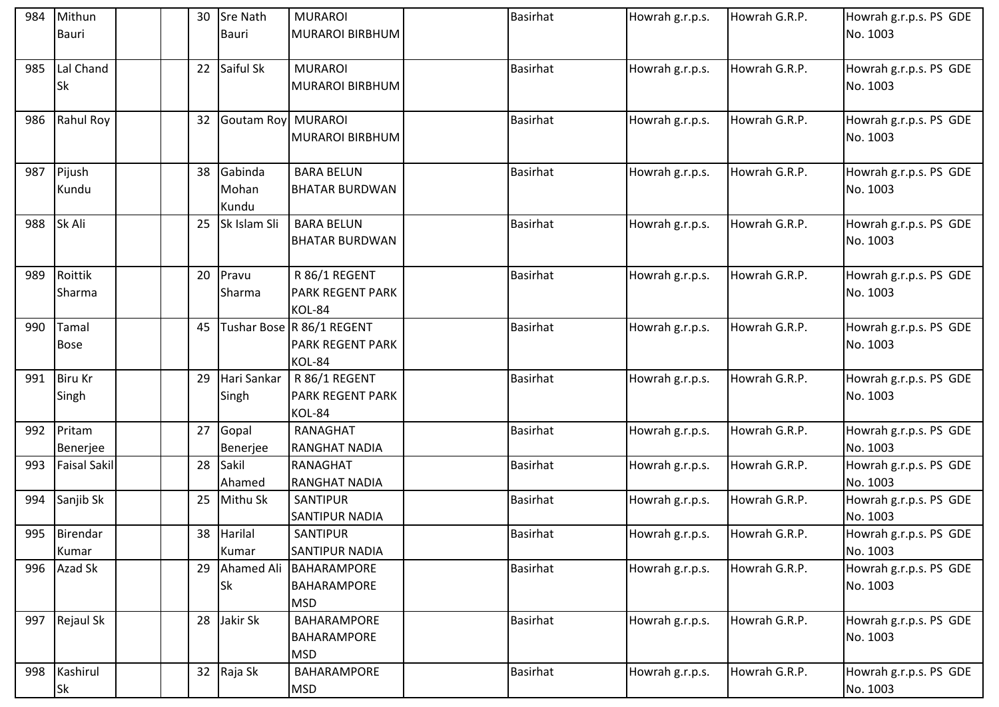| 984 | Mithun              | 30 | <b>Sre Nath</b>           | <b>MURAROI</b>            | <b>Basirhat</b> | Howrah g.r.p.s. | Howrah G.R.P. | Howrah g.r.p.s. PS GDE |
|-----|---------------------|----|---------------------------|---------------------------|-----------------|-----------------|---------------|------------------------|
|     | Bauri               |    | Bauri                     | <b>MURAROI BIRBHUM</b>    |                 |                 |               | No. 1003               |
|     |                     |    |                           |                           |                 |                 |               |                        |
| 985 | Lal Chand           | 22 | Saiful Sk                 | <b>MURAROI</b>            | <b>Basirhat</b> | Howrah g.r.p.s. | Howrah G.R.P. | Howrah g.r.p.s. PS GDE |
|     | <b>Sk</b>           |    |                           | <b>MURAROI BIRBHUM</b>    |                 |                 |               | No. 1003               |
|     |                     |    |                           |                           |                 |                 |               |                        |
| 986 | Rahul Roy           | 32 | <b>Goutam Roy MURAROI</b> |                           | <b>Basirhat</b> | Howrah g.r.p.s. | Howrah G.R.P. | Howrah g.r.p.s. PS GDE |
|     |                     |    |                           | <b>MURAROI BIRBHUM</b>    |                 |                 |               | No. 1003               |
|     |                     |    |                           |                           |                 |                 |               |                        |
| 987 | Pijush              | 38 | Gabinda                   | <b>BARA BELUN</b>         | <b>Basirhat</b> | Howrah g.r.p.s. | Howrah G.R.P. | Howrah g.r.p.s. PS GDE |
|     | Kundu               |    | Mohan                     | <b>BHATAR BURDWAN</b>     |                 |                 |               | No. 1003               |
|     |                     |    | Kundu                     |                           |                 |                 |               |                        |
| 988 | Sk Ali              | 25 | Sk Islam Sli              | <b>BARA BELUN</b>         | <b>Basirhat</b> | Howrah g.r.p.s. | Howrah G.R.P. | Howrah g.r.p.s. PS GDE |
|     |                     |    |                           | BHATAR BURDWAN            |                 |                 |               | No. 1003               |
|     |                     |    |                           |                           |                 |                 |               |                        |
| 989 | Roittik             | 20 | Pravu                     | R 86/1 REGENT             | <b>Basirhat</b> | Howrah g.r.p.s. | Howrah G.R.P. | Howrah g.r.p.s. PS GDE |
|     | Sharma              |    | Sharma                    | <b>PARK REGENT PARK</b>   |                 |                 |               | No. 1003               |
|     |                     |    |                           | KOL-84                    |                 |                 |               |                        |
| 990 | Tamal               | 45 |                           | Tushar Bose R 86/1 REGENT | <b>Basirhat</b> | Howrah g.r.p.s. | Howrah G.R.P. | Howrah g.r.p.s. PS GDE |
|     | <b>Bose</b>         |    |                           | <b>PARK REGENT PARK</b>   |                 |                 |               | No. 1003               |
|     |                     |    |                           | KOL-84                    |                 |                 |               |                        |
| 991 | <b>Biru Kr</b>      | 29 | Hari Sankar               | R 86/1 REGENT             | <b>Basirhat</b> | Howrah g.r.p.s. | Howrah G.R.P. | Howrah g.r.p.s. PS GDE |
|     | Singh               |    | Singh                     | <b>PARK REGENT PARK</b>   |                 |                 |               | No. 1003               |
|     |                     |    |                           | KOL-84                    |                 |                 |               |                        |
| 992 | Pritam              | 27 | Gopal                     | RANAGHAT                  | <b>Basirhat</b> | Howrah g.r.p.s. | Howrah G.R.P. | Howrah g.r.p.s. PS GDE |
|     | Benerjee            |    | Benerjee                  | <b>RANGHAT NADIA</b>      |                 |                 |               | No. 1003               |
| 993 | <b>Faisal Sakil</b> | 28 | Sakil                     | RANAGHAT                  | <b>Basirhat</b> | Howrah g.r.p.s. | Howrah G.R.P. | Howrah g.r.p.s. PS GDE |
|     |                     |    | Ahamed                    | <b>RANGHAT NADIA</b>      |                 |                 |               | No. 1003               |
| 994 | Sanjib Sk           | 25 | Mithu Sk                  | SANTIPUR                  | <b>Basirhat</b> | Howrah g.r.p.s. | Howrah G.R.P. | Howrah g.r.p.s. PS GDE |
|     |                     |    |                           | <b>SANTIPUR NADIA</b>     |                 |                 |               | No. 1003               |
|     | 995 Birendar        |    | 38 Harilal                | SANTIPUR                  | <b>Basirhat</b> | Howrah g.r.p.s. | Howrah G.R.P. | Howrah g.r.p.s. PS GDE |
|     | Kumar               |    | Kumar                     | <b>SANTIPUR NADIA</b>     |                 |                 |               | No. 1003               |
|     | 996 Azad Sk         | 29 |                           | Ahamed Ali   BAHARAMPORE  | <b>Basirhat</b> | Howrah g.r.p.s. | Howrah G.R.P. | Howrah g.r.p.s. PS GDE |
|     |                     |    | Sk                        | <b>BAHARAMPORE</b>        |                 |                 |               | No. 1003               |
|     |                     |    |                           | <b>MSD</b>                |                 |                 |               |                        |
| 997 | Rejaul Sk           | 28 | Jakir Sk                  | BAHARAMPORE               | <b>Basirhat</b> | Howrah g.r.p.s. | Howrah G.R.P. | Howrah g.r.p.s. PS GDE |
|     |                     |    |                           | <b>BAHARAMPORE</b>        |                 |                 |               | No. 1003               |
|     |                     |    |                           | <b>MSD</b>                |                 |                 |               |                        |
| 998 | Kashirul            |    | 32 Raja Sk                | BAHARAMPORE               | <b>Basirhat</b> | Howrah g.r.p.s. | Howrah G.R.P. | Howrah g.r.p.s. PS GDE |
|     | <b>Sk</b>           |    |                           | <b>MSD</b>                |                 |                 |               | No. 1003               |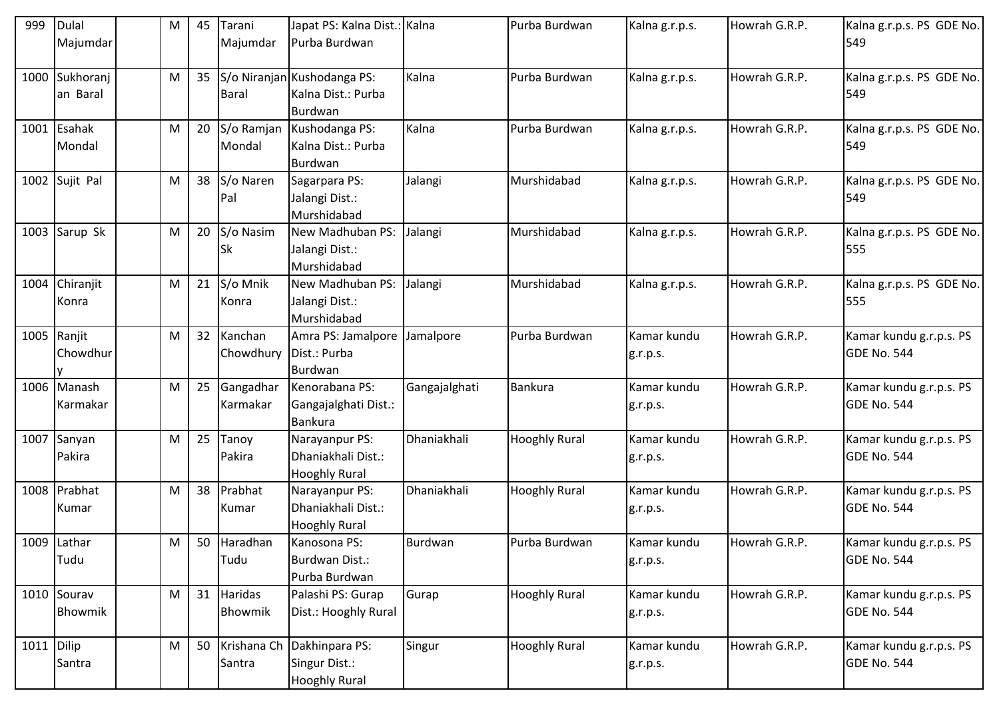| 999        | <b>Dulal</b><br>Majumdar | M | 45 | Tarani<br>Majumdar     | Japat PS: Kalna Dist.: Kalna<br>Purba Burdwan                |               | Purba Burdwan        | Kalna g.r.p.s.          | Howrah G.R.P. | Kalna g.r.p.s. PS GDE No.<br>549              |
|------------|--------------------------|---|----|------------------------|--------------------------------------------------------------|---------------|----------------------|-------------------------|---------------|-----------------------------------------------|
| 1000       | Sukhoranj<br>an Baral    | M | 35 | <b>Baral</b>           | S/o Niranjan Kushodanga PS:<br>Kalna Dist.: Purba            | Kalna         | Purba Burdwan        | Kalna g.r.p.s.          | Howrah G.R.P. | Kalna g.r.p.s. PS GDE No.<br>549              |
|            | 1001 Esahak<br>Mondal    | M | 20 | S/o Ramjan<br>Mondal   | Burdwan<br>Kushodanga PS:<br>Kalna Dist.: Purba<br>Burdwan   | Kalna         | Purba Burdwan        | Kalna g.r.p.s.          | Howrah G.R.P. | Kalna g.r.p.s. PS GDE No.<br>549              |
|            | 1002 Sujit Pal           | M |    | 38 S/o Naren<br>Pal    | Sagarpara PS:<br>Jalangi Dist.:<br>Murshidabad               | Jalangi       | Murshidabad          | Kalna g.r.p.s.          | Howrah G.R.P. | Kalna g.r.p.s. PS GDE No.<br>549              |
| 1003       | Sarup Sk                 | M | 20 | S/o Nasim<br><b>Sk</b> | New Madhuban PS:<br>Jalangi Dist.:<br>Murshidabad            | Jalangi       | Murshidabad          | Kalna g.r.p.s.          | Howrah G.R.P. | Kalna g.r.p.s. PS GDE No.<br>555              |
|            | 1004 Chiranjit<br>Konra  | M | 21 | S/o Mnik<br>Konra      | New Madhuban PS:<br>Jalangi Dist.:<br>Murshidabad            | Jalangi       | Murshidabad          | Kalna g.r.p.s.          | Howrah G.R.P. | Kalna g.r.p.s. PS GDE No.<br>555              |
|            | 1005 Ranjit<br>Chowdhur  | M | 32 | Kanchan<br>Chowdhury   | Amra PS: Jamalpore<br>Dist.: Purba<br>Burdwan                | Jamalpore     | Purba Burdwan        | Kamar kundu<br>g.r.p.s. | Howrah G.R.P. | Kamar kundu g.r.p.s. PS<br>GDE No. 544        |
|            | 1006 Manash<br>Karmakar  | M | 25 | Gangadhar<br>Karmakar  | Kenorabana PS:<br>Gangajalghati Dist.:<br><b>Bankura</b>     | Gangajalghati | <b>Bankura</b>       | Kamar kundu<br>g.r.p.s. | Howrah G.R.P. | Kamar kundu g.r.p.s. PS<br>GDE No. 544        |
|            | 1007 Sanyan<br>Pakira    | M | 25 | Tanoy<br>Pakira        | Narayanpur PS:<br>Dhaniakhali Dist.:<br><b>Hooghly Rural</b> | Dhaniakhali   | <b>Hooghly Rural</b> | Kamar kundu<br>g.r.p.s. | Howrah G.R.P. | Kamar kundu g.r.p.s. PS<br>GDE No. 544        |
|            | 1008 Prabhat<br>Kumar    | M | 38 | Prabhat<br>Kumar       | Narayanpur PS:<br>Dhaniakhali Dist.:<br><b>Hooghly Rural</b> | Dhaniakhali   | <b>Hooghly Rural</b> | Kamar kundu<br>g.r.p.s. | Howrah G.R.P. | Kamar kundu g.r.p.s. PS<br>GDE No. 544        |
|            | 1009 Lathar<br>Tudu      | M |    | 50 Haradhan<br>Tudu    | Kanosona PS:<br>Burdwan Dist.:<br>Purba Burdwan              | Burdwan       | Purba Burdwan        | Kamar kundu<br>g.r.p.s. | Howrah G.R.P. | Kamar kundu g.r.p.s. PS<br>GDE No. 544        |
|            | 1010 Sourav<br>Bhowmik   | M | 31 | Haridas<br>Bhowmik     | Palashi PS: Gurap<br>Dist.: Hooghly Rural                    | Gurap         | <b>Hooghly Rural</b> | Kamar kundu<br>g.r.p.s. | Howrah G.R.P. | Kamar kundu g.r.p.s. PS<br><b>GDE No. 544</b> |
| 1011 Dilip | Santra                   | M | 50 | Krishana Ch<br>Santra  | Dakhinpara PS:<br>Singur Dist.:<br><b>Hooghly Rural</b>      | Singur        | <b>Hooghly Rural</b> | Kamar kundu<br>g.r.p.s. | Howrah G.R.P. | Kamar kundu g.r.p.s. PS<br><b>GDE No. 544</b> |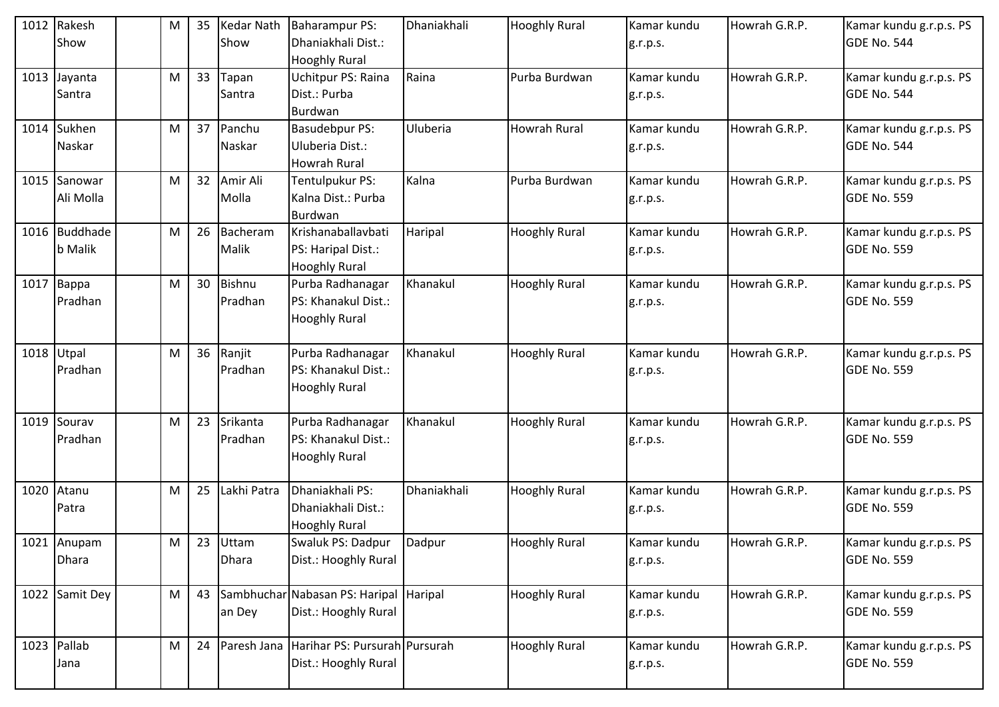|      | 1012 Rakesh<br>Show             | M         | 35 | <b>Kedar Nath</b><br>Show | <b>Baharampur PS:</b><br>Dhaniakhali Dist.:<br><b>Hooghly Rural</b> | Dhaniakhali | <b>Hooghly Rural</b> | Kamar kundu<br>g.r.p.s. | Howrah G.R.P. | Kamar kundu g.r.p.s. PS<br>GDE No. 544        |
|------|---------------------------------|-----------|----|---------------------------|---------------------------------------------------------------------|-------------|----------------------|-------------------------|---------------|-----------------------------------------------|
| 1013 | Jayanta<br>Santra               | M         | 33 | Tapan<br>Santra           | <b>Uchitpur PS: Raina</b><br>Dist.: Purba<br>Burdwan                | Raina       | Purba Burdwan        | Kamar kundu<br>g.r.p.s. | Howrah G.R.P. | Kamar kundu g.r.p.s. PS<br>GDE No. 544        |
|      | 1014 Sukhen<br>Naskar           | M         | 37 | Panchu<br>Naskar          | <b>Basudebpur PS:</b><br>Uluberia Dist.:<br><b>Howrah Rural</b>     | Uluberia    | Howrah Rural         | Kamar kundu<br>g.r.p.s. | Howrah G.R.P. | Kamar kundu g.r.p.s. PS<br>GDE No. 544        |
|      | 1015 Sanowar<br>Ali Molla       | M         | 32 | Amir Ali<br>Molla         | Tentulpukur PS:<br>Kalna Dist.: Purba<br>Burdwan                    | Kalna       | Purba Burdwan        | Kamar kundu<br>g.r.p.s. | Howrah G.R.P. | Kamar kundu g.r.p.s. PS<br>GDE No. 559        |
|      | 1016 Buddhade<br><b>b</b> Malik | M         | 26 | Bacheram<br>Malik         | Krishanaballavbati<br>PS: Haripal Dist.:<br><b>Hooghly Rural</b>    | Haripal     | <b>Hooghly Rural</b> | Kamar kundu<br>g.r.p.s. | Howrah G.R.P. | Kamar kundu g.r.p.s. PS<br>GDE No. 559        |
|      | $1017$ Bappa<br>Pradhan         | ${\sf M}$ | 30 | <b>Bishnu</b><br>Pradhan  | Purba Radhanagar<br>PS: Khanakul Dist.:<br><b>Hooghly Rural</b>     | Khanakul    | <b>Hooghly Rural</b> | Kamar kundu<br>g.r.p.s. | Howrah G.R.P. | Kamar kundu g.r.p.s. PS<br>GDE No. 559        |
|      | 1018 Utpal<br>Pradhan           | M         | 36 | Ranjit<br>Pradhan         | Purba Radhanagar<br>PS: Khanakul Dist.:<br><b>Hooghly Rural</b>     | Khanakul    | <b>Hooghly Rural</b> | Kamar kundu<br>g.r.p.s. | Howrah G.R.P. | Kamar kundu g.r.p.s. PS<br>GDE No. 559        |
|      | 1019 Sourav<br>Pradhan          | M         | 23 | Srikanta<br>Pradhan       | Purba Radhanagar<br>PS: Khanakul Dist.:<br><b>Hooghly Rural</b>     | Khanakul    | <b>Hooghly Rural</b> | Kamar kundu<br>g.r.p.s. | Howrah G.R.P. | Kamar kundu g.r.p.s. PS<br>GDE No. 559        |
| 1020 | Atanu<br>Patra                  | M         | 25 | Lakhi Patra               | Dhaniakhali PS:<br>Dhaniakhali Dist.:<br><b>Hooghly Rural</b>       | Dhaniakhali | <b>Hooghly Rural</b> | Kamar kundu<br>g.r.p.s. | Howrah G.R.P. | Kamar kundu g.r.p.s. PS<br>GDE No. 559        |
|      | 1021 Anupam<br><b>Dhara</b>     | M         | 23 | Uttam<br>Dhara            | Swaluk PS: Dadpur<br>Dist.: Hooghly Rural                           | Dadpur      | <b>Hooghly Rural</b> | Kamar kundu<br>g.r.p.s. | Howrah G.R.P. | Kamar kundu g.r.p.s. PS<br>GDE No. 559        |
|      | 1022 Samit Dey                  | M         | 43 | an Dey                    | Sambhuchar Nabasan PS: Haripal Haripal<br>Dist.: Hooghly Rural      |             | <b>Hooghly Rural</b> | Kamar kundu<br>g.r.p.s. | Howrah G.R.P. | Kamar kundu g.r.p.s. PS<br>GDE No. 559        |
|      | 1023 Pallab<br>Jana             | ${\sf M}$ | 24 | Paresh Jana               | Harihar PS: Pursurah Pursurah<br>Dist.: Hooghly Rural               |             | <b>Hooghly Rural</b> | Kamar kundu<br>g.r.p.s. | Howrah G.R.P. | Kamar kundu g.r.p.s. PS<br><b>GDE No. 559</b> |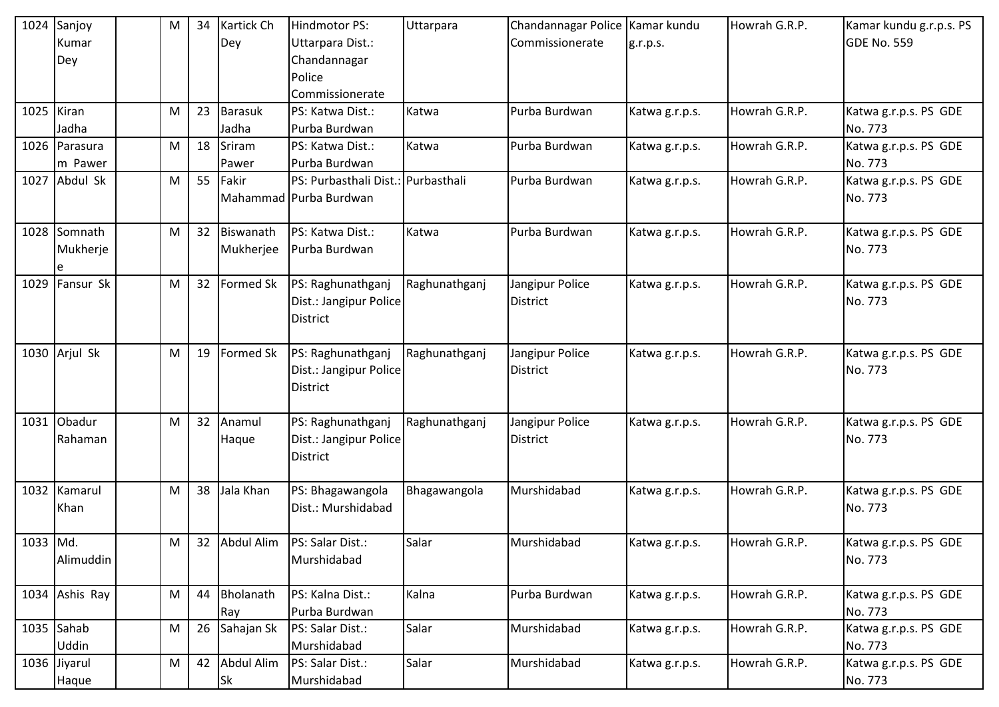|          | 1024 Sanjoy    | M         | 34 | <b>Kartick Ch</b> | Hindmotor PS:                      | Uttarpara     | Chandannagar Police   Kamar kundu |                | Howrah G.R.P. | Kamar kundu g.r.p.s. PS |
|----------|----------------|-----------|----|-------------------|------------------------------------|---------------|-----------------------------------|----------------|---------------|-------------------------|
|          | Kumar          |           |    | Dey               | Uttarpara Dist.:                   |               | Commissionerate                   | g.r.p.s.       |               | GDE No. 559             |
|          | Dey            |           |    |                   | Chandannagar                       |               |                                   |                |               |                         |
|          |                |           |    |                   | Police                             |               |                                   |                |               |                         |
|          |                |           |    |                   | Commissionerate                    |               |                                   |                |               |                         |
|          | 1025 Kiran     | M         | 23 | <b>Barasuk</b>    | PS: Katwa Dist.:                   | Katwa         | Purba Burdwan                     | Katwa g.r.p.s. | Howrah G.R.P. | Katwa g.r.p.s. PS GDE   |
|          | Jadha          |           |    | Jadha             | Purba Burdwan                      |               |                                   |                |               | No. 773                 |
|          | 1026 Parasura  | M         | 18 | Sriram            | PS: Katwa Dist.:                   | Katwa         | Purba Burdwan                     | Katwa g.r.p.s. | Howrah G.R.P. | Katwa g.r.p.s. PS GDE   |
|          | m Pawer        |           |    | Pawer             | Purba Burdwan                      |               |                                   |                |               | No. 773                 |
|          | 1027 Abdul Sk  | M         | 55 | Fakir             | PS: Purbasthali Dist.: Purbasthali |               | Purba Burdwan                     | Katwa g.r.p.s. | Howrah G.R.P. | Katwa g.r.p.s. PS GDE   |
|          |                |           |    |                   | Mahammad Purba Burdwan             |               |                                   |                |               | No. 773                 |
|          |                |           |    |                   |                                    |               |                                   |                |               |                         |
|          | 1028 Somnath   | M         | 32 | Biswanath         | PS: Katwa Dist.:                   | Katwa         | Purba Burdwan                     | Katwa g.r.p.s. | Howrah G.R.P. | Katwa g.r.p.s. PS GDE   |
|          | Mukherje       |           |    | Mukherjee         | Purba Burdwan                      |               |                                   |                |               | No. 773                 |
|          | e              |           |    |                   |                                    |               |                                   |                |               |                         |
|          | 1029 Fansur Sk | ${\sf M}$ | 32 | Formed Sk         | PS: Raghunathganj                  | Raghunathganj | Jangipur Police                   | Katwa g.r.p.s. | Howrah G.R.P. | Katwa g.r.p.s. PS GDE   |
|          |                |           |    |                   | Dist.: Jangipur Police             |               | <b>District</b>                   |                |               | No. 773                 |
|          |                |           |    |                   | <b>District</b>                    |               |                                   |                |               |                         |
|          |                |           |    |                   |                                    |               |                                   |                |               |                         |
|          | 1030 Arjul Sk  | M         | 19 | <b>Formed Sk</b>  | PS: Raghunathganj                  | Raghunathganj | Jangipur Police                   | Katwa g.r.p.s. | Howrah G.R.P. | Katwa g.r.p.s. PS GDE   |
|          |                |           |    |                   | Dist.: Jangipur Police             |               | <b>District</b>                   |                |               | No. 773                 |
|          |                |           |    |                   | <b>District</b>                    |               |                                   |                |               |                         |
|          |                |           |    |                   |                                    |               |                                   |                |               |                         |
|          | 1031 Obadur    | M         | 32 | Anamul            | PS: Raghunathganj                  | Raghunathganj | Jangipur Police                   | Katwa g.r.p.s. | Howrah G.R.P. | Katwa g.r.p.s. PS GDE   |
|          | Rahaman        |           |    | Haque             | Dist.: Jangipur Police             |               | <b>District</b>                   |                |               | No. 773                 |
|          |                |           |    |                   | <b>District</b>                    |               |                                   |                |               |                         |
|          |                |           |    |                   |                                    |               |                                   |                |               |                         |
|          | 1032 Kamarul   | M         | 38 | Jala Khan         | PS: Bhagawangola                   | Bhagawangola  | Murshidabad                       | Katwa g.r.p.s. | Howrah G.R.P. | Katwa g.r.p.s. PS GDE   |
|          | Khan           |           |    |                   | Dist.: Murshidabad                 |               |                                   |                |               | No. 773                 |
|          |                |           |    |                   |                                    |               |                                   |                |               |                         |
| 1033 Md. |                | M         |    | 32 Abdul Alim     | PS: Salar Dist.:                   | Salar         | Murshidabad                       | Katwa g.r.p.s. | Howrah G.R.P. | Katwa g.r.p.s. PS GDE   |
|          | Alimuddin      |           |    |                   | Murshidabad                        |               |                                   |                |               | No. 773                 |
|          |                |           |    |                   |                                    |               |                                   |                |               |                         |
|          | 1034 Ashis Ray | M         | 44 | Bholanath         | PS: Kalna Dist.:                   | Kalna         | Purba Burdwan                     | Katwa g.r.p.s. | Howrah G.R.P. | Katwa g.r.p.s. PS GDE   |
|          |                |           |    | Ray               | Purba Burdwan                      |               |                                   |                |               | No. 773                 |
|          | $1035$ Sahab   | M         | 26 | Sahajan Sk        | PS: Salar Dist.:                   | Salar         | Murshidabad                       | Katwa g.r.p.s. | Howrah G.R.P. | Katwa g.r.p.s. PS GDE   |
|          | <b>Uddin</b>   |           |    |                   | Murshidabad                        |               |                                   |                |               | No. 773                 |
|          | 1036 Jiyarul   | M         | 42 | Abdul Alim        | PS: Salar Dist.:                   | Salar         | Murshidabad                       | Katwa g.r.p.s. | Howrah G.R.P. | Katwa g.r.p.s. PS GDE   |
|          | Haque          |           |    | Sk                | Murshidabad                        |               |                                   |                |               | No. 773                 |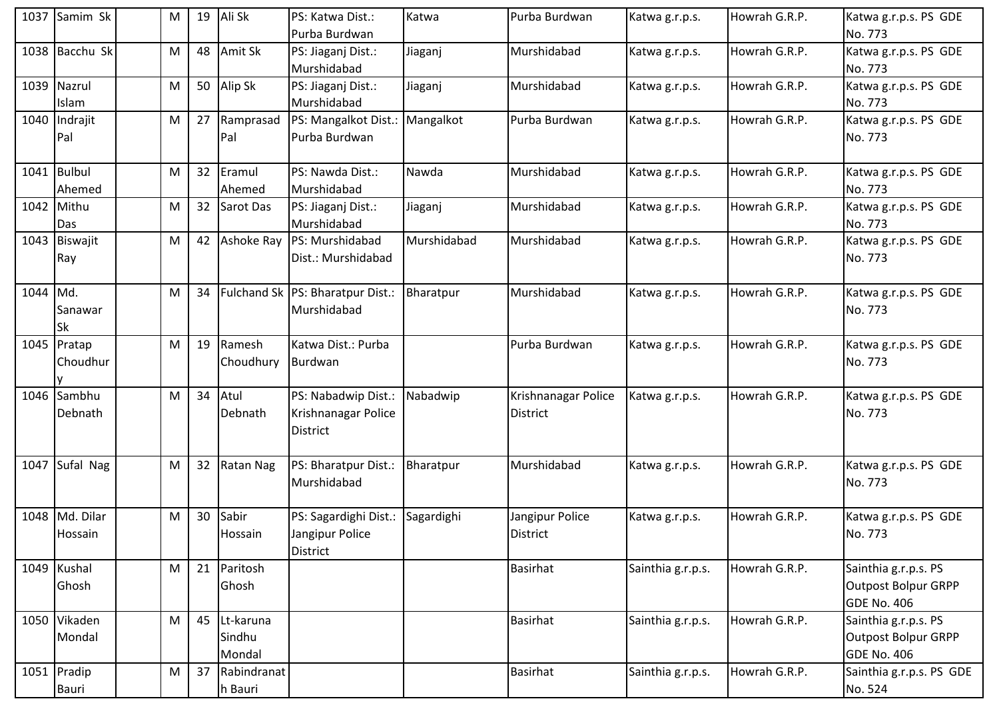|          | 1037 Samim Sk             | M                                                                                                          | 19 | Ali Sk                        | PS: Katwa Dist.:<br>Purba Burdwan                      | Katwa       | Purba Burdwan                          | Katwa g.r.p.s.    | Howrah G.R.P. | Katwa g.r.p.s. PS GDE<br>No. 773                                         |
|----------|---------------------------|------------------------------------------------------------------------------------------------------------|----|-------------------------------|--------------------------------------------------------|-------------|----------------------------------------|-------------------|---------------|--------------------------------------------------------------------------|
|          | 1038 Bacchu Sk            | M                                                                                                          | 48 | Amit Sk                       | PS: Jiaganj Dist.:<br>Murshidabad                      | Jiaganj     | Murshidabad                            | Katwa g.r.p.s.    | Howrah G.R.P. | Katwa g.r.p.s. PS GDE<br>No. 773                                         |
|          | 1039 Nazrul<br>Islam      | M                                                                                                          | 50 | Alip Sk                       | PS: Jiaganj Dist.:<br>Murshidabad                      | Jiaganj     | Murshidabad                            | Katwa g.r.p.s.    | Howrah G.R.P. | Katwa g.r.p.s. PS GDE<br>No. 773                                         |
|          | 1040 Indrajit<br>Pal      | M                                                                                                          | 27 | Ramprasad<br>Pal              | PS: Mangalkot Dist.: Mangalkot<br>Purba Burdwan        |             | Purba Burdwan                          | Katwa g.r.p.s.    | Howrah G.R.P. | Katwa g.r.p.s. PS GDE<br>No. 773                                         |
|          | 1041 Bulbul<br>Ahemed     | M                                                                                                          | 32 | Eramul<br>Ahemed              | PS: Nawda Dist.:<br>Murshidabad                        | Nawda       | Murshidabad                            | Katwa g.r.p.s.    | Howrah G.R.P. | Katwa g.r.p.s. PS GDE<br>No. 773                                         |
|          | 1042 Mithu<br>Das         | M                                                                                                          | 32 | Sarot Das                     | PS: Jiaganj Dist.:<br>Murshidabad                      | Jiaganj     | Murshidabad                            | Katwa g.r.p.s.    | Howrah G.R.P. | Katwa g.r.p.s. PS GDE<br>No. 773                                         |
|          | 1043 Biswajit<br>Ray      | M                                                                                                          | 42 | Ashoke Ray                    | PS: Murshidabad<br>Dist.: Murshidabad                  | Murshidabad | Murshidabad                            | Katwa g.r.p.s.    | Howrah G.R.P. | Katwa g.r.p.s. PS GDE<br>No. 773                                         |
| 1044 Md. | Sanawar<br><b>Sk</b>      | M                                                                                                          | 34 |                               | Fulchand Sk PS: Bharatpur Dist.:<br>Murshidabad        | Bharatpur   | Murshidabad                            | Katwa g.r.p.s.    | Howrah G.R.P. | Katwa g.r.p.s. PS GDE<br>No. 773                                         |
|          | 1045 Pratap<br>Choudhur   | M                                                                                                          | 19 | Ramesh<br>Choudhury           | Katwa Dist.: Purba<br>Burdwan                          |             | Purba Burdwan                          | Katwa g.r.p.s.    | Howrah G.R.P. | Katwa g.r.p.s. PS GDE<br>No. 773                                         |
| 1046     | Sambhu<br>Debnath         | M                                                                                                          | 34 | Atul<br>Debnath               | PS: Nabadwip Dist.:<br>Krishnanagar Police<br>District | Nabadwip    | Krishnanagar Police<br><b>District</b> | Katwa g.r.p.s.    | Howrah G.R.P. | Katwa g.r.p.s. PS GDE<br>No. 773                                         |
|          | 1047 Sufal Nag            | M                                                                                                          | 32 | <b>Ratan Nag</b>              | PS: Bharatpur Dist.:<br>Murshidabad                    | Bharatpur   | Murshidabad                            | Katwa g.r.p.s.    | Howrah G.R.P. | Katwa g.r.p.s. PS GDE<br>No. 773                                         |
|          | 1048 Md. Dilar<br>Hossain | M                                                                                                          | 30 | Sabir<br>Hossain              | PS: Sagardighi Dist.:<br>Jangipur Police<br>District   | Sagardighi  | Jangipur Police<br><b>District</b>     | Katwa g.r.p.s.    | Howrah G.R.P. | Katwa g.r.p.s. PS GDE<br>No. 773                                         |
|          | 1049 Kushal<br>Ghosh      | $\mathsf{M}% _{T}=\mathsf{M}_{T}\!\left( a,b\right) ,\ \mathsf{M}_{T}=\mathsf{M}_{T}\!\left( a,b\right) ,$ | 21 | Paritosh<br>Ghosh             |                                                        |             | <b>Basirhat</b>                        | Sainthia g.r.p.s. | Howrah G.R.P. | Sainthia g.r.p.s. PS<br><b>Outpost Bolpur GRPP</b><br><b>GDE No. 406</b> |
|          | 1050 Vikaden<br>Mondal    | M                                                                                                          | 45 | Lt-karuna<br>Sindhu<br>Mondal |                                                        |             | <b>Basirhat</b>                        | Sainthia g.r.p.s. | Howrah G.R.P. | Sainthia g.r.p.s. PS<br><b>Outpost Bolpur GRPP</b><br><b>GDE No. 406</b> |
|          | 1051 Pradip<br>Bauri      | M                                                                                                          | 37 | Rabindranat<br>h Bauri        |                                                        |             | <b>Basirhat</b>                        | Sainthia g.r.p.s. | Howrah G.R.P. | Sainthia g.r.p.s. PS GDE<br>No. 524                                      |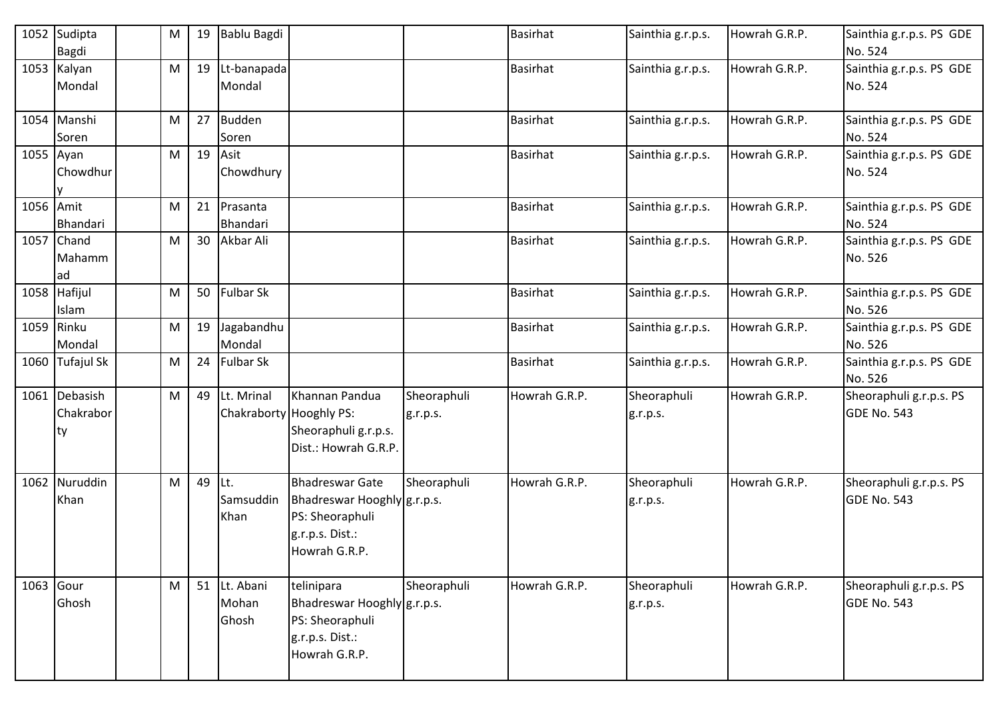|           | 1052 Sudipta<br>Bagdi            | M         | 19 | Bablu Bagdi                 |                                                                                                              |                         | <b>Basirhat</b> | Sainthia g.r.p.s.       | Howrah G.R.P. | Sainthia g.r.p.s. PS GDE<br>No. 524           |
|-----------|----------------------------------|-----------|----|-----------------------------|--------------------------------------------------------------------------------------------------------------|-------------------------|-----------------|-------------------------|---------------|-----------------------------------------------|
|           | 1053 Kalyan<br>Mondal            | M         | 19 | Lt-banapada<br>Mondal       |                                                                                                              |                         | <b>Basirhat</b> | Sainthia g.r.p.s.       | Howrah G.R.P. | Sainthia g.r.p.s. PS GDE<br>No. 524           |
|           | 1054 Manshi<br>Soren             | M         | 27 | <b>Budden</b><br>Soren      |                                                                                                              |                         | <b>Basirhat</b> | Sainthia g.r.p.s.       | Howrah G.R.P. | Sainthia g.r.p.s. PS GDE<br>No. 524           |
| 1055 Ayan | Chowdhur                         | M         | 19 | Asit<br>Chowdhury           |                                                                                                              |                         | <b>Basirhat</b> | Sainthia g.r.p.s.       | Howrah G.R.P. | Sainthia g.r.p.s. PS GDE<br>No. 524           |
| 1056 Amit | Bhandari                         | M         | 21 | Prasanta<br>Bhandari        |                                                                                                              |                         | <b>Basirhat</b> | Sainthia g.r.p.s.       | Howrah G.R.P. | Sainthia g.r.p.s. PS GDE<br>No. 524           |
|           | 1057 Chand<br>Mahamm<br>ad       | M         | 30 | Akbar Ali                   |                                                                                                              |                         | Basirhat        | Sainthia g.r.p.s.       | Howrah G.R.P. | Sainthia g.r.p.s. PS GDE<br>No. 526           |
|           | 1058 Hafijul<br>Islam            | M         | 50 | <b>Fulbar Sk</b>            |                                                                                                              |                         | <b>Basirhat</b> | Sainthia g.r.p.s.       | Howrah G.R.P. | Sainthia g.r.p.s. PS GDE<br>No. 526           |
|           | 1059 Rinku<br>Mondal             | ${\sf M}$ | 19 | Jagabandhu<br>Mondal        |                                                                                                              |                         | <b>Basirhat</b> | Sainthia g.r.p.s.       | Howrah G.R.P. | Sainthia g.r.p.s. PS GDE<br>No. 526           |
|           | 1060 Tufajul Sk                  | M         | 24 | <b>Fulbar Sk</b>            |                                                                                                              |                         | <b>Basirhat</b> | Sainthia g.r.p.s.       | Howrah G.R.P. | Sainthia g.r.p.s. PS GDE<br>No. 526           |
|           | 1061 Debasish<br>Chakrabor<br>ty | M         | 49 | Lt. Mrinal                  | Khannan Pandua<br>Chakraborty Hooghly PS:<br>Sheoraphuli g.r.p.s.<br>Dist.: Howrah G.R.P.                    | Sheoraphuli<br>g.r.p.s. | Howrah G.R.P.   | Sheoraphuli<br>g.r.p.s. | Howrah G.R.P. | Sheoraphuli g.r.p.s. PS<br>GDE No. 543        |
|           | 1062 Nuruddin<br>Khan            | M         | 49 | Lt.<br>Samsuddin<br>Khan    | <b>Bhadreswar Gate</b><br>Bhadreswar Hooghly g.r.p.s.<br>PS: Sheoraphuli<br>g.r.p.s. Dist.:<br>Howrah G.R.P. | Sheoraphuli             | Howrah G.R.P.   | Sheoraphuli<br>g.r.p.s. | Howrah G.R.P. | Sheoraphuli g.r.p.s. PS<br>GDE No. 543        |
|           | 1063 Gour<br>Ghosh               | M         | 51 | Lt. Abani<br>Mohan<br>Ghosh | telinipara<br>Bhadreswar Hooghly g.r.p.s.<br>PS: Sheoraphuli<br>g.r.p.s. Dist.:<br>Howrah G.R.P.             | Sheoraphuli             | Howrah G.R.P.   | Sheoraphuli<br>g.r.p.s. | Howrah G.R.P. | Sheoraphuli g.r.p.s. PS<br><b>GDE No. 543</b> |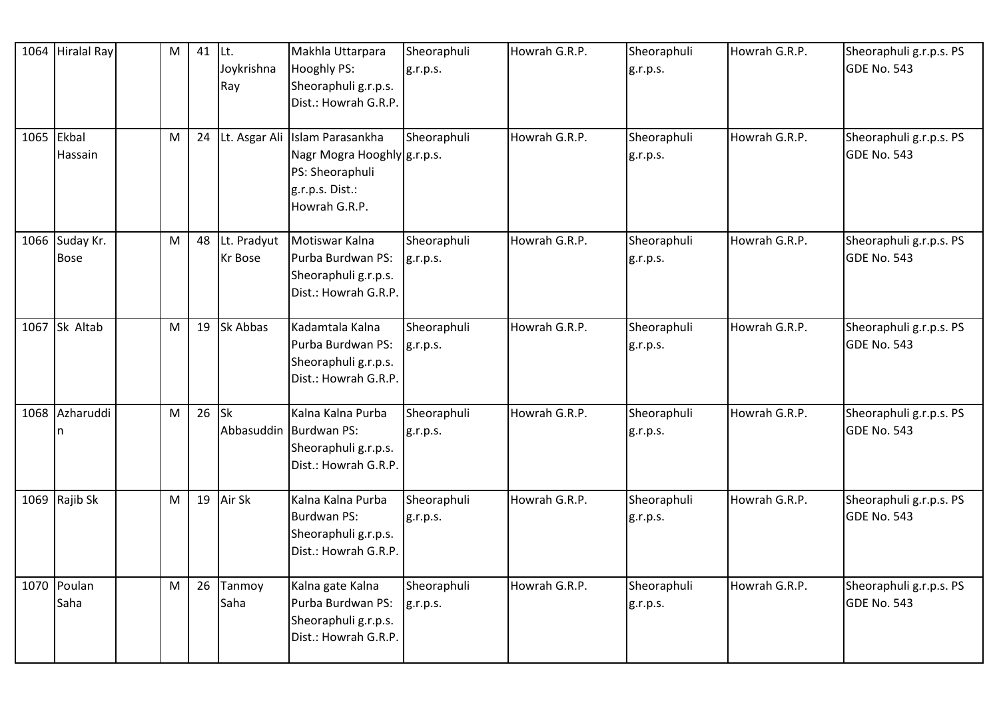| 1064 | <b>Hiralal Ray</b>            | $\mathsf{M}% _{T}=\mathsf{M}_{T}\!\left( a,b\right) ,\ \mathsf{M}_{T}=\mathsf{M}_{T}$ | 41 | ILt.<br>Joykrishna<br>Ray | Makhla Uttarpara<br>Hooghly PS:<br>Sheoraphuli g.r.p.s.<br>Dist.: Howrah G.R.P.                                      | Sheoraphuli<br>g.r.p.s. | Howrah G.R.P. | Sheoraphuli<br>g.r.p.s. | Howrah G.R.P. | Sheoraphuli g.r.p.s. PS<br><b>GDE No. 543</b> |
|------|-------------------------------|---------------------------------------------------------------------------------------|----|---------------------------|----------------------------------------------------------------------------------------------------------------------|-------------------------|---------------|-------------------------|---------------|-----------------------------------------------|
|      | 1065 Ekbal<br>Hassain         | M                                                                                     | 24 |                           | Lt. Asgar Ali Islam Parasankha<br>Nagr Mogra Hooghly g.r.p.s.<br>PS: Sheoraphuli<br>g.r.p.s. Dist.:<br>Howrah G.R.P. | Sheoraphuli             | Howrah G.R.P. | Sheoraphuli<br>g.r.p.s. | Howrah G.R.P. | Sheoraphuli g.r.p.s. PS<br>GDE No. 543        |
|      | 1066 Suday Kr.<br><b>Bose</b> | ${\sf M}$                                                                             | 48 | Lt. Pradyut<br>Kr Bose    | Motiswar Kalna<br>Purba Burdwan PS:<br>Sheoraphuli g.r.p.s.<br>Dist.: Howrah G.R.P.                                  | Sheoraphuli<br>g.r.p.s. | Howrah G.R.P. | Sheoraphuli<br>g.r.p.s. | Howrah G.R.P. | Sheoraphuli g.r.p.s. PS<br>GDE No. 543        |
|      | 1067 Sk Altab                 | $\mathsf{M}% _{T}=\mathsf{M}_{T}\!\left( a,b\right) ,\ \mathsf{M}_{T}=\mathsf{M}_{T}$ | 19 | Sk Abbas                  | Kadamtala Kalna<br>Purba Burdwan PS:<br>Sheoraphuli g.r.p.s.<br>Dist.: Howrah G.R.P.                                 | Sheoraphuli<br>g.r.p.s. | Howrah G.R.P. | Sheoraphuli<br>g.r.p.s. | Howrah G.R.P. | Sheoraphuli g.r.p.s. PS<br>GDE No. 543        |
|      | 1068 Azharuddi<br>n           | M                                                                                     | 26 | <b>Sk</b>                 | Kalna Kalna Purba<br>Abbasuddin Burdwan PS:<br>Sheoraphuli g.r.p.s.<br>Dist.: Howrah G.R.P.                          | Sheoraphuli<br>g.r.p.s. | Howrah G.R.P. | Sheoraphuli<br>g.r.p.s. | Howrah G.R.P. | Sheoraphuli g.r.p.s. PS<br>GDE No. 543        |
|      | 1069 Rajib Sk                 | M                                                                                     | 19 | Air Sk                    | Kalna Kalna Purba<br>Burdwan PS:<br>Sheoraphuli g.r.p.s.<br>Dist.: Howrah G.R.P.                                     | Sheoraphuli<br>g.r.p.s. | Howrah G.R.P. | Sheoraphuli<br>g.r.p.s. | Howrah G.R.P. | Sheoraphuli g.r.p.s. PS<br>GDE No. 543        |
|      | 1070 Poulan<br>Saha           | ${\sf M}$                                                                             | 26 | Tanmoy<br>Saha            | Kalna gate Kalna<br>Purba Burdwan PS:<br>Sheoraphuli g.r.p.s.<br>Dist.: Howrah G.R.P.                                | Sheoraphuli<br>g.r.p.s. | Howrah G.R.P. | Sheoraphuli<br>g.r.p.s. | Howrah G.R.P. | Sheoraphuli g.r.p.s. PS<br>GDE No. 543        |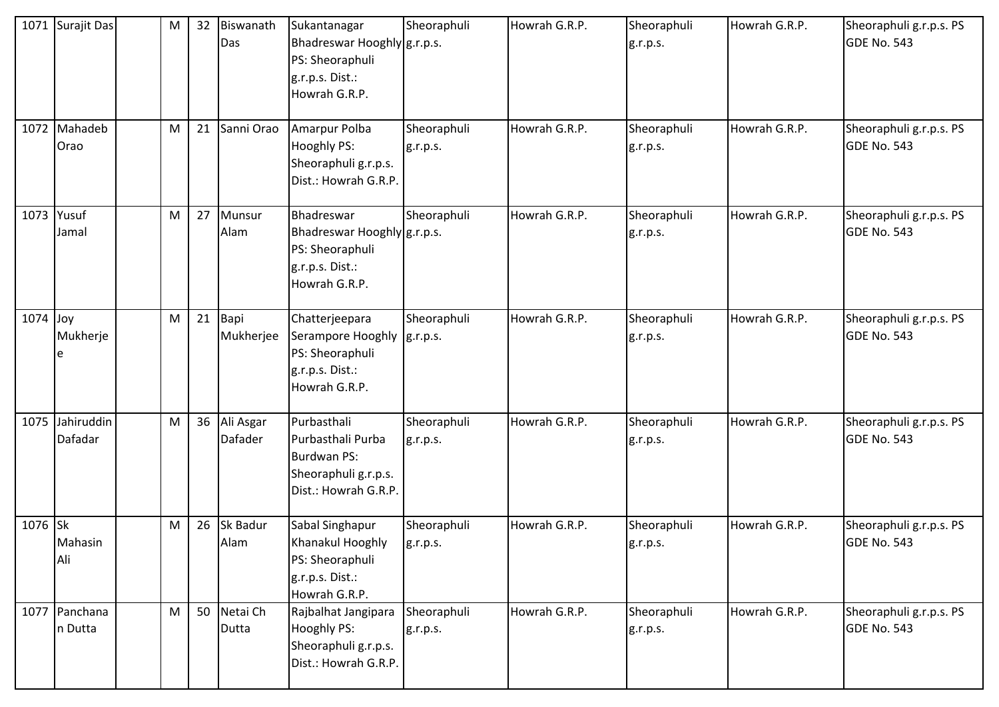|         | 1071 Surajit Das         | M         | 32 | Biswanath<br>Das     | Sukantanagar<br>Bhadreswar Hooghly g.r.p.s.<br>PS: Sheoraphuli<br>g.r.p.s. Dist.:<br>Howrah G.R.P.   | Sheoraphuli             | Howrah G.R.P. | Sheoraphuli<br>g.r.p.s. | Howrah G.R.P. | Sheoraphuli g.r.p.s. PS<br><b>GDE No. 543</b> |
|---------|--------------------------|-----------|----|----------------------|------------------------------------------------------------------------------------------------------|-------------------------|---------------|-------------------------|---------------|-----------------------------------------------|
|         | 1072 Mahadeb<br>Orao     | M         | 21 | Sanni Orao           | Amarpur Polba<br>Hooghly PS:<br>Sheoraphuli g.r.p.s.<br>Dist.: Howrah G.R.P.                         | Sheoraphuli<br>g.r.p.s. | Howrah G.R.P. | Sheoraphuli<br>g.r.p.s. | Howrah G.R.P. | Sheoraphuli g.r.p.s. PS<br><b>GDE No. 543</b> |
| 1073    | Yusuf<br>Jamal           | M         | 27 | Munsur<br>Alam       | Bhadreswar<br>Bhadreswar Hooghly g.r.p.s.<br>PS: Sheoraphuli<br>g.r.p.s. Dist.:<br>Howrah G.R.P.     | Sheoraphuli             | Howrah G.R.P. | Sheoraphuli<br>g.r.p.s. | Howrah G.R.P. | Sheoraphuli g.r.p.s. PS<br><b>GDE No. 543</b> |
| 1074    | Joy<br>Mukherje          | ${\sf M}$ | 21 | Bapi<br>Mukherjee    | Chatterjeepara<br>Serampore Hooghly  g.r.p.s.<br>PS: Sheoraphuli<br>g.r.p.s. Dist.:<br>Howrah G.R.P. | Sheoraphuli             | Howrah G.R.P. | Sheoraphuli<br>g.r.p.s. | Howrah G.R.P. | Sheoraphuli g.r.p.s. PS<br><b>GDE No. 543</b> |
| 1075    | Jahiruddin<br>Dafadar    | M         | 36 | Ali Asgar<br>Dafader | Purbasthali<br>Purbasthali Purba<br>Burdwan PS:<br>Sheoraphuli g.r.p.s.<br>Dist.: Howrah G.R.P.      | Sheoraphuli<br>g.r.p.s. | Howrah G.R.P. | Sheoraphuli<br>g.r.p.s. | Howrah G.R.P. | Sheoraphuli g.r.p.s. PS<br><b>GDE No. 543</b> |
| 1076 Sk | Mahasin<br>Ali           | ${\sf M}$ | 26 | Sk Badur<br>Alam     | Sabal Singhapur<br>Khanakul Hooghly<br>PS: Sheoraphuli<br>g.r.p.s. Dist.:<br>Howrah G.R.P.           | Sheoraphuli<br>g.r.p.s. | Howrah G.R.P. | Sheoraphuli<br>g.r.p.s. | Howrah G.R.P. | Sheoraphuli g.r.p.s. PS<br>GDE No. 543        |
|         | 1077 Panchana<br>n Dutta | M         | 50 | Netai Ch<br>Dutta    | Rajbalhat Jangipara<br>Hooghly PS:<br>Sheoraphuli g.r.p.s.<br>Dist.: Howrah G.R.P.                   | Sheoraphuli<br>g.r.p.s. | Howrah G.R.P. | Sheoraphuli<br>g.r.p.s. | Howrah G.R.P. | Sheoraphuli g.r.p.s. PS<br><b>GDE No. 543</b> |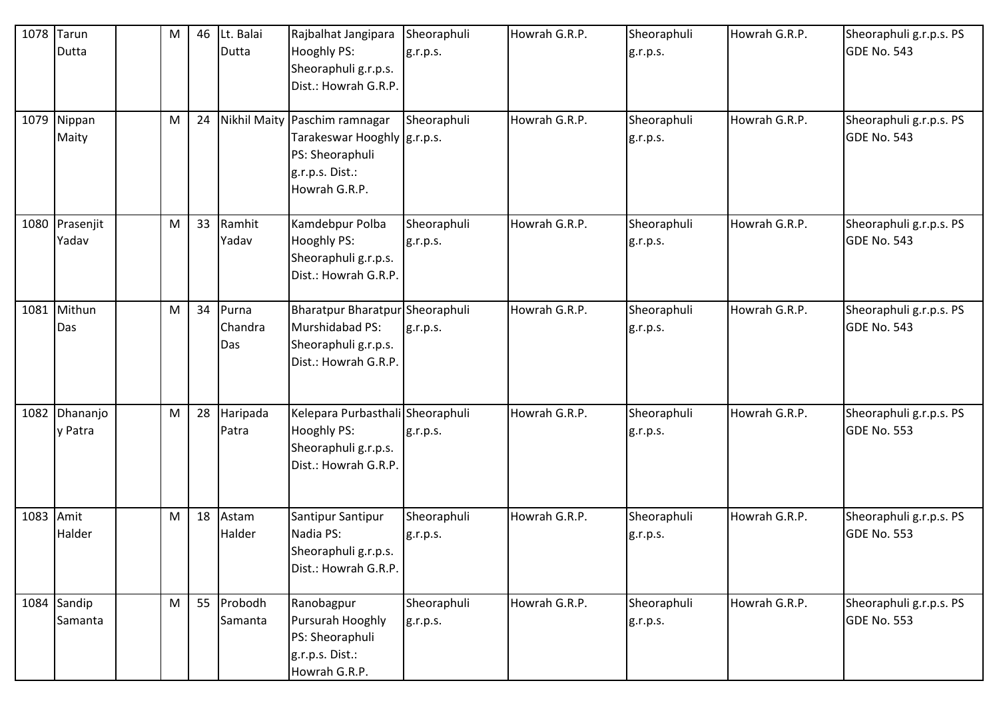| 1078      | Tarun<br>Dutta         | ${\sf M}$                                                                             | 46 | Lt. Balai<br>Dutta      | Rajbalhat Jangipara<br>Hooghly PS:<br>Sheoraphuli g.r.p.s.<br>Dist.: Howrah G.R.P.                                    | Sheoraphuli<br>g.r.p.s. | Howrah G.R.P. | Sheoraphuli<br>g.r.p.s. | Howrah G.R.P. | Sheoraphuli g.r.p.s. PS<br>GDE No. 543        |
|-----------|------------------------|---------------------------------------------------------------------------------------|----|-------------------------|-----------------------------------------------------------------------------------------------------------------------|-------------------------|---------------|-------------------------|---------------|-----------------------------------------------|
|           | 1079 Nippan<br>Maity   | ${\sf M}$                                                                             | 24 |                         | Nikhil Maity Paschim ramnagar<br>Tarakeswar Hooghly   g.r.p.s.<br>PS: Sheoraphuli<br>g.r.p.s. Dist.:<br>Howrah G.R.P. | Sheoraphuli             | Howrah G.R.P. | Sheoraphuli<br>g.r.p.s. | Howrah G.R.P. | Sheoraphuli g.r.p.s. PS<br>GDE No. 543        |
| 1080      | Prasenjit<br>Yadav     | $\mathsf{M}% _{T}=\mathsf{M}_{T}\!\left( a,b\right) ,\ \mathsf{M}_{T}=\mathsf{M}_{T}$ | 33 | Ramhit<br>Yadav         | Kamdebpur Polba<br>Hooghly PS:<br>Sheoraphuli g.r.p.s.<br>Dist.: Howrah G.R.P.                                        | Sheoraphuli<br>g.r.p.s. | Howrah G.R.P. | Sheoraphuli<br>g.r.p.s. | Howrah G.R.P. | Sheoraphuli g.r.p.s. PS<br>GDE No. 543        |
| 1081      | Mithun<br>Das          | M                                                                                     | 34 | Purna<br>Chandra<br>Das | Bharatpur Bharatpur Sheoraphuli<br>Murshidabad PS:<br>Sheoraphuli g.r.p.s.<br>Dist.: Howrah G.R.P.                    | g.r.p.s.                | Howrah G.R.P. | Sheoraphuli<br>g.r.p.s. | Howrah G.R.P. | Sheoraphuli g.r.p.s. PS<br>GDE No. 543        |
| 1082      | Dhananjo<br>y Patra    | M                                                                                     | 28 | Haripada<br>Patra       | Kelepara Purbasthali Sheoraphuli<br>Hooghly PS:<br>Sheoraphuli g.r.p.s.<br>Dist.: Howrah G.R.P.                       | g.r.p.s.                | Howrah G.R.P. | Sheoraphuli<br>g.r.p.s. | Howrah G.R.P. | Sheoraphuli g.r.p.s. PS<br>GDE No. 553        |
| 1083 Amit | Halder                 | M                                                                                     | 18 | Astam<br>Halder         | Santipur Santipur<br>Nadia PS:<br>Sheoraphuli g.r.p.s.<br>Dist.: Howrah G.R.P.                                        | Sheoraphuli<br>g.r.p.s. | Howrah G.R.P. | Sheoraphuli<br>g.r.p.s. | Howrah G.R.P. | Sheoraphuli g.r.p.s. PS<br>GDE No. 553        |
|           | 1084 Sandip<br>Samanta | M                                                                                     | 55 | Probodh<br>Samanta      | Ranobagpur<br>Pursurah Hooghly<br>PS: Sheoraphuli<br>g.r.p.s. Dist.:<br>Howrah G.R.P.                                 | Sheoraphuli<br>g.r.p.s. | Howrah G.R.P. | Sheoraphuli<br>g.r.p.s. | Howrah G.R.P. | Sheoraphuli g.r.p.s. PS<br><b>GDE No. 553</b> |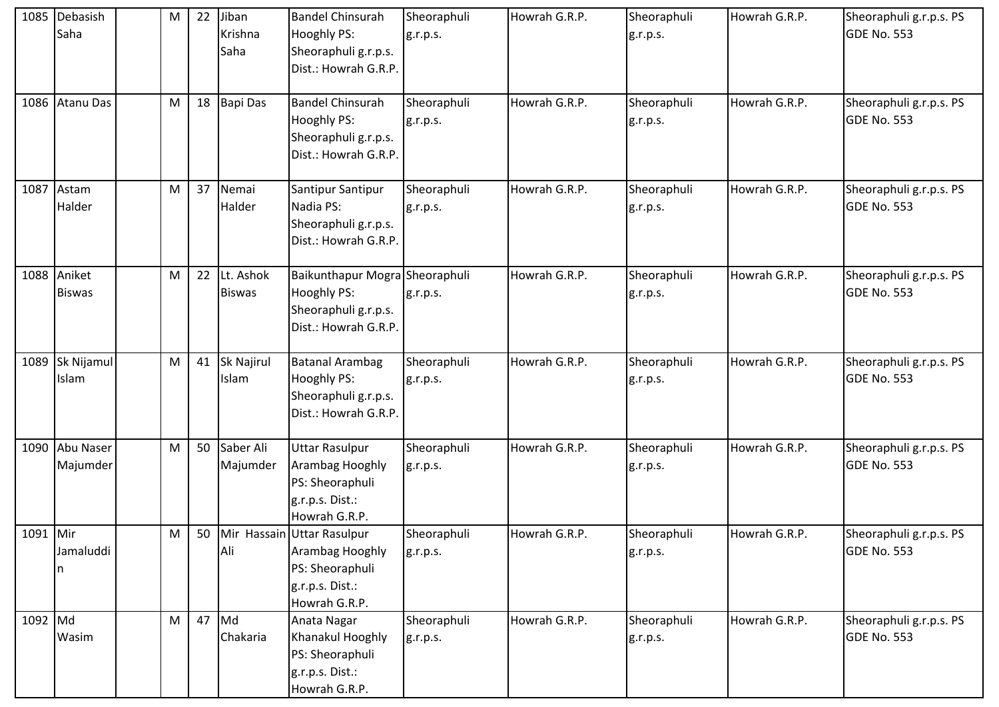|          | 1085 Debasish<br>Saha        | M | 22 | Jiban<br>Krishna<br>Saha   | <b>Bandel Chinsurah</b><br>Hooghly PS:<br>Sheoraphuli g.r.p.s.<br>Dist.: Howrah G.R.P.               | Sheoraphuli<br>g.r.p.s. | Howrah G.R.P. | Sheoraphuli<br>g.r.p.s. | Howrah G.R.P. | Sheoraphuli g.r.p.s. PS<br><b>GDE No. 553</b> |
|----------|------------------------------|---|----|----------------------------|------------------------------------------------------------------------------------------------------|-------------------------|---------------|-------------------------|---------------|-----------------------------------------------|
|          | 1086 Atanu Das               | M | 18 | <b>Bapi Das</b>            | <b>Bandel Chinsurah</b><br>Hooghly PS:<br>Sheoraphuli g.r.p.s.<br>Dist.: Howrah G.R.P.               | Sheoraphuli<br>g.r.p.s. | Howrah G.R.P. | Sheoraphuli<br>g.r.p.s. | Howrah G.R.P. | Sheoraphuli g.r.p.s. PS<br><b>GDE No. 553</b> |
|          | 1087 Astam<br>Halder         | M | 37 | Nemai<br>Halder            | Santipur Santipur<br>Nadia PS:<br>Sheoraphuli g.r.p.s.<br>Dist.: Howrah G.R.P.                       | Sheoraphuli<br>g.r.p.s. | Howrah G.R.P. | Sheoraphuli<br>g.r.p.s. | Howrah G.R.P. | Sheoraphuli g.r.p.s. PS<br>GDE No. 553        |
|          | 1088 Aniket<br><b>Biswas</b> | M | 22 | Lt. Ashok<br><b>Biswas</b> | Baikunthapur Mogra Sheoraphuli<br>Hooghly PS:<br>Sheoraphuli g.r.p.s.<br>Dist.: Howrah G.R.P.        | g.r.p.s.                | Howrah G.R.P. | Sheoraphuli<br>g.r.p.s. | Howrah G.R.P. | Sheoraphuli g.r.p.s. PS<br><b>GDE No. 553</b> |
|          | 1089 Sk Nijamul<br>Islam     | M | 41 | Sk Najirul<br>Islam        | <b>Batanal Arambag</b><br>Hooghly PS:<br>Sheoraphuli g.r.p.s.<br>Dist.: Howrah G.R.P.                | Sheoraphuli<br>g.r.p.s. | Howrah G.R.P. | Sheoraphuli<br>g.r.p.s. | Howrah G.R.P. | Sheoraphuli g.r.p.s. PS<br><b>GDE No. 553</b> |
|          | 1090 Abu Naser<br>Majumder   | M | 50 | Saber Ali<br>Majumder      | <b>Uttar Rasulpur</b><br>Arambag Hooghly<br>PS: Sheoraphuli<br>g.r.p.s. Dist.:<br>Howrah G.R.P.      | Sheoraphuli<br>g.r.p.s. | Howrah G.R.P. | Sheoraphuli<br>g.r.p.s. | Howrah G.R.P. | Sheoraphuli g.r.p.s. PS<br><b>GDE No. 553</b> |
| 1091 Mir | Jamaluddi<br>n               | M | 50 | Ali                        | Mir Hassain Uttar Rasulpur<br>Arambag Hooghly<br>PS: Sheoraphuli<br>g.r.p.s. Dist.:<br>Howrah G.R.P. | Sheoraphuli<br>g.r.p.s. | Howrah G.R.P. | Sheoraphuli<br>g.r.p.s. | Howrah G.R.P. | Sheoraphuli g.r.p.s. PS<br><b>GDE No. 553</b> |
| 1092 Md  | Wasim                        | M | 47 | Md<br>Chakaria             | Anata Nagar<br>Khanakul Hooghly<br>PS: Sheoraphuli<br>g.r.p.s. Dist.:<br>Howrah G.R.P.               | Sheoraphuli<br>g.r.p.s. | Howrah G.R.P. | Sheoraphuli<br>g.r.p.s. | Howrah G.R.P. | Sheoraphuli g.r.p.s. PS<br><b>GDE No. 553</b> |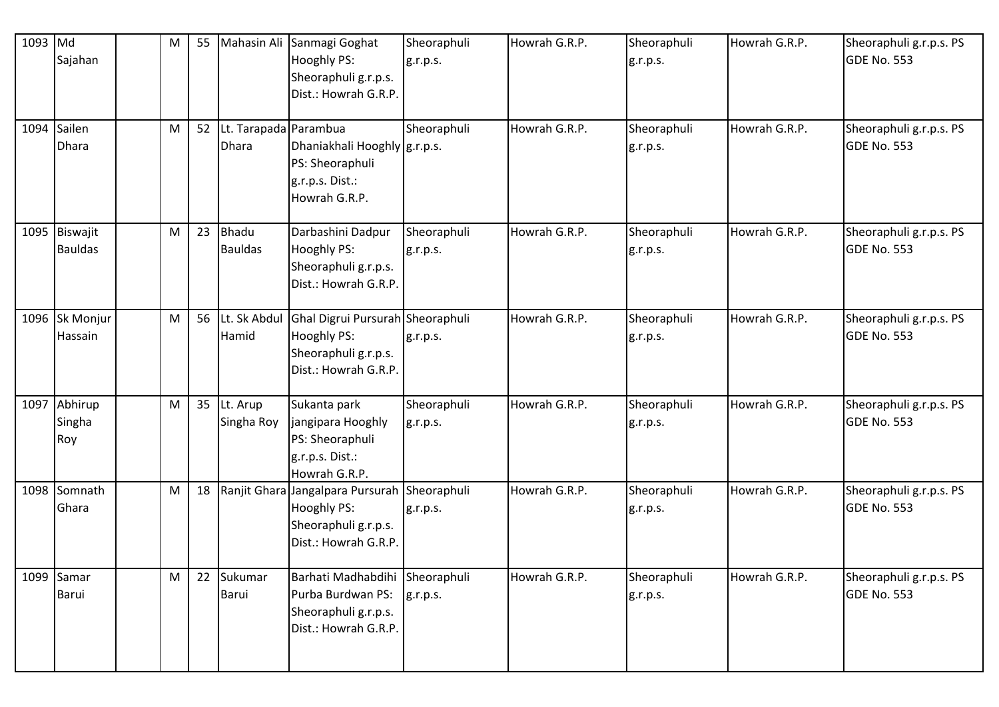| 1093 Md | Sajahan                         | ${\sf M}$ | 55 |                                       | Mahasin Ali Sanmagi Goghat<br>Hooghly PS:<br>Sheoraphuli g.r.p.s.<br>Dist.: Howrah G.R.P.                   | Sheoraphuli<br>g.r.p.s. | Howrah G.R.P. | Sheoraphuli<br>g.r.p.s. | Howrah G.R.P. | Sheoraphuli g.r.p.s. PS<br>GDE No. 553        |
|---------|---------------------------------|-----------|----|---------------------------------------|-------------------------------------------------------------------------------------------------------------|-------------------------|---------------|-------------------------|---------------|-----------------------------------------------|
| 1094    | Sailen<br><b>Dhara</b>          | ${\sf M}$ | 52 | Lt. Tarapada Parambua<br><b>Dhara</b> | Dhaniakhali Hooghly g.r.p.s.<br>PS: Sheoraphuli<br>g.r.p.s. Dist.:<br>Howrah G.R.P.                         | Sheoraphuli             | Howrah G.R.P. | Sheoraphuli<br>g.r.p.s. | Howrah G.R.P. | Sheoraphuli g.r.p.s. PS<br>GDE No. 553        |
|         | 1095 Biswajit<br><b>Bauldas</b> | ${\sf M}$ | 23 | <b>Bhadu</b><br><b>Bauldas</b>        | Darbashini Dadpur<br>Hooghly PS:<br>Sheoraphuli g.r.p.s.<br>Dist.: Howrah G.R.P.                            | Sheoraphuli<br>g.r.p.s. | Howrah G.R.P. | Sheoraphuli<br>g.r.p.s. | Howrah G.R.P. | Sheoraphuli g.r.p.s. PS<br>GDE No. 553        |
|         | 1096 Sk Monjur<br>Hassain       | ${\sf M}$ | 56 | Lt. Sk Abdul<br>Hamid                 | Ghal Digrui Pursurah Sheoraphuli<br>Hooghly PS:<br>Sheoraphuli g.r.p.s.<br>Dist.: Howrah G.R.P.             | g.r.p.s.                | Howrah G.R.P. | Sheoraphuli<br>g.r.p.s. | Howrah G.R.P. | Sheoraphuli g.r.p.s. PS<br>GDE No. 553        |
| 1097    | Abhirup<br>Singha<br>Roy        | M         | 35 | Lt. Arup<br>Singha Roy                | Sukanta park<br>jangipara Hooghly<br>PS: Sheoraphuli<br>g.r.p.s. Dist.:<br>Howrah G.R.P.                    | Sheoraphuli<br>g.r.p.s. | Howrah G.R.P. | Sheoraphuli<br>g.r.p.s. | Howrah G.R.P. | Sheoraphuli g.r.p.s. PS<br>GDE No. 553        |
| 1098    | Somnath<br>Ghara                | ${\sf M}$ | 18 |                                       | Ranjit Ghara Jangalpara Pursurah Sheoraphuli<br>Hooghly PS:<br>Sheoraphuli g.r.p.s.<br>Dist.: Howrah G.R.P. | g.r.p.s.                | Howrah G.R.P. | Sheoraphuli<br>g.r.p.s. | Howrah G.R.P. | Sheoraphuli g.r.p.s. PS<br>GDE No. 553        |
|         | 1099 Samar<br><b>Barui</b>      | M         | 22 | Sukumar<br>Barui                      | Barhati Madhabdihi Sheoraphuli<br>Purba Burdwan PS:<br>Sheoraphuli g.r.p.s.<br>Dist.: Howrah G.R.P.         | g.r.p.s.                | Howrah G.R.P. | Sheoraphuli<br>g.r.p.s. | Howrah G.R.P. | Sheoraphuli g.r.p.s. PS<br><b>GDE No. 553</b> |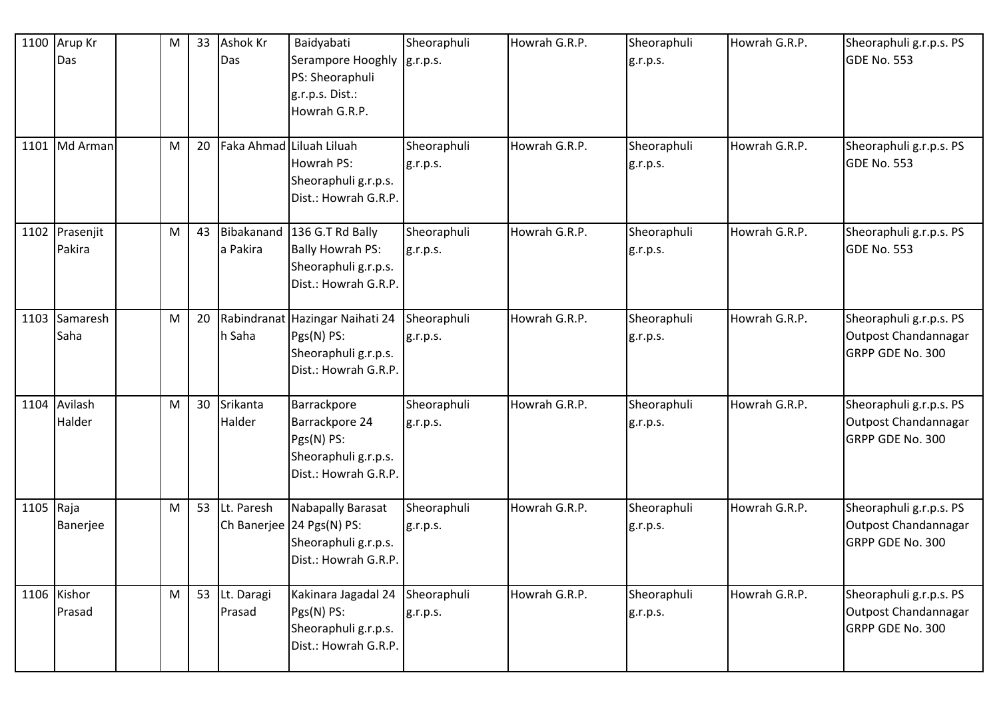| 1100      | Arup Kr<br>Das           | ${\sf M}$                                                                             | 33 | <b>Ashok Kr</b><br>Das | Baidyabati<br>Serampore Hooghly  g.r.p.s.<br>PS: Sheoraphuli<br>g.r.p.s. Dist.:<br>Howrah G.R.P. | Sheoraphuli             | Howrah G.R.P. | Sheoraphuli<br>g.r.p.s. | Howrah G.R.P. | Sheoraphuli g.r.p.s. PS<br>GDE No. 553                              |
|-----------|--------------------------|---------------------------------------------------------------------------------------|----|------------------------|--------------------------------------------------------------------------------------------------|-------------------------|---------------|-------------------------|---------------|---------------------------------------------------------------------|
| 1101      | Md Arman                 | M                                                                                     | 20 |                        | Faka Ahmad Liluah Liluah<br>Howrah PS:<br>Sheoraphuli g.r.p.s.<br>Dist.: Howrah G.R.P.           | Sheoraphuli<br>g.r.p.s. | Howrah G.R.P. | Sheoraphuli<br>g.r.p.s. | Howrah G.R.P. | Sheoraphuli g.r.p.s. PS<br>GDE No. 553                              |
|           | 1102 Prasenjit<br>Pakira | M                                                                                     | 43 | Bibakanand<br>a Pakira | 136 G.T Rd Bally<br><b>Bally Howrah PS:</b><br>Sheoraphuli g.r.p.s.<br>Dist.: Howrah G.R.P.      | Sheoraphuli<br>g.r.p.s. | Howrah G.R.P. | Sheoraphuli<br>g.r.p.s. | Howrah G.R.P. | Sheoraphuli g.r.p.s. PS<br>GDE No. 553                              |
| 1103      | Samaresh<br>Saha         | M                                                                                     | 20 | h Saha                 | Rabindranat Hazingar Naihati 24<br>Pgs(N) PS:<br>Sheoraphuli g.r.p.s.<br>Dist.: Howrah G.R.P.    | Sheoraphuli<br>g.r.p.s. | Howrah G.R.P. | Sheoraphuli<br>g.r.p.s. | Howrah G.R.P. | Sheoraphuli g.r.p.s. PS<br>Outpost Chandannagar<br>GRPP GDE No. 300 |
| 1104      | Avilash<br>Halder        | M                                                                                     | 30 | Srikanta<br>Halder     | Barrackpore<br>Barrackpore 24<br>Pgs(N) PS:<br>Sheoraphuli g.r.p.s.<br>Dist.: Howrah G.R.P.      | Sheoraphuli<br>g.r.p.s. | Howrah G.R.P. | Sheoraphuli<br>g.r.p.s. | Howrah G.R.P. | Sheoraphuli g.r.p.s. PS<br>Outpost Chandannagar<br>GRPP GDE No. 300 |
| 1105 Raja | Banerjee                 | M                                                                                     | 53 | Lt. Paresh             | Nabapally Barasat<br>Ch Banerjee 24 Pgs(N) PS:<br>Sheoraphuli g.r.p.s.<br>Dist.: Howrah G.R.P.   | Sheoraphuli<br>g.r.p.s. | Howrah G.R.P. | Sheoraphuli<br>g.r.p.s. | Howrah G.R.P. | Sheoraphuli g.r.p.s. PS<br>Outpost Chandannagar<br>GRPP GDE No. 300 |
|           | 1106 Kishor<br>Prasad    | $\mathsf{M}% _{T}=\mathsf{M}_{T}\!\left( a,b\right) ,\ \mathsf{M}_{T}=\mathsf{M}_{T}$ | 53 | Lt. Daragi<br>Prasad   | Kakinara Jagadal 24<br>Pgs(N) PS:<br>Sheoraphuli g.r.p.s.<br>Dist.: Howrah G.R.P.                | Sheoraphuli<br>g.r.p.s. | Howrah G.R.P. | Sheoraphuli<br>g.r.p.s. | Howrah G.R.P. | Sheoraphuli g.r.p.s. PS<br>Outpost Chandannagar<br>GRPP GDE No. 300 |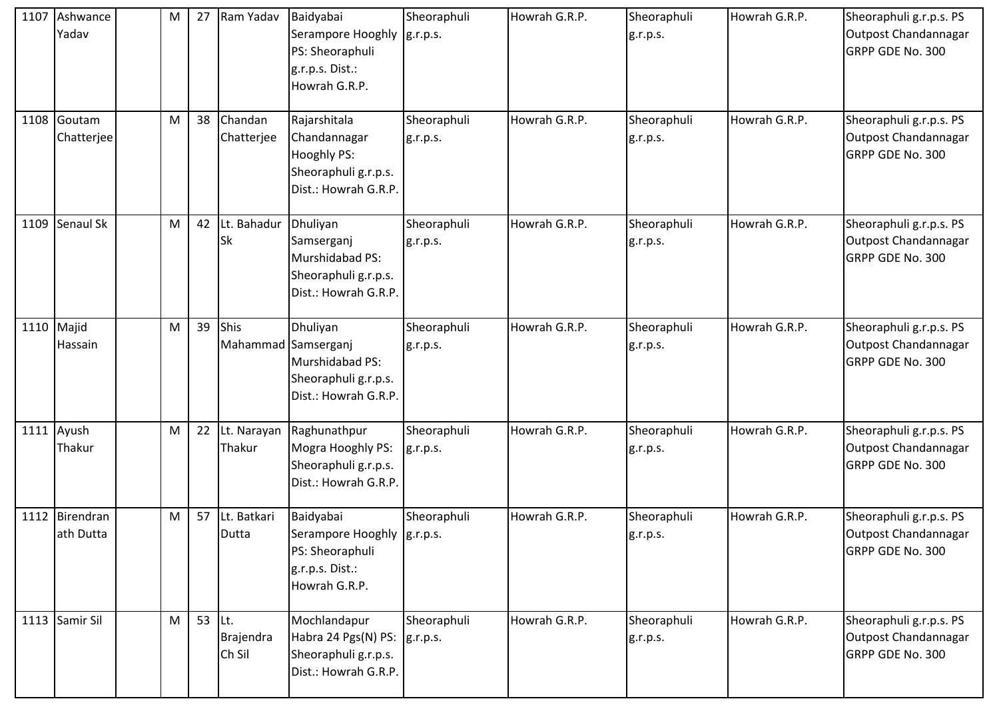|      | 1107 Ashwance<br>Yadav      | M | 27             | Ram Yadav                   | Baidyabai<br>Serampore Hooghly   g.r.p.s.<br>PS: Sheoraphuli<br>g.r.p.s. Dist.:<br>Howrah G.R.P. | Sheoraphuli             | Howrah G.R.P. | Sheoraphuli<br>g.r.p.s. | Howrah G.R.P. | Sheoraphuli g.r.p.s. PS<br>Outpost Chandannagar<br>GRPP GDE No. 300 |
|------|-----------------------------|---|----------------|-----------------------------|--------------------------------------------------------------------------------------------------|-------------------------|---------------|-------------------------|---------------|---------------------------------------------------------------------|
|      | 1108 Goutam<br>Chatterjee   | M | 38             | Chandan<br>Chatterjee       | Rajarshitala<br>Chandannagar<br>Hooghly PS:<br>Sheoraphuli g.r.p.s.<br>Dist.: Howrah G.R.P.      | Sheoraphuli<br>g.r.p.s. | Howrah G.R.P. | Sheoraphuli<br>g.r.p.s. | Howrah G.R.P. | Sheoraphuli g.r.p.s. PS<br>Outpost Chandannagar<br>GRPP GDE No. 300 |
| 1109 | Senaul Sk                   | M | 42             | Lt. Bahadur<br><b>Sk</b>    | Dhuliyan<br>Samserganj<br>Murshidabad PS:<br>Sheoraphuli g.r.p.s.<br>Dist.: Howrah G.R.P.        | Sheoraphuli<br>g.r.p.s. | Howrah G.R.P. | Sheoraphuli<br>g.r.p.s. | Howrah G.R.P. | Sheoraphuli g.r.p.s. PS<br>Outpost Chandannagar<br>GRPP GDE No. 300 |
|      | 1110 Majid<br>Hassain       | M | 39             | Shis<br>Mahammad Samserganj | Dhuliyan<br>Murshidabad PS:<br>Sheoraphuli g.r.p.s.<br>Dist.: Howrah G.R.P.                      | Sheoraphuli<br>g.r.p.s. | Howrah G.R.P. | Sheoraphuli<br>g.r.p.s. | Howrah G.R.P. | Sheoraphuli g.r.p.s. PS<br>Outpost Chandannagar<br>GRPP GDE No. 300 |
|      | 1111 Ayush<br>Thakur        | M | 22             | Lt. Narayan<br>Thakur       | Raghunathpur<br>Mogra Hooghly PS:<br>Sheoraphuli g.r.p.s.<br>Dist.: Howrah G.R.P.                | Sheoraphuli<br>g.r.p.s. | Howrah G.R.P. | Sheoraphuli<br>g.r.p.s. | Howrah G.R.P. | Sheoraphuli g.r.p.s. PS<br>Outpost Chandannagar<br>GRPP GDE No. 300 |
|      | 1112 Birendran<br>ath Dutta | M | 57             | Lt. Batkari<br>Dutta        | Baidyabai<br>Serampore Hooghly  g.r.p.s.<br>PS: Sheoraphuli<br>g.r.p.s. Dist.:<br>Howrah G.R.P.  | Sheoraphuli             | Howrah G.R.P. | Sheoraphuli<br>g.r.p.s. | Howrah G.R.P. | Sheoraphuli g.r.p.s. PS<br>Outpost Chandannagar<br>GRPP GDE No. 300 |
|      | 1113 Samir Sil              | M | 53 $\vert$ Lt. | Brajendra<br>Ch Sil         | Mochlandapur<br>Habra 24 Pgs(N) PS: g.r.p.s.<br>Sheoraphuli g.r.p.s.<br>Dist.: Howrah G.R.P.     | Sheoraphuli             | Howrah G.R.P. | Sheoraphuli<br>g.r.p.s. | Howrah G.R.P. | Sheoraphuli g.r.p.s. PS<br>Outpost Chandannagar<br>GRPP GDE No. 300 |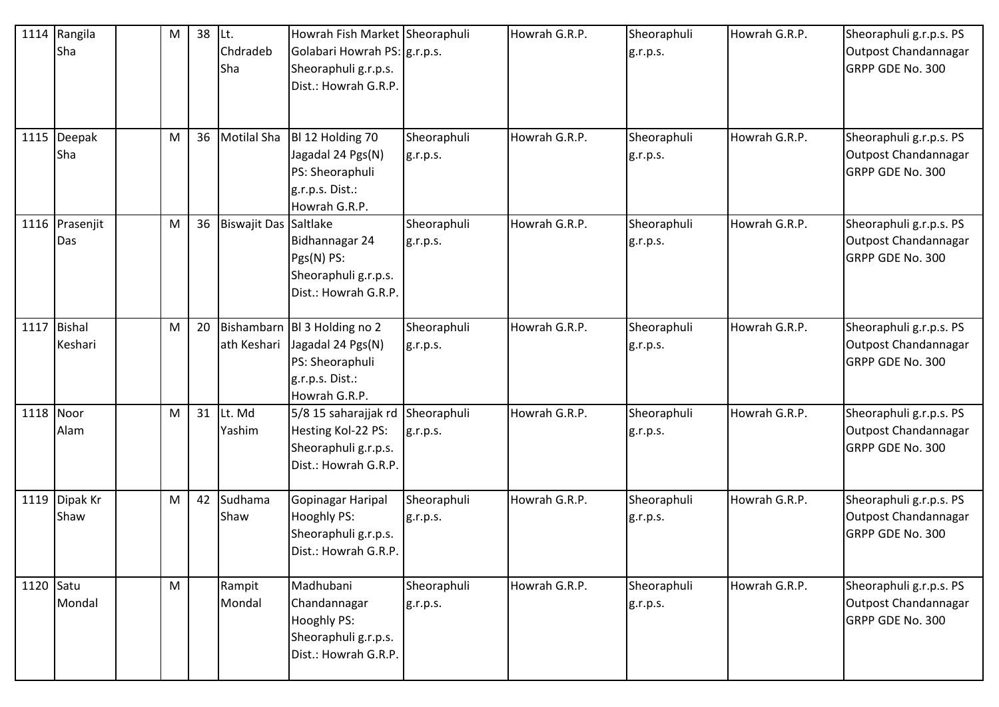|           | 1114 Rangila<br>Sha      | M | 38 | ILt.<br>Chdradeb<br>Sha | Howrah Fish Market Sheoraphuli<br>Golabari Howrah PS:   g.r.p.s.<br>Sheoraphuli g.r.p.s.<br>Dist.: Howrah G.R.P. |                         | Howrah G.R.P. | Sheoraphuli<br>g.r.p.s. | Howrah G.R.P. | Sheoraphuli g.r.p.s. PS<br>Outpost Chandannagar<br>GRPP GDE No. 300        |
|-----------|--------------------------|---|----|-------------------------|------------------------------------------------------------------------------------------------------------------|-------------------------|---------------|-------------------------|---------------|----------------------------------------------------------------------------|
|           | 1115 Deepak<br>Sha       | M | 36 | <b>Motilal Sha</b>      | BI 12 Holding 70<br>Jagadal 24 Pgs(N)<br>PS: Sheoraphuli<br>g.r.p.s. Dist.:<br>Howrah G.R.P.                     | Sheoraphuli<br>g.r.p.s. | Howrah G.R.P. | Sheoraphuli<br>g.r.p.s. | Howrah G.R.P. | Sheoraphuli g.r.p.s. PS<br>Outpost Chandannagar<br>GRPP GDE No. 300        |
|           | 1116 Prasenjit<br>Das    | M | 36 | Biswajit Das Saltlake   | Bidhannagar 24<br>Pgs(N) PS:<br>Sheoraphuli g.r.p.s.<br>Dist.: Howrah G.R.P.                                     | Sheoraphuli<br>g.r.p.s. | Howrah G.R.P. | Sheoraphuli<br>g.r.p.s. | Howrah G.R.P. | Sheoraphuli g.r.p.s. PS<br>Outpost Chandannagar<br>GRPP GDE No. 300        |
| 1117      | <b>Bishal</b><br>Keshari | M | 20 | ath Keshari             | Bishambarn BI 3 Holding no 2<br>Jagadal 24 Pgs(N)<br>PS: Sheoraphuli<br>g.r.p.s. Dist.:<br>Howrah G.R.P.         | Sheoraphuli<br>g.r.p.s. | Howrah G.R.P. | Sheoraphuli<br>g.r.p.s. | Howrah G.R.P. | Sheoraphuli g.r.p.s. PS<br>Outpost Chandannagar<br><b>GRPP GDE No. 300</b> |
| 1118 Noor | Alam                     | M | 31 | Lt. Md<br>Yashim        | 5/8 15 saharajjak rd Sheoraphuli<br>Hesting Kol-22 PS:<br>Sheoraphuli g.r.p.s.<br>Dist.: Howrah G.R.P.           | g.r.p.s.                | Howrah G.R.P. | Sheoraphuli<br>g.r.p.s. | Howrah G.R.P. | Sheoraphuli g.r.p.s. PS<br>Outpost Chandannagar<br>GRPP GDE No. 300        |
|           | 1119 Dipak Kr<br>Shaw    | М | 42 | Sudhama<br>Shaw         | Gopinagar Haripal<br>Hooghly PS:<br>Sheoraphuli g.r.p.s.<br>Dist.: Howrah G.R.P.                                 | Sheoraphuli<br>g.r.p.s. | Howrah G.R.P. | Sheoraphuli<br>g.r.p.s. | Howrah G.R.P. | Sheoraphuli g.r.p.s. PS<br>Outpost Chandannagar<br>GRPP GDE No. 300        |
| 1120 Satu | Mondal                   | M |    | Rampit<br>Mondal        | Madhubani<br>Chandannagar<br>Hooghly PS:<br>Sheoraphuli g.r.p.s.<br>Dist.: Howrah G.R.P.                         | Sheoraphuli<br>g.r.p.s. | Howrah G.R.P. | Sheoraphuli<br>g.r.p.s. | Howrah G.R.P. | Sheoraphuli g.r.p.s. PS<br>Outpost Chandannagar<br>GRPP GDE No. 300        |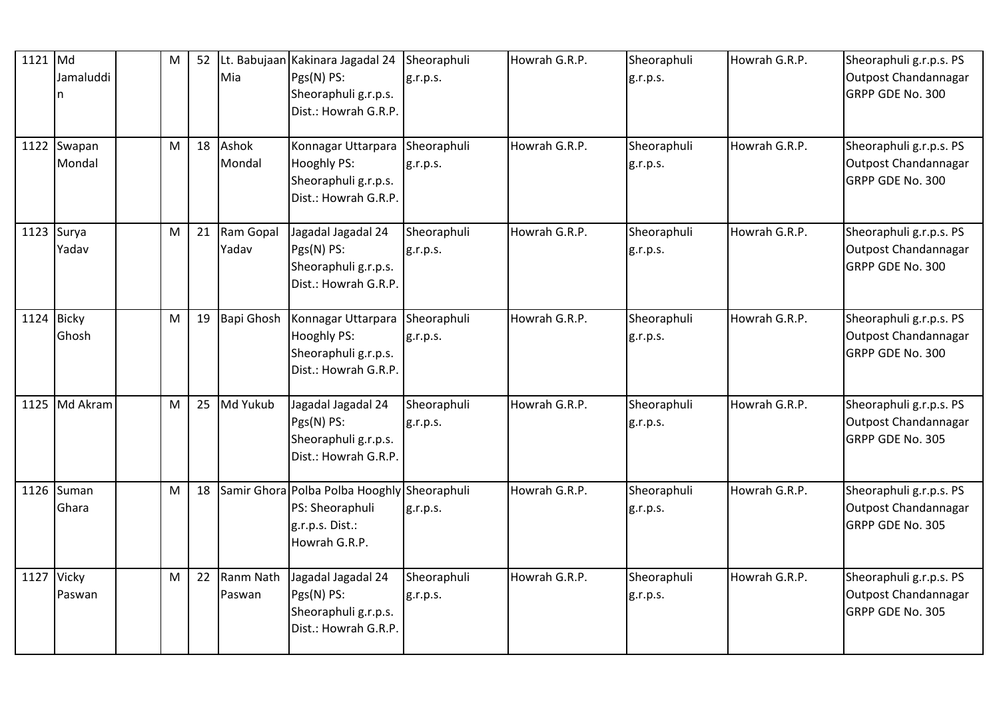| 1121 Md | Jamaluddi<br>n        | M                                                                                                          | 52 | Mia                 | Lt. Babujaan Kakinara Jagadal 24 Sheoraphuli<br>Pgs(N) PS:<br>Sheoraphuli g.r.p.s.<br>Dist.: Howrah G.R.P. | g.r.p.s.                | Howrah G.R.P. | Sheoraphuli<br>g.r.p.s. | Howrah G.R.P. | Sheoraphuli g.r.p.s. PS<br>Outpost Chandannagar<br>GRPP GDE No. 300 |
|---------|-----------------------|------------------------------------------------------------------------------------------------------------|----|---------------------|------------------------------------------------------------------------------------------------------------|-------------------------|---------------|-------------------------|---------------|---------------------------------------------------------------------|
|         | 1122 Swapan<br>Mondal | M                                                                                                          | 18 | Ashok<br>Mondal     | Konnagar Uttarpara<br>Hooghly PS:<br>Sheoraphuli g.r.p.s.<br>Dist.: Howrah G.R.P.                          | Sheoraphuli<br>g.r.p.s. | Howrah G.R.P. | Sheoraphuli<br>g.r.p.s. | Howrah G.R.P. | Sheoraphuli g.r.p.s. PS<br>Outpost Chandannagar<br>GRPP GDE No. 300 |
|         | $1123$ Surya<br>Yadav | M                                                                                                          | 21 | Ram Gopal<br>Yadav  | Jagadal Jagadal 24<br>Pgs(N) PS:<br>Sheoraphuli g.r.p.s.<br>Dist.: Howrah G.R.P.                           | Sheoraphuli<br>g.r.p.s. | Howrah G.R.P. | Sheoraphuli<br>g.r.p.s. | Howrah G.R.P. | Sheoraphuli g.r.p.s. PS<br>Outpost Chandannagar<br>GRPP GDE No. 300 |
|         | 1124 Bicky<br>Ghosh   | $\mathsf{M}% _{T}=\mathsf{M}_{T}\!\left( a,b\right) ,\ \mathsf{M}_{T}=\mathsf{M}_{T}\!\left( a,b\right) ,$ | 19 | Bapi Ghosh          | Konnagar Uttarpara Sheoraphuli<br><b>Hooghly PS:</b><br>Sheoraphuli g.r.p.s.<br>Dist.: Howrah G.R.P.       | g.r.p.s.                | Howrah G.R.P. | Sheoraphuli<br>g.r.p.s. | Howrah G.R.P. | Sheoraphuli g.r.p.s. PS<br>Outpost Chandannagar<br>GRPP GDE No. 300 |
| 1125    | Md Akram              | M                                                                                                          | 25 | Md Yukub            | Jagadal Jagadal 24<br>Pgs(N) PS:<br>Sheoraphuli g.r.p.s.<br>Dist.: Howrah G.R.P.                           | Sheoraphuli<br>g.r.p.s. | Howrah G.R.P. | Sheoraphuli<br>g.r.p.s. | Howrah G.R.P. | Sheoraphuli g.r.p.s. PS<br>Outpost Chandannagar<br>GRPP GDE No. 305 |
|         | 1126 Suman<br>Ghara   | M                                                                                                          | 18 |                     | Samir Ghora Polba Polba Hooghly Sheoraphuli<br>PS: Sheoraphuli<br>g.r.p.s. Dist.:<br>Howrah G.R.P.         | g.r.p.s.                | Howrah G.R.P. | Sheoraphuli<br>g.r.p.s. | Howrah G.R.P. | Sheoraphuli g.r.p.s. PS<br>Outpost Chandannagar<br>GRPP GDE No. 305 |
|         | 1127 Vicky<br>Paswan  | M                                                                                                          | 22 | Ranm Nath<br>Paswan | Jagadal Jagadal 24<br>Pgs(N) PS:<br>Sheoraphuli g.r.p.s.<br>Dist.: Howrah G.R.P.                           | Sheoraphuli<br>g.r.p.s. | Howrah G.R.P. | Sheoraphuli<br>g.r.p.s. | Howrah G.R.P. | Sheoraphuli g.r.p.s. PS<br>Outpost Chandannagar<br>GRPP GDE No. 305 |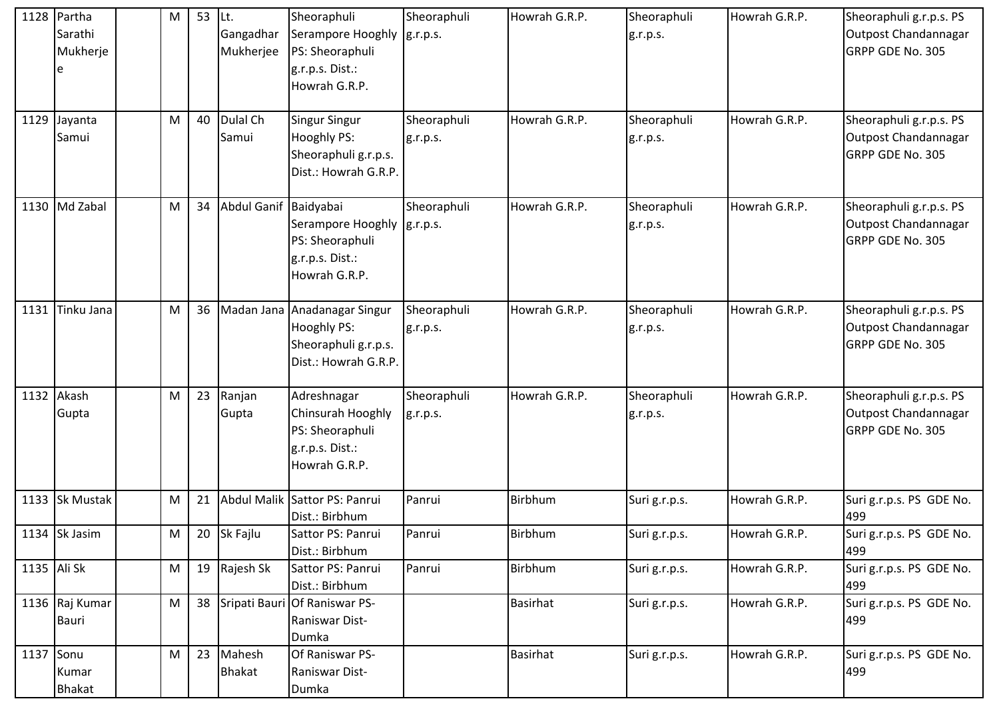|           | 1128 Partha    | M         | 53 | ILt.                  | Sheoraphuli                                     | Sheoraphuli | Howrah G.R.P.   | Sheoraphuli   | Howrah G.R.P. | Sheoraphuli g.r.p.s. PS         |
|-----------|----------------|-----------|----|-----------------------|-------------------------------------------------|-------------|-----------------|---------------|---------------|---------------------------------|
|           | Sarathi        |           |    | Gangadhar             | Serampore Hooghly  g.r.p.s.                     |             |                 | g.r.p.s.      |               | Outpost Chandannagar            |
|           | Mukherje       |           |    | Mukherjee             | PS: Sheoraphuli                                 |             |                 |               |               | <b>GRPP GDE No. 305</b>         |
|           | e              |           |    |                       | g.r.p.s. Dist.:                                 |             |                 |               |               |                                 |
|           |                |           |    |                       | Howrah G.R.P.                                   |             |                 |               |               |                                 |
|           |                |           |    |                       |                                                 |             |                 |               |               |                                 |
|           | 1129 Jayanta   | M         | 40 | Dulal Ch              | Singur Singur                                   | Sheoraphuli | Howrah G.R.P.   | Sheoraphuli   | Howrah G.R.P. | Sheoraphuli g.r.p.s. PS         |
|           | Samui          |           |    | Samui                 | Hooghly PS:                                     | g.r.p.s.    |                 | g.r.p.s.      |               | Outpost Chandannagar            |
|           |                |           |    |                       | Sheoraphuli g.r.p.s.                            |             |                 |               |               | GRPP GDE No. 305                |
|           |                |           |    |                       | Dist.: Howrah G.R.P.                            |             |                 |               |               |                                 |
|           |                |           |    |                       |                                                 |             |                 |               |               |                                 |
|           | 1130 Md Zabal  | M         | 34 | Abdul Ganif Baidyabai |                                                 | Sheoraphuli | Howrah G.R.P.   | Sheoraphuli   | Howrah G.R.P. | Sheoraphuli g.r.p.s. PS         |
|           |                |           |    |                       | Serampore Hooghly   g.r.p.s.                    |             |                 | g.r.p.s.      |               | Outpost Chandannagar            |
|           |                |           |    |                       | PS: Sheoraphuli                                 |             |                 |               |               | GRPP GDE No. 305                |
|           |                |           |    |                       | g.r.p.s. Dist.:                                 |             |                 |               |               |                                 |
|           |                |           |    |                       | Howrah G.R.P.                                   |             |                 |               |               |                                 |
| 1131      | Tinku Jana     | ${\sf M}$ | 36 | Madan Jana            | Anadanagar Singur                               | Sheoraphuli | Howrah G.R.P.   | Sheoraphuli   | Howrah G.R.P. | Sheoraphuli g.r.p.s. PS         |
|           |                |           |    |                       | Hooghly PS:                                     | g.r.p.s.    |                 | g.r.p.s.      |               | Outpost Chandannagar            |
|           |                |           |    |                       | Sheoraphuli g.r.p.s.                            |             |                 |               |               | GRPP GDE No. 305                |
|           |                |           |    |                       | Dist.: Howrah G.R.P.                            |             |                 |               |               |                                 |
|           |                |           |    |                       |                                                 |             |                 |               |               |                                 |
|           | 1132 Akash     | ${\sf M}$ | 23 | Ranjan                | Adreshnagar                                     | Sheoraphuli | Howrah G.R.P.   | Sheoraphuli   | Howrah G.R.P. | Sheoraphuli g.r.p.s. PS         |
|           | Gupta          |           |    | Gupta                 | Chinsurah Hooghly                               | g.r.p.s.    |                 | g.r.p.s.      |               | Outpost Chandannagar            |
|           |                |           |    |                       | PS: Sheoraphuli                                 |             |                 |               |               | GRPP GDE No. 305                |
|           |                |           |    |                       | g.r.p.s. Dist.:                                 |             |                 |               |               |                                 |
|           |                |           |    |                       | Howrah G.R.P.                                   |             |                 |               |               |                                 |
|           |                |           |    |                       |                                                 |             |                 |               |               |                                 |
|           | 1133 Sk Mustak | M         | 21 |                       | Abdul Malik Sattor PS: Panrui                   | Panrui      | Birbhum         | Suri g.r.p.s. | Howrah G.R.P. | Suri g.r.p.s. PS GDE No.        |
|           |                |           |    |                       | Dist.: Birbhum                                  |             |                 |               |               | 499                             |
|           | 1134 Sk Jasim  | ${\sf M}$ |    | 20 Sk Fajlu           | Sattor PS: Panrui                               | Panrui      | Birbhum         | Suri g.r.p.s. | Howrah G.R.P. | Suri g.r.p.s. PS GDE No.        |
|           |                |           |    |                       | Dist.: Birbhum                                  |             |                 |               |               | 499                             |
|           | 1135 Ali Sk    | ${\sf M}$ |    | 19 Rajesh Sk          | Sattor PS: Panrui                               | Panrui      | Birbhum         | Suri g.r.p.s. | Howrah G.R.P. | Suri g.r.p.s. PS GDE No.        |
|           |                | M         | 38 |                       | Dist.: Birbhum<br>Sripati Bauri Of Raniswar PS- |             | <b>Basirhat</b> |               |               | 499                             |
|           | 1136 Raj Kumar |           |    |                       |                                                 |             |                 | Suri g.r.p.s. | Howrah G.R.P. | Suri g.r.p.s. PS GDE No.<br>499 |
|           | Bauri          |           |    |                       | Raniswar Dist-<br>Dumka                         |             |                 |               |               |                                 |
| 1137 Sonu |                | M         | 23 | Mahesh                | Of Raniswar PS-                                 |             | Basirhat        | Suri g.r.p.s. | Howrah G.R.P. | Suri g.r.p.s. PS GDE No.        |
|           | Kumar          |           |    | <b>Bhakat</b>         | Raniswar Dist-                                  |             |                 |               |               | 499                             |
|           | <b>Bhakat</b>  |           |    |                       | Dumka                                           |             |                 |               |               |                                 |
|           |                |           |    |                       |                                                 |             |                 |               |               |                                 |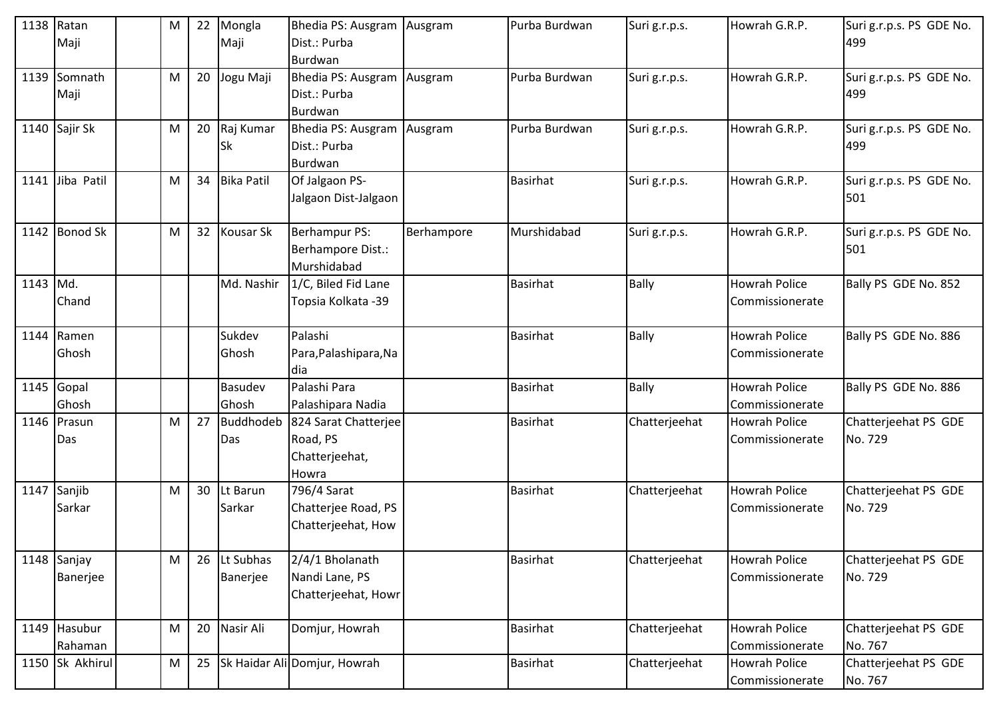| $1138$ Ratan | Maji                    | M         | 22 | Mongla<br>Maji        | Bhedia PS: Ausgram Ausgram<br>Dist.: Purba                            |            | Purba Burdwan   | Suri g.r.p.s. | Howrah G.R.P.                           | Suri g.r.p.s. PS GDE No.<br>499 |
|--------------|-------------------------|-----------|----|-----------------------|-----------------------------------------------------------------------|------------|-----------------|---------------|-----------------------------------------|---------------------------------|
|              | 1139 Somnath<br>Maji    | M         | 20 | Jogu Maji             | Burdwan<br>Bhedia PS: Ausgram Ausgram<br>Dist.: Purba<br>Burdwan      |            | Purba Burdwan   | Suri g.r.p.s. | Howrah G.R.P.                           | Suri g.r.p.s. PS GDE No.<br>499 |
|              | 1140 Sajir Sk           | М         | 20 | Raj Kumar<br>Sk       | Bhedia PS: Ausgram   Ausgram<br>Dist.: Purba<br>Burdwan               |            | Purba Burdwan   | Suri g.r.p.s. | Howrah G.R.P.                           | Suri g.r.p.s. PS GDE No.<br>499 |
|              | 1141 Jiba Patil         | M         | 34 | <b>Bika Patil</b>     | Of Jalgaon PS-<br>Jalgaon Dist-Jalgaon                                |            | <b>Basirhat</b> | Suri g.r.p.s. | Howrah G.R.P.                           | Suri g.r.p.s. PS GDE No.<br>501 |
|              | 1142 Bonod Sk           | M         | 32 | <b>Kousar Sk</b>      | <b>Berhampur PS:</b><br>Berhampore Dist.:<br>Murshidabad              | Berhampore | Murshidabad     | Suri g.r.p.s. | Howrah G.R.P.                           | Suri g.r.p.s. PS GDE No.<br>501 |
| 1143 Md.     | Chand                   |           |    | Md. Nashir            | 1/C, Biled Fid Lane<br>Topsia Kolkata -39                             |            | <b>Basirhat</b> | Bally         | <b>Howrah Police</b><br>Commissionerate | Bally PS GDE No. 852            |
|              | 1144 Ramen<br>Ghosh     |           |    | Sukdev<br>Ghosh       | Palashi<br>Para, Palashipara, Na<br>dia                               |            | <b>Basirhat</b> | <b>Bally</b>  | <b>Howrah Police</b><br>Commissionerate | Bally PS GDE No. 886            |
|              | 1145 Gopal<br>Ghosh     |           |    | Basudev<br>Ghosh      | Palashi Para<br>Palashipara Nadia                                     |            | <b>Basirhat</b> | Bally         | <b>Howrah Police</b><br>Commissionerate | Bally PS GDE No. 886            |
|              | 1146 Prasun<br>Das      | M         | 27 | Das                   | Buddhodeb 824 Sarat Chatterjee<br>Road, PS<br>Chatterjeehat,<br>Howra |            | <b>Basirhat</b> | Chatterjeehat | <b>Howrah Police</b><br>Commissionerate | Chatterjeehat PS GDE<br>No. 729 |
|              | 1147 Sanjib<br>Sarkar   | M         | 30 | Lt Barun<br>Sarkar    | 796/4 Sarat<br>Chatterjee Road, PS<br>Chatterjeehat, How              |            | Basirhat        | Chatterjeehat | <b>Howrah Police</b><br>Commissionerate | Chatterjeehat PS GDE<br>No. 729 |
|              | 1148 Sanjay<br>Banerjee | M         | 26 | Lt Subhas<br>Banerjee | 2/4/1 Bholanath<br>Nandi Lane, PS<br>Chatterjeehat, Howr              |            | <b>Basirhat</b> | Chatterjeehat | Howrah Police<br>Commissionerate        | Chatterjeehat PS GDE<br>No. 729 |
|              | 1149 Hasubur<br>Rahaman | ${\sf M}$ | 20 | Nasir Ali             | Domjur, Howrah                                                        |            | <b>Basirhat</b> | Chatterjeehat | <b>Howrah Police</b><br>Commissionerate | Chatterjeehat PS GDE<br>No. 767 |
|              | 1150 Sk Akhirul         | M         | 25 |                       | Sk Haidar Ali Domjur, Howrah                                          |            | <b>Basirhat</b> | Chatterjeehat | Howrah Police<br>Commissionerate        | Chatterjeehat PS GDE<br>No. 767 |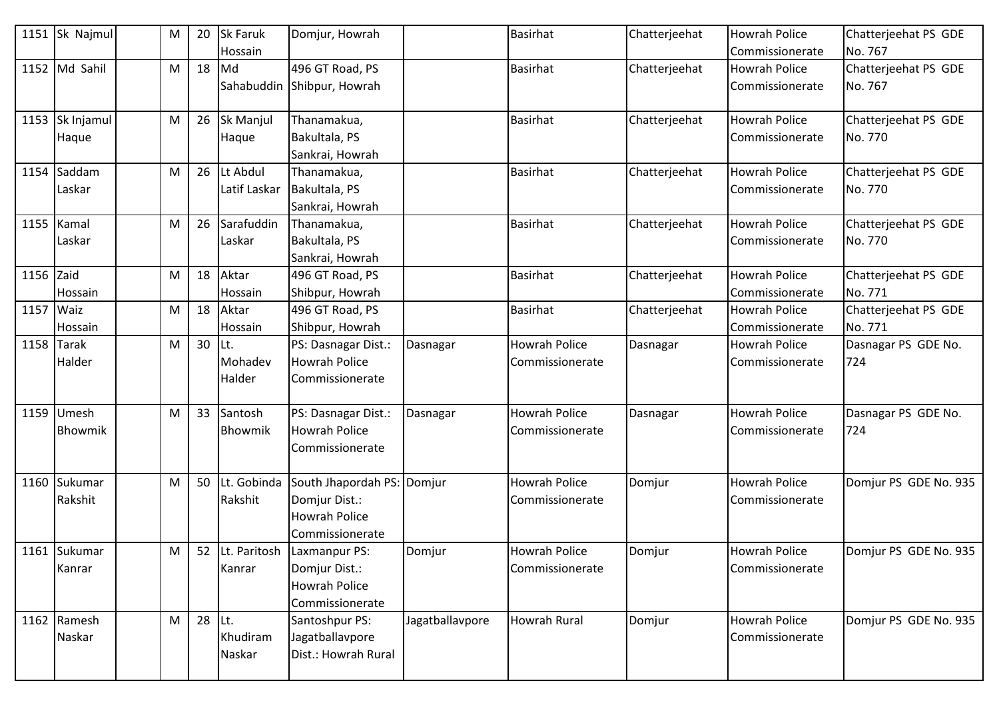|            | 1151 Sk Najmul           | M | 20 | <b>Sk Faruk</b><br>Hossain | Domjur, Howrah                                                                                     |                 | <b>Basirhat</b>                                | Chatterjeehat | <b>Howrah Police</b><br>Commissionerate   | Chatterjeehat PS GDE<br>No. 767 |
|------------|--------------------------|---|----|----------------------------|----------------------------------------------------------------------------------------------------|-----------------|------------------------------------------------|---------------|-------------------------------------------|---------------------------------|
|            | 1152 Md Sahil            | M | 18 | Md                         | 496 GT Road, PS<br>Sahabuddin Shibpur, Howrah                                                      |                 | <b>Basirhat</b>                                | Chatterjeehat | <b>Howrah Police</b><br>Commissionerate   | Chatterjeehat PS GDE<br>No. 767 |
|            | 1153 Sk Injamul<br>Haque | M | 26 | <b>Sk Manjul</b><br>Haque  | Thanamakua,<br>Bakultala, PS<br>Sankrai, Howrah                                                    |                 | <b>Basirhat</b>                                | Chatterjeehat | <b>Howrah Police</b><br>Commissionerate   | Chatterjeehat PS GDE<br>No. 770 |
|            | 1154 Saddam<br>Laskar    | М | 26 | Lt Abdul<br>Latif Laskar   | Thanamakua,<br>Bakultala, PS<br>Sankrai, Howrah                                                    |                 | <b>Basirhat</b>                                | Chatterjeehat | <b>Howrah Police</b><br>Commissionerate   | Chatterjeehat PS GDE<br>No. 770 |
|            | 1155 Kamal<br>Laskar     | M | 26 | Sarafuddin<br>Laskar       | Thanamakua,<br>Bakultala, PS<br>Sankrai, Howrah                                                    |                 | <b>Basirhat</b>                                | Chatterjeehat | <b>Howrah Police</b><br>Commissionerate   | Chatterjeehat PS GDE<br>No. 770 |
| 1156 Zaid  | Hossain                  | М | 18 | Aktar<br>Hossain           | 496 GT Road, PS<br>Shibpur, Howrah                                                                 |                 | <b>Basirhat</b>                                | Chatterjeehat | <b>Howrah Police</b><br>Commissionerate   | Chatterjeehat PS GDE<br>No. 771 |
| 1157 Waiz  | Hossain                  | M | 18 | Aktar<br>Hossain           | 496 GT Road, PS<br>Shibpur, Howrah                                                                 |                 | <b>Basirhat</b>                                | Chatterjeehat | <b>Howrah Police</b><br>Commissionerate   | Chatterjeehat PS GDE<br>No. 771 |
| 1158 Tarak | Halder                   | M | 30 | ILt.<br>Mohadev<br>Halder  | PS: Dasnagar Dist.:<br><b>Howrah Police</b><br>Commissionerate                                     | Dasnagar        | <b>Howrah Police</b><br><b>Commissionerate</b> | Dasnagar      | <b>Howrah Police</b><br>l Commissionerate | Dasnagar PS GDE No.<br>724      |
| 1159       | Umesh<br>Bhowmik         | М | 33 | Santosh<br>Bhowmik         | PS: Dasnagar Dist.:<br><b>Howrah Police</b><br>Commissionerate                                     | Dasnagar        | <b>Howrah Police</b><br>Commissionerate        | Dasnagar      | <b>Howrah Police</b><br>Commissionerate   | Dasnagar PS GDE No.<br>724      |
|            | 1160 Sukumar<br>Rakshit  | M | 50 | Rakshit                    | Lt. Gobinda South Jhapordah PS: Domjur<br>Domjur Dist.:<br><b>Howrah Police</b><br>Commissionerate |                 | <b>Howrah Police</b><br>Commissionerate        | Domjur        | <b>Howrah Police</b><br>Commissionerate   | Domjur PS GDE No. 935           |
|            | 1161 Sukumar<br>Kanrar   | M |    | Kanrar                     | 52 Lt. Paritosh Laxmanpur PS:<br>Domjur Dist.:<br>Howrah Police<br>Commissionerate                 | Domjur          | <b>Howrah Police</b><br>Commissionerate        | Domjur        | <b>Howrah Police</b><br>Commissionerate   | Domjur PS GDE No. 935           |
|            | 1162 Ramesh<br>Naskar    | М | 28 | Lt.<br>Khudiram<br>Naskar  | Santoshpur PS:<br>Jagatballavpore<br>Dist.: Howrah Rural                                           | Jagatballavpore | <b>Howrah Rural</b>                            | Domjur        | <b>Howrah Police</b><br>Commissionerate   | Domjur PS GDE No. 935           |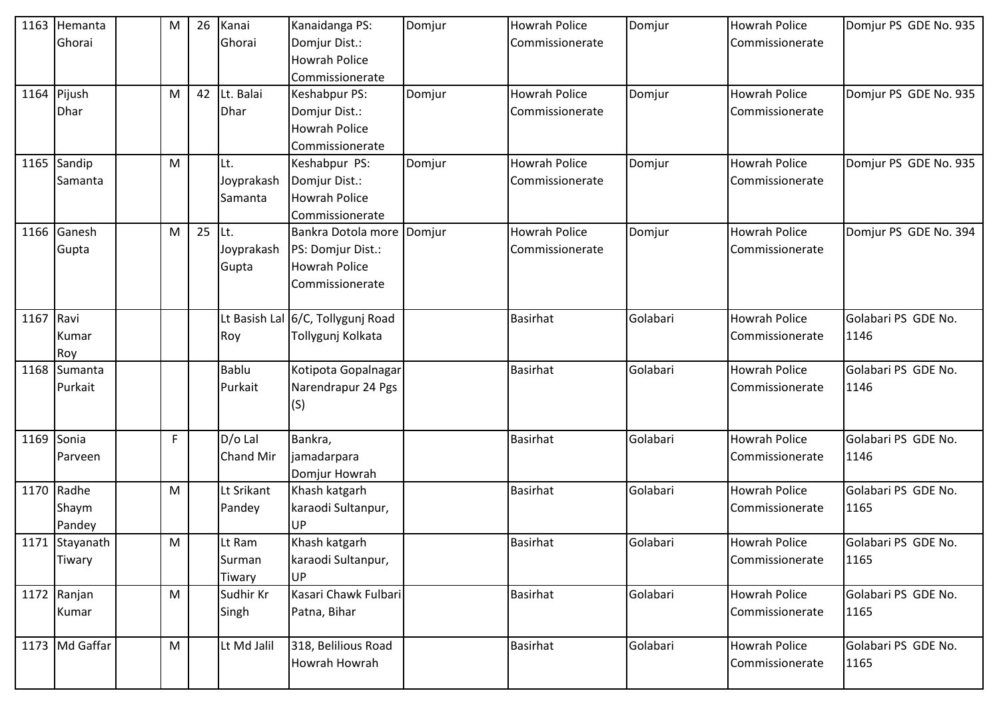| 1163 | Hemanta<br>Ghorai             | M | 26 | Kanai<br>Ghorai              | Kanaidanga PS:<br>Domjur Dist.:<br><b>Howrah Police</b><br>Commissionerate                  | Domjur | <b>Howrah Police</b><br>Commissionerate | Domjur   | <b>Howrah Police</b><br>Commissionerate | Domjur PS GDE No. 935       |
|------|-------------------------------|---|----|------------------------------|---------------------------------------------------------------------------------------------|--------|-----------------------------------------|----------|-----------------------------------------|-----------------------------|
|      | 1164 Pijush<br><b>Dhar</b>    | M | 42 | Lt. Balai<br>Dhar            | Keshabpur PS:<br>Domjur Dist.:<br><b>Howrah Police</b><br>Commissionerate                   | Domjur | <b>Howrah Police</b><br>Commissionerate | Domjur   | <b>Howrah Police</b><br>Commissionerate | Domjur PS GDE No. 935       |
| 1165 | Sandip<br>Samanta             | M |    | Lt.<br>Joyprakash<br>Samanta | Keshabpur PS:<br>Domjur Dist.:<br><b>Howrah Police</b><br>Commissionerate                   | Domjur | <b>Howrah Police</b><br>Commissionerate | Domjur   | <b>Howrah Police</b><br>Commissionerate | Domjur PS GDE No. 935       |
| 1166 | Ganesh<br>Gupta               | M | 25 | Lt.<br>Joyprakash<br>Gupta   | Bankra Dotola more Domjur<br>PS: Domjur Dist.:<br><b>Howrah Police</b><br>l Commissionerate |        | <b>Howrah Police</b><br>Commissionerate | Domjur   | <b>Howrah Police</b><br>Commissionerate | Domjur PS GDE No. 394       |
| 1167 | Ravi<br>Kumar<br>Roy          |   |    | Roy                          | Lt Basish Lal 6/C, Tollygunj Road<br>Tollygunj Kolkata                                      |        | <b>Basirhat</b>                         | Golabari | <b>Howrah Police</b><br>Commissionerate | Golabari PS GDE No.<br>1146 |
| 1168 | Sumanta<br>Purkait            |   |    | <b>Bablu</b><br>Purkait      | Kotipota Gopalnagar<br>Narendrapur 24 Pgs<br>(S)                                            |        | <b>Basirhat</b>                         | Golabari | <b>Howrah Police</b><br>Commissionerate | Golabari PS GDE No.<br>1146 |
| 1169 | Sonia<br>Parveen              | F |    | $D/O$ Lal<br>Chand Mir       | Bankra,<br>jamadarpara<br>Domjur Howrah                                                     |        | <b>Basirhat</b>                         | Golabari | <b>Howrah Police</b><br>Commissionerate | Golabari PS GDE No.<br>1146 |
|      | 1170 Radhe<br>Shaym<br>Pandey | M |    | Lt Srikant<br>Pandey         | Khash katgarh<br>karaodi Sultanpur,<br>UP                                                   |        | <b>Basirhat</b>                         | Golabari | <b>Howrah Police</b><br>Commissionerate | Golabari PS GDE No.<br>1165 |
|      | 1171 Stayanath<br>Tiwary      | M |    | Lt Ram<br>Surman<br>Tiwary   | Khash katgarh<br>karaodi Sultanpur,<br>UP                                                   |        | <b>Basirhat</b>                         | Golabari | <b>Howrah Police</b><br>Commissionerate | Golabari PS GDE No.<br>1165 |
|      | 1172 Ranjan<br>Kumar          | M |    | Sudhir Kr<br>Singh           | Kasari Chawk Fulbari<br>Patna, Bihar                                                        |        | <b>Basirhat</b>                         | Golabari | <b>Howrah Police</b><br>Commissionerate | Golabari PS GDE No.<br>1165 |
|      | 1173 Md Gaffar                | M |    | Lt Md Jalil                  | 318, Belilious Road<br>Howrah Howrah                                                        |        | <b>Basirhat</b>                         | Golabari | <b>Howrah Police</b><br>Commissionerate | Golabari PS GDE No.<br>1165 |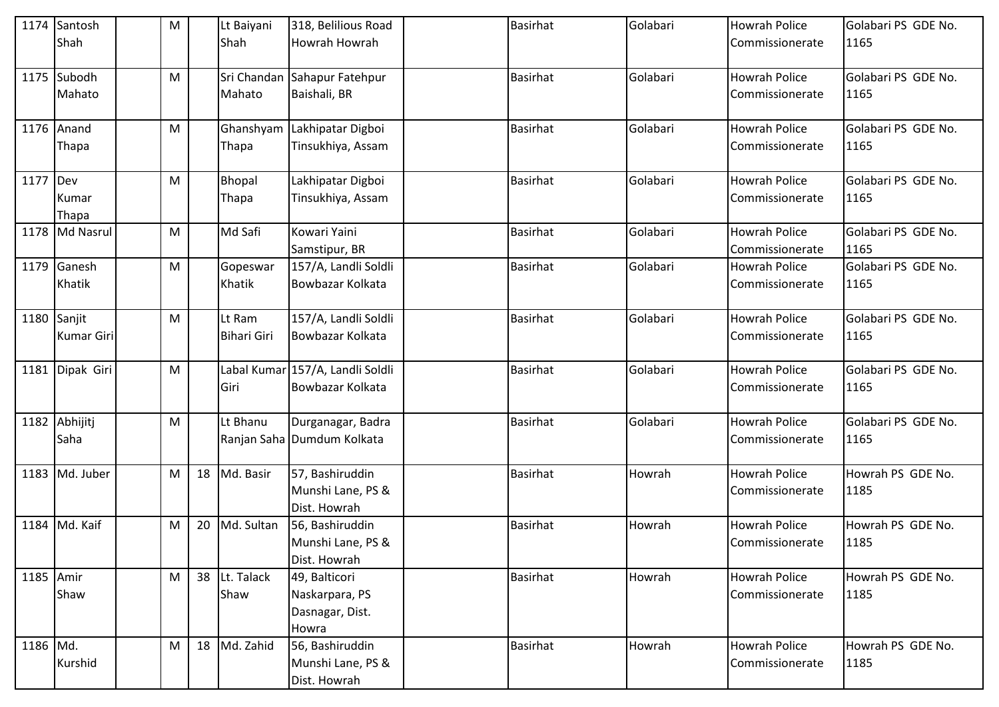|             | 1174 Santosh    | M |    | Lt Baiyani         | 318, Belilious Road              | <b>Basirhat</b> | Golabari | <b>Howrah Police</b> | Golabari PS GDE No. |
|-------------|-----------------|---|----|--------------------|----------------------------------|-----------------|----------|----------------------|---------------------|
|             | Shah            |   |    | Shah               | <b>Howrah Howrah</b>             |                 |          | Commissionerate      | 1165                |
|             | 1175 Subodh     | M |    | Sri Chandan        | Sahapur Fatehpur                 | <b>Basirhat</b> | Golabari | <b>Howrah Police</b> | Golabari PS GDE No. |
|             | Mahato          |   |    | Mahato             | Baishali, BR                     |                 |          | Commissionerate      | 1165                |
|             | 1176 Anand      | M |    |                    | Ghanshyam Lakhipatar Digboi      | <b>Basirhat</b> | Golabari | <b>Howrah Police</b> | Golabari PS GDE No. |
|             | Thapa           |   |    | Thapa              | Tinsukhiya, Assam                |                 |          | Commissionerate      | 1165                |
| 1177 Dev    |                 | M |    | Bhopal             | Lakhipatar Digboi                | <b>Basirhat</b> | Golabari | <b>Howrah Police</b> | Golabari PS GDE No. |
|             | Kumar           |   |    | Thapa              | Tinsukhiya, Assam                |                 |          | Commissionerate      | 1165                |
|             | Thapa           |   |    |                    |                                  |                 |          |                      |                     |
|             | 1178 Md Nasrul  | M |    | Md Safi            | Kowari Yaini                     | <b>Basirhat</b> | Golabari | <b>Howrah Police</b> | Golabari PS GDE No. |
|             |                 |   |    |                    | Samstipur, BR                    |                 |          | Commissionerate      | 1165                |
|             | 1179 Ganesh     | M |    | Gopeswar           | 157/A, Landli Soldli             | <b>Basirhat</b> | Golabari | <b>Howrah Police</b> | Golabari PS GDE No. |
|             | Khatik          |   |    | Khatik             | Bowbazar Kolkata                 |                 |          | Commissionerate      | 1165                |
| 1180 Sanjit |                 | M |    | Lt Ram             | 157/A, Landli Soldli             | <b>Basirhat</b> | Golabari | <b>Howrah Police</b> | Golabari PS GDE No. |
|             | Kumar Giri      |   |    | <b>Bihari Giri</b> | Bowbazar Kolkata                 |                 |          | Commissionerate      | 1165                |
|             | 1181 Dipak Giri | M |    |                    | Labal Kumar 157/A, Landli Soldli | Basirhat        | Golabari | <b>Howrah Police</b> | Golabari PS GDE No. |
|             |                 |   |    | Giri               | Bowbazar Kolkata                 |                 |          | Commissionerate      | 1165                |
|             | 1182 Abhijitj   | M |    | Lt Bhanu           | Durganagar, Badra                | <b>Basirhat</b> | Golabari | <b>Howrah Police</b> | Golabari PS GDE No. |
|             | Saha            |   |    |                    | Ranjan Saha Dumdum Kolkata       |                 |          | Commissionerate      | 1165                |
|             | 1183 Md. Juber  | M | 18 | Md. Basir          | 57, Bashiruddin                  | <b>Basirhat</b> | Howrah   | <b>Howrah Police</b> | Howrah PS GDE No.   |
|             |                 |   |    |                    | Munshi Lane, PS &                |                 |          | Commissionerate      | 1185                |
|             |                 |   |    |                    | Dist. Howrah                     |                 |          |                      |                     |
|             | 1184 Md. Kaif   | M | 20 | Md. Sultan         | 56, Bashiruddin                  | <b>Basirhat</b> | Howrah   | <b>Howrah Police</b> | Howrah PS GDE No.   |
|             |                 |   |    |                    | Munshi Lane, PS &                |                 |          | Commissionerate      | 1185                |
|             |                 |   |    |                    | Dist. Howrah                     |                 |          |                      |                     |
| 1185 Amir   |                 | M |    | 38 Lt. Talack      | 49, Balticori                    | Basirhat        | Howrah   | <b>Howrah Police</b> | Howrah PS GDE No.   |
|             | Shaw            |   |    | Shaw               | Naskarpara, PS                   |                 |          | Commissionerate      | 1185                |
|             |                 |   |    |                    | Dasnagar, Dist.                  |                 |          |                      |                     |
|             |                 |   |    |                    | Howra                            |                 |          |                      |                     |
| 1186 Md.    |                 | M | 18 | Md. Zahid          | 56, Bashiruddin                  | <b>Basirhat</b> | Howrah   | <b>Howrah Police</b> | Howrah PS GDE No.   |
|             | Kurshid         |   |    |                    | Munshi Lane, PS &                |                 |          | Commissionerate      | 1185                |
|             |                 |   |    |                    | Dist. Howrah                     |                 |          |                      |                     |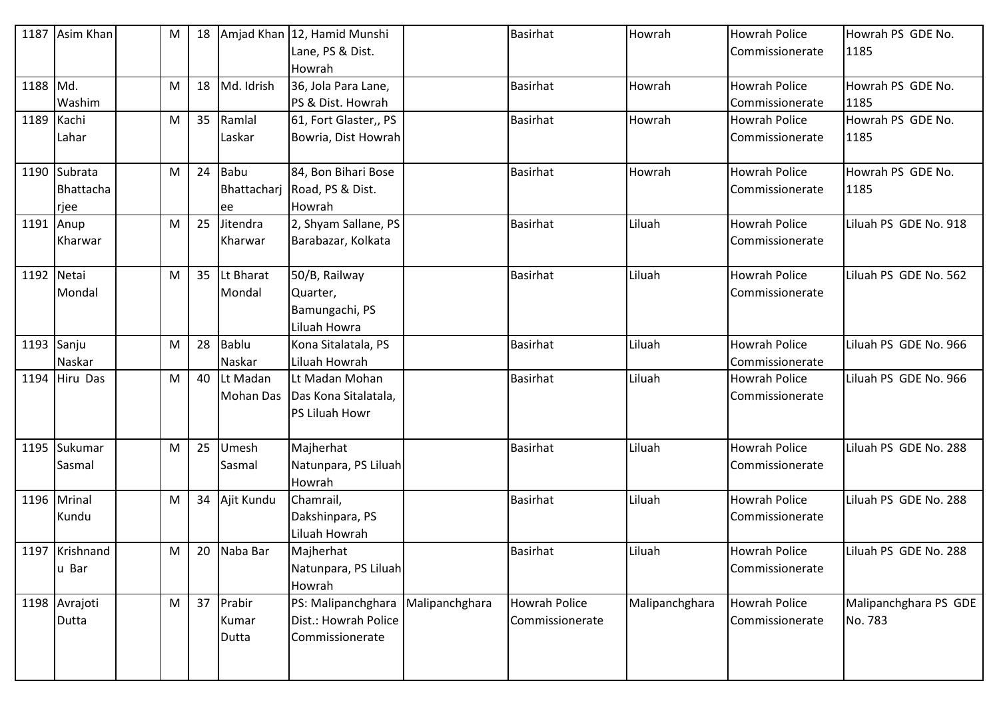| 1187       | Asim Khan                         | M | 18 |                          | Amjad Khan 12, Hamid Munshi<br>Lane, PS & Dist.<br>Howrah       |                | <b>Basirhat</b>                         | Howrah         | <b>Howrah Police</b><br>Commissionerate   | Howrah PS GDE No.<br>1185        |
|------------|-----------------------------------|---|----|--------------------------|-----------------------------------------------------------------|----------------|-----------------------------------------|----------------|-------------------------------------------|----------------------------------|
| 1188 Md.   | Washim                            | M | 18 | Md. Idrish               | 36, Jola Para Lane,<br>PS & Dist. Howrah                        |                | <b>Basirhat</b>                         | Howrah         | <b>Howrah Police</b><br>Commissionerate   | Howrah PS GDE No.<br>1185        |
| 1189 Kachi | Lahar                             | M | 35 | Ramlal<br>Laskar         | 61, Fort Glaster,, PS<br>Bowria, Dist Howrah                    |                | Basirhat                                | Howrah         | <b>Howrah Police</b><br>Commissionerate   | Howrah PS GDE No.<br>1185        |
|            | 1190 Subrata<br>Bhattacha<br>rjee | M | 24 | Babu<br>ee               | 84, Bon Bihari Bose<br>Bhattacharj Road, PS & Dist.<br>Howrah   |                | Basirhat                                | Howrah         | <b>Howrah Police</b><br>Commissionerate   | Howrah PS GDE No.<br>1185        |
| 1191 Anup  | Kharwar                           | M | 25 | Jitendra<br>Kharwar      | 2, Shyam Sallane, PS<br>Barabazar, Kolkata                      |                | Basirhat                                | Liluah         | <b>Howrah Police</b><br>Commissionerate   | Liluah PS GDE No. 918            |
| 1192 Netai | Mondal                            | M | 35 | Lt Bharat<br>Mondal      | 50/B, Railway<br>Quarter,<br>Bamungachi, PS<br>Liluah Howra     |                | Basirhat                                | Liluah         | <b>Howrah Police</b><br>Commissionerate   | Liluah PS GDE No. 562            |
| 1193 Sanju | Naskar                            | M | 28 | Bablu<br>Naskar          | Kona Sitalatala, PS<br>Liluah Howrah                            |                | Basirhat                                | Liluah         | <b>Howrah Police</b><br>l Commissionerate | Liluah PS GDE No. 966            |
|            | 1194 Hiru Das                     | M | 40 | Lt Madan<br>Mohan Das    | Lt Madan Mohan<br>Das Kona Sitalatala,<br><b>PS Liluah Howr</b> |                | Basirhat                                | Liluah         | <b>Howrah Police</b><br>Commissionerate   | Liluah PS GDE No. 966            |
|            | 1195 Sukumar<br>Sasmal            | M | 25 | Umesh<br>Sasmal          | Majherhat<br>Natunpara, PS Liluah<br>Howrah                     |                | Basirhat                                | Liluah         | <b>Howrah Police</b><br>Commissionerate   | Liluah PS GDE No. 288            |
|            | 1196 Mrinal<br>Kundu              | M | 34 | Ajit Kundu               | Chamrail,<br>Dakshinpara, PS<br>Liluah Howrah                   |                | Basirhat                                | Liluah         | <b>Howrah Police</b><br>Commissionerate   | Liluah PS GDE No. 288            |
|            | 1197 Krishnand<br>u Bar           | M |    | 20 Naba Bar              | Majherhat<br>Natunpara, PS Liluah<br>Howrah                     |                | <b>Basirhat</b>                         | Liluah         | <b>Howrah Police</b><br>Commissionerate   | Liluah PS GDE No. 288            |
|            | 1198 Avrajoti<br>Dutta            | M | 37 | Prabir<br>Kumar<br>Dutta | PS: Malipanchghara<br>Dist.: Howrah Police<br>Commissionerate   | Malipanchghara | <b>Howrah Police</b><br>Commissionerate | Malipanchghara | <b>Howrah Police</b><br>Commissionerate   | Malipanchghara PS GDE<br>No. 783 |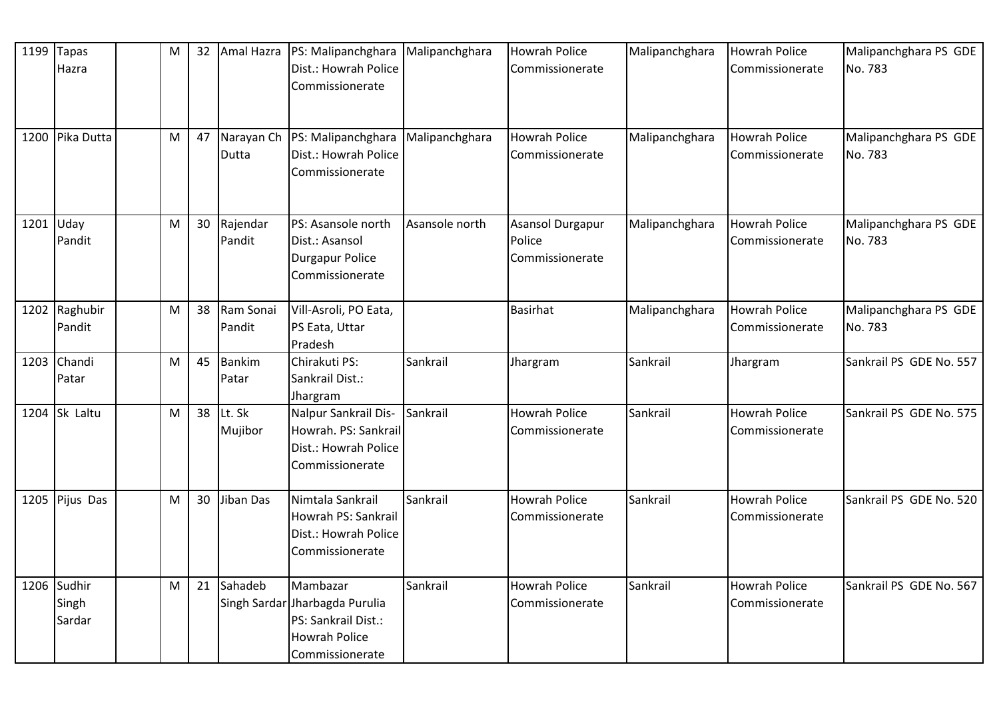| 1199      | <b>Tapas</b><br>Hazra          | M | 32 | Amal Hazra             | PS: Malipanchghara   Malipanchghara<br>Dist.: Howrah Police<br>Commissionerate                               |                | <b>Howrah Police</b><br>Commissionerate       | Malipanchghara | <b>Howrah Police</b><br>Commissionerate | Malipanchghara PS GDE<br>No. 783 |
|-----------|--------------------------------|---|----|------------------------|--------------------------------------------------------------------------------------------------------------|----------------|-----------------------------------------------|----------------|-----------------------------------------|----------------------------------|
|           | 1200 Pika Dutta                | М | 47 | Dutta                  | Narayan Ch   PS: Malipanchghara<br>Dist.: Howrah Police<br>Commissionerate                                   | Malipanchghara | <b>Howrah Police</b><br>Commissionerate       | Malipanchghara | <b>Howrah Police</b><br>Commissionerate | Malipanchghara PS GDE<br>No. 783 |
| 1201 Uday | Pandit                         | M | 30 | Rajendar<br>Pandit     | PS: Asansole north<br>Dist.: Asansol<br>Durgapur Police<br>Commissionerate                                   | Asansole north | Asansol Durgapur<br>Police<br>Commissionerate | Malipanchghara | <b>Howrah Police</b><br>Commissionerate | Malipanchghara PS GDE<br>No. 783 |
|           | 1202 Raghubir<br>Pandit        | М | 38 | Ram Sonai<br>Pandit    | Vill-Asroli, PO Eata,<br>PS Eata, Uttar<br>Pradesh                                                           |                | <b>Basirhat</b>                               | Malipanchghara | <b>Howrah Police</b><br>Commissionerate | Malipanchghara PS GDE<br>No. 783 |
|           | 1203 Chandi<br>Patar           | M | 45 | <b>Bankim</b><br>Patar | Chirakuti PS:<br>Sankrail Dist.:<br>Jhargram                                                                 | Sankrail       | Jhargram                                      | Sankrail       | Jhargram                                | Sankrail PS GDE No. 557          |
|           | 1204 Sk Laltu                  | M | 38 | Lt. Sk<br>Mujibor      | Nalpur Sankrail Dis-<br>Howrah. PS: Sankrail<br>Dist.: Howrah Police<br>Commissionerate                      | Sankrail       | <b>Howrah Police</b><br>Commissionerate       | Sankrail       | <b>Howrah Police</b><br>Commissionerate | Sankrail PS GDE No. 575          |
|           | 1205 Pijus Das                 | M | 30 | Jiban Das              | Nimtala Sankrail<br>Howrah PS: Sankrail<br>Dist.: Howrah Police<br>Commissionerate                           | Sankrail       | <b>Howrah Police</b><br>Commissionerate       | Sankrail       | <b>Howrah Police</b><br>Commissionerate | Sankrail PS GDE No. 520          |
|           | 1206 Sudhir<br>Singh<br>Sardar | M | 21 | Sahadeb                | Mambazar<br>Singh Sardar Jharbagda Purulia<br>PS: Sankrail Dist.:<br><b>Howrah Police</b><br>Commissionerate | Sankrail       | <b>Howrah Police</b><br>Commissionerate       | Sankrail       | <b>Howrah Police</b><br>Commissionerate | Sankrail PS GDE No. 567          |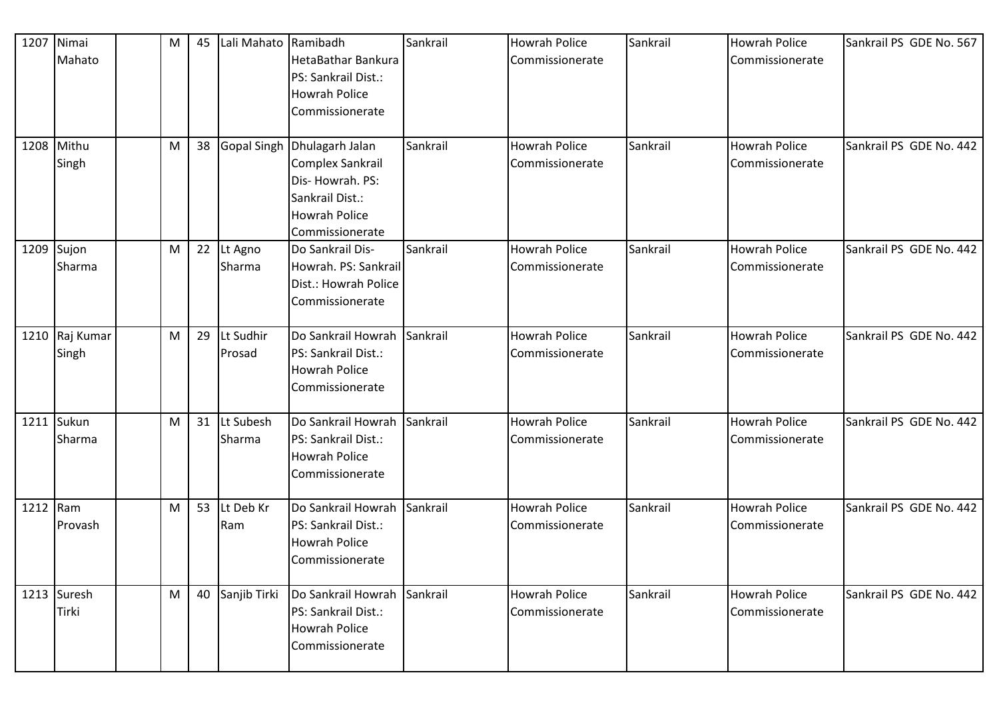|            | 1207 Nimai<br>Mahato<br>1208 Mithu | M<br>M | 45<br>38 | Lali Mahato Ramibadh | HetaBathar Bankura<br>PS: Sankrail Dist.:<br><b>Howrah Police</b><br>Commissionerate<br>Gopal Singh Dhulagarh Jalan | Sankrail<br>Sankrail | <b>Howrah Police</b><br>Commissionerate<br><b>Howrah Police</b> | Sankrail<br>Sankrail | Howrah Police<br>Commissionerate<br><b>Howrah Police</b> | Sankrail PS GDE No. 567<br>Sankrail PS GDE No. 442 |
|------------|------------------------------------|--------|----------|----------------------|---------------------------------------------------------------------------------------------------------------------|----------------------|-----------------------------------------------------------------|----------------------|----------------------------------------------------------|----------------------------------------------------|
|            | Singh                              |        |          |                      | Complex Sankrail<br>Dis-Howrah. PS:<br>Sankrail Dist.:<br><b>Howrah Police</b><br>Commissionerate                   |                      | Commissionerate                                                 |                      | Commissionerate                                          |                                                    |
| 1209 Sujon | Sharma                             | M      | 22       | Lt Agno<br>Sharma    | Do Sankrail Dis-<br>Howrah. PS: Sankrail<br>Dist.: Howrah Police<br>Commissionerate                                 | Sankrail             | <b>Howrah Police</b><br>Commissionerate                         | Sankrail             | <b>Howrah Police</b><br>Commissionerate                  | Sankrail PS GDE No. 442                            |
|            | 1210 Raj Kumar<br>Singh            | M      | 29       | Lt Sudhir<br>Prosad  | Do Sankrail Howrah Sankrail<br>PS: Sankrail Dist.:<br><b>Howrah Police</b><br>Commissionerate                       |                      | <b>Howrah Police</b><br>Commissionerate                         | Sankrail             | <b>Howrah Police</b><br>Commissionerate                  | Sankrail PS GDE No. 442                            |
|            | 1211 Sukun<br>Sharma               | M      | 31       | Lt Subesh<br>Sharma  | Do Sankrail Howrah Sankrail<br>PS: Sankrail Dist.:<br><b>Howrah Police</b><br>Commissionerate                       |                      | <b>Howrah Police</b><br>Commissionerate                         | Sankrail             | <b>Howrah Police</b><br>Commissionerate                  | Sankrail PS GDE No. 442                            |
| 1212 Ram   | Provash                            | M      | 53       | Lt Deb Kr<br>Ram     | Do Sankrail Howrah Sankrail<br>PS: Sankrail Dist.:<br><b>Howrah Police</b><br>Commissionerate                       |                      | <b>Howrah Police</b><br>Commissionerate                         | Sankrail             | <b>Howrah Police</b><br>Commissionerate                  | Sankrail PS GDE No. 442                            |
|            | 1213 Suresh<br>Tirki               | M      | 40       | Sanjib Tirki         | Do Sankrail Howrah Sankrail<br>PS: Sankrail Dist.:<br><b>Howrah Police</b><br>Commissionerate                       |                      | <b>Howrah Police</b><br>Commissionerate                         | Sankrail             | <b>Howrah Police</b><br>Commissionerate                  | Sankrail PS GDE No. 442                            |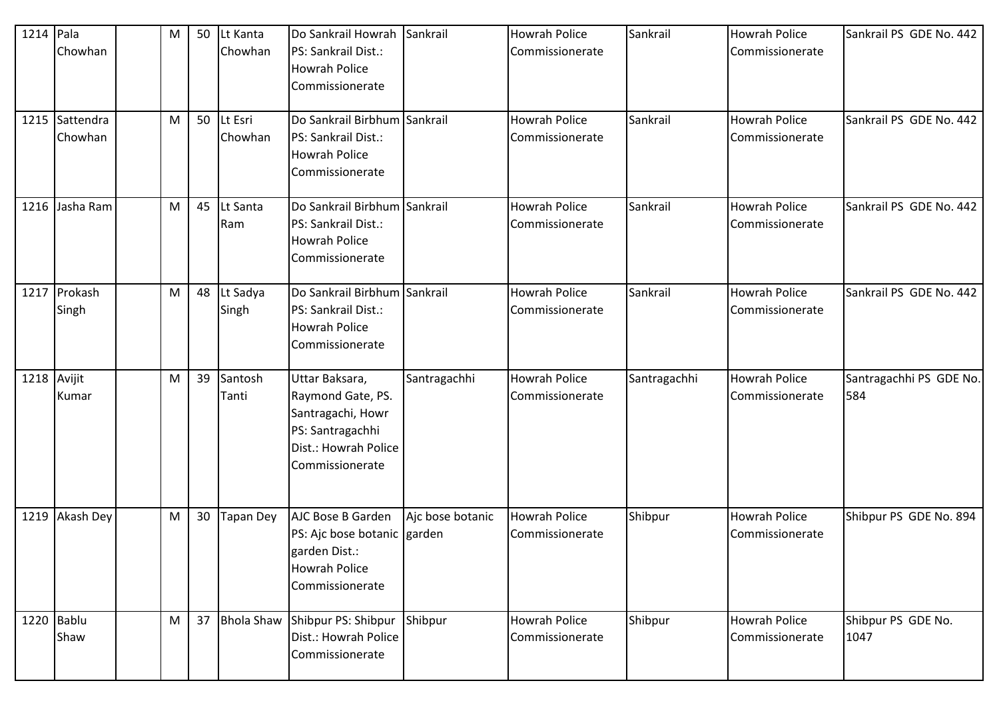| 1214 Pala | Chowhan                   | M | 50 | Lt Kanta<br>Chowhan | Do Sankrail Howrah Sankrail<br>PS: Sankrail Dist.:<br><b>Howrah Police</b><br>Commissionerate                           |                  | <b>Howrah Police</b><br>Commissionerate | Sankrail     | <b>Howrah Police</b><br>Commissionerate | Sankrail PS GDE No. 442        |
|-----------|---------------------------|---|----|---------------------|-------------------------------------------------------------------------------------------------------------------------|------------------|-----------------------------------------|--------------|-----------------------------------------|--------------------------------|
|           | 1215 Sattendra<br>Chowhan | M | 50 | Lt Esri<br>Chowhan  | Do Sankrail Birbhum Sankrail<br>PS: Sankrail Dist.:<br><b>Howrah Police</b><br>Commissionerate                          |                  | <b>Howrah Police</b><br>Commissionerate | Sankrail     | <b>Howrah Police</b><br>Commissionerate | Sankrail PS GDE No. 442        |
|           | 1216 Jasha Ram            | M | 45 | Lt Santa<br>Ram     | Do Sankrail Birbhum Sankrail<br>PS: Sankrail Dist.:<br><b>Howrah Police</b><br>Commissionerate                          |                  | <b>Howrah Police</b><br>Commissionerate | Sankrail     | <b>Howrah Police</b><br>Commissionerate | Sankrail PS GDE No. 442        |
|           | 1217 Prokash<br>Singh     | M | 48 | Lt Sadya<br>Singh   | Do Sankrail Birbhum Sankrail<br>PS: Sankrail Dist.:<br><b>Howrah Police</b><br>Commissionerate                          |                  | <b>Howrah Police</b><br>Commissionerate | Sankrail     | <b>Howrah Police</b><br>Commissionerate | Sankrail PS GDE No. 442        |
|           | 1218 Avijit<br>Kumar      | M | 39 | Santosh<br>Tanti    | Uttar Baksara,<br>Raymond Gate, PS.<br>Santragachi, Howr<br>PS: Santragachhi<br>Dist.: Howrah Police<br>Commissionerate | Santragachhi     | <b>Howrah Police</b><br>Commissionerate | Santragachhi | <b>Howrah Police</b><br>Commissionerate | Santragachhi PS GDE No.<br>584 |
|           | 1219 Akash Dey            | M | 30 | <b>Tapan Dey</b>    | AJC Bose B Garden<br>PS: Ajc bose botanic garden<br>garden Dist.:<br><b>Howrah Police</b><br>Commissionerate            | Ajc bose botanic | <b>Howrah Police</b><br>Commissionerate | Shibpur      | <b>Howrah Police</b><br>Commissionerate | Shibpur PS GDE No. 894         |
|           | 1220 Bablu<br>Shaw        | M | 37 |                     | Bhola Shaw Shibpur PS: Shibpur Shibpur<br>Dist.: Howrah Police<br>Commissionerate                                       |                  | <b>Howrah Police</b><br>Commissionerate | Shibpur      | <b>Howrah Police</b><br>Commissionerate | Shibpur PS GDE No.<br>1047     |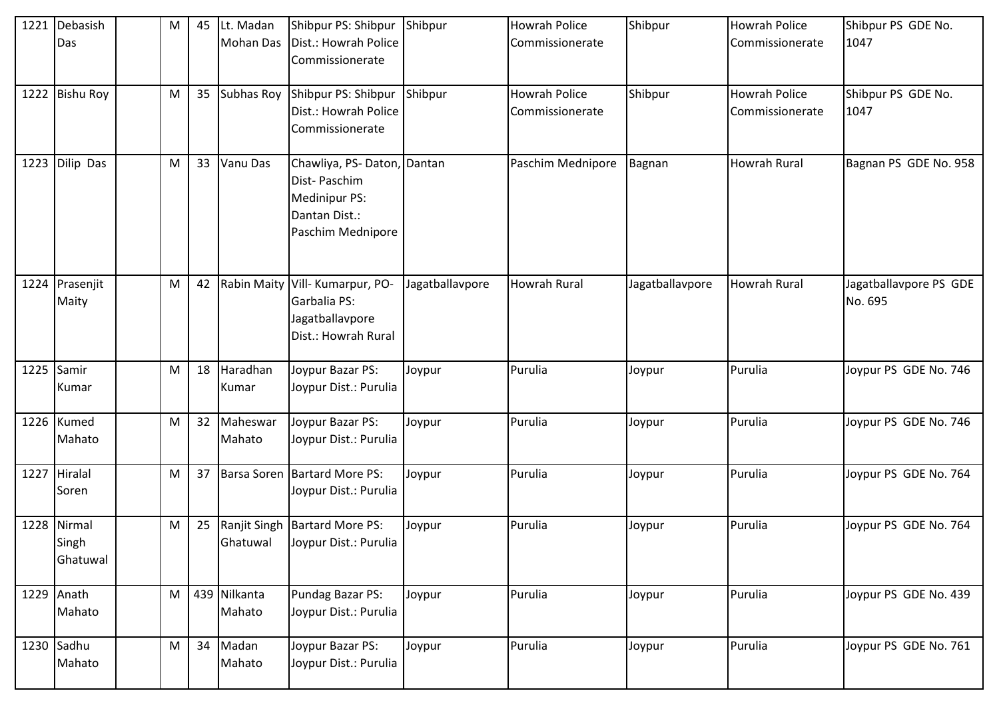| 1221 Debasish     | M | 45 | Lt. Madan          | Shibpur PS: Shibpur Shibpur             |                 | <b>Howrah Police</b> | Shibpur         | <b>Howrah Police</b> | Shibpur PS GDE No.     |
|-------------------|---|----|--------------------|-----------------------------------------|-----------------|----------------------|-----------------|----------------------|------------------------|
| Das               |   |    | <b>Mohan Das</b>   | Dist.: Howrah Police<br>Commissionerate |                 | Commissionerate      |                 | Commissionerate      | 1047                   |
|                   |   |    |                    |                                         |                 |                      |                 |                      |                        |
| 1222 Bishu Roy    | M | 35 | Subhas Roy         | Shibpur PS: Shibpur Shibpur             |                 | <b>Howrah Police</b> | Shibpur         | <b>Howrah Police</b> | Shibpur PS GDE No.     |
|                   |   |    |                    | Dist.: Howrah Police                    |                 | Commissionerate      |                 | Commissionerate      | 1047                   |
|                   |   |    |                    | Commissionerate                         |                 |                      |                 |                      |                        |
| 1223 Dilip Das    | M | 33 | Vanu Das           | Chawliya, PS-Daton, Dantan              |                 | Paschim Mednipore    | Bagnan          | <b>Howrah Rural</b>  | Bagnan PS GDE No. 958  |
|                   |   |    |                    | Dist-Paschim                            |                 |                      |                 |                      |                        |
|                   |   |    |                    | <b>Medinipur PS:</b>                    |                 |                      |                 |                      |                        |
|                   |   |    |                    | Dantan Dist.:                           |                 |                      |                 |                      |                        |
|                   |   |    |                    | Paschim Mednipore                       |                 |                      |                 |                      |                        |
|                   |   |    |                    |                                         |                 |                      |                 |                      |                        |
| 1224 Prasenjit    | M | 42 | <b>Rabin Maity</b> | Vill- Kumarpur, PO-                     | Jagatballavpore | <b>Howrah Rural</b>  | Jagatballavpore | <b>Howrah Rural</b>  | Jagatballavpore PS GDE |
| Maity             |   |    |                    | Garbalia PS:                            |                 |                      |                 |                      | No. 695                |
|                   |   |    |                    | Jagatballavpore                         |                 |                      |                 |                      |                        |
|                   |   |    |                    | Dist.: Howrah Rural                     |                 |                      |                 |                      |                        |
| 1225 Samir        | M | 18 | Haradhan           | Joypur Bazar PS:                        | Joypur          | Purulia              | Joypur          | Purulia              | Joypur PS GDE No. 746  |
| Kumar             |   |    | Kumar              | Joypur Dist.: Purulia                   |                 |                      |                 |                      |                        |
|                   |   |    |                    |                                         |                 |                      |                 |                      |                        |
| 1226 Kumed        | M | 32 | Maheswar           | Joypur Bazar PS:                        | Joypur          | Purulia              | Joypur          | Purulia              | Joypur PS GDE No. 746  |
| Mahato            |   |    | Mahato             | Joypur Dist.: Purulia                   |                 |                      |                 |                      |                        |
| 1227 Hiralal      | M | 37 |                    | Barsa Soren   Bartard More PS:          | Joypur          | Purulia              | Joypur          | Purulia              | Joypur PS GDE No. 764  |
| Soren             |   |    |                    | Joypur Dist.: Purulia                   |                 |                      |                 |                      |                        |
|                   |   |    |                    |                                         |                 |                      |                 |                      |                        |
| 1228 Nirmal       | M | 25 | Ranjit Singh       | <b>Bartard More PS:</b>                 | Joypur          | Purulia              | Joypur          | Purulia              | Joypur PS GDE No. 764  |
| Singh<br>Ghatuwal |   |    | Ghatuwal           | Joypur Dist.: Purulia                   |                 |                      |                 |                      |                        |
|                   |   |    |                    |                                         |                 |                      |                 |                      |                        |
| 1229 Anath        | M |    | 439 Nilkanta       | Pundag Bazar PS:                        | Joypur          | Purulia              | Joypur          | Purulia              | Joypur PS GDE No. 439  |
| Mahato            |   |    | Mahato             | Joypur Dist.: Purulia                   |                 |                      |                 |                      |                        |
| $1230$ Sadhu      | M | 34 | Madan              | Joypur Bazar PS:                        | Joypur          | Purulia              | Joypur          | Purulia              | Joypur PS GDE No. 761  |
| Mahato            |   |    | Mahato             | Joypur Dist.: Purulia                   |                 |                      |                 |                      |                        |
|                   |   |    |                    |                                         |                 |                      |                 |                      |                        |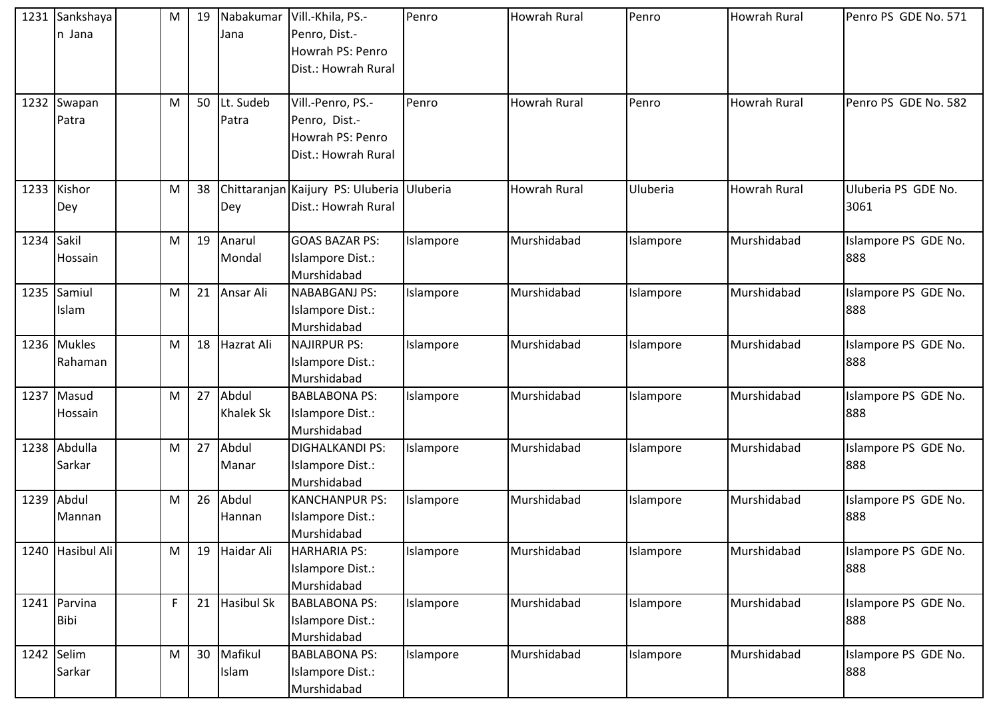|      | 1231 Sankshaya<br>n Jana    | M | 19 | Jana                      | Nabakumar   Vill.-Khila, PS.-<br>Penro, Dist.-<br>Howrah PS: Penro<br>Dist.: Howrah Rural | Penro     | Howrah Rural        | Penro     | <b>Howrah Rural</b> | Penro PS GDE No. 571        |
|------|-----------------------------|---|----|---------------------------|-------------------------------------------------------------------------------------------|-----------|---------------------|-----------|---------------------|-----------------------------|
|      | 1232 Swapan<br>Patra        | M | 50 | Lt. Sudeb<br>Patra        | Vill.-Penro, PS.-<br>Penro, Dist.-<br>Howrah PS: Penro<br>Dist.: Howrah Rural             | Penro     | <b>Howrah Rural</b> | Penro     | <b>Howrah Rural</b> | Penro PS GDE No. 582        |
|      | 1233 Kishor<br>Dey          | M | 38 | Dey                       | Chittaranjan Kaijury PS: Uluberia Uluberia<br>Dist.: Howrah Rural                         |           | <b>Howrah Rural</b> | Uluberia  | <b>Howrah Rural</b> | Uluberia PS GDE No.<br>3061 |
| 1234 | Sakil<br>Hossain            | M | 19 | Anarul<br>Mondal          | <b>GOAS BAZAR PS:</b><br>Islampore Dist.:<br>Murshidabad                                  | Islampore | Murshidabad         | Islampore | Murshidabad         | Islampore PS GDE No.<br>888 |
|      | 1235 Samiul<br>Islam        | M | 21 | Ansar Ali                 | NABABGANJ PS:<br>Islampore Dist.:<br>Murshidabad                                          | Islampore | Murshidabad         | Islampore | Murshidabad         | Islampore PS GDE No.<br>888 |
|      | 1236 Mukles<br>Rahaman      | M | 18 | <b>Hazrat Ali</b>         | <b>NAJIRPUR PS:</b><br>Islampore Dist.:<br>Murshidabad                                    | Islampore | Murshidabad         | Islampore | Murshidabad         | Islampore PS GDE No.<br>888 |
| 1237 | Masud<br><b>Hossain</b>     | M | 27 | Abdul<br><b>Khalek Sk</b> | <b>BABLABONA PS:</b><br>Islampore Dist.:<br>Murshidabad                                   | Islampore | Murshidabad         | Islampore | Murshidabad         | Islampore PS GDE No.<br>888 |
|      | 1238 Abdulla<br>Sarkar      | M | 27 | Abdul<br>Manar            | <b>DIGHALKANDI PS:</b><br>Islampore Dist.:<br>Murshidabad                                 | Islampore | Murshidabad         | Islampore | Murshidabad         | Islampore PS GDE No.<br>888 |
|      | 1239 Abdul<br>Mannan        | M | 26 | Abdul<br>Hannan           | <b>KANCHANPUR PS:</b><br>Islampore Dist.:<br>Murshidabad                                  | Islampore | Murshidabad         | Islampore | Murshidabad         | Islampore PS GDE No.<br>888 |
|      | 1240 Hasibul Ali            | M | 19 | Haidar Ali                | <b>HARHARIA PS:</b><br>Islampore Dist.:<br>Murshidabad                                    | Islampore | Murshidabad         | Islampore | Murshidabad         | Islampore PS GDE No.<br>888 |
|      | 1241 Parvina<br><b>Bibi</b> | F | 21 | <b>Hasibul Sk</b>         | <b>BABLABONA PS:</b><br>Islampore Dist.:<br>Murshidabad                                   | Islampore | Murshidabad         | Islampore | Murshidabad         | Islampore PS GDE No.<br>888 |
|      | 1242 Selim<br>Sarkar        | M | 30 | Mafikul<br>Islam          | <b>BABLABONA PS:</b><br>Islampore Dist.:<br>Murshidabad                                   | Islampore | Murshidabad         | Islampore | Murshidabad         | Islampore PS GDE No.<br>888 |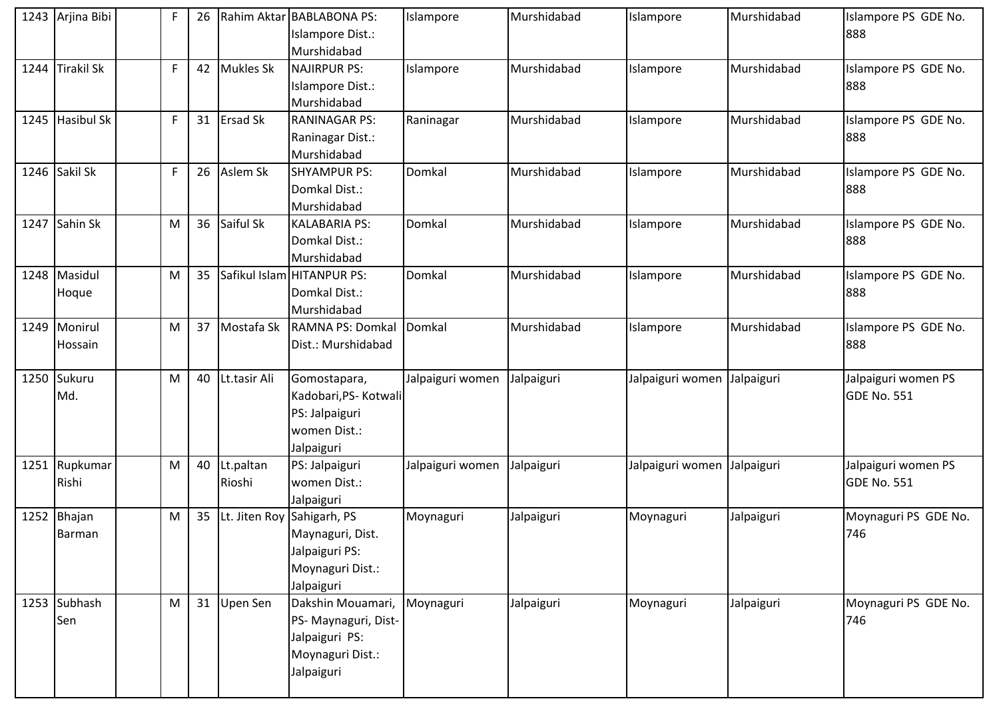| 1243 Arjina Bibi | F           | 26 |                  | Rahim Aktar BABLABONA PS:  | Islampore        | Murshidabad | Islampore                   | Murshidabad | Islampore PS GDE No. |
|------------------|-------------|----|------------------|----------------------------|------------------|-------------|-----------------------------|-------------|----------------------|
|                  |             |    |                  | Islampore Dist.:           |                  |             |                             |             | 888                  |
|                  |             |    |                  | Murshidabad                |                  |             |                             |             |                      |
| 1244 Tirakil Sk  | $\mathsf F$ | 42 | <b>Mukles Sk</b> | <b>NAJIRPUR PS:</b>        | Islampore        | Murshidabad | Islampore                   | Murshidabad | Islampore PS GDE No. |
|                  |             |    |                  | Islampore Dist.:           |                  |             |                             |             | 888                  |
|                  |             |    |                  | Murshidabad                |                  |             |                             |             |                      |
| 1245 Hasibul Sk  | F           | 31 | <b>Ersad Sk</b>  | <b>RANINAGAR PS:</b>       | Raninagar        | Murshidabad | Islampore                   | Murshidabad | Islampore PS GDE No. |
|                  |             |    |                  | Raninagar Dist.:           |                  |             |                             |             | 888                  |
|                  |             |    |                  | Murshidabad                |                  |             |                             |             |                      |
| 1246 Sakil Sk    | $\mathsf F$ | 26 | Aslem Sk         | <b>SHYAMPUR PS:</b>        | Domkal           | Murshidabad | Islampore                   | Murshidabad | Islampore PS GDE No. |
|                  |             |    |                  | Domkal Dist.:              |                  |             |                             |             | 888                  |
|                  |             |    |                  | Murshidabad                |                  |             |                             |             |                      |
| 1247 Sahin Sk    | M           | 36 | Saiful Sk        | <b>KALABARIA PS:</b>       | Domkal           | Murshidabad | Islampore                   | Murshidabad | Islampore PS GDE No. |
|                  |             |    |                  | Domkal Dist.:              |                  |             |                             |             | 888                  |
|                  |             |    |                  | Murshidabad                |                  |             |                             |             |                      |
| 1248 Masidul     | ${\sf M}$   | 35 |                  | Safikul Islam HITANPUR PS: | Domkal           | Murshidabad | Islampore                   | Murshidabad | Islampore PS GDE No. |
| Hoque            |             |    |                  | Domkal Dist.:              |                  |             |                             |             | 888                  |
|                  |             |    |                  | Murshidabad                |                  |             |                             |             |                      |
| 1249 Monirul     | M           | 37 | Mostafa Sk       | RAMNA PS: Domkal           | Domkal           | Murshidabad | Islampore                   | Murshidabad | Islampore PS GDE No. |
| Hossain          |             |    |                  | Dist.: Murshidabad         |                  |             |                             |             | 888                  |
|                  |             |    |                  |                            |                  |             |                             |             |                      |
| 1250 Sukuru      | M           | 40 | Lt.tasir Ali     | Gomostapara,               | Jalpaiguri women | Jalpaiguri  | Jalpaiguri women            | Jalpaiguri  | Jalpaiguri women PS  |
| Md.              |             |    |                  | Kadobari, PS- Kotwali      |                  |             |                             |             | <b>GDE No. 551</b>   |
|                  |             |    |                  | PS: Jalpaiguri             |                  |             |                             |             |                      |
|                  |             |    |                  | women Dist.:               |                  |             |                             |             |                      |
|                  |             |    |                  | Jalpaiguri                 |                  |             |                             |             |                      |
| 1251 Rupkumar    | M           | 40 | Lt.paltan        | PS: Jalpaiguri             | Jalpaiguri women | Jalpaiguri  | Jalpaiguri women Jalpaiguri |             | Jalpaiguri women PS  |
| Rishi            |             |    | Rioshi           | women Dist.:               |                  |             |                             |             | <b>GDE No. 551</b>   |
|                  |             |    |                  | Jalpaiguri                 |                  |             |                             |             |                      |
| 1252 Bhajan      | M           | 35 | Lt. Jiten Roy    | Sahigarh, PS               | Moynaguri        | Jalpaiguri  | Moynaguri                   | Jalpaiguri  | Moynaguri PS GDE No. |
| <b>Barman</b>    |             |    |                  | Maynaguri, Dist.           |                  |             |                             |             | 746                  |
|                  |             |    |                  | Jalpaiguri PS:             |                  |             |                             |             |                      |
|                  |             |    |                  | Moynaguri Dist.:           |                  |             |                             |             |                      |
|                  |             |    |                  | Jalpaiguri                 |                  |             |                             |             |                      |
| 1253 Subhash     | M           | 31 | Upen Sen         | Dakshin Mouamari,          | Moynaguri        | Jalpaiguri  | Moynaguri                   | Jalpaiguri  | Moynaguri PS GDE No. |
| Sen              |             |    |                  | PS- Maynaguri, Dist-       |                  |             |                             |             | 746                  |
|                  |             |    |                  | Jalpaiguri PS:             |                  |             |                             |             |                      |
|                  |             |    |                  | Moynaguri Dist.:           |                  |             |                             |             |                      |
|                  |             |    |                  | Jalpaiguri                 |                  |             |                             |             |                      |
|                  |             |    |                  |                            |                  |             |                             |             |                      |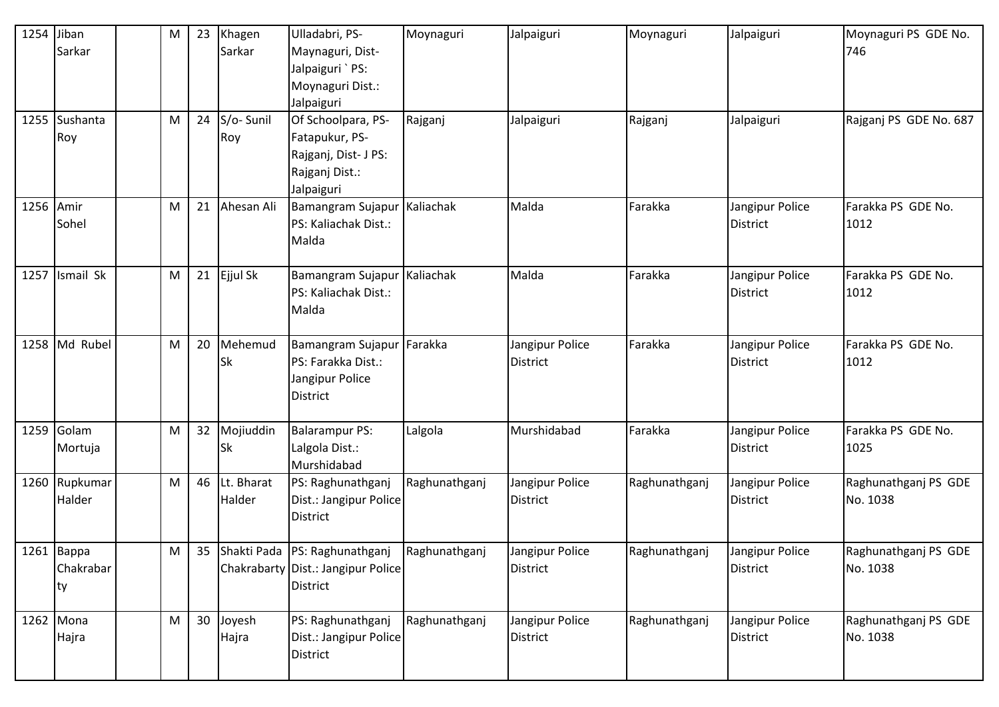| 1254 Jiban | Sarkar                        | M         | 23 | Khagen<br>Sarkar       | Ulladabri, PS-<br>Maynaguri, Dist-<br>Jalpaiguri `PS:<br>Moynaguri Dist.:<br>Jalpaiguri      | Moynaguri     | Jalpaiguri                         | Moynaguri     | Jalpaiguri                         | Moynaguri PS GDE No.<br>746      |
|------------|-------------------------------|-----------|----|------------------------|----------------------------------------------------------------------------------------------|---------------|------------------------------------|---------------|------------------------------------|----------------------------------|
|            | 1255 Sushanta<br>Roy          | ${\sf M}$ | 24 | S/o-Sunil<br>Roy       | Of Schoolpara, PS-<br>Fatapukur, PS-<br>Rajganj, Dist- J PS:<br>Rajganj Dist.:<br>Jalpaiguri | Rajganj       | Jalpaiguri                         | Rajganj       | Jalpaiguri                         | Rajganj PS GDE No. 687           |
|            | 1256 Amir<br>Sohel            | M         | 21 | Ahesan Ali             | Bamangram Sujapur Kaliachak<br>PS: Kaliachak Dist.:<br>Malda                                 |               | Malda                              | Farakka       | Jangipur Police<br><b>District</b> | Farakka PS GDE No.<br>1012       |
|            | 1257 Ismail Sk                | M         | 21 | Ejjul Sk               | Bamangram Sujapur   Kaliachak<br>PS: Kaliachak Dist.:<br>Malda                               |               | Malda                              | Farakka       | Jangipur Police<br><b>District</b> | Farakka PS GDE No.<br>1012       |
|            | 1258 Md Rubel                 | M         | 20 | Mehemud<br>Sk          | Bamangram Sujapur Farakka<br>PS: Farakka Dist.:<br>Jangipur Police<br><b>District</b>        |               | Jangipur Police<br><b>District</b> | Farakka       | Jangipur Police<br><b>District</b> | Farakka PS GDE No.<br>1012       |
|            | 1259 Golam<br>Mortuja         | ${\sf M}$ | 32 | Mojiuddin<br><b>Sk</b> | <b>Balarampur PS:</b><br>Lalgola Dist.:<br>Murshidabad                                       | Lalgola       | Murshidabad                        | Farakka       | Jangipur Police<br><b>District</b> | Farakka PS GDE No.<br>1025       |
|            | 1260 Rupkumar<br>Halder       | M         | 46 | Lt. Bharat<br>Halder   | PS: Raghunathganj<br>Dist.: Jangipur Police<br><b>District</b>                               | Raghunathganj | Jangipur Police<br><b>District</b> | Raghunathganj | Jangipur Police<br>District        | Raghunathganj PS GDE<br>No. 1038 |
|            | 1261 Bappa<br>Chakrabar<br>ty | M         | 35 |                        | Shakti Pada PS: Raghunathganj<br>Chakrabarty Dist.: Jangipur Police<br><b>District</b>       | Raghunathganj | Jangipur Police<br><b>District</b> | Raghunathganj | Jangipur Police<br><b>District</b> | Raghunathganj PS GDE<br>No. 1038 |
|            | 1262 Mona<br>Hajra            | M         | 30 | Joyesh<br>Hajra        | PS: Raghunathganj<br>Dist.: Jangipur Police<br>District                                      | Raghunathganj | Jangipur Police<br><b>District</b> | Raghunathganj | Jangipur Police<br>District        | Raghunathganj PS GDE<br>No. 1038 |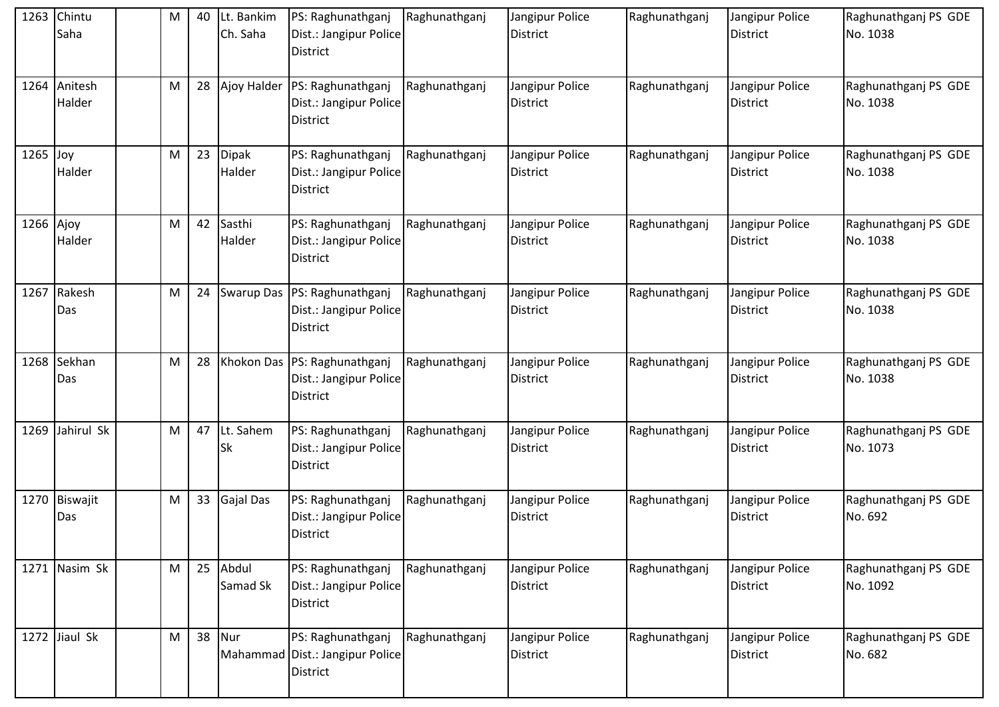|            | 1263 Chintu<br>Saha    | M         | 40 | Lt. Bankim<br>Ch. Saha | PS: Raghunathganj<br>Dist.: Jangipur Police<br><b>District</b>              | Raghunathganj | Jangipur Police<br><b>District</b> | Raghunathganj | Jangipur Police<br><b>District</b> | Raghunathganj PS GDE<br>No. 1038 |
|------------|------------------------|-----------|----|------------------------|-----------------------------------------------------------------------------|---------------|------------------------------------|---------------|------------------------------------|----------------------------------|
|            | 1264 Anitesh<br>Halder | ${\sf M}$ | 28 |                        | Ajoy Halder   PS: Raghunathganj<br>Dist.: Jangipur Police<br>District       | Raghunathganj | Jangipur Police<br><b>District</b> | Raghunathganj | Jangipur Police<br><b>District</b> | Raghunathganj PS GDE<br>No. 1038 |
| $1265$ Joy | Halder                 | ${\sf M}$ | 23 | <b>Dipak</b><br>Halder | PS: Raghunathganj<br>Dist.: Jangipur Police<br>District                     | Raghunathganj | Jangipur Police<br><b>District</b> | Raghunathganj | Jangipur Police<br><b>District</b> | Raghunathganj PS GDE<br>No. 1038 |
| 1266 Ajoy  | Halder                 | ${\sf M}$ | 42 | Sasthi<br>Halder       | PS: Raghunathganj<br>Dist.: Jangipur Police<br>District                     | Raghunathganj | Jangipur Police<br><b>District</b> | Raghunathganj | Jangipur Police<br><b>District</b> | Raghunathganj PS GDE<br>No. 1038 |
|            | 1267 Rakesh<br>Das     | M         | 24 | Swarup Das             | PS: Raghunathganj<br>Dist.: Jangipur Police<br>District                     | Raghunathganj | Jangipur Police<br><b>District</b> | Raghunathganj | Jangipur Police<br><b>District</b> | Raghunathganj PS GDE<br>No. 1038 |
|            | 1268 Sekhan<br>Das     | M         | 28 |                        | Khokon Das   PS: Raghunathganj<br>Dist.: Jangipur Police<br><b>District</b> | Raghunathganj | Jangipur Police<br><b>District</b> | Raghunathganj | Jangipur Police<br>District        | Raghunathganj PS GDE<br>No. 1038 |
|            | 1269 Jahirul Sk        | ${\sf M}$ | 47 | Lt. Sahem<br>Sk        | PS: Raghunathganj<br>Dist.: Jangipur Police<br><b>District</b>              | Raghunathganj | Jangipur Police<br>District        | Raghunathganj | Jangipur Police<br><b>District</b> | Raghunathganj PS GDE<br>No. 1073 |
|            | 1270 Biswajit<br>Das   | M         | 33 | <b>Gajal Das</b>       | PS: Raghunathganj<br>Dist.: Jangipur Police<br><b>District</b>              | Raghunathganj | Jangipur Police<br><b>District</b> | Raghunathganj | Jangipur Police<br><b>District</b> | Raghunathganj PS GDE<br>No. 692  |
|            | 1271 Nasim Sk          | M         | 25 | Abdul<br>Samad Sk      | PS: Raghunathganj<br>Dist.: Jangipur Police<br><b>District</b>              | Raghunathganj | Jangipur Police<br><b>District</b> | Raghunathganj | Jangipur Police<br><b>District</b> | Raghunathganj PS GDE<br>No. 1092 |
|            | 1272 Jiaul Sk          | ${\sf M}$ | 38 | Nur                    | PS: Raghunathganj<br>Mahammad Dist.: Jangipur Police<br>District            | Raghunathganj | Jangipur Police<br><b>District</b> | Raghunathganj | Jangipur Police<br><b>District</b> | Raghunathganj PS GDE<br>No. 682  |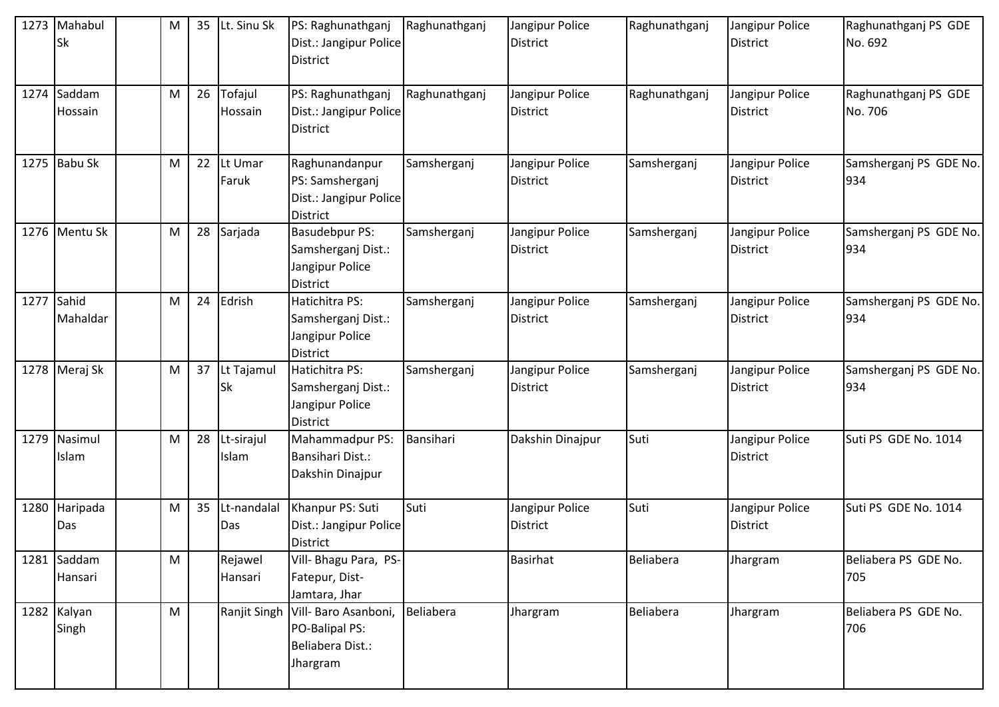| 1273 | Mahabul<br><b>Sk</b>   | M         | 35 | Lt. Sinu Sk             | PS: Raghunathganj<br>Dist.: Jangipur Police<br><b>District</b>             | Raghunathganj | Jangipur Police<br><b>District</b> | Raghunathganj | Jangipur Police<br><b>District</b> | Raghunathganj PS GDE<br>No. 692 |
|------|------------------------|-----------|----|-------------------------|----------------------------------------------------------------------------|---------------|------------------------------------|---------------|------------------------------------|---------------------------------|
|      | 1274 Saddam<br>Hossain | M         | 26 | Tofajul<br>Hossain      | PS: Raghunathganj<br>Dist.: Jangipur Police<br><b>District</b>             | Raghunathganj | Jangipur Police<br><b>District</b> | Raghunathganj | Jangipur Police<br><b>District</b> | Raghunathganj PS GDE<br>No. 706 |
|      | 1275 Babu Sk           | M         | 22 | Lt Umar<br>Faruk        | Raghunandanpur<br>PS: Samsherganj<br>Dist.: Jangipur Police<br>District    | Samsherganj   | Jangipur Police<br><b>District</b> | Samsherganj   | Jangipur Police<br><b>District</b> | Samsherganj PS GDE No.<br>934   |
|      | 1276 Mentu Sk          | M         | 28 | Sarjada                 | <b>Basudebpur PS:</b><br>Samsherganj Dist.:<br>Jangipur Police<br>District | Samsherganj   | Jangipur Police<br><b>District</b> | Samsherganj   | Jangipur Police<br><b>District</b> | Samsherganj PS GDE No.<br>934   |
|      | 1277 Sahid<br>Mahaldar | M         | 24 | Edrish                  | Hatichitra PS:<br>Samsherganj Dist.:<br>Jangipur Police<br><b>District</b> | Samsherganj   | Jangipur Police<br><b>District</b> | Samsherganj   | Jangipur Police<br><b>District</b> | Samsherganj PS GDE No.<br>934   |
|      | 1278 Meraj Sk          | M         | 37 | Lt Tajamul<br><b>Sk</b> | Hatichitra PS:<br>Samsherganj Dist.:<br>Jangipur Police<br>District        | Samsherganj   | Jangipur Police<br><b>District</b> | Samsherganj   | Jangipur Police<br><b>District</b> | Samsherganj PS GDE No.<br>934   |
| 1279 | Nasimul<br>Islam       | M         | 28 | Lt-sirajul<br>Islam     | Mahammadpur PS:<br>Bansihari Dist.:<br>Dakshin Dinajpur                    | Bansihari     | Dakshin Dinajpur                   | Suti          | Jangipur Police<br><b>District</b> | Suti PS GDE No. 1014            |
| 1280 | Haripada<br>Das        | M         | 35 | Lt-nandalal<br>Das      | Khanpur PS: Suti<br>Dist.: Jangipur Police<br><b>District</b>              | Suti          | Jangipur Police<br><b>District</b> | Suti          | Jangipur Police<br><b>District</b> | Suti PS GDE No. 1014            |
|      | 1281 Saddam<br>Hansari | M         |    | Rejawel<br>Hansari      | Vill- Bhagu Para, PS-<br>Fatepur, Dist-<br>Jamtara, Jhar                   |               | <b>Basirhat</b>                    | Beliabera     | Jhargram                           | Beliabera PS GDE No.<br>705     |
|      | 1282 Kalyan<br>Singh   | ${\sf M}$ |    | Ranjit Singh            | Vill- Baro Asanboni,<br>PO-Balipal PS:<br>Beliabera Dist.:<br>Jhargram     | Beliabera     | Jhargram                           | Beliabera     | Jhargram                           | Beliabera PS GDE No.<br>706     |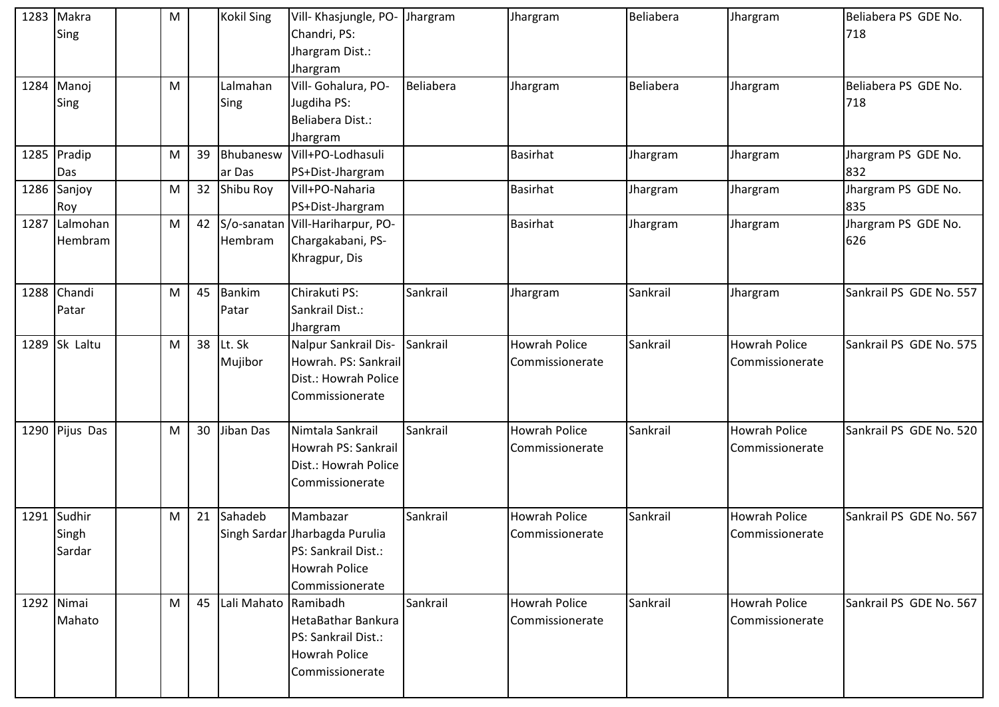|      | 1283 Makra<br>Sing        | M |    | <b>Kokil Sing</b>      | Vill- Khasjungle, PO-<br>Chandri, PS:<br>Jhargram Dist.:<br>Jhargram                                         | Jhargram  | Jhargram                                | Beliabera | Jhargram                                | Beliabera PS GDE No.<br>718 |
|------|---------------------------|---|----|------------------------|--------------------------------------------------------------------------------------------------------------|-----------|-----------------------------------------|-----------|-----------------------------------------|-----------------------------|
|      | 1284 Manoj<br>Sing        | M |    | Lalmahan<br>Sing       | Vill- Gohalura, PO-<br>Jugdiha PS:<br>Beliabera Dist.:<br>Jhargram                                           | Beliabera | Jhargram                                | Beliabera | Jhargram                                | Beliabera PS GDE No.<br>718 |
|      | 1285 Pradip<br>Das        | M | 39 | Bhubanesw<br>ar Das    | Vill+PO-Lodhasuli<br>PS+Dist-Jhargram                                                                        |           | Basirhat                                | Jhargram  | Jhargram                                | Jhargram PS GDE No.<br>832  |
|      | 1286 Sanjoy<br>Roy        | M | 32 | Shibu Roy              | Vill+PO-Naharia<br>PS+Dist-Jhargram                                                                          |           | <b>Basirhat</b>                         | Jhargram  | Jhargram                                | Jhargram PS GDE No.<br>835  |
| 1287 | Lalmohan<br>Hembram       | M | 42 | Hembram                | S/o-sanatan Vill-Hariharpur, PO-<br>Chargakabani, PS-<br>Khragpur, Dis                                       |           | <b>Basirhat</b>                         | Jhargram  | Jhargram                                | Jhargram PS GDE No.<br>626  |
|      | 1288 Chandi<br>Patar      | M | 45 | <b>Bankim</b><br>Patar | Chirakuti PS:<br>Sankrail Dist.:<br>Jhargram                                                                 | Sankrail  | Jhargram                                | Sankrail  | Jhargram                                | Sankrail PS GDE No. 557     |
|      | 1289 Sk Laltu             | M | 38 | Lt. Sk<br>Mujibor      | Nalpur Sankrail Dis-<br>Howrah. PS: Sankrail<br>Dist.: Howrah Police<br>Commissionerate                      | Sankrail  | <b>Howrah Police</b><br>Commissionerate | Sankrail  | <b>Howrah Police</b><br>Commissionerate | Sankrail PS GDE No. 575     |
|      | 1290 Pijus Das            | M | 30 | Jiban Das              | Nimtala Sankrail<br>Howrah PS: Sankrail<br>Dist.: Howrah Police<br>Commissionerate                           | Sankrail  | <b>Howrah Police</b><br>Commissionerate | Sankrail  | <b>Howrah Police</b><br>Commissionerate | Sankrail PS GDE No. 520     |
| 1291 | Sudhir<br>Singh<br>Sardar | M | 21 | Sahadeb                | Mambazar<br>Singh Sardar Jharbagda Purulia<br>PS: Sankrail Dist.:<br><b>Howrah Police</b><br>Commissionerate | Sankrail  | <b>Howrah Police</b><br>Commissionerate | Sankrail  | <b>Howrah Police</b><br>Commissionerate | Sankrail PS GDE No. 567     |
|      | 1292 Nimai<br>Mahato      | M | 45 | Lali Mahato Ramibadh   | HetaBathar Bankura<br>PS: Sankrail Dist.:<br><b>Howrah Police</b><br>Commissionerate                         | Sankrail  | <b>Howrah Police</b><br>Commissionerate | Sankrail  | <b>Howrah Police</b><br>Commissionerate | Sankrail PS GDE No. 567     |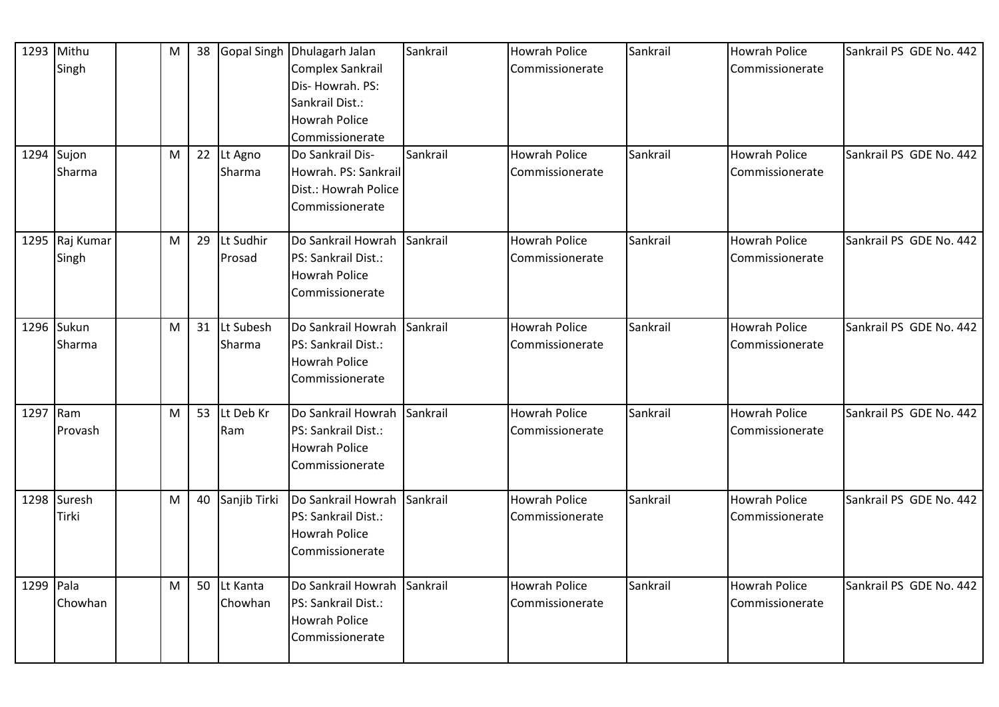|           | 1293 Mithu<br>Singh<br>1294 Sujon<br>Sharma | M<br>M    | 38 | 22 Lt Agno<br>Sharma   | Gopal Singh Dhulagarh Jalan<br>Complex Sankrail<br>Dis-Howrah. PS:<br>Sankrail Dist.:<br><b>Howrah Police</b><br>Commissionerate<br>Do Sankrail Dis-<br>Howrah. PS: Sankrail<br>Dist.: Howrah Police<br>Commissionerate | Sankrail<br>Sankrail | <b>Howrah Police</b><br>Commissionerate<br><b>Howrah Police</b><br>Commissionerate | Sankrail<br>Sankrail | <b>Howrah Police</b><br>Commissionerate<br><b>Howrah Police</b><br>Commissionerate | Sankrail PS GDE No. 442<br>Sankrail PS GDE No. 442 |
|-----------|---------------------------------------------|-----------|----|------------------------|-------------------------------------------------------------------------------------------------------------------------------------------------------------------------------------------------------------------------|----------------------|------------------------------------------------------------------------------------|----------------------|------------------------------------------------------------------------------------|----------------------------------------------------|
|           | 1295 Raj Kumar<br>Singh                     | M         | 29 | Lt Sudhir<br>Prosad    | Do Sankrail Howrah Sankrail<br>PS: Sankrail Dist.:<br><b>Howrah Police</b><br>Commissionerate                                                                                                                           |                      | <b>Howrah Police</b><br>Commissionerate                                            | Sankrail             | <b>Howrah Police</b><br>Commissionerate                                            | Sankrail PS GDE No. 442                            |
|           | 1296 Sukun<br>Sharma                        | M         | 31 | Lt Subesh<br>Sharma    | Do Sankrail Howrah Sankrail<br>PS: Sankrail Dist.:<br>Howrah Police<br>Commissionerate                                                                                                                                  |                      | <b>Howrah Police</b><br>Commissionerate                                            | Sankrail             | <b>Howrah Police</b><br>Commissionerate                                            | Sankrail PS GDE No. 442                            |
| 1297 Ram  | Provash                                     | M         | 53 | Lt Deb Kr<br>Ram       | Do Sankrail Howrah Sankrail<br>PS: Sankrail Dist.:<br><b>Howrah Police</b><br>Commissionerate                                                                                                                           |                      | <b>Howrah Police</b><br>Commissionerate                                            | Sankrail             | <b>Howrah Police</b><br>Commissionerate                                            | Sankrail PS GDE No. 442                            |
|           | 1298 Suresh<br>Tirki                        | ${\sf M}$ | 40 | Sanjib Tirki           | Do Sankrail Howrah<br>PS: Sankrail Dist.:<br><b>Howrah Police</b><br>Commissionerate                                                                                                                                    | Sankrail             | <b>Howrah Police</b><br>Commissionerate                                            | Sankrail             | <b>Howrah Police</b><br>Commissionerate                                            | Sankrail PS GDE No. 442                            |
| 1299 Pala | Chowhan                                     | M         |    | 50 Lt Kanta<br>Chowhan | Do Sankrail Howrah Sankrail<br>PS: Sankrail Dist.:<br><b>Howrah Police</b><br>Commissionerate                                                                                                                           |                      | <b>Howrah Police</b><br>Commissionerate                                            | Sankrail             | <b>Howrah Police</b><br>Commissionerate                                            | Sankrail PS GDE No. 442                            |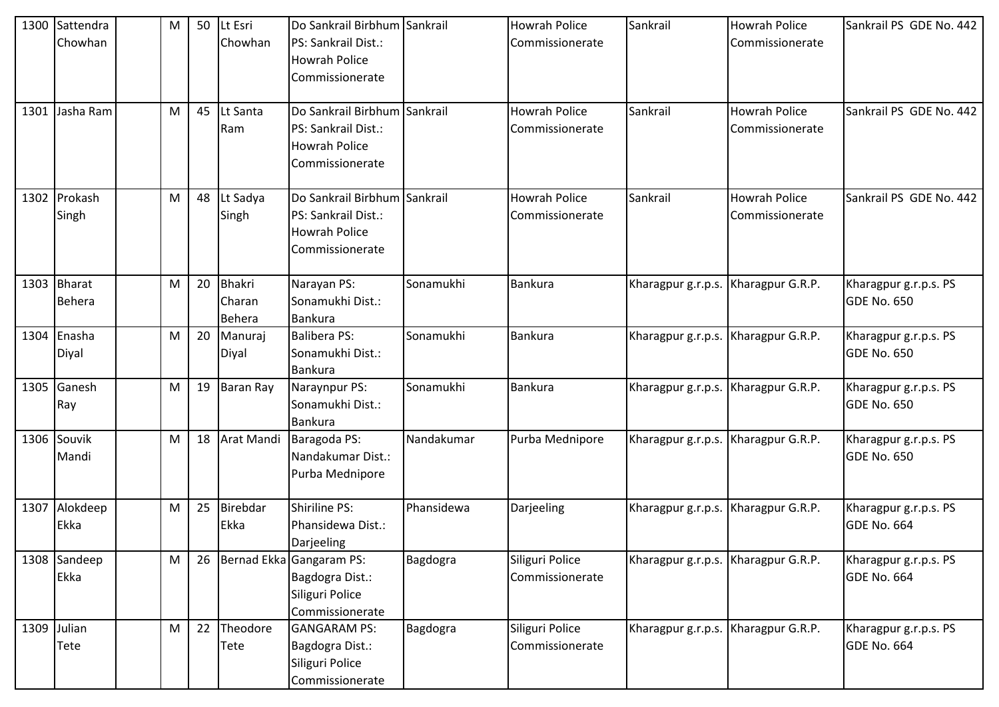| 1300 | Sattendra<br>Chowhan         | M | 50 | Lt Esri<br>Chowhan                | Do Sankrail Birbhum Sankrail<br>PS: Sankrail Dist.:<br><b>Howrah Police</b><br>Commissionerate |            | <b>Howrah Police</b><br>Commissionerate | Sankrail                            | <b>Howrah Police</b><br>Commissionerate | Sankrail PS GDE No. 442                     |
|------|------------------------------|---|----|-----------------------------------|------------------------------------------------------------------------------------------------|------------|-----------------------------------------|-------------------------------------|-----------------------------------------|---------------------------------------------|
| 1301 | Jasha Ram                    | M | 45 | Lt Santa<br>Ram                   | Do Sankrail Birbhum Sankrail<br>PS: Sankrail Dist.:<br><b>Howrah Police</b><br>Commissionerate |            | <b>Howrah Police</b><br>Commissionerate | Sankrail                            | <b>Howrah Police</b><br>Commissionerate | Sankrail PS GDE No. 442                     |
|      | 1302 Prokash<br>Singh        | M | 48 | Lt Sadya<br>Singh                 | Do Sankrail Birbhum Sankrail<br>PS: Sankrail Dist.:<br><b>Howrah Police</b><br>Commissionerate |            | <b>Howrah Police</b><br>Commissionerate | Sankrail                            | <b>Howrah Police</b><br>Commissionerate | Sankrail PS GDE No. 442                     |
|      | 1303 Bharat<br><b>Behera</b> | M | 20 | <b>Bhakri</b><br>Charan<br>Behera | Narayan PS:<br>Sonamukhi Dist.:<br><b>Bankura</b>                                              | Sonamukhi  | <b>Bankura</b>                          | Kharagpur g.r.p.s. Kharagpur G.R.P. |                                         | Kharagpur g.r.p.s. PS<br><b>GDE No. 650</b> |
|      | 1304 Enasha<br>Diyal         | M | 20 | Manuraj<br>Diyal                  | <b>Balibera PS:</b><br>Sonamukhi Dist.:<br><b>Bankura</b>                                      | Sonamukhi  | Bankura                                 | Kharagpur g.r.p.s. Kharagpur G.R.P. |                                         | Kharagpur g.r.p.s. PS<br><b>GDE No. 650</b> |
| 1305 | Ganesh<br>Ray                | M | 19 | <b>Baran Ray</b>                  | Naraynpur PS:<br>Sonamukhi Dist.:<br><b>Bankura</b>                                            | Sonamukhi  | <b>Bankura</b>                          | Kharagpur g.r.p.s. Kharagpur G.R.P. |                                         | Kharagpur g.r.p.s. PS<br>GDE No. 650        |
|      | 1306 Souvik<br>Mandi         | M | 18 | Arat Mandi                        | Baragoda PS:<br>Nandakumar Dist.:<br>Purba Mednipore                                           | Nandakumar | Purba Mednipore                         | Kharagpur g.r.p.s. Kharagpur G.R.P. |                                         | Kharagpur g.r.p.s. PS<br>GDE No. 650        |
| 1307 | Alokdeep<br>Ekka             | M | 25 | Birebdar<br>Ekka                  | Shiriline PS:<br>Phansidewa Dist.:<br>Darjeeling                                               | Phansidewa | Darjeeling                              | Kharagpur g.r.p.s. Kharagpur G.R.P. |                                         | Kharagpur g.r.p.s. PS<br><b>GDE No. 664</b> |
|      | 1308 Sandeep<br>Ekka         | M | 26 |                                   | Bernad Ekka Gangaram PS:<br>Bagdogra Dist.:<br>Siliguri Police<br>Commissionerate              | Bagdogra   | Siliguri Police<br>Commissionerate      | Kharagpur g.r.p.s. Kharagpur G.R.P. |                                         | Kharagpur g.r.p.s. PS<br>GDE No. 664        |
|      | 1309 Julian<br>Tete          | M | 22 | Theodore<br>Tete                  | <b>GANGARAM PS:</b><br>Bagdogra Dist.:<br>Siliguri Police<br>Commissionerate                   | Bagdogra   | Siliguri Police<br>Commissionerate      | Kharagpur g.r.p.s. Kharagpur G.R.P. |                                         | Kharagpur g.r.p.s. PS<br>GDE No. 664        |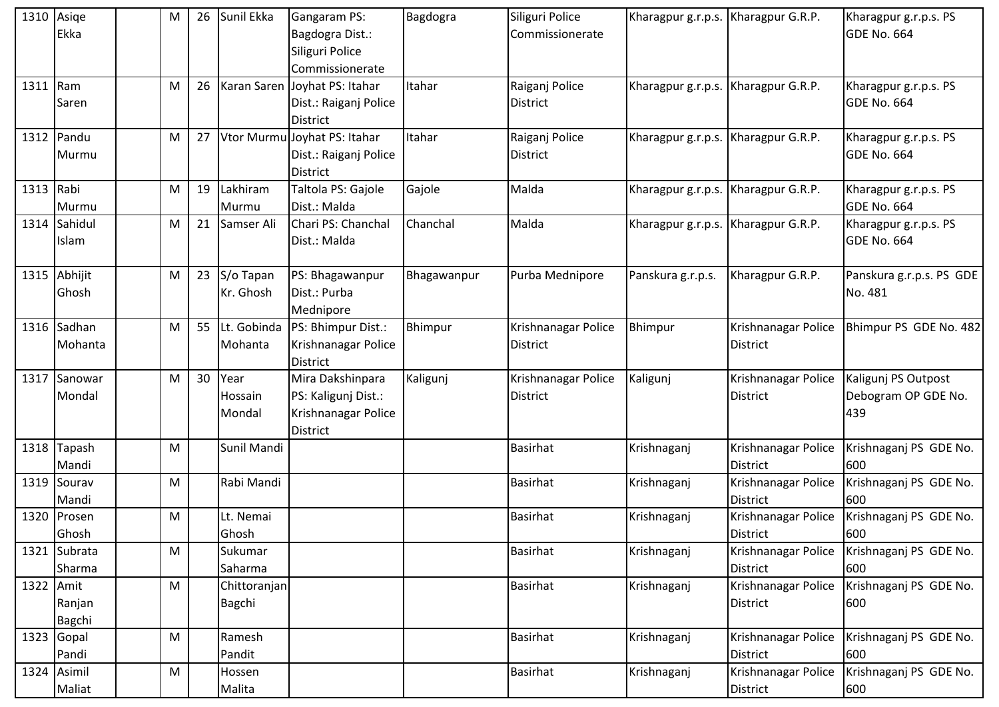| 1310 Asige | Ekka                   | М         | 26 | Sunil Ekka                | Gangaram PS:<br>Bagdogra Dist.:<br>Siliguri Police<br>Commissionerate             | Bagdogra    | Siliguri Police<br>Commissionerate     | Kharagpur g.r.p.s. Kharagpur G.R.P. |                                        | Kharagpur g.r.p.s. PS<br>GDE No. 664              |
|------------|------------------------|-----------|----|---------------------------|-----------------------------------------------------------------------------------|-------------|----------------------------------------|-------------------------------------|----------------------------------------|---------------------------------------------------|
| 1311 Ram   | Saren                  | М         | 26 |                           | Karan Saren Joyhat PS: Itahar<br>Dist.: Raiganj Police<br><b>District</b>         | Itahar      | Raiganj Police<br>District             | Kharagpur g.r.p.s. Kharagpur G.R.P. |                                        | Kharagpur g.r.p.s. PS<br><b>GDE No. 664</b>       |
|            | 1312 Pandu<br>Murmu    | М         | 27 |                           | Vtor Murmu Joyhat PS: Itahar<br>Dist.: Raiganj Police<br><b>District</b>          | Itahar      | Raiganj Police<br><b>District</b>      | Kharagpur g.r.p.s.                  | Kharagpur G.R.P.                       | Kharagpur g.r.p.s. PS<br>GDE No. 664              |
| 1313 Rabi  | Murmu                  | M         | 19 | Lakhiram<br>Murmu         | Taltola PS: Gajole<br>Dist.: Malda                                                | Gajole      | Malda                                  | Kharagpur g.r.p.s.                  | Kharagpur G.R.P.                       | Kharagpur g.r.p.s. PS<br>GDE No. 664              |
|            | 1314 Sahidul<br>Islam  | M         | 21 | Samser Ali                | Chari PS: Chanchal<br>Dist.: Malda                                                | Chanchal    | Malda                                  | Kharagpur g.r.p.s.                  | Kharagpur G.R.P.                       | Kharagpur g.r.p.s. PS<br>GDE No. 664              |
|            | 1315 Abhijit<br>Ghosh  | M         | 23 | S/o Tapan<br>Kr. Ghosh    | PS: Bhagawanpur<br>Dist.: Purba<br>Mednipore                                      | Bhagawanpur | Purba Mednipore                        | Panskura g.r.p.s.                   | Kharagpur G.R.P.                       | Panskura g.r.p.s. PS GDE<br>No. 481               |
|            | 1316 Sadhan<br>Mohanta | М         | 55 | Mohanta                   | Lt. Gobinda   PS: Bhimpur Dist.:<br>Krishnanagar Police<br><b>District</b>        | Bhimpur     | Krishnanagar Police<br>District        | Bhimpur                             | Krishnanagar Police<br><b>District</b> | Bhimpur PS GDE No. 482                            |
|            | 1317 Sanowar<br>Mondal | M         | 30 | Year<br>Hossain<br>Mondal | Mira Dakshinpara<br>PS: Kaligunj Dist.:<br>Krishnanagar Police<br><b>District</b> | Kaligunj    | Krishnanagar Police<br><b>District</b> | Kaligunj                            | Krishnanagar Police<br><b>District</b> | Kaligunj PS Outpost<br>Debogram OP GDE No.<br>439 |
|            | 1318 Tapash<br>Mandi   | M         |    | Sunil Mandi               |                                                                                   |             | <b>Basirhat</b>                        | Krishnaganj                         | Krishnanagar Police<br><b>District</b> | Krishnaganj PS GDE No.<br>600                     |
|            | 1319 Sourav<br>Mandi   | М         |    | Rabi Mandi                |                                                                                   |             | <b>Basirhat</b>                        | Krishnaganj                         | Krishnanagar Police<br><b>District</b> | Krishnaganj PS GDE No.<br>600                     |
|            | 1320 Prosen<br>Ghosh   | M         |    | Lt. Nemai<br>Ghosh        |                                                                                   |             | <b>Basirhat</b>                        | Krishnaganj                         | Krishnanagar Police<br><b>District</b> | Krishnaganj PS GDE No.<br>600                     |
|            | 1321 Subrata<br>Sharma | M         |    | Sukumar<br>Saharma        |                                                                                   |             | <b>Basirhat</b>                        | Krishnaganj                         | Krishnanagar Police<br><b>District</b> | Krishnaganj PS GDE No.<br>600                     |
| 1322 Amit  | Ranjan<br>Bagchi       | ${\sf M}$ |    | Chittoranjan<br>Bagchi    |                                                                                   |             | <b>Basirhat</b>                        | Krishnaganj                         | Krishnanagar Police<br><b>District</b> | Krishnaganj PS GDE No.<br>600                     |
|            | 1323 Gopal<br>Pandi    | M         |    | Ramesh<br>Pandit          |                                                                                   |             | <b>Basirhat</b>                        | Krishnaganj                         | Krishnanagar Police<br><b>District</b> | Krishnaganj PS GDE No.<br>600                     |
|            | 1324 Asimil<br>Maliat  | M         |    | Hossen<br>Malita          |                                                                                   |             | Basirhat                               | Krishnaganj                         | Krishnanagar Police<br><b>District</b> | Krishnaganj PS GDE No.<br>600                     |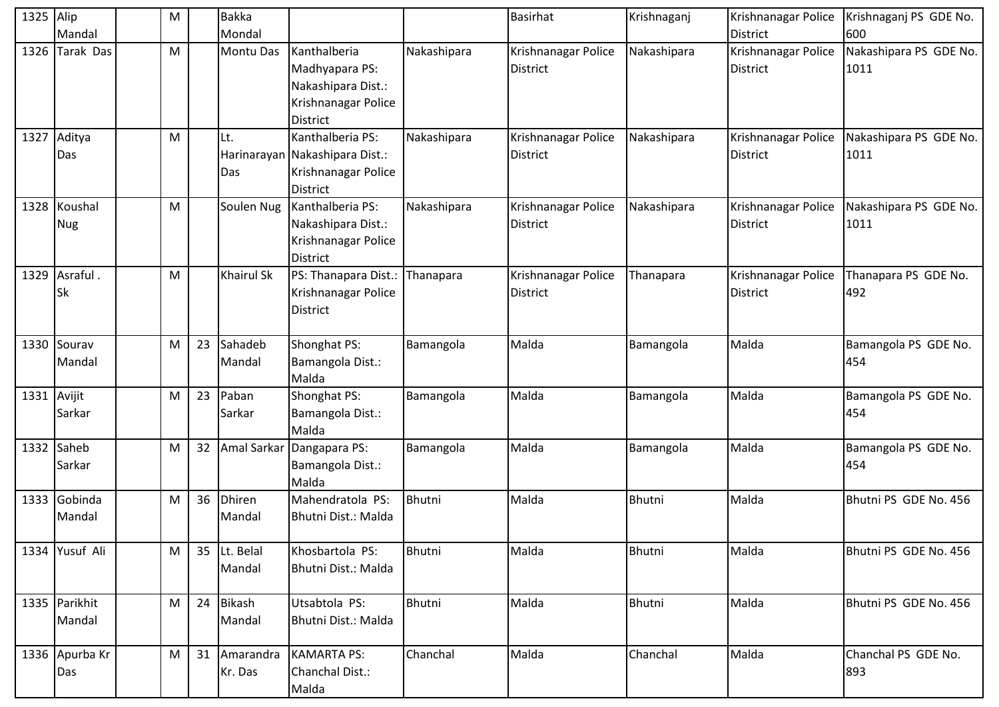| 1325 Alip |                            | M |    | <b>Bakka</b>            |                                                                                                |             | Basirhat                               | Krishnaganj   | Krishnanagar Police                    | Krishnaganj PS GDE No.         |
|-----------|----------------------------|---|----|-------------------------|------------------------------------------------------------------------------------------------|-------------|----------------------------------------|---------------|----------------------------------------|--------------------------------|
|           | Mandal                     |   |    | Mondal                  |                                                                                                |             |                                        |               | <b>District</b>                        | 600                            |
| 1326      | <b>Tarak Das</b>           | M |    | <b>Montu Das</b>        | Kanthalberia<br>Madhyapara PS:<br>Nakashipara Dist.:<br>Krishnanagar Police<br><b>District</b> | Nakashipara | Krishnanagar Police<br><b>District</b> | Nakashipara   | Krishnanagar Police<br>District        | Nakashipara PS GDE No.<br>1011 |
| 1327      | Aditya<br>Das              | M |    | Lt.<br>Das              | Kanthalberia PS:<br>Harinarayan Nakashipara Dist.:<br>Krishnanagar Police<br><b>District</b>   | Nakashipara | Krishnanagar Police<br><b>District</b> | Nakashipara   | Krishnanagar Police<br><b>District</b> | Nakashipara PS GDE No.<br>1011 |
|           | 1328 Koushal<br><b>Nug</b> | M |    | Soulen Nug              | Kanthalberia PS:<br>Nakashipara Dist.:<br>Krishnanagar Police<br>District                      | Nakashipara | Krishnanagar Police<br><b>District</b> | Nakashipara   | Krishnanagar Police<br><b>District</b> | Nakashipara PS GDE No.<br>1011 |
|           | 1329 Asraful.<br><b>Sk</b> | M |    | <b>Khairul Sk</b>       | PS: Thanapara Dist.:<br>Krishnanagar Police<br><b>District</b>                                 | Thanapara   | Krishnanagar Police<br><b>District</b> | Thanapara     | Krishnanagar Police<br><b>District</b> | Thanapara PS GDE No.<br>492    |
|           | 1330 Sourav<br>Mandal      | M | 23 | Sahadeb<br>Mandal       | Shonghat PS:<br>Bamangola Dist.:<br>Malda                                                      | Bamangola   | Malda                                  | Bamangola     | Malda                                  | Bamangola PS GDE No.<br>454    |
| 1331      | Avijit<br>Sarkar           | M | 23 | Paban<br>Sarkar         | Shonghat PS:<br>Bamangola Dist.:<br>Malda                                                      | Bamangola   | Malda                                  | Bamangola     | Malda                                  | Bamangola PS GDE No.<br>454    |
|           | 1332 Saheb<br>Sarkar       | M | 32 |                         | Amal Sarkar Dangapara PS:<br>Bamangola Dist.:<br>Malda                                         | Bamangola   | Malda                                  | Bamangola     | Malda                                  | Bamangola PS GDE No.<br>454    |
|           | 1333 Gobinda<br>Mandal     | M | 36 | <b>Dhiren</b><br>Mandal | Mahendratola PS:<br>Bhutni Dist.: Malda                                                        | Bhutni      | Malda                                  | Bhutni        | Malda                                  | Bhutni PS GDE No. 456          |
|           | 1334 Yusuf Ali             | M |    | 35 Lt. Belal<br>Mandal  | Khosbartola PS:<br>Bhutni Dist.: Malda                                                         | Bhutni      | Malda                                  | <b>Bhutni</b> | Malda                                  | Bhutni PS GDE No. 456          |
|           | 1335 Parikhit<br>Mandal    | M | 24 | Bikash<br>Mandal        | Utsabtola PS:<br>Bhutni Dist.: Malda                                                           | Bhutni      | Malda                                  | Bhutni        | Malda                                  | Bhutni PS GDE No. 456          |
|           | 1336 Apurba Kr<br>Das      | M |    | 31 Amarandra<br>Kr. Das | <b>KAMARTA PS:</b><br>Chanchal Dist.:<br>Malda                                                 | Chanchal    | Malda                                  | Chanchal      | Malda                                  | Chanchal PS GDE No.<br>893     |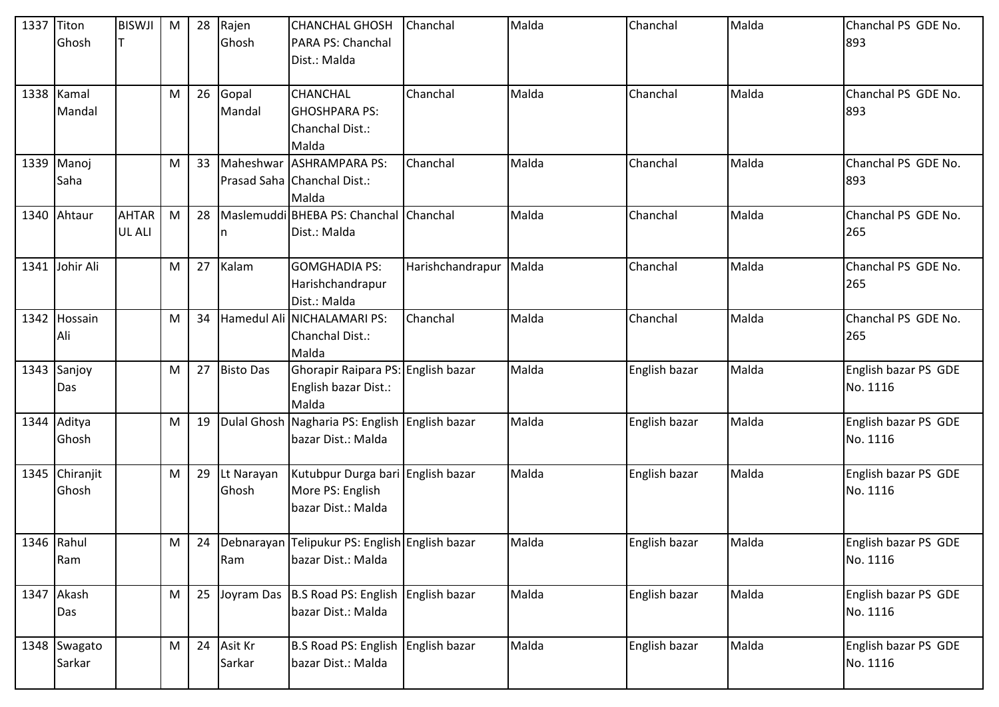| 1337 Titon | Ghosh                   | <b>BISWJI</b>                 | M         | 28 | Rajen<br>Ghosh      | <b>CHANCHAL GHOSH</b><br>PARA PS: Chanchal<br>Dist.: Malda                  | Chanchal               | Malda | Chanchal      | Malda | Chanchal PS GDE No.<br>893       |
|------------|-------------------------|-------------------------------|-----------|----|---------------------|-----------------------------------------------------------------------------|------------------------|-------|---------------|-------|----------------------------------|
|            | 1338   Kamal<br>Mandal  |                               | M         | 26 | Gopal<br>Mandal     | <b>CHANCHAL</b><br><b>GHOSHPARA PS:</b><br>Chanchal Dist.:<br>Malda         | Chanchal               | Malda | Chanchal      | Malda | Chanchal PS GDE No.<br>893       |
|            | 1339 Manoj<br>Saha      |                               | M         | 33 |                     | Maheshwar ASHRAMPARA PS:<br>Prasad Saha Chanchal Dist.:<br>Malda            | Chanchal               | Malda | Chanchal      | Malda | Chanchal PS GDE No.<br>893       |
|            | 1340 Ahtaur             | <b>AHTAR</b><br><b>UL ALI</b> | M         | 28 | n                   | Maslemuddi BHEBA PS: Chanchal Chanchal<br>Dist.: Malda                      |                        | Malda | Chanchal      | Malda | Chanchal PS GDE No.<br>265       |
|            | 1341 Johir Ali          |                               | ${\sf M}$ | 27 | Kalam               | <b>GOMGHADIA PS:</b><br>Harishchandrapur<br>Dist.: Malda                    | Harishchandrapur Malda |       | Chanchal      | Malda | Chanchal PS GDE No.<br>265       |
| 1342       | Hossain<br>Ali          |                               | M         | 34 |                     | Hamedul Ali NICHALAMARI PS:<br>Chanchal Dist.:<br>Malda                     | Chanchal               | Malda | Chanchal      | Malda | Chanchal PS GDE No.<br>265       |
|            | 1343 Sanjoy<br>Das      |                               | M         | 27 | <b>Bisto Das</b>    | Ghorapir Raipara PS: English bazar<br>English bazar Dist.:<br>Malda         |                        | Malda | English bazar | Malda | English bazar PS GDE<br>No. 1116 |
|            | 1344 Aditya<br>Ghosh    |                               | M         | 19 |                     | Dulal Ghosh Nagharia PS: English English bazar<br>bazar Dist.: Malda        |                        | Malda | English bazar | Malda | English bazar PS GDE<br>No. 1116 |
|            | 1345 Chiranjit<br>Ghosh |                               | M         | 29 | Lt Narayan<br>Ghosh | Kutubpur Durga bari English bazar<br>More PS: English<br>bazar Dist.: Malda |                        | Malda | English bazar | Malda | English bazar PS GDE<br>No. 1116 |
| 1346 Rahul | Ram                     |                               | M         | 24 | Ram                 | Debnarayan Telipukur PS: English English bazar<br>bazar Dist.: Malda        |                        | Malda | English bazar | Malda | English bazar PS GDE<br>No. 1116 |
|            | 1347 Akash<br>Das       |                               | M         | 25 |                     | Joyram Das B.S Road PS: English English bazar<br>bazar Dist.: Malda         |                        | Malda | English bazar | Malda | English bazar PS GDE<br>No. 1116 |
|            | 1348 Swagato<br>Sarkar  |                               | M         | 24 | Asit Kr<br>Sarkar   | B.S Road PS: English English bazar<br>bazar Dist.: Malda                    |                        | Malda | English bazar | Malda | English bazar PS GDE<br>No. 1116 |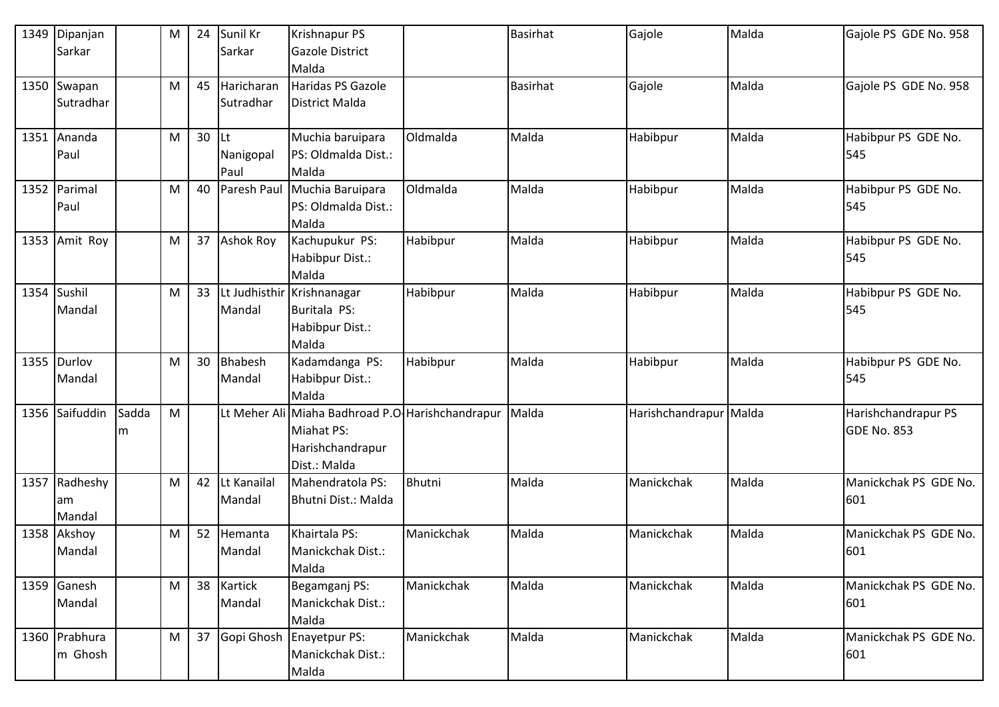| 1349        | Dipanjan       |       | M | 24 | Sunil Kr         | <b>Krishnapur PS</b>                              |               | <b>Basirhat</b> | Gajole                 | Malda | Gajole PS GDE No. 958 |
|-------------|----------------|-------|---|----|------------------|---------------------------------------------------|---------------|-----------------|------------------------|-------|-----------------------|
|             | Sarkar         |       |   |    | Sarkar           | <b>Gazole District</b>                            |               |                 |                        |       |                       |
|             |                |       |   |    |                  | Malda                                             |               |                 |                        |       |                       |
|             | 1350 Swapan    |       | M | 45 | Haricharan       | Haridas PS Gazole                                 |               | <b>Basirhat</b> | Gajole                 | Malda | Gajole PS GDE No. 958 |
|             | Sutradhar      |       |   |    | Sutradhar        | District Malda                                    |               |                 |                        |       |                       |
|             |                |       |   |    |                  |                                                   |               |                 |                        |       |                       |
|             | 1351 Ananda    |       | M | 30 | <b>Lt</b>        | Muchia baruipara                                  | Oldmalda      | Malda           | Habibpur               | Malda | Habibpur PS GDE No.   |
|             | Paul           |       |   |    | Nanigopal        | PS: Oldmalda Dist.:                               |               |                 |                        |       | 545                   |
|             |                |       |   |    | Paul             | Malda                                             |               |                 |                        |       |                       |
|             | 1352 Parimal   |       | M | 40 | Paresh Paul      | Muchia Baruipara                                  | Oldmalda      | Malda           | Habibpur               | Malda | Habibpur PS GDE No.   |
|             | Paul           |       |   |    |                  | PS: Oldmalda Dist.:                               |               |                 |                        |       | 545                   |
|             |                |       |   |    |                  | Malda                                             |               |                 |                        |       |                       |
|             | 1353 Amit Roy  |       | M | 37 | <b>Ashok Roy</b> | Kachupukur PS:                                    | Habibpur      | Malda           | Habibpur               | Malda | Habibpur PS GDE No.   |
|             |                |       |   |    |                  | Habibpur Dist.:                                   |               |                 |                        |       | 545                   |
|             |                |       |   |    |                  | Malda                                             |               |                 |                        |       |                       |
| 1354 Sushil |                |       | M | 33 |                  | Lt Judhisthir Krishnanagar                        | Habibpur      | Malda           | Habibpur               | Malda | Habibpur PS GDE No.   |
|             | Mandal         |       |   |    | Mandal           | Buritala PS:                                      |               |                 |                        |       | 545                   |
|             |                |       |   |    |                  | Habibpur Dist.:                                   |               |                 |                        |       |                       |
|             |                |       |   |    |                  | Malda                                             |               |                 |                        |       |                       |
|             | 1355 Durlov    |       | M | 30 | Bhabesh          | Kadamdanga PS:                                    | Habibpur      | Malda           | Habibpur               | Malda | Habibpur PS GDE No.   |
|             | Mandal         |       |   |    | Mandal           | Habibpur Dist.:                                   |               |                 |                        |       | 545                   |
|             |                |       |   |    |                  | Malda                                             |               |                 |                        |       |                       |
|             | 1356 Saifuddin | Sadda | M |    |                  | Lt Meher Ali Miaha Badhroad P.O. Harishchandrapur |               | Malda           | Harishchandrapur Malda |       | Harishchandrapur PS   |
|             |                | m     |   |    |                  | Miahat PS:                                        |               |                 |                        |       | <b>GDE No. 853</b>    |
|             |                |       |   |    |                  | Harishchandrapur                                  |               |                 |                        |       |                       |
|             |                |       |   |    |                  | Dist.: Malda                                      |               |                 |                        |       |                       |
| 1357        | Radheshy       |       | M | 42 | Lt Kanailal      | Mahendratola PS:                                  | <b>Bhutni</b> | Malda           | Manickchak             | Malda | Manickchak PS GDE No. |
|             | am             |       |   |    | Mandal           | Bhutni Dist.: Malda                               |               |                 |                        |       | 601                   |
|             | Mandal         |       |   |    |                  |                                                   |               |                 |                        |       |                       |
|             | 1358 Akshoy    |       | M | 52 | Hemanta          | Khairtala PS:                                     | Manickchak    | Malda           | Manickchak             | Malda | Manickchak PS GDE No. |
|             | Mandal         |       |   |    | Mandal           | Manickchak Dist.:                                 |               |                 |                        |       | 601                   |
|             |                |       |   |    |                  | Malda                                             |               |                 |                        |       |                       |
|             | 1359 Ganesh    |       | M | 38 | Kartick          | Begamganj PS:                                     | Manickchak    | Malda           | Manickchak             | Malda | Manickchak PS GDE No. |
|             | Mandal         |       |   |    | Mandal           | Manickchak Dist.:                                 |               |                 |                        |       | 601                   |
|             |                |       |   |    |                  | Malda                                             |               |                 |                        |       |                       |
|             | 1360 Prabhura  |       | M | 37 |                  | Gopi Ghosh Enayetpur PS:                          | Manickchak    | Malda           | Manickchak             | Malda | Manickchak PS GDE No. |
|             | m Ghosh        |       |   |    |                  | Manickchak Dist.:                                 |               |                 |                        |       | 601                   |
|             |                |       |   |    |                  | Malda                                             |               |                 |                        |       |                       |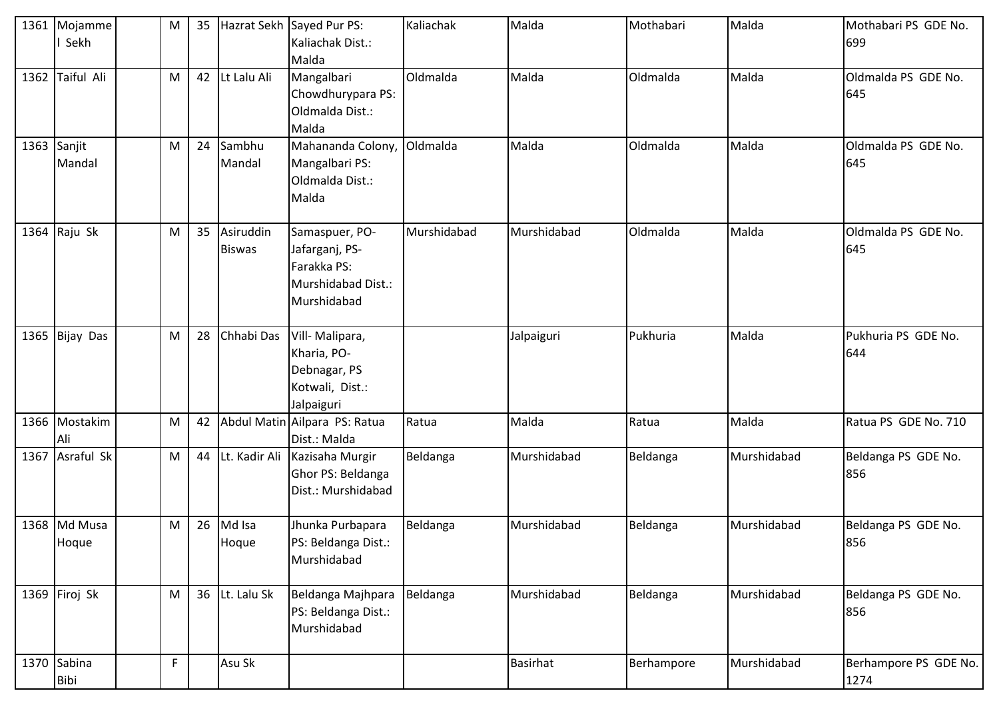|      | 1361 Mojamme<br>I Sekh     | M         | 35 |                            | Hazrat Sekh Sayed Pur PS:<br>Kaliachak Dist.:<br>Malda                               | Kaliachak       | Malda       | Mothabari  | Malda       | Mothabari PS GDE No.<br>699   |
|------|----------------------------|-----------|----|----------------------------|--------------------------------------------------------------------------------------|-----------------|-------------|------------|-------------|-------------------------------|
| 1362 | Taiful Ali                 | ${\sf M}$ | 42 | Lt Lalu Ali                | Mangalbari<br>Chowdhurypara PS:<br>Oldmalda Dist.:<br>Malda                          | Oldmalda        | Malda       | Oldmalda   | Malda       | Oldmalda PS GDE No.<br>645    |
|      | 1363 Sanjit<br>Mandal      | M         | 24 | Sambhu<br>Mandal           | Mahananda Colony,<br>Mangalbari PS:<br>Oldmalda Dist.:<br>Malda                      | <b>Oldmalda</b> | Malda       | Oldmalda   | Malda       | Oldmalda PS GDE No.<br>645    |
|      | 1364 Raju Sk               | M         | 35 | Asiruddin<br><b>Biswas</b> | Samaspuer, PO-<br>Jafarganj, PS-<br>Farakka PS:<br>Murshidabad Dist.:<br>Murshidabad | Murshidabad     | Murshidabad | Oldmalda   | Malda       | Oldmalda PS GDE No.<br>645    |
|      | 1365 Bijay Das             | M         | 28 | Chhabi Das                 | Vill- Malipara,<br>Kharia, PO-<br>Debnagar, PS<br>Kotwali, Dist.:<br>Jalpaiguri      |                 | Jalpaiguri  | Pukhuria   | Malda       | Pukhuria PS GDE No.<br>644    |
|      | 1366 Mostakim<br>Ali       | ${\sf M}$ | 42 |                            | Abdul Matin Ailpara PS: Ratua<br>Dist.: Malda                                        | Ratua           | Malda       | Ratua      | Malda       | Ratua PS GDE No. 710          |
|      | 1367 Asraful Sk            | M         | 44 |                            | Lt. Kadir Ali Kazisaha Murgir<br>Ghor PS: Beldanga<br>Dist.: Murshidabad             | Beldanga        | Murshidabad | Beldanga   | Murshidabad | Beldanga PS GDE No.<br>856    |
|      | 1368 Md Musa<br>Hoque      | M         | 26 | Md Isa<br>Hoque            | Jhunka Purbapara<br>PS: Beldanga Dist.:<br>Murshidabad                               | Beldanga        | Murshidabad | Beldanga   | Murshidabad | Beldanga PS GDE No.<br>856    |
|      | 1369 Firoj Sk              | M         | 36 | Lt. Lalu Sk                | Beldanga Majhpara<br>PS: Beldanga Dist.:<br>Murshidabad                              | Beldanga        | Murshidabad | Beldanga   | Murshidabad | Beldanga PS GDE No.<br>856    |
|      | 1370 Sabina<br><b>Bibi</b> | F         |    | Asu Sk                     |                                                                                      |                 | Basirhat    | Berhampore | Murshidabad | Berhampore PS GDE No.<br>1274 |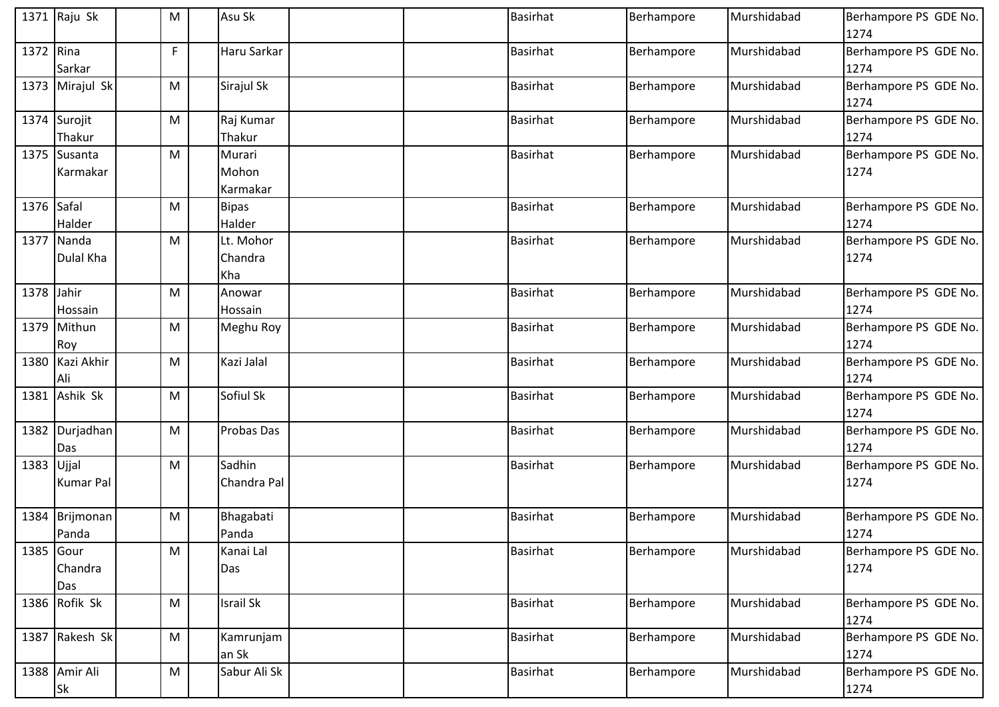|            | 1371 Raju Sk               | M | Asu Sk                      |  | <b>Basirhat</b> | Berhampore | Murshidabad | Berhampore PS GDE No.<br>1274 |
|------------|----------------------------|---|-----------------------------|--|-----------------|------------|-------------|-------------------------------|
| 1372 Rina  | Sarkar                     | F | Haru Sarkar                 |  | <b>Basirhat</b> | Berhampore | Murshidabad | Berhampore PS GDE No.<br>1274 |
|            | 1373 Mirajul Sk            | M | Sirajul Sk                  |  | <b>Basirhat</b> | Berhampore | Murshidabad | Berhampore PS GDE No.<br>1274 |
|            | 1374 Surojit<br>Thakur     | M | Raj Kumar<br>Thakur         |  | <b>Basirhat</b> | Berhampore | Murshidabad | Berhampore PS GDE No.<br>1274 |
|            | 1375 Susanta<br>Karmakar   | M | Murari<br>Mohon<br>Karmakar |  | <b>Basirhat</b> | Berhampore | Murshidabad | Berhampore PS GDE No.<br>1274 |
| 1376 Safal | Halder                     | M | <b>Bipas</b><br>Halder      |  | <b>Basirhat</b> | Berhampore | Murshidabad | Berhampore PS GDE No.<br>1274 |
|            | 1377 Nanda<br>Dulal Kha    | M | Lt. Mohor<br>Chandra<br>Kha |  | <b>Basirhat</b> | Berhampore | Murshidabad | Berhampore PS GDE No.<br>1274 |
| 1378 Jahir | Hossain                    | М | Anowar<br>Hossain           |  | <b>Basirhat</b> | Berhampore | Murshidabad | Berhampore PS GDE No.<br>1274 |
|            | 1379 Mithun<br>Roy         | M | Meghu Roy                   |  | <b>Basirhat</b> | Berhampore | Murshidabad | Berhampore PS GDE No.<br>1274 |
|            | 1380 Kazi Akhir<br>Ali     | M | Kazi Jalal                  |  | <b>Basirhat</b> | Berhampore | Murshidabad | Berhampore PS GDE No.<br>1274 |
| 1381       | Ashik Sk                   | M | Sofiul Sk                   |  | <b>Basirhat</b> | Berhampore | Murshidabad | Berhampore PS GDE No.<br>1274 |
|            | 1382 Durjadhan<br>Das      | M | Probas Das                  |  | <b>Basirhat</b> | Berhampore | Murshidabad | Berhampore PS GDE No.<br>1274 |
| 1383 Ujjal | <b>Kumar Pal</b>           | M | Sadhin<br>Chandra Pal       |  | <b>Basirhat</b> | Berhampore | Murshidabad | Berhampore PS GDE No.<br>1274 |
| 1384       | Brijmonan<br>Panda         | M | Bhagabati<br>Panda          |  | <b>Basirhat</b> | Berhampore | Murshidabad | Berhampore PS GDE No.<br>1274 |
| 1385 Gour  | Chandra<br>Das             | M | Kanai Lal<br>Das            |  | <b>Basirhat</b> | Berhampore | Murshidabad | Berhampore PS GDE No.<br>1274 |
|            | 1386 Rofik Sk              | M | <b>Israil Sk</b>            |  | <b>Basirhat</b> | Berhampore | Murshidabad | Berhampore PS GDE No.<br>1274 |
|            | 1387 Rakesh Sk             | M | Kamrunjam<br>an Sk          |  | Basirhat        | Berhampore | Murshidabad | Berhampore PS GDE No.<br>1274 |
|            | 1388 Amir Ali<br><b>Sk</b> | M | Sabur Ali Sk                |  | <b>Basirhat</b> | Berhampore | Murshidabad | Berhampore PS GDE No.<br>1274 |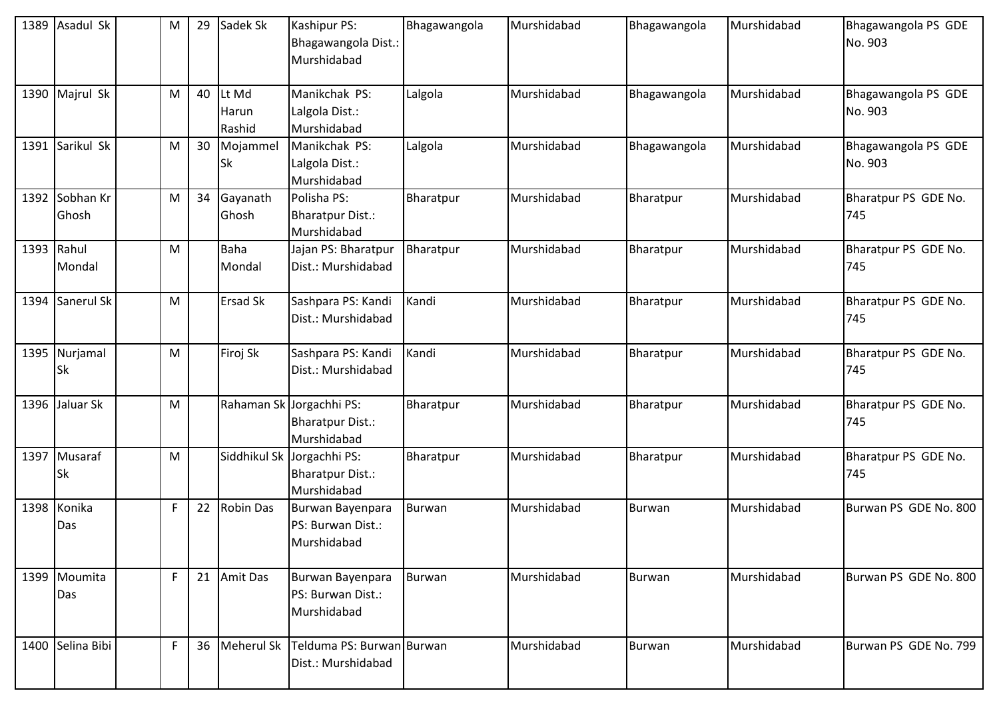| 1389 Asadul Sk            | M            | 29 | Sadek Sk                 | Kashipur PS:<br>Bhagawangola Dist.:<br>Murshidabad                   | Bhagawangola  | Murshidabad | Bhagawangola  | Murshidabad | Bhagawangola PS GDE<br>No. 903 |
|---------------------------|--------------|----|--------------------------|----------------------------------------------------------------------|---------------|-------------|---------------|-------------|--------------------------------|
| 1390 Majrul Sk            | M            | 40 | Lt Md<br>Harun<br>Rashid | Manikchak PS:<br>Lalgola Dist.:<br>Murshidabad                       | Lalgola       | Murshidabad | Bhagawangola  | Murshidabad | Bhagawangola PS GDE<br>No. 903 |
| 1391 Sarikul Sk           | M            | 30 | Mojammel<br>Sk           | Manikchak PS:<br>Lalgola Dist.:<br>Murshidabad                       | Lalgola       | Murshidabad | Bhagawangola  | Murshidabad | Bhagawangola PS GDE<br>No. 903 |
| 1392 Sobhan Kr<br>Ghosh   | ${\sf M}$    | 34 | Gayanath<br>Ghosh        | Polisha PS:<br><b>Bharatpur Dist.:</b><br>Murshidabad                | Bharatpur     | Murshidabad | Bharatpur     | Murshidabad | Bharatpur PS GDE No.<br>745    |
| 1393 Rahul<br>Mondal      | M            |    | <b>Baha</b><br>Mondal    | Jajan PS: Bharatpur<br>Dist.: Murshidabad                            | Bharatpur     | Murshidabad | Bharatpur     | Murshidabad | Bharatpur PS GDE No.<br>745    |
| 1394 Sanerul Sk           | M            |    | <b>Ersad Sk</b>          | Sashpara PS: Kandi<br>Dist.: Murshidabad                             | Kandi         | Murshidabad | Bharatpur     | Murshidabad | Bharatpur PS GDE No.<br>745    |
| 1395 Nurjamal<br>Sk       | ${\sf M}$    |    | Firoj Sk                 | Sashpara PS: Kandi<br>Dist.: Murshidabad                             | Kandi         | Murshidabad | Bharatpur     | Murshidabad | Bharatpur PS GDE No.<br>745    |
| 1396 Jaluar Sk            | ${\sf M}$    |    | Rahaman Sk               | Jorgachhi PS:<br><b>Bharatpur Dist.:</b><br>Murshidabad              | Bharatpur     | Murshidabad | Bharatpur     | Murshidabad | Bharatpur PS GDE No.<br>745    |
| 1397 Musaraf<br><b>Sk</b> | M            |    |                          | Siddhikul Sk Jorgachhi PS:<br><b>Bharatpur Dist.:</b><br>Murshidabad | Bharatpur     | Murshidabad | Bharatpur     | Murshidabad | Bharatpur PS GDE No.<br>745    |
| 1398 Konika<br>Das        | $\mathsf F$  | 22 | <b>Robin Das</b>         | Burwan Bayenpara<br>PS: Burwan Dist.:<br>Murshidabad                 | <b>Burwan</b> | Murshidabad | Burwan        | Murshidabad | Burwan PS GDE No. 800          |
| 1399 Moumita<br>Das       | F            |    | 21 Amit Das              | Burwan Bayenpara<br>PS: Burwan Dist.:<br>Murshidabad                 | <b>Burwan</b> | Murshidabad | <b>Burwan</b> | Murshidabad | Burwan PS GDE No. 800          |
| 1400 Selina Bibi          | $\mathsf{F}$ | 36 | Meherul Sk               | Telduma PS: Burwan Burwan<br>Dist.: Murshidabad                      |               | Murshidabad | Burwan        | Murshidabad | Burwan PS GDE No. 799          |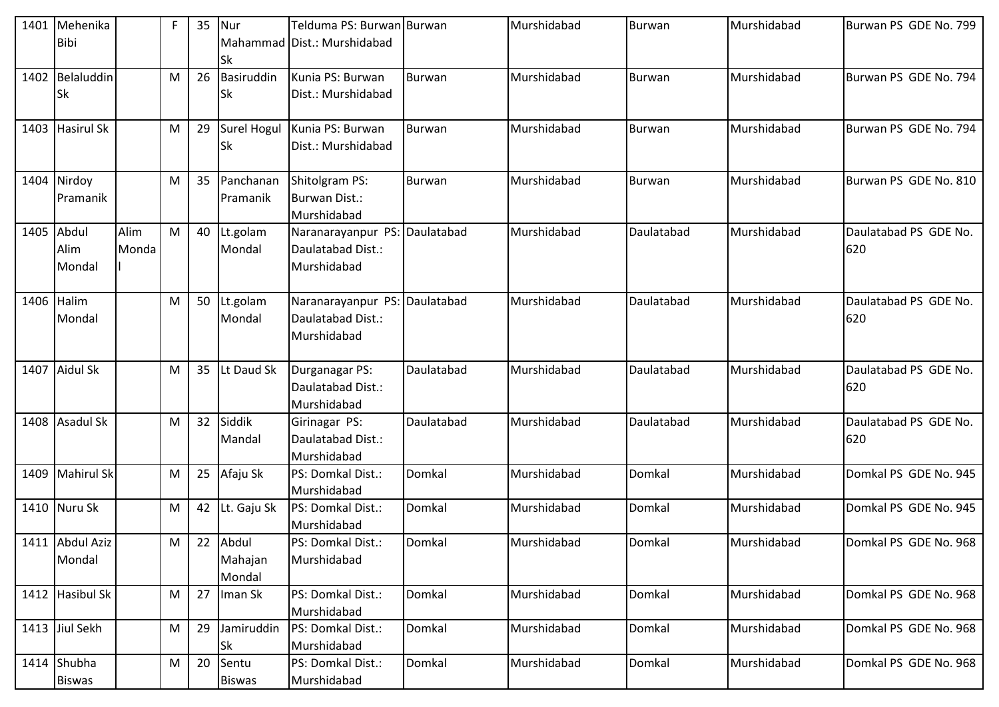| 1401 | Mehenika<br><b>Bibi</b>        |               | F | 35 | Nur<br>Sk                  | Telduma PS: Burwan Burwan<br>Mahammad Dist.: Murshidabad          |               | Murshidabad | <b>Burwan</b> | Murshidabad | Burwan PS GDE No. 799        |
|------|--------------------------------|---------------|---|----|----------------------------|-------------------------------------------------------------------|---------------|-------------|---------------|-------------|------------------------------|
|      | 1402 Belaluddin<br><b>Sk</b>   |               | М | 26 | Basiruddin<br>Sk           | Kunia PS: Burwan<br>Dist.: Murshidabad                            | Burwan        | Murshidabad | Burwan        | Murshidabad | Burwan PS GDE No. 794        |
|      | 1403 Hasirul Sk                |               | M | 29 | Sk                         | Surel Hogul Kunia PS: Burwan<br>Dist.: Murshidabad                | <b>Burwan</b> | Murshidabad | <b>Burwan</b> | Murshidabad | Burwan PS GDE No. 794        |
|      | 1404 Nirdoy<br><b>Pramanik</b> |               | M | 35 | Panchanan<br>Pramanik      | Shitolgram PS:<br><b>Burwan Dist.:</b><br>Murshidabad             | Burwan        | Murshidabad | Burwan        | Murshidabad | Burwan PS GDE No. 810        |
| 1405 | Abdul<br>Alim<br>Mondal        | Alim<br>Monda | M | 40 | Lt.golam<br>Mondal         | Naranarayanpur PS: Daulatabad<br>Daulatabad Dist.:<br>Murshidabad |               | Murshidabad | Daulatabad    | Murshidabad | Daulatabad PS GDE No.<br>620 |
|      | 1406 Halim<br>Mondal           |               | M | 50 | Lt.golam<br>Mondal         | Naranarayanpur PS: Daulatabad<br>Daulatabad Dist.:<br>Murshidabad |               | Murshidabad | Daulatabad    | Murshidabad | Daulatabad PS GDE No.<br>620 |
|      | 1407 Aidul Sk                  |               | M | 35 | Lt Daud Sk                 | Durganagar PS:<br>Daulatabad Dist.:<br>Murshidabad                | Daulatabad    | Murshidabad | Daulatabad    | Murshidabad | Daulatabad PS GDE No.<br>620 |
|      | 1408 Asadul Sk                 |               | M | 32 | Siddik<br>Mandal           | Girinagar PS:<br>Daulatabad Dist.:<br>Murshidabad                 | Daulatabad    | Murshidabad | Daulatabad    | Murshidabad | Daulatabad PS GDE No.<br>620 |
|      | 1409 Mahirul Sk                |               | M | 25 | Afaju Sk                   | PS: Domkal Dist.:<br>Murshidabad                                  | Domkal        | Murshidabad | Domkal        | Murshidabad | Domkal PS GDE No. 945        |
|      | 1410 Nuru Sk                   |               | M | 42 | Lt. Gaju Sk                | PS: Domkal Dist.:<br>Murshidabad                                  | Domkal        | Murshidabad | Domkal        | Murshidabad | Domkal PS GDE No. 945        |
|      | 1411 Abdul Aziz<br>Mondal      |               | M | 22 | Abdul<br>Mahajan<br>Mondal | PS: Domkal Dist.:<br>Murshidabad                                  | Domkal        | Murshidabad | Domkal        | Murshidabad | Domkal PS GDE No. 968        |
|      | 1412 Hasibul Sk                |               | M | 27 | Iman Sk                    | PS: Domkal Dist.:<br>Murshidabad                                  | Domkal        | Murshidabad | Domkal        | Murshidabad | Domkal PS GDE No. 968        |
|      | 1413 Jiul Sekh                 |               | M | 29 | Jamiruddin<br>Sk           | PS: Domkal Dist.:<br>Murshidabad                                  | Domkal        | Murshidabad | Domkal        | Murshidabad | Domkal PS GDE No. 968        |
|      | 1414 Shubha<br><b>Biswas</b>   |               | M | 20 | Sentu<br><b>Biswas</b>     | PS: Domkal Dist.:<br>Murshidabad                                  | Domkal        | Murshidabad | Domkal        | Murshidabad | Domkal PS GDE No. 968        |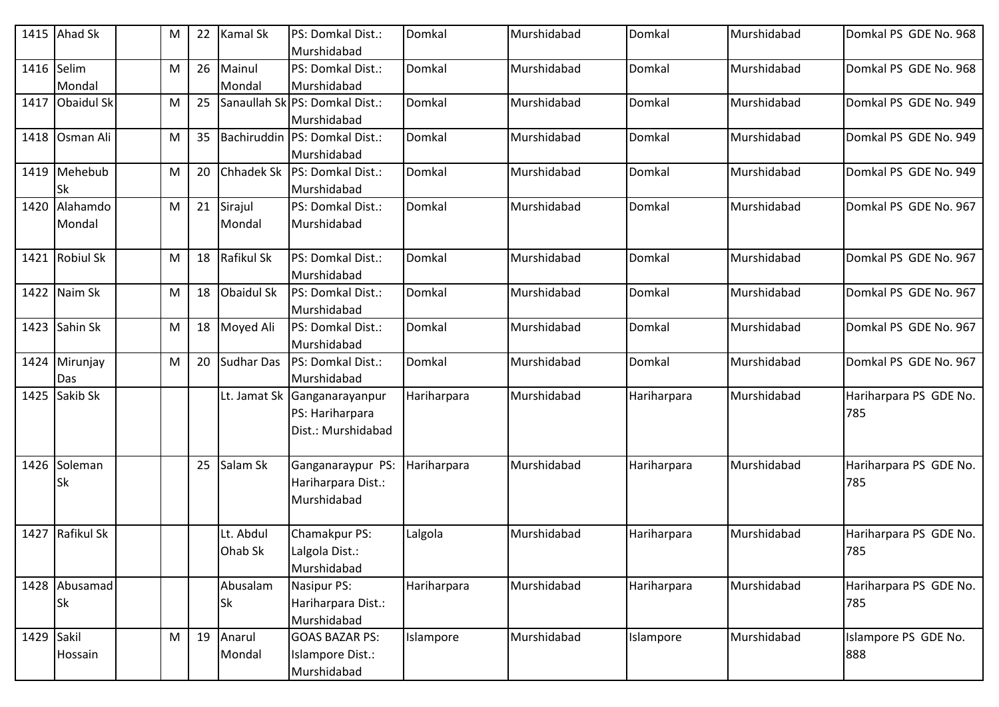|            | 1415 Ahad Sk               | M | 22 | Kamal Sk             | PS: Domkal Dist.:<br>Murshidabad                         | Domkal      | Murshidabad | Domkal      | Murshidabad | Domkal PS GDE No. 968         |
|------------|----------------------------|---|----|----------------------|----------------------------------------------------------|-------------|-------------|-------------|-------------|-------------------------------|
| 1416 Selim | Mondal                     | M | 26 | Mainul<br>Mondal     | PS: Domkal Dist.:<br>Murshidabad                         | Domkal      | Murshidabad | Domkal      | Murshidabad | Domkal PS GDE No. 968         |
|            | 1417 Obaidul Sk            | М | 25 |                      | Sanaullah SklPS: Domkal Dist.:<br>Murshidabad            | Domkal      | Murshidabad | Domkal      | Murshidabad | Domkal PS GDE No. 949         |
|            | 1418 Osman Ali             | M | 35 |                      | Bachiruddin PS: Domkal Dist.:<br>Murshidabad             | Domkal      | Murshidabad | Domkal      | Murshidabad | Domkal PS GDE No. 949         |
|            | 1419 Mehebub<br><b>Sk</b>  | M | 20 |                      | Chhadek Sk   PS: Domkal Dist.:<br>Murshidabad            | Domkal      | Murshidabad | Domkal      | Murshidabad | Domkal PS GDE No. 949         |
|            | 1420 Alahamdo<br>Mondal    | М | 21 | Sirajul<br>Mondal    | PS: Domkal Dist.:<br>Murshidabad                         | Domkal      | Murshidabad | Domkal      | Murshidabad | Domkal PS GDE No. 967         |
|            | 1421 Robiul Sk             | М | 18 | Rafikul Sk           | PS: Domkal Dist.:<br>Murshidabad                         | Domkal      | Murshidabad | Domkal      | Murshidabad | Domkal PS GDE No. 967         |
|            | 1422 Naim Sk               | M | 18 | Obaidul Sk           | PS: Domkal Dist.:<br>Murshidabad                         | Domkal      | Murshidabad | Domkal      | Murshidabad | Domkal PS GDE No. 967         |
|            | 1423 Sahin Sk              | М | 18 | Moyed Ali            | PS: Domkal Dist.:<br>Murshidabad                         | Domkal      | Murshidabad | Domkal      | Murshidabad | Domkal PS GDE No. 967         |
|            | 1424 Mirunjay<br>Das       | M | 20 | Sudhar Das           | PS: Domkal Dist.:<br>Murshidabad                         | Domkal      | Murshidabad | Domkal      | Murshidabad | Domkal PS GDE No. 967         |
|            | 1425 Sakib Sk              |   |    | Lt. Jamat Sk         | Ganganarayanpur<br>PS: Hariharpara<br>Dist.: Murshidabad | Hariharpara | Murshidabad | Hariharpara | Murshidabad | Hariharpara PS GDE No.<br>785 |
|            | 1426 Soleman<br><b>Sk</b>  |   | 25 | Salam Sk             | Ganganaraypur PS:<br>Hariharpara Dist.:<br>Murshidabad   | Hariharpara | Murshidabad | Hariharpara | Murshidabad | Hariharpara PS GDE No.<br>785 |
| 1427       | <b>Rafikul Sk</b>          |   |    | Lt. Abdul<br>Ohab Sk | Chamakpur PS:<br>Lalgola Dist.:<br>Murshidabad           | Lalgola     | Murshidabad | Hariharpara | Murshidabad | Hariharpara PS GDE No.<br>785 |
|            | 1428 Abusamad<br><b>Sk</b> |   |    | Abusalam<br>Sk       | Nasipur PS:<br>Hariharpara Dist.:<br>Murshidabad         | Hariharpara | Murshidabad | Hariharpara | Murshidabad | Hariharpara PS GDE No.<br>785 |
| 1429 Sakil | Hossain                    | M | 19 | Anarul<br>Mondal     | <b>GOAS BAZAR PS:</b><br>Islampore Dist.:<br>Murshidabad | Islampore   | Murshidabad | Islampore   | Murshidabad | Islampore PS GDE No.<br>888   |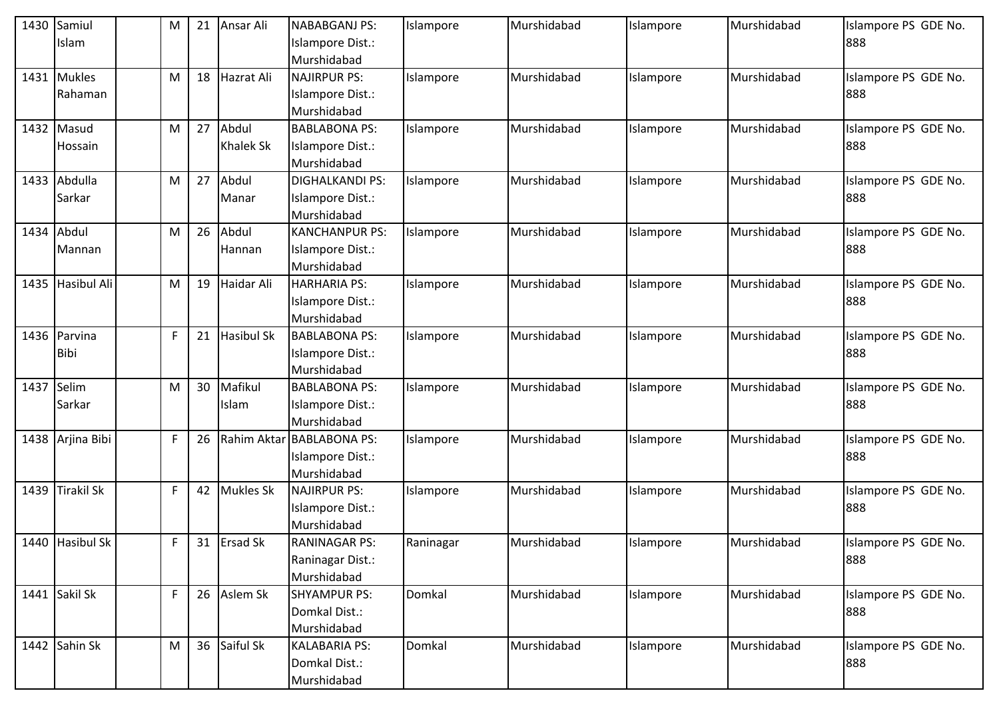|      | 1430 Samiul      | M  | 21 | Ansar Ali         | <b>NABABGANJ PS:</b>      | Islampore | Murshidabad | Islampore | Murshidabad | Islampore PS GDE No. |
|------|------------------|----|----|-------------------|---------------------------|-----------|-------------|-----------|-------------|----------------------|
|      | Islam            |    |    |                   | Islampore Dist.:          |           |             |           |             | 888                  |
|      |                  |    |    |                   | Murshidabad               |           |             |           |             |                      |
| 1431 | <b>Mukles</b>    | M  | 18 | Hazrat Ali        | NAJIRPUR PS:              | Islampore | Murshidabad | Islampore | Murshidabad | Islampore PS GDE No. |
|      | Rahaman          |    |    |                   | Islampore Dist.:          |           |             |           |             | 888                  |
|      |                  |    |    |                   | Murshidabad               |           |             |           |             |                      |
|      | 1432 Masud       | M  | 27 | Abdul             | <b>BABLABONA PS:</b>      | Islampore | Murshidabad | Islampore | Murshidabad | Islampore PS GDE No. |
|      | Hossain          |    |    | <b>Khalek Sk</b>  | Islampore Dist.:          |           |             |           |             | 888                  |
|      |                  |    |    |                   | Murshidabad               |           |             |           |             |                      |
|      | 1433 Abdulla     | M  | 27 | Abdul             | <b>DIGHALKANDI PS:</b>    | Islampore | Murshidabad | Islampore | Murshidabad | Islampore PS GDE No. |
|      | Sarkar           |    |    | Manar             | Islampore Dist.:          |           |             |           |             | 888                  |
|      |                  |    |    |                   | Murshidabad               |           |             |           |             |                      |
|      | 1434 Abdul       | M  | 26 | Abdul             | <b>KANCHANPUR PS:</b>     | Islampore | Murshidabad | Islampore | Murshidabad | Islampore PS GDE No. |
|      | Mannan           |    |    | Hannan            | Islampore Dist.:          |           |             |           |             | 888                  |
|      |                  |    |    |                   | Murshidabad               |           |             |           |             |                      |
| 1435 | Hasibul Ali      | M  | 19 | Haidar Ali        | HARHARIA PS:              | Islampore | Murshidabad | Islampore | Murshidabad | Islampore PS GDE No. |
|      |                  |    |    |                   | Islampore Dist.:          |           |             |           |             | 888                  |
|      |                  |    |    |                   | Murshidabad               |           |             |           |             |                      |
|      | 1436 Parvina     | F  | 21 | <b>Hasibul Sk</b> | <b>BABLABONA PS:</b>      | Islampore | Murshidabad | Islampore | Murshidabad | Islampore PS GDE No. |
|      | <b>Bibi</b>      |    |    |                   | Islampore Dist.:          |           |             |           |             | 888                  |
|      |                  |    |    |                   | Murshidabad               |           |             |           |             |                      |
| 1437 | Selim            | M  | 30 | Mafikul           | <b>BABLABONA PS:</b>      | Islampore | Murshidabad | Islampore | Murshidabad | Islampore PS GDE No. |
|      | Sarkar           |    |    | Islam             | Islampore Dist.:          |           |             |           |             | 888                  |
|      |                  |    |    |                   | Murshidabad               |           |             |           |             |                      |
|      | 1438 Arjina Bibi | F  | 26 |                   | Rahim Aktar BABLABONA PS: | Islampore | Murshidabad | Islampore | Murshidabad | Islampore PS GDE No. |
|      |                  |    |    |                   | Islampore Dist.:          |           |             |           |             | 888                  |
|      |                  |    |    |                   | Murshidabad               |           |             |           |             |                      |
| 1439 | Tirakil Sk       | F  | 42 | <b>Mukles Sk</b>  | NAJIRPUR PS:              | Islampore | Murshidabad | Islampore | Murshidabad | Islampore PS GDE No. |
|      |                  |    |    |                   | Islampore Dist.:          |           |             |           |             | 888                  |
|      |                  |    |    |                   | Murshidabad               |           |             |           |             |                      |
|      | 1440 Hasibul Sk  | F  | 31 | <b>Ersad Sk</b>   | <b>RANINAGAR PS:</b>      | Raninagar | Murshidabad | Islampore | Murshidabad | Islampore PS GDE No. |
|      |                  |    |    |                   | Raninagar Dist.:          |           |             |           |             | 888                  |
|      |                  |    |    |                   | Murshidabad               |           |             |           |             |                      |
|      | 1441 Sakil Sk    | F. | 26 | Aslem Sk          | <b>SHYAMPUR PS:</b>       | Domkal    | Murshidabad | Islampore | Murshidabad | Islampore PS GDE No. |
|      |                  |    |    |                   | Domkal Dist.:             |           |             |           |             | 888                  |
|      |                  |    |    |                   | Murshidabad               |           |             |           |             |                      |
|      | 1442 Sahin Sk    | M  | 36 | Saiful Sk         | <b>KALABARIA PS:</b>      | Domkal    | Murshidabad | Islampore | Murshidabad | Islampore PS GDE No. |
|      |                  |    |    |                   | Domkal Dist.:             |           |             |           |             | 888                  |
|      |                  |    |    |                   | Murshidabad               |           |             |           |             |                      |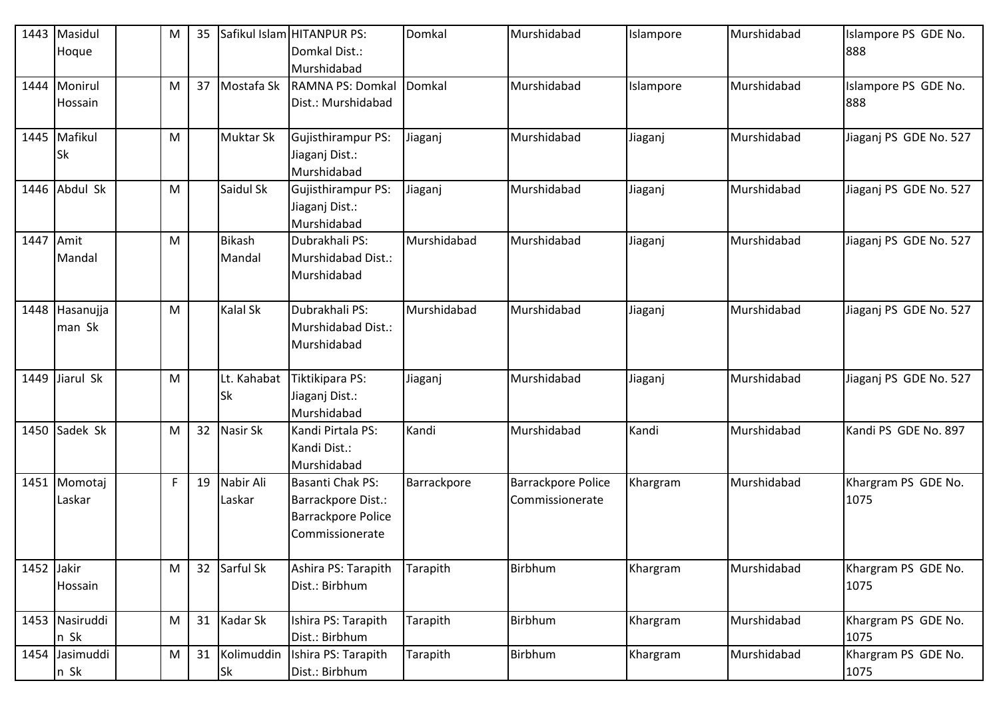| 1443       | Masidul<br>Hoque          | M           | 35 |                         | Safikul Islam HITANPUR PS:<br>Domkal Dist.:<br>Murshidabad                      | Domkal      | Murshidabad                           | Islampore | Murshidabad | Islampore PS GDE No.<br>888 |
|------------|---------------------------|-------------|----|-------------------------|---------------------------------------------------------------------------------|-------------|---------------------------------------|-----------|-------------|-----------------------------|
|            | 1444 Monirul<br>Hossain   | M           | 37 | Mostafa Sk              | RAMNA PS: Domkal<br>Dist.: Murshidabad                                          | Domkal      | Murshidabad                           | Islampore | Murshidabad | Islampore PS GDE No.<br>888 |
|            | 1445 Mafikul<br><b>Sk</b> | M           |    | <b>Muktar Sk</b>        | Gujisthirampur PS:<br>Jiaganj Dist.:<br>Murshidabad                             | Jiaganj     | Murshidabad                           | Jiaganj   | Murshidabad | Jiaganj PS GDE No. 527      |
|            | 1446 Abdul Sk             | M           |    | Saidul Sk               | Gujisthirampur PS:<br>Jiaganj Dist.:<br>Murshidabad                             | Jiaganj     | Murshidabad                           | Jiaganj   | Murshidabad | Jiaganj PS GDE No. 527      |
| 1447       | Amit<br>Mandal            | M           |    | <b>Bikash</b><br>Mandal | Dubrakhali PS:<br>Murshidabad Dist.:<br>Murshidabad                             | Murshidabad | Murshidabad                           | Jiaganj   | Murshidabad | Jiaganj PS GDE No. 527      |
| 1448       | Hasanujja<br>man Sk       | M           |    | Kalal Sk                | Dubrakhali PS:<br>Murshidabad Dist.:<br>Murshidabad                             | Murshidabad | Murshidabad                           | Jiaganj   | Murshidabad | Jiaganj PS GDE No. 527      |
|            | 1449 Jiarul Sk            | M           |    | Lt. Kahabat<br>Sk       | Tiktikipara PS:<br>Jiaganj Dist.:<br>Murshidabad                                | Jiaganj     | Murshidabad                           | Jiaganj   | Murshidabad | Jiaganj PS GDE No. 527      |
| 1450       | Sadek Sk                  | M           | 32 | Nasir Sk                | Kandi Pirtala PS:<br>Kandi Dist.:<br>Murshidabad                                | Kandi       | Murshidabad                           | Kandi     | Murshidabad | Kandi PS GDE No. 897        |
| 1451       | Momotaj<br>Laskar         | $\mathsf F$ | 19 | Nabir Ali<br>Laskar     | Basanti Chak PS:<br>Barrackpore Dist.:<br>Barrackpore Police<br>Commissionerate | Barrackpore | Barrackpore Police<br>Commissionerate | Khargram  | Murshidabad | Khargram PS GDE No.<br>1075 |
| 1452 Jakir | Hossain                   | M           | 32 | Sarful Sk               | Ashira PS: Tarapith<br>Dist.: Birbhum                                           | Tarapith    | Birbhum                               | Khargram  | Murshidabad | Khargram PS GDE No.<br>1075 |
|            | 1453 Nasiruddi<br>n Sk    | M           | 31 | Kadar Sk                | Ishira PS: Tarapith<br>Dist.: Birbhum                                           | Tarapith    | Birbhum                               | Khargram  | Murshidabad | Khargram PS GDE No.<br>1075 |
|            | 1454 Jasimuddi<br>n Sk    | M           | 31 | Kolimuddin<br>Sk        | Ishira PS: Tarapith<br>Dist.: Birbhum                                           | Tarapith    | Birbhum                               | Khargram  | Murshidabad | Khargram PS GDE No.<br>1075 |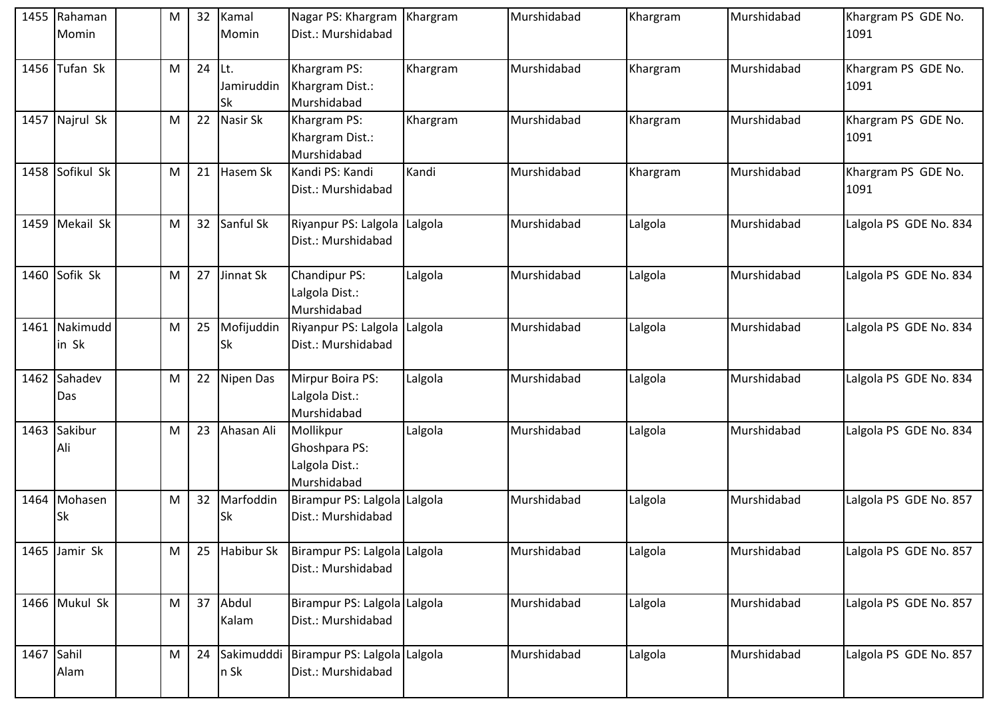|            | 1455 Rahaman<br>Momin     | M | 32 | Kamal<br>Momin           | Nagar PS: Khargram   Khargram<br>Dist.: Murshidabad         |          | Murshidabad | Khargram | Murshidabad | Khargram PS GDE No.<br>1091 |
|------------|---------------------------|---|----|--------------------------|-------------------------------------------------------------|----------|-------------|----------|-------------|-----------------------------|
|            | 1456 Tufan Sk             | M | 24 | lLt.<br>Jamiruddin<br>Sk | Khargram PS:<br>Khargram Dist.:<br>Murshidabad              | Khargram | Murshidabad | Khargram | Murshidabad | Khargram PS GDE No.<br>1091 |
|            | 1457 Najrul Sk            | M | 22 | Nasir Sk                 | Khargram PS:<br>Khargram Dist.:<br>Murshidabad              | Khargram | Murshidabad | Khargram | Murshidabad | Khargram PS GDE No.<br>1091 |
|            | 1458 Sofikul Sk           | M | 21 | Hasem Sk                 | Kandi PS: Kandi<br>Dist.: Murshidabad                       | Kandi    | Murshidabad | Khargram | Murshidabad | Khargram PS GDE No.<br>1091 |
|            | 1459 Mekail Sk            | M | 32 | Sanful Sk                | Riyanpur PS: Lalgola Lalgola<br>Dist.: Murshidabad          |          | Murshidabad | Lalgola  | Murshidabad | Lalgola PS GDE No. 834      |
|            | 1460 Sofik Sk             | M | 27 | Jinnat Sk                | Chandipur PS:<br>Lalgola Dist.:<br>Murshidabad              | Lalgola  | Murshidabad | Lalgola  | Murshidabad | Lalgola PS GDE No. 834      |
|            | 1461 Nakimudd<br>in Sk    | M | 25 | Mofijuddin<br>Sk         | Riyanpur PS: Lalgola Lalgola<br>Dist.: Murshidabad          |          | Murshidabad | Lalgola  | Murshidabad | Lalgola PS GDE No. 834      |
|            | 1462 Sahadev<br>Das       | M | 22 | Nipen Das                | Mirpur Boira PS:<br>Lalgola Dist.:<br>Murshidabad           | Lalgola  | Murshidabad | Lalgola  | Murshidabad | Lalgola PS GDE No. 834      |
|            | 1463 Sakibur<br>Ali       | M | 23 | Ahasan Ali               | Mollikpur<br>Ghoshpara PS:<br>Lalgola Dist.:<br>Murshidabad | Lalgola  | Murshidabad | Lalgola  | Murshidabad | Lalgola PS GDE No. 834      |
|            | 1464 Mohasen<br><b>Sk</b> | M | 32 | Marfoddin<br>Sk          | Birampur PS: Lalgola Lalgola<br>Dist.: Murshidabad          |          | Murshidabad | Lalgola  | Murshidabad | Lalgola PS GDE No. 857      |
|            | 1465 Jamir Sk             | M | 25 | Habibur Sk               | Birampur PS: Lalgola Lalgola<br>Dist.: Murshidabad          |          | Murshidabad | Lalgola  | Murshidabad | Lalgola PS GDE No. 857      |
|            | 1466 Mukul Sk             | M | 37 | Abdul<br>Kalam           | Birampur PS: Lalgola Lalgola<br>Dist.: Murshidabad          |          | Murshidabad | Lalgola  | Murshidabad | Lalgola PS GDE No. 857      |
| 1467 Sahil | Alam                      | M | 24 | Sakimudddi<br>n Sk       | Birampur PS: Lalgola Lalgola<br>Dist.: Murshidabad          |          | Murshidabad | Lalgola  | Murshidabad | Lalgola PS GDE No. 857      |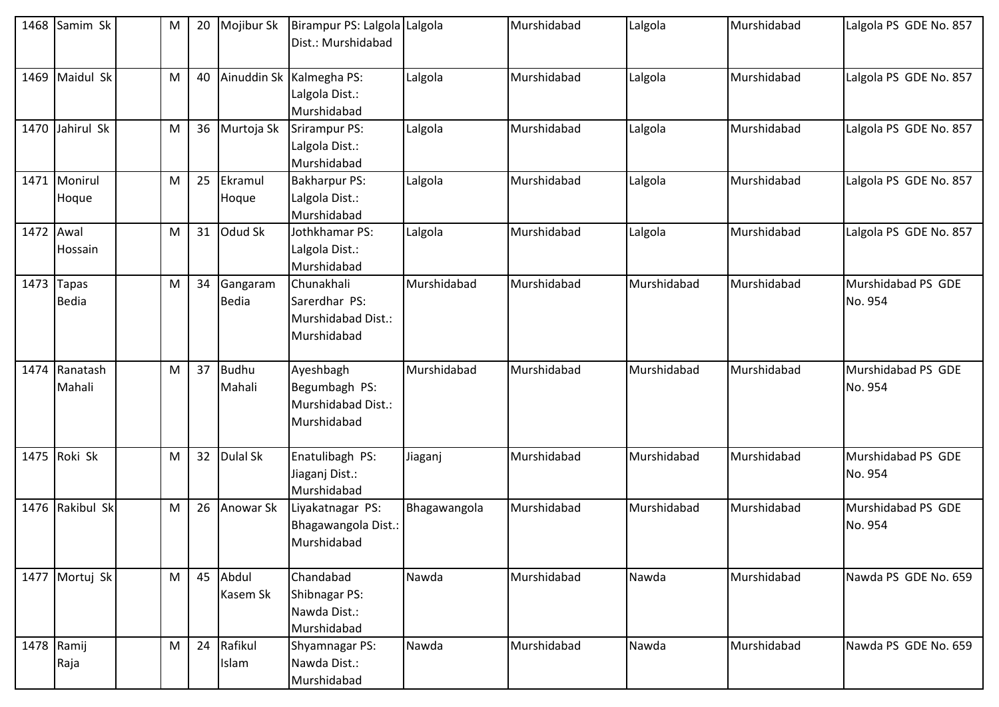|           | 1468 Samim Sk              | ${\sf M}$ | 20 | Mojibur Sk               | Birampur PS: Lalgola Lalgola<br>Dist.: Murshidabad               |              | Murshidabad | Lalgola     | Murshidabad | Lalgola PS GDE No. 857        |
|-----------|----------------------------|-----------|----|--------------------------|------------------------------------------------------------------|--------------|-------------|-------------|-------------|-------------------------------|
| 1469      | Maidul Sk                  | ${\sf M}$ | 40 |                          | Ainuddin Sk Kalmegha PS:<br>Lalgola Dist.:<br>Murshidabad        | Lalgola      | Murshidabad | Lalgola     | Murshidabad | Lalgola PS GDE No. 857        |
| 1470      | Jahirul Sk                 | M         | 36 | Murtoja Sk               | Srirampur PS:<br>Lalgola Dist.:<br>Murshidabad                   | Lalgola      | Murshidabad | Lalgola     | Murshidabad | Lalgola PS GDE No. 857        |
|           | 1471 Monirul<br>Hoque      | ${\sf M}$ | 25 | Ekramul<br>Hoque         | <b>Bakharpur PS:</b><br>Lalgola Dist.:<br>Murshidabad            | Lalgola      | Murshidabad | Lalgola     | Murshidabad | Lalgola PS GDE No. 857        |
| 1472 Awal | Hossain                    | M         | 31 | Odud Sk                  | Jothkhamar PS:<br>Lalgola Dist.:<br>Murshidabad                  | Lalgola      | Murshidabad | Lalgola     | Murshidabad | Lalgola PS GDE No. 857        |
|           | 1473 Tapas<br><b>Bedia</b> | M         | 34 | Gangaram<br><b>Bedia</b> | Chunakhali<br>Sarerdhar PS:<br>Murshidabad Dist.:<br>Murshidabad | Murshidabad  | Murshidabad | Murshidabad | Murshidabad | Murshidabad PS GDE<br>No. 954 |
|           | 1474 Ranatash<br>Mahali    | M         | 37 | <b>Budhu</b><br>Mahali   | Ayeshbagh<br>Begumbagh PS:<br>Murshidabad Dist.:<br>Murshidabad  | Murshidabad  | Murshidabad | Murshidabad | Murshidabad | Murshidabad PS GDE<br>No. 954 |
|           | 1475 Roki Sk               | M         | 32 | <b>Dulal Sk</b>          | Enatulibagh PS:<br>Jiaganj Dist.:<br>Murshidabad                 | Jiaganj      | Murshidabad | Murshidabad | Murshidabad | Murshidabad PS GDE<br>No. 954 |
|           | 1476 Rakibul Sk            | ${\sf M}$ | 26 | Anowar Sk                | Liyakatnagar PS:<br>Bhagawangola Dist.:<br>Murshidabad           | Bhagawangola | Murshidabad | Murshidabad | Murshidabad | Murshidabad PS GDE<br>No. 954 |
|           | 1477 Mortuj Sk             | M         | 45 | Abdul<br>Kasem Sk        | Chandabad<br>Shibnagar PS:<br>Nawda Dist.:<br>Murshidabad        | Nawda        | Murshidabad | Nawda       | Murshidabad | Nawda PS GDE No. 659          |
|           | 1478 Ramij<br>Raja         | ${\sf M}$ | 24 | Rafikul<br>Islam         | Shyamnagar PS:<br>Nawda Dist.:<br>Murshidabad                    | Nawda        | Murshidabad | Nawda       | Murshidabad | Nawda PS GDE No. 659          |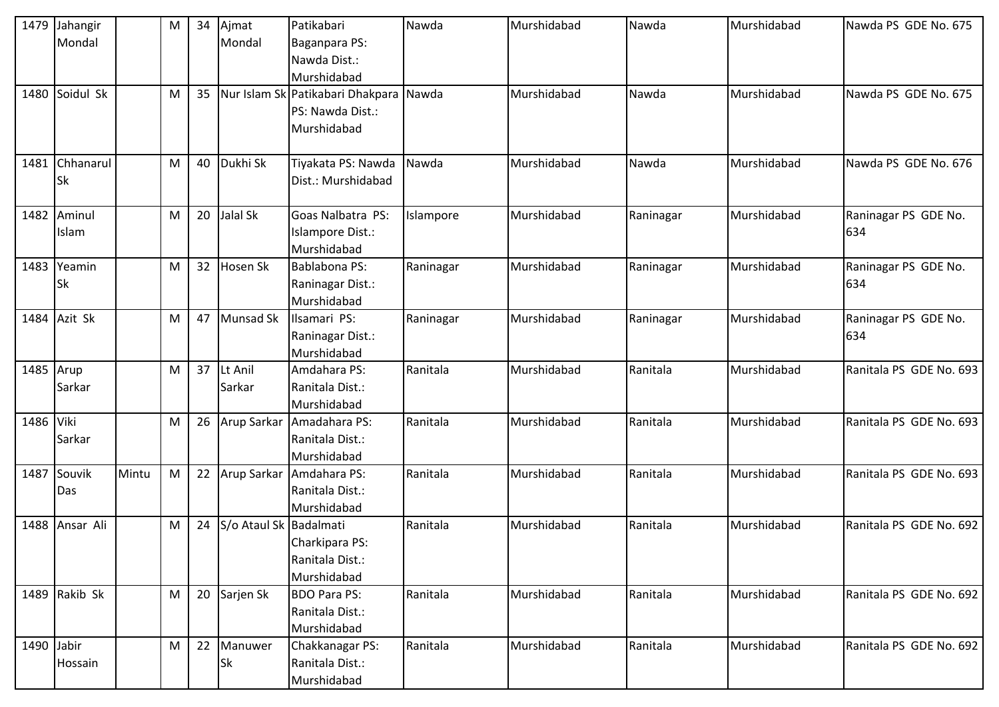| 1479       | Jahangir      |       | M         | 34 | Ajmat                  | Patikabari                             | Nawda     | Murshidabad | Nawda     | Murshidabad | Nawda PS GDE No. 675    |
|------------|---------------|-------|-----------|----|------------------------|----------------------------------------|-----------|-------------|-----------|-------------|-------------------------|
|            | Mondal        |       |           |    | Mondal                 | Baganpara PS:                          |           |             |           |             |                         |
|            |               |       |           |    |                        | Nawda Dist.:                           |           |             |           |             |                         |
|            |               |       |           |    |                        | Murshidabad                            |           |             |           |             |                         |
| 1480       | Soidul Sk     |       | M         | 35 |                        | Nur Islam Sk Patikabari Dhakpara Nawda |           | Murshidabad | Nawda     | Murshidabad | Nawda PS GDE No. 675    |
|            |               |       |           |    |                        | PS: Nawda Dist.:                       |           |             |           |             |                         |
|            |               |       |           |    |                        | Murshidabad                            |           |             |           |             |                         |
|            |               |       |           |    |                        |                                        |           |             |           |             |                         |
| 1481       | Chhanarul     |       | M         | 40 | Dukhi Sk               | Tiyakata PS: Nawda                     | Nawda     | Murshidabad | Nawda     | Murshidabad | Nawda PS GDE No. 676    |
|            | <b>Sk</b>     |       |           |    |                        | Dist.: Murshidabad                     |           |             |           |             |                         |
|            |               |       |           |    |                        |                                        |           |             |           |             |                         |
| 1482       | Aminul        |       | M         | 20 | Jalal Sk               | Goas Nalbatra PS:                      | Islampore | Murshidabad | Raninagar | Murshidabad | Raninagar PS GDE No.    |
|            | Islam         |       |           |    |                        | Islampore Dist.:                       |           |             |           |             | 634                     |
|            |               |       |           |    |                        | Murshidabad                            |           |             |           |             |                         |
| 1483       | Yeamin        |       | M         | 32 | Hosen Sk               | Bablabona PS:                          | Raninagar | Murshidabad | Raninagar | Murshidabad | Raninagar PS GDE No.    |
|            | Sk            |       |           |    |                        | Raninagar Dist.:                       |           |             |           |             | 634                     |
|            |               |       |           |    |                        | Murshidabad                            |           |             |           |             |                         |
| 1484       | Azit Sk       |       | M         | 47 | Munsad Sk              | Ilsamari PS:                           | Raninagar | Murshidabad | Raninagar | Murshidabad | Raninagar PS GDE No.    |
|            |               |       |           |    |                        | Raninagar Dist.:                       |           |             |           |             | 634                     |
|            |               |       |           |    |                        | Murshidabad                            |           |             |           |             |                         |
| 1485 Arup  |               |       | M         | 37 | Lt Anil                | Amdahara PS:                           | Ranitala  | Murshidabad | Ranitala  | Murshidabad | Ranitala PS GDE No. 693 |
|            | Sarkar        |       |           |    | Sarkar                 | Ranitala Dist.:                        |           |             |           |             |                         |
|            |               |       |           |    |                        | Murshidabad                            |           |             |           |             |                         |
| 1486 Viki  |               |       | M         | 26 |                        | Arup Sarkar Amadahara PS:              | Ranitala  | Murshidabad | Ranitala  | Murshidabad | Ranitala PS GDE No. 693 |
|            | Sarkar        |       |           |    |                        | Ranitala Dist.:                        |           |             |           |             |                         |
|            |               |       |           |    |                        | Murshidabad                            |           |             |           |             |                         |
| 1487       | Souvik        | Mintu | ${\sf M}$ | 22 | Arup Sarkar            | Amdahara PS:                           | Ranitala  | Murshidabad | Ranitala  | Murshidabad | Ranitala PS GDE No. 693 |
|            | Das           |       |           |    |                        | Ranitala Dist.:                        |           |             |           |             |                         |
|            |               |       |           |    |                        | Murshidabad                            |           |             |           |             |                         |
| 1488       | Ansar Ali     |       | M         | 24 | S/o Ataul Sk Badalmati |                                        | Ranitala  | Murshidabad | Ranitala  | Murshidabad | Ranitala PS GDE No. 692 |
|            |               |       |           |    |                        | Charkipara PS:                         |           |             |           |             |                         |
|            |               |       |           |    |                        | Ranitala Dist.:                        |           |             |           |             |                         |
|            |               |       |           |    |                        | Murshidabad                            |           |             |           |             |                         |
|            | 1489 Rakib Sk |       | M         | 20 | Sarjen Sk              | <b>BDO Para PS:</b>                    | Ranitala  | Murshidabad | Ranitala  | Murshidabad | Ranitala PS GDE No. 692 |
|            |               |       |           |    |                        | Ranitala Dist.:                        |           |             |           |             |                         |
|            |               |       |           |    |                        | Murshidabad                            |           |             |           |             |                         |
| 1490 Jabir |               |       | M         | 22 | Manuwer                | Chakkanagar PS:                        | Ranitala  | Murshidabad | Ranitala  | Murshidabad | Ranitala PS GDE No. 692 |
|            | Hossain       |       |           |    | <b>Sk</b>              | Ranitala Dist.:                        |           |             |           |             |                         |
|            |               |       |           |    |                        | Murshidabad                            |           |             |           |             |                         |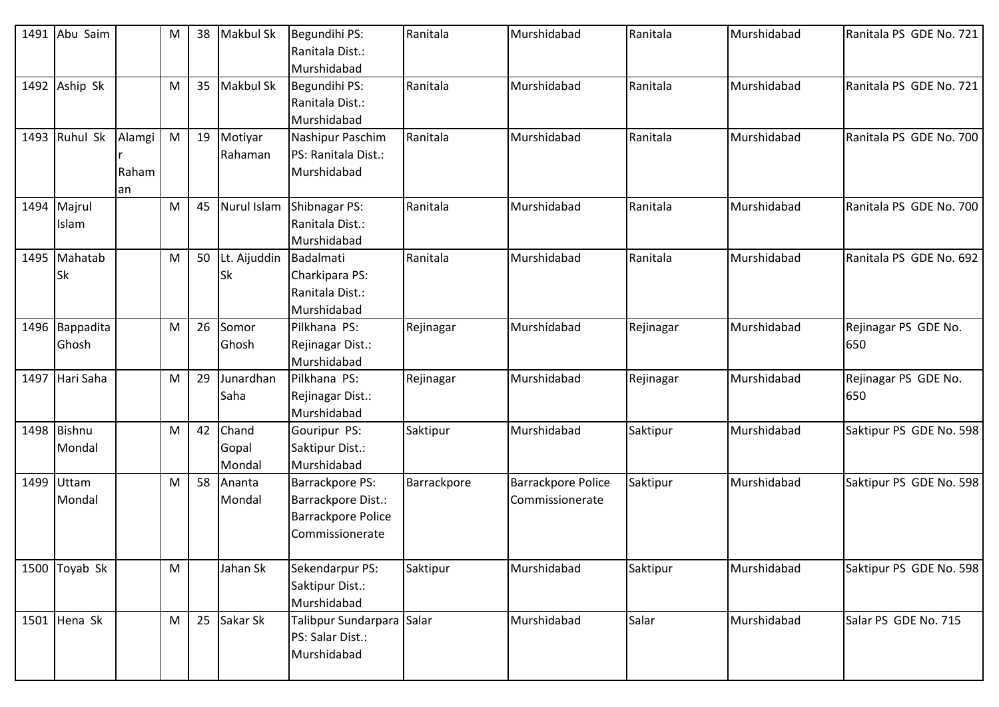|      | 1491 Abu Saim             |                       | M         | 38 | <b>Makbul Sk</b>             | Begundihi PS:<br>Ranitala Dist.:<br>Murshidabad                                              | Ranitala    | Murshidabad                                  | Ranitala  | Murshidabad | Ranitala PS GDE No. 721     |
|------|---------------------------|-----------------------|-----------|----|------------------------------|----------------------------------------------------------------------------------------------|-------------|----------------------------------------------|-----------|-------------|-----------------------------|
|      | 1492 Aship Sk             |                       | М         | 35 | <b>Makbul Sk</b>             | Begundihi PS:<br>Ranitala Dist.:<br>Murshidabad                                              | Ranitala    | Murshidabad                                  | Ranitala  | Murshidabad | Ranitala PS GDE No. 721     |
|      | 1493 Ruhul Sk             | Alamgi<br>Raham<br>an | M         | 19 | Motiyar<br>Rahaman           | Nashipur Paschim<br>PS: Ranitala Dist.:<br>Murshidabad                                       | Ranitala    | Murshidabad                                  | Ranitala  | Murshidabad | Ranitala PS GDE No. 700     |
|      | 1494 Majrul<br>Islam      |                       | M         | 45 | Nurul Islam                  | Shibnagar PS:<br>Ranitala Dist.:<br>Murshidabad                                              | Ranitala    | Murshidabad                                  | Ranitala  | Murshidabad | Ranitala PS GDE No. 700     |
|      | 1495 Mahatab<br><b>Sk</b> |                       | M         | 50 | Lt. Aijuddin Badalmati<br>Sk | Charkipara PS:<br>Ranitala Dist.:<br>Murshidabad                                             | Ranitala    | Murshidabad                                  | Ranitala  | Murshidabad | Ranitala PS GDE No. 692     |
|      | 1496 Bappadita<br>Ghosh   |                       | M         | 26 | Somor<br>Ghosh               | Pilkhana PS:<br>Rejinagar Dist.:<br>Murshidabad                                              | Rejinagar   | Murshidabad                                  | Rejinagar | Murshidabad | Rejinagar PS GDE No.<br>650 |
|      | 1497 Hari Saha            |                       | M         | 29 | Junardhan<br>Saha            | Pilkhana PS:<br>Rejinagar Dist.:<br>Murshidabad                                              | Rejinagar   | Murshidabad                                  | Rejinagar | Murshidabad | Rejinagar PS GDE No.<br>650 |
|      | 1498 Bishnu<br>Mondal     |                       | ${\sf M}$ | 42 | Chand<br>Gopal<br>Mondal     | Gouripur PS:<br>Saktipur Dist.:<br>Murshidabad                                               | Saktipur    | Murshidabad                                  | Saktipur  | Murshidabad | Saktipur PS GDE No. 598     |
| 1499 | Uttam<br>Mondal           |                       | M         | 58 | Ananta<br>Mondal             | <b>Barrackpore PS:</b><br>Barrackpore Dist.:<br><b>Barrackpore Police</b><br>Commissionerate | Barrackpore | <b>Barrackpore Police</b><br>Commissionerate | Saktipur  | Murshidabad | Saktipur PS GDE No. 598     |
|      | 1500 Toyab Sk             |                       | M         |    | Jahan Sk                     | Sekendarpur PS:<br>Saktipur Dist.:<br>Murshidabad                                            | Saktipur    | Murshidabad                                  | Saktipur  | Murshidabad | Saktipur PS GDE No. 598     |
|      | 1501 Hena Sk              |                       | M         | 25 | Sakar Sk                     | Talibpur Sundarpara Salar<br>PS: Salar Dist.:<br>Murshidabad                                 |             | Murshidabad                                  | Salar     | Murshidabad | Salar PS GDE No. 715        |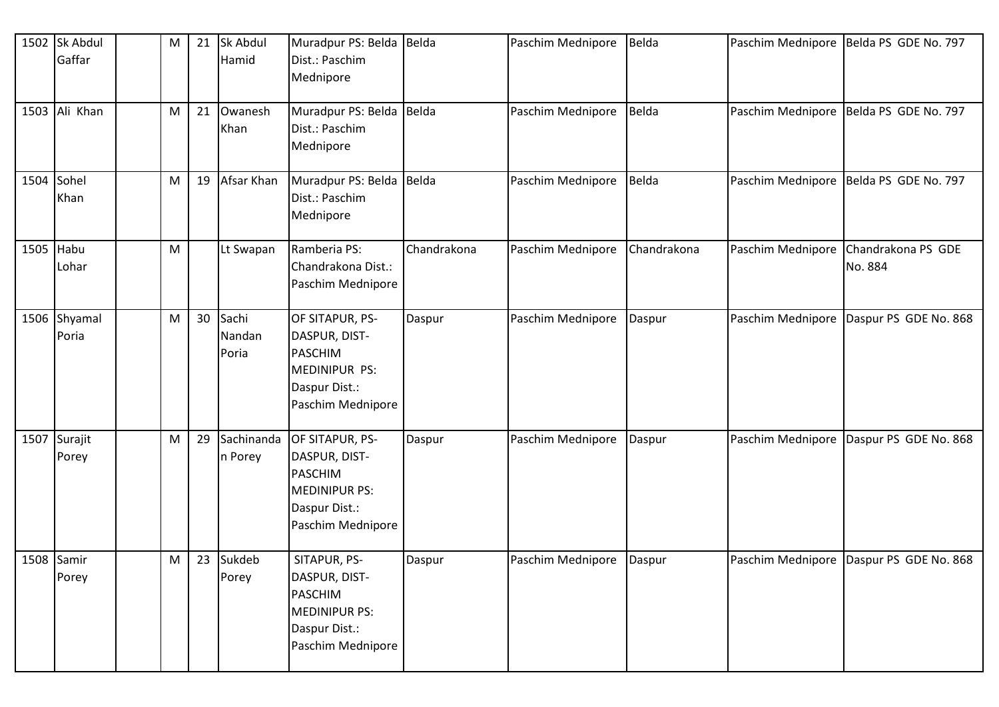|            | 1502 Sk Abdul<br>Gaffar | M         | 21 | Sk Abdul<br>Hamid        | Muradpur PS: Belda Belda<br>Dist.: Paschim<br>Mednipore                                                   |             | Paschim Mednipore       | Belda       | Paschim Mednipore | Belda PS GDE No. 797                      |
|------------|-------------------------|-----------|----|--------------------------|-----------------------------------------------------------------------------------------------------------|-------------|-------------------------|-------------|-------------------|-------------------------------------------|
|            | 1503 Ali Khan           | M         | 21 | Owanesh<br>Khan          | Muradpur PS: Belda   Belda<br>Dist.: Paschim<br>Mednipore                                                 |             | Paschim Mednipore       | Belda       | Paschim Mednipore | Belda PS GDE No. 797                      |
| 1504 Sohel | Khan                    | M         | 19 | Afsar Khan               | Muradpur PS: Belda Belda<br>Dist.: Paschim<br>Mednipore                                                   |             | Paschim Mednipore Belda |             |                   | Paschim Mednipore   Belda PS GDE No. 797  |
| 1505 Habu  | Lohar                   | M         |    | Lt Swapan                | Ramberia PS:<br>Chandrakona Dist.:<br>Paschim Mednipore                                                   | Chandrakona | Paschim Mednipore       | Chandrakona | Paschim Mednipore | Chandrakona PS GDE<br>No. 884             |
|            | 1506 Shyamal<br>Poria   | ${\sf M}$ | 30 | Sachi<br>Nandan<br>Poria | OF SITAPUR, PS-<br>DASPUR, DIST-<br><b>PASCHIM</b><br>MEDINIPUR PS:<br>Daspur Dist.:<br>Paschim Mednipore | Daspur      | Paschim Mednipore       | Daspur      | Paschim Mednipore | Daspur PS GDE No. 868                     |
|            | 1507 Surajit<br>Porey   | ${\sf M}$ | 29 | Sachinanda<br>n Porey    | OF SITAPUR, PS-<br>DASPUR, DIST-<br><b>PASCHIM</b><br>MEDINIPUR PS:<br>Daspur Dist.:<br>Paschim Mednipore | Daspur      | Paschim Mednipore       | Daspur      | Paschim Mednipore | Daspur PS GDE No. 868                     |
|            | 1508 Samir<br>Porey     | M         | 23 | Sukdeb<br>Porey          | SITAPUR, PS-<br>DASPUR, DIST-<br><b>PASCHIM</b><br>MEDINIPUR PS:<br>Daspur Dist.:<br>Paschim Mednipore    | Daspur      | Paschim Mednipore       | Daspur      |                   | Paschim Mednipore   Daspur PS GDE No. 868 |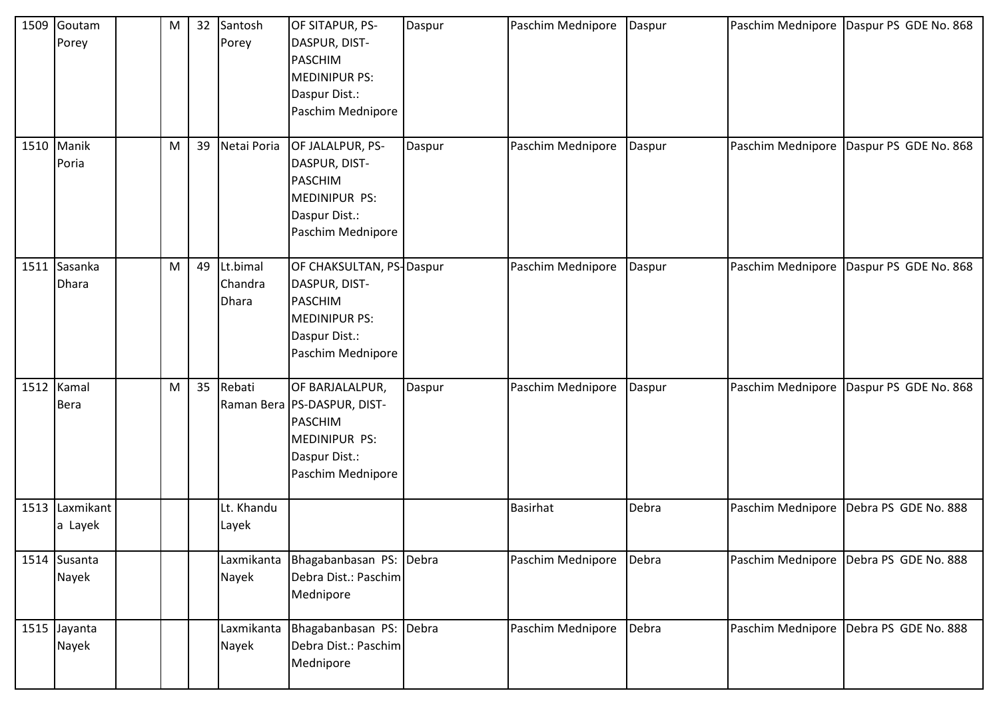| 1509 | Goutam<br>Porey           | M | 32 | Santosh<br>Porey             | OF SITAPUR, PS-<br>DASPUR, DIST-<br><b>PASCHIM</b><br><b>MEDINIPUR PS:</b><br>Daspur Dist.:<br>Paschim Mednipore                 | Daspur | Paschim Mednipore | Daspur |                   | Paschim Mednipore   Daspur PS GDE No. 868 |
|------|---------------------------|---|----|------------------------------|----------------------------------------------------------------------------------------------------------------------------------|--------|-------------------|--------|-------------------|-------------------------------------------|
|      | 1510 Manik<br>Poria       | M | 39 | Netai Poria                  | OF JALALPUR, PS-<br>DASPUR, DIST-<br><b>PASCHIM</b><br>MEDINIPUR PS:<br>Daspur Dist.:<br>Paschim Mednipore                       | Daspur | Paschim Mednipore | Daspur | Paschim Mednipore | Daspur PS GDE No. 868                     |
|      | 1511 Sasanka<br>Dhara     | M | 49 | Lt.bimal<br>Chandra<br>Dhara | OF CHAKSULTAN, PS-Daspur<br>DASPUR, DIST-<br><b>PASCHIM</b><br><b>MEDINIPUR PS:</b><br>Daspur Dist.:<br>Paschim Mednipore        |        | Paschim Mednipore | Daspur | Paschim Mednipore | Daspur PS GDE No. 868                     |
|      | 1512 Kamal<br><b>Bera</b> | M | 35 | Rebati                       | OF BARJALALPUR,<br>Raman Bera   PS-DASPUR, DIST-<br><b>PASCHIM</b><br><b>MEDINIPUR PS:</b><br>Daspur Dist.:<br>Paschim Mednipore | Daspur | Paschim Mednipore | Daspur | Paschim Mednipore | Daspur PS GDE No. 868                     |
|      | 1513 Laxmikant<br>a Layek |   |    | Lt. Khandu<br>Layek          |                                                                                                                                  |        | <b>Basirhat</b>   | Debra  | Paschim Mednipore | Debra PS GDE No. 888                      |
|      | 1514 Susanta<br>Nayek     |   |    | Laxmikanta<br>Nayek          | Bhagabanbasan PS: Debra<br>Debra Dist.: Paschim<br>Mednipore                                                                     |        | Paschim Mednipore | Debra  |                   | Paschim Mednipore Debra PS GDE No. 888    |
|      | 1515 Jayanta<br>Nayek     |   |    | Nayek                        | Laxmikanta Bhagabanbasan PS: Debra<br>Debra Dist.: Paschim<br>Mednipore                                                          |        | Paschim Mednipore | Debra  | Paschim Mednipore | Debra PS GDE No. 888                      |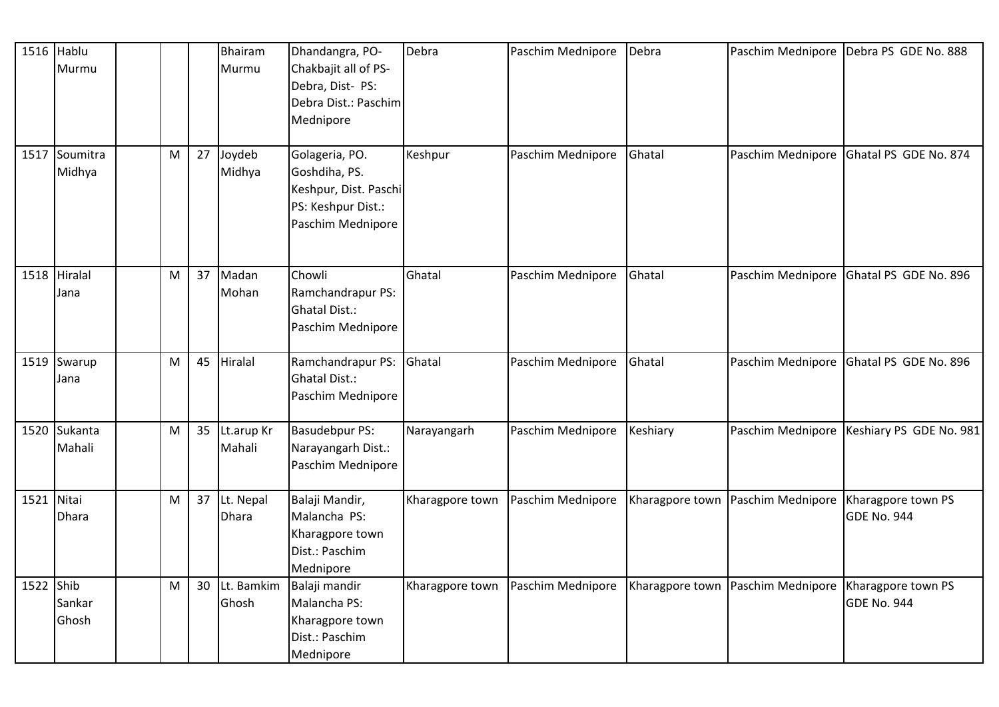|           | 1516 Hablu   |   |    | Bhairam       | Dhandangra, PO-                          | Debra           | Paschim Mednipore | Debra    |                                                          | Paschim Mednipore Debra PS GDE No. 888 |
|-----------|--------------|---|----|---------------|------------------------------------------|-----------------|-------------------|----------|----------------------------------------------------------|----------------------------------------|
|           | Murmu        |   |    | Murmu         | Chakbajit all of PS-<br>Debra, Dist- PS: |                 |                   |          |                                                          |                                        |
|           |              |   |    |               | Debra Dist.: Paschim                     |                 |                   |          |                                                          |                                        |
|           |              |   |    |               | Mednipore                                |                 |                   |          |                                                          |                                        |
| 1517      | Soumitra     | M | 27 | Joydeb        | Golageria, PO.                           | Keshpur         | Paschim Mednipore | Ghatal   | Paschim Mednipore                                        | Ghatal PS GDE No. 874                  |
|           | Midhya       |   |    | Midhya        | Goshdiha, PS.                            |                 |                   |          |                                                          |                                        |
|           |              |   |    |               | Keshpur, Dist. Paschi                    |                 |                   |          |                                                          |                                        |
|           |              |   |    |               | PS: Keshpur Dist.:                       |                 |                   |          |                                                          |                                        |
|           |              |   |    |               | Paschim Mednipore                        |                 |                   |          |                                                          |                                        |
|           |              |   |    |               |                                          |                 |                   |          |                                                          |                                        |
|           | 1518 Hiralal | M | 37 | Madan         | Chowli                                   | Ghatal          | Paschim Mednipore | Ghatal   | Paschim Mednipore                                        | Ghatal PS GDE No. 896                  |
|           | Jana         |   |    | Mohan         | Ramchandrapur PS:                        |                 |                   |          |                                                          |                                        |
|           |              |   |    |               | <b>Ghatal Dist.:</b>                     |                 |                   |          |                                                          |                                        |
|           |              |   |    |               | Paschim Mednipore                        |                 |                   |          |                                                          |                                        |
|           | 1519 Swarup  | M | 45 | Hiralal       | Ramchandrapur PS:                        | Ghatal          | Paschim Mednipore | Ghatal   | Paschim Mednipore                                        | Ghatal PS GDE No. 896                  |
|           | Jana         |   |    |               | <b>Ghatal Dist.:</b>                     |                 |                   |          |                                                          |                                        |
|           |              |   |    |               | Paschim Mednipore                        |                 |                   |          |                                                          |                                        |
|           | 1520 Sukanta | M | 35 | Lt.arup Kr    | <b>Basudebpur PS:</b>                    | Narayangarh     | Paschim Mednipore | Keshiary | Paschim Mednipore                                        | Keshiary PS GDE No. 981                |
|           | Mahali       |   |    | Mahali        | Narayangarh Dist.:                       |                 |                   |          |                                                          |                                        |
|           |              |   |    |               | Paschim Mednipore                        |                 |                   |          |                                                          |                                        |
| 1521      | Nitai        | M | 37 | Lt. Nepal     | Balaji Mandir,                           | Kharagpore town | Paschim Mednipore |          | Kharagpore town   Paschim Mednipore                      | Kharagpore town PS                     |
|           | <b>Dhara</b> |   |    | <b>Dhara</b>  | Malancha PS:                             |                 |                   |          |                                                          | <b>GDE No. 944</b>                     |
|           |              |   |    |               | Kharagpore town                          |                 |                   |          |                                                          |                                        |
|           |              |   |    |               | Dist.: Paschim                           |                 |                   |          |                                                          |                                        |
|           |              |   |    |               | Mednipore                                |                 |                   |          |                                                          |                                        |
| 1522 Shib |              | M |    | 30 Lt. Bamkim | Balaji mandir                            | Kharagpore town | Paschim Mednipore |          | Kharagpore town   Paschim Mednipore   Kharagpore town PS |                                        |
|           | Sankar       |   |    | Ghosh         | Malancha PS:                             |                 |                   |          |                                                          | GDE No. 944                            |
|           | Ghosh        |   |    |               | Kharagpore town                          |                 |                   |          |                                                          |                                        |
|           |              |   |    |               | Dist.: Paschim                           |                 |                   |          |                                                          |                                        |
|           |              |   |    |               | Mednipore                                |                 |                   |          |                                                          |                                        |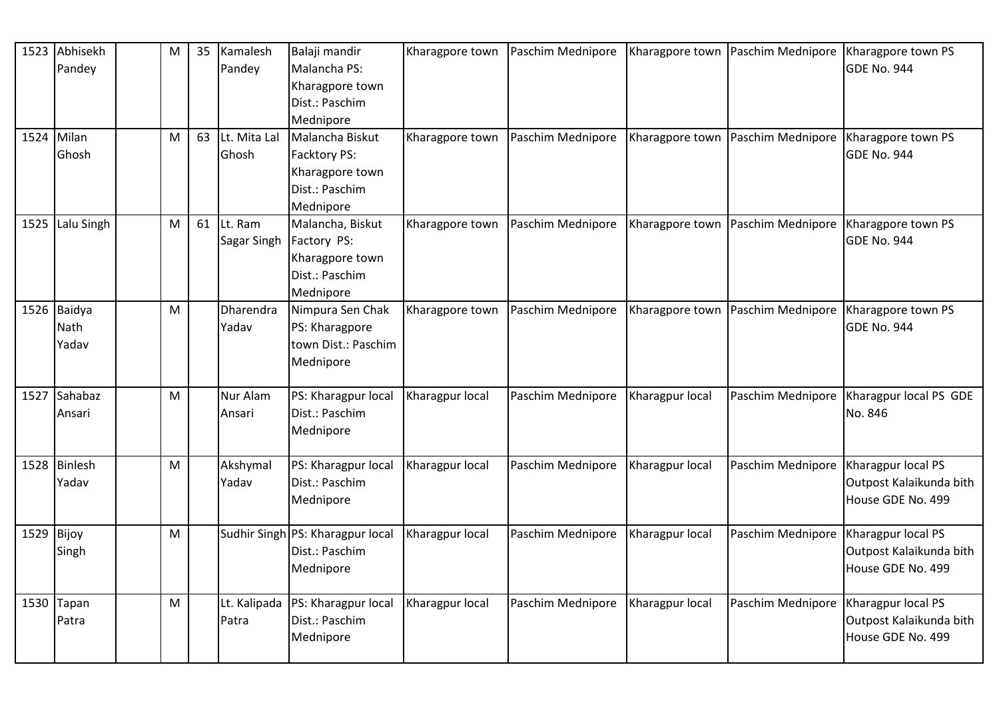|              | 1523 Abhisekh<br>Pandey             | M                                                                                                          | 35 | Kamalesh<br>Pandey        | Balaji mandir<br>Malancha PS:<br>Kharagpore town<br>Dist.: Paschim<br>Mednipore   | Kharagpore town | Paschim Mednipore |                 | Kharagpore town   Paschim Mednipore | Kharagpore town PS<br><b>GDE No. 944</b>                           |
|--------------|-------------------------------------|------------------------------------------------------------------------------------------------------------|----|---------------------------|-----------------------------------------------------------------------------------|-----------------|-------------------|-----------------|-------------------------------------|--------------------------------------------------------------------|
|              | 1524 Milan<br>Ghosh                 | M                                                                                                          | 63 | Lt. Mita Lal<br>Ghosh     | Malancha Biskut<br>Facktory PS:<br>Kharagpore town<br>Dist.: Paschim<br>Mednipore | Kharagpore town | Paschim Mednipore |                 | Kharagpore town   Paschim Mednipore | Kharagpore town PS<br><b>GDE No. 944</b>                           |
|              | 1525 Lalu Singh                     | M                                                                                                          | 61 | Lt. Ram<br>Sagar Singh    | Malancha, Biskut<br>Factory PS:<br>Kharagpore town<br>Dist.: Paschim<br>Mednipore | Kharagpore town | Paschim Mednipore |                 | Kharagpore town   Paschim Mednipore | Kharagpore town PS<br><b>GDE No. 944</b>                           |
|              | 1526 Baidya<br><b>Nath</b><br>Yadav | $\mathsf{M}% _{T}=\mathsf{M}_{T}\!\left( a,b\right) ,\ \mathsf{M}_{T}=\mathsf{M}_{T}\!\left( a,b\right) ,$ |    | <b>Dharendra</b><br>Yadav | Nimpura Sen Chak<br>PS: Kharagpore<br>town Dist.: Paschim<br>Mednipore            | Kharagpore town | Paschim Mednipore |                 | Kharagpore town   Paschim Mednipore | Kharagpore town PS<br><b>GDE No. 944</b>                           |
|              | 1527 Sahabaz<br>Ansari              | M                                                                                                          |    | Nur Alam<br>Ansari        | PS: Kharagpur local<br>Dist.: Paschim<br>Mednipore                                | Kharagpur local | Paschim Mednipore | Kharagpur local |                                     | Paschim Mednipore   Kharagpur local PS GDE<br>No. 846              |
|              | 1528 Binlesh<br>Yadav               | M                                                                                                          |    | Akshymal<br>Yadav         | PS: Kharagpur local<br>Dist.: Paschim<br>Mednipore                                | Kharagpur local | Paschim Mednipore | Kharagpur local | Paschim Mednipore                   | Kharagpur local PS<br>Outpost Kalaikunda bith<br>House GDE No. 499 |
| $1529$ Bijoy | Singh                               | M                                                                                                          |    |                           | Sudhir Singh PS: Kharagpur local<br>Dist.: Paschim<br>Mednipore                   | Kharagpur local | Paschim Mednipore | Kharagpur local | Paschim Mednipore                   | Kharagpur local PS<br>Outpost Kalaikunda bith<br>House GDE No. 499 |
|              | $1530$ Tapan<br>Patra               | M                                                                                                          |    | Lt. Kalipada<br>Patra     | PS: Kharagpur local<br>Dist.: Paschim<br>Mednipore                                | Kharagpur local | Paschim Mednipore | Kharagpur local | Paschim Mednipore                   | Kharagpur local PS<br>Outpost Kalaikunda bith<br>House GDE No. 499 |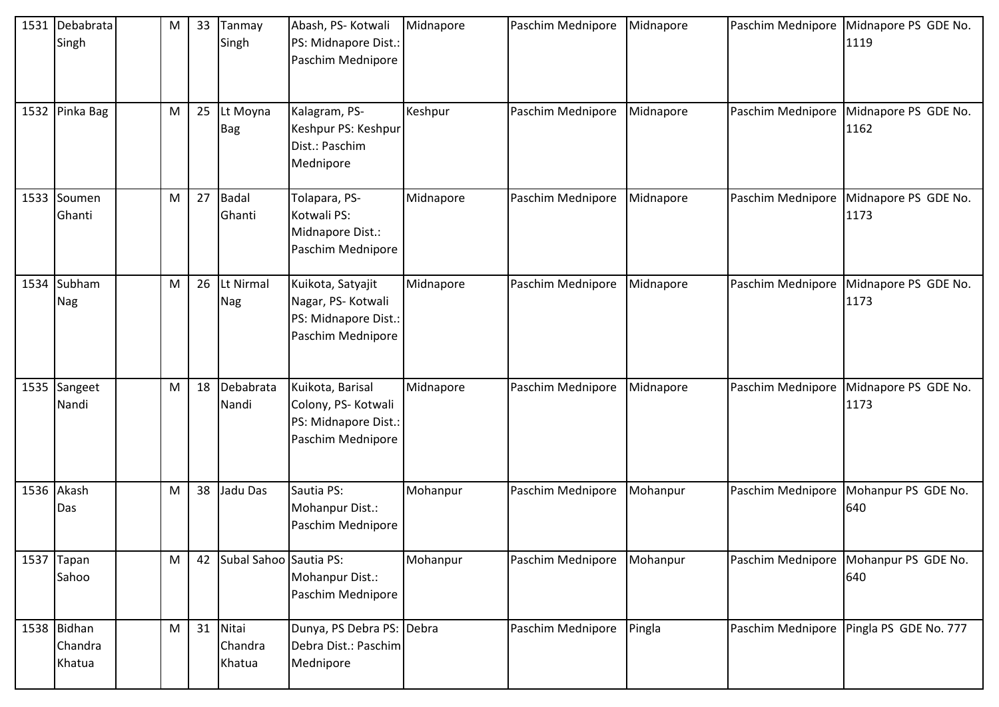| 1531 Debabrata<br>Singh          | M | 33 | Tanmay<br>Singh            | Abash, PS- Kotwali<br>PS: Midnapore Dist.:<br>Paschim Mednipore                      | Midnapore | Paschim Mednipore | Midnapore |                   | Paschim Mednipore Midnapore PS GDE No.<br>1119 |
|----------------------------------|---|----|----------------------------|--------------------------------------------------------------------------------------|-----------|-------------------|-----------|-------------------|------------------------------------------------|
| 1532 Pinka Bag                   | M | 25 | Lt Moyna<br><b>Bag</b>     | Kalagram, PS-<br>Keshpur PS: Keshpur<br>Dist.: Paschim<br>Mednipore                  | Keshpur   | Paschim Mednipore | Midnapore | Paschim Mednipore | Midnapore PS GDE No.<br>1162                   |
| 1533 Soumen<br>Ghanti            | M | 27 | <b>Badal</b><br>Ghanti     | Tolapara, PS-<br>Kotwali PS:<br>Midnapore Dist.:<br>Paschim Mednipore                | Midnapore | Paschim Mednipore | Midnapore | Paschim Mednipore | Midnapore PS GDE No.<br>1173                   |
| 1534 Subham<br><b>Nag</b>        | M | 26 | Lt Nirmal<br><b>Nag</b>    | Kuikota, Satyajit<br>Nagar, PS-Kotwali<br>PS: Midnapore Dist.:<br>Paschim Mednipore  | Midnapore | Paschim Mednipore | Midnapore | Paschim Mednipore | Midnapore PS GDE No.<br>1173                   |
| 1535 Sangeet<br>Nandi            | M | 18 | Debabrata<br>Nandi         | Kuikota, Barisal<br>Colony, PS- Kotwali<br>PS: Midnapore Dist.:<br>Paschim Mednipore | Midnapore | Paschim Mednipore | Midnapore | Paschim Mednipore | Midnapore PS GDE No.<br>1173                   |
| 1536 Akash<br>Das                | M | 38 | Jadu Das                   | Sautia PS:<br>Mohanpur Dist.:<br>Paschim Mednipore                                   | Mohanpur  | Paschim Mednipore | Mohanpur  | Paschim Mednipore | Mohanpur PS GDE No.<br>640                     |
| 1537 Tapan<br>Sahoo              | M | 42 | Subal Sahoo Sautia PS:     | Mohanpur Dist.:<br>Paschim Mednipore                                                 | Mohanpur  | Paschim Mednipore | Mohanpur  |                   | Paschim Mednipore   Mohanpur PS GDE No.<br>640 |
| 1538 Bidhan<br>Chandra<br>Khatua | M | 31 | Nitai<br>Chandra<br>Khatua | Dunya, PS Debra PS: Debra<br>Debra Dist.: Paschim<br>Mednipore                       |           | Paschim Mednipore | Pingla    |                   | Paschim Mednipore Pingla PS GDE No. 777        |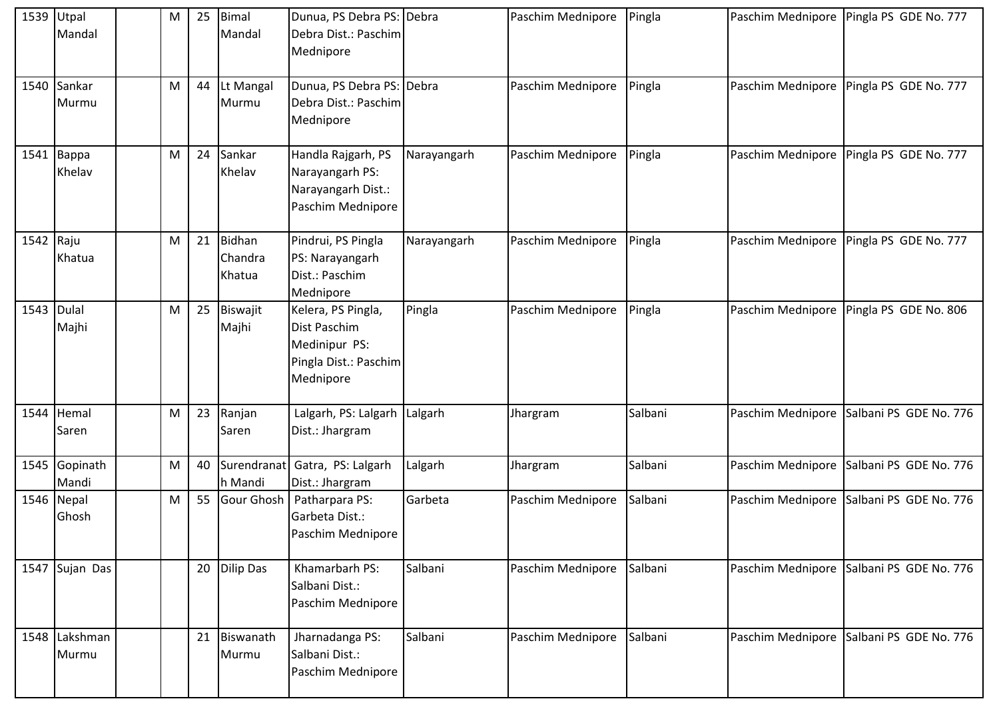| 1539      | Utpal<br>Mandal        | M | 25 | <b>Bimal</b><br>Mandal             | Dunua, PS Debra PS: Debra<br>Debra Dist.: Paschim<br>Mednipore                            |             | Paschim Mednipore | Pingla  |                   | Paschim Mednipore   Pingla PS GDE No. 777 |
|-----------|------------------------|---|----|------------------------------------|-------------------------------------------------------------------------------------------|-------------|-------------------|---------|-------------------|-------------------------------------------|
|           | 1540 Sankar<br>Murmu   | M | 44 | Lt Mangal<br>Murmu                 | Dunua, PS Debra PS: Debra<br>Debra Dist.: Paschim<br>Mednipore                            |             | Paschim Mednipore | Pingla  |                   | Paschim Mednipore   Pingla PS GDE No. 777 |
|           | 1541   Bappa<br>Khelav | M | 24 | Sankar<br>Khelav                   | Handla Rajgarh, PS<br>Narayangarh PS:<br>Narayangarh Dist.:<br>Paschim Mednipore          | Narayangarh | Paschim Mednipore | Pingla  | Paschim Mednipore | Pingla PS GDE No. 777                     |
| 1542 Raju | Khatua                 | M | 21 | <b>Bidhan</b><br>Chandra<br>Khatua | Pindrui, PS Pingla<br>PS: Narayangarh<br>Dist.: Paschim<br>Mednipore                      | Narayangarh | Paschim Mednipore | Pingla  |                   | Paschim Mednipore   Pingla PS GDE No. 777 |
| 1543      | Dulal<br>Majhi         | M | 25 | Biswajit<br>Majhi                  | Kelera, PS Pingla,<br>Dist Paschim<br>Medinipur PS:<br>Pingla Dist.: Paschim<br>Mednipore | Pingla      | Paschim Mednipore | Pingla  | Paschim Mednipore | Pingla PS GDE No. 806                     |
|           | 1544 Hemal<br>Saren    | M | 23 | Ranjan<br>Saren                    | Lalgarh, PS: Lalgarh   Lalgarh<br>Dist.: Jhargram                                         |             | Jhargram          | Salbani | Paschim Mednipore | Salbani PS GDE No. 776                    |
|           | 1545 Gopinath<br>Mandi | M | 40 | Surendranat<br>h Mandi             | Gatra, PS: Lalgarh<br>Dist.: Jhargram                                                     | Lalgarh     | Jhargram          | Salbani | Paschim Mednipore | Salbani PS GDE No. 776                    |
|           | 1546 Nepal<br>Ghosh    | M | 55 | Gour Ghosh                         | Patharpara PS:<br>Garbeta Dist.:<br>Paschim Mednipore                                     | Garbeta     | Paschim Mednipore | Salbani | Paschim Mednipore | Salbani PS GDE No. 776                    |
|           | 1547 Sujan Das         |   | 20 | Dilip Das                          | Khamarbarh PS:<br>Salbani Dist.:<br>Paschim Mednipore                                     | Salbani     | Paschim Mednipore | Salbani | Paschim Mednipore | Salbani PS GDE No. 776                    |
|           | 1548 Lakshman<br>Murmu |   | 21 | Biswanath<br>Murmu                 | Jharnadanga PS:<br>Salbani Dist.:<br>Paschim Mednipore                                    | Salbani     | Paschim Mednipore | Salbani | Paschim Mednipore | Salbani PS GDE No. 776                    |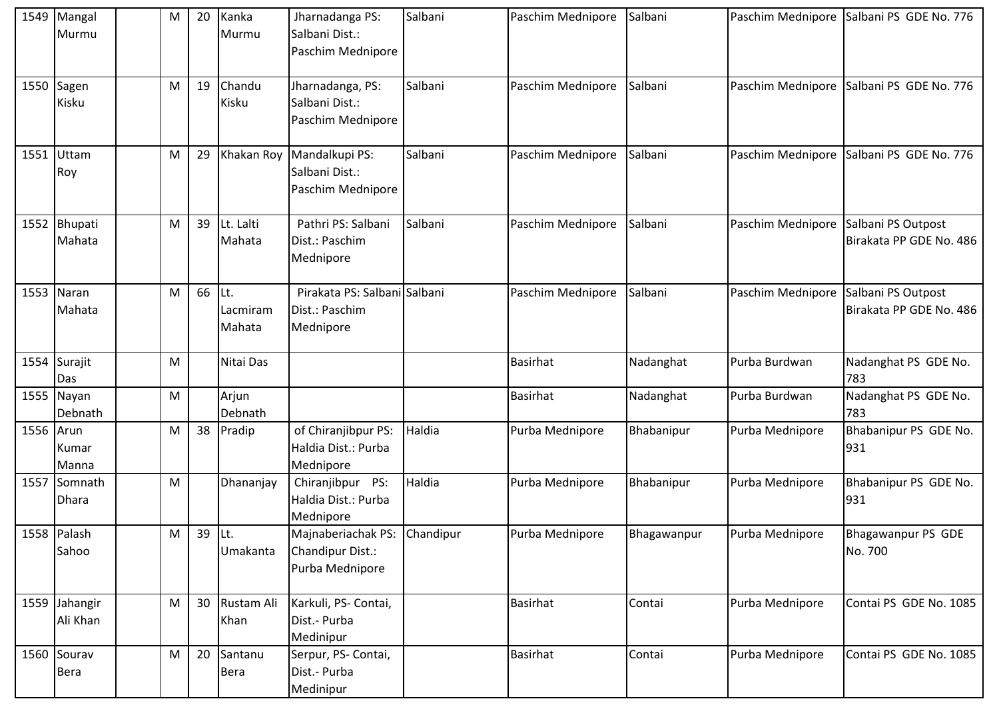|           | 1549 Mangal<br>Murmu       | M | 20 | Kanka<br>Murmu            | Jharnadanga PS:<br>Salbani Dist.:<br>Paschim Mednipore              | Salbani | Paschim Mednipore | Salbani     |                   | Paschim Mednipore Salbani PS GDE No. 776      |
|-----------|----------------------------|---|----|---------------------------|---------------------------------------------------------------------|---------|-------------------|-------------|-------------------|-----------------------------------------------|
|           | 1550 Sagen<br>Kisku        | M | 19 | Chandu<br>Kisku           | Jharnadanga, PS:<br>Salbani Dist.:<br>Paschim Mednipore             | Salbani | Paschim Mednipore | Salbani     | Paschim Mednipore | Salbani PS GDE No. 776                        |
| 1551      | Uttam<br>Roy               | M | 29 | Khakan Roy                | Mandalkupi PS:<br>Salbani Dist.:<br>Paschim Mednipore               | Salbani | Paschim Mednipore | Salbani     | Paschim Mednipore | Salbani PS GDE No. 776                        |
|           | 1552 Bhupati<br>Mahata     | M | 39 | Lt. Lalti<br>Mahata       | Pathri PS: Salbani<br>Dist.: Paschim<br>Mednipore                   | Salbani | Paschim Mednipore | Salbani     | Paschim Mednipore | Salbani PS Outpost<br>Birakata PP GDE No. 486 |
|           | 1553 Naran<br>Mahata       | M | 66 | Lt.<br>Lacmiram<br>Mahata | Pirakata PS: Salbani Salbani<br>Dist.: Paschim<br>Mednipore         |         | Paschim Mednipore | Salbani     | Paschim Mednipore | Salbani PS Outpost<br>Birakata PP GDE No. 486 |
| 1554      | Surajit<br>Das             | M |    | Nitai Das                 |                                                                     |         | Basirhat          | Nadanghat   | Purba Burdwan     | Nadanghat PS GDE No.<br>783                   |
| 1555      | Nayan<br>Debnath           | M |    | Arjun<br>Debnath          |                                                                     |         | Basirhat          | Nadanghat   | Purba Burdwan     | Nadanghat PS GDE No.<br>783                   |
| 1556 Arun | Kumar<br>Manna             | M | 38 | Pradip                    | of Chiranjibpur PS:<br>Haldia Dist.: Purba<br>Mednipore             | Haldia  | Purba Mednipore   | Bhabanipur  | Purba Mednipore   | Bhabanipur PS GDE No.<br>931                  |
| 1557      | Somnath<br>Dhara           | M |    | Dhananjay                 | Chiranjibpur PS:<br>Haldia Dist.: Purba<br>Mednipore                | Haldia  | Purba Mednipore   | Bhabanipur  | Purba Mednipore   | Bhabanipur PS GDE No.<br>931                  |
|           | 1558 Palash<br>Sahoo       | M | 39 | ILt.<br>Umakanta          | Majnaberiachak PS: Chandipur<br>Chandipur Dist.:<br>Purba Mednipore |         | Purba Mednipore   | Bhagawanpur | Purba Mednipore   | <b>Bhagawanpur PS GDE</b><br>No. 700          |
|           | 1559 Jahangir<br>Ali Khan  | M | 30 | Rustam Ali<br>Khan        | Karkuli, PS- Contai,<br>Dist.- Purba<br>Medinipur                   |         | <b>Basirhat</b>   | Contai      | Purba Mednipore   | Contai PS GDE No. 1085                        |
|           | 1560 Sourav<br><b>Bera</b> | M | 20 | Santanu<br><b>Bera</b>    | Serpur, PS- Contai,<br>Dist.- Purba<br>Medinipur                    |         | <b>Basirhat</b>   | Contai      | Purba Mednipore   | Contai PS GDE No. 1085                        |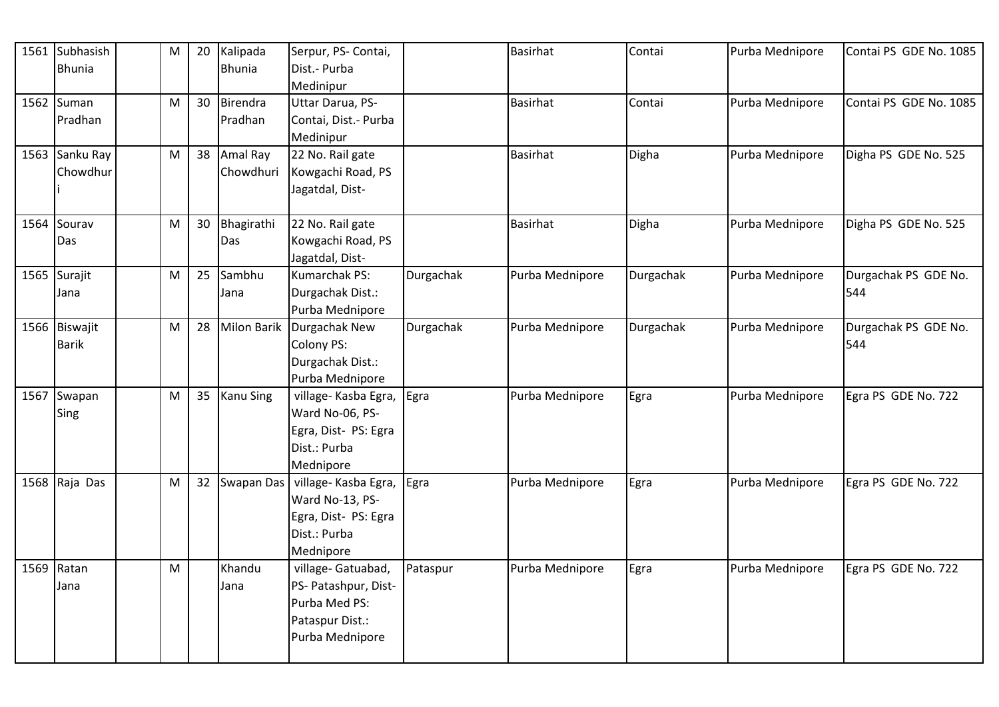| 1561 Subhasish                | M                                                                                                          | 20 | Kalipada         | Serpur, PS- Contai,             |           | <b>Basirhat</b> | Contai    | Purba Mednipore | Contai PS GDE No. 1085      |
|-------------------------------|------------------------------------------------------------------------------------------------------------|----|------------------|---------------------------------|-----------|-----------------|-----------|-----------------|-----------------------------|
| <b>Bhunia</b>                 |                                                                                                            |    | <b>Bhunia</b>    | Dist.- Purba<br>Medinipur       |           |                 |           |                 |                             |
| 1562 Suman                    | M                                                                                                          | 30 | Birendra         | Uttar Darua, PS-                |           | <b>Basirhat</b> | Contai    | Purba Mednipore | Contai PS GDE No. 1085      |
| Pradhan                       |                                                                                                            |    | Pradhan          | Contai, Dist. - Purba           |           |                 |           |                 |                             |
|                               |                                                                                                            |    |                  | Medinipur                       |           |                 |           |                 |                             |
| 1563 Sanku Ray                | M                                                                                                          | 38 | Amal Ray         | 22 No. Rail gate                |           | <b>Basirhat</b> | Digha     | Purba Mednipore | Digha PS GDE No. 525        |
| Chowdhur                      |                                                                                                            |    | Chowdhuri        | Kowgachi Road, PS               |           |                 |           |                 |                             |
|                               |                                                                                                            |    |                  | Jagatdal, Dist-                 |           |                 |           |                 |                             |
| 1564 Sourav                   | M                                                                                                          | 30 | Bhagirathi       | 22 No. Rail gate                |           | <b>Basirhat</b> | Digha     | Purba Mednipore | Digha PS GDE No. 525        |
| Das                           |                                                                                                            |    | Das              | Kowgachi Road, PS               |           |                 |           |                 |                             |
|                               |                                                                                                            |    |                  | Jagatdal, Dist-                 |           |                 |           |                 |                             |
| 1565 Surajit                  | M                                                                                                          | 25 | Sambhu           | Kumarchak PS:                   | Durgachak | Purba Mednipore | Durgachak | Purba Mednipore | Durgachak PS GDE No.        |
| Jana                          |                                                                                                            |    | Jana             | Durgachak Dist.:                |           |                 |           |                 | 544                         |
|                               |                                                                                                            |    |                  | Purba Mednipore                 |           |                 |           |                 |                             |
| 1566 Biswajit<br><b>Barik</b> | ${\sf M}$                                                                                                  | 28 |                  | Milon Barik Durgachak New       | Durgachak | Purba Mednipore | Durgachak | Purba Mednipore | Durgachak PS GDE No.<br>544 |
|                               |                                                                                                            |    |                  | Colony PS:<br>Durgachak Dist.:  |           |                 |           |                 |                             |
|                               |                                                                                                            |    |                  | Purba Mednipore                 |           |                 |           |                 |                             |
| 1567 Swapan                   | M                                                                                                          | 35 | <b>Kanu Sing</b> | village- Kasba Egra,            | Egra      | Purba Mednipore | Egra      | Purba Mednipore | Egra PS GDE No. 722         |
| Sing                          |                                                                                                            |    |                  | Ward No-06, PS-                 |           |                 |           |                 |                             |
|                               |                                                                                                            |    |                  | Egra, Dist- PS: Egra            |           |                 |           |                 |                             |
|                               |                                                                                                            |    |                  | Dist.: Purba                    |           |                 |           |                 |                             |
|                               |                                                                                                            |    |                  | Mednipore                       |           |                 |           |                 |                             |
| 1568 Raja Das                 | ${\sf M}$                                                                                                  | 32 | Swapan Das       | village- Kasba Egra,            | Egra      | Purba Mednipore | Egra      | Purba Mednipore | Egra PS GDE No. 722         |
|                               |                                                                                                            |    |                  | Ward No-13, PS-                 |           |                 |           |                 |                             |
|                               |                                                                                                            |    |                  | Egra, Dist- PS: Egra            |           |                 |           |                 |                             |
|                               |                                                                                                            |    |                  | Dist.: Purba                    |           |                 |           |                 |                             |
| 1569 Ratan                    | $\mathsf{M}% _{T}=\mathsf{M}_{T}\!\left( a,b\right) ,\ \mathsf{M}_{T}=\mathsf{M}_{T}\!\left( a,b\right) ,$ |    | Khandu           | Mednipore<br>village- Gatuabad, | Pataspur  | Purba Mednipore | Egra      | Purba Mednipore | Egra PS GDE No. 722         |
| Jana                          |                                                                                                            |    | Jana             | PS- Patashpur, Dist-            |           |                 |           |                 |                             |
|                               |                                                                                                            |    |                  | Purba Med PS:                   |           |                 |           |                 |                             |
|                               |                                                                                                            |    |                  | Pataspur Dist.:                 |           |                 |           |                 |                             |
|                               |                                                                                                            |    |                  | Purba Mednipore                 |           |                 |           |                 |                             |
|                               |                                                                                                            |    |                  |                                 |           |                 |           |                 |                             |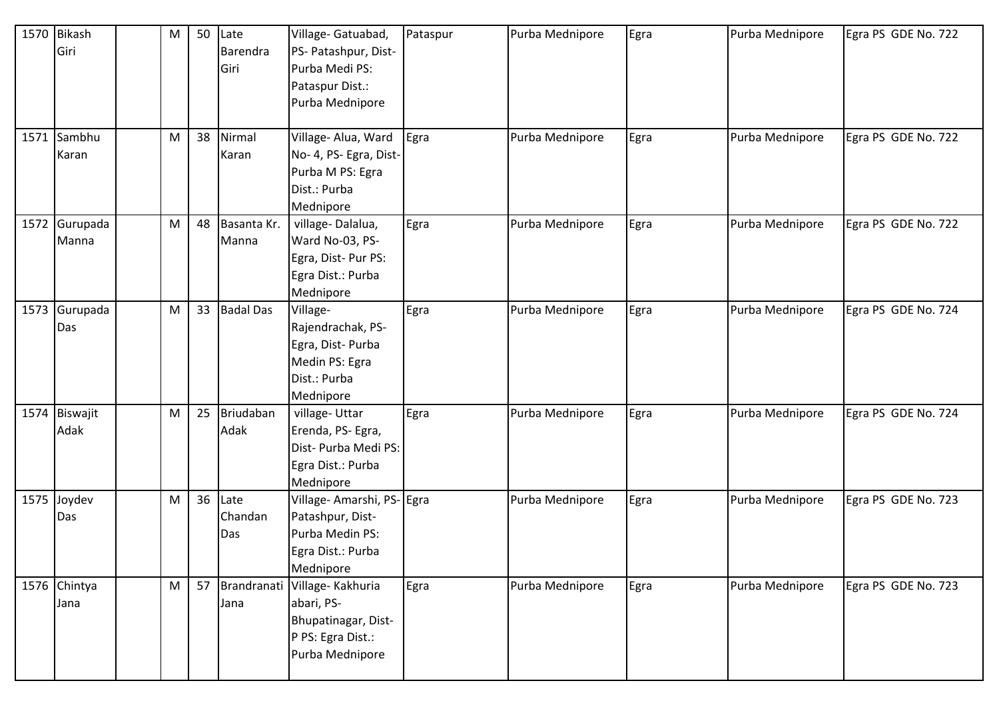| 1570 | <b>Bikash</b> | M | 50 | Late             | Village- Gatuabad,            | Pataspur | Purba Mednipore | Egra | Purba Mednipore | Egra PS GDE No. 722 |
|------|---------------|---|----|------------------|-------------------------------|----------|-----------------|------|-----------------|---------------------|
|      | Giri          |   |    | Barendra         | PS- Patashpur, Dist-          |          |                 |      |                 |                     |
|      |               |   |    | Giri             | Purba Medi PS:                |          |                 |      |                 |                     |
|      |               |   |    |                  | Pataspur Dist.:               |          |                 |      |                 |                     |
|      |               |   |    |                  | Purba Mednipore               |          |                 |      |                 |                     |
|      |               |   |    |                  |                               |          |                 |      |                 |                     |
|      | 1571 Sambhu   | M | 38 | Nirmal           | Village- Alua, Ward           | Egra     | Purba Mednipore | Egra | Purba Mednipore | Egra PS GDE No. 722 |
|      | Karan         |   |    | Karan            | No- 4, PS- Egra, Dist-        |          |                 |      |                 |                     |
|      |               |   |    |                  | Purba M PS: Egra              |          |                 |      |                 |                     |
|      |               |   |    |                  | Dist.: Purba                  |          |                 |      |                 |                     |
|      |               |   |    |                  | Mednipore                     |          |                 |      |                 |                     |
|      | 1572 Gurupada | M | 48 | Basanta Kr.      | village-Dalalua,              | Egra     | Purba Mednipore | Egra | Purba Mednipore | Egra PS GDE No. 722 |
|      | Manna         |   |    | Manna            | Ward No-03, PS-               |          |                 |      |                 |                     |
|      |               |   |    |                  | Egra, Dist-Pur PS:            |          |                 |      |                 |                     |
|      |               |   |    |                  | Egra Dist.: Purba             |          |                 |      |                 |                     |
|      |               |   |    |                  | Mednipore                     |          |                 |      |                 |                     |
| 1573 | Gurupada      | M | 33 | <b>Badal Das</b> | Village-                      | Egra     | Purba Mednipore | Egra | Purba Mednipore | Egra PS GDE No. 724 |
|      | Das           |   |    |                  | Rajendrachak, PS-             |          |                 |      |                 |                     |
|      |               |   |    |                  | Egra, Dist-Purba              |          |                 |      |                 |                     |
|      |               |   |    |                  | Medin PS: Egra                |          |                 |      |                 |                     |
|      |               |   |    |                  | Dist.: Purba                  |          |                 |      |                 |                     |
|      |               |   |    |                  | Mednipore                     |          |                 |      |                 |                     |
|      | 1574 Biswajit | M | 25 | Briudaban        | village-Uttar                 | Egra     | Purba Mednipore | Egra | Purba Mednipore | Egra PS GDE No. 724 |
|      | Adak          |   |    | Adak             | Erenda, PS- Egra,             |          |                 |      |                 |                     |
|      |               |   |    |                  | Dist- Purba Medi PS:          |          |                 |      |                 |                     |
|      |               |   |    |                  | Egra Dist.: Purba             |          |                 |      |                 |                     |
|      |               |   |    |                  | Mednipore                     |          |                 |      |                 |                     |
|      | 1575 Joydev   | M | 36 | Late             | Village- Amarshi, PS- Egra    |          | Purba Mednipore | Egra | Purba Mednipore | Egra PS GDE No. 723 |
|      | Das           |   |    | Chandan          | Patashpur, Dist-              |          |                 |      |                 |                     |
|      |               |   |    | Das              | Purba Medin PS:               |          |                 |      |                 |                     |
|      |               |   |    |                  | Egra Dist.: Purba             |          |                 |      |                 |                     |
|      |               |   |    |                  | Mednipore                     |          |                 |      |                 |                     |
|      | 1576 Chintya  | M | 57 |                  | Brandranati Village- Kakhuria | Egra     | Purba Mednipore | Egra | Purba Mednipore | Egra PS GDE No. 723 |
|      | Jana          |   |    | Jana             | abari, PS-                    |          |                 |      |                 |                     |
|      |               |   |    |                  | Bhupatinagar, Dist-           |          |                 |      |                 |                     |
|      |               |   |    |                  | P PS: Egra Dist.:             |          |                 |      |                 |                     |
|      |               |   |    |                  | Purba Mednipore               |          |                 |      |                 |                     |
|      |               |   |    |                  |                               |          |                 |      |                 |                     |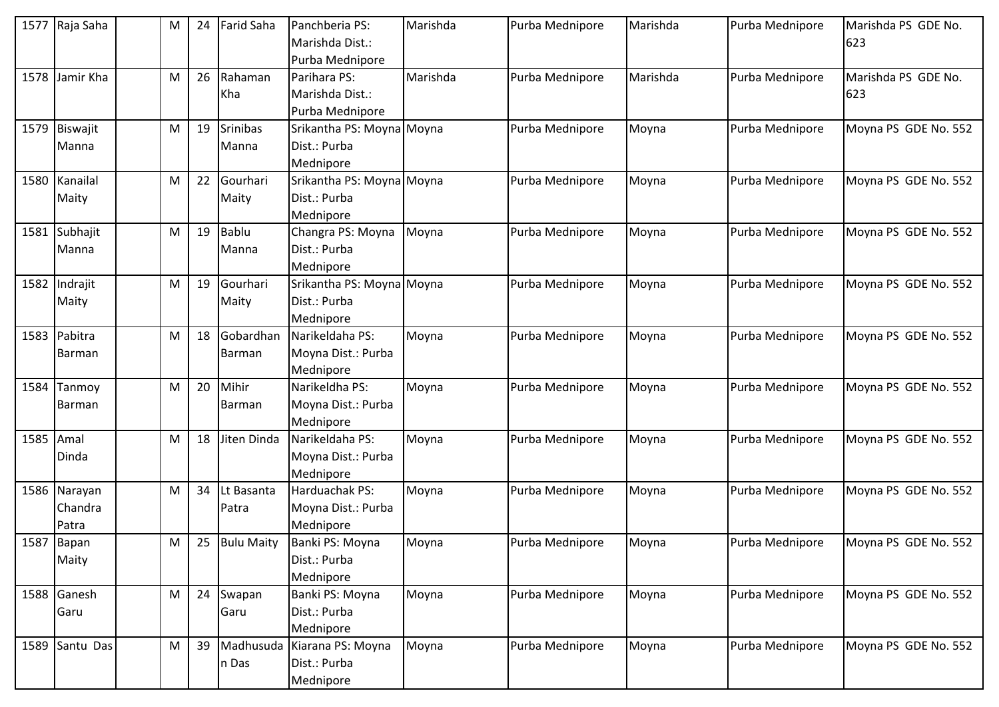|           | 1577 Raja Saha                   | M         | 24 | <b>Farid Saha</b>     | Panchberia PS:<br>Marishda Dist.:<br>Purba Mednipore     | Marishda | Purba Mednipore | Marishda | Purba Mednipore | Marishda PS GDE No.<br>623 |
|-----------|----------------------------------|-----------|----|-----------------------|----------------------------------------------------------|----------|-----------------|----------|-----------------|----------------------------|
| 1578      | Jamir Kha                        | М         | 26 | Rahaman<br>Kha        | Parihara PS:<br>Marishda Dist.:<br>Purba Mednipore       | Marishda | Purba Mednipore | Marishda | Purba Mednipore | Marishda PS GDE No.<br>623 |
|           | 1579 Biswajit<br>Manna           | М         | 19 | Srinibas<br>Manna     | Srikantha PS: Moyna Moyna<br>Dist.: Purba<br>Mednipore   |          | Purba Mednipore | Moyna    | Purba Mednipore | Moyna PS GDE No. 552       |
|           | 1580 Kanailal<br>Maity           | ${\sf M}$ | 22 | Gourhari<br>Maity     | Srikantha PS: Moyna Moyna<br>Dist.: Purba<br>Mednipore   |          | Purba Mednipore | Moyna    | Purba Mednipore | Moyna PS GDE No. 552       |
|           | 1581 Subhajit<br>Manna           | M         | 19 | <b>Bablu</b><br>Manna | Changra PS: Moyna<br>Dist.: Purba<br>Mednipore           | Moyna    | Purba Mednipore | Moyna    | Purba Mednipore | Moyna PS GDE No. 552       |
|           | 1582 Indrajit<br>Maity           | M         | 19 | Gourhari<br>Maity     | Srikantha PS: Moyna Moyna<br>Dist.: Purba<br>Mednipore   |          | Purba Mednipore | Moyna    | Purba Mednipore | Moyna PS GDE No. 552       |
|           | 1583 Pabitra<br>Barman           | М         | 18 | Gobardhan<br>Barman   | Narikeldaha PS:<br>Moyna Dist.: Purba<br>Mednipore       | Moyna    | Purba Mednipore | Moyna    | Purba Mednipore | Moyna PS GDE No. 552       |
| 1584      | Tanmoy<br>Barman                 | M         | 20 | Mihir<br>Barman       | Narikeldha PS:<br>Moyna Dist.: Purba<br>Mednipore        | Moyna    | Purba Mednipore | Moyna    | Purba Mednipore | Moyna PS GDE No. 552       |
| 1585 Amal | Dinda                            | M         | 18 | Jiten Dinda           | Narikeldaha PS:<br>Moyna Dist.: Purba<br>Mednipore       | Moyna    | Purba Mednipore | Moyna    | Purba Mednipore | Moyna PS GDE No. 552       |
|           | 1586 Narayan<br>Chandra<br>Patra | M         | 34 | Lt Basanta<br>Patra   | Harduachak PS:<br>Moyna Dist.: Purba<br>Mednipore        | Moyna    | Purba Mednipore | Moyna    | Purba Mednipore | Moyna PS GDE No. 552       |
|           | 1587 Bapan<br>Maity              | М         | 25 | <b>Bulu Maity</b>     | Banki PS: Moyna<br>Dist.: Purba<br>Mednipore             | Moyna    | Purba Mednipore | Moyna    | Purba Mednipore | Moyna PS GDE No. 552       |
|           | 1588 Ganesh<br>Garu              | M         | 24 | Swapan<br>Garu        | Banki PS: Moyna<br>Dist.: Purba<br>Mednipore             | Moyna    | Purba Mednipore | Moyna    | Purba Mednipore | Moyna PS GDE No. 552       |
|           | 1589 Santu Das                   | ${\sf M}$ | 39 | n Das                 | Madhusuda Kiarana PS: Moyna<br>Dist.: Purba<br>Mednipore | Moyna    | Purba Mednipore | Moyna    | Purba Mednipore | Moyna PS GDE No. 552       |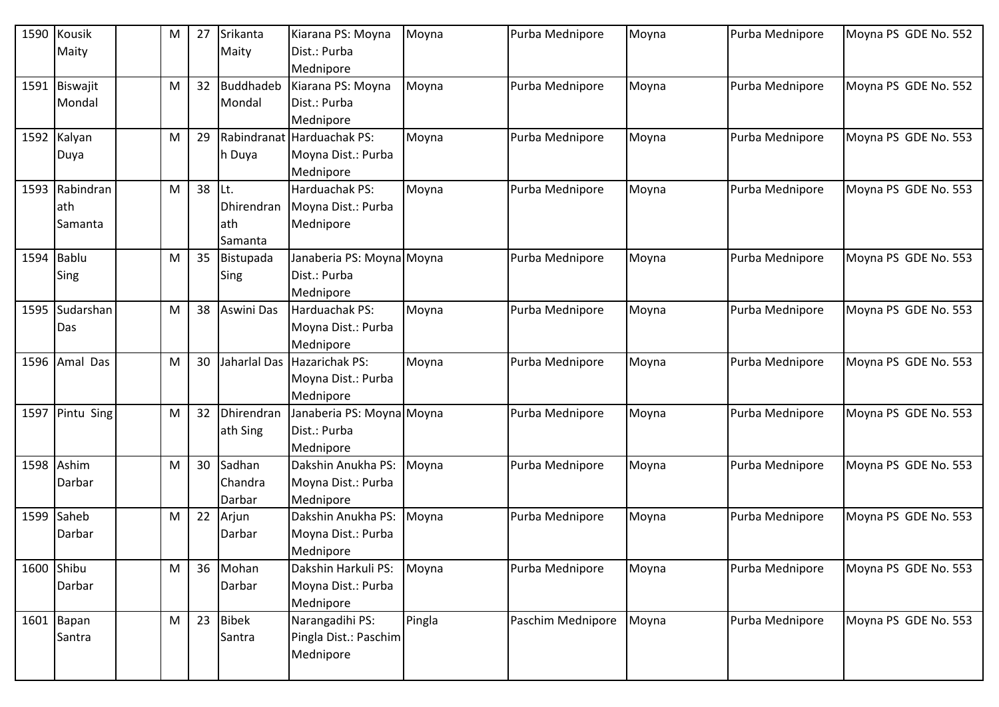| 1590       | Kousik        | M | 27 | Srikanta          | Kiarana PS: Moyna          | Moyna  | Purba Mednipore   | Moyna | Purba Mednipore | Moyna PS GDE No. 552 |
|------------|---------------|---|----|-------------------|----------------------------|--------|-------------------|-------|-----------------|----------------------|
|            | Maity         |   |    | Maity             | Dist.: Purba               |        |                   |       |                 |                      |
|            |               |   |    |                   | Mednipore                  |        |                   |       |                 |                      |
|            | 1591 Biswajit | M | 32 | Buddhadeb         | Kiarana PS: Moyna          | Moyna  | Purba Mednipore   | Moyna | Purba Mednipore | Moyna PS GDE No. 552 |
|            | Mondal        |   |    | Mondal            | Dist.: Purba               |        |                   |       |                 |                      |
|            |               |   |    |                   | Mednipore                  |        |                   |       |                 |                      |
|            | 1592 Kalyan   | M | 29 |                   | Rabindranat Harduachak PS: | Moyna  | Purba Mednipore   | Moyna | Purba Mednipore | Moyna PS GDE No. 553 |
|            | Duya          |   |    | h Duya            | Moyna Dist.: Purba         |        |                   |       |                 |                      |
|            |               |   |    |                   | Mednipore                  |        |                   |       |                 |                      |
| 1593       | Rabindran     | M | 38 | lLt.              | Harduachak PS:             | Moyna  | Purba Mednipore   | Moyna | Purba Mednipore | Moyna PS GDE No. 553 |
|            | ath           |   |    | Dhirendran        | Moyna Dist.: Purba         |        |                   |       |                 |                      |
|            | Samanta       |   |    | lath              | Mednipore                  |        |                   |       |                 |                      |
|            |               |   |    | Samanta           |                            |        |                   |       |                 |                      |
| 1594       | <b>Bablu</b>  | М | 35 | Bistupada         | Janaberia PS: Moyna Moyna  |        | Purba Mednipore   | Moyna | Purba Mednipore | Moyna PS GDE No. 553 |
|            | Sing          |   |    | Sing              | Dist.: Purba               |        |                   |       |                 |                      |
|            |               |   |    |                   | Mednipore                  |        |                   |       |                 |                      |
| 1595       | Sudarshan     | M | 38 | <b>Aswini Das</b> | Harduachak PS:             | Moyna  | Purba Mednipore   | Moyna | Purba Mednipore | Moyna PS GDE No. 553 |
|            | Das           |   |    |                   | Moyna Dist.: Purba         |        |                   |       |                 |                      |
|            |               |   |    |                   | Mednipore                  |        |                   |       |                 |                      |
| 1596       | Amal Das      | M | 30 | Jaharlal Das      | <b>Hazarichak PS:</b>      | Moyna  | Purba Mednipore   | Moyna | Purba Mednipore | Moyna PS GDE No. 553 |
|            |               |   |    |                   | Moyna Dist.: Purba         |        |                   |       |                 |                      |
|            |               |   |    |                   | Mednipore                  |        |                   |       |                 |                      |
| 1597       | Pintu Sing    | M | 32 | Dhirendran        | Janaberia PS: Moyna Moyna  |        | Purba Mednipore   | Moyna | Purba Mednipore | Moyna PS GDE No. 553 |
|            |               |   |    | ath Sing          | Dist.: Purba               |        |                   |       |                 |                      |
|            |               |   |    |                   | Mednipore                  |        |                   |       |                 |                      |
|            | 1598 Ashim    | M | 30 | Sadhan            | Dakshin Anukha PS:         | Moyna  | Purba Mednipore   | Moyna | Purba Mednipore | Moyna PS GDE No. 553 |
|            | Darbar        |   |    | Chandra           | Moyna Dist.: Purba         |        |                   |       |                 |                      |
|            |               |   |    | Darbar            | Mednipore                  |        |                   |       |                 |                      |
|            | 1599 Saheb    | M | 22 | Arjun             | Dakshin Anukha PS:         | Moyna  | Purba Mednipore   | Moyna | Purba Mednipore | Moyna PS GDE No. 553 |
|            | Darbar        |   |    | Darbar            | Moyna Dist.: Purba         |        |                   |       |                 |                      |
|            |               |   |    |                   | Mednipore                  |        |                   |       |                 |                      |
| 1600 Shibu |               | M | 36 | Mohan             | Dakshin Harkuli PS:        | Moyna  | Purba Mednipore   | Moyna | Purba Mednipore | Moyna PS GDE No. 553 |
|            | Darbar        |   |    | Darbar            | Moyna Dist.: Purba         |        |                   |       |                 |                      |
|            |               |   |    |                   | Mednipore                  |        |                   |       |                 |                      |
|            | $1601$ Bapan  | M | 23 | <b>Bibek</b>      | Narangadihi PS:            | Pingla | Paschim Mednipore | Moyna | Purba Mednipore | Moyna PS GDE No. 553 |
|            | Santra        |   |    | Santra            | Pingla Dist.: Paschim      |        |                   |       |                 |                      |
|            |               |   |    |                   | Mednipore                  |        |                   |       |                 |                      |
|            |               |   |    |                   |                            |        |                   |       |                 |                      |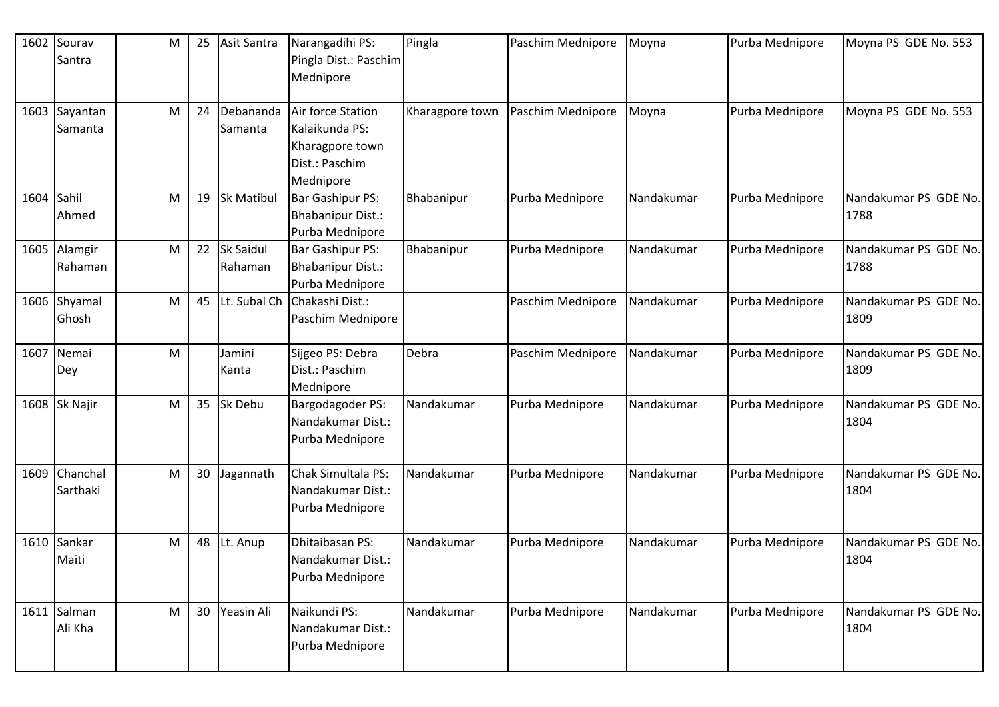| 1602 | Sourav<br>Santra       | M | 25 | Asit Santra                 | Narangadihi PS:<br>Pingla Dist.: Paschim<br>Mednipore                                 | Pingla          | Paschim Mednipore | Moyna      | Purba Mednipore | Moyna PS GDE No. 553          |
|------|------------------------|---|----|-----------------------------|---------------------------------------------------------------------------------------|-----------------|-------------------|------------|-----------------|-------------------------------|
| 1603 | Sayantan<br>Samanta    | M | 24 | Debananda<br>Samanta        | Air force Station<br>Kalaikunda PS:<br>Kharagpore town<br>Dist.: Paschim<br>Mednipore | Kharagpore town | Paschim Mednipore | Moyna      | Purba Mednipore | Moyna PS GDE No. 553          |
| 1604 | Sahil<br>Ahmed         | M | 19 | <b>Sk Matibul</b>           | Bar Gashipur PS:<br>Bhabanipur Dist.:<br>Purba Mednipore                              | Bhabanipur      | Purba Mednipore   | Nandakumar | Purba Mednipore | Nandakumar PS GDE No.<br>1788 |
| 1605 | Alamgir<br>Rahaman     | M | 22 | <b>Sk Saidul</b><br>Rahaman | Bar Gashipur PS:<br><b>Bhabanipur Dist.:</b><br>Purba Mednipore                       | Bhabanipur      | Purba Mednipore   | Nandakumar | Purba Mednipore | Nandakumar PS GDE No.<br>1788 |
|      | 1606 Shyamal<br>Ghosh  | M | 45 | Lt. Subal Ch                | Chakashi Dist.:<br>Paschim Mednipore                                                  |                 | Paschim Mednipore | Nandakumar | Purba Mednipore | Nandakumar PS GDE No.<br>1809 |
|      | 1607 Nemai<br>Dey      | M |    | Jamini<br>Kanta             | Sijgeo PS: Debra<br>Dist.: Paschim<br>Mednipore                                       | Debra           | Paschim Mednipore | Nandakumar | Purba Mednipore | Nandakumar PS GDE No.<br>1809 |
|      | 1608 Sk Najir          | М | 35 | Sk Debu                     | Bargodagoder PS:<br>Nandakumar Dist.:<br>Purba Mednipore                              | Nandakumar      | Purba Mednipore   | Nandakumar | Purba Mednipore | Nandakumar PS GDE No.<br>1804 |
| 1609 | Chanchal<br>Sarthaki   | М | 30 | Jagannath                   | Chak Simultala PS:<br>Nandakumar Dist.:<br>Purba Mednipore                            | Nandakumar      | Purba Mednipore   | Nandakumar | Purba Mednipore | Nandakumar PS GDE No.<br>1804 |
| 1610 | Sankar<br>Maiti        | M | 48 | Lt. Anup                    | Dhitaibasan PS:<br>Nandakumar Dist.:<br>Purba Mednipore                               | Nandakumar      | Purba Mednipore   | Nandakumar | Purba Mednipore | Nandakumar PS GDE No.<br>1804 |
|      | 1611 Salman<br>Ali Kha | M | 30 | Yeasin Ali                  | Naikundi PS:<br>Nandakumar Dist.:<br>Purba Mednipore                                  | Nandakumar      | Purba Mednipore   | Nandakumar | Purba Mednipore | Nandakumar PS GDE No.<br>1804 |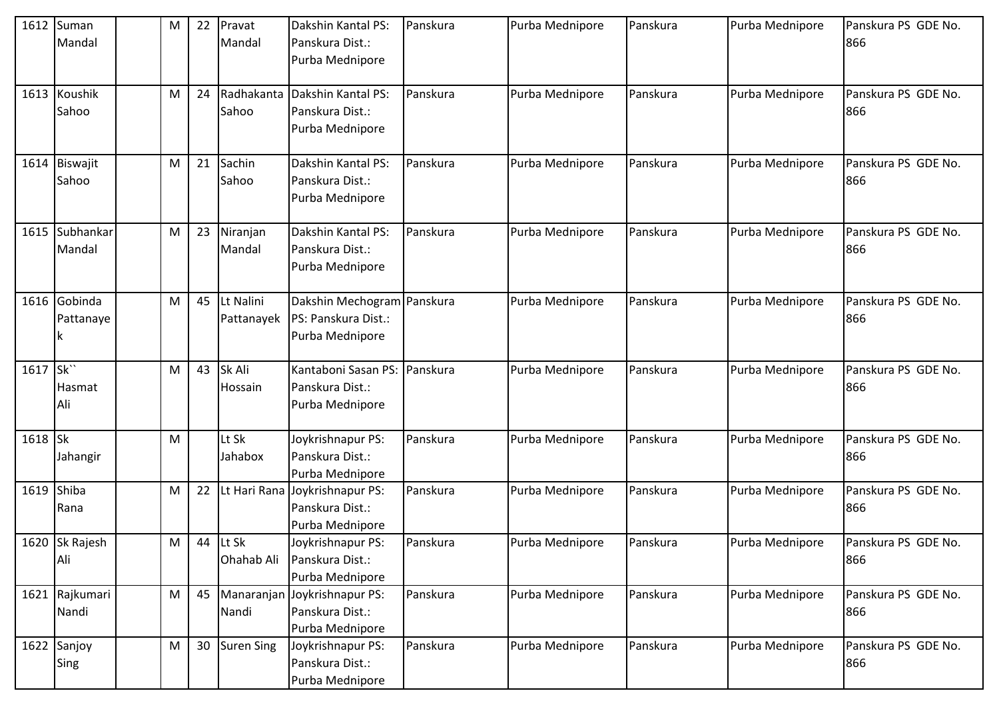|                       | 1612 Suman<br>Mandal      | M | 22 | Pravat<br>Mandal        | Dakshin Kantal PS:<br>Panskura Dist.:<br>Purba Mednipore             | Panskura | Purba Mednipore | Panskura | Purba Mednipore | Panskura PS GDE No.<br>866 |
|-----------------------|---------------------------|---|----|-------------------------|----------------------------------------------------------------------|----------|-----------------|----------|-----------------|----------------------------|
|                       | 1613 Koushik<br>Sahoo     | M | 24 | Radhakanta<br>Sahoo     | Dakshin Kantal PS:<br>Panskura Dist.:<br>Purba Mednipore             | Panskura | Purba Mednipore | Panskura | Purba Mednipore | Panskura PS GDE No.<br>866 |
| 1614                  | Biswajit<br>Sahoo         | M | 21 | Sachin<br>Sahoo         | Dakshin Kantal PS:<br>Panskura Dist.:<br>Purba Mednipore             | Panskura | Purba Mednipore | Panskura | Purba Mednipore | Panskura PS GDE No.<br>866 |
|                       | 1615 Subhankar<br>Mandal  | M | 23 | Niranjan<br>Mandal      | Dakshin Kantal PS:<br>Panskura Dist.:<br>Purba Mednipore             | Panskura | Purba Mednipore | Panskura | Purba Mednipore | Panskura PS GDE No.<br>866 |
|                       | 1616 Gobinda<br>Pattanaye | M | 45 | Lt Nalini<br>Pattanayek | Dakshin Mechogram Panskura<br>PS: Panskura Dist.:<br>Purba Mednipore |          | Purba Mednipore | Panskura | Purba Mednipore | Panskura PS GDE No.<br>866 |
| 1617 Sk <sup>**</sup> | Hasmat<br>Ali             | M | 43 | Sk Ali<br>Hossain       | Kantaboni Sasan PS:<br>Panskura Dist.:<br>Purba Mednipore            | Panskura | Purba Mednipore | Panskura | Purba Mednipore | Panskura PS GDE No.<br>866 |
| 1618 Sk               | Jahangir                  | M |    | Lt Sk<br>Jahabox        | Joykrishnapur PS:<br>Panskura Dist.:<br>Purba Mednipore              | Panskura | Purba Mednipore | Panskura | Purba Mednipore | Panskura PS GDE No.<br>866 |
| 1619                  | Shiba<br>Rana             | M | 22 |                         | Lt Hari Rana Joykrishnapur PS:<br>Panskura Dist.:<br>Purba Mednipore | Panskura | Purba Mednipore | Panskura | Purba Mednipore | Panskura PS GDE No.<br>866 |
|                       | 1620 Sk Rajesh<br>Ali     | M | 44 | Lt Sk<br>Ohahab Ali     | Joykrishnapur PS:<br>Panskura Dist.:<br>Purba Mednipore              | Panskura | Purba Mednipore | Panskura | Purba Mednipore | Panskura PS GDE No.<br>866 |
|                       | 1621 Rajkumari<br>Nandi   | M | 45 | Nandi                   | Manaranjan Joykrishnapur PS:<br>Panskura Dist.:<br>Purba Mednipore   | Panskura | Purba Mednipore | Panskura | Purba Mednipore | Panskura PS GDE No.<br>866 |
|                       | 1622 Sanjoy<br>Sing       | M | 30 | <b>Suren Sing</b>       | Joykrishnapur PS:<br>Panskura Dist.:<br>Purba Mednipore              | Panskura | Purba Mednipore | Panskura | Purba Mednipore | Panskura PS GDE No.<br>866 |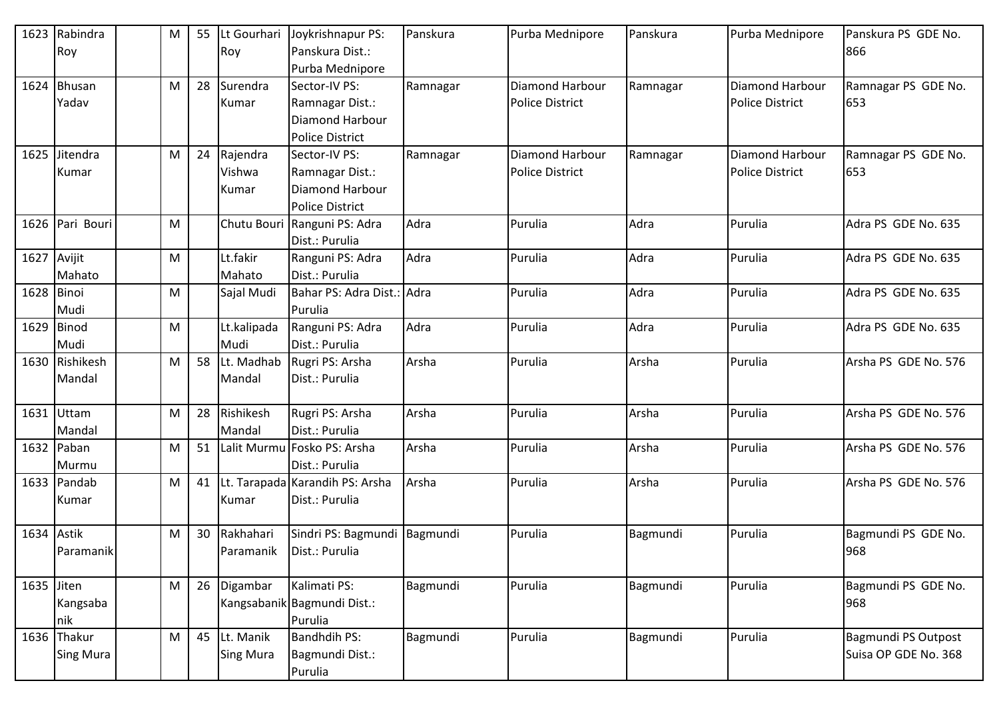| 1623       | Rabindra<br>Roy  | M | 55 | Lt Gourhari<br>Roy | Joykrishnapur PS:<br>Panskura Dist.: | Panskura | Purba Mednipore        | Panskura | Purba Mednipore        | Panskura PS GDE No.<br>866 |
|------------|------------------|---|----|--------------------|--------------------------------------|----------|------------------------|----------|------------------------|----------------------------|
|            |                  |   |    |                    | Purba Mednipore                      |          |                        |          |                        |                            |
| 1624       | <b>Bhusan</b>    | M | 28 | Surendra           | Sector-IV PS:                        | Ramnagar | Diamond Harbour        | Ramnagar | <b>Diamond Harbour</b> | Ramnagar PS GDE No.        |
|            | Yadav            |   |    | Kumar              | Ramnagar Dist.:                      |          | <b>Police District</b> |          | <b>Police District</b> | 653                        |
|            |                  |   |    |                    | Diamond Harbour                      |          |                        |          |                        |                            |
|            |                  |   |    |                    | <b>Police District</b>               |          |                        |          |                        |                            |
| 1625       | Jitendra         | M | 24 | Rajendra           | Sector-IV PS:                        | Ramnagar | <b>Diamond Harbour</b> | Ramnagar | Diamond Harbour        | Ramnagar PS GDE No.        |
|            | Kumar            |   |    | Vishwa             | Ramnagar Dist.:                      |          | <b>Police District</b> |          | <b>Police District</b> | 653                        |
|            |                  |   |    | Kumar              | <b>Diamond Harbour</b>               |          |                        |          |                        |                            |
|            |                  |   |    |                    | <b>Police District</b>               |          |                        |          |                        |                            |
|            | 1626 Pari Bouri  | M |    |                    | Chutu Bouri Ranguni PS: Adra         | Adra     | Purulia                | Adra     | Purulia                | Adra PS GDE No. 635        |
|            |                  |   |    |                    | Dist.: Purulia                       |          |                        |          |                        |                            |
| 1627       | Avijit           | M |    | Lt.fakir           | Ranguni PS: Adra                     | Adra     | Purulia                | Adra     | Purulia                | Adra PS GDE No. 635        |
|            | Mahato           |   |    | Mahato             | Dist.: Purulia                       |          |                        |          |                        |                            |
| 1628 Binoi |                  | M |    | Sajal Mudi         | Bahar PS: Adra Dist.: Adra           |          | Purulia                | Adra     | Purulia                | Adra PS GDE No. 635        |
|            | Mudi             |   |    |                    | Purulia                              |          |                        |          |                        |                            |
| 1629       | Binod            | M |    | Lt.kalipada        | Ranguni PS: Adra                     | Adra     | Purulia                | Adra     | Purulia                | Adra PS GDE No. 635        |
|            | Mudi             |   |    | Mudi               | Dist.: Purulia                       |          |                        |          |                        |                            |
| 1630       | Rishikesh        | M | 58 | Lt. Madhab         | Rugri PS: Arsha                      | Arsha    | Purulia                | Arsha    | Purulia                | Arsha PS GDE No. 576       |
|            | Mandal           |   |    | Mandal             | Dist.: Purulia                       |          |                        |          |                        |                            |
|            |                  |   |    |                    |                                      |          |                        |          |                        |                            |
| 1631       | Uttam            | M | 28 | Rishikesh          | Rugri PS: Arsha                      | Arsha    | Purulia                | Arsha    | Purulia                | Arsha PS GDE No. 576       |
|            | Mandal           |   |    | Mandal             | Dist.: Purulia                       |          |                        |          |                        |                            |
|            | 1632 Paban       | M | 51 | Lalit Murmu        | Fosko PS: Arsha                      | Arsha    | Purulia                | Arsha    | Purulia                | Arsha PS GDE No. 576       |
|            | Murmu            |   |    |                    | Dist.: Purulia                       |          |                        |          |                        |                            |
| 1633       | Pandab           | M | 41 |                    | Lt. Tarapada Karandih PS: Arsha      | Arsha    | Purulia                | Arsha    | Purulia                | Arsha PS GDE No. 576       |
|            | Kumar            |   |    | Kumar              | Dist.: Purulia                       |          |                        |          |                        |                            |
|            |                  |   |    |                    |                                      |          |                        |          |                        |                            |
| 1634 Astik |                  | M | 30 | Rakhahari          | Sindri PS: Bagmundi                  | Bagmundi | Purulia                | Bagmundi | Purulia                | Bagmundi PS GDE No.        |
|            | Paramanik        |   |    | Paramanik          | Dist.: Purulia                       |          |                        |          |                        | 968                        |
|            |                  |   |    |                    |                                      |          |                        |          |                        |                            |
| 1635 Jiten |                  | M | 26 | Digambar           | Kalimati PS:                         | Bagmundi | Purulia                | Bagmundi | Purulia                | Bagmundi PS GDE No.        |
|            | Kangsaba         |   |    |                    | Kangsabanik Bagmundi Dist.:          |          |                        |          |                        | 968                        |
|            | nik              |   |    |                    | Purulia                              |          |                        |          |                        |                            |
|            | 1636 Thakur      | M | 45 | Lt. Manik          | Bandhdih PS:                         | Bagmundi | Purulia                | Bagmundi | Purulia                | <b>Bagmundi PS Outpost</b> |
|            | <b>Sing Mura</b> |   |    | <b>Sing Mura</b>   | Bagmundi Dist.:                      |          |                        |          |                        | Suisa OP GDE No. 368       |
|            |                  |   |    |                    | Purulia                              |          |                        |          |                        |                            |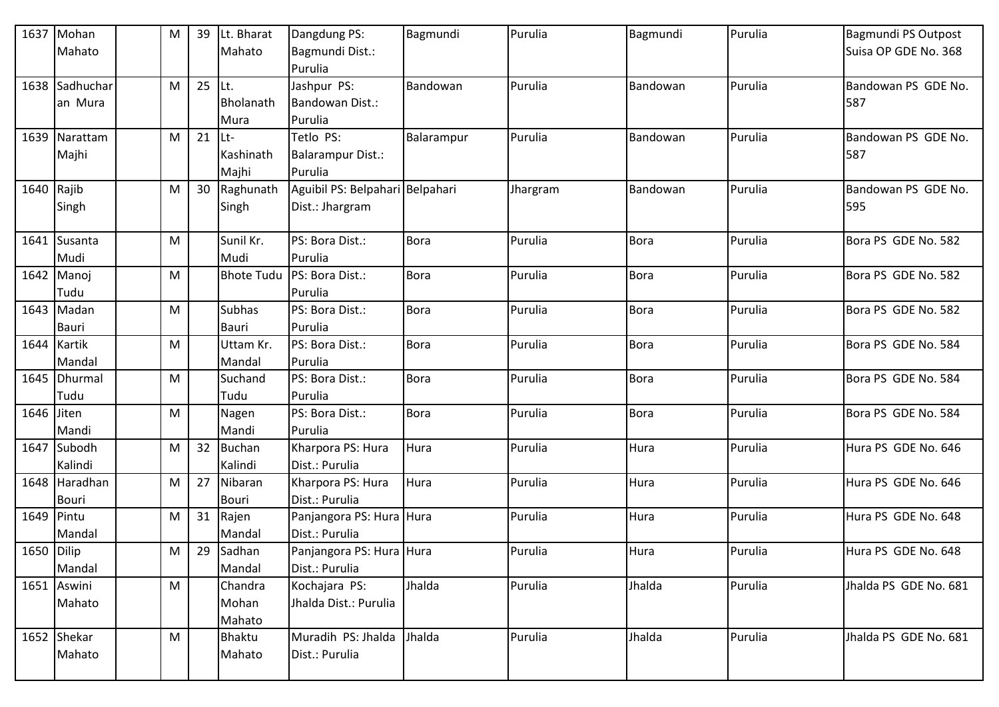| 1637         | Mohan          | M | 39 | Lt. Bharat        | Dangdung PS:                    | Bagmundi    | Purulia  | Bagmundi    | Purulia | <b>Bagmundi PS Outpost</b> |
|--------------|----------------|---|----|-------------------|---------------------------------|-------------|----------|-------------|---------|----------------------------|
|              | Mahato         |   |    | Mahato            | Bagmundi Dist.:                 |             |          |             |         | Suisa OP GDE No. 368       |
|              |                |   |    |                   | Purulia                         |             |          |             |         |                            |
| 1638         | Sadhuchar      | M | 25 | Lt.               | Jashpur PS:                     | Bandowan    | Purulia  | Bandowan    | Purulia | Bandowan PS GDE No.        |
|              | an Mura        |   |    | Bholanath         | Bandowan Dist.:                 |             |          |             |         | 587                        |
|              |                |   |    | Mura              | Purulia                         |             |          |             |         |                            |
|              | 1639 Narattam  | M | 21 | Lt-               | Tetlo PS:                       | Balarampur  | Purulia  | Bandowan    | Purulia | Bandowan PS GDE No.        |
|              | Majhi          |   |    | Kashinath         | Balarampur Dist.:               |             |          |             |         | 587                        |
|              |                |   |    | Majhi             | Purulia                         |             |          |             |         |                            |
| $1640$ Rajib |                | M | 30 | Raghunath         | Aguibil PS: Belpahari Belpahari |             | Jhargram | Bandowan    | Purulia | Bandowan PS GDE No.        |
|              | Singh          |   |    | Singh             | Dist.: Jhargram                 |             |          |             |         | 595                        |
|              |                |   |    |                   |                                 |             |          |             |         |                            |
| 1641         | Susanta        | M |    | Sunil Kr.         | PS: Bora Dist.:                 | <b>Bora</b> | Purulia  | <b>Bora</b> | Purulia | Bora PS GDE No. 582        |
|              | Mudi           |   |    | Mudi              | Purulia                         |             |          |             |         |                            |
| 1642         | Manoj          | M |    | <b>Bhote Tudu</b> | PS: Bora Dist.:                 | <b>Bora</b> | Purulia  | <b>Bora</b> | Purulia | Bora PS GDE No. 582        |
|              | Tudu           |   |    |                   | Purulia                         |             |          |             |         |                            |
|              | 1643 Madan     | M |    | <b>Subhas</b>     | PS: Bora Dist.:                 | Bora        | Purulia  | <b>Bora</b> | Purulia | Bora PS GDE No. 582        |
|              | Bauri          |   |    | <b>Bauri</b>      | Purulia                         |             |          |             |         |                            |
|              | 1644 Kartik    | M |    | Uttam Kr.         | PS: Bora Dist.:                 | Bora        | Purulia  | <b>Bora</b> | Purulia | Bora PS GDE No. 584        |
|              | Mandal         |   |    | Mandal            | Purulia                         |             |          |             |         |                            |
|              | 1645   Dhurmal | М |    | Suchand           | PS: Bora Dist.:                 | Bora        | Purulia  | <b>Bora</b> | Purulia | Bora PS GDE No. 584        |
|              | Tudu           |   |    | Tudu              | Purulia                         |             |          |             |         |                            |
| 1646         | Jiten          | M |    | Nagen             | PS: Bora Dist.:                 | <b>Bora</b> | Purulia  | <b>Bora</b> | Purulia | Bora PS GDE No. 584        |
|              | Mandi          |   |    | Mandi             | Purulia                         |             |          |             |         |                            |
| 1647         | Subodh         | M | 32 | <b>Buchan</b>     | Kharpora PS: Hura               | Hura        | Purulia  | Hura        | Purulia | Hura PS GDE No. 646        |
|              | Kalindi        |   |    | Kalindi           | Dist.: Purulia                  |             |          |             |         |                            |
|              | 1648 Haradhan  | M | 27 | Nibaran           | Kharpora PS: Hura               | Hura        | Purulia  | Hura        | Purulia | Hura PS GDE No. 646        |
|              | <b>Bouri</b>   |   |    | <b>Bouri</b>      | Dist.: Purulia                  |             |          |             |         |                            |
| 1649 Pintu   |                | M | 31 | Rajen             | Panjangora PS: Hura Hura        |             | Purulia  | Hura        | Purulia | Hura PS GDE No. 648        |
|              | Mandal         |   |    | Mandal            | Dist.: Purulia                  |             |          |             |         |                            |
| 1650 Dilip   |                | M | 29 | Sadhan            | Panjangora PS: Hura Hura        |             | Purulia  | Hura        | Purulia | Hura PS GDE No. 648        |
|              | Mandal         |   |    | Mandal            | Dist.: Purulia                  |             |          |             |         |                            |
|              | 1651 Aswini    | M |    | Chandra           | Kochajara PS:                   | Jhalda      | Purulia  | Jhalda      | Purulia | Jhalda PS GDE No. 681      |
|              | Mahato         |   |    | Mohan             | Jhalda Dist.: Purulia           |             |          |             |         |                            |
|              |                |   |    | Mahato            |                                 |             |          |             |         |                            |
|              | 1652 Shekar    | M |    | <b>Bhaktu</b>     | Muradih PS: Jhalda              | Jhalda      | Purulia  | Jhalda      | Purulia | Jhalda PS GDE No. 681      |
|              | Mahato         |   |    | Mahato            | Dist.: Purulia                  |             |          |             |         |                            |
|              |                |   |    |                   |                                 |             |          |             |         |                            |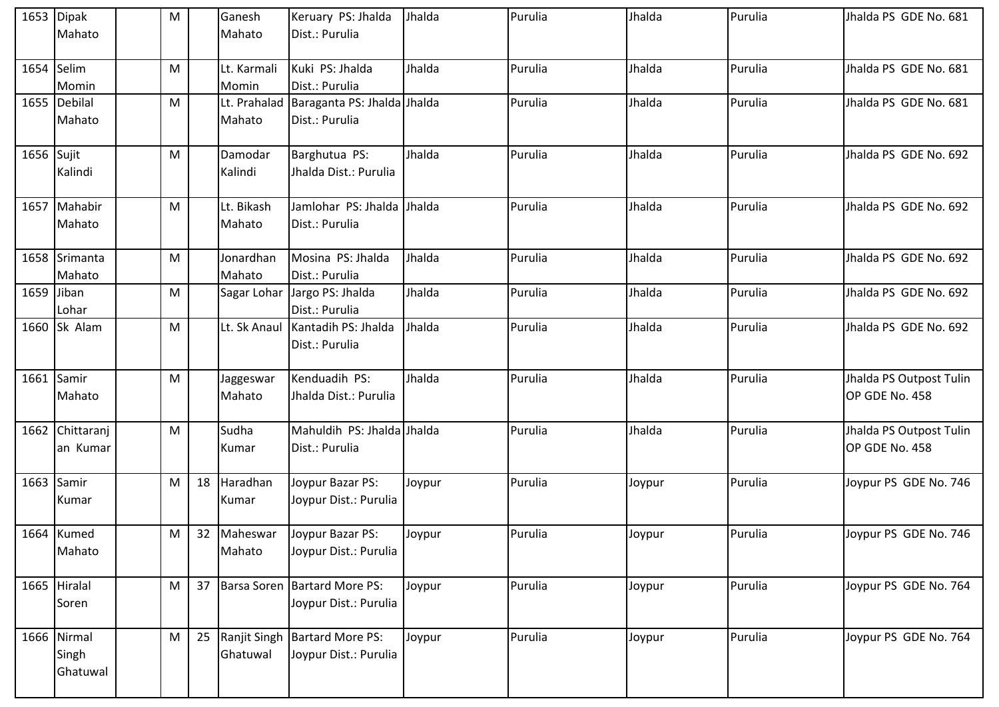|            | 1653 Dipak      | M |    | Ganesh      | Keruary PS: Jhalda                       | Jhalda | Purulia | Jhalda | Purulia | Jhalda PS GDE No. 681                     |
|------------|-----------------|---|----|-------------|------------------------------------------|--------|---------|--------|---------|-------------------------------------------|
|            | Mahato          |   |    | Mahato      | Dist.: Purulia                           |        |         |        |         |                                           |
|            |                 |   |    |             |                                          |        |         |        |         |                                           |
| 1654       | Selim           | M |    | Lt. Karmali | Kuki PS: Jhalda                          | Jhalda | Purulia | Jhalda | Purulia | Jhalda PS GDE No. 681                     |
|            | Momin           |   |    | Momin       | Dist.: Purulia                           |        |         |        |         |                                           |
|            | 1655 Debilal    | M |    |             | Lt. Prahalad Baraganta PS: Jhalda Jhalda |        | Purulia | Jhalda | Purulia | Jhalda PS GDE No. 681                     |
|            | Mahato          |   |    | Mahato      | Dist.: Purulia                           |        |         |        |         |                                           |
|            |                 |   |    |             |                                          |        |         |        |         |                                           |
| 1656 Sujit |                 | M |    | Damodar     | Barghutua PS:                            | Jhalda | Purulia | Jhalda | Purulia | Jhalda PS GDE No. 692                     |
|            | Kalindi         |   |    | Kalindi     | Jhalda Dist.: Purulia                    |        |         |        |         |                                           |
|            |                 |   |    |             |                                          |        |         |        |         |                                           |
|            | 1657 Mahabir    | M |    | Lt. Bikash  | Jamlohar PS: Jhalda Jhalda               |        | Purulia | Jhalda | Purulia | Jhalda PS GDE No. 692                     |
|            | Mahato          |   |    | Mahato      | Dist.: Purulia                           |        |         |        |         |                                           |
|            |                 |   |    |             |                                          |        |         |        |         |                                           |
|            | 1658 Srimanta   | M |    | Jonardhan   | Mosina PS: Jhalda                        | Jhalda | Purulia | Jhalda | Purulia | Jhalda PS GDE No. 692                     |
|            | Mahato          |   |    | Mahato      | Dist.: Purulia                           |        |         |        |         |                                           |
| 1659 Jiban |                 | M |    |             | Sagar Lohar Jargo PS: Jhalda             | Jhalda | Purulia | Jhalda | Purulia | Jhalda PS GDE No. 692                     |
|            | Lohar           |   |    |             | Dist.: Purulia                           |        |         |        |         |                                           |
|            | 1660 Sk Alam    | M |    |             | Lt. Sk Anaul   Kantadih PS: Jhalda       | Jhalda | Purulia | Jhalda | Purulia | Jhalda PS GDE No. 692                     |
|            |                 |   |    |             | Dist.: Purulia                           |        |         |        |         |                                           |
|            |                 |   |    |             |                                          |        |         |        |         |                                           |
| 1661 Samir |                 | M |    | Jaggeswar   | Kenduadih PS:                            | Jhalda | Purulia | Jhalda | Purulia | Jhalda PS Outpost Tulin                   |
|            | Mahato          |   |    | Mahato      | Jhalda Dist.: Purulia                    |        |         |        |         | OP GDE No. 458                            |
|            |                 |   |    |             |                                          |        |         |        |         |                                           |
|            | 1662 Chittaranj | M |    | Sudha       | Mahuldih PS: Jhalda Jhalda               |        | Purulia | Jhalda | Purulia | Jhalda PS Outpost Tulin<br>OP GDE No. 458 |
|            | an Kumar        |   |    | Kumar       | Dist.: Purulia                           |        |         |        |         |                                           |
|            | 1663 Samir      | M | 18 | Haradhan    | Joypur Bazar PS:                         | Joypur | Purulia | Joypur | Purulia | Joypur PS GDE No. 746                     |
|            | Kumar           |   |    | Kumar       | Joypur Dist.: Purulia                    |        |         |        |         |                                           |
|            |                 |   |    |             |                                          |        |         |        |         |                                           |
|            | 1664 Kumed      | M |    | 32 Maheswar | Joypur Bazar PS:                         | Joypur | Purulia | Joypur | Purulia | Joypur PS GDE No. 746                     |
|            | Mahato          |   |    | Mahato      | Joypur Dist.: Purulia                    |        |         |        |         |                                           |
|            |                 |   |    |             |                                          |        |         |        |         |                                           |
|            | 1665 Hiralal    | M | 37 |             | Barsa Soren   Bartard More PS:           | Joypur | Purulia | Joypur | Purulia | Joypur PS GDE No. 764                     |
|            | Soren           |   |    |             | Joypur Dist.: Purulia                    |        |         |        |         |                                           |
|            |                 |   |    |             |                                          |        |         |        |         |                                           |
|            | 1666 Nirmal     | M | 25 |             | Ranjit Singh   Bartard More PS:          | Joypur | Purulia | Joypur | Purulia | Joypur PS GDE No. 764                     |
|            | Singh           |   |    | Ghatuwal    | Joypur Dist.: Purulia                    |        |         |        |         |                                           |
|            | Ghatuwal        |   |    |             |                                          |        |         |        |         |                                           |
|            |                 |   |    |             |                                          |        |         |        |         |                                           |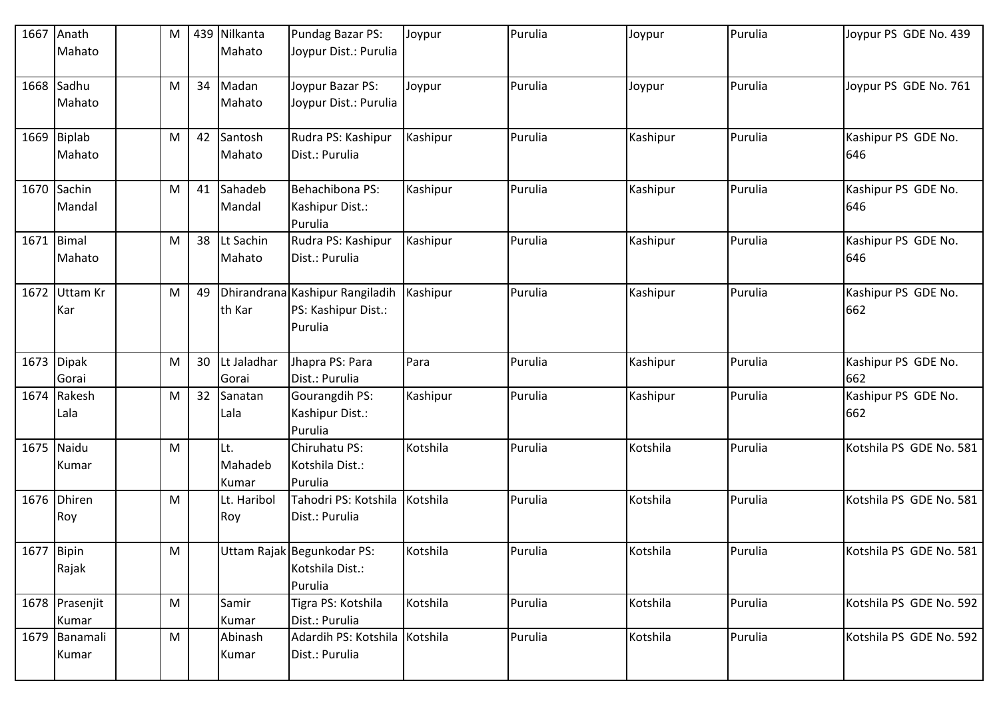| 1667       | Anath<br>Mahato         | M |    | 439 Nilkanta<br>Mahato  | Pundag Bazar PS:<br>Joypur Dist.: Purulia                         | Joypur   | Purulia | Joypur   | Purulia | Joypur PS GDE No. 439      |
|------------|-------------------------|---|----|-------------------------|-------------------------------------------------------------------|----------|---------|----------|---------|----------------------------|
|            | 1668 Sadhu<br>Mahato    | M | 34 | Madan<br>Mahato         | Joypur Bazar PS:<br>Joypur Dist.: Purulia                         | Joypur   | Purulia | Joypur   | Purulia | Joypur PS GDE No. 761      |
|            | 1669 Biplab<br>Mahato   | M | 42 | Santosh<br>Mahato       | Rudra PS: Kashipur<br>Dist.: Purulia                              | Kashipur | Purulia | Kashipur | Purulia | Kashipur PS GDE No.<br>646 |
|            | 1670 Sachin<br>Mandal   | M | 41 | Sahadeb<br>Mandal       | Behachibona PS:<br>Kashipur Dist.:<br>Purulia                     | Kashipur | Purulia | Kashipur | Purulia | Kashipur PS GDE No.<br>646 |
| 1671       | Bimal<br>Mahato         | M | 38 | Lt Sachin<br>Mahato     | Rudra PS: Kashipur<br>Dist.: Purulia                              | Kashipur | Purulia | Kashipur | Purulia | Kashipur PS GDE No.<br>646 |
| 1672       | Uttam Kr<br>Kar         | M | 49 | th Kar                  | Dhirandrana Kashipur Rangiladih<br>PS: Kashipur Dist.:<br>Purulia | Kashipur | Purulia | Kashipur | Purulia | Kashipur PS GDE No.<br>662 |
|            | 1673 Dipak<br>Gorai     | M | 30 | Lt Jaladhar<br>Gorai    | Jhapra PS: Para<br>Dist.: Purulia                                 | Para     | Purulia | Kashipur | Purulia | Kashipur PS GDE No.<br>662 |
| 1674       | Rakesh<br>Lala          | M | 32 | Sanatan<br>Lala         | <b>Gourangdih PS:</b><br>Kashipur Dist.:<br>Purulia               | Kashipur | Purulia | Kashipur | Purulia | Kashipur PS GDE No.<br>662 |
| 1675       | Naidu<br>Kumar          | M |    | Lt.<br>Mahadeb<br>Kumar | Chiruhatu PS:<br>Kotshila Dist.:<br>Purulia                       | Kotshila | Purulia | Kotshila | Purulia | Kotshila PS GDE No. 581    |
|            | 1676 Dhiren<br>Roy      | M |    | Lt. Haribol<br>Roy      | Tahodri PS: Kotshila<br>Dist.: Purulia                            | Kotshila | Purulia | Kotshila | Purulia | Kotshila PS GDE No. 581    |
| 1677 Bipin | Rajak                   | M |    |                         | Uttam Rajak Begunkodar PS:<br>Kotshila Dist.:<br>Purulia          | Kotshila | Purulia | Kotshila | Purulia | Kotshila PS GDE No. 581    |
|            | 1678 Prasenjit<br>Kumar | M |    | Samir<br>Kumar          | Tigra PS: Kotshila<br>Dist.: Purulia                              | Kotshila | Purulia | Kotshila | Purulia | Kotshila PS GDE No. 592    |
|            | 1679 Banamali<br>Kumar  | M |    | Abinash<br>Kumar        | Adardih PS: Kotshila Kotshila<br>Dist.: Purulia                   |          | Purulia | Kotshila | Purulia | Kotshila PS GDE No. 592    |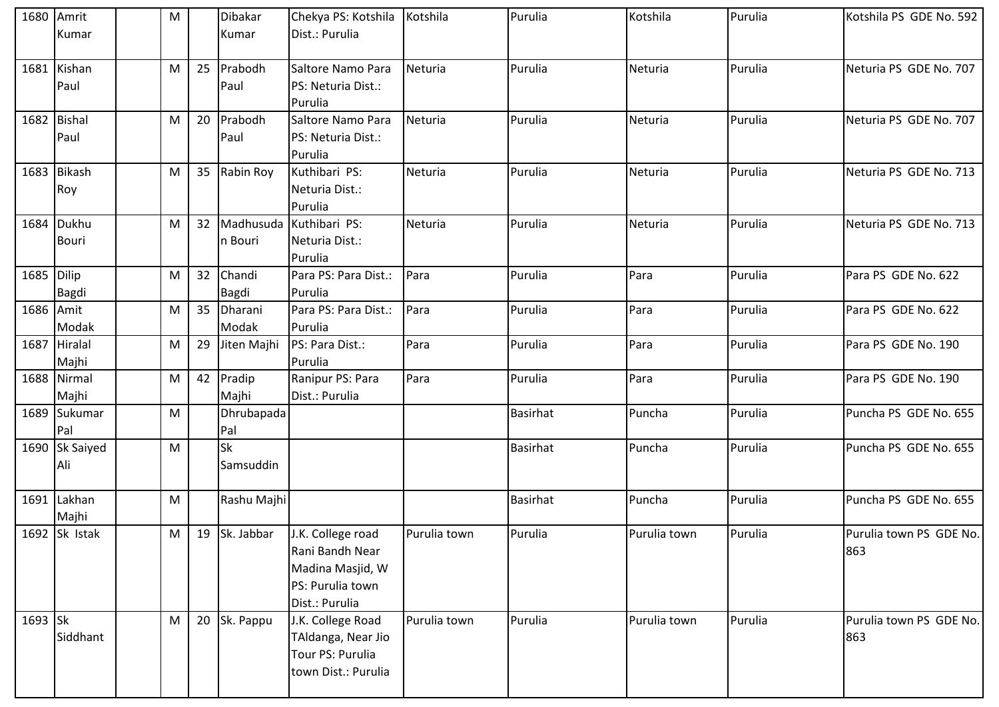|            | 1680 Amrit     | M |    | Dibakar       | Chekya PS: Kotshila     | Kotshila     | Purulia         | Kotshila     | Purulia | Kotshila PS GDE No. 592 |
|------------|----------------|---|----|---------------|-------------------------|--------------|-----------------|--------------|---------|-------------------------|
|            | Kumar          |   |    | Kumar         | Dist.: Purulia          |              |                 |              |         |                         |
|            |                |   |    |               |                         |              |                 |              |         |                         |
| 1681       | Kishan         | M | 25 | Prabodh       | Saltore Namo Para       | Neturia      | Purulia         | Neturia      | Purulia | Neturia PS GDE No. 707  |
|            | Paul           |   |    | Paul          | PS: Neturia Dist.:      |              |                 |              |         |                         |
|            |                |   |    |               | Purulia                 |              |                 |              |         |                         |
|            | 1682 Bishal    | M | 20 | Prabodh       | Saltore Namo Para       | Neturia      | Purulia         | Neturia      | Purulia | Neturia PS GDE No. 707  |
|            | Paul           |   |    | Paul          | PS: Neturia Dist.:      |              |                 |              |         |                         |
|            |                |   |    |               | Purulia                 |              |                 |              |         |                         |
|            | 1683 Bikash    | M |    | 35 Rabin Roy  | Kuthibari PS:           | Neturia      | Purulia         | Neturia      | Purulia | Neturia PS GDE No. 713  |
|            | Roy            |   |    |               | Neturia Dist.:          |              |                 |              |         |                         |
|            |                |   |    |               | Purulia                 |              |                 |              |         |                         |
|            | 1684 Dukhu     | M | 32 |               | Madhusuda Kuthibari PS: | Neturia      | Purulia         | Neturia      | Purulia | Neturia PS GDE No. 713  |
|            | <b>Bouri</b>   |   |    | n Bouri       | Neturia Dist.:          |              |                 |              |         |                         |
|            |                |   |    |               | Purulia                 |              |                 |              |         |                         |
| 1685 Dilip |                | M | 32 | Chandi        | Para PS: Para Dist.:    | Para         | Purulia         | Para         | Purulia | Para PS GDE No. 622     |
|            | Bagdi          |   |    | <b>Bagdi</b>  | Purulia                 |              |                 |              |         |                         |
| 1686 Amit  |                | M | 35 | Dharani       | Para PS: Para Dist.:    | Para         | Purulia         | Para         | Purulia | Para PS GDE No. 622     |
|            | Modak          |   |    | Modak         | Purulia                 |              |                 |              |         |                         |
|            | 1687 Hiralal   | M | 29 | Jiten Majhi   | PS: Para Dist.:         | Para         | Purulia         | Para         | Purulia | Para PS GDE No. 190     |
|            | Majhi          |   |    |               | Purulia                 |              |                 |              |         |                         |
|            | 1688 Nirmal    | M | 42 | Pradip        | Ranipur PS: Para        | Para         | Purulia         | Para         | Purulia | Para PS GDE No. 190     |
|            | Majhi          |   |    | Majhi         | Dist.: Purulia          |              |                 |              |         |                         |
|            | 1689 Sukumar   | M |    | Dhrubapada    |                         |              | <b>Basirhat</b> | Puncha       | Purulia | Puncha PS GDE No. 655   |
|            | Pal            |   |    | Pal           |                         |              |                 |              |         |                         |
|            | 1690 Sk Saiyed | M |    | <b>Sk</b>     |                         |              | <b>Basirhat</b> | Puncha       | Purulia | Puncha PS GDE No. 655   |
|            | Ali            |   |    | Samsuddin     |                         |              |                 |              |         |                         |
|            |                |   |    |               |                         |              |                 |              |         |                         |
|            | 1691 Lakhan    | M |    | Rashu Majhi   |                         |              | <b>Basirhat</b> | Puncha       | Purulia | Puncha PS GDE No. 655   |
|            | Majhi          |   |    |               |                         |              |                 |              |         |                         |
|            | 1692 Sk Istak  | M |    | 19 Sk. Jabbar | J.K. College road       | Purulia town | Purulia         | Purulia town | Purulia | Purulia town PS GDE No. |
|            |                |   |    |               | Rani Bandh Near         |              |                 |              |         | 863                     |
|            |                |   |    |               | Madina Masjid, W        |              |                 |              |         |                         |
|            |                |   |    |               | PS: Purulia town        |              |                 |              |         |                         |
|            |                |   |    |               | Dist.: Purulia          |              |                 |              |         |                         |
| 1693 Sk    |                | M |    | 20 Sk. Pappu  | J.K. College Road       | Purulia town | Purulia         | Purulia town | Purulia | Purulia town PS GDE No. |
|            | Siddhant       |   |    |               | TAldanga, Near Jio      |              |                 |              |         | 863                     |
|            |                |   |    |               | Tour PS: Purulia        |              |                 |              |         |                         |
|            |                |   |    |               | town Dist.: Purulia     |              |                 |              |         |                         |
|            |                |   |    |               |                         |              |                 |              |         |                         |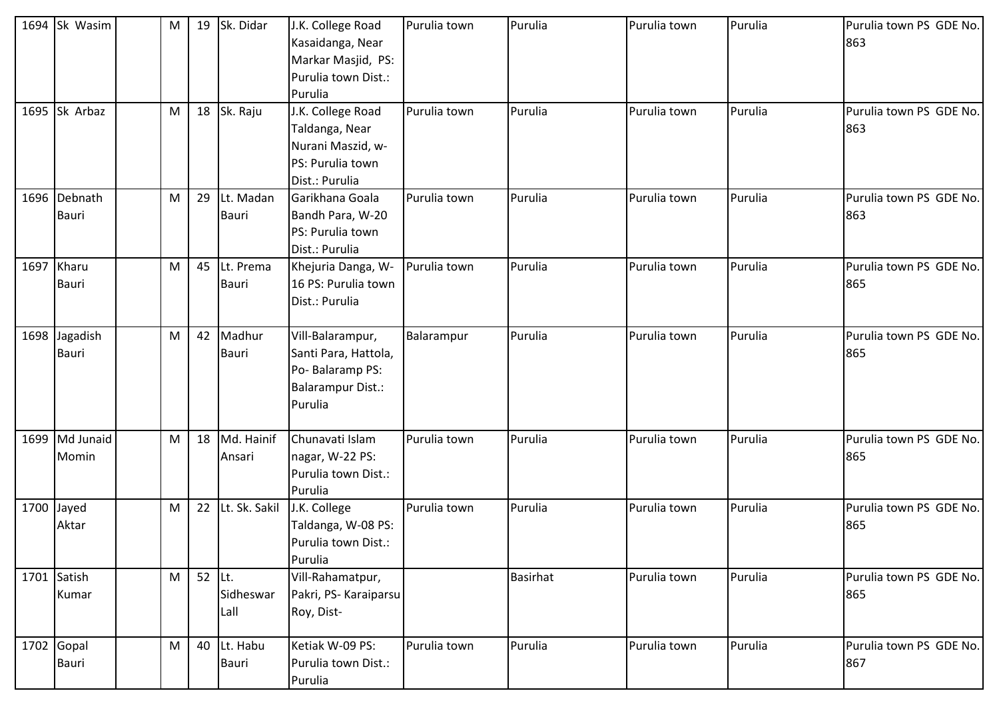| 1694 Sk Wasim                 | M | 19             | Sk. Didar                 | J.K. College Road<br>Kasaidanga, Near<br>Markar Masjid, PS:<br>Purulia town Dist.:<br>Purulia      | Purulia town | Purulia  | Purulia town | Purulia | Purulia town PS GDE No.<br>863 |
|-------------------------------|---|----------------|---------------------------|----------------------------------------------------------------------------------------------------|--------------|----------|--------------|---------|--------------------------------|
| 1695 Sk Arbaz                 | M | 18             | Sk. Raju                  | J.K. College Road<br>Taldanga, Near<br>Nurani Maszid, w-<br>PS: Purulia town<br>Dist.: Purulia     | Purulia town | Purulia  | Purulia town | Purulia | Purulia town PS GDE No.<br>863 |
| 1696 Debnath<br><b>Bauri</b>  | M | 29             | Lt. Madan<br>Bauri        | Garikhana Goala<br>Bandh Para, W-20<br>PS: Purulia town<br>Dist.: Purulia                          | Purulia town | Purulia  | Purulia town | Purulia | Purulia town PS GDE No.<br>863 |
| 1697 Kharu<br><b>Bauri</b>    | M | 45             | Lt. Prema<br><b>Bauri</b> | Khejuria Danga, W-<br>16 PS: Purulia town<br>Dist.: Purulia                                        | Purulia town | Purulia  | Purulia town | Purulia | Purulia town PS GDE No.<br>865 |
| 1698 Jagadish<br><b>Bauri</b> | M | 42             | Madhur<br><b>Bauri</b>    | Vill-Balarampur,<br>Santi Para, Hattola,<br>Po-Balaramp PS:<br><b>Balarampur Dist.:</b><br>Purulia | Balarampur   | Purulia  | Purulia town | Purulia | Purulia town PS GDE No.<br>865 |
| 1699 Md Junaid<br>Momin       | M | 18             | Md. Hainif<br>Ansari      | Chunavati Islam<br>nagar, W-22 PS:<br>Purulia town Dist.:<br>Purulia                               | Purulia town | Purulia  | Purulia town | Purulia | Purulia town PS GDE No.<br>865 |
| 1700 Jayed<br>Aktar           | M | 22             | Lt. Sk. Sakil             | J.K. College<br>Taldanga, W-08 PS:<br>Purulia town Dist.:<br>Purulia                               | Purulia town | Purulia  | Purulia town | Purulia | Purulia town PS GDE No.<br>865 |
| 1701 Satish<br>Kumar          | M | 52 $\vert$ Lt. | Sidheswar<br>Lall         | Vill-Rahamatpur,<br>Pakri, PS- Karaiparsu<br>Roy, Dist-                                            |              | Basirhat | Purulia town | Purulia | Purulia town PS GDE No.<br>865 |
| 1702 Gopal<br><b>Bauri</b>    | M | 40             | Lt. Habu<br><b>Bauri</b>  | Ketiak W-09 PS:<br>Purulia town Dist.:<br>Purulia                                                  | Purulia town | Purulia  | Purulia town | Purulia | Purulia town PS GDE No.<br>867 |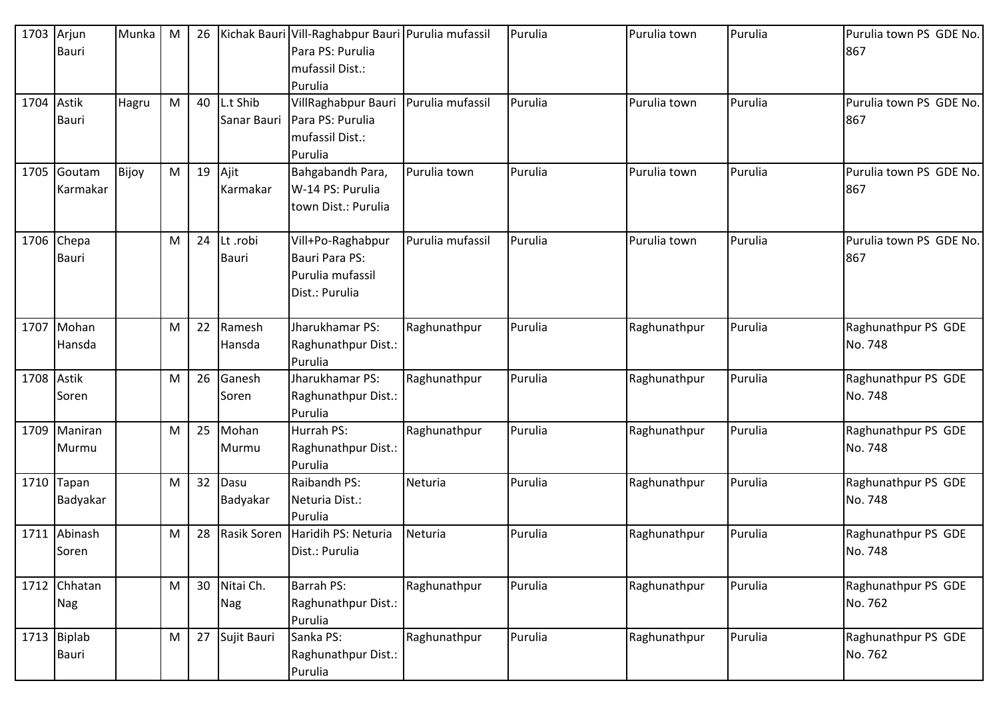| 1703 Arjun | <b>Bauri</b>                | Munka | M         | 26 |                          | Kichak Bauri Vill-Raghabpur Bauri Purulia mufassil<br>Para PS: Purulia<br>mufassil Dist.:<br>Purulia |                  | Purulia | Purulia town | Purulia | Purulia town PS GDE No.<br>867 |
|------------|-----------------------------|-------|-----------|----|--------------------------|------------------------------------------------------------------------------------------------------|------------------|---------|--------------|---------|--------------------------------|
| 1704 Astik | <b>Bauri</b>                | Hagru | M         | 40 | L.t Shib<br>Sanar Bauri  | VillRaghabpur Bauri<br>Para PS: Purulia<br>mufassil Dist.:<br>Purulia                                | Purulia mufassil | Purulia | Purulia town | Purulia | Purulia town PS GDE No.<br>867 |
|            | 1705 Goutam<br>Karmakar     | Bijoy | M         | 19 | Ajit<br>Karmakar         | Bahgabandh Para,<br>W-14 PS: Purulia<br>town Dist.: Purulia                                          | Purulia town     | Purulia | Purulia town | Purulia | Purulia town PS GDE No.<br>867 |
| 1706       | Chepa<br><b>Bauri</b>       |       | M         | 24 | Lt .robi<br><b>Bauri</b> | Vill+Po-Raghabpur<br>Bauri Para PS:<br>Purulia mufassil<br>Dist.: Purulia                            | Purulia mufassil | Purulia | Purulia town | Purulia | Purulia town PS GDE No.<br>867 |
| 1707       | Mohan<br>Hansda             |       | M         | 22 | Ramesh<br>Hansda         | Jharukhamar PS:<br>Raghunathpur Dist.:<br>Purulia                                                    | Raghunathpur     | Purulia | Raghunathpur | Purulia | Raghunathpur PS GDE<br>No. 748 |
| 1708 Astik | Soren                       |       | M         | 26 | Ganesh<br>Soren          | Jharukhamar PS:<br>Raghunathpur Dist.:<br>Purulia                                                    | Raghunathpur     | Purulia | Raghunathpur | Purulia | Raghunathpur PS GDE<br>No. 748 |
|            | 1709 Maniran<br>Murmu       |       | M         | 25 | Mohan<br>Murmu           | Hurrah PS:<br>Raghunathpur Dist.:<br>Purulia                                                         | Raghunathpur     | Purulia | Raghunathpur | Purulia | Raghunathpur PS GDE<br>No. 748 |
|            | 1710 Tapan<br>Badyakar      |       | M         | 32 | Dasu<br>Badyakar         | Raibandh PS:<br>Neturia Dist.:<br>Purulia                                                            | Neturia          | Purulia | Raghunathpur | Purulia | Raghunathpur PS GDE<br>No. 748 |
|            | 1711 Abinash<br>Soren       |       | M         | 28 | <b>Rasik Soren</b>       | Haridih PS: Neturia<br>Dist.: Purulia                                                                | Neturia          | Purulia | Raghunathpur | Purulia | Raghunathpur PS GDE<br>No. 748 |
|            | 1712 Chhatan<br><b>Nag</b>  |       | ${\sf M}$ | 30 | Nitai Ch.<br>Nag         | <b>Barrah PS:</b><br>Raghunathpur Dist.:<br>Purulia                                                  | Raghunathpur     | Purulia | Raghunathpur | Purulia | Raghunathpur PS GDE<br>No. 762 |
|            | 1713 Biplab<br><b>Bauri</b> |       | M         | 27 | Sujit Bauri              | Sanka PS:<br>Raghunathpur Dist.:<br>Purulia                                                          | Raghunathpur     | Purulia | Raghunathpur | Purulia | Raghunathpur PS GDE<br>No. 762 |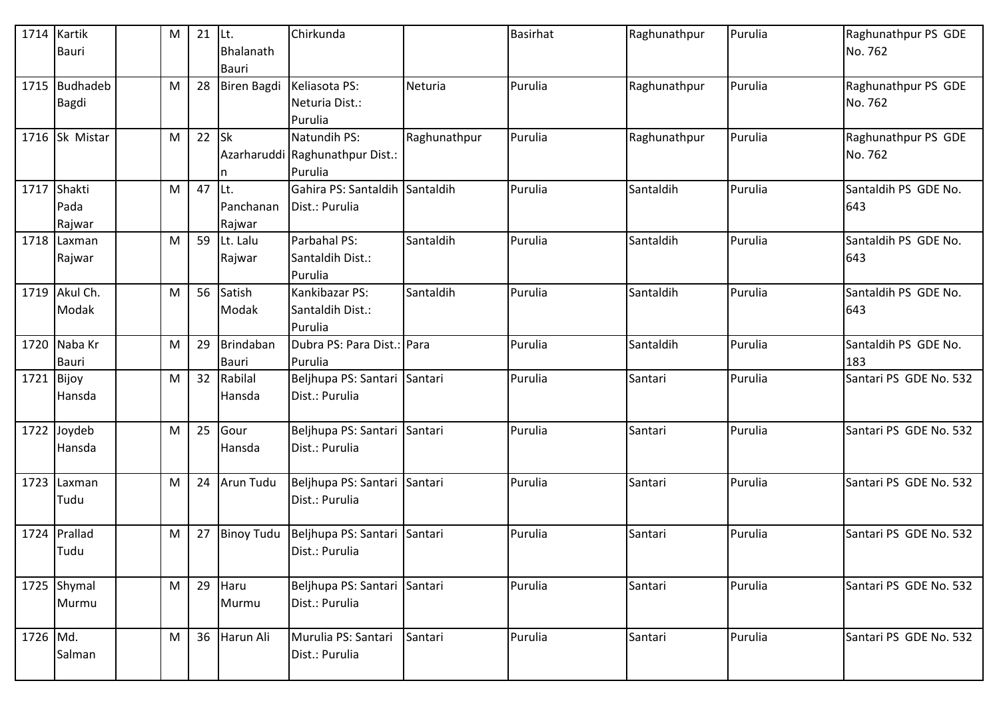| 1714 Kartik | <b>Bauri</b>                  | M | 21 | Lt.<br>Bhalanath<br>Bauri  | Chirkunda                                                  |              | <b>Basirhat</b> | Raghunathpur | Purulia | Raghunathpur PS GDE<br>No. 762 |
|-------------|-------------------------------|---|----|----------------------------|------------------------------------------------------------|--------------|-----------------|--------------|---------|--------------------------------|
|             | 1715 Budhadeb<br><b>Bagdi</b> | M | 28 | <b>Biren Bagdi</b>         | Keliasota PS:<br>Neturia Dist.:<br>Purulia                 | Neturia      | Purulia         | Raghunathpur | Purulia | Raghunathpur PS GDE<br>No. 762 |
|             | 1716 Sk Mistar                | M | 22 | $\mathsf{lsk}$<br>n        | Natundih PS:<br>Azarharuddi Raghunathpur Dist.:<br>Purulia | Raghunathpur | Purulia         | Raghunathpur | Purulia | Raghunathpur PS GDE<br>No. 762 |
| 1717        | Shakti<br>Pada<br>Rajwar      | M | 47 | Lt.<br>Panchanan<br>Rajwar | Gahira PS: Santaldih Santaldih<br>Dist.: Purulia           |              | Purulia         | Santaldih    | Purulia | Santaldih PS GDE No.<br>643    |
|             | 1718 Laxman<br>Rajwar         | M | 59 | Lt. Lalu<br>Rajwar         | Parbahal PS:<br>Santaldih Dist.:<br>Purulia                | Santaldih    | Purulia         | Santaldih    | Purulia | Santaldih PS GDE No.<br>643    |
|             | 1719 Akul Ch.<br>Modak        | M | 56 | Satish<br>Modak            | Kankibazar PS:<br>Santaldih Dist.:<br>Purulia              | Santaldih    | Purulia         | Santaldih    | Purulia | Santaldih PS GDE No.<br>643    |
|             | 1720 Naba Kr<br><b>Bauri</b>  | M | 29 | Brindaban<br>Bauri         | Dubra PS: Para Dist.: Para<br>Purulia                      |              | Purulia         | Santaldih    | Purulia | Santaldih PS GDE No.<br>183    |
| 1721 Bijoy  | Hansda                        | М | 32 | Rabilal<br>Hansda          | Beljhupa PS: Santari Santari<br>Dist.: Purulia             |              | Purulia         | Santari      | Purulia | Santari PS GDE No. 532         |
|             | 1722 Joydeb<br>Hansda         | M | 25 | Gour<br>Hansda             | Beljhupa PS: Santari Santari<br>Dist.: Purulia             |              | Purulia         | Santari      | Purulia | Santari PS GDE No. 532         |
| 1723        | Laxman<br>Tudu                | M | 24 | <b>Arun Tudu</b>           | Beljhupa PS: Santari Santari<br>Dist.: Purulia             |              | Purulia         | Santari      | Purulia | Santari PS GDE No. 532         |
|             | 1724 Prallad<br>Tudu          | M | 27 | <b>Binoy Tudu</b>          | Beljhupa PS: Santari Santari<br>Dist.: Purulia             |              | Purulia         | Santari      | Purulia | Santari PS GDE No. 532         |
|             | 1725 Shymal<br>Murmu          | M | 29 | Haru<br>Murmu              | Beljhupa PS: Santari Santari<br>Dist.: Purulia             |              | Purulia         | Santari      | Purulia | Santari PS GDE No. 532         |
| 1726 Md.    | Salman                        | M | 36 | Harun Ali                  | Murulia PS: Santari<br>Dist.: Purulia                      | Santari      | Purulia         | Santari      | Purulia | Santari PS GDE No. 532         |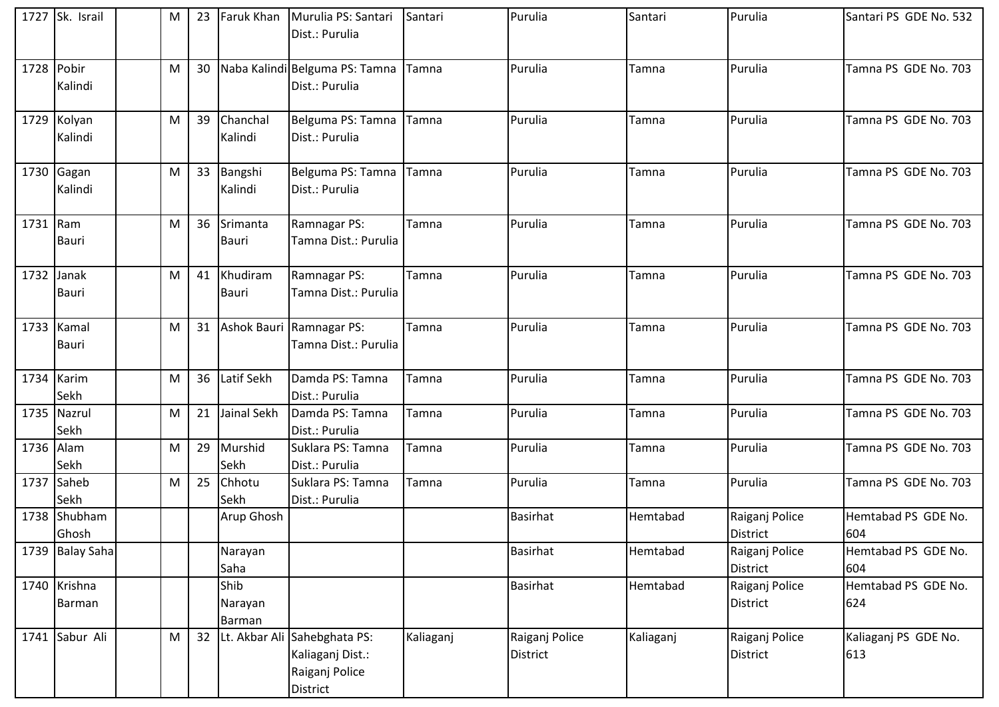|            | 1727 Sk. Israil            | M         | 23 | Faruk Khan                | Murulia PS: Santari<br>Dist.: Purulia                                          | Santari   | Purulia                           | Santari   | Purulia                           | Santari PS GDE No. 532      |
|------------|----------------------------|-----------|----|---------------------------|--------------------------------------------------------------------------------|-----------|-----------------------------------|-----------|-----------------------------------|-----------------------------|
|            |                            |           |    |                           |                                                                                |           |                                   |           |                                   |                             |
| 1728 Pobir | Kalindi                    | M         | 30 |                           | Naba Kalindi Belguma PS: Tamna<br>Dist.: Purulia                               | Tamna     | Purulia                           | Tamna     | Purulia                           | Tamna PS GDE No. 703        |
|            | 1729 Kolyan<br>Kalindi     | M         | 39 | Chanchal<br>Kalindi       | Belguma PS: Tamna<br>Dist.: Purulia                                            | Tamna     | Purulia                           | Tamna     | Purulia                           | Tamna PS GDE No. 703        |
|            | 1730 Gagan<br>Kalindi      | ${\sf M}$ | 33 | Bangshi<br>Kalindi        | Belguma PS: Tamna<br>Dist.: Purulia                                            | Tamna     | Purulia                           | Tamna     | Purulia                           | Tamna PS GDE No. 703        |
| 1731 Ram   | <b>Bauri</b>               | M         | 36 | Srimanta<br><b>Bauri</b>  | Ramnagar PS:<br>Tamna Dist.: Purulia                                           | Tamna     | Purulia                           | Tamna     | Purulia                           | Tamna PS GDE No. 703        |
| 1732       | Janak<br><b>Bauri</b>      | M         | 41 | Khudiram<br>Bauri         | Ramnagar PS:<br>Tamna Dist.: Purulia                                           | Tamna     | Purulia                           | Tamna     | Purulia                           | Tamna PS GDE No. 703        |
|            | 1733 Kamal<br><b>Bauri</b> | M         | 31 |                           | Ashok Bauri Ramnagar PS:<br>Tamna Dist.: Purulia                               | Tamna     | Purulia                           | Tamna     | Purulia                           | Tamna PS GDE No. 703        |
|            | 1734 Karim<br>Sekh         | M         | 36 | Latif Sekh                | Damda PS: Tamna<br>Dist.: Purulia                                              | Tamna     | Purulia                           | Tamna     | Purulia                           | Tamna PS GDE No. 703        |
|            | 1735 Nazrul<br>Sekh        | M         | 21 | Jainal Sekh               | Damda PS: Tamna<br>Dist.: Purulia                                              | Tamna     | Purulia                           | Tamna     | Purulia                           | Tamna PS GDE No. 703        |
| 1736 Alam  | Sekh                       | M         | 29 | Murshid<br>Sekh           | Suklara PS: Tamna<br>Dist.: Purulia                                            | Tamna     | Purulia                           | Tamna     | Purulia                           | Tamna PS GDE No. 703        |
| 1737       | Saheb<br>Sekh              | M         | 25 | Chhotu<br>Sekh            | Suklara PS: Tamna<br>Dist.: Purulia                                            | Tamna     | Purulia                           | Tamna     | Purulia                           | Tamna PS GDE No. 703        |
|            | 1738 Shubham<br>Ghosh      |           |    | Arup Ghosh                |                                                                                |           | <b>Basirhat</b>                   | Hemtabad  | Raiganj Police<br><b>District</b> | Hemtabad PS GDE No.<br>604  |
|            | 1739 Balay Saha            |           |    | Narayan<br>Saha           |                                                                                |           | <b>Basirhat</b>                   | Hemtabad  | Raiganj Police<br>District        | Hemtabad PS GDE No.<br>604  |
|            | 1740 Krishna<br>Barman     |           |    | Shib<br>Narayan<br>Barman |                                                                                |           | <b>Basirhat</b>                   | Hemtabad  | Raiganj Police<br><b>District</b> | Hemtabad PS GDE No.<br>624  |
|            | 1741 Sabur Ali             | ${\sf M}$ | 32 |                           | Lt. Akbar Ali Sahebghata PS:<br>Kaliaganj Dist.:<br>Raiganj Police<br>District | Kaliaganj | Raiganj Police<br><b>District</b> | Kaliaganj | Raiganj Police<br><b>District</b> | Kaliaganj PS GDE No.<br>613 |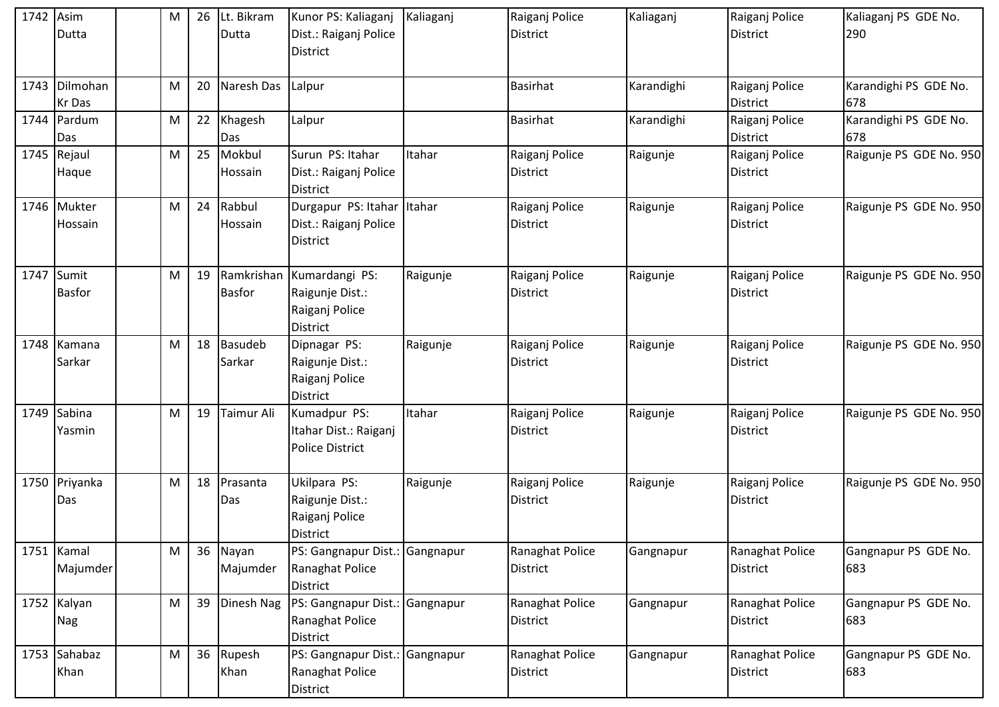| 1742 Asim | Dutta                       | M | 26 | Lt. Bikram<br>Dutta         | Kunor PS: Kaliaganj<br>Dist.: Raiganj Police<br><b>District</b>        | Kaliaganj | Raiganj Police<br><b>District</b> | Kaliaganj  | Raiganj Police<br><b>District</b>  | Kaliaganj PS GDE No.<br>290  |
|-----------|-----------------------------|---|----|-----------------------------|------------------------------------------------------------------------|-----------|-----------------------------------|------------|------------------------------------|------------------------------|
|           | 1743 Dilmohan<br>Kr Das     | M | 20 | Naresh Das                  | Lalpur                                                                 |           | Basirhat                          | Karandighi | Raiganj Police<br><b>District</b>  | Karandighi PS GDE No.<br>678 |
|           | 1744 Pardum<br>Das          | M | 22 | Khagesh<br>Das              | Lalpur                                                                 |           | <b>Basirhat</b>                   | Karandighi | Raiganj Police<br><b>District</b>  | Karandighi PS GDE No.<br>678 |
|           | 1745 Rejaul<br>Haque        | M | 25 | Mokbul<br>Hossain           | Surun PS: Itahar<br>Dist.: Raiganj Police<br><b>District</b>           | Itahar    | Raiganj Police<br><b>District</b> | Raigunje   | Raiganj Police<br><b>District</b>  | Raigunje PS GDE No. 950      |
|           | 1746 Mukter<br>Hossain      | M | 24 | Rabbul<br>Hossain           | Durgapur PS: Itahar Itahar<br>Dist.: Raiganj Police<br><b>District</b> |           | Raiganj Police<br>District        | Raigunje   | Raiganj Police<br><b>District</b>  | Raigunje PS GDE No. 950      |
|           | 1747 Sumit<br><b>Basfor</b> | M | 19 | Ramkrishan<br><b>Basfor</b> | Kumardangi PS:<br>Raigunje Dist.:<br>Raiganj Police<br><b>District</b> | Raigunje  | Raiganj Police<br><b>District</b> | Raigunje   | Raiganj Police<br><b>District</b>  | Raigunje PS GDE No. 950      |
|           | 1748 Kamana<br>Sarkar       | M | 18 | Basudeb<br>Sarkar           | Dipnagar PS:<br>Raigunje Dist.:<br>Raiganj Police<br><b>District</b>   | Raigunje  | Raiganj Police<br><b>District</b> | Raigunje   | Raiganj Police<br><b>District</b>  | Raigunje PS GDE No. 950      |
|           | 1749 Sabina<br>Yasmin       | M | 19 | Taimur Ali                  | Kumadpur PS:<br>Itahar Dist.: Raiganj<br><b>Police District</b>        | Itahar    | Raiganj Police<br>District        | Raigunje   | Raiganj Police<br><b>District</b>  | Raigunje PS GDE No. 950      |
|           | 1750 Priyanka<br>Das        | M | 18 | Prasanta<br>Das             | Ukilpara PS:<br>Raigunje Dist.:<br>Raiganj Police<br><b>District</b>   | Raigunje  | Raiganj Police<br><b>District</b> | Raigunje   | Raiganj Police<br><b>District</b>  | Raigunje PS GDE No. 950      |
|           | 1751 Kamal<br>Majumder      | M | 36 | Nayan<br>Majumder           | PS: Gangnapur Dist.: Gangnapur<br>Ranaghat Police<br><b>District</b>   |           | Ranaghat Police<br>District       | Gangnapur  | Ranaghat Police<br><b>District</b> | Gangnapur PS GDE No.<br>683  |
|           | 1752 Kalyan<br>Nag          | M | 39 | Dinesh Nag                  | PS: Gangnapur Dist.: Gangnapur<br>Ranaghat Police<br><b>District</b>   |           | Ranaghat Police<br>District       | Gangnapur  | Ranaghat Police<br><b>District</b> | Gangnapur PS GDE No.<br>683  |
|           | 1753 Sahabaz<br>Khan        | M | 36 | Rupesh<br>Khan              | PS: Gangnapur Dist.: Gangnapur<br>Ranaghat Police<br>District          |           | Ranaghat Police<br>District       | Gangnapur  | Ranaghat Police<br><b>District</b> | Gangnapur PS GDE No.<br>683  |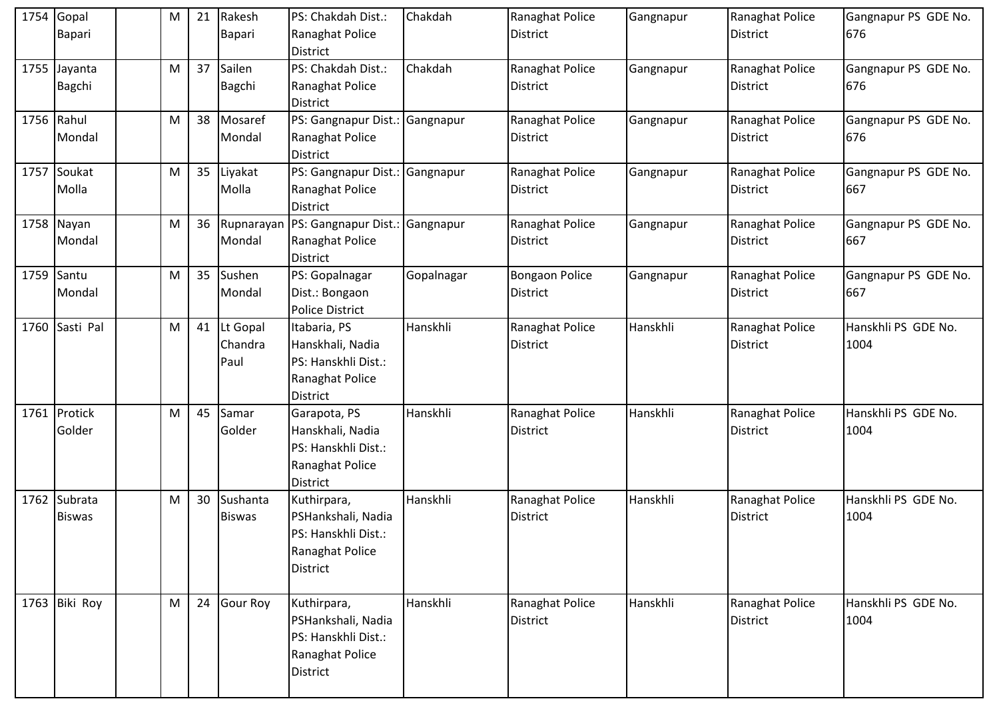| 1754 | Gopal<br><b>Bapari</b>        | M | 21 | Rakesh<br>Bapari            | PS: Chakdah Dist.:<br>Ranaghat Police<br><b>District</b>                                       | Chakdah    | Ranaghat Police<br><b>District</b>       | Gangnapur | Ranaghat Police<br><b>District</b> | Gangnapur PS GDE No.<br>676 |
|------|-------------------------------|---|----|-----------------------------|------------------------------------------------------------------------------------------------|------------|------------------------------------------|-----------|------------------------------------|-----------------------------|
| 1755 | Jayanta<br>Bagchi             | M | 37 | Sailen<br><b>Bagchi</b>     | PS: Chakdah Dist.:<br>Ranaghat Police<br><b>District</b>                                       | Chakdah    | Ranaghat Police<br><b>District</b>       | Gangnapur | Ranaghat Police<br><b>District</b> | Gangnapur PS GDE No.<br>676 |
|      | 1756 Rahul<br>Mondal          | M | 38 | Mosaref<br>Mondal           | PS: Gangnapur Dist.: Gangnapur<br>Ranaghat Police<br><b>District</b>                           |            | Ranaghat Police<br><b>District</b>       | Gangnapur | Ranaghat Police<br>District        | Gangnapur PS GDE No.<br>676 |
|      | 1757 Soukat<br>Molla          | M | 35 | Liyakat<br>Molla            | PS: Gangnapur Dist.: Gangnapur<br>Ranaghat Police<br><b>District</b>                           |            | Ranaghat Police<br><b>District</b>       | Gangnapur | Ranaghat Police<br><b>District</b> | Gangnapur PS GDE No.<br>667 |
|      | 1758 Nayan<br>Mondal          | M | 36 | Mondal                      | Rupnarayan   PS: Gangnapur Dist.:   Gangnapur<br>Ranaghat Police<br>District                   |            | Ranaghat Police<br><b>District</b>       | Gangnapur | Ranaghat Police<br>District        | Gangnapur PS GDE No.<br>667 |
|      | 1759 Santu<br>Mondal          | M | 35 | Sushen<br>Mondal            | PS: Gopalnagar<br>Dist.: Bongaon<br><b>Police District</b>                                     | Gopalnagar | <b>Bongaon Police</b><br><b>District</b> | Gangnapur | Ranaghat Police<br><b>District</b> | Gangnapur PS GDE No.<br>667 |
|      | 1760 Sasti Pal                | M | 41 | Lt Gopal<br>Chandra<br>Paul | Itabaria, PS<br>Hanskhali, Nadia<br>PS: Hanskhli Dist.:<br>Ranaghat Police<br><b>District</b>  | Hanskhli   | Ranaghat Police<br><b>District</b>       | Hanskhli  | Ranaghat Police<br>District        | Hanskhli PS GDE No.<br>1004 |
|      | 1761 Protick<br>Golder        | M | 45 | Samar<br>Golder             | Garapota, PS<br>Hanskhali, Nadia<br>PS: Hanskhli Dist.:<br>Ranaghat Police<br><b>District</b>  | Hanskhli   | Ranaghat Police<br><b>District</b>       | Hanskhli  | Ranaghat Police<br><b>District</b> | Hanskhli PS GDE No.<br>1004 |
|      | 1762 Subrata<br><b>Biswas</b> | M | 30 | Sushanta<br><b>Biswas</b>   | Kuthirpara,<br>PSHankshali, Nadia<br>PS: Hanskhli Dist.:<br>Ranaghat Police<br><b>District</b> | Hanskhli   | Ranaghat Police<br><b>District</b>       | Hanskhli  | Ranaghat Police<br>District        | Hanskhli PS GDE No.<br>1004 |
|      | 1763 Biki Roy                 | M | 24 | <b>Gour Roy</b>             | Kuthirpara,<br>PSHankshali, Nadia<br>PS: Hanskhli Dist.:<br>Ranaghat Police<br><b>District</b> | Hanskhli   | Ranaghat Police<br><b>District</b>       | Hanskhli  | Ranaghat Police<br>District        | Hanskhli PS GDE No.<br>1004 |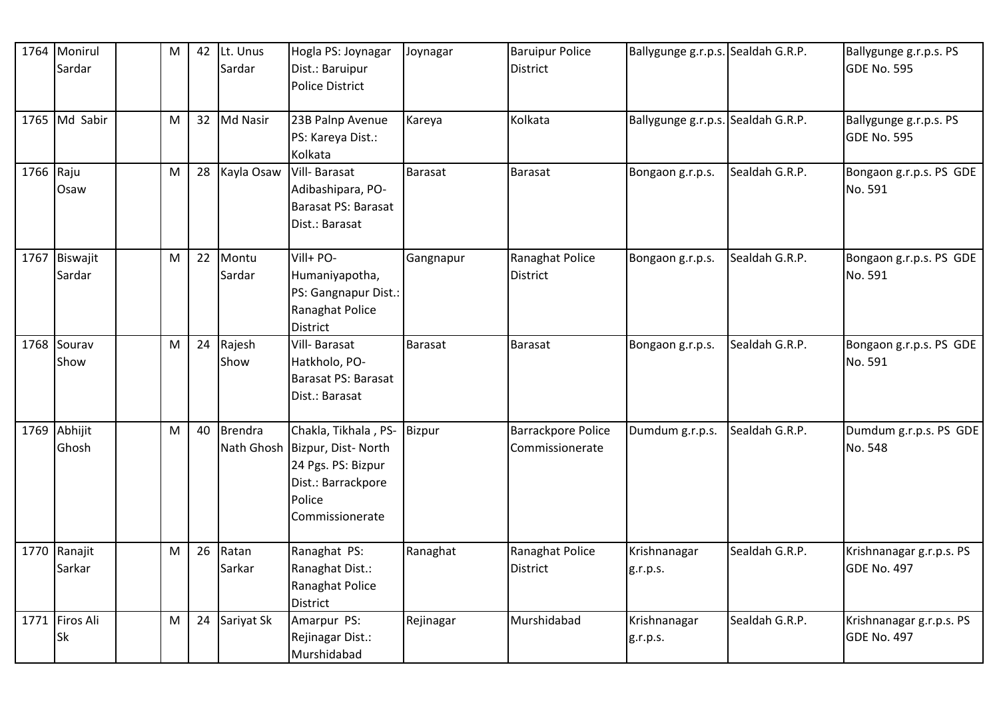|           | 1764 Monirul<br>Sardar  | M | 42 | Lt. Unus<br>Sardar | Hogla PS: Joynagar<br>Dist.: Baruipur<br><b>Police District</b>                                                                        | Joynagar       | <b>Baruipur Police</b><br><b>District</b>    | Ballygunge g.r.p.s. Sealdah G.R.P. |                | Ballygunge g.r.p.s. PS<br><b>GDE No. 595</b>   |
|-----------|-------------------------|---|----|--------------------|----------------------------------------------------------------------------------------------------------------------------------------|----------------|----------------------------------------------|------------------------------------|----------------|------------------------------------------------|
|           | 1765 Md Sabir           | M | 32 | Md Nasir           | 23B Palnp Avenue<br>PS: Kareya Dist.:<br>Kolkata                                                                                       | Kareya         | Kolkata                                      | Ballygunge g.r.p.s. Sealdah G.R.P. |                | Ballygunge g.r.p.s. PS<br><b>GDE No. 595</b>   |
| 1766 Raju | Osaw                    | M | 28 | Kayla Osaw         | Vill-Barasat<br>Adibashipara, PO-<br>Barasat PS: Barasat<br>Dist.: Barasat                                                             | <b>Barasat</b> | <b>Barasat</b>                               | Bongaon g.r.p.s.                   | Sealdah G.R.P. | Bongaon g.r.p.s. PS GDE<br>No. 591             |
|           | 1767 Biswajit<br>Sardar | M | 22 | Montu<br>Sardar    | Vill+ PO-<br>Humaniyapotha,<br>PS: Gangnapur Dist.:<br>Ranaghat Police<br>District                                                     | Gangnapur      | Ranaghat Police<br><b>District</b>           | Bongaon g.r.p.s.                   | Sealdah G.R.P. | Bongaon g.r.p.s. PS GDE<br>No. 591             |
|           | 1768 Sourav<br>Show     | M | 24 | Rajesh<br>Show     | Vill- Barasat<br>Hatkholo, PO-<br>Barasat PS: Barasat<br>Dist.: Barasat                                                                | Barasat        | <b>Barasat</b>                               | Bongaon g.r.p.s.                   | Sealdah G.R.P. | Bongaon g.r.p.s. PS GDE<br>No. 591             |
|           | 1769 Abhijit<br>Ghosh   | M | 40 | <b>Brendra</b>     | Chakla, Tikhala, PS- Bizpur<br>Nath Ghosh Bizpur, Dist- North<br>24 Pgs. PS: Bizpur<br>Dist.: Barrackpore<br>Police<br>Commissionerate |                | <b>Barrackpore Police</b><br>Commissionerate | Dumdum g.r.p.s.                    | Sealdah G.R.P. | Dumdum g.r.p.s. PS GDE<br>No. 548              |
|           | 1770 Ranajit<br>Sarkar  | M | 26 | Ratan<br>Sarkar    | Ranaghat PS:<br>Ranaghat Dist.:<br>Ranaghat Police<br><b>District</b>                                                                  | Ranaghat       | Ranaghat Police<br><b>District</b>           | Krishnanagar<br>g.r.p.s.           | Sealdah G.R.P. | Krishnanagar g.r.p.s. PS<br>GDE No. 497        |
|           | 1771 Firos Ali<br>Sk    | M | 24 | Sariyat Sk         | Amarpur PS:<br>Rejinagar Dist.:<br>Murshidabad                                                                                         | Rejinagar      | Murshidabad                                  | Krishnanagar<br>g.r.p.s.           | Sealdah G.R.P. | Krishnanagar g.r.p.s. PS<br><b>GDE No. 497</b> |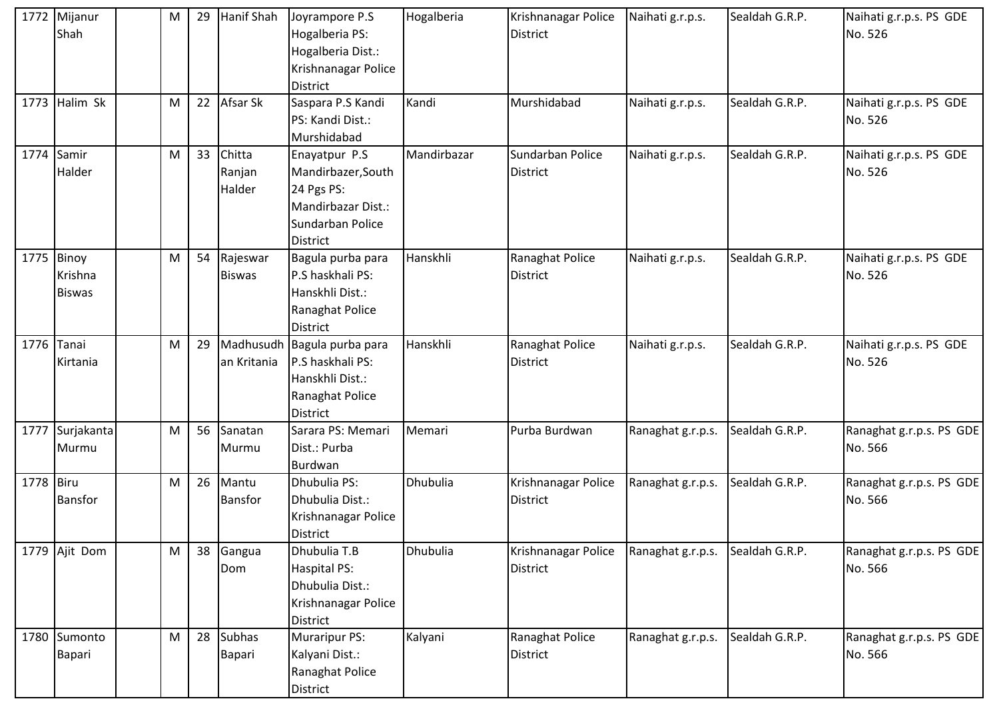|           | 1772 Mijanur<br>Shah                   | M         | 29 | Hanif Shah                     | Joyrampore P.S<br>Hogalberia PS:<br>Hogalberia Dist.:<br>Krishnanagar Police<br><b>District</b>         | Hogalberia  | Krishnanagar Police<br><b>District</b> | Naihati g.r.p.s.  | Sealdah G.R.P. | Naihati g.r.p.s. PS GDE<br>No. 526  |
|-----------|----------------------------------------|-----------|----|--------------------------------|---------------------------------------------------------------------------------------------------------|-------------|----------------------------------------|-------------------|----------------|-------------------------------------|
|           | 1773 Halim Sk                          | ${\sf M}$ | 22 | Afsar Sk                       | Saspara P.S Kandi<br>PS: Kandi Dist.:<br>Murshidabad                                                    | Kandi       | Murshidabad                            | Naihati g.r.p.s.  | Sealdah G.R.P. | Naihati g.r.p.s. PS GDE<br>No. 526  |
| 1774      | Samir<br>Halder                        | M         | 33 | Chitta<br>Ranjan<br>Halder     | Enayatpur P.S<br>Mandirbazer, South<br>24 Pgs PS:<br>Mandirbazar Dist.:<br>Sundarban Police<br>District | Mandirbazar | Sundarban Police<br><b>District</b>    | Naihati g.r.p.s.  | Sealdah G.R.P. | Naihati g.r.p.s. PS GDE<br>No. 526  |
|           | 1775 Binoy<br>Krishna<br><b>Biswas</b> | ${\sf M}$ | 54 | Rajeswar<br><b>Biswas</b>      | Bagula purba para<br>P.S haskhali PS:<br>Hanskhli Dist.:<br>Ranaghat Police<br>District                 | Hanskhli    | Ranaghat Police<br><b>District</b>     | Naihati g.r.p.s.  | Sealdah G.R.P. | Naihati g.r.p.s. PS GDE<br>No. 526  |
|           | 1776 Tanai<br>Kirtania                 | M         | 29 | Madhusudh<br>an Kritania       | Bagula purba para<br>P.S haskhali PS:<br>Hanskhli Dist.:<br>Ranaghat Police<br>District                 | Hanskhli    | Ranaghat Police<br><b>District</b>     | Naihati g.r.p.s.  | Sealdah G.R.P. | Naihati g.r.p.s. PS GDE<br>No. 526  |
|           | 1777 Surjakanta<br>Murmu               | ${\sf M}$ | 56 | Sanatan<br>Murmu               | Sarara PS: Memari<br>Dist.: Purba<br>Burdwan                                                            | Memari      | Purba Burdwan                          | Ranaghat g.r.p.s. | Sealdah G.R.P. | Ranaghat g.r.p.s. PS GDE<br>No. 566 |
| 1778 Biru | Bansfor                                | M         | 26 | Mantu<br><b>Bansfor</b>        | Dhubulia PS:<br>Dhubulia Dist.:<br>Krishnanagar Police<br><b>District</b>                               | Dhubulia    | Krishnanagar Police<br><b>District</b> | Ranaghat g.r.p.s. | Sealdah G.R.P. | Ranaghat g.r.p.s. PS GDE<br>No. 566 |
|           | 1779 Ajit Dom                          | M         | 38 | Gangua<br>Dom                  | Dhubulia T.B<br>Haspital PS:<br>Dhubulia Dist.:<br>Krishnanagar Police<br><b>District</b>               | Dhubulia    | Krishnanagar Police<br><b>District</b> | Ranaghat g.r.p.s. | Sealdah G.R.P. | Ranaghat g.r.p.s. PS GDE<br>No. 566 |
|           | 1780 Sumonto<br>Bapari                 | ${\sf M}$ | 28 | <b>Subhas</b><br><b>Bapari</b> | <b>Muraripur PS:</b><br>Kalyani Dist.:<br>Ranaghat Police<br>District                                   | Kalyani     | Ranaghat Police<br><b>District</b>     | Ranaghat g.r.p.s. | Sealdah G.R.P. | Ranaghat g.r.p.s. PS GDE<br>No. 566 |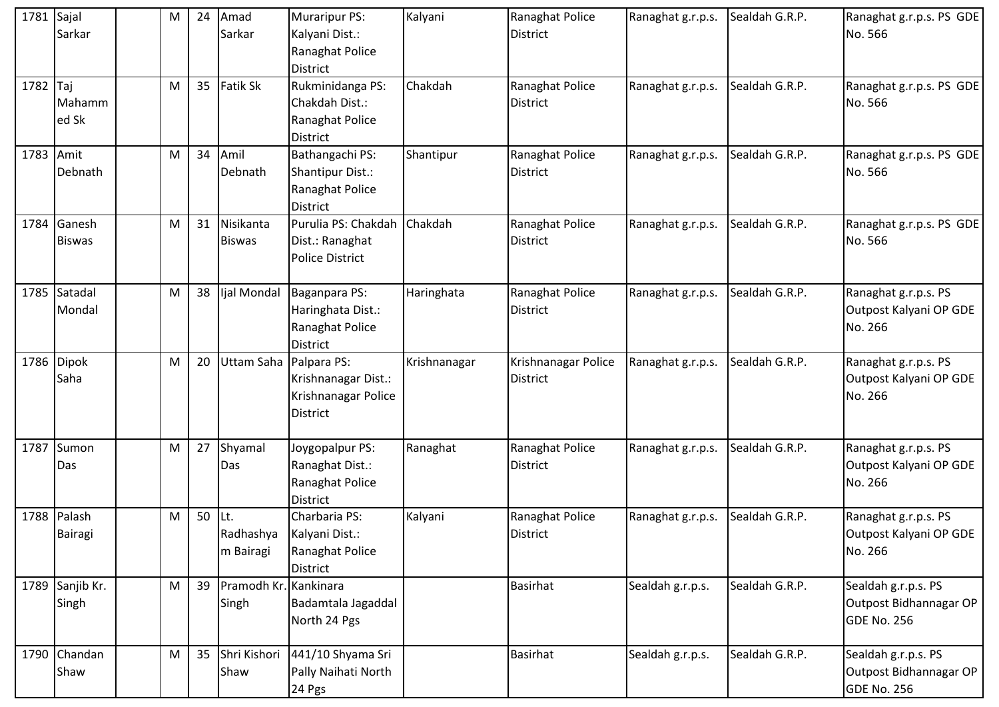| 1781 Sajal | Sarkar                   | M | 24 | Amad<br>Sarkar                 | <b>Muraripur PS:</b><br>Kalyani Dist.:<br>Ranaghat Police<br><b>District</b> | Kalyani      | Ranaghat Police<br><b>District</b>     | Ranaghat g.r.p.s. | Sealdah G.R.P. | Ranaghat g.r.p.s. PS GDE<br>No. 566                          |
|------------|--------------------------|---|----|--------------------------------|------------------------------------------------------------------------------|--------------|----------------------------------------|-------------------|----------------|--------------------------------------------------------------|
| 1782 Taj   | Mahamm<br>ed Sk          | M | 35 | Fatik Sk                       | Rukminidanga PS:<br>Chakdah Dist.:<br>Ranaghat Police<br><b>District</b>     | Chakdah      | Ranaghat Police<br><b>District</b>     | Ranaghat g.r.p.s. | Sealdah G.R.P. | Ranaghat g.r.p.s. PS GDE<br>No. 566                          |
| 1783       | Amit<br>Debnath          | M | 34 | Amil<br>Debnath                | Bathangachi PS:<br>Shantipur Dist.:<br>Ranaghat Police<br><b>District</b>    | Shantipur    | Ranaghat Police<br><b>District</b>     | Ranaghat g.r.p.s. | Sealdah G.R.P. | Ranaghat g.r.p.s. PS GDE<br>No. 566                          |
| 1784       | Ganesh<br><b>Biswas</b>  | M | 31 | Nisikanta<br><b>Biswas</b>     | Purulia PS: Chakdah<br>Dist.: Ranaghat<br>Police District                    | Chakdah      | Ranaghat Police<br><b>District</b>     | Ranaghat g.r.p.s. | Sealdah G.R.P. | Ranaghat g.r.p.s. PS GDE<br>No. 566                          |
|            | 1785 Satadal<br>Mondal   | M | 38 | Ijal Mondal                    | Baganpara PS:<br>Haringhata Dist.:<br>Ranaghat Police<br><b>District</b>     | Haringhata   | Ranaghat Police<br><b>District</b>     | Ranaghat g.r.p.s. | Sealdah G.R.P. | Ranaghat g.r.p.s. PS<br>Outpost Kalyani OP GDE<br>No. 266    |
| 1786       | <b>Dipok</b><br>Saha     | M | 20 | Uttam Saha Palpara PS:         | Krishnanagar Dist.:<br>Krishnanagar Police<br><b>District</b>                | Krishnanagar | Krishnanagar Police<br><b>District</b> | Ranaghat g.r.p.s. | Sealdah G.R.P. | Ranaghat g.r.p.s. PS<br>Outpost Kalyani OP GDE<br>No. 266    |
| 1787       | Sumon<br>Das             | M | 27 | Shyamal<br>Das                 | Joygopalpur PS:<br>Ranaghat Dist.:<br>Ranaghat Police<br><b>District</b>     | Ranaghat     | Ranaghat Police<br><b>District</b>     | Ranaghat g.r.p.s. | Sealdah G.R.P. | Ranaghat g.r.p.s. PS<br>Outpost Kalyani OP GDE<br>No. 266    |
|            | 1788 Palash<br>Bairagi   | M | 50 | Lt.<br>Radhashya<br>m Bairagi  | Charbaria PS:<br>Kalyani Dist.:<br>Ranaghat Police<br><b>District</b>        | Kalyani      | Ranaghat Police<br><b>District</b>     | Ranaghat g.r.p.s. | Sealdah G.R.P. | Ranaghat g.r.p.s. PS<br>Outpost Kalyani OP GDE<br>No. 266    |
|            | 1789 Sanjib Kr.<br>Singh | M | 39 | Pramodh Kr. Kankinara<br>Singh | Badamtala Jagaddal<br>North 24 Pgs                                           |              | <b>Basirhat</b>                        | Sealdah g.r.p.s.  | Sealdah G.R.P. | Sealdah g.r.p.s. PS<br>Outpost Bidhannagar OP<br>GDE No. 256 |
|            | 1790 Chandan<br>Shaw     | M | 35 | Shri Kishori<br>Shaw           | 441/10 Shyama Sri<br>Pally Naihati North<br>24 Pgs                           |              | <b>Basirhat</b>                        | Sealdah g.r.p.s.  | Sealdah G.R.P. | Sealdah g.r.p.s. PS<br>Outpost Bidhannagar OP<br>GDE No. 256 |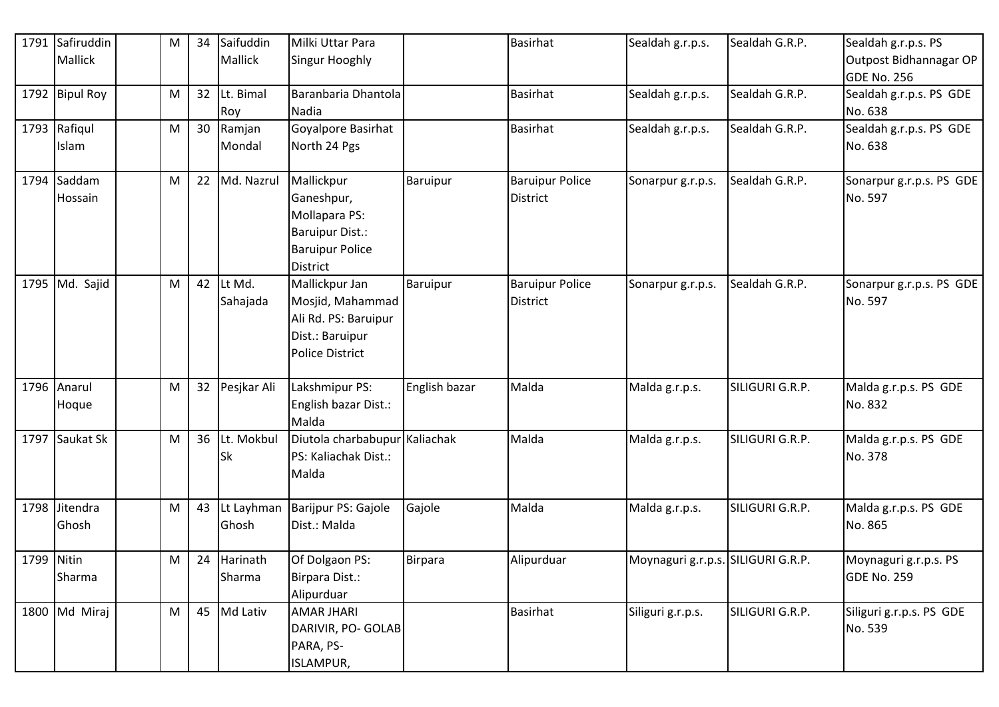| 1791       | Safiruddin     | M | 34 | Saifuddin   | Milki Uttar Para              |                 | <b>Basirhat</b>        | Sealdah g.r.p.s.                   | Sealdah G.R.P.  | Sealdah g.r.p.s. PS                          |
|------------|----------------|---|----|-------------|-------------------------------|-----------------|------------------------|------------------------------------|-----------------|----------------------------------------------|
|            | Mallick        |   |    | Mallick     | Singur Hooghly                |                 |                        |                                    |                 | Outpost Bidhannagar OP<br><b>GDE No. 256</b> |
|            | 1792 Bipul Roy | M | 32 | Lt. Bimal   | Baranbaria Dhantola           |                 | <b>Basirhat</b>        | Sealdah g.r.p.s.                   | Sealdah G.R.P.  | Sealdah g.r.p.s. PS GDE                      |
|            |                |   |    | Roy         | Nadia                         |                 |                        |                                    |                 | No. 638                                      |
|            | 1793 Rafiqul   | M | 30 | Ramjan      | Goyalpore Basirhat            |                 | <b>Basirhat</b>        | Sealdah g.r.p.s.                   | Sealdah G.R.P.  | Sealdah g.r.p.s. PS GDE                      |
|            | Islam          |   |    | Mondal      | North 24 Pgs                  |                 |                        |                                    |                 | No. 638                                      |
|            | 1794 Saddam    | M | 22 | Md. Nazrul  | Mallickpur                    | <b>Baruipur</b> | <b>Baruipur Police</b> | Sonarpur g.r.p.s.                  | Sealdah G.R.P.  | Sonarpur g.r.p.s. PS GDE                     |
|            | Hossain        |   |    |             | Ganeshpur,                    |                 | <b>District</b>        |                                    |                 | No. 597                                      |
|            |                |   |    |             | Mollapara PS:                 |                 |                        |                                    |                 |                                              |
|            |                |   |    |             | Baruipur Dist.:               |                 |                        |                                    |                 |                                              |
|            |                |   |    |             | <b>Baruipur Police</b>        |                 |                        |                                    |                 |                                              |
|            |                |   |    |             | <b>District</b>               |                 |                        |                                    |                 |                                              |
|            | 1795 Md. Sajid | M | 42 | Lt Md.      | Mallickpur Jan                | Baruipur        | <b>Baruipur Police</b> | Sonarpur g.r.p.s.                  | Sealdah G.R.P.  | Sonarpur g.r.p.s. PS GDE                     |
|            |                |   |    | Sahajada    | Mosjid, Mahammad              |                 | <b>District</b>        |                                    |                 | No. 597                                      |
|            |                |   |    |             | Ali Rd. PS: Baruipur          |                 |                        |                                    |                 |                                              |
|            |                |   |    |             | Dist.: Baruipur               |                 |                        |                                    |                 |                                              |
|            |                |   |    |             | Police District               |                 |                        |                                    |                 |                                              |
|            | 1796 Anarul    | M | 32 | Pesjkar Ali | Lakshmipur PS:                | English bazar   | Malda                  | Malda g.r.p.s.                     | SILIGURI G.R.P. | Malda g.r.p.s. PS GDE                        |
|            | Hoque          |   |    |             | English bazar Dist.:          |                 |                        |                                    |                 | No. 832                                      |
|            |                |   |    |             | Malda                         |                 |                        |                                    |                 |                                              |
|            | 1797 Saukat Sk | M | 36 | Lt. Mokbul  | Diutola charbabupur Kaliachak |                 | Malda                  | Malda g.r.p.s.                     | SILIGURI G.R.P. | Malda g.r.p.s. PS GDE                        |
|            |                |   |    | Sk          | PS: Kaliachak Dist.:          |                 |                        |                                    |                 | No. 378                                      |
|            |                |   |    |             | Malda                         |                 |                        |                                    |                 |                                              |
|            | 1798 Jitendra  | M | 43 | Lt Layhman  | Barijpur PS: Gajole           | Gajole          | Malda                  | Malda g.r.p.s.                     | SILIGURI G.R.P. | Malda g.r.p.s. PS GDE                        |
|            | Ghosh          |   |    | Ghosh       | Dist.: Malda                  |                 |                        |                                    |                 | No. 865                                      |
|            |                |   |    |             |                               |                 |                        |                                    |                 |                                              |
| 1799 Nitin |                | M | 24 | Harinath    | Of Dolgaon PS:                | Birpara         | Alipurduar             | Moynaguri g.r.p.s. SILIGURI G.R.P. |                 | Moynaguri g.r.p.s. PS                        |
|            | Sharma         |   |    | Sharma      | Birpara Dist.:                |                 |                        |                                    |                 | GDE No. 259                                  |
|            |                |   |    |             | Alipurduar                    |                 |                        |                                    |                 |                                              |
|            | 1800 Md Miraj  | M | 45 | Md Lativ    | <b>AMAR JHARI</b>             |                 | <b>Basirhat</b>        | Siliguri g.r.p.s.                  | SILIGURI G.R.P. | Siliguri g.r.p.s. PS GDE                     |
|            |                |   |    |             | DARIVIR, PO- GOLAB            |                 |                        |                                    |                 | No. 539                                      |
|            |                |   |    |             | PARA, PS-                     |                 |                        |                                    |                 |                                              |
|            |                |   |    |             | <b>ISLAMPUR,</b>              |                 |                        |                                    |                 |                                              |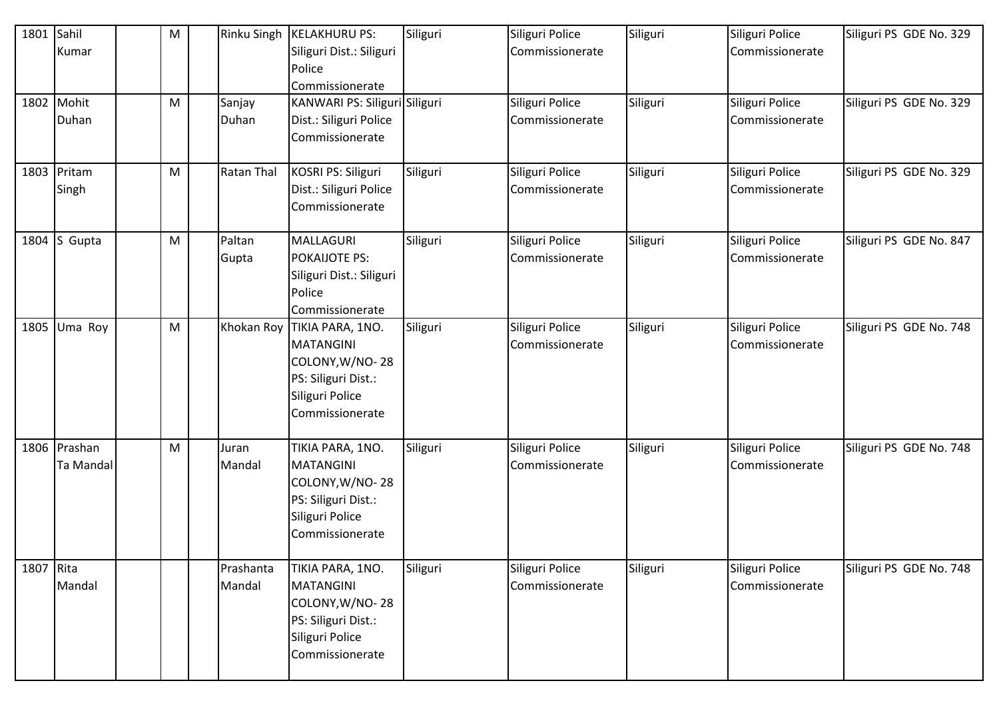| 1801 Sahil |              | M         | <b>Rinku Singh</b> | <b>KELAKHURU PS:</b>          | Siliguri | Siliguri Police | Siliguri | Siliguri Police | Siliguri PS GDE No. 329 |
|------------|--------------|-----------|--------------------|-------------------------------|----------|-----------------|----------|-----------------|-------------------------|
|            | Kumar        |           |                    | Siliguri Dist.: Siliguri      |          | Commissionerate |          | Commissionerate |                         |
|            |              |           |                    | Police                        |          |                 |          |                 |                         |
|            |              |           |                    | Commissionerate               |          |                 |          |                 |                         |
|            | 1802 Mohit   | M         | Sanjay             | KANWARI PS: Siliguri Siliguri |          | Siliguri Police | Siliguri | Siliguri Police | Siliguri PS GDE No. 329 |
|            | Duhan        |           | Duhan              | Dist.: Siliguri Police        |          | Commissionerate |          | Commissionerate |                         |
|            |              |           |                    | Commissionerate               |          |                 |          |                 |                         |
|            |              |           |                    |                               |          |                 |          |                 |                         |
|            | 1803 Pritam  | M         | <b>Ratan Thal</b>  | KOSRI PS: Siliguri            | Siliguri | Siliguri Police | Siliguri | Siliguri Police | Siliguri PS GDE No. 329 |
|            | Singh        |           |                    | Dist.: Siliguri Police        |          | Commissionerate |          | Commissionerate |                         |
|            |              |           |                    | Commissionerate               |          |                 |          |                 |                         |
|            |              |           |                    |                               |          |                 |          |                 |                         |
|            | 1804 S Gupta | M         | Paltan             | MALLAGURI                     | Siliguri | Siliguri Police | Siliguri | Siliguri Police | Siliguri PS GDE No. 847 |
|            |              |           | Gupta              | <b>POKAIJOTE PS:</b>          |          | Commissionerate |          | Commissionerate |                         |
|            |              |           |                    | Siliguri Dist.: Siliguri      |          |                 |          |                 |                         |
|            |              |           |                    | Police                        |          |                 |          |                 |                         |
|            |              |           |                    | Commissionerate               |          |                 |          |                 |                         |
| 1805       | Uma Roy      | ${\sf M}$ | Khokan Roy         | TIKIA PARA, 1NO.              | Siliguri | Siliguri Police | Siliguri | Siliguri Police | Siliguri PS GDE No. 748 |
|            |              |           |                    | <b>MATANGINI</b>              |          | Commissionerate |          | Commissionerate |                         |
|            |              |           |                    | COLONY, W/NO-28               |          |                 |          |                 |                         |
|            |              |           |                    | PS: Siliguri Dist.:           |          |                 |          |                 |                         |
|            |              |           |                    | Siliguri Police               |          |                 |          |                 |                         |
|            |              |           |                    | Commissionerate               |          |                 |          |                 |                         |
|            |              |           |                    |                               |          |                 |          |                 |                         |
|            | 1806 Prashan | ${\sf M}$ | Juran              | TIKIA PARA, 1NO.              | Siliguri | Siliguri Police | Siliguri | Siliguri Police | Siliguri PS GDE No. 748 |
|            | Ta Mandal    |           | Mandal             | <b>MATANGINI</b>              |          | Commissionerate |          | Commissionerate |                         |
|            |              |           |                    | COLONY, W/NO-28               |          |                 |          |                 |                         |
|            |              |           |                    | PS: Siliguri Dist.:           |          |                 |          |                 |                         |
|            |              |           |                    | Siliguri Police               |          |                 |          |                 |                         |
|            |              |           |                    | Commissionerate               |          |                 |          |                 |                         |
|            |              |           |                    |                               |          |                 |          |                 |                         |
| 1807 Rita  |              |           | Prashanta          | TIKIA PARA, 1NO.              | Siliguri | Siliguri Police | Siliguri | Siliguri Police | Siliguri PS GDE No. 748 |
|            | Mandal       |           | Mandal             | <b>MATANGINI</b>              |          | Commissionerate |          | Commissionerate |                         |
|            |              |           |                    | COLONY, W/NO-28               |          |                 |          |                 |                         |
|            |              |           |                    | PS: Siliguri Dist.:           |          |                 |          |                 |                         |
|            |              |           |                    | Siliguri Police               |          |                 |          |                 |                         |
|            |              |           |                    | Commissionerate               |          |                 |          |                 |                         |
|            |              |           |                    |                               |          |                 |          |                 |                         |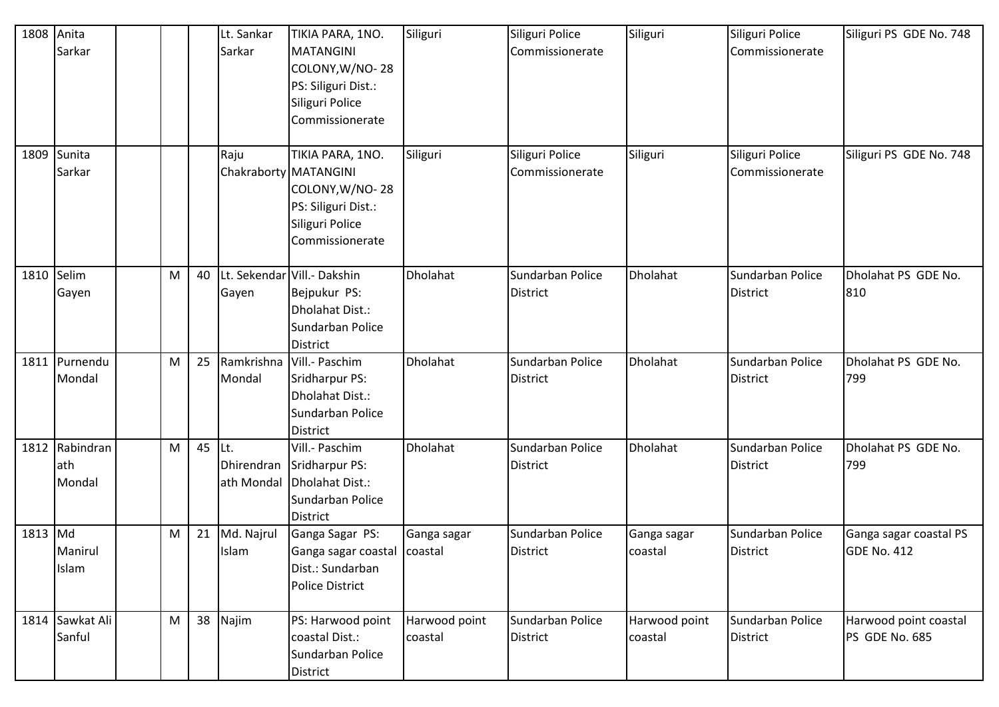| 1808 Anita | Sarkar                          |           |    | Lt. Sankar<br>Sarkar | TIKIA PARA, 1NO.<br><b>MATANGINI</b><br>COLONY, W/NO-28<br>PS: Siliguri Dist.:<br>Siliguri Police<br>Commissionerate      | Siliguri                 | Siliguri Police<br>Commissionerate  | Siliguri                 | Siliguri Police<br>Commissionerate  | Siliguri PS GDE No. 748                      |
|------------|---------------------------------|-----------|----|----------------------|---------------------------------------------------------------------------------------------------------------------------|--------------------------|-------------------------------------|--------------------------|-------------------------------------|----------------------------------------------|
| 1809       | Sunita<br>Sarkar                |           |    | Raju                 | TIKIA PARA, 1NO.<br>Chakraborty MATANGINI<br>COLONY, W/NO-28<br>PS: Siliguri Dist.:<br>Siliguri Police<br>Commissionerate | Siliguri                 | Siliguri Police<br>Commissionerate  | Siliguri                 | Siliguri Police<br>Commissionerate  | Siliguri PS GDE No. 748                      |
| 1810 Selim | Gayen                           | ${\sf M}$ | 40 | Gayen                | Lt. Sekendar Vill.- Dakshin<br>Bejpukur PS:<br>Dholahat Dist.:<br>Sundarban Police<br><b>District</b>                     | Dholahat                 | Sundarban Police<br><b>District</b> | Dholahat                 | Sundarban Police<br><b>District</b> | Dholahat PS GDE No.<br>810                   |
|            | 1811 Purnendu<br>Mondal         | M         | 25 | Mondal               | Ramkrishna   Vill. - Paschim<br>Sridharpur PS:<br>Dholahat Dist.:<br>Sundarban Police<br><b>District</b>                  | <b>Dholahat</b>          | Sundarban Police<br><b>District</b> | Dholahat                 | Sundarban Police<br><b>District</b> | Dholahat PS GDE No.<br>799                   |
|            | 1812 Rabindran<br>ath<br>Mondal | M         | 45 | Lt.<br>ath Mondal    | Vill.- Paschim<br>Dhirendran Sridharpur PS:<br>Dholahat Dist.:<br>Sundarban Police<br><b>District</b>                     | Dholahat                 | Sundarban Police<br><b>District</b> | Dholahat                 | Sundarban Police<br>District        | Dholahat PS GDE No.<br>799                   |
| 1813 Md    | Manirul<br>Islam                | M         | 21 | Md. Najrul<br>Islam  | Ganga Sagar PS:<br>Ganga sagar coastal coastal<br>Dist.: Sundarban<br><b>Police District</b>                              | Ganga sagar              | Sundarban Police<br>District        | Ganga sagar<br>coastal   | Sundarban Police<br>District        | Ganga sagar coastal PS<br><b>GDE No. 412</b> |
|            | 1814 Sawkat Ali<br>Sanful       | M         | 38 | Najim                | PS: Harwood point<br>coastal Dist.:<br>Sundarban Police<br>District                                                       | Harwood point<br>coastal | Sundarban Police<br><b>District</b> | Harwood point<br>coastal | Sundarban Police<br>District        | Harwood point coastal<br>PS GDE No. 685      |